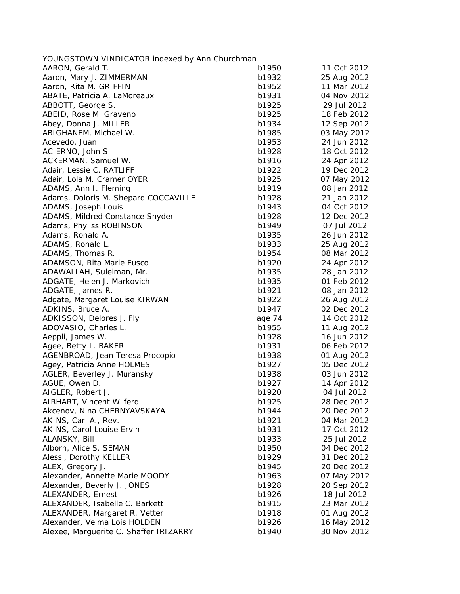| YOUNGSTOWN VINDICATOR indexed by Ann Churchman |        |                            |
|------------------------------------------------|--------|----------------------------|
| AARON, Gerald T.                               | b1950  | 11 Oct 2012                |
| Aaron, Mary J. ZIMMERMAN                       | b1932  | 25 Aug 2012                |
| Aaron, Rita M. GRIFFIN                         | b1952  | 11 Mar 2012                |
| ABATE, Patricia A. LaMoreaux                   | b1931  | 04 Nov 2012                |
| ABBOTT, George S.                              | b1925  | 29 Jul 2012                |
| ABEID, Rose M. Graveno                         | b1925  | 18 Feb 2012                |
| Abey, Donna J. MILLER                          | b1934  | 12 Sep 2012                |
| ABIGHANEM, Michael W.                          | b1985  | 03 May 2012                |
| Acevedo, Juan                                  | b1953  | 24 Jun 2012                |
| ACIERNO, John S.                               | b1928  | 18 Oct 2012                |
| ACKERMAN, Samuel W.                            | b1916  | 24 Apr 2012                |
| Adair, Lessie C. RATLIFF                       | b1922  | 19 Dec 2012                |
| Adair, Lola M. Cramer OYER                     | b1925  | 07 May 2012                |
| ADAMS, Ann I. Fleming                          | b1919  | 08 Jan 2012                |
| Adams, Doloris M. Shepard COCCAVILLE           | b1928  | 21 Jan 2012                |
| ADAMS, Joseph Louis                            | b1943  | 04 Oct 2012                |
| ADAMS, Mildred Constance Snyder                | b1928  | 12 Dec 2012                |
| Adams, Phyliss ROBINSON                        | b1949  | 07 Jul 2012                |
| Adams, Ronald A.                               | b1935  | 26 Jun 2012                |
| ADAMS, Ronald L.                               | b1933  | 25 Aug 2012                |
| ADAMS, Thomas R.                               | b1954  | 08 Mar 2012                |
| <b>ADAMSON, Rita Marie Fusco</b>               | b1920  | 24 Apr 2012                |
| ADAWALLAH, Suleiman, Mr.                       | b1935  | 28 Jan 2012                |
| ADGATE, Helen J. Markovich                     | b1935  | 01 Feb 2012                |
| ADGATE, James R.                               | b1921  | 08 Jan 2012                |
| Adgate, Margaret Louise KIRWAN                 | b1922  | 26 Aug 2012                |
| ADKINS, Bruce A.                               | b1947  | 02 Dec 2012                |
| ADKISSON, Delores J. Fly                       | age 74 | 14 Oct 2012                |
| ADOVASIO, Charles L.                           | b1955  | 11 Aug 2012                |
| Aeppli, James W.                               | b1928  | 16 Jun 2012                |
| Agee, Betty L. BAKER                           | b1931  | 06 Feb 2012                |
| AGENBROAD, Jean Teresa Procopio                | b1938  | 01 Aug 2012                |
| Agey, Patricia Anne HOLMES                     | b1927  | 05 Dec 2012                |
| AGLER, Beverley J. Muransky                    | b1938  | 03 Jun 2012                |
| AGUE, Owen D.                                  | b1927  | 14 Apr 2012                |
| AIGLER, Robert J.                              | b1920  | 04 Jul 2012                |
| AIRHART, Vincent Wilferd                       | b1925  | 28 Dec 2012                |
| Akcenov, Nina CHERNYAVSKAYA                    | b1944  | 20 Dec 2012                |
| AKINS, Carl A., Rev.                           | b1921  | 04 Mar 2012                |
|                                                |        |                            |
| AKINS, Carol Louise Ervin                      | b1931  | 17 Oct 2012                |
| ALANSKY, Bill                                  | b1933  | 25 Jul 2012<br>04 Dec 2012 |
| Alborn, Alice S. SEMAN                         | b1950  |                            |
| Alessi, Dorothy KELLER                         | b1929  | 31 Dec 2012                |
| ALEX, Gregory J.                               | b1945  | 20 Dec 2012                |
| Alexander, Annette Marie MOODY                 | b1963  | 07 May 2012                |
| Alexander, Beverly J. JONES                    | b1928  | 20 Sep 2012                |
| ALEXANDER, Ernest                              | b1926  | 18 Jul 2012                |
| ALEXANDER, Isabelle C. Barkett                 | b1915  | 23 Mar 2012                |
| ALEXANDER, Margaret R. Vetter                  | b1918  | 01 Aug 2012                |
| Alexander, Velma Lois HOLDEN                   | b1926  | 16 May 2012                |
| Alexee, Marguerite C. Shaffer IRIZARRY         | b1940  | 30 Nov 2012                |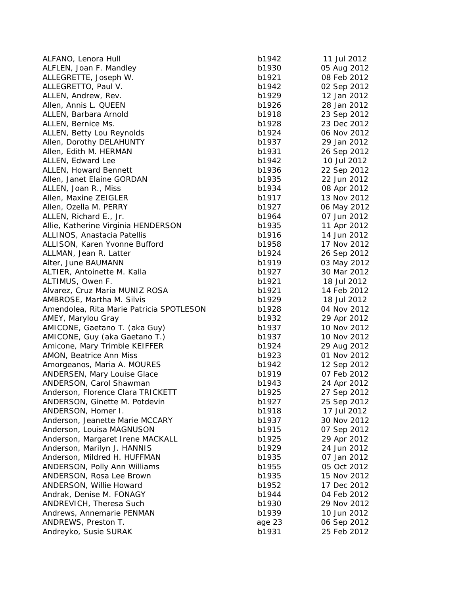| ALFANO, Lenora Hull                      | b1942  | 11 Jul 2012 |
|------------------------------------------|--------|-------------|
| ALFLEN, Joan F. Mandley                  | b1930  | 05 Aug 2012 |
| ALLEGRETTE, Joseph W.                    | b1921  | 08 Feb 2012 |
| ALLEGRETTO, Paul V.                      | b1942  | 02 Sep 2012 |
| ALLEN, Andrew, Rev.                      | b1929  | 12 Jan 2012 |
| Allen, Annis L. QUEEN                    | b1926  | 28 Jan 2012 |
| ALLEN, Barbara Arnold                    | b1918  | 23 Sep 2012 |
| ALLEN, Bernice Ms.                       | b1928  | 23 Dec 2012 |
| ALLEN, Betty Lou Reynolds                | b1924  | 06 Nov 2012 |
| Allen, Dorothy DELAHUNTY                 | b1937  | 29 Jan 2012 |
| Allen, Edith M. HERMAN                   | b1931  | 26 Sep 2012 |
| ALLEN, Edward Lee                        | b1942  | 10 Jul 2012 |
| <b>ALLEN, Howard Bennett</b>             | b1936  | 22 Sep 2012 |
| Allen, Janet Elaine GORDAN               | b1935  | 22 Jun 2012 |
| ALLEN, Joan R., Miss                     | b1934  | 08 Apr 2012 |
| Allen, Maxine ZEIGLER                    | b1917  | 13 Nov 2012 |
| Allen, Ozella M. PERRY                   | b1927  | 06 May 2012 |
| ALLEN, Richard E., Jr.                   | b1964  | 07 Jun 2012 |
| Allie, Katherine Virginia HENDERSON      | b1935  | 11 Apr 2012 |
| ALLINOS, Anastacia Patellis              | b1916  | 14 Jun 2012 |
| ALLISON, Karen Yvonne Bufford            | b1958  | 17 Nov 2012 |
| ALLMAN, Jean R. Latter                   | b1924  | 26 Sep 2012 |
| Alter, June BAUMANN                      | b1919  | 03 May 2012 |
| ALTIER, Antoinette M. Kalla              | b1927  | 30 Mar 2012 |
| ALTIMUS, Owen F.                         | b1921  | 18 Jul 2012 |
| Alvarez, Cruz Maria MUNIZ ROSA           | b1921  | 14 Feb 2012 |
| AMBROSE, Martha M. Silvis                | b1929  | 18 Jul 2012 |
| Amendolea, Rita Marie Patricia SPOTLESON | b1928  | 04 Nov 2012 |
| AMEY, Marylou Gray                       | b1932  | 29 Apr 2012 |
| AMICONE, Gaetano T. (aka Guy)            | b1937  | 10 Nov 2012 |
| AMICONE, Guy (aka Gaetano T.)            | b1937  | 10 Nov 2012 |
| Amicone, Mary Trimble KEIFFER            | b1924  | 29 Aug 2012 |
| AMON, Beatrice Ann Miss                  | b1923  | 01 Nov 2012 |
| Amorgeanos, Maria A. MOURES              | b1942  | 12 Sep 2012 |
| ANDERSEN, Mary Louise Glace              | b1919  | 07 Feb 2012 |
| ANDERSON, Carol Shawman                  | b1943  | 24 Apr 2012 |
| Anderson, Florence Clara TRICKETT        | b1925  | 27 Sep 2012 |
| ANDERSON, Ginette M. Potdevin            | b1927  | 25 Sep 2012 |
| ANDERSON, Homer I.                       | b1918  | 17 Jul 2012 |
| Anderson, Jeanette Marie MCCARY          | b1937  | 30 Nov 2012 |
| Anderson, Louisa MAGNUSON                | b1915  | 07 Sep 2012 |
| Anderson, Margaret Irene MACKALL         | b1925  | 29 Apr 2012 |
| Anderson, Marilyn J. HANNIS              | b1929  | 24 Jun 2012 |
| Anderson, Mildred H. HUFFMAN             | b1935  | 07 Jan 2012 |
| ANDERSON, Polly Ann Williams             | b1955  | 05 Oct 2012 |
| ANDERSON, Rosa Lee Brown                 | b1935  | 15 Nov 2012 |
| ANDERSON, Willie Howard                  | b1952  | 17 Dec 2012 |
| Andrak, Denise M. FONAGY                 | b1944  | 04 Feb 2012 |
| ANDREVICH, Theresa Such                  | b1930  | 29 Nov 2012 |
| Andrews, Annemarie PENMAN                | b1939  | 10 Jun 2012 |
| ANDREWS, Preston T.                      | age 23 | 06 Sep 2012 |
| Andreyko, Susie SURAK                    | b1931  | 25 Feb 2012 |
|                                          |        |             |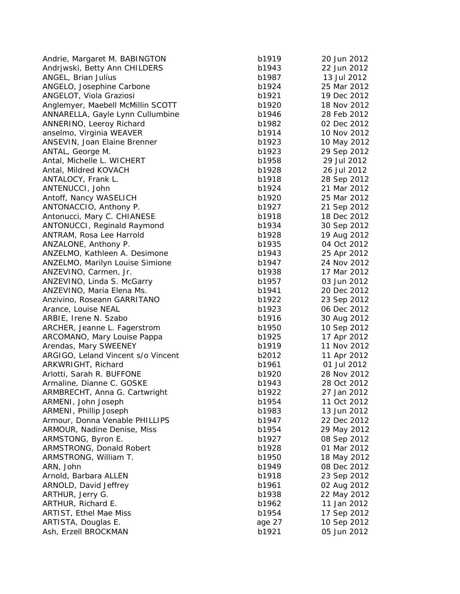| Andrie, Margaret M. BABINGTON      | b1919  | 20 Jun 2012 |
|------------------------------------|--------|-------------|
| Andrjwski, Betty Ann CHILDERS      | b1943  | 22 Jun 2012 |
| ANGEL, Brian Julius                | b1987  | 13 Jul 2012 |
| ANGELO, Josephine Carbone          | b1924  | 25 Mar 2012 |
| ANGELOT, Viola Graziosi            | b1921  | 19 Dec 2012 |
| Anglemyer, Maebell McMillin SCOTT  | b1920  | 18 Nov 2012 |
| ANNARELLA, Gayle Lynn Cullumbine   | b1946  | 28 Feb 2012 |
| ANNERINO, Leeroy Richard           | b1982  | 02 Dec 2012 |
| anselmo, Virginia WEAVER           | b1914  | 10 Nov 2012 |
| ANSEVIN, Joan Elaine Brenner       | b1923  | 10 May 2012 |
| ANTAL, George M.                   | b1923  | 29 Sep 2012 |
| Antal, Michelle L. WICHERT         | b1958  | 29 Jul 2012 |
| Antal, Mildred KOVACH              | b1928  | 26 Jul 2012 |
| ANTALOCY, Frank L.                 | b1918  | 28 Sep 2012 |
| ANTENUCCI, John                    | b1924  | 21 Mar 2012 |
| Antoff, Nancy WASELICH             | b1920  | 25 Mar 2012 |
| ANTONACCIO, Anthony P.             | b1927  | 21 Sep 2012 |
| Antonucci, Mary C. CHIANESE        | b1918  | 18 Dec 2012 |
| ANTONUCCI, Reginald Raymond        | b1934  | 30 Sep 2012 |
| ANTRAM, Rosa Lee Harrold           | b1928  | 19 Aug 2012 |
| ANZALONE, Anthony P.               | b1935  | 04 Oct 2012 |
| ANZELMO, Kathleen A. Desimone      | b1943  | 25 Apr 2012 |
| ANZELMO, Marilyn Louise Simione    | b1947  | 24 Nov 2012 |
| ANZEVINO, Carmen, Jr.              | b1938  | 17 Mar 2012 |
| ANZEVINO, Linda S. McGarry         | b1957  | 03 Jun 2012 |
| ANZEVINO, Maria Elena Ms.          | b1941  | 20 Dec 2012 |
| Anzivino, Roseann GARRITANO        | b1922  | 23 Sep 2012 |
| Arance, Louise NEAL                | b1923  | 06 Dec 2012 |
| ARBIE, Irene N. Szabo              | b1916  | 30 Aug 2012 |
| ARCHER, Jeanne L. Fagerstrom       | b1950  | 10 Sep 2012 |
| ARCOMANO, Mary Louise Pappa        | b1925  | 17 Apr 2012 |
| Arendas, Mary SWEENEY              | b1919  | 11 Nov 2012 |
| ARGIGO, Leland Vincent s/o Vincent | b2012  | 11 Apr 2012 |
| ARKWRIGHT, Richard                 | b1961  | 01 Jul 2012 |
| Arlotti, Sarah R. BUFFONE          | b1920  | 28 Nov 2012 |
|                                    | b1943  | 28 Oct 2012 |
| Armaline, Dianne C. GOSKE          | b1922  |             |
| ARMBRECHT, Anna G. Cartwright      | b1954  | 27 Jan 2012 |
| ARMENI, John Joseph                |        | 11 Oct 2012 |
| ARMENI, Phillip Joseph             | b1983  | 13 Jun 2012 |
| Armour, Donna Venable PHILLIPS     | b1947  | 22 Dec 2012 |
| ARMOUR, Nadine Denise, Miss        | b1954  | 29 May 2012 |
| ARMSTONG, Byron E.                 | b1927  | 08 Sep 2012 |
| ARMSTRONG, Donald Robert           | b1928  | 01 Mar 2012 |
| ARMSTRONG, William T.              | b1950  | 18 May 2012 |
| ARN, John                          | b1949  | 08 Dec 2012 |
| Arnold, Barbara ALLEN              | b1918  | 23 Sep 2012 |
| ARNOLD, David Jeffrey              | b1961  | 02 Aug 2012 |
| ARTHUR, Jerry G.                   | b1938  | 22 May 2012 |
| ARTHUR, Richard E.                 | b1962  | 11 Jan 2012 |
| <b>ARTIST, Ethel Mae Miss</b>      | b1954  | 17 Sep 2012 |
| ARTISTA, Douglas E.                | age 27 | 10 Sep 2012 |
| Ash, Erzell BROCKMAN               | b1921  | 05 Jun 2012 |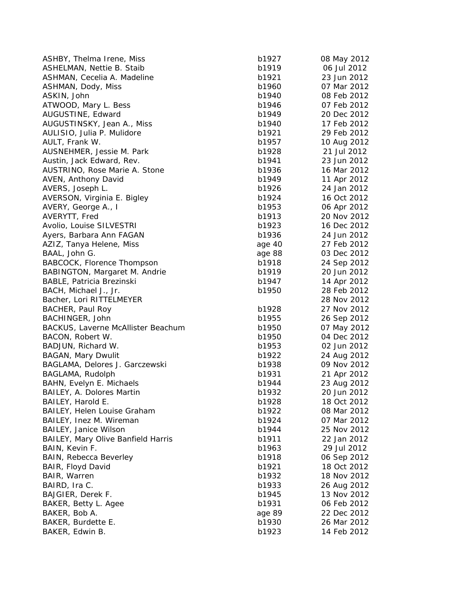| ASHBY, Thelma Irene, Miss                 | b1927  | 08 May 2012 |
|-------------------------------------------|--------|-------------|
| ASHELMAN, Nettie B. Staib                 | b1919  | 06 Jul 2012 |
| ASHMAN, Cecelia A. Madeline               | b1921  | 23 Jun 2012 |
| ASHMAN, Dody, Miss                        | b1960  | 07 Mar 2012 |
| ASKIN, John                               | b1940  | 08 Feb 2012 |
| ATWOOD, Mary L. Bess                      | b1946  | 07 Feb 2012 |
| AUGUSTINE, Edward                         | b1949  | 20 Dec 2012 |
| AUGUSTINSKY, Jean A., Miss                | b1940  | 17 Feb 2012 |
| AULISIO, Julia P. Mulidore                | b1921  | 29 Feb 2012 |
| AULT, Frank W.                            | b1957  | 10 Aug 2012 |
| AUSNEHMER, Jessie M. Park                 | b1928  | 21 Jul 2012 |
| Austin, Jack Edward, Rev.                 | b1941  | 23 Jun 2012 |
| AUSTRINO, Rose Marie A. Stone             | b1936  | 16 Mar 2012 |
| AVEN, Anthony David                       | b1949  | 11 Apr 2012 |
| AVERS, Joseph L.                          | b1926  | 24 Jan 2012 |
| AVERSON, Virginia E. Bigley               | b1924  | 16 Oct 2012 |
| AVERY, George A., I                       | b1953  | 06 Apr 2012 |
| AVERYTT, Fred                             | b1913  | 20 Nov 2012 |
| Avolio, Louise SILVESTRI                  | b1923  | 16 Dec 2012 |
| Ayers, Barbara Ann FAGAN                  | b1936  | 24 Jun 2012 |
| AZIZ, Tanya Helene, Miss                  | age 40 | 27 Feb 2012 |
| BAAL, John G.                             | age 88 | 03 Dec 2012 |
| BABCOCK, Florence Thompson                | b1918  | 24 Sep 2012 |
| BABINGTON, Margaret M. Andrie             | b1919  | 20 Jun 2012 |
| BABLE, Patricia Brezinski                 | b1947  | 14 Apr 2012 |
| BACH, Michael J., Jr.                     | b1950  | 28 Feb 2012 |
| Bacher, Lori RITTELMEYER                  |        | 28 Nov 2012 |
| BACHER, Paul Roy                          | b1928  | 27 Nov 2012 |
| BACHINGER, John                           | b1955  | 26 Sep 2012 |
| BACKUS, Laverne McAllister Beachum        | b1950  | 07 May 2012 |
| BACON, Robert W.                          | b1950  | 04 Dec 2012 |
| BADJUN, Richard W.                        | b1953  | 02 Jun 2012 |
| <b>BAGAN, Mary Dwulit</b>                 | b1922  | 24 Aug 2012 |
| BAGLAMA, Delores J. Garczewski            | b1938  | 09 Nov 2012 |
| BAGLAMA, Rudolph                          | b1931  | 21 Apr 2012 |
| BAHN, Evelyn E. Michaels                  | b1944  | 23 Aug 2012 |
| BAILEY, A. Dolores Martin                 | b1932  | 20 Jun 2012 |
| BAILEY, Harold E.                         | b1928  | 18 Oct 2012 |
| BAILEY, Helen Louise Graham               | b1922  | 08 Mar 2012 |
| BAILEY, Inez M. Wireman                   | b1924  | 07 Mar 2012 |
| <b>BAILEY, Janice Wilson</b>              | b1944  | 25 Nov 2012 |
| <b>BAILEY, Mary Olive Banfield Harris</b> | b1911  | 22 Jan 2012 |
| BAIN, Kevin F.                            | b1963  | 29 Jul 2012 |
| <b>BAIN, Rebecca Beverley</b>             | b1918  | 06 Sep 2012 |
| BAIR, Floyd David                         | b1921  | 18 Oct 2012 |
| BAIR, Warren                              | b1932  | 18 Nov 2012 |
| BAIRD, Ira C.                             | b1933  | 26 Aug 2012 |
| BAJGIER, Derek F.                         | b1945  | 13 Nov 2012 |
| BAKER, Betty L. Agee                      | b1931  | 06 Feb 2012 |
| BAKER, Bob A.                             | age 89 | 22 Dec 2012 |
| BAKER, Burdette E.                        | b1930  | 26 Mar 2012 |
| BAKER, Edwin B.                           | b1923  | 14 Feb 2012 |
|                                           |        |             |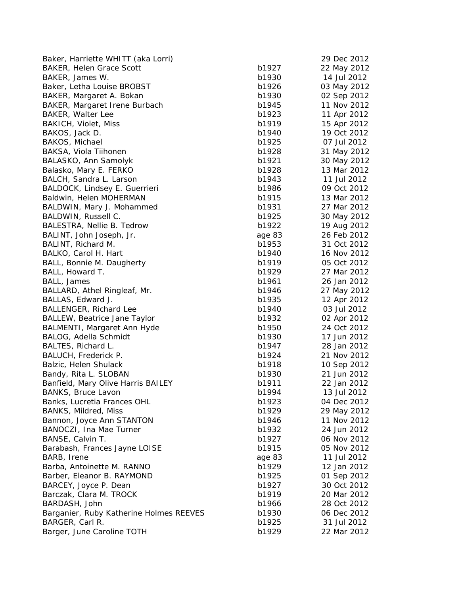| Baker, Harriette WHITT (aka Lorri)      |        | 29 Dec 2012 |
|-----------------------------------------|--------|-------------|
| BAKER, Helen Grace Scott                | b1927  | 22 May 2012 |
| BAKER, James W.                         | b1930  | 14 Jul 2012 |
| Baker, Letha Louise BROBST              | b1926  | 03 May 2012 |
| BAKER, Margaret A. Bokan                | b1930  | 02 Sep 2012 |
| BAKER, Margaret Irene Burbach           | b1945  | 11 Nov 2012 |
| BAKER, Walter Lee                       | b1923  | 11 Apr 2012 |
| <b>BAKICH, Violet, Miss</b>             | b1919  | 15 Apr 2012 |
| BAKOS, Jack D.                          | b1940  | 19 Oct 2012 |
| BAKOS, Michael                          | b1925  | 07 Jul 2012 |
| BAKSA, Viola Tiihonen                   | b1928  | 31 May 2012 |
| BALASKO, Ann Samolyk                    | b1921  | 30 May 2012 |
| Balasko, Mary E. FERKO                  | b1928  | 13 Mar 2012 |
| BALCH, Sandra L. Larson                 | b1943  | 11 Jul 2012 |
| BALDOCK, Lindsey E. Guerrieri           | b1986  | 09 Oct 2012 |
| Baldwin, Helen MOHERMAN                 | b1915  | 13 Mar 2012 |
| BALDWIN, Mary J. Mohammed               | b1931  | 27 Mar 2012 |
| BALDWIN, Russell C.                     | b1925  | 30 May 2012 |
| BALESTRA, Nellie B. Tedrow              | b1922  | 19 Aug 2012 |
| BALINT, John Joseph, Jr.                | age 83 | 26 Feb 2012 |
| BALINT, Richard M.                      | b1953  | 31 Oct 2012 |
| BALKO, Carol H. Hart                    | b1940  | 16 Nov 2012 |
| BALL, Bonnie M. Daugherty               | b1919  | 05 Oct 2012 |
| BALL, Howard T.                         | b1929  | 27 Mar 2012 |
|                                         | b1961  | 26 Jan 2012 |
| BALL, James                             | b1946  |             |
| BALLARD, Athel Ringleaf, Mr.            |        | 27 May 2012 |
| BALLAS, Edward J.                       | b1935  | 12 Apr 2012 |
| <b>BALLENGER, Richard Lee</b>           | b1940  | 03 Jul 2012 |
| <b>BALLEW, Beatrice Jane Taylor</b>     | b1932  | 02 Apr 2012 |
| BALMENTI, Margaret Ann Hyde             | b1950  | 24 Oct 2012 |
| BALOG, Adella Schmidt                   | b1930  | 17 Jun 2012 |
| BALTES, Richard L.                      | b1947  | 28 Jan 2012 |
| BALUCH, Frederick P.                    | b1924  | 21 Nov 2012 |
| Balzic, Helen Shulack                   | b1918  | 10 Sep 2012 |
| Bandy, Rita L. SLOBAN                   | b1930  | 21 Jun 2012 |
| Banfield, Mary Olive Harris BAILEY      | b1911  | 22 Jan 2012 |
| BANKS, Bruce Lavon                      | b1994  | 13 Jul 2012 |
| Banks, Lucretia Frances OHL             | b1923  | 04 Dec 2012 |
| <b>BANKS, Mildred, Miss</b>             | b1929  | 29 May 2012 |
| Bannon, Joyce Ann STANTON               | b1946  | 11 Nov 2012 |
| BANOCZI, Ina Mae Turner                 | b1932  | 24 Jun 2012 |
| BANSE, Calvin T.                        | b1927  | 06 Nov 2012 |
| Barabash, Frances Jayne LOISE           | b1915  | 05 Nov 2012 |
| BARB, Irene                             | age 83 | 11 Jul 2012 |
| Barba, Antoinette M. RANNO              | b1929  | 12 Jan 2012 |
| Barber, Eleanor B. RAYMOND              | b1925  | 01 Sep 2012 |
| BARCEY, Joyce P. Dean                   | b1927  | 30 Oct 2012 |
| Barczak, Clara M. TROCK                 | b1919  | 20 Mar 2012 |
| BARDASH, John                           | b1966  | 28 Oct 2012 |
| Barganier, Ruby Katherine Holmes REEVES | b1930  | 06 Dec 2012 |
| BARGER, Carl R.                         | b1925  | 31 Jul 2012 |
| Barger, June Caroline TOTH              | b1929  | 22 Mar 2012 |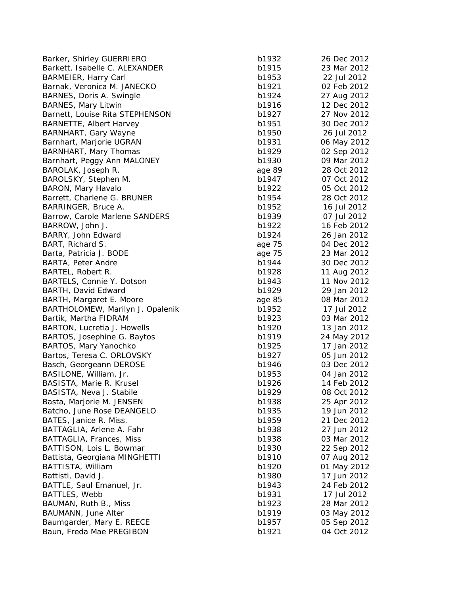| Barker, Shirley GUERRIERO        | b1932  | 26 Dec 2012 |
|----------------------------------|--------|-------------|
| Barkett, Isabelle C. ALEXANDER   | b1915  | 23 Mar 2012 |
| BARMEIER, Harry Carl             | b1953  | 22 Jul 2012 |
| Barnak, Veronica M. JANECKO      | b1921  | 02 Feb 2012 |
| BARNES, Doris A. Swingle         | b1924  | 27 Aug 2012 |
| BARNES, Mary Litwin              | b1916  | 12 Dec 2012 |
| Barnett, Louise Rita STEPHENSON  | b1927  | 27 Nov 2012 |
| <b>BARNETTE, Albert Harvey</b>   | b1951  | 30 Dec 2012 |
| BARNHART, Gary Wayne             | b1950  | 26 Jul 2012 |
| Barnhart, Marjorie UGRAN         | b1931  | 06 May 2012 |
| BARNHART, Mary Thomas            | b1929  | 02 Sep 2012 |
| Barnhart, Peggy Ann MALONEY      | b1930  | 09 Mar 2012 |
| BAROLAK, Joseph R.               | age 89 | 28 Oct 2012 |
| BAROLSKY, Stephen M.             | b1947  | 07 Oct 2012 |
| BARON, Mary Havalo               | b1922  | 05 Oct 2012 |
| Barrett, Charlene G. BRUNER      | b1954  | 28 Oct 2012 |
| BARRINGER, Bruce A.              | b1952  | 16 Jul 2012 |
| Barrow, Carole Marlene SANDERS   | b1939  | 07 Jul 2012 |
| BARROW, John J.                  | b1922  | 16 Feb 2012 |
| BARRY, John Edward               | b1924  | 26 Jan 2012 |
| BART, Richard S.                 | age 75 | 04 Dec 2012 |
| Barta, Patricia J. BODE          | age 75 | 23 Mar 2012 |
| <b>BARTA, Peter Andre</b>        | b1944  | 30 Dec 2012 |
| BARTEL, Robert R.                | b1928  | 11 Aug 2012 |
| BARTELS, Connie Y. Dotson        | b1943  | 11 Nov 2012 |
| BARTH, David Edward              | b1929  | 29 Jan 2012 |
| BARTH, Margaret E. Moore         | age 85 | 08 Mar 2012 |
| BARTHOLOMEW, Marilyn J. Opalenik | b1952  | 17 Jul 2012 |
| Bartik, Martha FIDRAM            | b1923  | 03 Mar 2012 |
| BARTON, Lucretia J. Howells      | b1920  | 13 Jan 2012 |
| BARTOS, Josephine G. Baytos      | b1919  | 24 May 2012 |
| BARTOS, Mary Yanochko            | b1925  | 17 Jan 2012 |
| Bartos, Teresa C. ORLOVSKY       | b1927  | 05 Jun 2012 |
| Basch, Georgeann DEROSE          | b1946  | 03 Dec 2012 |
| BASILONE, William, Jr.           | b1953  | 04 Jan 2012 |
| BASISTA, Marie R. Krusel         | b1926  | 14 Feb 2012 |
| BASISTA, Neva J. Stabile         | b1929  | 08 Oct 2012 |
| Basta, Marjorie M. JENSEN        | b1938  | 25 Apr 2012 |
| Batcho, June Rose DEANGELO       | b1935  | 19 Jun 2012 |
| BATES, Janice R. Miss.           | b1959  | 21 Dec 2012 |
| BATTAGLIA, Arlene A. Fahr        | b1938  | 27 Jun 2012 |
| BATTAGLIA, Frances, Miss         | b1938  | 03 Mar 2012 |
|                                  | b1930  |             |
| BATTISON, Lois L. Bowmar         |        | 22 Sep 2012 |
| Battista, Georgiana MINGHETTI    | b1910  | 07 Aug 2012 |
| BATTISTA, William                | b1920  | 01 May 2012 |
| Battisti, David J.               | b1980  | 17 Jun 2012 |
| BATTLE, Saul Emanuel, Jr.        | b1943  | 24 Feb 2012 |
| BATTLES, Webb                    | b1931  | 17 Jul 2012 |
| BAUMAN, Ruth B., Miss            | b1923  | 28 Mar 2012 |
| BAUMANN, June Alter              | b1919  | 03 May 2012 |
| Baumgarder, Mary E. REECE        | b1957  | 05 Sep 2012 |
| Baun, Freda Mae PREGIBON         | b1921  | 04 Oct 2012 |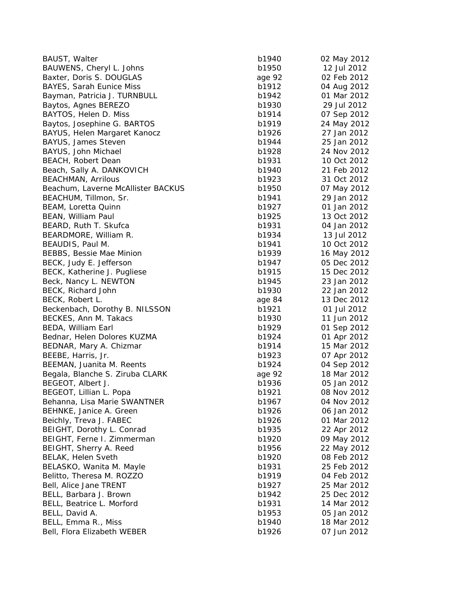| <b>BAUST, Walter</b>               | b1940  | 02 May 2012 |
|------------------------------------|--------|-------------|
| BAUWENS, Cheryl L. Johns           | b1950  | 12 Jul 2012 |
| Baxter, Doris S. DOUGLAS           | age 92 | 02 Feb 2012 |
| <b>BAYES, Sarah Eunice Miss</b>    | b1912  | 04 Aug 2012 |
| Bayman, Patricia J. TURNBULL       | b1942  | 01 Mar 2012 |
| Baytos, Agnes BEREZO               | b1930  | 29 Jul 2012 |
| BAYTOS, Helen D. Miss              | b1914  | 07 Sep 2012 |
| Baytos, Josephine G. BARTOS        | b1919  | 24 May 2012 |
| BAYUS, Helen Margaret Kanocz       | b1926  | 27 Jan 2012 |
| BAYUS, James Steven                | b1944  | 25 Jan 2012 |
| BAYUS, John Michael                | b1928  | 24 Nov 2012 |
| <b>BEACH, Robert Dean</b>          | b1931  | 10 Oct 2012 |
| Beach, Sally A. DANKOVICH          | b1940  | 21 Feb 2012 |
| <b>BEACHMAN, Arrilous</b>          | b1923  | 31 Oct 2012 |
| Beachum, Laverne McAllister BACKUS | b1950  | 07 May 2012 |
| BEACHUM, Tillmon, Sr.              | b1941  | 29 Jan 2012 |
| BEAM, Loretta Quinn                | b1927  | 01 Jan 2012 |
| BEAN, William Paul                 | b1925  | 13 Oct 2012 |
| BEARD, Ruth T. Skufca              | b1931  | 04 Jan 2012 |
| BEARDMORE, William R.              | b1934  | 13 Jul 2012 |
| BEAUDIS, Paul M.                   | b1941  | 10 Oct 2012 |
| BEBBS, Bessie Mae Minion           | b1939  | 16 May 2012 |
| BECK, Judy E. Jefferson            | b1947  | 05 Dec 2012 |
| BECK, Katherine J. Pugliese        | b1915  | 15 Dec 2012 |
| Beck, Nancy L. NEWTON              | b1945  | 23 Jan 2012 |
| BECK, Richard John                 | b1930  | 22 Jan 2012 |
| BECK, Robert L.                    | age 84 | 13 Dec 2012 |
| Beckenbach, Dorothy B. NILSSON     | b1921  | 01 Jul 2012 |
| BECKES, Ann M. Takacs              | b1930  | 11 Jun 2012 |
| BEDA, William Earl                 | b1929  | 01 Sep 2012 |
| Bednar, Helen Dolores KUZMA        | b1924  | 01 Apr 2012 |
| BEDNAR, Mary A. Chizmar            | b1914  | 15 Mar 2012 |
| BEEBE, Harris, Jr.                 | b1923  | 07 Apr 2012 |
| BEEMAN, Juanita M. Reents          | b1924  | 04 Sep 2012 |
| Begala, Blanche S. Ziruba CLARK    | age 92 | 18 Mar 2012 |
| BEGEOT, Albert J.                  | b1936  | 05 Jan 2012 |
| BEGEOT, Lillian L. Popa            | b1921  | 08 Nov 2012 |
| Behanna, Lisa Marie SWANTNER       | b1967  | 04 Nov 2012 |
| BEHNKE, Janice A. Green            | b1926  | 06 Jan 2012 |
| Beichly, Treva J. FABEC            | b1926  | 01 Mar 2012 |
| BEIGHT, Dorothy L. Conrad          | b1935  | 22 Apr 2012 |
| BEIGHT, Ferne I. Zimmerman         | b1920  | 09 May 2012 |
| BEIGHT, Sherry A. Reed             | b1956  | 22 May 2012 |
| <b>BELAK, Helen Sveth</b>          | b1920  | 08 Feb 2012 |
| BELASKO, Wanita M. Mayle           | b1931  | 25 Feb 2012 |
| Belitto, Theresa M. ROZZO          | b1919  | 04 Feb 2012 |
| Bell, Alice Jane TRENT             | b1927  | 25 Mar 2012 |
| BELL, Barbara J. Brown             | b1942  | 25 Dec 2012 |
| BELL, Beatrice L. Morford          | b1931  | 14 Mar 2012 |
| BELL, David A.                     | b1953  | 05 Jan 2012 |
| BELL, Emma R., Miss                | b1940  | 18 Mar 2012 |
| Bell, Flora Elizabeth WEBER        | b1926  | 07 Jun 2012 |
|                                    |        |             |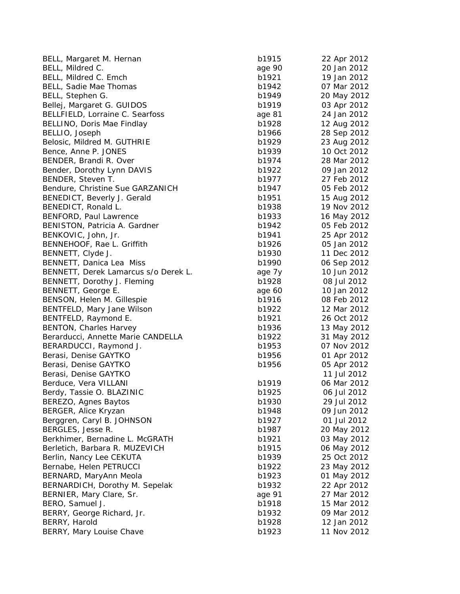| BELL, Margaret M. Hernan             | b1915  | 22 Apr 2012 |
|--------------------------------------|--------|-------------|
| BELL, Mildred C.                     | age 90 | 20 Jan 2012 |
| BELL, Mildred C. Emch                | b1921  | 19 Jan 2012 |
| BELL, Sadie Mae Thomas               | b1942  | 07 Mar 2012 |
| BELL, Stephen G.                     | b1949  | 20 May 2012 |
| Bellej, Margaret G. GUIDOS           | b1919  | 03 Apr 2012 |
| BELLFIELD, Lorraine C. Searfoss      | age 81 | 24 Jan 2012 |
| BELLINO, Doris Mae Findlay           | b1928  | 12 Aug 2012 |
| BELLIO, Joseph                       | b1966  | 28 Sep 2012 |
| Belosic, Mildred M. GUTHRIE          | b1929  | 23 Aug 2012 |
| Bence, Anne P. JONES                 | b1939  | 10 Oct 2012 |
| BENDER, Brandi R. Over               | b1974  | 28 Mar 2012 |
| Bender, Dorothy Lynn DAVIS           | b1922  | 09 Jan 2012 |
| BENDER, Steven T.                    | b1977  | 27 Feb 2012 |
| Bendure, Christine Sue GARZANICH     | b1947  | 05 Feb 2012 |
| BENEDICT, Beverly J. Gerald          | b1951  | 15 Aug 2012 |
| BENEDICT, Ronald L.                  | b1938  | 19 Nov 2012 |
| BENFORD, Paul Lawrence               | b1933  | 16 May 2012 |
| BENISTON, Patricia A. Gardner        | b1942  | 05 Feb 2012 |
| BENKOVIC, John, Jr.                  | b1941  | 25 Apr 2012 |
| BENNEHOOF, Rae L. Griffith           | b1926  | 05 Jan 2012 |
| BENNETT, Clyde J.                    | b1930  | 11 Dec 2012 |
| BENNETT, Danica Lea Miss             | b1990  | 06 Sep 2012 |
| BENNETT, Derek Lamarcus s/o Derek L. | age 7y | 10 Jun 2012 |
| BENNETT, Dorothy J. Fleming          | b1928  | 08 Jul 2012 |
| BENNETT, George E.                   | age 60 | 10 Jan 2012 |
| BENSON, Helen M. Gillespie           | b1916  | 08 Feb 2012 |
| BENTFELD, Mary Jane Wilson           | b1922  | 12 Mar 2012 |
| BENTFELD, Raymond E.                 | b1921  | 26 Oct 2012 |
| <b>BENTON, Charles Harvey</b>        | b1936  | 13 May 2012 |
| Berarducci, Annette Marie CANDELLA   | b1922  | 31 May 2012 |
| BERARDUCCI, Raymond J.               | b1953  | 07 Nov 2012 |
| Berasi, Denise GAYTKO                | b1956  | 01 Apr 2012 |
| Berasi, Denise GAYTKO                | b1956  | 05 Apr 2012 |
| Berasi, Denise GAYTKO                |        | 11 Jul 2012 |
| Berduce, Vera VILLANI                | b1919  | 06 Mar 2012 |
| Berdy, Tassie O. BLAZINIC            | b1925  | 06 Jul 2012 |
| BEREZO, Agnes Baytos                 | b1930  | 29 Jul 2012 |
| BERGER, Alice Kryzan                 | b1948  | 09 Jun 2012 |
| Berggren, Caryl B. JOHNSON           | b1927  | 01 Jul 2012 |
| BERGLES, Jesse R.                    | b1987  | 20 May 2012 |
| Berkhimer, Bernadine L. McGRATH      | b1921  | 03 May 2012 |
| Berletich, Barbara R. MUZEVICH       | b1915  | 06 May 2012 |
| Berlin, Nancy Lee CEKUTA             | b1939  | 25 Oct 2012 |
| Bernabe, Helen PETRUCCI              | b1922  | 23 May 2012 |
| BERNARD, MaryAnn Meola               | b1923  | 01 May 2012 |
| BERNARDICH, Dorothy M. Sepelak       | b1932  | 22 Apr 2012 |
| BERNIER, Mary Clare, Sr.             | age 91 | 27 Mar 2012 |
| BERO, Samuel J.                      | b1918  | 15 Mar 2012 |
| BERRY, George Richard, Jr.           | b1932  | 09 Mar 2012 |
| BERRY, Harold                        | b1928  | 12 Jan 2012 |
| BERRY, Mary Louise Chave             | b1923  | 11 Nov 2012 |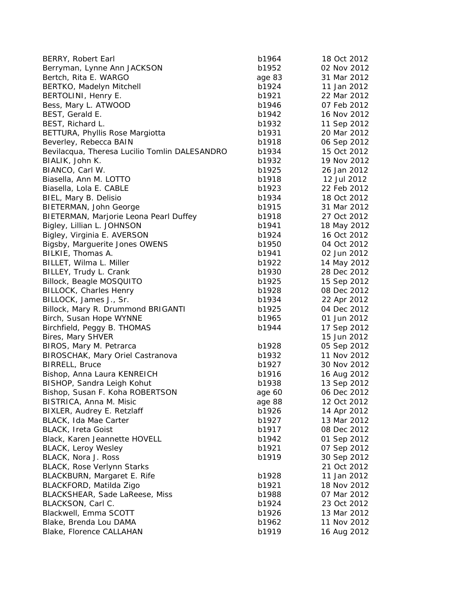| BERRY, Robert Earl                            | b1964  | 18 Oct 2012 |
|-----------------------------------------------|--------|-------------|
| Berryman, Lynne Ann JACKSON                   | b1952  | 02 Nov 2012 |
| Bertch, Rita E. WARGO                         | age 83 | 31 Mar 2012 |
| BERTKO, Madelyn Mitchell                      | b1924  | 11 Jan 2012 |
| BERTOLINI, Henry E.                           | b1921  | 22 Mar 2012 |
| Bess, Mary L. ATWOOD                          | b1946  | 07 Feb 2012 |
| BEST, Gerald E.                               | b1942  | 16 Nov 2012 |
| BEST, Richard L.                              | b1932  | 11 Sep 2012 |
| BETTURA, Phyllis Rose Margiotta               | b1931  | 20 Mar 2012 |
| Beverley, Rebecca BAIN                        | b1918  | 06 Sep 2012 |
| Bevilacqua, Theresa Lucilio Tomlin DALESANDRO | b1934  | 15 Oct 2012 |
| BIALIK, John K.                               | b1932  | 19 Nov 2012 |
| BIANCO, Carl W.                               | b1925  | 26 Jan 2012 |
| Biasella, Ann M. LOTTO                        | b1918  | 12 Jul 2012 |
| Biasella, Lola E. CABLE                       | b1923  | 22 Feb 2012 |
| BIEL, Mary B. Delisio                         | b1934  | 18 Oct 2012 |
| BIETERMAN, John George                        | b1915  | 31 Mar 2012 |
| BIETERMAN, Marjorie Leona Pearl Duffey        | b1918  | 27 Oct 2012 |
| Bigley, Lillian L. JOHNSON                    | b1941  | 18 May 2012 |
| Bigley, Virginia E. AVERSON                   | b1924  | 16 Oct 2012 |
| Bigsby, Marguerite Jones OWENS                | b1950  | 04 Oct 2012 |
| BILKIE, Thomas A.                             | b1941  | 02 Jun 2012 |
| BILLET, Wilma L. Miller                       | b1922  | 14 May 2012 |
| BILLEY, Trudy L. Crank                        | b1930  | 28 Dec 2012 |
| Billock, Beagle MOSQUITO                      | b1925  | 15 Sep 2012 |
| <b>BILLOCK, Charles Henry</b>                 | b1928  | 08 Dec 2012 |
| BILLOCK, James J., Sr.                        | b1934  | 22 Apr 2012 |
| Billock, Mary R. Drummond BRIGANTI            | b1925  | 04 Dec 2012 |
| Birch, Susan Hope WYNNE                       | b1965  | 01 Jun 2012 |
| Birchfield, Peggy B. THOMAS                   | b1944  | 17 Sep 2012 |
| Bires, Mary SHVER                             |        | 15 Jun 2012 |
| BIROS, Mary M. Petrarca                       | b1928  | 05 Sep 2012 |
| BIROSCHAK, Mary Oriel Castranova              | b1932  | 11 Nov 2012 |
| <b>BIRRELL, Bruce</b>                         | b1927  | 30 Nov 2012 |
| Bishop, Anna Laura KENREICH                   | b1916  | 16 Aug 2012 |
| BISHOP, Sandra Leigh Kohut                    | b1938  | 13 Sep 2012 |
| Bishop, Susan F. Koha ROBERTSON               | age 60 | 06 Dec 2012 |
| BISTRICA, Anna M. Misic                       | age 88 | 12 Oct 2012 |
| BIXLER, Audrey E. Retzlaff                    | b1926  | 14 Apr 2012 |
| BLACK, Ida Mae Carter                         | b1927  | 13 Mar 2012 |
| <b>BLACK, Ireta Goist</b>                     | b1917  | 08 Dec 2012 |
| Black, Karen Jeannette HOVELL                 | b1942  | 01 Sep 2012 |
| <b>BLACK, Leroy Wesley</b>                    | b1921  | 07 Sep 2012 |
| BLACK, Nora J. Ross                           | b1919  | 30 Sep 2012 |
| <b>BLACK, Rose Verlynn Starks</b>             |        | 21 Oct 2012 |
| BLACKBURN, Margaret E. Rife                   | b1928  | 11 Jan 2012 |
| BLACKFORD, Matilda Zigo                       | b1921  | 18 Nov 2012 |
| BLACKSHEAR, Sade LaReese, Miss                | b1988  | 07 Mar 2012 |
| BLACKSON, Carl C.                             | b1924  | 23 Oct 2012 |
| Blackwell, Emma SCOTT                         | b1926  | 13 Mar 2012 |
| Blake, Brenda Lou DAMA                        | b1962  | 11 Nov 2012 |
| Blake, Florence CALLAHAN                      | b1919  | 16 Aug 2012 |
|                                               |        |             |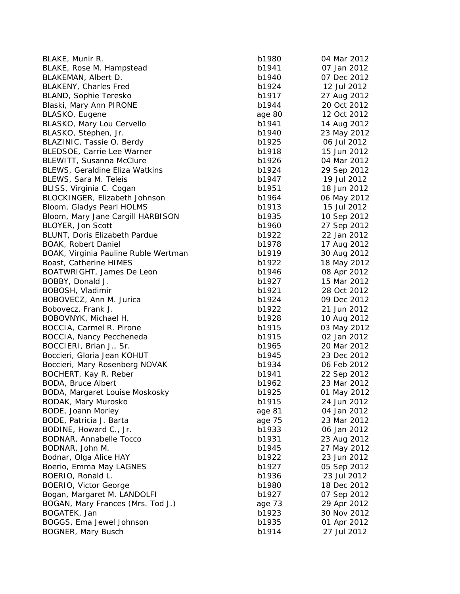| BLAKE, Munir R.                       | b1980  | 04 Mar 2012 |
|---------------------------------------|--------|-------------|
| BLAKE, Rose M. Hampstead              | b1941  | 07 Jan 2012 |
| BLAKEMAN, Albert D.                   | b1940  | 07 Dec 2012 |
| <b>BLAKENY, Charles Fred</b>          | b1924  | 12 Jul 2012 |
| BLAND, Sophie Teresko                 | b1917  | 27 Aug 2012 |
| Blaski, Mary Ann PIRONE               | b1944  | 20 Oct 2012 |
| BLASKO, Eugene                        | age 80 | 12 Oct 2012 |
| BLASKO, Mary Lou Cervello             | b1941  | 14 Aug 2012 |
| BLASKO, Stephen, Jr.                  | b1940  | 23 May 2012 |
| BLAZINIC, Tassie O. Berdy             | b1925  | 06 Jul 2012 |
| BLEDSOE, Carrie Lee Warner            | b1918  | 15 Jun 2012 |
| BLEWITT, Susanna McClure              | b1926  | 04 Mar 2012 |
| <b>BLEWS, Geraldine Eliza Watkins</b> | b1924  | 29 Sep 2012 |
| BLEWS, Sara M. Teleis                 | b1947  | 19 Jul 2012 |
| BLISS, Virginia C. Cogan              | b1951  | 18 Jun 2012 |
| BLOCKINGER, Elizabeth Johnson         | b1964  | 06 May 2012 |
| Bloom, Gladys Pearl HOLMS             | b1913  | 15 Jul 2012 |
| Bloom, Mary Jane Cargill HARBISON     | b1935  | 10 Sep 2012 |
| BLOYER, Jon Scott                     | b1960  | 27 Sep 2012 |
| BLUNT, Doris Elizabeth Pardue         | b1922  | 22 Jan 2012 |
| <b>BOAK, Robert Daniel</b>            | b1978  | 17 Aug 2012 |
| BOAK, Virginia Pauline Ruble Wertman  | b1919  | 30 Aug 2012 |
| Boast, Catherine HIMES                | b1922  | 18 May 2012 |
| BOATWRIGHT, James De Leon             | b1946  | 08 Apr 2012 |
| BOBBY, Donald J.                      | b1927  | 15 Mar 2012 |
| BOBOSH, Vladimir                      | b1921  | 28 Oct 2012 |
| BOBOVECZ, Ann M. Jurica               | b1924  | 09 Dec 2012 |
| Bobovecz, Frank J.                    | b1922  | 21 Jun 2012 |
| BOBOVNYK, Michael H.                  | b1928  | 10 Aug 2012 |
| BOCCIA, Carmel R. Pirone              | b1915  | 03 May 2012 |
| BOCCIA, Nancy Peccheneda              | b1915  | 02 Jan 2012 |
| BOCCIERI, Brian J., Sr.               | b1965  | 20 Mar 2012 |
| Boccieri, Gloria Jean KOHUT           | b1945  | 23 Dec 2012 |
| Boccieri, Mary Rosenberg NOVAK        | b1934  | 06 Feb 2012 |
| BOCHERT, Kay R. Reber                 | b1941  | 22 Sep 2012 |
| BODA, Bruce Albert                    | b1962  | 23 Mar 2012 |
| BODA, Margaret Louise Moskosky        | b1925  | 01 May 2012 |
| BODAK, Mary Murosko                   | b1915  | 24 Jun 2012 |
| BODE, Joann Morley                    | age 81 | 04 Jan 2012 |
| BODE, Patricia J. Barta               | age 75 | 23 Mar 2012 |
| BODINE, Howard C., Jr.                | b1933  | 06 Jan 2012 |
| <b>BODNAR, Annabelle Tocco</b>        | b1931  | 23 Aug 2012 |
| BODNAR, John M.                       | b1945  | 27 May 2012 |
| Bodnar, Olga Alice HAY                | b1922  | 23 Jun 2012 |
| Boerio, Emma May LAGNES               | b1927  | 05 Sep 2012 |
| BOERIO, Ronald L.                     | b1936  | 23 Jul 2012 |
| BOERIO, Victor George                 |        | 18 Dec 2012 |
|                                       | b1980  |             |
| Bogan, Margaret M. LANDOLFI           | b1927  | 07 Sep 2012 |
| BOGAN, Mary Frances (Mrs. Tod J.)     | age 73 | 29 Apr 2012 |
| BOGATEK, Jan                          | b1923  | 30 Nov 2012 |
| BOGGS, Ema Jewel Johnson              | b1935  | 01 Apr 2012 |
| BOGNER, Mary Busch                    | b1914  | 27 Jul 2012 |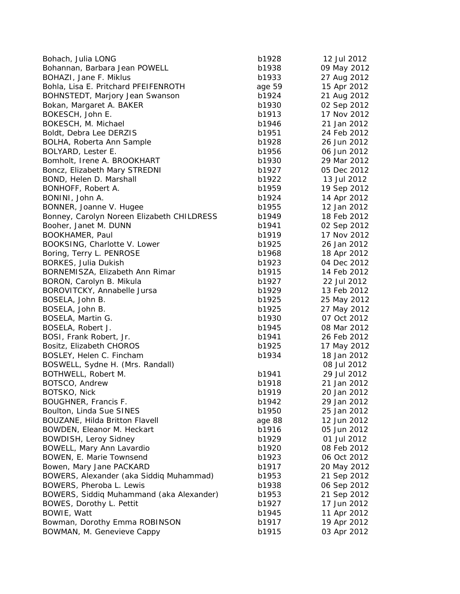| Bohach, Julia LONG                         | b1928  | 12 Jul 2012 |
|--------------------------------------------|--------|-------------|
| Bohannan, Barbara Jean POWELL              | b1938  | 09 May 2012 |
| BOHAZI, Jane F. Miklus                     | b1933  | 27 Aug 2012 |
| Bohla, Lisa E. Pritchard PFEIFENROTH       | age 59 | 15 Apr 2012 |
| BOHNSTEDT, Marjory Jean Swanson            | b1924  | 21 Aug 2012 |
| Bokan, Margaret A. BAKER                   | b1930  | 02 Sep 2012 |
| BOKESCH, John E.                           | b1913  | 17 Nov 2012 |
| BOKESCH, M. Michael                        | b1946  | 21 Jan 2012 |
| Boldt, Debra Lee DERZIS                    | b1951  | 24 Feb 2012 |
| BOLHA, Roberta Ann Sample                  | b1928  | 26 Jun 2012 |
| BOLYARD, Lester E.                         | b1956  | 06 Jun 2012 |
| Bomholt, Irene A. BROOKHART                | b1930  | 29 Mar 2012 |
| Boncz, Elizabeth Mary STREDNI              | b1927  | 05 Dec 2012 |
| BOND, Helen D. Marshall                    | b1922  | 13 Jul 2012 |
| BONHOFF, Robert A.                         | b1959  | 19 Sep 2012 |
| BONINI, John A.                            | b1924  | 14 Apr 2012 |
| BONNER, Joanne V. Hugee                    | b1955  | 12 Jan 2012 |
| Bonney, Carolyn Noreen Elizabeth CHILDRESS | b1949  | 18 Feb 2012 |
| Booher, Janet M. DUNN                      | b1941  | 02 Sep 2012 |
| BOOKHAMER, Paul                            | b1919  | 17 Nov 2012 |
| BOOKSING, Charlotte V. Lower               | b1925  | 26 Jan 2012 |
| Boring, Terry L. PENROSE                   | b1968  | 18 Apr 2012 |
| <b>BORKES, Julia Dukish</b>                | b1923  | 04 Dec 2012 |
| BORNEMISZA, Elizabeth Ann Rimar            | b1915  | 14 Feb 2012 |
| BORON, Carolyn B. Mikula                   | b1927  | 22 Jul 2012 |
| BOROVITCKY, Annabelle Jursa                | b1929  | 13 Feb 2012 |
| BOSELA, John B.                            | b1925  | 25 May 2012 |
| BOSELA, John B.                            | b1925  | 27 May 2012 |
| BOSELA, Martin G.                          | b1930  | 07 Oct 2012 |
| BOSELA, Robert J.                          | b1945  | 08 Mar 2012 |
| BOSI, Frank Robert, Jr.                    | b1941  | 26 Feb 2012 |
| Bositz, Elizabeth CHOROS                   | b1925  | 17 May 2012 |
| BOSLEY, Helen C. Fincham                   | b1934  | 18 Jan 2012 |
| BOSWELL, Sydne H. (Mrs. Randall)           |        | 08 Jul 2012 |
| BOTHWELL, Robert M.                        | b1941  | 29 Jul 2012 |
| BOTSCO, Andrew                             | b1918  | 21 Jan 2012 |
| BOTSKO, Nick                               | b1919  | 20 Jan 2012 |
| BOUGHNER, Francis F.                       | b1942  | 29 Jan 2012 |
| Boulton, Linda Sue SINES                   | b1950  | 25 Jan 2012 |
| BOUZANE, Hilda Britton Flavell             | age 88 | 12 Jun 2012 |
| BOWDEN, Eleanor M. Heckart                 | b1916  | 05 Jun 2012 |
| BOWDISH, Leroy Sidney                      | b1929  | 01 Jul 2012 |
| BOWELL, Mary Ann Lavardio                  | b1920  | 08 Feb 2012 |
| BOWEN, E. Marie Townsend                   | b1923  | 06 Oct 2012 |
| Bowen, Mary Jane PACKARD                   | b1917  | 20 May 2012 |
| BOWERS, Alexander (aka Siddiq Muhammad)    | b1953  | 21 Sep 2012 |
| BOWERS, Pheroba L. Lewis                   | b1938  | 06 Sep 2012 |
| BOWERS, Siddiq Muhammand (aka Alexander)   | b1953  | 21 Sep 2012 |
| BOWES, Dorothy L. Pettit                   | b1927  | 17 Jun 2012 |
| BOWIE, Watt                                | b1945  | 11 Apr 2012 |
| Bowman, Dorothy Emma ROBINSON              | b1917  | 19 Apr 2012 |
| BOWMAN, M. Genevieve Cappy                 | b1915  | 03 Apr 2012 |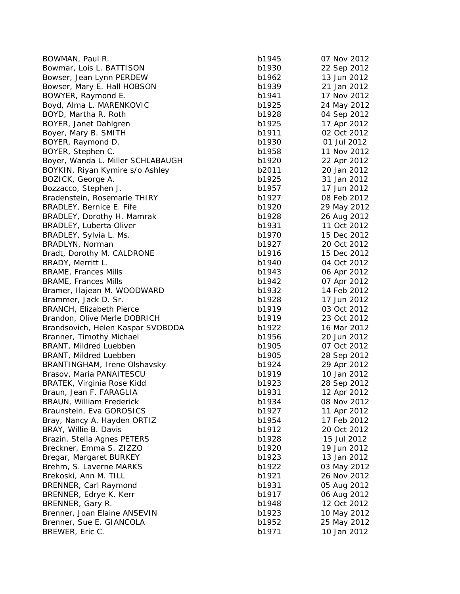| BOWMAN, Paul R.                             | b1945          | 07 Nov 2012                |
|---------------------------------------------|----------------|----------------------------|
| Bowmar, Lois L. BATTISON                    | b1930          | 22 Sep 2012                |
| Bowser, Jean Lynn PERDEW                    | b1962          | 13 Jun 2012                |
| Bowser, Mary E. Hall HOBSON                 | b1939          | 21 Jan 2012                |
| BOWYER, Raymond E.                          | b1941          | 17 Nov 2012                |
| Boyd, Alma L. MARENKOVIC                    | b1925          | 24 May 2012                |
| BOYD, Martha R. Roth                        | b1928          | 04 Sep 2012                |
| BOYER, Janet Dahlgren                       | b1925          | 17 Apr 2012                |
| Boyer, Mary B. SMITH                        | b1911          | 02 Oct 2012                |
| BOYER, Raymond D.                           | b1930          | 01 Jul 2012                |
| BOYER, Stephen C.                           | b1958          | 11 Nov 2012                |
| Boyer, Wanda L. Miller SCHLABAUGH           | b1920          | 22 Apr 2012                |
| BOYKIN, Riyan Kymire s/o Ashley             | b2011          | 20 Jan 2012                |
| BOZICK, George A.                           | b1925          | 31 Jan 2012                |
| Bozzacco, Stephen J.                        | b1957          | 17 Jun 2012                |
| Bradenstein, Rosemarie THIRY                | b1927          | 08 Feb 2012                |
| BRADLEY, Bernice E. Fife                    | b1920          | 29 May 2012                |
| BRADLEY, Dorothy H. Mamrak                  | b1928          | 26 Aug 2012                |
| <b>BRADLEY, Luberta Oliver</b>              | b1931          | 11 Oct 2012                |
| BRADLEY, Sylvia L. Ms.                      | b1970          | 15 Dec 2012                |
| BRADLYN, Norman                             | b1927          | 20 Oct 2012                |
| Bradt, Dorothy M. CALDRONE                  | b1916          | 15 Dec 2012                |
| BRADY, Merritt L.                           | b1940          | 04 Oct 2012                |
| <b>BRAME, Frances Mills</b>                 | b1943          | 06 Apr 2012                |
| <b>BRAME, Frances Mills</b>                 | b1942          | 07 Apr 2012                |
| Bramer, Ilajean M. WOODWARD                 | b1932          | 14 Feb 2012                |
| Brammer, Jack D. Sr.                        | b1928          | 17 Jun 2012                |
| <b>BRANCH, Elizabeth Pierce</b>             | b1919          | 03 Oct 2012                |
| Brandon, Olive Merle DOBRICH                | b1919          | 23 Oct 2012                |
| Brandsovich, Helen Kaspar SVOBODA           | b1922          | 16 Mar 2012                |
| Branner, Timothy Michael                    | b1956          | 20 Jun 2012                |
| BRANT, Mildred Luebben                      | b1905          | 07 Oct 2012                |
| BRANT, Mildred Luebben                      | b1905          | 28 Sep 2012                |
| BRANTINGHAM, Irene Olshavsky                | b1924          | 29 Apr 2012                |
| Brasov, Maria PANAITESCU                    | b1919          | 10 Jan 2012                |
| BRATEK, Virginia Rose Kidd                  | b1923          | 28 Sep 2012                |
| Braun, Jean F. FARAGLIA                     | b1931          | 12 Apr 2012                |
| <b>BRAUN, William Frederick</b>             | b1934          | 08 Nov 2012                |
| Braunstein, Eva GOROSICS                    | b1927          | 11 Apr 2012                |
| Bray, Nancy A. Hayden ORTIZ                 | b1954          | 17 Feb 2012                |
| BRAY, Willie B. Davis                       | b1912          | 20 Oct 2012                |
| Brazin, Stella Agnes PETERS                 | b1928          | 15 Jul 2012                |
| Breckner, Emma S. ZIZZO                     | b1920          | 19 Jun 2012                |
| Bregar, Margaret BURKEY                     | b1923          | 13 Jan 2012                |
| Brehm, S. Laverne MARKS                     | b1922          | 03 May 2012                |
| Brekoski, Ann M. TILL                       | b1921          | 26 Nov 2012                |
| BRENNER, Carl Raymond                       | b1931          | 05 Aug 2012                |
|                                             |                |                            |
| BRENNER, Edrye K. Kerr                      | b1917<br>b1948 | 06 Aug 2012                |
| BRENNER, Gary R.                            |                | 12 Oct 2012                |
| Brenner, Joan Elaine ANSEVIN                | b1923<br>b1952 | 10 May 2012                |
| Brenner, Sue E. GIANCOLA<br>BREWER, Eric C. | b1971          | 25 May 2012<br>10 Jan 2012 |
|                                             |                |                            |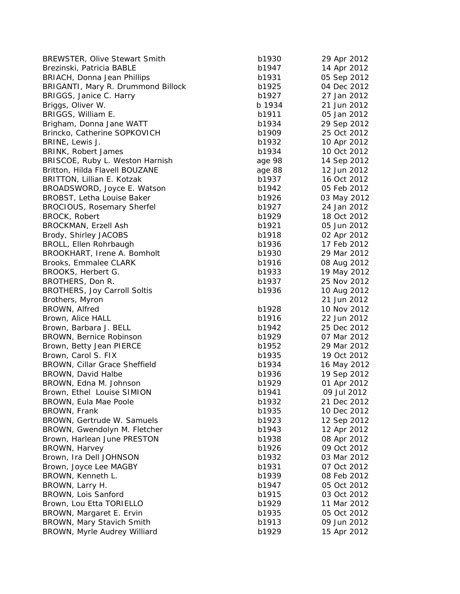| <b>BREWSTER, Olive Stewart Smith</b>                | b1930  | 29 Apr 2012                |
|-----------------------------------------------------|--------|----------------------------|
| Brezinski, Patricia BABLE                           | b1947  | 14 Apr 2012                |
| BRIACH, Donna Jean Phillips                         | b1931  | 05 Sep 2012                |
| BRIGANTI, Mary R. Drummond Billock                  | b1925  | 04 Dec 2012                |
| BRIGGS, Janice C. Harry                             | b1927  | 27 Jan 2012                |
| Briggs, Oliver W.                                   | b 1934 | 21 Jun 2012                |
| BRIGGS, William E.                                  | b1911  | 05 Jan 2012                |
| Brigham, Donna Jane WATT                            | b1934  | 29 Sep 2012                |
| Brincko, Catherine SOPKOVICH                        | b1909  | 25 Oct 2012                |
| BRINE, Lewis J.                                     | b1932  | 10 Apr 2012                |
| BRINK, Robert James                                 | b1934  | 10 Oct 2012                |
| BRISCOE, Ruby L. Weston Harnish                     | age 98 | 14 Sep 2012                |
| Britton, Hilda Flavell BOUZANE                      | age 88 | 12 Jun 2012                |
| BRITTON, Lillian E. Kotzak                          | b1937  | 16 Oct 2012                |
| BROADSWORD, Joyce E. Watson                         | b1942  | 05 Feb 2012                |
| BROBST, Letha Louise Baker                          | b1926  | 03 May 2012                |
| <b>BROCIOUS, Rosemary Sherfel</b>                   | b1927  | 24 Jan 2012                |
| BROCK, Robert                                       | b1929  | 18 Oct 2012                |
| BROCKMAN, Erzell Ash                                | b1921  | 05 Jun 2012                |
| Brody, Shirley JACOBS                               | b1918  | 02 Apr 2012                |
| BROLL, Ellen Rohrbaugh                              | b1936  | 17 Feb 2012                |
| BROOKHART, Irene A. Bomholt                         | b1930  | 29 Mar 2012                |
| Brooks, Emmalee CLARK                               | b1916  | 08 Aug 2012                |
| BROOKS, Herbert G.                                  | b1933  | 19 May 2012                |
| BROTHERS, Don R.                                    | b1937  | 25 Nov 2012                |
| <b>BROTHERS, Joy Carroll Soltis</b>                 | b1936  | 10 Aug 2012                |
| Brothers, Myron                                     |        | 21 Jun 2012                |
| BROWN, Alfred                                       | b1928  | 10 Nov 2012                |
| Brown, Alice HALL                                   | b1916  | 22 Jun 2012                |
| Brown, Barbara J. BELL                              | b1942  | 25 Dec 2012                |
| BROWN, Bernice Robinson                             | b1929  | 07 Mar 2012                |
| Brown, Betty Jean PIERCE                            | b1952  | 29 Mar 2012                |
| Brown, Carol S. FIX                                 | b1935  | 19 Oct 2012                |
| BROWN, Cillar Grace Sheffield                       | b1934  | 16 May 2012                |
| BROWN, David Halbe                                  | b1936  | 19 Sep 2012                |
| BROWN, Edna M. Johnson                              | b1929  | 01 Apr 2012                |
|                                                     | b1941  |                            |
| Brown, Ethel Louise SIMION<br>BROWN, Eula Mae Poole | b1932  | 09 Jul 2012<br>21 Dec 2012 |
| BROWN, Frank                                        | b1935  | 10 Dec 2012                |
| BROWN, Gertrude W. Samuels                          |        |                            |
| BROWN, Gwendolyn M. Fletcher                        | b1923  | 12 Sep 2012                |
|                                                     | b1943  | 12 Apr 2012                |
| Brown, Harlean June PRESTON                         | b1938  | 08 Apr 2012                |
| BROWN, Harvey                                       | b1926  | 09 Oct 2012                |
| Brown, Ira Dell JOHNSON                             | b1932  | 03 Mar 2012                |
| Brown, Joyce Lee MAGBY                              | b1931  | 07 Oct 2012                |
| BROWN, Kenneth L.                                   | b1939  | 08 Feb 2012                |
| BROWN, Larry H.                                     | b1947  | 05 Oct 2012                |
| BROWN, Lois Sanford                                 | b1915  | 03 Oct 2012                |
| Brown, Lou Etta TORIELLO                            | b1929  | 11 Mar 2012                |
| BROWN, Margaret E. Ervin                            | b1935  | 05 Oct 2012                |
| BROWN, Mary Stavich Smith                           | b1913  | 09 Jun 2012                |
| BROWN, Myrle Audrey Williard                        | b1929  | 15 Apr 2012                |
|                                                     |        |                            |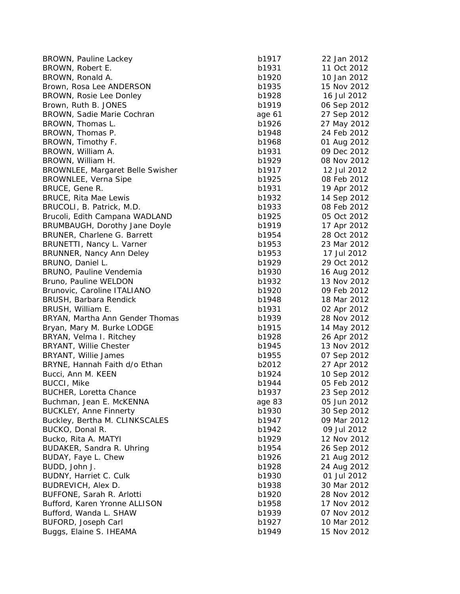| BROWN, Pauline Lackey            | b1917           | 22 Jan 2012 |
|----------------------------------|-----------------|-------------|
| BROWN, Robert E.                 | b1931           | 11 Oct 2012 |
| BROWN, Ronald A.                 | b1920           | 10 Jan 2012 |
| Brown, Rosa Lee ANDERSON         | b1935           | 15 Nov 2012 |
| BROWN, Rosie Lee Donley          | b1928           | 16 Jul 2012 |
| Brown, Ruth B. JONES             | b1919           | 06 Sep 2012 |
| BROWN, Sadie Marie Cochran       | age 61          | 27 Sep 2012 |
| BROWN, Thomas L.                 | b1926           | 27 May 2012 |
| BROWN, Thomas P.                 | b1948           | 24 Feb 2012 |
| BROWN, Timothy F.                | b1968           | 01 Aug 2012 |
| BROWN, William A.                | b1931           | 09 Dec 2012 |
| BROWN, William H.                | b1929           | 08 Nov 2012 |
| BROWNLEE, Margaret Belle Swisher | b1917           | 12 Jul 2012 |
| BROWNLEE, Verna Sipe             | b1925           | 08 Feb 2012 |
| BRUCE, Gene R.                   | b1931           | 19 Apr 2012 |
| <b>BRUCE, Rita Mae Lewis</b>     | b1932           | 14 Sep 2012 |
| BRUCOLI, B. Patrick, M.D.        | b1933           | 08 Feb 2012 |
| Brucoli, Edith Campana WADLAND   | b1925           | 05 Oct 2012 |
| BRUMBAUGH, Dorothy Jane Doyle    | b1919           | 17 Apr 2012 |
| BRUNER, Charlene G. Barrett      | b1954           | 28 Oct 2012 |
| BRUNETTI, Nancy L. Varner        | b1953           | 23 Mar 2012 |
| BRUNNER, Nancy Ann Deley         | b1953           | 17 Jul 2012 |
| BRUNO, Daniel L.                 | b1929           | 29 Oct 2012 |
| BRUNO, Pauline Vendemia          | b1930           | 16 Aug 2012 |
| Bruno, Pauline WELDON            | b1932           | 13 Nov 2012 |
| Brunovic, Caroline ITALIANO      | b1920           | 09 Feb 2012 |
| BRUSH, Barbara Rendick           | b1948           | 18 Mar 2012 |
| BRUSH, William E.                | b1931           | 02 Apr 2012 |
| BRYAN, Martha Ann Gender Thomas  | b1939           | 28 Nov 2012 |
| Bryan, Mary M. Burke LODGE       | b1915           | 14 May 2012 |
| BRYAN, Velma I. Ritchey          | b1928           | 26 Apr 2012 |
| BRYANT, Willie Chester           | b1945           | 13 Nov 2012 |
| BRYANT, Willie James             | b1955           | 07 Sep 2012 |
| BRYNE, Hannah Faith d/o Ethan    | b2012           | 27 Apr 2012 |
| Bucci, Ann M. KEEN               | b1924           | 10 Sep 2012 |
| <b>BUCCI, Mike</b>               | b1944           | 05 Feb 2012 |
| <b>BUCHER, Loretta Chance</b>    | b1937           | 23 Sep 2012 |
| Buchman, Jean E. McKENNA         |                 | 05 Jun 2012 |
| <b>BUCKLEY, Anne Finnerty</b>    | age 83<br>b1930 | 30 Sep 2012 |
| Buckley, Bertha M. CLINKSCALES   | b1947           | 09 Mar 2012 |
| BUCKO, Donal R.                  | b1942           | 09 Jul 2012 |
| Bucko, Rita A. MATYI             |                 | 12 Nov 2012 |
|                                  | b1929<br>b1954  |             |
| BUDAKER, Sandra R. Uhring        |                 | 26 Sep 2012 |
| BUDAY, Faye L. Chew              | b1926           | 21 Aug 2012 |
| BUDD, John J.                    | b1928           | 24 Aug 2012 |
| BUDNY, Harriet C. Culk           | b1930           | 01 Jul 2012 |
| BUDREVICH, Alex D.               | b1938           | 30 Mar 2012 |
| BUFFONE, Sarah R. Arlotti        | b1920           | 28 Nov 2012 |
| Bufford, Karen Yronne ALLISON    | b1958           | 17 Nov 2012 |
| Bufford, Wanda L. SHAW           | b1939           | 07 Nov 2012 |
| BUFORD, Joseph Carl              | b1927           | 10 Mar 2012 |
| Buggs, Elaine S. IHEAMA          | b1949           | 15 Nov 2012 |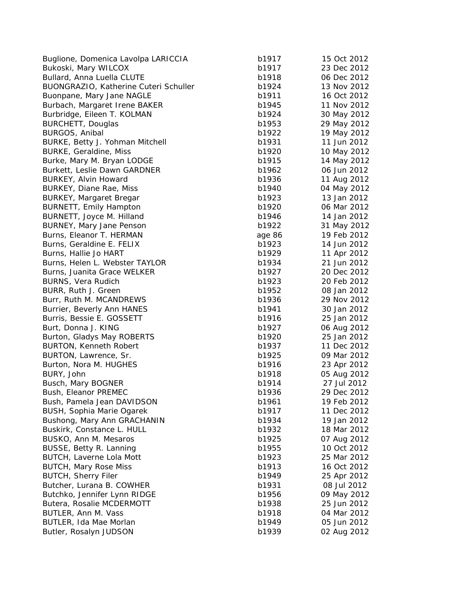| Buglione, Domenica Lavolpa LARICCIA   | b1917  | 15 Oct 2012 |
|---------------------------------------|--------|-------------|
| Bukoski, Mary WILCOX                  | b1917  | 23 Dec 2012 |
| Bullard, Anna Luella CLUTE            | b1918  | 06 Dec 2012 |
| BUONGRAZIO, Katherine Cuteri Schuller | b1924  | 13 Nov 2012 |
| Buonpane, Mary Jane NAGLE             | b1911  | 16 Oct 2012 |
| Burbach, Margaret Irene BAKER         | b1945  | 11 Nov 2012 |
| Burbridge, Eileen T. KOLMAN           | b1924  | 30 May 2012 |
| <b>BURCHETT, Douglas</b>              | b1953  | 29 May 2012 |
| BURGOS, Anibal                        | b1922  | 19 May 2012 |
| BURKE, Betty J. Yohman Mitchell       | b1931  | 11 Jun 2012 |
| <b>BURKE, Geraldine, Miss</b>         | b1920  | 10 May 2012 |
| Burke, Mary M. Bryan LODGE            | b1915  | 14 May 2012 |
| Burkett, Leslie Dawn GARDNER          | b1962  | 06 Jun 2012 |
| BURKEY, Alvin Howard                  | b1936  | 11 Aug 2012 |
| BURKEY, Diane Rae, Miss               | b1940  | 04 May 2012 |
| <b>BURKEY, Margaret Bregar</b>        | b1923  | 13 Jan 2012 |
| <b>BURNETT, Emily Hampton</b>         | b1920  | 06 Mar 2012 |
| BURNETT, Joyce M. Hilland             | b1946  | 14 Jan 2012 |
| BURNEY, Mary Jane Penson              | b1922  | 31 May 2012 |
| Burns, Eleanor T. HERMAN              | age 86 | 19 Feb 2012 |
| Burns, Geraldine E. FELIX             | b1923  | 14 Jun 2012 |
| Burns, Hallie Jo HART                 | b1929  | 11 Apr 2012 |
| Burns, Helen L. Webster TAYLOR        | b1934  | 21 Jun 2012 |
| Burns, Juanita Grace WELKER           | b1927  | 20 Dec 2012 |
| BURNS, Vera Rudich                    | b1923  | 20 Feb 2012 |
| BURR, Ruth J. Green                   | b1952  | 08 Jan 2012 |
| Burr, Ruth M. MCANDREWS               | b1936  | 29 Nov 2012 |
| Burrier, Beverly Ann HANES            | b1941  | 30 Jan 2012 |
| Burris, Bessie E. GOSSETT             | b1916  | 25 Jan 2012 |
| Burt, Donna J. KING                   | b1927  | 06 Aug 2012 |
| Burton, Gladys May ROBERTS            | b1920  | 25 Jan 2012 |
| <b>BURTON, Kenneth Robert</b>         | b1937  | 11 Dec 2012 |
| BURTON, Lawrence, Sr.                 | b1925  | 09 Mar 2012 |
| Burton, Nora M. HUGHES                | b1916  | 23 Apr 2012 |
| BURY, John                            | b1918  | 05 Aug 2012 |
| Busch, Mary BOGNER                    | b1914  | 27 Jul 2012 |
| Bush, Eleanor PREMEC                  | b1936  | 29 Dec 2012 |
| Bush, Pamela Jean DAVIDSON            | b1961  | 19 Feb 2012 |
| BUSH, Sophia Marie Ogarek             | b1917  | 11 Dec 2012 |
| Bushong, Mary Ann GRACHANIN           | b1934  | 19 Jan 2012 |
| Buskirk, Constance L. HULL            | b1932  | 18 Mar 2012 |
| BUSKO, Ann M. Mesaros                 | b1925  | 07 Aug 2012 |
| BUSSE, Betty R. Lanning               | b1955  | 10 Oct 2012 |
| <b>BUTCH, Laverne Lola Mott</b>       | b1923  | 25 Mar 2012 |
| <b>BUTCH, Mary Rose Miss</b>          | b1913  | 16 Oct 2012 |
| <b>BUTCH, Sherry Filer</b>            | b1949  | 25 Apr 2012 |
| Butcher, Lurana B. COWHER             | b1931  | 08 Jul 2012 |
| Butchko, Jennifer Lynn RIDGE          | b1956  | 09 May 2012 |
| Butera, Rosalie MCDERMOTT             | b1938  | 25 Jun 2012 |
| BUTLER, Ann M. Vass                   | b1918  | 04 Mar 2012 |
| BUTLER, Ida Mae Morlan                | b1949  | 05 Jun 2012 |
| Butler, Rosalyn JUDSON                | b1939  | 02 Aug 2012 |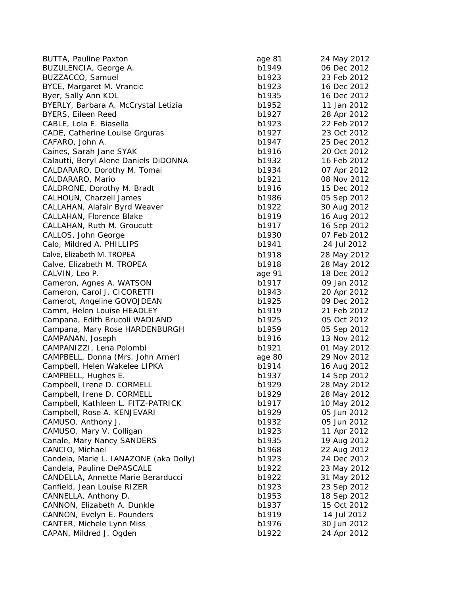| <b>BUTTA, Pauline Paxton</b>           | age 81 | 24 May 2012 |
|----------------------------------------|--------|-------------|
| BUZULENCIA, George A.                  | b1949  | 06 Dec 2012 |
| BUZZACCO, Samuel                       | b1923  | 23 Feb 2012 |
| BYCE, Margaret M. Vrancic              | b1923  | 16 Dec 2012 |
| Byer, Sally Ann KOL                    | b1935  | 16 Dec 2012 |
| BYERLY, Barbara A. McCrystal Letizia   | b1952  | 11 Jan 2012 |
| BYERS, Eileen Reed                     | b1927  | 28 Apr 2012 |
| CABLE, Lola E. Biasella                | b1923  | 22 Feb 2012 |
| CADE, Catherine Louise Grguras         | b1927  | 23 Oct 2012 |
| CAFARO, John A.                        | b1947  | 25 Dec 2012 |
| Caines, Sarah Jane SYAK                | b1916  | 20 Oct 2012 |
| Calautti, Beryl Alene Daniels DiDONNA  | b1932  | 16 Feb 2012 |
| CALDARARO, Dorothy M. Tomai            | b1934  | 07 Apr 2012 |
| CALDARARO, Mario                       | b1921  | 08 Nov 2012 |
| CALDRONE, Dorothy M. Bradt             | b1916  | 15 Dec 2012 |
| CALHOUN, Charzell James                | b1986  | 05 Sep 2012 |
| CALLAHAN, Alafair Byrd Weaver          | b1922  | 30 Aug 2012 |
| CALLAHAN, Florence Blake               | b1919  | 16 Aug 2012 |
| CALLAHAN, Ruth M. Groucutt             | b1917  | 16 Sep 2012 |
| CALLOS, John George                    | b1930  | 07 Feb 2012 |
| Calo, Mildred A. PHILLIPS              | b1941  | 24 Jul 2012 |
| Calve, Elizabeth M. TROPEA             | b1918  | 28 May 2012 |
| Calve, Elizabeth M. TROPEA             | b1918  | 28 May 2012 |
| CALVIN, Leo P.                         | age 91 | 18 Dec 2012 |
| Cameron, Agnes A. WATSON               | b1917  | 09 Jan 2012 |
| Cameron, Carol J. CICORETTI            | b1943  | 20 Apr 2012 |
| Camerot, Angeline GOVOJDEAN            | b1925  | 09 Dec 2012 |
| Camm, Helen Louise HEADLEY             | b1919  | 21 Feb 2012 |
| Campana, Edith Brucoli WADLAND         | b1925  | 05 Oct 2012 |
| Campana, Mary Rose HARDENBURGH         | b1959  | 05 Sep 2012 |
| CAMPANAN, Joseph                       | b1916  | 13 Nov 2012 |
| CAMPANIZZI, Lena Polombi               | b1921  | 01 May 2012 |
| CAMPBELL, Donna (Mrs. John Arner)      | age 80 | 29 Nov 2012 |
| Campbell, Helen Wakelee LIPKA          | b1914  | 16 Aug 2012 |
| CAMPBELL, Hughes E.                    | b1937  | 14 Sep 2012 |
| Campbell, Irene D. CORMELL             | b1929  | 28 May 2012 |
| Campbell, Irene D. CORMELL             | b1929  | 28 May 2012 |
| Campbell, Kathleen L. FITZ-PATRICK     | b1917  | 10 May 2012 |
| Campbell, Rose A. KENJEVARI            | b1929  | 05 Jun 2012 |
| CAMUSO, Anthony J.                     | b1932  | 05 Jun 2012 |
| CAMUSO, Mary V. Colligan               | b1923  | 11 Apr 2012 |
| Canale, Mary Nancy SANDERS             | b1935  | 19 Aug 2012 |
| CANCIO, Michael                        | b1968  | 22 Aug 2012 |
| Candela, Marie L. IANAZONE (aka Dolly) | b1923  | 24 Dec 2012 |
| Candela, Pauline DePASCALE             | b1922  | 23 May 2012 |
| CANDELLA, Annette Marie Berarducci     | b1922  | 31 May 2012 |
| Canfield, Jean Louise RIZER            | b1923  | 23 Sep 2012 |
| CANNELLA, Anthony D.                   | b1953  | 18 Sep 2012 |
| CANNON, Elizabeth A. Dunkle            | b1937  | 15 Oct 2012 |
| CANNON, Evelyn E. Pounders             | b1919  | 14 Jul 2012 |
| CANTER, Michele Lynn Miss              | b1976  | 30 Jun 2012 |
| CAPAN, Mildred J. Ogden                | b1922  | 24 Apr 2012 |
|                                        |        |             |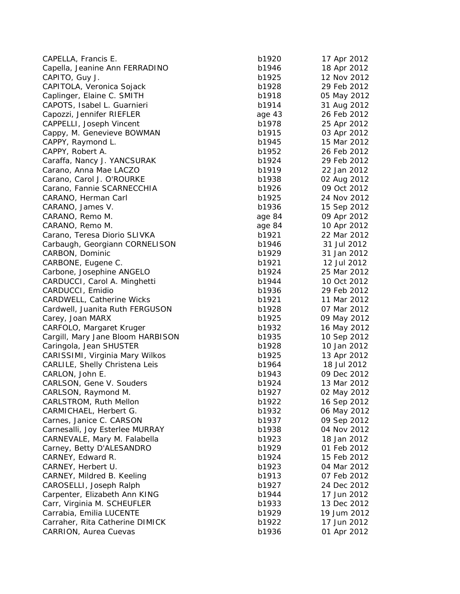| CAPELLA, Francis E.               | b1920  | 17 Apr 2012 |
|-----------------------------------|--------|-------------|
| Capella, Jeanine Ann FERRADINO    | b1946  | 18 Apr 2012 |
| CAPITO, Guy J.                    | b1925  | 12 Nov 2012 |
| CAPITOLA, Veronica Sojack         | b1928  | 29 Feb 2012 |
| Caplinger, Elaine C. SMITH        | b1918  | 05 May 2012 |
| CAPOTS, Isabel L. Guarnieri       | b1914  | 31 Aug 2012 |
| Capozzi, Jennifer RIEFLER         | age 43 | 26 Feb 2012 |
| CAPPELLI, Joseph Vincent          | b1978  | 25 Apr 2012 |
| Cappy, M. Genevieve BOWMAN        | b1915  | 03 Apr 2012 |
| CAPPY, Raymond L.                 | b1945  | 15 Mar 2012 |
| CAPPY, Robert A.                  | b1952  | 26 Feb 2012 |
| Caraffa, Nancy J. YANCSURAK       | b1924  | 29 Feb 2012 |
| Carano, Anna Mae LACZO            | b1919  | 22 Jan 2012 |
| Carano, Carol J. O'ROURKE         | b1938  | 02 Aug 2012 |
| Carano, Fannie SCARNECCHIA        | b1926  | 09 Oct 2012 |
| CARANO, Herman Carl               | b1925  | 24 Nov 2012 |
| CARANO, James V.                  | b1936  | 15 Sep 2012 |
| CARANO, Remo M.                   | age 84 | 09 Apr 2012 |
| CARANO, Remo M.                   | age 84 | 10 Apr 2012 |
| Carano, Teresa Diorio SLIVKA      | b1921  | 22 Mar 2012 |
| Carbaugh, Georgiann CORNELISON    | b1946  | 31 Jul 2012 |
| CARBON, Dominic                   | b1929  | 31 Jan 2012 |
| CARBONE, Eugene C.                | b1921  | 12 Jul 2012 |
| Carbone, Josephine ANGELO         | b1924  | 25 Mar 2012 |
| CARDUCCI, Carol A. Minghetti      | b1944  | 10 Oct 2012 |
| CARDUCCI, Emidio                  | b1936  | 29 Feb 2012 |
| <b>CARDWELL, Catherine Wicks</b>  | b1921  | 11 Mar 2012 |
| Cardwell, Juanita Ruth FERGUSON   | b1928  | 07 Mar 2012 |
| Carey, Joan MARX                  | b1925  | 09 May 2012 |
| CARFOLO, Margaret Kruger          | b1932  | 16 May 2012 |
| Cargill, Mary Jane Bloom HARBISON | b1935  | 10 Sep 2012 |
| Caringola, Jean SHUSTER           | b1928  | 10 Jan 2012 |
| CARISSIMI, Virginia Mary Wilkos   | b1925  | 13 Apr 2012 |
| CARLILE, Shelly Christena Leis    | b1964  | 18 Jul 2012 |
| CARLON, John E.                   | b1943  | 09 Dec 2012 |
| CARLSON, Gene V. Souders          | b1924  | 13 Mar 2012 |
| CARLSON, Raymond M.               | b1927  | 02 May 2012 |
| CARLSTROM, Ruth Mellon            | b1922  | 16 Sep 2012 |
| CARMICHAEL, Herbert G.            | b1932  | 06 May 2012 |
| Carnes, Janice C. CARSON          | b1937  | 09 Sep 2012 |
| Carnesalli, Joy Esterlee MURRAY   | b1938  | 04 Nov 2012 |
| CARNEVALE, Mary M. Falabella      | b1923  | 18 Jan 2012 |
| Carney, Betty D'ALESANDRO         | b1929  | 01 Feb 2012 |
| CARNEY, Edward R.                 | b1924  | 15 Feb 2012 |
| CARNEY, Herbert U.                | b1923  | 04 Mar 2012 |
| CARNEY, Mildred B. Keeling        | b1913  | 07 Feb 2012 |
| CAROSELLI, Joseph Ralph           | b1927  | 24 Dec 2012 |
| Carpenter, Elizabeth Ann KING     | b1944  | 17 Jun 2012 |
| Carr, Virginia M. SCHEUFLER       | b1933  | 13 Dec 2012 |
| Carrabia, Emilia LUCENTE          | b1929  | 19 Jum 2012 |
| Carraher, Rita Catherine DIMICK   | b1922  | 17 Jun 2012 |
| CARRION, Aurea Cuevas             | b1936  | 01 Apr 2012 |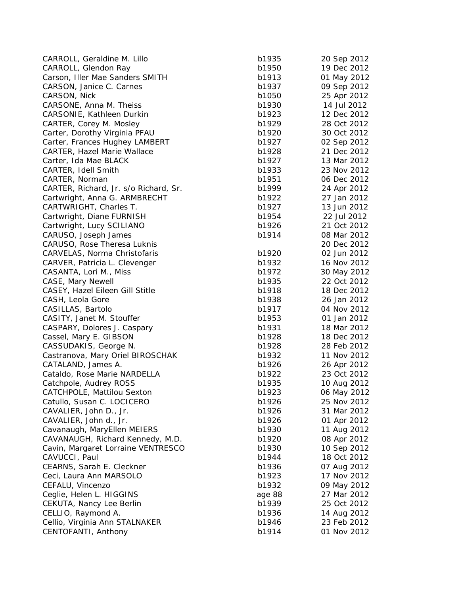| CARROLL, Geraldine M. Lillo           | b1935  | 20 Sep 2012 |
|---------------------------------------|--------|-------------|
| CARROLL, Glendon Ray                  | b1950  | 19 Dec 2012 |
| Carson, Iller Mae Sanders SMITH       | b1913  | 01 May 2012 |
| CARSON, Janice C. Carnes              | b1937  | 09 Sep 2012 |
| CARSON, Nick                          | b1050  | 25 Apr 2012 |
| CARSONE, Anna M. Theiss               | b1930  | 14 Jul 2012 |
| CARSONIE, Kathleen Durkin             | b1923  | 12 Dec 2012 |
| CARTER, Corey M. Mosley               | b1929  | 28 Oct 2012 |
| Carter, Dorothy Virginia PFAU         | b1920  | 30 Oct 2012 |
| Carter, Frances Hughey LAMBERT        | b1927  | 02 Sep 2012 |
| <b>CARTER, Hazel Marie Wallace</b>    | b1928  | 21 Dec 2012 |
| Carter, Ida Mae BLACK                 | b1927  | 13 Mar 2012 |
| CARTER, Idell Smith                   | b1933  | 23 Nov 2012 |
| CARTER, Norman                        | b1951  | 06 Dec 2012 |
| CARTER, Richard, Jr. s/o Richard, Sr. | b1999  | 24 Apr 2012 |
| Cartwright, Anna G. ARMBRECHT         | b1922  | 27 Jan 2012 |
| CARTWRIGHT, Charles T.                | b1927  | 13 Jun 2012 |
| Cartwright, Diane FURNISH             | b1954  | 22 Jul 2012 |
| Cartwright, Lucy SCILIANO             | b1926  | 21 Oct 2012 |
| CARUSO, Joseph James                  | b1914  | 08 Mar 2012 |
| CARUSO, Rose Theresa Luknis           |        | 20 Dec 2012 |
| CARVELAS, Norma Christofaris          | b1920  | 02 Jun 2012 |
| CARVER, Patricia L. Clevenger         | b1932  | 16 Nov 2012 |
| CASANTA, Lori M., Miss                | b1972  | 30 May 2012 |
| CASE, Mary Newell                     | b1935  | 22 Oct 2012 |
| CASEY, Hazel Eileen Gill Stitle       | b1918  | 18 Dec 2012 |
| CASH, Leola Gore                      | b1938  | 26 Jan 2012 |
| CASILLAS, Bartolo                     | b1917  | 04 Nov 2012 |
| CASITY, Janet M. Stouffer             | b1953  | 01 Jan 2012 |
| CASPARY, Dolores J. Caspary           | b1931  | 18 Mar 2012 |
| Cassel, Mary E. GIBSON                | b1928  | 18 Dec 2012 |
| CASSUDAKIS, George N.                 | b1928  | 28 Feb 2012 |
| Castranova, Mary Oriel BIROSCHAK      | b1932  | 11 Nov 2012 |
| CATALAND, James A.                    | b1926  | 26 Apr 2012 |
| Cataldo, Rose Marie NARDELLA          | b1922  | 23 Oct 2012 |
| Catchpole, Audrey ROSS                | b1935  | 10 Aug 2012 |
| CATCHPOLE, Mattilou Sexton            | b1923  | 06 May 2012 |
| Catullo, Susan C. LOCICERO            | b1926  | 25 Nov 2012 |
| CAVALIER, John D., Jr.                | b1926  | 31 Mar 2012 |
| CAVALIER, John d., Jr.                | b1926  | 01 Apr 2012 |
| Cavanaugh, MaryEllen MEIERS           | b1930  | 11 Aug 2012 |
| CAVANAUGH, Richard Kennedy, M.D.      | b1920  | 08 Apr 2012 |
| Cavin, Margaret Lorraine VENTRESCO    | b1930  | 10 Sep 2012 |
| CAVUCCI, Paul                         | b1944  | 18 Oct 2012 |
| CEARNS, Sarah E. Cleckner             | b1936  | 07 Aug 2012 |
| Ceci, Laura Ann MARSOLO               | b1923  | 17 Nov 2012 |
| CEFALU, Vincenzo                      | b1932  | 09 May 2012 |
| Ceglie, Helen L. HIGGINS              | age 88 | 27 Mar 2012 |
| CEKUTA, Nancy Lee Berlin              | b1939  | 25 Oct 2012 |
| CELLIO, Raymond A.                    | b1936  | 14 Aug 2012 |
| Cellio, Virginia Ann STALNAKER        | b1946  | 23 Feb 2012 |
| CENTOFANTI, Anthony                   | b1914  | 01 Nov 2012 |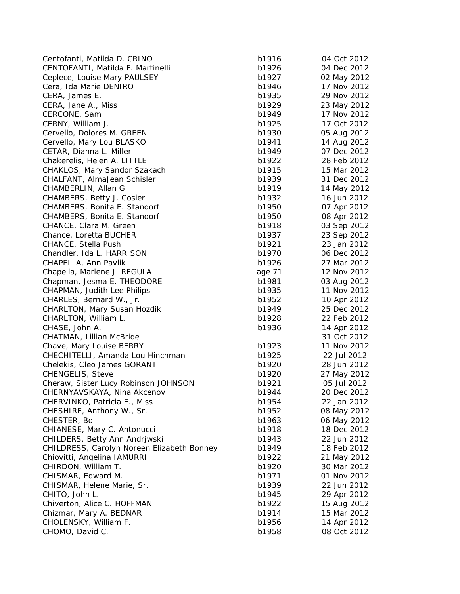Centofanti, Matilda D. CRINO b1 CENTOFANTI, Matilda F. Martinelli b1 Ceplece, Louise Mary PAULSEY b1 Cera, Ida Marie DENIRO b1 CERA, James E. b1935 29 Nov 2012 CERA, Jane A., Miss b1929 23 May 2012 CERCONE, Sam b1 CERNY, William J. b1 Cervello, Dolores M. GREEN b1 Cervello, Mary Lou BLASKO b1 CETAR, Dianna L. Miller b1949 or b1949 b1949 b1949 b1949 b1949 b1949 b1949 b1949 b1949 b1949 b1949 b1949 b194 Chakerelis, Helen A. LITTLE b1 CHAKLOS, Mary Sandor Szakach b1 CHALFANT, AlmaJean Schisler b1 CHAMBERLIN, Allan G. b1919 b1 CHAMBERS, Betty J. Cosier b1932 16 Jun 2012 16 Jun 2013 16 Jun 2013 16 Jun 2013 16 Jun 2013 16 Jun 2013 16 Jun 2012 16 Jun 2012 16 Jun 2013 16 Jun 2013 16 Jun 2013 16 Jun 2013 16 Jun 2013 16 Jun 2014 16 Jun 2014 16 Jun 201 CHAMBERS, Bonita E. Standorf b1 CHAMBERS, Bonita E. Standorf b1 CHANCE, Clara M. Green b1918 b1918 b1918 b1918 b1918 b1918 b1918 b1918 b1918 b191 Chance, Loretta BUCHER b1 CHANCE, Stella Push b1921 23 Jan 2012 23 Jan 2012 23 Jan 2012 23 Jan 2012 23 Jan 2013 23 Jan 2013 23 Jan 2013 23 Jan 2013 23 Jan 2013 23 Jan 2013 23 Jan 2013 23 Jan 2013 23 Jan 2013 23 Jan 2013 23 Jan 2013 23 Jan 2013 23 J Chandler, Ida L. HARRISON b1 CHAPELLA, Ann Pavlik b1926 27 March 2012 27 March 2013 27 March 2013 27 March 2013 27 March 2013 27 March 201 Chapella, Marlene J. REGULA age 71 12 Nov 2012 Chapman, Jesma E. THEODORE b1 CHAPMAN, Judith Lee Philips b1 CHARLES, Bernard W., Jr. b1 CHARLTON, Mary Susan Hozdik b1 CHARLTON, William L. b1 CHASE, John A. b1 CHATMAN, Lillian McBride Chave, Mary Louise BERRY b1 CHECHITELLI, Amanda Lou Hinchman b1 Chelekis, Cleo James GORANT b1 CHENGELIS, Steve b1 Cheraw, Sister Lucy Robinson JOHNSON b1 CHERNYAVSKAYA, Nina Akcenov b1 CHERVINKO, Patricia E., Miss b1 CHESHIRE, Anthony W., Sr. b1952 08 May 2012 08 May 2012 08 May 2012 08 May 2012 08 May 2012 08 May 2013 08 May 2012 08 May 2012 08 May 2012 08 May 2012 08 May 2012 08 May 2012 08 May 2012 08 May 2012 08 May 2012 08 May 201 CHESTER, Bo b1963 b1963 b1963 b1963 b1963 b1963 b1963 b1963 b1963 b1963 b1963 b1963 b1963 b1973 b1973 b1973 b1973 b1973 b1973 b1973 b1973 b1973 b1973 b1973 b1973 b1973 b1973 b1973 b1973 b1973 b1973 b1973 b1973 b1973 b1973 CHIANESE, Mary C. Antonucci b1 CHILDERS, Betty Ann Andriwski b1 CHILDRESS, Carolyn Noreen Elizabeth Bonney b1 Chiovitti, Angelina IAMURRI b1 CHIRDON, William T. b1 CHISMAR, Edward M. b1971 01 Nov 2012 01 Nov 2012 01 Nov 2012 01 Nov 2012 01 Nov 2012 01 Nov 2014 01 Nov 2012 0 CHISMAR, Helene Marie, Sr. b1939 22 Jun 2012 22 Jun 2013 22 Jun 2013 22 Jun 2013 22 Jun 2013 22 Jun 2013 22 Jun 201 CHITO, John L. b1945 29 Apr 2012 Chiverton, Alice C. HOFFMAN b1 Chizmar, Mary A. BEDNAR b1 CHOLENSKY, William F. b1 CHOMO, David C. b1958 of 2012 08 Oct 2013 08 Oct 2013 08 Oct 2013 08 Oct 2013 08 Oct 2013 08 Oct 2013 08 Oct 2013 08 Oct 2013 08 Oct 2013 08 Oct 2013 08 Oct 2013 08 Oct 2013 08 Oct 2013 08 Oct 2013 08 Oct 2013 09:30 Oct 20

| 916  | 04 Oct 2012 |
|------|-------------|
| 926  | 04 Dec 2012 |
| 927  | 02 May 2012 |
| 946  | 17 Nov 2012 |
| 935  | 29 Nov 2012 |
| 929  | 23 May 2012 |
| 949  | 17 Nov 2012 |
| 925  | 17 Oct 2012 |
| 930  | 05 Aug 2012 |
| 941  |             |
|      | 14 Aug 2012 |
| 949  | 07 Dec 2012 |
| 922  | 28 Feb 2012 |
| 915  | 15 Mar 2012 |
| 939  | 31 Dec 2012 |
| 919  | 14 May 2012 |
| 932  | 16 Jun 2012 |
| 950  | 07 Apr 2012 |
| 950  | 08 Apr 2012 |
| 918  | 03 Sep 2012 |
| 937  | 23 Sep 2012 |
| 921  | 23 Jan 2012 |
| 970  |             |
|      | 06 Dec 2012 |
| 926  | 27 Mar 2012 |
| e 71 | 12 Nov 2012 |
| 981  | 03 Aug 2012 |
| 935  | 11 Nov 2012 |
| 952  | 10 Apr 2012 |
| 949  | 25 Dec 2012 |
| 928  | 22 Feb 2012 |
| 936  | 14 Apr 2012 |
|      | 31 Oct 2012 |
| 923  | 11 Nov 2012 |
| 925  | 22 Jul 2012 |
| 920  | 28 Jun 2012 |
| 920  | 27 May 2012 |
| 921  | 05 Jul 2012 |
| 944  | 20 Dec 2012 |
|      |             |
| 954  | 22 Jan 2012 |
| 952  | 08 May 2012 |
| 963  | 06 May 2012 |
| 918  | 18 Dec 2012 |
| 943  | 22 Jun 2012 |
| 949  | 18 Feb 2012 |
| 922  | 21 May 2012 |
| 920  | 30 Mar 2012 |
| 971  | 01 Nov 2012 |
| 939  | 22 Jun 2012 |
| 945  | 29 Apr 2012 |
| 922  | 15 Aug 2012 |
| 914  | 15 Mar 2012 |
| 956  | 14 Apr 2012 |
|      | 08 Oct 2012 |
| 958  |             |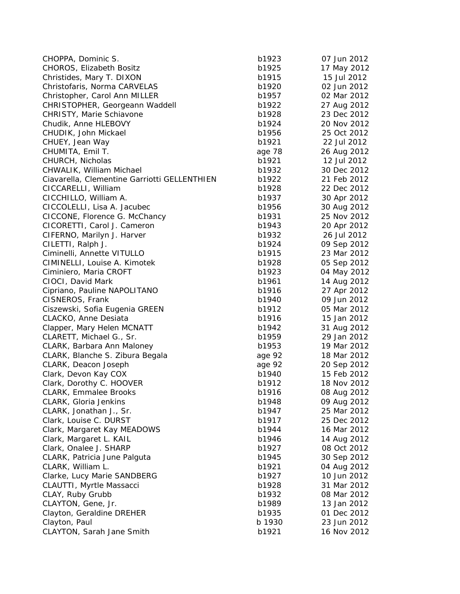| CHOPPA, Dominic S.                           | b1923  | 07 Jun 2012 |
|----------------------------------------------|--------|-------------|
| <b>CHOROS, Elizabeth Bositz</b>              | b1925  | 17 May 2012 |
| Christides, Mary T. DIXON                    | b1915  | 15 Jul 2012 |
| Christofaris, Norma CARVELAS                 | b1920  | 02 Jun 2012 |
| Christopher, Carol Ann MILLER                | b1957  | 02 Mar 2012 |
| CHRISTOPHER, Georgeann Waddell               | b1922  | 27 Aug 2012 |
| CHRISTY, Marie Schiavone                     | b1928  | 23 Dec 2012 |
| Chudik, Anne HLEBOVY                         | b1924  | 20 Nov 2012 |
| CHUDIK, John Mickael                         | b1956  | 25 Oct 2012 |
| CHUEY, Jean Way                              | b1921  | 22 Jul 2012 |
| CHUMITA, Emil T.                             | age 78 | 26 Aug 2012 |
| CHURCH, Nicholas                             | b1921  | 12 Jul 2012 |
| CHWALIK, William Michael                     | b1932  | 30 Dec 2012 |
| Ciavarella, Clementine Garriotti GELLENTHIEN | b1922  | 21 Feb 2012 |
| CICCARELLI, William                          | b1928  | 22 Dec 2012 |
| CICCHILLO, William A.                        | b1937  | 30 Apr 2012 |
| CICCOLELLI, Lisa A. Jacubec                  | b1956  | 30 Aug 2012 |
| CICCONE, Florence G. McChancy                | b1931  | 25 Nov 2012 |
| CICORETTI, Carol J. Cameron                  | b1943  | 20 Apr 2012 |
| CIFERNO, Marilyn J. Harver                   | b1932  | 26 Jul 2012 |
| CILETTI, Ralph J.                            | b1924  | 09 Sep 2012 |
| Ciminelli, Annette VITULLO                   | b1915  | 23 Mar 2012 |
| CIMINELLI, Louise A. Kimotek                 | b1928  | 05 Sep 2012 |
| Ciminiero, Maria CROFT                       | b1923  | 04 May 2012 |
| CIOCI, David Mark                            | b1961  | 14 Aug 2012 |
| Cipriano, Pauline NAPOLITANO                 | b1916  | 27 Apr 2012 |
| CISNEROS, Frank                              | b1940  | 09 Jun 2012 |
| Ciszewski, Sofia Eugenia GREEN               | b1912  | 05 Mar 2012 |
| CLACKO, Anne Desiata                         | b1916  | 15 Jan 2012 |
| Clapper, Mary Helen MCNATT                   | b1942  | 31 Aug 2012 |
| CLARETT, Michael G., Sr.                     | b1959  | 29 Jan 2012 |
| CLARK, Barbara Ann Maloney                   | b1953  | 19 Mar 2012 |
| CLARK, Blanche S. Zibura Begala              | age 92 | 18 Mar 2012 |
| CLARK, Deacon Joseph                         | age 92 | 20 Sep 2012 |
| Clark, Devon Kay COX                         | b1940  | 15 Feb 2012 |
| Clark, Dorothy C. HOOVER                     | b1912  | 18 Nov 2012 |
| CLARK, Emmalee Brooks                        | b1916  | 08 Aug 2012 |
| CLARK, Gloria Jenkins                        | b1948  | 09 Aug 2012 |
| CLARK, Jonathan J., Sr.                      | b1947  | 25 Mar 2012 |
| Clark, Louise C. DURST                       | b1917  | 25 Dec 2012 |
| Clark, Margaret Kay MEADOWS                  | b1944  | 16 Mar 2012 |
| Clark, Margaret L. KAIL                      | b1946  | 14 Aug 2012 |
| Clark, Onalee J. SHARP                       | b1927  | 08 Oct 2012 |
| CLARK, Patricia June Palguta                 | b1945  | 30 Sep 2012 |
| CLARK, William L.                            | b1921  | 04 Aug 2012 |
| Clarke, Lucy Marie SANDBERG                  | b1927  | 10 Jun 2012 |
| CLAUTTI, Myrtle Massacci                     | b1928  | 31 Mar 2012 |
| CLAY, Ruby Grubb                             | b1932  | 08 Mar 2012 |
| CLAYTON, Gene, Jr.                           | b1989  | 13 Jan 2012 |
| Clayton, Geraldine DREHER                    | b1935  | 01 Dec 2012 |
| Clayton, Paul                                | b 1930 | 23 Jun 2012 |
| CLAYTON, Sarah Jane Smith                    | b1921  | 16 Nov 2012 |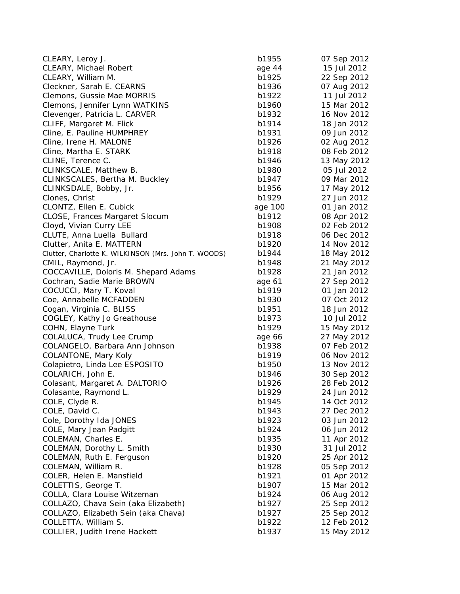| CLEARY, Leroy J.                                     | b1955   | 07 Sep 2012 |
|------------------------------------------------------|---------|-------------|
| CLEARY, Michael Robert                               | age 44  | 15 Jul 2012 |
| CLEARY, William M.                                   | b1925   | 22 Sep 2012 |
| Cleckner, Sarah E. CEARNS                            | b1936   | 07 Aug 2012 |
| Clemons, Gussie Mae MORRIS                           | b1922   | 11 Jul 2012 |
| Clemons, Jennifer Lynn WATKINS                       | b1960   | 15 Mar 2012 |
| Clevenger, Patricia L. CARVER                        | b1932   | 16 Nov 2012 |
| CLIFF, Margaret M. Flick                             | b1914   | 18 Jan 2012 |
| Cline, E. Pauline HUMPHREY                           | b1931   | 09 Jun 2012 |
| Cline, Irene H. MALONE                               | b1926   | 02 Aug 2012 |
| Cline, Martha E. STARK                               | b1918   | 08 Feb 2012 |
| CLINE, Terence C.                                    | b1946   | 13 May 2012 |
| CLINKSCALE, Matthew B.                               | b1980   | 05 Jul 2012 |
| CLINKSCALES, Bertha M. Buckley                       | b1947   | 09 Mar 2012 |
| CLINKSDALE, Bobby, Jr.                               | b1956   | 17 May 2012 |
| Clones, Christ                                       | b1929   | 27 Jun 2012 |
| CLONTZ, Ellen E. Cubick                              | age 100 | 01 Jan 2012 |
| <b>CLOSE, Frances Margaret Slocum</b>                | b1912   | 08 Apr 2012 |
| Cloyd, Vivian Curry LEE                              | b1908   | 02 Feb 2012 |
| CLUTE, Anna Luella Bullard                           | b1918   | 06 Dec 2012 |
| Clutter, Anita E. MATTERN                            | b1920   | 14 Nov 2012 |
| Clutter, Charlotte K. WILKINSON (Mrs. John T. WOODS) | b1944   | 18 May 2012 |
| CMIL, Raymond, Jr.                                   | b1948   | 21 May 2012 |
| COCCAVILLE, Doloris M. Shepard Adams                 | b1928   | 21 Jan 2012 |
| Cochran, Sadie Marie BROWN                           | age 61  | 27 Sep 2012 |
| COCUCCI, Mary T. Koval                               | b1919   | 01 Jan 2012 |
| Coe, Annabelle MCFADDEN                              | b1930   | 07 Oct 2012 |
| Cogan, Virginia C. BLISS                             | b1951   | 18 Jun 2012 |
| COGLEY, Kathy Jo Greathouse                          | b1973   | 10 Jul 2012 |
| COHN, Elayne Turk                                    | b1929   | 15 May 2012 |
| COLALUCA, Trudy Lee Crump                            | age 66  | 27 May 2012 |
| COLANGELO, Barbara Ann Johnson                       | b1938   | 07 Feb 2012 |
| <b>COLANTONE, Mary Koly</b>                          | b1919   | 06 Nov 2012 |
| Colapietro, Linda Lee ESPOSITO                       | b1950   | 13 Nov 2012 |
| COLARICH, John E.                                    | b1946   | 30 Sep 2012 |
| Colasant, Margaret A. DALTORIO                       | b1926   | 28 Feb 2012 |
| Colasante, Raymond L.                                | b1929   | 24 Jun 2012 |
| COLE, Clyde R.                                       | b1945   | 14 Oct 2012 |
| COLE, David C.                                       | b1943   | 27 Dec 2012 |
| Cole, Dorothy Ida JONES                              | b1923   | 03 Jun 2012 |
| COLE, Mary Jean Padgitt                              | b1924   | 06 Jun 2012 |
| COLEMAN, Charles E.                                  | b1935   | 11 Apr 2012 |
| COLEMAN, Dorothy L. Smith                            | b1930   | 31 Jul 2012 |
| COLEMAN, Ruth E. Ferguson                            | b1920   | 25 Apr 2012 |
| COLEMAN, William R.                                  | b1928   | 05 Sep 2012 |
| COLER, Helen E. Mansfield                            | b1921   | 01 Apr 2012 |
| COLETTIS, George T.                                  | b1907   | 15 Mar 2012 |
| COLLA, Clara Louise Witzeman                         | b1924   | 06 Aug 2012 |
| COLLAZO, Chava Sein (aka Elizabeth)                  | b1927   | 25 Sep 2012 |
| COLLAZO, Elizabeth Sein (aka Chava)                  | b1927   | 25 Sep 2012 |
| COLLETTA, William S.                                 | b1922   | 12 Feb 2012 |
| COLLIER, Judith Irene Hackett                        | b1937   | 15 May 2012 |
|                                                      |         |             |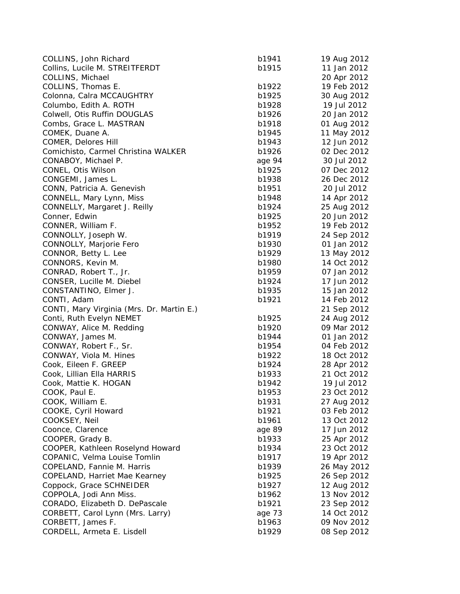| COLLINS, John Richard                     | b1941  | 19 Aug 2012 |
|-------------------------------------------|--------|-------------|
| Collins, Lucile M. STREITFERDT            | b1915  | 11 Jan 2012 |
| COLLINS, Michael                          |        | 20 Apr 2012 |
| COLLINS, Thomas E.                        | b1922  | 19 Feb 2012 |
| Colonna, Calra MCCAUGHTRY                 | b1925  | 30 Aug 2012 |
| Columbo, Edith A. ROTH                    | b1928  | 19 Jul 2012 |
| Colwell, Otis Ruffin DOUGLAS              | b1926  | 20 Jan 2012 |
| Combs, Grace L. MASTRAN                   | b1918  | 01 Aug 2012 |
| COMEK, Duane A.                           | b1945  | 11 May 2012 |
| COMER, Delores Hill                       | b1943  | 12 Jun 2012 |
| Comichisto, Carmel Christina WALKER       | b1926  | 02 Dec 2012 |
| CONABOY, Michael P.                       | age 94 | 30 Jul 2012 |
| CONEL, Otis Wilson                        | b1925  | 07 Dec 2012 |
| CONGEMI, James L.                         | b1938  | 26 Dec 2012 |
| CONN, Patricia A. Genevish                | b1951  | 20 Jul 2012 |
| CONNELL, Mary Lynn, Miss                  | b1948  | 14 Apr 2012 |
| CONNELLY, Margaret J. Reilly              | b1924  | 25 Aug 2012 |
| Conner, Edwin                             | b1925  | 20 Jun 2012 |
| CONNER, William F.                        | b1952  | 19 Feb 2012 |
| CONNOLLY, Joseph W.                       | b1919  | 24 Sep 2012 |
| CONNOLLY, Marjorie Fero                   | b1930  | 01 Jan 2012 |
| CONNOR, Betty L. Lee                      | b1929  | 13 May 2012 |
| CONNORS, Kevin M.                         | b1980  | 14 Oct 2012 |
| CONRAD, Robert T., Jr.                    | b1959  | 07 Jan 2012 |
| CONSER, Lucille M. Diebel                 | b1924  | 17 Jun 2012 |
| CONSTANTINO, Elmer J.                     | b1935  | 15 Jan 2012 |
| CONTI, Adam                               | b1921  | 14 Feb 2012 |
| CONTI, Mary Virginia (Mrs. Dr. Martin E.) |        | 21 Sep 2012 |
| Conti, Ruth Evelyn NEMET                  | b1925  | 24 Aug 2012 |
| CONWAY, Alice M. Redding                  | b1920  | 09 Mar 2012 |
| CONWAY, James M.                          | b1944  | 01 Jan 2012 |
| CONWAY, Robert F., Sr.                    | b1954  | 04 Feb 2012 |
| CONWAY, Viola M. Hines                    | b1922  | 18 Oct 2012 |
| Cook, Eileen F. GREEP                     | b1924  | 28 Apr 2012 |
| Cook, Lillian Ella HARRIS                 | b1933  | 21 Oct 2012 |
| Cook, Mattie K. HOGAN                     | b1942  | 19 Jul 2012 |
| COOK, Paul E.                             | b1953  | 23 Oct 2012 |
| COOK, William E.                          | b1931  | 27 Aug 2012 |
| COOKE, Cyril Howard                       | b1921  | 03 Feb 2012 |
| COOKSEY, Neil                             | b1961  | 13 Oct 2012 |
| Coonce, Clarence                          | age 89 | 17 Jun 2012 |
| COOPER, Grady B.                          | b1933  | 25 Apr 2012 |
| COOPER, Kathleen Roselynd Howard          | b1934  | 23 Oct 2012 |
| COPANIC, Velma Louise Tomlin              | b1917  | 19 Apr 2012 |
| COPELAND, Fannie M. Harris                | b1939  | 26 May 2012 |
| COPELAND, Harriet Mae Kearney             | b1925  | 26 Sep 2012 |
| Coppock, Grace SCHNEIDER                  | b1927  | 12 Aug 2012 |
| COPPOLA, Jodi Ann Miss.                   | b1962  | 13 Nov 2012 |
| CORADO, Elizabeth D. DePascale            | b1921  | 23 Sep 2012 |
| CORBETT, Carol Lynn (Mrs. Larry)          | age 73 | 14 Oct 2012 |
| CORBETT, James F.                         | b1963  | 09 Nov 2012 |
| CORDELL, Armeta E. Lisdell                | b1929  | 08 Sep 2012 |
|                                           |        |             |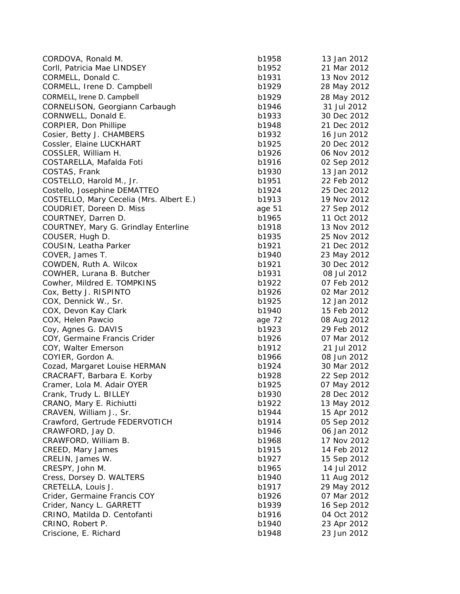| CORDOVA, Ronald M.                      | b1958  | 13 Jan 2012 |
|-----------------------------------------|--------|-------------|
| Corll, Patricia Mae LINDSEY             | b1952  | 21 Mar 2012 |
| CORMELL, Donald C.                      | b1931  | 13 Nov 2012 |
| CORMELL, Irene D. Campbell              | b1929  | 28 May 2012 |
| CORMELL, Irene D. Campbell              | b1929  | 28 May 2012 |
| CORNELISON, Georgiann Carbaugh          | b1946  | 31 Jul 2012 |
| CORNWELL, Donald E.                     | b1933  | 30 Dec 2012 |
| CORPIER, Don Phillipe                   | b1948  | 21 Dec 2012 |
| Cosier, Betty J. CHAMBERS               | b1932  | 16 Jun 2012 |
| Cossler, Elaine LUCKHART                | b1925  | 20 Dec 2012 |
| COSSLER, William H.                     | b1926  | 06 Nov 2012 |
| COSTARELLA, Mafalda Foti                | b1916  | 02 Sep 2012 |
| COSTAS, Frank                           | b1930  | 13 Jan 2012 |
| COSTELLO, Harold M., Jr.                | b1951  | 22 Feb 2012 |
| Costello, Josephine DEMATTEO            | b1924  | 25 Dec 2012 |
| COSTELLO, Mary Cecelia (Mrs. Albert E.) | b1913  | 19 Nov 2012 |
| COUDRIET, Doreen D. Miss                | age 51 | 27 Sep 2012 |
| COURTNEY, Darren D.                     | b1965  | 11 Oct 2012 |
| COURTNEY, Mary G. Grindlay Enterline    | b1918  | 13 Nov 2012 |
| COUSER, Hugh D.                         | b1935  | 25 Nov 2012 |
| COUSIN, Leatha Parker                   | b1921  | 21 Dec 2012 |
| COVER, James T.                         | b1940  | 23 May 2012 |
| COWDEN, Ruth A. Wilcox                  | b1921  | 30 Dec 2012 |
| COWHER, Lurana B. Butcher               | b1931  | 08 Jul 2012 |
| Cowher, Mildred E. TOMPKINS             | b1922  | 07 Feb 2012 |
| Cox, Betty J. RISPINTO                  | b1926  | 02 Mar 2012 |
| COX, Dennick W., Sr.                    | b1925  | 12 Jan 2012 |
| COX, Devon Kay Clark                    | b1940  | 15 Feb 2012 |
| COX, Helen Pawcio                       | age 72 | 08 Aug 2012 |
| Coy, Agnes G. DAVIS                     | b1923  | 29 Feb 2012 |
| COY, Germaine Francis Crider            | b1926  | 07 Mar 2012 |
| COY, Walter Emerson                     | b1912  | 21 Jul 2012 |
| COYIER, Gordon A.                       | b1966  | 08 Jun 2012 |
| Cozad, Margaret Louise HERMAN           | b1924  | 30 Mar 2012 |
| CRACRAFT, Barbara E. Korby              | b1928  | 22 Sep 2012 |
| Cramer, Lola M. Adair OYER              | b1925  | 07 May 2012 |
| Crank, Trudy L. BILLEY                  | b1930  | 28 Dec 2012 |
| CRANO, Mary E. Richiutti                | b1922  | 13 May 2012 |
| CRAVEN, William J., Sr.                 | b1944  | 15 Apr 2012 |
| Crawford, Gertrude FEDERVOTICH          | b1914  | 05 Sep 2012 |
| CRAWFORD, Jay D.                        | b1946  | 06 Jan 2012 |
| CRAWFORD, William B.                    | b1968  | 17 Nov 2012 |
| CREED, Mary James                       | b1915  | 14 Feb 2012 |
| CRELIN, James W.                        | b1927  | 15 Sep 2012 |
| CRESPY, John M.                         | b1965  | 14 Jul 2012 |
| Cress, Dorsey D. WALTERS                | b1940  | 11 Aug 2012 |
| CRETELLA, Louis J.                      | b1917  | 29 May 2012 |
| Crider, Germaine Francis COY            | b1926  | 07 Mar 2012 |
| Crider, Nancy L. GARRETT                | b1939  | 16 Sep 2012 |
| CRINO, Matilda D. Centofanti            | b1916  | 04 Oct 2012 |
| CRINO, Robert P.                        | b1940  | 23 Apr 2012 |
| Criscione, E. Richard                   | b1948  | 23 Jun 2012 |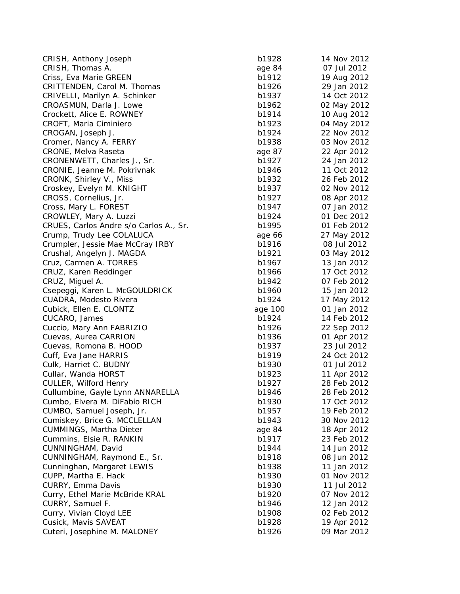| CRISH, Anthony Joseph                  | b1928   | 14 Nov 2012 |
|----------------------------------------|---------|-------------|
| CRISH, Thomas A.                       | age 84  | 07 Jul 2012 |
| Criss, Eva Marie GREEN                 | b1912   | 19 Aug 2012 |
| CRITTENDEN, Carol M. Thomas            | b1926   | 29 Jan 2012 |
| CRIVELLI, Marilyn A. Schinker          | b1937   | 14 Oct 2012 |
| CROASMUN, Darla J. Lowe                | b1962   | 02 May 2012 |
| Crockett, Alice E. ROWNEY              | b1914   | 10 Aug 2012 |
| CROFT, Maria Ciminiero                 | b1923   | 04 May 2012 |
| CROGAN, Joseph J.                      | b1924   | 22 Nov 2012 |
| Cromer, Nancy A. FERRY                 | b1938   | 03 Nov 2012 |
| CRONE, Melva Raseta                    | age 87  | 22 Apr 2012 |
| CRONENWETT, Charles J., Sr.            | b1927   | 24 Jan 2012 |
| CRONIE, Jeanne M. Pokrivnak            | b1946   | 11 Oct 2012 |
| CRONK, Shirley V., Miss                | b1932   | 26 Feb 2012 |
| Croskey, Evelyn M. KNIGHT              | b1937   | 02 Nov 2012 |
| CROSS, Cornelius, Jr.                  | b1927   | 08 Apr 2012 |
| Cross, Mary L. FOREST                  | b1947   | 07 Jan 2012 |
| CROWLEY, Mary A. Luzzi                 | b1924   | 01 Dec 2012 |
| CRUES, Carlos Andre s/o Carlos A., Sr. | b1995   | 01 Feb 2012 |
| Crump, Trudy Lee COLALUCA              | age 66  | 27 May 2012 |
| Crumpler, Jessie Mae McCray IRBY       | b1916   | 08 Jul 2012 |
| Crushal, Angelyn J. MAGDA              | b1921   | 03 May 2012 |
| Cruz, Carmen A. TORRES                 | b1967   | 13 Jan 2012 |
| CRUZ, Karen Reddinger                  | b1966   | 17 Oct 2012 |
| CRUZ, Miguel A.                        | b1942   | 07 Feb 2012 |
| Csepeggi, Karen L. McGOULDRICK         | b1960   | 15 Jan 2012 |
| CUADRA, Modesto Rivera                 | b1924   | 17 May 2012 |
| Cubick, Ellen E. CLONTZ                | age 100 | 01 Jan 2012 |
| CUCARO, James                          | b1924   | 14 Feb 2012 |
| Cuccio, Mary Ann FABRIZIO              | b1926   | 22 Sep 2012 |
| Cuevas, Aurea CARRION                  | b1936   | 01 Apr 2012 |
| Cuevas, Romona B. HOOD                 | b1937   | 23 Jul 2012 |
| Cuff, Eva Jane HARRIS                  | b1919   | 24 Oct 2012 |
| Culk, Harriet C. BUDNY                 | b1930   | 01 Jul 2012 |
| Cullar, Wanda HORST                    | b1923   | 11 Apr 2012 |
| CULLER, Wilford Henry                  | b1927   | 28 Feb 2012 |
| Cullumbine, Gayle Lynn ANNARELLA       | b1946   | 28 Feb 2012 |
| Cumbo, Elvera M. DiFabio RICH          | b1930   | 17 Oct 2012 |
| CUMBO, Samuel Joseph, Jr.              | b1957   | 19 Feb 2012 |
| Cumiskey, Brice G. MCCLELLAN           | b1943   | 30 Nov 2012 |
| <b>CUMMINGS, Martha Dieter</b>         | age 84  | 18 Apr 2012 |
| Cummins, Elsie R. RANKIN               | b1917   | 23 Feb 2012 |
| CUNNINGHAM, David                      | b1944   | 14 Jun 2012 |
| CUNNINGHAM, Raymond E., Sr.            | b1918   | 08 Jun 2012 |
| Cunninghan, Margaret LEWIS             | b1938   | 11 Jan 2012 |
| CUPP, Martha E. Hack                   | b1930   | 01 Nov 2012 |
| CURRY, Emma Davis                      | b1930   | 11 Jul 2012 |
| Curry, Ethel Marie McBride KRAL        | b1920   | 07 Nov 2012 |
| CURRY, Samuel F.                       | b1946   | 12 Jan 2012 |
| Curry, Vivian Cloyd LEE                | b1908   | 02 Feb 2012 |
| Cusick, Mavis SAVEAT                   | b1928   | 19 Apr 2012 |
| Cuteri, Josephine M. MALONEY           | b1926   | 09 Mar 2012 |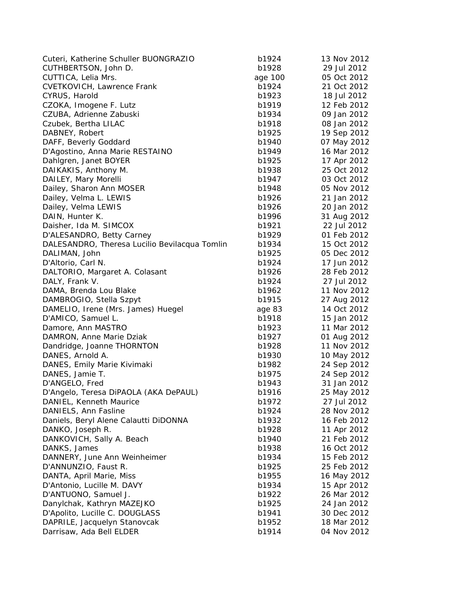| Cuteri, Katherine Schuller BUONGRAZIO         | b1924   | 13 Nov 2012 |
|-----------------------------------------------|---------|-------------|
| CUTHBERTSON, John D.                          | b1928   | 29 Jul 2012 |
| CUTTICA, Lelia Mrs.                           | age 100 | 05 Oct 2012 |
| <b>CVETKOVICH, Lawrence Frank</b>             | b1924   | 21 Oct 2012 |
| CYRUS, Harold                                 | b1923   | 18 Jul 2012 |
| CZOKA, Imogene F. Lutz                        | b1919   | 12 Feb 2012 |
| CZUBA, Adrienne Zabuski                       | b1934   | 09 Jan 2012 |
| Czubek, Bertha LILAC                          | b1918   | 08 Jan 2012 |
| DABNEY, Robert                                | b1925   | 19 Sep 2012 |
| DAFF, Beverly Goddard                         | b1940   | 07 May 2012 |
| D'Agostino, Anna Marie RESTAINO               | b1949   | 16 Mar 2012 |
| Dahlgren, Janet BOYER                         | b1925   | 17 Apr 2012 |
| DAIKAKIS, Anthony M.                          | b1938   | 25 Oct 2012 |
| DAILEY, Mary Morelli                          | b1947   | 03 Oct 2012 |
| Dailey, Sharon Ann MOSER                      | b1948   | 05 Nov 2012 |
| Dailey, Velma L. LEWIS                        | b1926   | 21 Jan 2012 |
| Dailey, Velma LEWIS                           | b1926   | 20 Jan 2012 |
| DAIN, Hunter K.                               | b1996   | 31 Aug 2012 |
| Daisher, Ida M. SIMCOX                        | b1921   | 22 Jul 2012 |
| D'ALESANDRO, Betty Carney                     | b1929   | 01 Feb 2012 |
| DALESANDRO, Theresa Lucilio Bevilacqua Tomlin | b1934   | 15 Oct 2012 |
| DALIMAN, John                                 | b1925   | 05 Dec 2012 |
| D'Altorio, Carl N.                            | b1924   | 17 Jun 2012 |
| DALTORIO, Margaret A. Colasant                | b1926   | 28 Feb 2012 |
| DALY, Frank V.                                | b1924   | 27 Jul 2012 |
| DAMA, Brenda Lou Blake                        | b1962   | 11 Nov 2012 |
| DAMBROGIO, Stella Szpyt                       | b1915   | 27 Aug 2012 |
| DAMELIO, Irene (Mrs. James) Huegel            | age 83  | 14 Oct 2012 |
| D'AMICO, Samuel L.                            | b1918   | 15 Jan 2012 |
| Damore, Ann MASTRO                            | b1923   | 11 Mar 2012 |
| DAMRON, Anne Marie Dziak                      | b1927   | 01 Aug 2012 |
| Dandridge, Joanne THORNTON                    | b1928   | 11 Nov 2012 |
| DANES, Arnold A.                              | b1930   | 10 May 2012 |
| DANES, Emily Marie Kivimaki                   | b1982   | 24 Sep 2012 |
| DANES, Jamie T.                               | b1975   | 24 Sep 2012 |
| D'ANGELO, Fred                                | b1943   | 31 Jan 2012 |
| D'Angelo, Teresa DiPAOLA (AKA DePAUL)         | b1916   | 25 May 2012 |
| DANIEL, Kenneth Maurice                       | b1972   | 27 Jul 2012 |
| DANIELS, Ann Fasline                          | b1924   | 28 Nov 2012 |
| Daniels, Beryl Alene Calautti DiDONNA         | b1932   | 16 Feb 2012 |
| DANKO, Joseph R.                              | b1928   | 11 Apr 2012 |
| DANKOVICH, Sally A. Beach                     | b1940   | 21 Feb 2012 |
| DANKS, James                                  | b1938   | 16 Oct 2012 |
| DANNERY, June Ann Weinheimer                  | b1934   | 15 Feb 2012 |
| D'ANNUNZIO, Faust R.                          | b1925   | 25 Feb 2012 |
| DANTA, April Marie, Miss                      | b1955   | 16 May 2012 |
| D'Antonio, Lucille M. DAVY                    | b1934   | 15 Apr 2012 |
| D'ANTUONO, Samuel J.                          | b1922   | 26 Mar 2012 |
| Danylchak, Kathryn MAZEJKO                    | b1925   | 24 Jan 2012 |
| D'Apolito, Lucille C. DOUGLASS                | b1941   | 30 Dec 2012 |
| DAPRILE, Jacquelyn Stanovcak                  | b1952   | 18 Mar 2012 |
| Darrisaw, Ada Bell ELDER                      | b1914   | 04 Nov 2012 |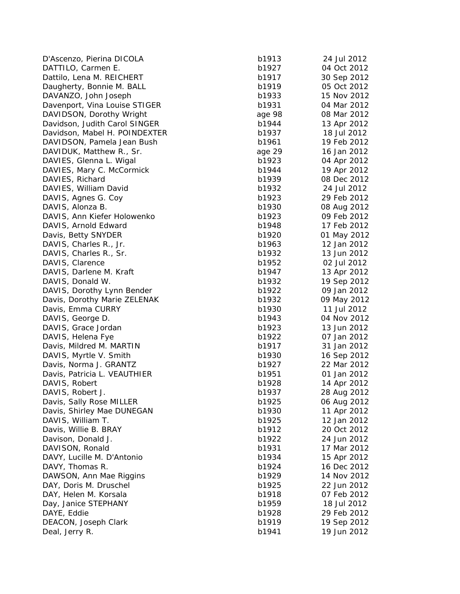| D'Ascenzo, Pierina DICOLA     | b1913  | 24 Jul 2012 |
|-------------------------------|--------|-------------|
| DATTILO, Carmen E.            | b1927  | 04 Oct 2012 |
| Dattilo, Lena M. REICHERT     | b1917  | 30 Sep 2012 |
| Daugherty, Bonnie M. BALL     | b1919  | 05 Oct 2012 |
| DAVANZO, John Joseph          | b1933  | 15 Nov 2012 |
| Davenport, Vina Louise STIGER | b1931  | 04 Mar 2012 |
| DAVIDSON, Dorothy Wright      | age 98 | 08 Mar 2012 |
| Davidson, Judith Carol SINGER | b1944  | 13 Apr 2012 |
| Davidson, Mabel H. POINDEXTER | b1937  | 18 Jul 2012 |
| DAVIDSON, Pamela Jean Bush    | b1961  | 19 Feb 2012 |
| DAVIDUK, Matthew R., Sr.      | age 29 | 16 Jan 2012 |
| DAVIES, Glenna L. Wigal       | b1923  | 04 Apr 2012 |
| DAVIES, Mary C. McCormick     | b1944  | 19 Apr 2012 |
| DAVIES, Richard               | b1939  | 08 Dec 2012 |
| DAVIES, William David         | b1932  | 24 Jul 2012 |
| DAVIS, Agnes G. Coy           | b1923  | 29 Feb 2012 |
| DAVIS, Alonza B.              | b1930  | 08 Aug 2012 |
| DAVIS, Ann Kiefer Holowenko   | b1923  | 09 Feb 2012 |
| DAVIS, Arnold Edward          | b1948  | 17 Feb 2012 |
| Davis, Betty SNYDER           | b1920  | 01 May 2012 |
| DAVIS, Charles R., Jr.        | b1963  | 12 Jan 2012 |
| DAVIS, Charles R., Sr.        | b1932  | 13 Jun 2012 |
| DAVIS, Clarence               | b1952  | 02 Jul 2012 |
| DAVIS, Darlene M. Kraft       | b1947  | 13 Apr 2012 |
| DAVIS, Donald W.              | b1932  | 19 Sep 2012 |
| DAVIS, Dorothy Lynn Bender    | b1922  | 09 Jan 2012 |
| Davis, Dorothy Marie ZELENAK  | b1932  | 09 May 2012 |
| Davis, Emma CURRY             | b1930  | 11 Jul 2012 |
| DAVIS, George D.              | b1943  | 04 Nov 2012 |
| DAVIS, Grace Jordan           | b1923  | 13 Jun 2012 |
| DAVIS, Helena Fye             | b1922  | 07 Jan 2012 |
| Davis, Mildred M. MARTIN      | b1917  | 31 Jan 2012 |
| DAVIS, Myrtle V. Smith        | b1930  | 16 Sep 2012 |
| Davis, Norma J. GRANTZ        | b1927  | 22 Mar 2012 |
| Davis, Patricia L. VEAUTHIER  | b1951  | 01 Jan 2012 |
| DAVIS, Robert                 | b1928  | 14 Apr 2012 |
| DAVIS, Robert J.              | b1937  | 28 Aug 2012 |
| Davis, Sally Rose MILLER      | b1925  | 06 Aug 2012 |
| Davis, Shirley Mae DUNEGAN    | b1930  | 11 Apr 2012 |
| DAVIS, William T.             | b1925  | 12 Jan 2012 |
| Davis, Willie B. BRAY         | b1912  | 20 Oct 2012 |
| Davison, Donald J.            | b1922  | 24 Jun 2012 |
| DAVISON, Ronald               | b1931  | 17 Mar 2012 |
| DAVY, Lucille M. D'Antonio    | b1934  | 15 Apr 2012 |
| DAVY, Thomas R.               | b1924  | 16 Dec 2012 |
| DAWSON, Ann Mae Riggins       | b1929  | 14 Nov 2012 |
| DAY, Doris M. Druschel        | b1925  | 22 Jun 2012 |
| DAY, Helen M. Korsala         | b1918  | 07 Feb 2012 |
| Day, Janice STEPHANY          | b1959  | 18 Jul 2012 |
| DAYE, Eddie                   | b1928  | 29 Feb 2012 |
| DEACON, Joseph Clark          | b1919  | 19 Sep 2012 |
| Deal, Jerry R.                | b1941  | 19 Jun 2012 |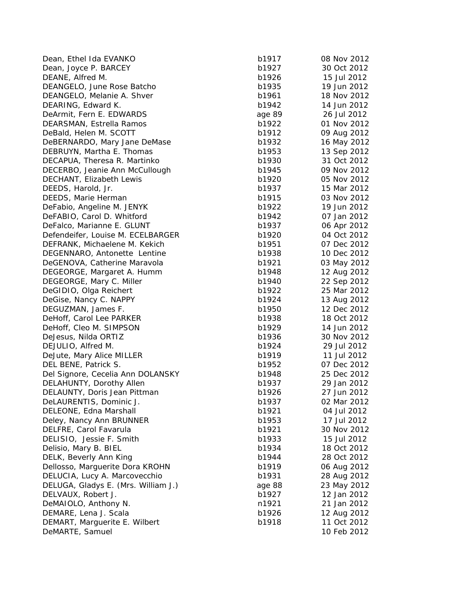| Dean, Ethel Ida EVANKO              | b1917  | 08 Nov 2012 |
|-------------------------------------|--------|-------------|
| Dean, Joyce P. BARCEY               | b1927  | 30 Oct 2012 |
| DEANE, Alfred M.                    | b1926  | 15 Jul 2012 |
| DEANGELO, June Rose Batcho          | b1935  | 19 Jun 2012 |
| DEANGELO, Melanie A. Shver          | b1961  | 18 Nov 2012 |
| DEARING, Edward K.                  | b1942  | 14 Jun 2012 |
| DeArmit, Fern E. EDWARDS            | age 89 | 26 Jul 2012 |
| DEARSMAN, Estrella Ramos            | b1922  | 01 Nov 2012 |
| DeBald, Helen M. SCOTT              | b1912  | 09 Aug 2012 |
| DeBERNARDO, Mary Jane DeMase        | b1932  | 16 May 2012 |
| DEBRUYN, Martha E. Thomas           | b1953  | 13 Sep 2012 |
| DECAPUA, Theresa R. Martinko        | b1930  | 31 Oct 2012 |
| DECERBO, Jeanie Ann McCullough      | b1945  | 09 Nov 2012 |
| DECHANT, Elizabeth Lewis            | b1920  | 05 Nov 2012 |
| DEEDS, Harold, Jr.                  | b1937  | 15 Mar 2012 |
| DEEDS, Marie Herman                 | b1915  | 03 Nov 2012 |
| DeFabio, Angeline M. JENYK          | b1922  | 19 Jun 2012 |
| DeFABIO, Carol D. Whitford          | b1942  | 07 Jan 2012 |
| DeFalco, Marianne E. GLUNT          | b1937  | 06 Apr 2012 |
| Defendeifer, Louise M. ECELBARGER   | b1920  | 04 Oct 2012 |
| DEFRANK, Michaelene M. Kekich       | b1951  | 07 Dec 2012 |
| DEGENNARO, Antonette Lentine        | b1938  | 10 Dec 2012 |
| DeGENOVA, Catherine Maravola        | b1921  | 03 May 2012 |
| DEGEORGE, Margaret A. Humm          | b1948  | 12 Aug 2012 |
| DEGEORGE, Mary C. Miller            | b1940  | 22 Sep 2012 |
| DeGIDIO, Olga Reichert              | b1922  | 25 Mar 2012 |
| DeGise, Nancy C. NAPPY              | b1924  | 13 Aug 2012 |
| DEGUZMAN, James F.                  | b1950  | 12 Dec 2012 |
| DeHoff, Carol Lee PARKER            | b1938  | 18 Oct 2012 |
| DeHoff, Cleo M. SIMPSON             | b1929  | 14 Jun 2012 |
| DeJesus, Nilda ORTIZ                | b1936  | 30 Nov 2012 |
|                                     | b1924  | 29 Jul 2012 |
| DEJULIO, Alfred M.                  |        | 11 Jul 2012 |
| DeJute, Mary Alice MILLER           | b1919  |             |
| DEL BENE, Patrick S.                | b1952  | 07 Dec 2012 |
| Del Signore, Cecelia Ann DOLANSKY   | b1948  | 25 Dec 2012 |
| DELAHUNTY, Dorothy Allen            | b1937  | 29 Jan 2012 |
| DELAUNTY, Doris Jean Pittman        | b1926  | 27 Jun 2012 |
| DeLAURENTIS, Dominic J.             | b1937  | 02 Mar 2012 |
| DELEONE, Edna Marshall              | b1921  | 04 Jul 2012 |
| Deley, Nancy Ann BRUNNER            | b1953  | 17 Jul 2012 |
| DELFRE, Carol Favarula              | b1921  | 30 Nov 2012 |
| DELISIO, Jessie F. Smith            | b1933  | 15 Jul 2012 |
| Delisio, Mary B. BIEL               | b1934  | 18 Oct 2012 |
| DELK, Beverly Ann King              | b1944  | 28 Oct 2012 |
| Dellosso, Marguerite Dora KROHN     | b1919  | 06 Aug 2012 |
| DELUCIA, Lucy A. Marcovecchio       | b1931  | 28 Aug 2012 |
| DELUGA, Gladys E. (Mrs. William J.) | age 88 | 23 May 2012 |
| DELVAUX, Robert J.                  | b1927  | 12 Jan 2012 |
| DeMAIOLO, Anthony N.                | n1921  | 21 Jan 2012 |
| DEMARE, Lena J. Scala               | b1926  | 12 Aug 2012 |
| DEMART, Marguerite E. Wilbert       | b1918  | 11 Oct 2012 |
| DeMARTE, Samuel                     |        | 10 Feb 2012 |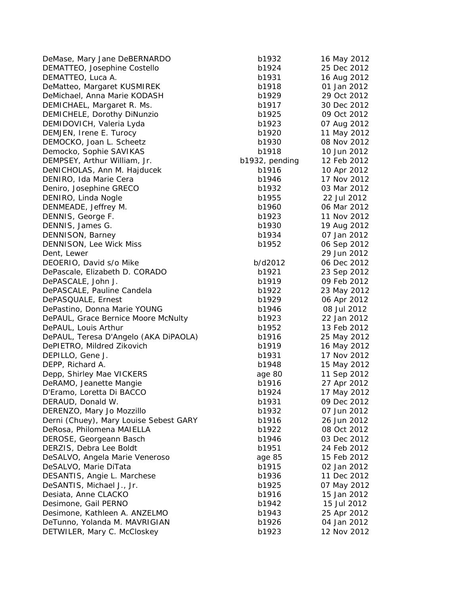DeMase, Mary Jane DeBERNARDO DEMATTEO, Josephine Costello DEMATTEO, Luca A. DeMatteo, Margaret KUSMIREK DeMichael, Anna Marie KODASH DEMICHAEL, Margaret R. Ms. DEMICHELE, Dorothy DiNunzio DEMIDOVICH, Valeria Lyda DEMJEN, Irene E. Turocy DEMOCKO, Joan L. Scheetz Democko, Sophie SAVIKAS DEMPSEY, Arthur William, Jr. b1932, pending 12 Feb 2013, pending 12 Feb 2013, pending 12 Feb 2013, p DeNICHOLAS, Ann M. Hajducek DENIRO, Ida Marie Cera Deniro, Josephine GRECO DENIRO, Linda Nogle DENMEADE, Jeffrey M. DENNIS, George F. DENNIS, James G. DENNISON, Barney DENNISON, Lee Wick Miss Dent, Lewer DEOERIO, David s/o Mike DePascale, Elizabeth D. CORADO DePASCALE, John J. DePASCALE, Pauline Candela DePASQUALE, Ernest DePastino, Donna Marie YOUNG DePAUL, Grace Bernice Moore McNulty DePAUL, Louis Arthur DePAUL, Teresa D'Angelo (AKA DiPAOLA) DePIETRO, Mildred Zikovich DEPILLO, Gene J. DEPP, Richard A. Depp, Shirley Mae VICKERS DeRAMO, Jeanette Mangie D'Eramo, Loretta Di BACCO DERAUD, Donald W. DERENZO, Mary Jo Mozzillo Derni (Chuey), Mary Louise Sebest GARY DeRosa, Philomena MAIELLA DEROSE, Georgeann Basch DERZIS, Debra Lee Boldt DeSALVO, Angela Marie Veneroso DeSALVO, Marie DiTata DESANTIS, Angie L. Marchese DeSANTIS, Michael J., Jr. Desiata, Anne CLACKO Desimone, Gail PERNO Desimone, Kathleen A. ANZELMO DeTunno, Yolanda M. MAVRIGIAN DETWILER, Mary C. McCloskey

| b1932         | 16 May 2012 |
|---------------|-------------|
| b1924         | 25 Dec 2012 |
| b1931         | 16 Aug 2012 |
| b1918         | 01 Jan 2012 |
| b1929         | 29 Oct 2012 |
| b1917         | 30 Dec 2012 |
| b1925         | 09 Oct 2012 |
| b1923         | 07 Aug 2012 |
| b1920         | 11 May 2012 |
| b1930         | 08 Nov 2012 |
| b1918         | 10 Jun 2012 |
| 1932, pending | 12 Feb 2012 |
| b1916         | 10 Apr 2012 |
| b1946         | 17 Nov 2012 |
| b1932         | 03 Mar 2012 |
| b1955         | 22 Jul 2012 |
| b1960         | 06 Mar 2012 |
| b1923         | 11 Nov 2012 |
| b1930         | 19 Aug 2012 |
| b1934         | 07 Jan 2012 |
| b1952         | 06 Sep 2012 |
|               | 29 Jun 2012 |
| b/d2012       | 06 Dec 2012 |
| b1921         | 23 Sep 2012 |
| b1919         | 09 Feb 2012 |
| b1922         | 23 May 2012 |
| b1929         | 06 Apr 2012 |
| b1946         | 08 Jul 2012 |
| b1923         | 22 Jan 2012 |
| b1952         | 13 Feb 2012 |
| b1916         | 25 May 2012 |
| b1919         | 16 May 2012 |
| b1931         | 17 Nov 2012 |
| b1948         | 15 May 2012 |
| age 80        | 11 Sep 2012 |
| b1916         | 27 Apr 2012 |
| b1924         | 17 May 2012 |
| b1931         | 09 Dec 2012 |
| b1932         | 07 Jun 2012 |
| b1916         | 26 Jun 2012 |
| b1922         | 08 Oct 2012 |
| b1946         | 03 Dec 2012 |
| b1951         | 24 Feb 2012 |
| age 85        | 15 Feb 2012 |
| b1915         | 02 Jan 2012 |
| b1936         | 11 Dec 2012 |
| b1925         | 07 May 2012 |
| b1916         | 15 Jan 2012 |
| b1942         | 15 Jul 2012 |
|               |             |
| b1943         | 25 Apr 2012 |
| b1926         | 04 Jan 2012 |
| b1923         | 12 Nov 2012 |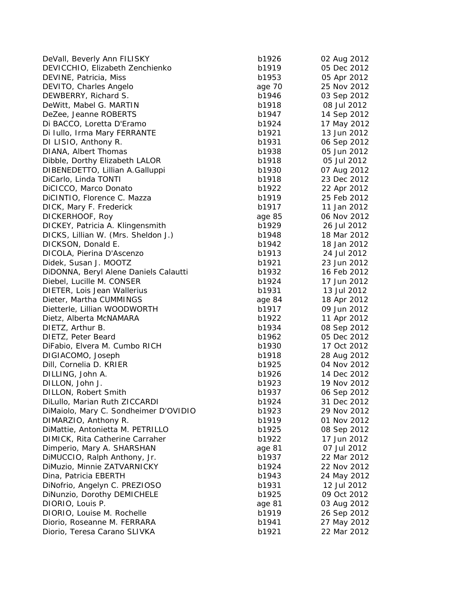| DeVall, Beverly Ann FILISKY           | b1926  | 02 Aug 2012 |
|---------------------------------------|--------|-------------|
| DEVICCHIO, Elizabeth Zenchienko       | b1919  | 05 Dec 2012 |
| DEVINE, Patricia, Miss                | b1953  | 05 Apr 2012 |
| DEVITO, Charles Angelo                | age 70 | 25 Nov 2012 |
| DEWBERRY, Richard S.                  | b1946  | 03 Sep 2012 |
| DeWitt, Mabel G. MARTIN               | b1918  | 08 Jul 2012 |
| DeZee, Jeanne ROBERTS                 | b1947  | 14 Sep 2012 |
| Di BACCO, Loretta D'Eramo             | b1924  | 17 May 2012 |
| Di Iullo, Irma Mary FERRANTE          | b1921  | 13 Jun 2012 |
| DI LISIO, Anthony R.                  | b1931  | 06 Sep 2012 |
| DIANA, Albert Thomas                  | b1938  | 05 Jun 2012 |
| Dibble, Dorthy Elizabeth LALOR        | b1918  | 05 Jul 2012 |
| DIBENEDETTO, Lillian A.Galluppi       | b1930  | 07 Aug 2012 |
| DiCarlo, Linda TONTI                  | b1918  | 23 Dec 2012 |
| DiCICCO, Marco Donato                 | b1922  | 22 Apr 2012 |
| DiCINTIO, Florence C. Mazza           | b1919  | 25 Feb 2012 |
| DICK, Mary F. Frederick               | b1917  | 11 Jan 2012 |
| DICKERHOOF, Roy                       | age 85 | 06 Nov 2012 |
| DICKEY, Patricia A. Klingensmith      | b1929  | 26 Jul 2012 |
| DICKS, Lillian W. (Mrs. Sheldon J.)   | b1948  | 18 Mar 2012 |
| DICKSON, Donald E.                    | b1942  | 18 Jan 2012 |
| DICOLA, Pierina D'Ascenzo             | b1913  | 24 Jul 2012 |
| Didek, Susan J. MOOTZ                 | b1921  | 23 Jun 2012 |
| DiDONNA, Beryl Alene Daniels Calautti | b1932  | 16 Feb 2012 |
| Diebel, Lucille M. CONSER             | b1924  | 17 Jun 2012 |
| DIETER, Lois Jean Wallerius           | b1931  | 13 Jul 2012 |
| Dieter, Martha CUMMINGS               | age 84 | 18 Apr 2012 |
| Dietterle, Lillian WOODWORTH          | b1917  | 09 Jun 2012 |
| Dietz, Alberta McNAMARA               | b1922  | 11 Apr 2012 |
| DIETZ, Arthur B.                      | b1934  | 08 Sep 2012 |
| DIETZ, Peter Beard                    | b1962  | 05 Dec 2012 |
| DiFabio, Elvera M. Cumbo RICH         | b1930  | 17 Oct 2012 |
| DIGIACOMO, Joseph                     | b1918  | 28 Aug 2012 |
| Dill, Cornelia D. KRIER               | b1925  | 04 Nov 2012 |
| DILLING, John A.                      | b1926  | 14 Dec 2012 |
| DILLON, John J.                       | b1923  | 19 Nov 2012 |
| DILLON, Robert Smith                  | b1937  | 06 Sep 2012 |
| DiLullo, Marian Ruth ZICCARDI         | b1924  | 31 Dec 2012 |
| DiMaiolo, Mary C. Sondheimer D'OVIDIO | b1923  | 29 Nov 2012 |
| DIMARZIO, Anthony R.                  | b1919  | 01 Nov 2012 |
| DiMattie, Antonietta M. PETRILLO      | b1925  | 08 Sep 2012 |
| DIMICK, Rita Catherine Carraher       | b1922  | 17 Jun 2012 |
| Dimperio, Mary A. SHARSHAN            | age 81 | 07 Jul 2012 |
|                                       | b1937  | 22 Mar 2012 |
| DIMUCCIO, Ralph Anthony, Jr.          | b1924  | 22 Nov 2012 |
| DiMuzio, Minnie ZATVARNICKY           |        | 24 May 2012 |
| Dina, Patricia EBERTH                 | b1943  |             |
| DiNofrio, Angelyn C. PREZIOSO         | b1931  | 12 Jul 2012 |
| DiNunzio, Dorothy DEMICHELE           | b1925  | 09 Oct 2012 |
| DIORIO, Louis P.                      | age 81 | 03 Aug 2012 |
| DIORIO, Louise M. Rochelle            | b1919  | 26 Sep 2012 |
| Diorio, Roseanne M. FERRARA           | b1941  | 27 May 2012 |
| Diorio, Teresa Carano SLIVKA          | b1921  | 22 Mar 2012 |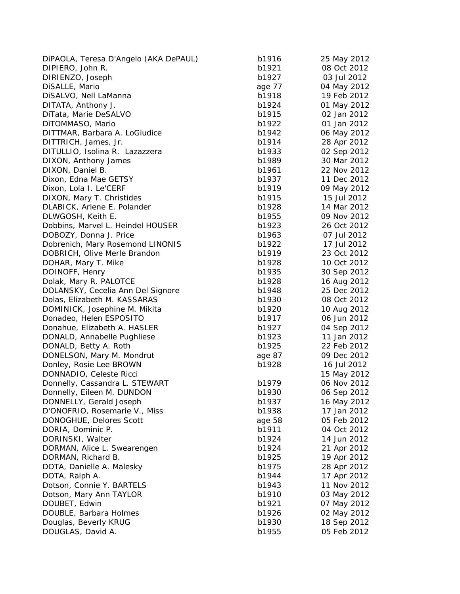| DiPAOLA, Teresa D'Angelo (AKA DePAUL) | b1916  | 25 May 2012 |
|---------------------------------------|--------|-------------|
| DIPIERO, John R.                      | b1921  | 08 Oct 2012 |
| DIRIENZO, Joseph                      | b1927  | 03 Jul 2012 |
| DISALLE, Mario                        | age 77 | 04 May 2012 |
| DiSALVO, Nell LaManna                 | b1918  | 19 Feb 2012 |
| DITATA, Anthony J.                    | b1924  | 01 May 2012 |
| DiTata, Marie DeSALVO                 | b1915  | 02 Jan 2012 |
| DiTOMMASO, Mario                      | b1922  | 01 Jan 2012 |
| DITTMAR, Barbara A. LoGiudice         | b1942  | 06 May 2012 |
| DITTRICH, James, Jr.                  | b1914  | 28 Apr 2012 |
| DITULLIO, Isolina R. Lazazzera        | b1933  | 02 Sep 2012 |
| DIXON, Anthony James                  | b1989  | 30 Mar 2012 |
| DIXON, Daniel B.                      | b1961  | 22 Nov 2012 |
| Dixon, Edna Mae GETSY                 | b1937  | 11 Dec 2012 |
| Dixon, Lola I. Le'CERF                | b1919  | 09 May 2012 |
| DIXON, Mary T. Christides             | b1915  | 15 Jul 2012 |
| DLABICK, Arlene E. Polander           | b1928  | 14 Mar 2012 |
| DLWGOSH, Keith E.                     | b1955  | 09 Nov 2012 |
| Dobbins, Marvel L. Heindel HOUSER     | b1923  | 26 Oct 2012 |
| DOBOZY, Donna J. Price                | b1963  | 07 Jul 2012 |
| Dobrenich, Mary Rosemond LINONIS      | b1922  | 17 Jul 2012 |
| DOBRICH, Olive Merle Brandon          | b1919  | 23 Oct 2012 |
| DOHAR, Mary T. Mike                   | b1928  | 10 Oct 2012 |
| DOINOFF, Henry                        | b1935  | 30 Sep 2012 |
| Dolak, Mary R. PALOTCE                | b1928  | 16 Aug 2012 |
| DOLANSKY, Cecelia Ann Del Signore     | b1948  | 25 Dec 2012 |
| Dolas, Elizabeth M. KASSARAS          | b1930  | 08 Oct 2012 |
| DOMINICK, Josephine M. Mikita         | b1920  | 10 Aug 2012 |
| Donadeo, Helen ESPOSITO               | b1917  | 06 Jun 2012 |
| Donahue, Elizabeth A. HASLER          | b1927  | 04 Sep 2012 |
| DONALD, Annabelle Pughliese           | b1923  | 11 Jan 2012 |
| DONALD, Betty A. Roth                 | b1925  | 22 Feb 2012 |
| DONELSON, Mary M. Mondrut             | age 87 | 09 Dec 2012 |
| Donley, Rosie Lee BROWN               | b1928  | 16 Jul 2012 |
| DONNADIO, Celeste Ricci               |        | 15 May 2012 |
| Donnelly, Cassandra L. STEWART        | b1979  | 06 Nov 2012 |
| Donnelly, Eileen M. DUNDON            | b1930  | 06 Sep 2012 |
| DONNELLY, Gerald Joseph               | b1937  | 16 May 2012 |
| D'ONOFRIO, Rosemarie V., Miss         | b1938  | 17 Jan 2012 |
| DONOGHUE, Delores Scott               | age 58 | 05 Feb 2012 |
| DORIA, Dominic P.                     | b1911  | 04 Oct 2012 |
| DORINSKI, Walter                      | b1924  | 14 Jun 2012 |
| DORMAN, Alice L. Swearengen           | b1924  | 21 Apr 2012 |
| DORMAN, Richard B.                    | b1925  | 19 Apr 2012 |
| DOTA, Danielle A. Malesky             | b1975  | 28 Apr 2012 |
| DOTA, Ralph A.                        | b1944  | 17 Apr 2012 |
| Dotson, Connie Y. BARTELS             | b1943  | 11 Nov 2012 |
| Dotson, Mary Ann TAYLOR               | b1910  | 03 May 2012 |
| DOUBET, Edwin                         | b1921  | 07 May 2012 |
| DOUBLE, Barbara Holmes                | b1926  | 02 May 2012 |
| Douglas, Beverly KRUG                 | b1930  | 18 Sep 2012 |
| DOUGLAS, David A.                     | b1955  | 05 Feb 2012 |
|                                       |        |             |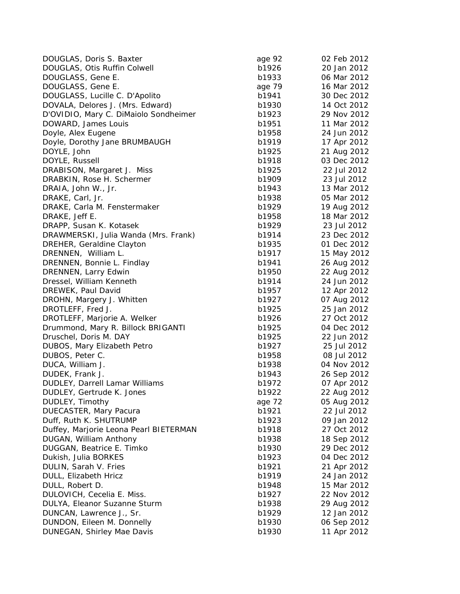| DOUGLAS, Doris S. Baxter                                     | age 92 | 02 Feb 2012 |
|--------------------------------------------------------------|--------|-------------|
| DOUGLAS, Otis Ruffin Colwell                                 | b1926  | 20 Jan 2012 |
| DOUGLASS, Gene E.                                            | b1933  | 06 Mar 2012 |
| DOUGLASS, Gene E.                                            | age 79 | 16 Mar 2012 |
| DOUGLASS, Lucille C. D'Apolito                               | b1941  | 30 Dec 2012 |
| DOVALA, Delores J. (Mrs. Edward)                             | b1930  | 14 Oct 2012 |
| D'OVIDIO, Mary C. DiMaiolo Sondheimer                        | b1923  | 29 Nov 2012 |
| DOWARD, James Louis                                          | b1951  | 11 Mar 2012 |
| Doyle, Alex Eugene                                           | b1958  | 24 Jun 2012 |
| Doyle, Dorothy Jane BRUMBAUGH                                | b1919  | 17 Apr 2012 |
| DOYLE, John                                                  | b1925  | 21 Aug 2012 |
| DOYLE, Russell                                               | b1918  | 03 Dec 2012 |
| DRABISON, Margaret J. Miss                                   | b1925  | 22 Jul 2012 |
| DRABKIN, Rose H. Schermer                                    | b1909  | 23 Jul 2012 |
| DRAIA, John W., Jr.                                          | b1943  | 13 Mar 2012 |
| DRAKE, Carl, Jr.                                             | b1938  | 05 Mar 2012 |
| DRAKE, Carla M. Fenstermaker                                 | b1929  | 19 Aug 2012 |
| DRAKE, Jeff E.                                               | b1958  | 18 Mar 2012 |
| DRAPP, Susan K. Kotasek                                      | b1929  | 23 Jul 2012 |
| DRAWMERSKI, Julia Wanda (Mrs. Frank)                         | b1914  | 23 Dec 2012 |
| DREHER, Geraldine Clayton                                    | b1935  | 01 Dec 2012 |
| DRENNEN, William L.                                          | b1917  | 15 May 2012 |
| DRENNEN, Bonnie L. Findlay                                   | b1941  | 26 Aug 2012 |
| DRENNEN, Larry Edwin                                         | b1950  | 22 Aug 2012 |
| Dressel, William Kenneth                                     | b1914  | 24 Jun 2012 |
| DREWEK, Paul David                                           | b1957  | 12 Apr 2012 |
| DROHN, Margery J. Whitten                                    | b1927  | 07 Aug 2012 |
| DROTLEFF, Fred J.                                            | b1925  | 25 Jan 2012 |
|                                                              | b1926  | 27 Oct 2012 |
| DROTLEFF, Marjorie A. Welker                                 | b1925  | 04 Dec 2012 |
| Drummond, Mary R. Billock BRIGANTI<br>Druschel, Doris M. DAY | b1925  | 22 Jun 2012 |
| DUBOS, Mary Elizabeth Petro                                  |        | 25 Jul 2012 |
|                                                              | b1927  | 08 Jul 2012 |
| DUBOS, Peter C.                                              | b1958  |             |
| DUCA, William J.                                             | b1938  | 04 Nov 2012 |
| DUDEK, Frank J.                                              | b1943  | 26 Sep 2012 |
| DUDLEY, Darrell Lamar Williams                               | b1972  | 07 Apr 2012 |
| DUDLEY, Gertrude K. Jones                                    | b1922  | 22 Aug 2012 |
| DUDLEY, Timothy                                              | age 72 | 05 Aug 2012 |
| DUECASTER, Mary Pacura                                       | b1921  | 22 Jul 2012 |
| Duff, Ruth K. SHUTRUMP                                       | b1923  | 09 Jan 2012 |
| Duffey, Marjorie Leona Pearl BIETERMAN                       | b1918  | 27 Oct 2012 |
| DUGAN, William Anthony                                       | b1938  | 18 Sep 2012 |
| DUGGAN, Beatrice E. Timko                                    | b1930  | 29 Dec 2012 |
| Dukish, Julia BORKES                                         | b1923  | 04 Dec 2012 |
| DULIN, Sarah V. Fries                                        | b1921  | 21 Apr 2012 |
| DULL, Elizabeth Hricz                                        | b1919  | 24 Jan 2012 |
| DULL, Robert D.                                              | b1948  | 15 Mar 2012 |
| DULOVICH, Cecelia E. Miss.                                   | b1927  | 22 Nov 2012 |
| DULYA, Eleanor Suzanne Sturm                                 | b1938  | 29 Aug 2012 |
| DUNCAN, Lawrence J., Sr.                                     | b1929  | 12 Jan 2012 |
| DUNDON, Eileen M. Donnelly                                   | b1930  | 06 Sep 2012 |
| DUNEGAN, Shirley Mae Davis                                   | b1930  | 11 Apr 2012 |
|                                                              |        |             |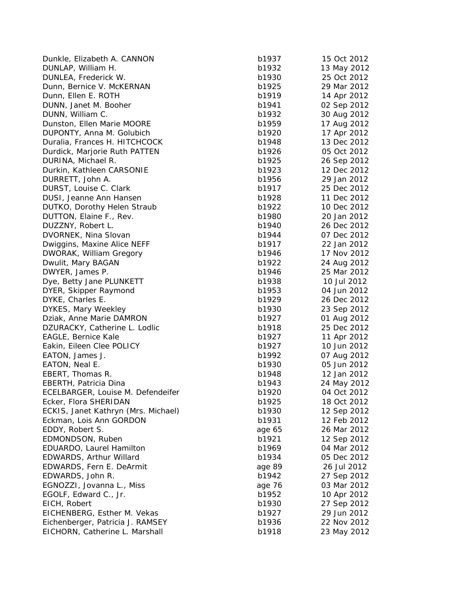Dunkle, Elizabeth A. CANNON b1 DUNLAP, William H. b1 DUNLEA, Frederick W. b1930 25 Oct 2013 25 Oct 2013 25 Oct 2013 25 Oct 2013 25 Oct 2013 25 Oct 2013 25 Oct 2013 Dunn, Bernice V. McKERNAN b1 Dunn, Ellen E. ROTH b1919 14 Apr 2013 14 Apr 2013 14 Apr 2013 14 Apr 2013 14 Apr 2013 14 Apr 2013 14 Apr 2014 14 Apr 2014 14 Apr 2014 14 Apr 2014 14 Apr 2014 14 Apr 2014 14 Apr 2014 14 Apr 2014 14 Apr 2014 14 Apr 2014 14 A DUNN, Janet M. Booher b1941 of the b1941 of the b1941 of the b1941 of the b1941 of the b1941 of the b1941 of the b1941 of the b1941 of the b1941 of the b1941 of the b1941 of the b1941 of the b1941 of the b1941 of the b1941 DUNN, William C. b1932 30 Aug 2013 30 Aug 2013 30 Aug 2013 30 Aug 2013 30 Aug 2013 30 Aug 2013 30 Aug 2013 30 Aug 2013 30 Aug 2013 30 Aug 2013 30 Aug 2013 30 Aug 2013 30 Aug 2013 30 Aug 2014 30 Aug 2014 30 Aug 2014 30 Aug Dunston, Ellen Marie MOORE b1959 b1959 b1959 b1959 b1959 b1959 b1959 b1959 b1959 b1959 b1959 b1959 b1959 b195 DUPONTY, Anna M. Golubich b1920 17 Apr 2012 17 Apr 2012 17 Apr 2012 17 Apr 2012 17 Apr 2012 17 Apr 2012 17 Apr 2012 17 Apr 2012 17 Apr 2012 17 Apr 2012 17 Apr 2012 17 Apr 2012 17 Apr 2012 17 Apr 2012 17 Apr 2012 17 Apr 201 Duralia, Frances H. HITCHCOCK b1 Durdick, Marjorie Ruth PATTEN b1 DURINA, Michael R. b<sup>1</sup> Durkin, Kathleen CARSONIE b1 DURRETT, John A. b<sup>1</sup> DURST, Louise C. Clark b1917 25 Dec 2012 25 Dec 2012 25 Dec 2012 25 Dec 2013 25 Dec 2012 25 Dec 2013 25 Dec 20 DUSI, Jeanne Ann Hansen b1928 12 Dec 2012 11 Dec 2012 11 Dec 2012 12 Dec 2012 12 Dec 2012 12 Dec 2012 12 Dec 20 DUTKO, Dorothy Helen Straub and the control of the b1922 10 b1922 10 b1922 10 b1922 10 b1922 10 b1922 10 b1922 DUTTON, Elaine F., Rev. b1980 2012 10:30 b1980 2012 DUZZNY, Robert L. b1940 26 Dec 2012 26 Dec 2014 26 Dec 2014 26 Dec 2014 26 Dec 2014 26 Dec 2014 26 Dec 2014 26 D DVORNEK, Nina Slovan b1944 or b1944 or b1944 or b1944 or b1944 or b1944 or b1944 or b1944 or b1944 or b1944 or Dwiggins, Maxine Alice NEFF b1917 22 DWORAK, William Gregory b1 Dwulit, Mary BAGAN b1922 24 Aug 2012 24 Aug 2012 24 Aug 2012 24 Aug 2012 25 Aug 2012 25 Aug 2012 25 Aug 2012 25 DWYER, James P. b1946 25 Mar 2012 25 Mar 2014 25 Mar 2014 25 Mar 2014 25 Mar 2014 25 Mar 2014 25 Mar 2014 25 Mar 2014 25 Mar 2014 25 Mar 2014 25 Mar 2014 25 Mar 2014 25 Mar 2014 25 Mar 2014 25 Mar 2014 25 Mar 2014 25 Mar 2 Dye, Betty Jane PLUNKETT b1 DYER, Skipper Raymond b<sup>1</sup> DYKE, Charles E. b1929 26 Dec 2012 26 Dec 2012 26 Dec 2012 26 Dec 2012 26 Dec 2012 26 Dec 2013 26 Dec 2013 26 D DYKES, Mary Weekley b1930 23 September 23 September 2013 23 September 2013 23 Sep 2013 23 Sep 2013 23 Sep 2013 Dziak, Anne Marie DAMRON b<sup>1</sup> DZURACKY, Catherine L. Lodlic b1918 b1918 b1918 b1918 b1918 b1918 b1918 b1918 b1918 b1918 b1918 b1918 b1918 b1 EAGLE, Bernice Kale b1927 12 Apr 2012 11 Apr 2012 12 Apr 2012 12 Apr 2012 12 Apr 2012 12 Apr 2012 12 Apr 2012 1 Eakin, Eileen Clee POLICY b1927 b1937 b1937 b1937 b1937 b1937 b1937 b1937 b1937 b1937 b1937 b1937 b1937 b1937 EATON, James J. b1992 07 Aug 2012 07 Aug 2012 07 Aug 2012 07 Aug 2013 07 Aug 2013 07 Aug 2013 07 Aug 2013 07 Aug 2013 07 Aug 2013 07 Aug 2013 07 Aug 2013 07 Aug 2013 07 Aug 2013 07 Aug 2014 07 Aug 2013 07 Aug 2013 07 Aug 2 EATON, Neal E. b1930 of the b1930 of the b1930 of the b1930 of the b1930 of the b1930 of the b1930 of the b1930 of the b1930 of the b1930 of the b1930 of the b1930 of the b1930 of the b1930 of the b1930 of the b1930 of the EBERT, Thomas R. b1948 12 Jan 2012 12 Jan 2012 12 Jan 2012 12 Jan 2012 12 Jan 2013 12 Jan 2014 12 Jan 2013 12 EBERTH, Patricia Dina b1943 24 May 2012 24 May 2013 24 May 2013 24 May 2013 24 May 2013 24 May 2013 24 May 201 ECELBARGER, Louise M. Defendeifer b1920 b1920 Ecker, Flora SHERIDAN b1925 b1925 b1925 b1935 b1935 b1935 b1935 b1935 b1935 b1935 b1935 b1935 b1935 b1935 b19 ECKIS, Janet Kathryn (Mrs. Michael) b1 Eckman, Lois Ann GORDON b<sup>1</sup> EDDY, Robert S. age 65 26 Mar 2012 12:30 Mar 2012 12:30 Mar 2012 12:30 Mar 2012 12:30 Mar 2012 12:30 Mar 2012 12:30 Mar 2012 12:30 Mar 2012 12:30 Mar 2012 12:30 Mar 2012 12:30 Mar 2012 12:30 Mar 2012 12:30 Mar 2012 12:30 M EDMONDSON, Ruben b1921 12 September 12 September 2012 EDUARDO, Laurel Hamilton b1 EDWARDS, Arthur Willard b1934 of 2012 05 Dec 2013 05 Dec 2013 05 Dec 2013 05 Dec 2013 05 Dec 2013 05 Dec 2013 0 EDWARDS, Fern E. DeArmit age 89 26 Jul 2012 EDWARDS, John R. b1 EGNOZZI, Jovanna L., Miss age 76 03 Mar 2012 EGOLF, Edward C., Jr. b1952 10 Apr 2012 10 Apr 2012 10 Apr 2012 10 Apr 2012 10 Apr 2012 10 Apr 2013 10 Apr 201 EICH, Robert b1930 27 Sep 2013 27 Sep 2013 27 Sep 2013 27 Sep 2013 27 Sep 2013 27 Sep 2013 27 Sep 2013 27 Sep 2013 27 Sep 2013 27 Sep 2013 27 Sep 2013 27 Sep 2013 27 Sep 2013 27 Sep 2013 27 Sep 2013 27 Sep 2013 27 Sep 2013 EICHENBERG, Esther M. Vekas b1927 29 Jun 2012 2013 2014 Eichenberger, Patricia J. RAMSEY b1 EICHORN, Catherine L. Marshall b1918 23 May 2013 23 May 2013 23 May 2013 23 May 2013 23 May 2013 201

| 1937  | 15 Oct 2012 |
|-------|-------------|
| 1932  | 13 May 2012 |
| 1930  | 25 Oct 2012 |
| 1925  | 29 Mar 2012 |
| 1919  | 14 Apr 2012 |
| 1941  |             |
|       | 02 Sep 2012 |
| 1932  | 30 Aug 2012 |
| 1959  | 17 Aug 2012 |
| 1920  | 17 Apr 2012 |
| 1948  | 13 Dec 2012 |
| 1926  | 05 Oct 2012 |
| 1925  | 26 Sep 2012 |
| 1923  | 12 Dec 2012 |
| 1956  | 29 Jan 2012 |
| 1917  | 25 Dec 2012 |
| 1928  | 11 Dec 2012 |
| 1922  | 10 Dec 2012 |
| 1980  | 20 Jan 2012 |
| 1940  | 26 Dec 2012 |
| 1944  | 07 Dec 2012 |
| 1917  | 22 Jan 2012 |
| 1946  |             |
|       | 17 Nov 2012 |
| 1922  | 24 Aug 2012 |
| 1946  | 25 Mar 2012 |
| 1938  | 10 Jul 2012 |
| 1953  | 04 Jun 2012 |
| 1929  | 26 Dec 2012 |
| 1930  | 23 Sep 2012 |
| 1927  | 01 Aug 2012 |
| 1918  | 25 Dec 2012 |
| 1927  | 11 Apr 2012 |
| 1927  | 10 Jun 2012 |
| 1992  | 07 Aug 2012 |
| 1930  | 05 Jun 2012 |
| 1948  | 12 Jan 2012 |
| 1943  | 24 May 2012 |
| 1920  | 04 Oct 2012 |
| 1925  | 18 Oct 2012 |
| 1930  | 12 Sep 2012 |
| 1931  | 12 Feb 2012 |
|       |             |
| je 65 | 26 Mar 2012 |
| 1921  | 12 Sep 2012 |
| 1969  | 04 Mar 2012 |
| 1934  | 05 Dec 2012 |
| je 89 | 26 Jul 2012 |
| 1942  | 27 Sep 2012 |
| je 76 | 03 Mar 2012 |
| 1952  | 10 Apr 2012 |
| 1930  | 27 Sep 2012 |
| 1927  | 29 Jun 2012 |
| 1936  | 22 Nov 2012 |
| 1918  | 23 May 2012 |
|       |             |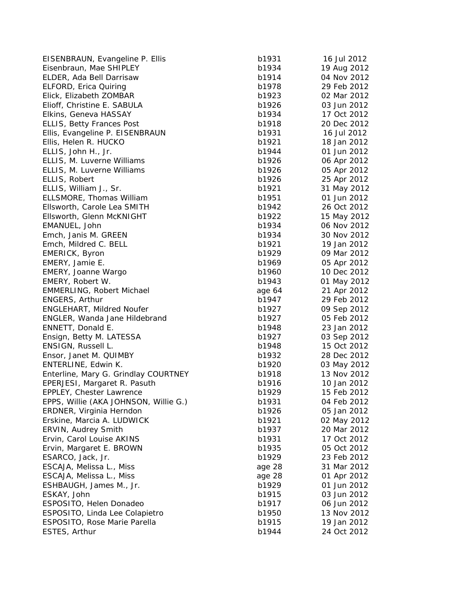| EISENBRAUN, Evangeline P. Ellis       | b1931  | 16 Jul 2012 |
|---------------------------------------|--------|-------------|
| Eisenbraun, Mae SHIPLEY               | b1934  | 19 Aug 2012 |
| ELDER, Ada Bell Darrisaw              | b1914  | 04 Nov 2012 |
| ELFORD, Erica Quiring                 | b1978  | 29 Feb 2012 |
| Elick, Elizabeth ZOMBAR               | b1923  | 02 Mar 2012 |
| Elioff, Christine E. SABULA           | b1926  | 03 Jun 2012 |
| Elkins, Geneva HASSAY                 | b1934  | 17 Oct 2012 |
| ELLIS, Betty Frances Post             | b1918  | 20 Dec 2012 |
| Ellis, Evangeline P. EISENBRAUN       | b1931  | 16 Jul 2012 |
| Ellis, Helen R. HUCKO                 | b1921  | 18 Jan 2012 |
| ELLIS, John H., Jr.                   | b1944  | 01 Jun 2012 |
| ELLIS, M. Luverne Williams            | b1926  | 06 Apr 2012 |
| ELLIS, M. Luverne Williams            | b1926  | 05 Apr 2012 |
| ELLIS, Robert                         | b1926  | 25 Apr 2012 |
| ELLIS, William J., Sr.                | b1921  | 31 May 2012 |
| ELLSMORE, Thomas William              | b1951  | 01 Jun 2012 |
| Ellsworth, Carole Lea SMITH           | b1942  | 26 Oct 2012 |
| Ellsworth, Glenn McKNIGHT             | b1922  | 15 May 2012 |
| EMANUEL, John                         | b1934  | 06 Nov 2012 |
| Emch, Janis M. GREEN                  | b1934  | 30 Nov 2012 |
| Emch, Mildred C. BELL                 | b1921  | 19 Jan 2012 |
| EMERICK, Byron                        | b1929  | 09 Mar 2012 |
| EMERY, Jamie E.                       | b1969  | 05 Apr 2012 |
| EMERY, Joanne Wargo                   | b1960  | 10 Dec 2012 |
| EMERY, Robert W.                      | b1943  | 01 May 2012 |
| EMMERLING, Robert Michael             | age 64 | 21 Apr 2012 |
| ENGERS, Arthur                        | b1947  | 29 Feb 2012 |
| <b>ENGLEHART, Mildred Noufer</b>      | b1927  | 09 Sep 2012 |
| ENGLER, Wanda Jane Hildebrand         | b1927  | 05 Feb 2012 |
| ENNETT, Donald E.                     | b1948  | 23 Jan 2012 |
| Ensign, Betty M. LATESSA              | b1927  | 03 Sep 2012 |
| ENSIGN, Russell L.                    | b1948  | 15 Oct 2012 |
| Ensor, Janet M. QUIMBY                | b1932  | 28 Dec 2012 |
| ENTERLINE, Edwin K.                   | b1920  | 03 May 2012 |
| Enterline, Mary G. Grindlay COURTNEY  | b1918  | 13 Nov 2012 |
| EPERJESI, Margaret R. Pasuth          | b1916  | 10 Jan 2012 |
| EPPLEY, Chester Lawrence              | b1929  | 15 Feb 2012 |
| EPPS, Willie (AKA JOHNSON, Willie G.) | b1931  | 04 Feb 2012 |
| ERDNER, Virginia Herndon              | b1926  | 05 Jan 2012 |
| Erskine, Marcia A. LUDWICK            | b1921  | 02 May 2012 |
| ERVIN, Audrey Smith                   | b1937  | 20 Mar 2012 |
| Ervin, Carol Louise AKINS             | b1931  | 17 Oct 2012 |
| Ervin, Margaret E. BROWN              | b1935  | 05 Oct 2012 |
| ESARCO, Jack, Jr.                     | b1929  | 23 Feb 2012 |
| ESCAJA, Melissa L., Miss              | age 28 | 31 Mar 2012 |
| ESCAJA, Melissa L., Miss              | age 28 | 01 Apr 2012 |
| ESHBAUGH, James M., Jr.               | b1929  | 01 Jun 2012 |
| ESKAY, John                           | b1915  | 03 Jun 2012 |
| ESPOSITO, Helen Donadeo               | b1917  | 06 Jun 2012 |
| ESPOSITO, Linda Lee Colapietro        | b1950  | 13 Nov 2012 |
| ESPOSITO, Rose Marie Parella          | b1915  | 19 Jan 2012 |
| ESTES, Arthur                         | b1944  | 24 Oct 2012 |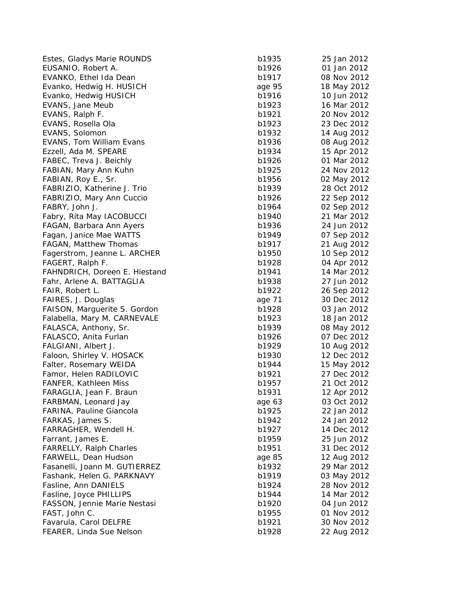Estes, Gladys Marie ROUNDS b1 EUSANIO, Robert A. b1926 01 b1926 01 b1936 01 b1936 01 b1936 01 b1936 01 b1936 01 b1936 01 b1936 01 b1936 01 b1 EVANKO, Ethel Ida Dean b1917 08 Nov 2012 108 Nov 2012 108 Nov 2012 108 Nov 2012 108 Nov 2012 108 Nov 2012 108 No Evanko, Hedwig H. HUSICH age 95 18 May 2012 Evanko, Hedwig HUSICH b1 EVANS, Jane Meub b1 EVANS, Ralph F. b1921 20 Nov 2012 EVANS, Rosella Ola b1923 23 Dec 2012 23 Dec 2013 23 Dec 2013 23 Dec 2013 23 Dec 2013 23 Dec 2013 23 Dec 2013 23 Dec 2013 23 Dec 2013 23 Dec 2013 23 Dec 2013 23 Dec 2013 23 Dec 2013 23 Dec 2013 23 Dec 2013 23 Dec 2013 23 De EVANS, Solomon b1 EVANS, Tom William Evans b1 Ezzell, Ada M. SPEARE b1 FABEC, Treva J. Beichly b1 FABIAN, Mary Ann Kuhn b1925 24 Nov 2012 24 Nov 2012 24 Nov 2012 24 Nov 2012 24 Nov 2012 24 Nov 2012 24 Nov 201 FABIAN, Roy E., Sr. b1956 02 May 2012 02 May 2013 FABRIZIO, Katherine J. Trio b1 FABRIZIO, Mary Ann Cuccio b1926 22 Sep 2012 22 Sep 2012 22 Sep 2012 22 Sep 2012 22 Sep 2012 22 Sep 2012 22 Sep 2012 22 Sep 2012 22 Sep 2012 22 Sep 2012 22 Sep 2012 22 Sep 2012 22 Sep 2012 22 Sep 2012 22 Sep 2012 22 Sep 201 FABRY, John J. b1964 02 Sep 2012 02 Sep 2014 02 Sep 2014 02 Sep 2014 02 Sep 2014 02 Sep 2014 02 Sep 2014 02 Sep 2012 02 Sep 2012 02 Sep 2012 02 Sep 2012 02 Sep 2012 02 Sep 2012 02 Sep 2012 02 Sep 2012 02 Sep 2012 02 Sep 20 Fabry, Rita May IACOBUCCI b1940 21 March 2014 21 March 2014 21 March 2013 21 March 2013 21 March 201 FAGAN, Barbara Ann Ayers b1 Fagan, Janice Mae WATTS b1 FAGAN, Matthew Thomas b1 Fagerstrom, Jeanne L. ARCHER b1 FAGERT, Ralph F. b1928 b1928 b1928 b1928 b1938 b1938 b1938 b1938 b1938 b1938 b1938 b1938 b1938 b1938 b1938 b19 FAHNDRICH, Doreen E. Hiestand b1 Fahr, Arlene A. BATTAGLIA b1 FAIR, Robert L. b1922 26 Sep 2012 26 Sep 2012 26 Sep 2012 26 Sep 2012 26 Sep 2012 26 Sep 2012 26 Sep 2012 26 Sep 2012 26 Sep 2012 26 Sep 2012 26 Sep 2012 26 Sep 2012 26 Sep 2012 26 Sep 2012 26 Sep 2012 26 Sep 2012 26 Sep 2 FAIRES, J. Douglas age 71 30 Dec 2012 12:00 Dec 2012 12:00 Dec 2012 12:00 Dec 2012 12:00 Dec 2012 12:00 Dec 20 FAISON, Marguerite S. Gordon b1 Falabella, Mary M. CARNEVALE b1 FALASCA, Anthony, Sr. b1 FALASCO, Anita Furlan b1 FALGIANI, Albert J. b1 Faloon, Shirley V. HOSACK b1930 b1930 b1930 b1930 b1930 b1930 b1930 b1930 b1930 b1930 b1930 b1930 b1 Falter, Rosemary WEIDA b1 Famor, Helen RADILOVIC b1 FANFER, Kathleen Miss b1 FARAGLIA, Jean F. Braun b1 FARBMAN, Leonard Jay age 63 Oct 2012 FARINA, Pauline Giancola b1 FARKAS, James S. b1 FARRAGHER, Wendell H. b1 Farrant, James E. b1959 25 Jun 2012 25 Jun 2013 25 Jun 2013 25 Jun 2013 25 Jun 2013 25 Jun 2013 25 Jun 2013 25 Jun 2013 25 Jun 2013 25 Jun 2013 25 Jun 2013 25 Jun 2013 25 Jun 2013 25 Jun 2013 25 Jun 2013 25 Jun 2013 25 Jun FARRELLY, Ralph Charles b1 FARWELL, Dean Hudson age 85 12 Aug 2012 Fasanelli, Joann M. GUTIERREZ b1 Fashank, Helen G. PARKNAVY b1 Fasline, Ann DANIELS b1 Fasline, Joyce PHILLIPS b1 FASSON, Jennie Marie Nestasi b1 FAST, John C. b1955 01 Nov 2012 01 Nov 2012 01 Nov 2013 01 Nov 2013 01 Nov 2013 01 Nov 2013 01 Nov 2013 01 Nov Favarula, Carol DELFRE b1921 30 Nov 2012 b1931 b1931 b1931 b1931 b1931 b1931 b1931 b1931 b1931 b1931 b1931 b19 FEARER, Linda Sue Nelson b1

| 935  | 25 Jan 2012    |
|------|----------------|
| 926  | 01 Jan 2012    |
| 917  | 08 Nov 2012    |
| e 95 | 18 May 2012    |
| 916  | 10 Jun 2012    |
| 923  | 16 Mar 2012    |
| 921  | 20 Nov 2012    |
| 923  | 23 Dec 2012    |
| 932  | 14 Aug 2012    |
| 936  | 08 Aug 2012    |
| 934  | 15 Apr 2012    |
| 926  | 01 Mar 2012    |
| 925  | 24 Nov 2012    |
| 956  |                |
|      | 02 May 2012    |
| 939  | 28 Oct 2012    |
| 926  | 22 Sep 2012    |
| 964  | 02 Sep 2012    |
| 940  | 21 Mar 2012    |
| 936  | 24 Jun 2012    |
| 949  | 07 Sep 2012    |
| 917  | 21 Aug 2012    |
| 950  | 10 Sep 2012    |
| 928  | 04 Apr 2012    |
| 941  | 14 Mar 2012    |
| 938  | 27 Jun 2012    |
| 922  | 26 Sep 2012    |
| e 71 | 2012<br>30 Dec |
| 928  | 03 Jan 2012    |
| 923  | 18 Jan 2012    |
| 939  | 08 May 2012    |
| 926  | 07 Dec 2012    |
| 929  | 10 Aug 2012    |
| 930  | 12 Dec 2012    |
| 944  | 15 May 2012    |
| 921  | 27 Dec 2012    |
| 957  | 21 Oct 2012    |
| 931  | 12 Apr 2012    |
| e 63 | 03 Oct 2012    |
| 925  | 22 Jan 2012    |
| 942  | 24 Jan 2012    |
| 927  | 14 Dec 2012    |
| 959  | 25 Jun 2012    |
| 951  | 31 Dec 2012    |
| e 85 | 12 Aug 2012    |
| 932  | 29 Mar 2012    |
| 919  | 03 May 2012    |
| 924  | 28 Nov 2012    |
| 944  | 14 Mar 2012    |
| 920  | 04 Jun 2012    |
| 955  | 01 Nov 2012    |
| 921  | 30 Nov 2012    |
| 928  | 22 Aug 2012    |
|      |                |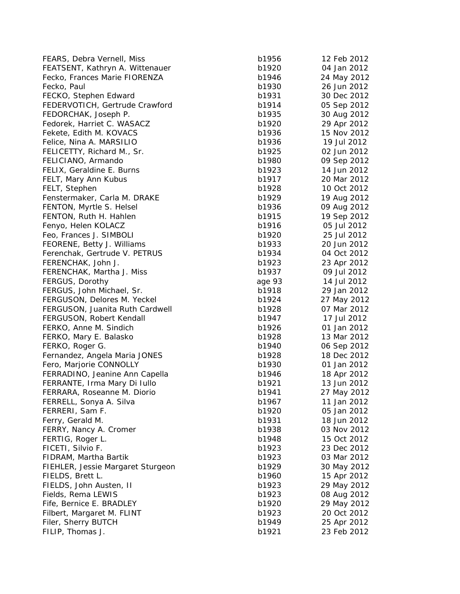FEARS, Debra Vernell, Miss b1 FEATSENT, Kathryn A. Wittenauer b1 Fecko, Frances Marie FIORENZA b1 Fecko, Paul b1930 26 Jun 2013 26 Jun 2013 26 Jun 2013 26 Jun 2013 26 Jun 2013 26 Jun 2013 26 Jun 201 FECKO, Stephen Edward b1 FEDERVOTICH, Gertrude Crawford b1 FEDORCHAK, Joseph P. b1935 80 Aug 2013 30 Aug 2013 30 Aug 2013 30 Aug 2013 30 Aug 2013 30 Aug 2013 30 Aug 2013 Fedorek, Harriet C. WASACZ b1 Fekete, Edith M. KOVACS b1 Felice, Nina A. MARSILIO b1 FELICETTY, Richard M., Sr. b1925 02 Jun 2012 02 Jun 2013 02 Jun 2013 02 Jun 2013 02 Jun 2013 02 Jun 2013 02 Jun 201 FELICIANO, Armando b1 FELIX, Geraldine E. Burns b1 FELT, Mary Ann Kubus b1917 2012 2013 2014 2012 2013 2014 2012 2013 2014 2012 2013 2014 2013 2014 2013 2014 201 FELT, Stephen b1 Fenstermaker, Carla M. DRAKE b1939 b1 FENTON, Myrtle S. Helsel b1 FENTON, Ruth H. Hahlen b1 Fenyo, Helen KOLACZ b1 Feo, Frances J. SIMBOLI b1 FEORENE, Betty J. Williams b1 Ferenchak, Gertrude V. PETRUS b1 FERENCHAK, John J. b1 FERENCHAK, Martha J. Miss b1 FERGUS, Dorothy age 93 14 Jul 2012 12:30 14 Jul 2012 12:30 14 Jul 2012 12:30 14 Jul 2012 12:30 14 Jul 2012 12:30 14 Jul 2012 12:30 14:30 14:30 14:30 14:30 14:30 14:30 14:30 14:30 14:30 14:30 14:30 14:30 14:30 14:30 14:30 1 FERGUS, John Michael, Sr. b1918 29 Jan 2012 2013 2014 2012 2013 2014 2013 2014 2013 2014 2013 2014 2013 2014 201 FERGUSON, Delores M. Yeckel b1924 27 May 2012 27 May 2012 FERGUSON, Juanita Ruth Cardwell b1 FERGUSON, Robert Kendall b1 FERKO, Anne M. Sindich b1 FERKO, Mary E. Balasko b1 FERKO, Roger G. b1940 06 Sep 2012 06 Sep 2012 06 Sep 2012 06 Sep 2012 06 Sep 2012 06 Sep 2012 06 Sep 2012 07:3 Fernandez, Angela Maria JONES b1 Fero, Marjorie CONNOLLY b1 FERRADINO, Jeanine Ann Capella b1 FERRANTE, Irma Mary Di Iullo **b1** FERRARA, Roseanne M. Diorio b1941 27 May 2012 2014 27 May 2014 27 May 2014 27 May 2014 27 May 2014 2014 27 May 2012 FERRELL, Sonya A. Silva b1967 11 Jan 2012 11 Jan 2013 11 Jan 2012 12 Jan 2013 12 Jan 2013 12 Jan 2013 12 Jan 20 FERRERI, Sam F. b1920 of the b1920 of the b1920 of the b1920 of the b1920 of the b1920 of the b1930 of the b1 Ferry, Gerald M. b1 FERRY, Nancy A. Cromer b1 FERTIG, Roger L. b1948 15 Oct 2014 15 Oct 2014 15 Oct 2014 15 Oct 2014 15 Oct 2014 15 Oct 2014 15 Oct 2014 15 O FICETI, Silvio F. b1923 b1933 b1933 b1933 b1933 b1933 b1933 b1933 b1933 b1933 b1933 b1933 b1933 b1933 b1933 b1933 b1933 b1933 b1933 b1933 b1933 b1933 b1933 b1933 b1933 b1933 b1933 b1933 b1933 b1933 b1933 b1933 b1933 b1933 FIDRAM, Martha Bartik b1 FIEHLER, Jessie Margaret Sturgeon b1 FIELDS, Brett L. b1 FIELDS, John Austen, II b1923 b1933 b1933 b1933 b1933 b1933 b1933 b1933 b1933 b1933 b1933 b1933 b1933 b1933 b1 Fields, Rema LEWIS b1 Fife, Bernice E. BRADLEY b1 Filbert, Margaret M. FLINT b1 Filer, Sherry BUTCH b1949 25 Apr 2012 25 Apr 2013 25 Apr 2013 25 Apr 2013 25 Apr 2013 25 Apr 2013 25 Apr 2013 25 Apr 2013 25 Apr 2013 25 Apr 2013 25 Apr 2013 25 Apr 2013 25 Apr 2013 25 Apr 2013 25 Apr 2013 25 Apr 2013 25 A FILIP, Thomas J. b1921 23 Feb 2012 23 Feb 2012 23 Feb 2012 23 Feb 2012 23 Feb 2012 23 Feb 2012 23 Feb 2012 23 Feb 2012 23 Feb 2012 23 Feb 2012 23 Feb 2012 23 Feb 2012 23 Feb 2012 23 Feb 2012 23 Feb 2012 23 Feb 2012 23 Feb

| 956  | 12 Feb 2012    |
|------|----------------|
| 920  | 04 Jan 2012    |
| 946  | 24 May 2012    |
| 930  | 26 Jun 2012    |
| 931  | 30 Dec 2012    |
| 914  | 05 Sep 2012    |
| 935  | 30 Aug 2012    |
| 920  | 29 Apr 2012    |
| 936  | 15 Nov 2012    |
| 936  | 19 Jul 2012    |
| 925  | 02 Jun 2012    |
|      |                |
| 980  | 09 Sep 2012    |
| 923  | 14 Jun 2012    |
| 917  | 20 Mar 2012    |
| 928  | 10 Oct 2012    |
| 929  | 19 Aug 2012    |
| 936  | 09 Aug 2012    |
| 915  | 19 Sep 2012    |
| 916  | 05 Jul 2012    |
| 920  | 25 Jul 2012    |
| 933  | 20 Jun 2012    |
| 934  | 04 Oct 2012    |
| 923  | 23 Apr 2012    |
| 937  | 09 Jul 2012    |
| e 93 | 14 Jul 2012    |
| 918  | 29 Jan 2012    |
| 924  | 27 May 2012    |
| 928  | 07 Mar 2012    |
| 947  | 17 Jul 2012    |
| 926  |                |
|      | 01 Jan 2012    |
| 928  | 13 Mar 2012    |
| 940  | 06 Sep 2012    |
| 928  | 18 Dec 2012    |
| 930  | 2012<br>01 Jan |
| 946  | 18 Apr 2012    |
| 921  | 13 Jun<br>2012 |
| 941  | 27 May 2012    |
| 967  | 11 Jan 2012    |
| 920  | 05 Jan 2012    |
| 931  | 18 Jun 2012    |
| 938  | 03 Nov 2012    |
| 948  | 15 Oct 2012    |
| 923  | 23 Dec 2012    |
| 923  | 03 Mar 2012    |
| 929  | 30 May 2012    |
| 960  | 15 Apr 2012    |
| 923  | 29 May 2012    |
| 923  | 08 Aug 2012    |
| 920  | 29 May 2012    |
| 923  | 20 Oct 2012    |
|      |                |
| 949  | 25 Apr 2012    |
| 921  | 23 Feb 2012    |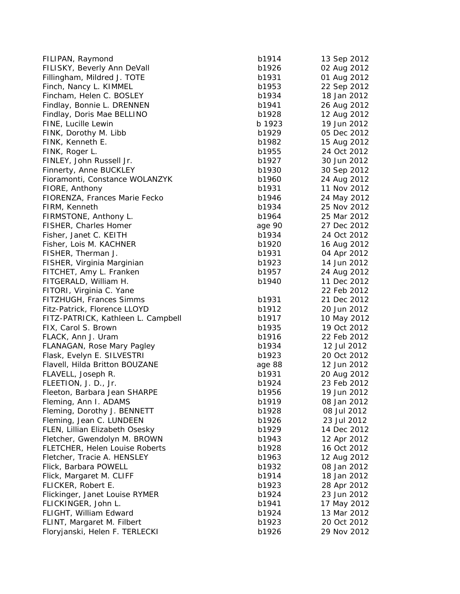| FILIPAN, Raymond                   | b1914  | 13 Sep 2012 |
|------------------------------------|--------|-------------|
| FILISKY, Beverly Ann DeVall        | b1926  | 02 Aug 2012 |
| Fillingham, Mildred J. TOTE        | b1931  | 01 Aug 2012 |
| Finch, Nancy L. KIMMEL             | b1953  | 22 Sep 2012 |
| Fincham, Helen C. BOSLEY           | b1934  | 18 Jan 2012 |
| Findlay, Bonnie L. DRENNEN         | b1941  | 26 Aug 2012 |
| Findlay, Doris Mae BELLINO         | b1928  | 12 Aug 2012 |
| FINE, Lucille Lewin                | b 1923 | 19 Jun 2012 |
| FINK, Dorothy M. Libb              | b1929  | 05 Dec 2012 |
| FINK, Kenneth E.                   | b1982  | 15 Aug 2012 |
| FINK, Roger L.                     | b1955  | 24 Oct 2012 |
| FINLEY, John Russell Jr.           | b1927  | 30 Jun 2012 |
| Finnerty, Anne BUCKLEY             | b1930  | 30 Sep 2012 |
| Fioramonti, Constance WOLANZYK     | b1960  | 24 Aug 2012 |
| FIORE, Anthony                     | b1931  | 11 Nov 2012 |
| FIORENZA, Frances Marie Fecko      | b1946  | 24 May 2012 |
| FIRM, Kenneth                      | b1934  | 25 Nov 2012 |
| FIRMSTONE, Anthony L.              | b1964  | 25 Mar 2012 |
| FISHER, Charles Homer              | age 90 | 27 Dec 2012 |
| Fisher, Janet C. KEITH             | b1934  | 24 Oct 2012 |
| Fisher, Lois M. KACHNER            | b1920  | 16 Aug 2012 |
| FISHER, Therman J.                 | b1931  | 04 Apr 2012 |
| FISHER, Virginia Marginian         | b1923  | 14 Jun 2012 |
| FITCHET, Amy L. Franken            | b1957  | 24 Aug 2012 |
| FITGERALD, William H.              | b1940  | 11 Dec 2012 |
| FITORI, Virginia C. Yane           |        | 22 Feb 2012 |
| FITZHUGH, Frances Simms            | b1931  | 21 Dec 2012 |
| Fitz-Patrick, Florence LLOYD       | b1912  | 20 Jun 2012 |
| FITZ-PATRICK, Kathleen L. Campbell | b1917  | 10 May 2012 |
| FIX, Carol S. Brown                | b1935  | 19 Oct 2012 |
| FLACK, Ann J. Uram                 | b1916  | 22 Feb 2012 |
| <b>FLANAGAN, Rose Mary Pagley</b>  | b1934  | 12 Jul 2012 |
| Flask, Evelyn E. SILVESTRI         | b1923  | 20 Oct 2012 |
| Flavell, Hilda Britton BOUZANE     | age 88 | 12 Jun 2012 |
| FLAVELL, Joseph R.                 | b1931  | 20 Aug 2012 |
| FLEETION, J. D., Jr.               | b1924  | 23 Feb 2012 |
| Fleeton, Barbara Jean SHARPE       | b1956  | 19 Jun 2012 |
| Fleming, Ann I. ADAMS              | b1919  | 08 Jan 2012 |
| Fleming, Dorothy J. BENNETT        | b1928  | 08 Jul 2012 |
| Fleming, Jean C. LUNDEEN           | b1926  | 23 Jul 2012 |
| FLEN, Lillian Elizabeth Osesky     | b1929  | 14 Dec 2012 |
| Fletcher, Gwendolyn M. BROWN       | b1943  | 12 Apr 2012 |
| FLETCHER, Helen Louise Roberts     | b1928  | 16 Oct 2012 |
| Fletcher, Tracie A. HENSLEY        | b1963  | 12 Aug 2012 |
| Flick, Barbara POWELL              | b1932  | 08 Jan 2012 |
| Flick, Margaret M. CLIFF           | b1914  | 18 Jan 2012 |
| FLICKER, Robert E.                 | b1923  | 28 Apr 2012 |
| Flickinger, Janet Louise RYMER     | b1924  | 23 Jun 2012 |
| FLICKINGER, John L.                | b1941  | 17 May 2012 |
| FLIGHT, William Edward             | b1924  | 13 Mar 2012 |
| FLINT, Margaret M. Filbert         | b1923  | 20 Oct 2012 |
| Floryjanski, Helen F. TERLECKI     | b1926  | 29 Nov 2012 |
|                                    |        |             |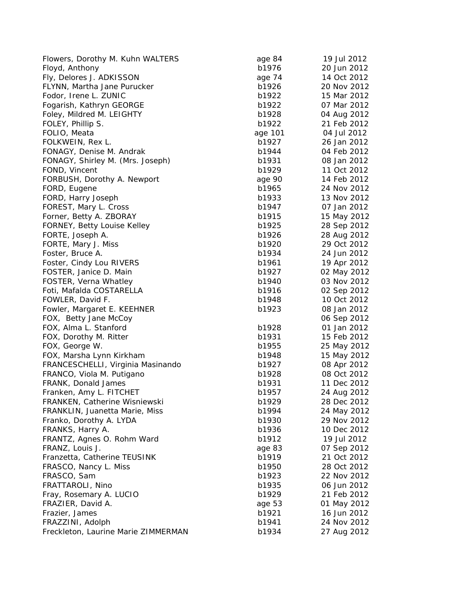| Flowers, Dorothy M. Kuhn WALTERS    | age 84  | 19 Jul 2012 |
|-------------------------------------|---------|-------------|
| Floyd, Anthony                      | b1976   | 20 Jun 2012 |
| Fly, Delores J. ADKISSON            | age 74  | 14 Oct 2012 |
| FLYNN, Martha Jane Purucker         | b1926   | 20 Nov 2012 |
| Fodor, Irene L. ZUNIC               | b1922   | 15 Mar 2012 |
| Fogarish, Kathryn GEORGE            | b1922   | 07 Mar 2012 |
| Foley, Mildred M. LEIGHTY           | b1928   | 04 Aug 2012 |
| FOLEY, Phillip S.                   | b1922   | 21 Feb 2012 |
| FOLIO, Meata                        | age 101 | 04 Jul 2012 |
| FOLKWEIN, Rex L.                    | b1927   | 26 Jan 2012 |
| FONAGY, Denise M. Andrak            | b1944   | 04 Feb 2012 |
| FONAGY, Shirley M. (Mrs. Joseph)    | b1931   | 08 Jan 2012 |
| FOND, Vincent                       | b1929   | 11 Oct 2012 |
| FORBUSH, Dorothy A. Newport         | age 90  | 14 Feb 2012 |
| FORD, Eugene                        | b1965   | 24 Nov 2012 |
| FORD, Harry Joseph                  | b1933   | 13 Nov 2012 |
| FOREST, Mary L. Cross               | b1947   | 07 Jan 2012 |
| Forner, Betty A. ZBORAY             | b1915   | 15 May 2012 |
| FORNEY, Betty Louise Kelley         | b1925   | 28 Sep 2012 |
| FORTE, Joseph A.                    | b1926   | 28 Aug 2012 |
| FORTE, Mary J. Miss                 | b1920   | 29 Oct 2012 |
| Foster, Bruce A.                    | b1934   | 24 Jun 2012 |
| Foster, Cindy Lou RIVERS            | b1961   | 19 Apr 2012 |
| FOSTER, Janice D. Main              | b1927   | 02 May 2012 |
| FOSTER, Verna Whatley               | b1940   | 03 Nov 2012 |
| Foti, Mafalda COSTARELLA            | b1916   | 02 Sep 2012 |
| FOWLER, David F.                    | b1948   | 10 Oct 2012 |
| Fowler, Margaret E. KEEHNER         | b1923   | 08 Jan 2012 |
| FOX, Betty Jane McCoy               |         | 06 Sep 2012 |
| FOX, Alma L. Stanford               | b1928   | 01 Jan 2012 |
| FOX, Dorothy M. Ritter              | b1931   | 15 Feb 2012 |
| FOX, George W.                      | b1955   | 25 May 2012 |
| FOX, Marsha Lynn Kirkham            | b1948   | 15 May 2012 |
| FRANCESCHELLI, Virginia Masinando   | b1927   | 08 Apr 2012 |
| FRANCO, Viola M. Putigano           | b1928   | 08 Oct 2012 |
| FRANK, Donald James                 | b1931   | 11 Dec 2012 |
| Franken, Amy L. FITCHET             | b1957   | 24 Aug 2012 |
| FRANKEN, Catherine Wisniewski       | b1929   | 28 Dec 2012 |
| FRANKLIN, Juanetta Marie, Miss      | b1994   | 24 May 2012 |
| Franko, Dorothy A. LYDA             | b1930   | 29 Nov 2012 |
| FRANKS, Harry A.                    | b1936   | 10 Dec 2012 |
| FRANTZ, Agnes O. Rohm Ward          | b1912   | 19 Jul 2012 |
| FRANZ, Louis J.                     | age 83  | 07 Sep 2012 |
| Franzetta, Catherine TEUSINK        | b1919   | 21 Oct 2012 |
| FRASCO, Nancy L. Miss               | b1950   | 28 Oct 2012 |
| FRASCO, Sam                         | b1923   | 22 Nov 2012 |
| FRATTAROLI, Nino                    | b1935   | 06 Jun 2012 |
| Fray, Rosemary A. LUCIO             | b1929   | 21 Feb 2012 |
| FRAZIER, David A.                   | age 53  | 01 May 2012 |
| Frazier, James                      | b1921   | 16 Jun 2012 |
| FRAZZINI, Adolph                    | b1941   | 24 Nov 2012 |
| Freckleton, Laurine Marie ZIMMERMAN | b1934   | 27 Aug 2012 |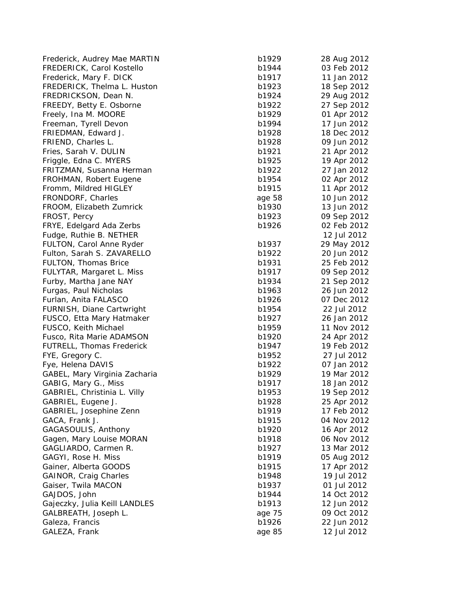Frederick, Audrey Mae MARTIN b1 FREDERICK, Carol Kostello b1 Frederick, Mary F. DICK b1 FREDERICK, Thelma L. Huston b1 FREDRICKSON, Dean N. b1 FREEDY, Betty E. Osborne b1 Freely, Ina M. MOORE b1929 b1929 b1939 b1939 b1939 b1939 b1939 b1939 b1939 b1939 b1939 b1939 b1939 b1939 b1939 b1939 b1939 b1939 b1939 b1939 b1939 b1939 b1939 b1939 b1939 b1939 b1939 b1939 b1939 b1939 b1939 b1939 b1939 b19 Freeman, Tyrell Devon b1994 17 Jun 2012 17 Jun 2014 17 Jun 2013 17 Jun 2013 17 Jun 2013 17 Jun 2013 17 Jun 201 FRIEDMAN, Edward J. b1 FRIEND, Charles L. b1928 09 Jun 2012 09 Jun 2012 09 Jun 2012 09 Jun 2012 09 Jun 2012 09 Jun 2012 09 Jun 2012 09 Jun 2012 09 Jun 2012 09 Jun 2012 09 Jun 2012 09 Jun 2012 09 Jun 2012 09 Jun 2012 09 Jun 2012 09 Jun 2012 09 Ju Fries, Sarah V. DULIN b1 Friggle, Edna C. MYERS b1 FRITZMAN, Susanna Herman b1 FROHMAN, Robert Eugene b1 Fromm, Mildred HIGLEY b1 FRONDORF, Charles **28 10 Jun 2012** 10 Jun 2012 10 Jun 2012 10 Jun 2012 10 Jun 2012 10 Jun 2012 10 Jun 2012 10 Jun 2012 10 Jun 2012 10 Jun 2012 10 Jun 2012 10 Jun 2012 10 Jun 2012 10 Jun 2012 10 Jun 2012 10 Jun 2012 10 Jun FROOM, Elizabeth Zumrick b1 FROST, Percy b1923 b1933 b1933 b1933 b1933 b1933 b1933 b1933 b1933 b1933 b1933 b1933 b1933 b1933 b1933 b1933 b1933 b1933 b1933 b1933 b1933 b1933 b1933 b1933 b1933 b1933 b1933 b1933 b1933 b1933 b1933 b1933 b1933 b1933 b1933 FRYE, Edelgard Ada Zerbs b1 Fudge, Ruthie B. NETHER FULTON, Carol Anne Ryder b1937 2022 Fulton, Sarah S. ZAVARELLO b1 FULTON, Thomas Brice b1931 25 and 2012 FULYTAR, Margaret L. Miss b1 Furby, Martha Jane NAY b1 Furgas, Paul Nicholas b1 Furlan, Anita FALASCO b1 FURNISH, Diane Cartwright b1 FUSCO, Etta Mary Hatmaker b1927 26 Jan 2012 26 Jan 2012 26 Jan 2012 26 Jan 2012 26 Jan 2012 26 Jan 2012 26 Jan 201 FUSCO, Keith Michael b1 Fusco, Rita Marie ADAMSON b1 FUTRELL, Thomas Frederick b1 FYE, Gregory C. b1952 27 Jul 2012 27 Jul 2013 27 Jul 2013 27 Jul 2013 27 Jul 2013 27 Jul 2013 27 Jul 2013 27 Jul 2013 27 Jul 2013 27 Jul 2013 27 Jul 2013 27 Jul 2013 27 Jul 2013 27 Jul 2013 27 Jul 2013 27 Jul 2013 27 Jul 2 Fye, Helena DAVIS b1 GABEL, Mary Virginia Zacharia b1929 19 Mar 2012 GABIG, Mary G., Miss b1 GABRIEL, Christinia L. Villy b1953 19 Sep 2012 GABRIEL, Eugene J. b1 GABRIEL, Josephine Zenn b1919 17 Feb 2012 17 Feb 2013 17 Feb 2013 17 Feb 2013 17 Feb 2013 17 Feb 2013 17 Feb 20 GACA, Frank J. b1915 04 Nov 2012 04 Nov 2012 04 Nov 2012 04 Nov 2012 04 Nov 2012 04 Nov 2013 04 Nov 2013 04 Nov 2013 04 Nov 2013 04 Nov 2013 04 Nov 2013 04 Nov 2013 04 Nov 2013 05:00 05:00 05:00 05:00 05:00 05:00 05:00 05: GAGASOULIS, Anthony b1 Gagen, Mary Louise MORAN b1 GAGLIARDO, Carmen R. b1 GAGYI, Rose H. Miss b1919 05 Aug 2012 05 Aug 2013 05 Aug 2013 05 Aug 2013 05 Aug 2013 05 Aug 2013 05 Aug 2013 Gainer, Alberta GOODS b1 GAINOR, Craig Charles b1 Gaiser, Twila MACON b1 GAJDOS, John b1 Gajeczky, Julia Keill LANDLES b1 GALBREATH, Joseph L. age 75 09 Oct 2012 09 Oct 2013 Galeza, Francis b1 GALEZA, Frank age 85 12 Jul 2012 12 Jul 2012 12 Jul 2012 12 Jul 2012 12 Jul 2012 12 Jul 2012 12 Jul 2012 12 Jul 2012 12 Jul 2012 12 Jul 2012 12 Jul 2012 12 Jul 2012 12 Jul 2012 12 Jul 2012 12 Jul 2012 12 Jul 2012 12 Jul 20

| 929  | 28 Aug 2012                |
|------|----------------------------|
| 944  | 03 Feb 2012                |
| 917  | 11 Jan 2012                |
| 923  | 18 Sep 2012                |
| 924  | 29 Aug 2012                |
| 922  | 27 Sep 2012                |
| 929  | 01 Apr 2012                |
| 994  | 17 Jun 2012                |
| 928  | 18 Dec 2012                |
| 928  | 09 Jun 2012                |
| 921  |                            |
| 925  | 21 Apr 2012<br>19 Apr 2012 |
| 922  | 27 Jan 2012                |
| 954  | 02 Apr 2012                |
| 915  |                            |
|      | 11 Apr 2012                |
| e 58 | 10 Jun 2012                |
| 930  | 13 Jun 2012                |
| 923  | 09 Sep 2012                |
| 926  | 02 Feb 2012                |
|      | 12 Jul 2012                |
| 937  | 29 May 2012                |
| 922  | 20 Jun 2012                |
| 931  | 25 Feb 2012                |
| 917  | 09 Sep 2012                |
| 934  | 21 Sep 2012                |
| 963  | 26 Jun 2012                |
| 926  | 07 Dec 2012                |
| 954  | 22 Jul 2012                |
| 927  | 26 Jan 2012                |
| 959  | 11 Nov 2012                |
| 920  | 24 Apr 2012                |
| 947  | 19 Feb 2012                |
| 952  | 27 Jul 2012                |
| 922  | 07 Jan 2012                |
| 929  | 19 Mar 2012                |
| 917  | 18 Jan 2012                |
| 953  | 19 Sep 2012                |
| 928  | 25 Apr 2012                |
| 919  | 17 Feb 2012                |
| 915  | 04 Nov 2012                |
| 920  | 16 Apr 2012                |
| 918  | 06 Nov 2012                |
| 927  | 13 Mar 2012                |
| 919  | 05 Aug 2012                |
| 915  | 17 Apr 2012                |
| 948  | 19 Jul 2012                |
| 937  | 01 Jul 2012                |
| 944  | 14 Oct 2012                |
| 913  | 12 Jun 2012                |
| e 75 | 09 Oct 2012                |
| 926  | 22 Jun 2012                |
| e 85 | 12 Jul 2012                |
|      |                            |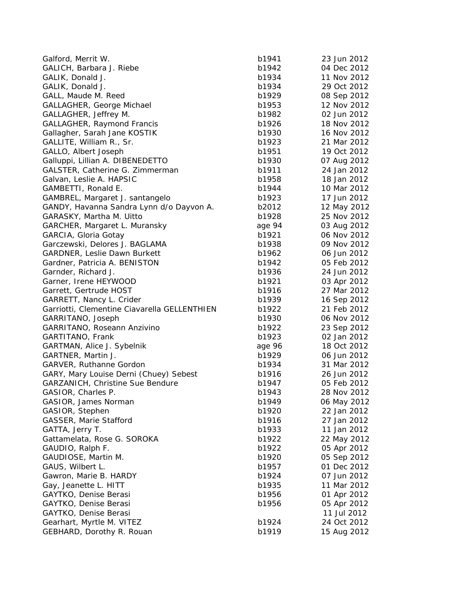| Galford, Merrit W.                           | b1941  | 23 Jun 2012 |
|----------------------------------------------|--------|-------------|
| GALICH, Barbara J. Riebe                     | b1942  | 04 Dec 2012 |
| GALIK, Donald J.                             | b1934  | 11 Nov 2012 |
| GALIK, Donald J.                             | b1934  | 29 Oct 2012 |
| GALL, Maude M. Reed                          | b1929  | 08 Sep 2012 |
| GALLAGHER, George Michael                    | b1953  | 12 Nov 2012 |
| GALLAGHER, Jeffrey M.                        | b1982  | 02 Jun 2012 |
| <b>GALLAGHER, Raymond Francis</b>            | b1926  | 18 Nov 2012 |
| Gallagher, Sarah Jane KOSTIK                 | b1930  | 16 Nov 2012 |
| GALLITE, William R., Sr.                     | b1923  | 21 Mar 2012 |
| GALLO, Albert Joseph                         | b1951  | 19 Oct 2012 |
| Galluppi, Lillian A. DIBENEDETTO             | b1930  | 07 Aug 2012 |
| GALSTER, Catherine G. Zimmerman              | b1911  | 24 Jan 2012 |
| Galvan, Leslie A. HAPSIC                     | b1958  | 18 Jan 2012 |
| GAMBETTI, Ronald E.                          | b1944  | 10 Mar 2012 |
| GAMBREL, Margaret J. santangelo              | b1923  | 17 Jun 2012 |
| GANDY, Havanna Sandra Lynn d/o Dayvon A.     | b2012  | 12 May 2012 |
| GARASKY, Martha M. Uitto                     | b1928  | 25 Nov 2012 |
| GARCHER, Margaret L. Muransky                | age 94 | 03 Aug 2012 |
| GARCIA, Gloria Gotay                         | b1921  | 06 Nov 2012 |
| Garczewski, Delores J. BAGLAMA               | b1938  | 09 Nov 2012 |
| <b>GARDNER, Leslie Dawn Burkett</b>          | b1962  | 06 Jun 2012 |
| Gardner, Patricia A. BENISTON                | b1942  | 05 Feb 2012 |
| Garnder, Richard J.                          | b1936  | 24 Jun 2012 |
| Garner, Irene HEYWOOD                        | b1921  | 03 Apr 2012 |
| Garrett, Gertrude HOST                       | b1916  | 27 Mar 2012 |
| GARRETT, Nancy L. Crider                     | b1939  | 16 Sep 2012 |
| Garriotti, Clementine Ciavarella GELLENTHIEN | b1922  | 21 Feb 2012 |
| GARRITANO, Joseph                            | b1930  | 06 Nov 2012 |
| GARRITANO, Roseann Anzivino                  | b1922  | 23 Sep 2012 |
| GARTITANO, Frank                             | b1923  | 02 Jan 2012 |
| GARTMAN, Alice J. Sybelnik                   | age 96 | 18 Oct 2012 |
| GARTNER, Martin J.                           | b1929  | 06 Jun 2012 |
| GARVER, Ruthanne Gordon                      | b1934  | 31 Mar 2012 |
| GARY, Mary Louise Derni (Chuey) Sebest       | b1916  | 26 Jun 2012 |
| <b>GARZANICH, Christine Sue Bendure</b>      | b1947  | 05 Feb 2012 |
| GASIOR, Charles P.                           | b1943  | 28 Nov 2012 |
| GASIOR, James Norman                         | b1949  | 06 May 2012 |
| GASIOR, Stephen                              | b1920  | 22 Jan 2012 |
| <b>GASSER, Marie Stafford</b>                | b1916  | 27 Jan 2012 |
| GATTA, Jerry T.                              | b1933  | 11 Jan 2012 |
| Gattamelata, Rose G. SOROKA                  | b1922  | 22 May 2012 |
| GAUDIO, Ralph F.                             | b1922  | 05 Apr 2012 |
| GAUDIOSE, Martin M.                          | b1920  | 05 Sep 2012 |
| GAUS, Wilbert L.                             | b1957  | 01 Dec 2012 |
| Gawron, Marie B. HARDY                       | b1924  | 07 Jun 2012 |
| Gay, Jeanette L. HITT                        | b1935  | 11 Mar 2012 |
| GAYTKO, Denise Berasi                        | b1956  | 01 Apr 2012 |
| GAYTKO, Denise Berasi                        | b1956  | 05 Apr 2012 |
| GAYTKO, Denise Berasi                        |        | 11 Jul 2012 |
| Gearhart, Myrtle M. VITEZ                    | b1924  | 24 Oct 2012 |
| GEBHARD, Dorothy R. Rouan                    | b1919  | 15 Aug 2012 |
|                                              |        |             |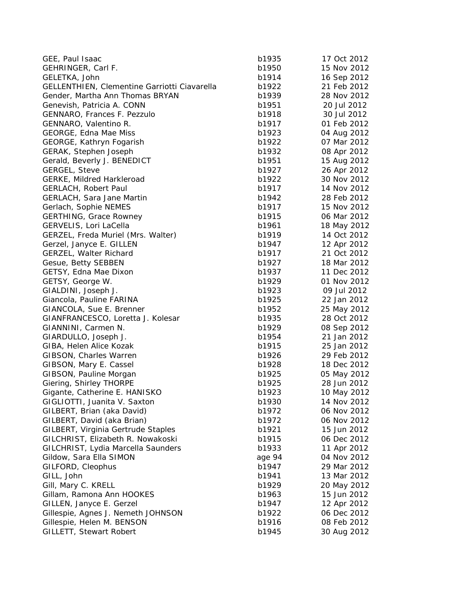| GEE, Paul Isaac                                              | b1935          | 17 Oct 2012                |
|--------------------------------------------------------------|----------------|----------------------------|
| GEHRINGER, Carl F.                                           | b1950          | 15 Nov 2012                |
| GELETKA, John                                                | b1914          | 16 Sep 2012                |
| GELLENTHIEN, Clementine Garriotti Ciavarella                 | b1922          | 21 Feb 2012                |
| Gender, Martha Ann Thomas BRYAN                              | b1939          | 28 Nov 2012                |
| Genevish, Patricia A. CONN                                   | b1951          | 20 Jul 2012                |
| GENNARO, Frances F. Pezzulo                                  | b1918          | 30 Jul 2012                |
| GENNARO, Valentino R.                                        | b1917          | 01 Feb 2012                |
| GEORGE, Edna Mae Miss                                        | b1923          | 04 Aug 2012                |
| GEORGE, Kathryn Fogarish                                     | b1922          | 07 Mar 2012                |
| GERAK, Stephen Joseph                                        | b1932          | 08 Apr 2012                |
| Gerald, Beverly J. BENEDICT                                  | b1951          | 15 Aug 2012                |
| GERGEL, Steve                                                | b1927          | 26 Apr 2012                |
| <b>GERKE, Mildred Harkleroad</b>                             | b1922          | 30 Nov 2012                |
| <b>GERLACH, Robert Paul</b>                                  | b1917          | 14 Nov 2012                |
| <b>GERLACH, Sara Jane Martin</b>                             | b1942          | 28 Feb 2012                |
| Gerlach, Sophie NEMES                                        | b1917          | 15 Nov 2012                |
| <b>GERTHING, Grace Rowney</b>                                | b1915          | 06 Mar 2012                |
|                                                              | b1961          |                            |
| GERVELIS, Lori LaCella<br>GERZEL, Freda Muriel (Mrs. Walter) | b1919          | 18 May 2012<br>14 Oct 2012 |
|                                                              |                | 12 Apr 2012                |
| Gerzel, Janyce E. GILLEN<br><b>GERZEL, Walter Richard</b>    | b1947<br>b1917 | 21 Oct 2012                |
| Gesue, Betty SEBBEN                                          | b1927          | 18 Mar 2012                |
| GETSY, Edna Mae Dixon                                        | b1937          | 11 Dec 2012                |
| GETSY, George W.                                             | b1929          | 01 Nov 2012                |
|                                                              |                | 09 Jul 2012                |
| GIALDINI, Joseph J.                                          | b1923          |                            |
| Giancola, Pauline FARINA                                     | b1925          | 22 Jan 2012                |
| GIANCOLA, Sue E. Brenner                                     | b1952          | 25 May 2012                |
| GIANFRANCESCO, Loretta J. Kolesar                            | b1935          | 28 Oct 2012                |
| GIANNINI, Carmen N.                                          | b1929          | 08 Sep 2012                |
| GIARDULLO, Joseph J.                                         | b1954          | 21 Jan 2012                |
| GIBA, Helen Alice Kozak                                      | b1915          | 25 Jan 2012                |
| GIBSON, Charles Warren                                       | b1926          | 29 Feb 2012                |
| GIBSON, Mary E. Cassel                                       | b1928          | 18 Dec 2012                |
| GIBSON, Pauline Morgan                                       | b1925          | 05 May 2012                |
| Giering, Shirley THORPE                                      | b1925          | 28 Jun 2012                |
| Gigante, Catherine E. HANISKO                                | b1923          | 10 May 2012                |
| GIGLIOTTI, Juanita V. Saxton                                 | b1930          | 14 Nov 2012                |
| GILBERT, Brian (aka David)                                   | b1972          | 06 Nov 2012                |
| GILBERT, David (aka Brian)                                   | b1972          | 06 Nov 2012                |
| GILBERT, Virginia Gertrude Staples                           | b1921          | 15 Jun 2012                |
| GILCHRIST, Elizabeth R. Nowakoski                            | b1915          | 06 Dec 2012                |
| GILCHRIST, Lydia Marcella Saunders                           | b1933          | 11 Apr 2012                |
| Gildow, Sara Ella SIMON                                      | age 94         | 04 Nov 2012                |
| GILFORD, Cleophus                                            | b1947          | 29 Mar 2012                |
| GILL, John                                                   | b1941          | 13 Mar 2012                |
| Gill, Mary C. KRELL                                          | b1929          | 20 May 2012                |
| Gillam, Ramona Ann HOOKES                                    | b1963          | 15 Jun 2012                |
| GILLEN, Janyce E. Gerzel                                     | b1947          | 12 Apr 2012                |
| Gillespie, Agnes J. Nemeth JOHNSON                           | b1922          | 06 Dec 2012                |
| Gillespie, Helen M. BENSON                                   | b1916          | 08 Feb 2012                |
| GILLETT, Stewart Robert                                      | b1945          | 30 Aug 2012                |
|                                                              |                |                            |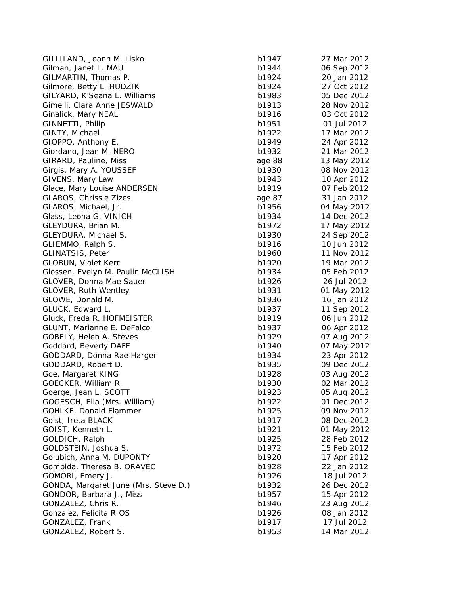| GILLILAND, Joann M. Lisko            | b1947  | 27 Mar 2012 |
|--------------------------------------|--------|-------------|
| Gilman, Janet L. MAU                 | b1944  | 06 Sep 2012 |
| GILMARTIN, Thomas P.                 | b1924  | 20 Jan 2012 |
| Gilmore, Betty L. HUDZIK             | b1924  | 27 Oct 2012 |
| GILYARD, K'Seana L. Williams         | b1983  | 05 Dec 2012 |
| Gimelli, Clara Anne JESWALD          | b1913  | 28 Nov 2012 |
| Ginalick, Mary NEAL                  | b1916  | 03 Oct 2012 |
| GINNETTI, Philip                     | b1951  | 01 Jul 2012 |
| GINTY, Michael                       | b1922  | 17 Mar 2012 |
| GIOPPO, Anthony E.                   | b1949  | 24 Apr 2012 |
| Giordano, Jean M. NERO               | b1932  | 21 Mar 2012 |
| GIRARD, Pauline, Miss                | age 88 | 13 May 2012 |
| Girgis, Mary A. YOUSSEF              | b1930  | 08 Nov 2012 |
| GIVENS, Mary Law                     | b1943  | 10 Apr 2012 |
| Glace, Mary Louise ANDERSEN          | b1919  | 07 Feb 2012 |
| GLAROS, Chrissie Zizes               | age 87 | 31 Jan 2012 |
| GLAROS, Michael, Jr.                 | b1956  | 04 May 2012 |
| Glass, Leona G. VINICH               | b1934  | 14 Dec 2012 |
| GLEYDURA, Brian M.                   | b1972  | 17 May 2012 |
| GLEYDURA, Michael S.                 | b1930  | 24 Sep 2012 |
| GLIEMMO, Ralph S.                    | b1916  | 10 Jun 2012 |
| <b>GLINATSIS, Peter</b>              | b1960  | 11 Nov 2012 |
| <b>GLOBUN, Violet Kerr</b>           | b1920  | 19 Mar 2012 |
| Glossen, Evelyn M. Paulin McCLISH    | b1934  | 05 Feb 2012 |
| GLOVER, Donna Mae Sauer              | b1926  | 26 Jul 2012 |
| <b>GLOVER, Ruth Wentley</b>          | b1931  | 01 May 2012 |
| GLOWE, Donald M.                     | b1936  | 16 Jan 2012 |
| GLUCK, Edward L.                     | b1937  | 11 Sep 2012 |
| Gluck, Freda R. HOFMEISTER           | b1919  | 06 Jun 2012 |
| GLUNT, Marianne E. DeFalco           | b1937  | 06 Apr 2012 |
| GOBELY, Helen A. Steves              | b1929  | 07 Aug 2012 |
| Goddard, Beverly DAFF                | b1940  | 07 May 2012 |
| GODDARD, Donna Rae Harger            | b1934  | 23 Apr 2012 |
| GODDARD, Robert D.                   | b1935  | 09 Dec 2012 |
| Goe, Margaret KING                   | b1928  | 03 Aug 2012 |
| GOECKER, William R.                  | b1930  | 02 Mar 2012 |
| Goerge, Jean L. SCOTT                | b1923  | 05 Aug 2012 |
| GOGESCH, Ella (Mrs. William)         | b1922  | 01 Dec 2012 |
| GOHLKE, Donald Flammer               | b1925  | 09 Nov 2012 |
| Goist, Ireta BLACK                   | b1917  | 08 Dec 2012 |
| GOIST, Kenneth L.                    | b1921  | 01 May 2012 |
| GOLDICH, Ralph                       | b1925  | 28 Feb 2012 |
| GOLDSTEIN, Joshua S.                 | b1972  | 15 Feb 2012 |
| Golubich, Anna M. DUPONTY            | b1920  | 17 Apr 2012 |
| Gombida, Theresa B. ORAVEC           | b1928  | 22 Jan 2012 |
| GOMORI, Emery J.                     | b1926  | 18 Jul 2012 |
| GONDA, Margaret June (Mrs. Steve D.) | b1932  | 26 Dec 2012 |
| GONDOR, Barbara J., Miss             | b1957  | 15 Apr 2012 |
| GONZALEZ, Chris R.                   | b1946  | 23 Aug 2012 |
| Gonzalez, Felicita RIOS              | b1926  | 08 Jan 2012 |
| GONZALEZ, Frank                      | b1917  | 17 Jul 2012 |
| GONZALEZ, Robert S.                  | b1953  | 14 Mar 2012 |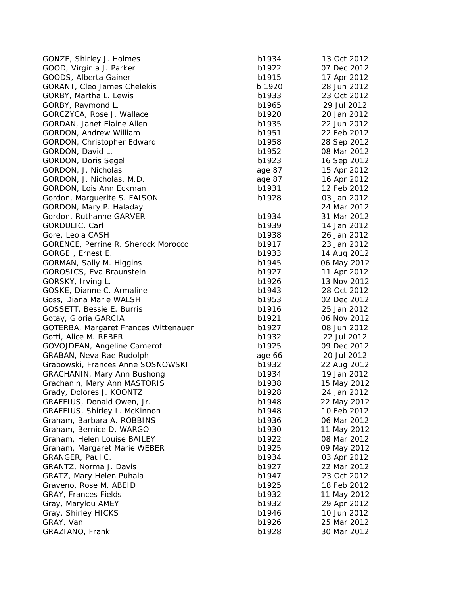| GONZE, Shirley J. Holmes                    | b1934          | 13 Oct 2012 |
|---------------------------------------------|----------------|-------------|
| GOOD, Virginia J. Parker                    | b1922          | 07 Dec 2012 |
| GOODS, Alberta Gainer                       | b1915          | 17 Apr 2012 |
| GORANT, Cleo James Chelekis                 | b 1920         | 28 Jun 2012 |
| GORBY, Martha L. Lewis                      | b1933          | 23 Oct 2012 |
| GORBY, Raymond L.                           | b1965          | 29 Jul 2012 |
| GORCZYCA, Rose J. Wallace                   | b1920          | 20 Jan 2012 |
| <b>GORDAN, Janet Elaine Allen</b>           | b1935          | 22 Jun 2012 |
| GORDON, Andrew William                      | b1951          | 22 Feb 2012 |
| GORDON, Christopher Edward                  | b1958          | 28 Sep 2012 |
| GORDON, David L.                            | b1952          | 08 Mar 2012 |
| GORDON, Doris Segel                         | b1923          | 16 Sep 2012 |
| GORDON, J. Nicholas                         | age 87         | 15 Apr 2012 |
| GORDON, J. Nicholas, M.D.                   | age 87         | 16 Apr 2012 |
| GORDON, Lois Ann Eckman                     | b1931          | 12 Feb 2012 |
| Gordon, Marguerite S. FAISON                | b1928          | 03 Jan 2012 |
| GORDON, Mary P. Haladay                     |                | 24 Mar 2012 |
| Gordon, Ruthanne GARVER                     | b1934          | 31 Mar 2012 |
| GORDULIC, Carl                              | b1939          | 14 Jan 2012 |
| Gore, Leola CASH                            | b1938          | 26 Jan 2012 |
| GORENCE, Perrine R. Sherock Morocco         | b1917          | 23 Jan 2012 |
| GORGEI, Ernest E.                           | b1933          | 14 Aug 2012 |
| GORMAN, Sally M. Higgins                    | b1945          | 06 May 2012 |
| GOROSICS, Eva Braunstein                    | b1927          | 11 Apr 2012 |
| GORSKY, Irving L.                           | b1926          | 13 Nov 2012 |
| GOSKE, Dianne C. Armaline                   | b1943          | 28 Oct 2012 |
| Goss, Diana Marie WALSH                     | b1953          | 02 Dec 2012 |
| GOSSETT, Bessie E. Burris                   | b1916          | 25 Jan 2012 |
| Gotay, Gloria GARCIA                        | b1921          | 06 Nov 2012 |
| <b>GOTERBA, Margaret Frances Wittenauer</b> | b1927          | 08 Jun 2012 |
| Gotti, Alice M. REBER                       | b1932          | 22 Jul 2012 |
| GOVOJDEAN, Angeline Camerot                 | b1925          | 09 Dec 2012 |
| GRABAN, Neva Rae Rudolph                    | age 66         | 20 Jul 2012 |
| Grabowski, Frances Anne SOSNOWSKI           | b1932          | 22 Aug 2012 |
| GRACHANIN, Mary Ann Bushong                 | b1934          | 19 Jan 2012 |
| Grachanin, Mary Ann MASTORIS                | b1938          | 15 May 2012 |
| Grady, Dolores J. KOONTZ                    | b1928          | 24 Jan 2012 |
| GRAFFIUS, Donald Owen, Jr.                  | b1948          | 22 May 2012 |
| <b>GRAFFIUS, Shirley L. McKinnon</b>        | b1948          | 10 Feb 2012 |
| Graham, Barbara A. ROBBINS                  | b1936          | 06 Mar 2012 |
| Graham, Bernice D. WARGO                    | b1930          | 11 May 2012 |
| Graham, Helen Louise BAILEY                 | b1922          | 08 Mar 2012 |
| Graham, Margaret Marie WEBER                | b1925          | 09 May 2012 |
| GRANGER, Paul C.                            | b1934          | 03 Apr 2012 |
| GRANTZ, Norma J. Davis                      |                | 22 Mar 2012 |
|                                             | b1927<br>b1947 | 23 Oct 2012 |
| GRATZ, Mary Helen Puhala                    |                |             |
| Graveno, Rose M. ABEID                      | b1925          | 18 Feb 2012 |
| <b>GRAY, Frances Fields</b>                 | b1932          | 11 May 2012 |
| Gray, Marylou AMEY                          | b1932          | 29 Apr 2012 |
| Gray, Shirley HICKS                         | b1946          | 10 Jun 2012 |
| GRAY, Van                                   | b1926          | 25 Mar 2012 |
| GRAZIANO, Frank                             | b1928          | 30 Mar 2012 |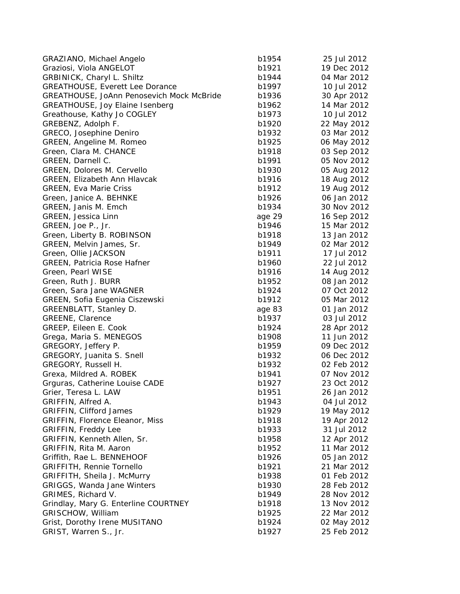| GRAZIANO, Michael Angelo                  | b1954  | 25 Jul 2012                |
|-------------------------------------------|--------|----------------------------|
| Graziosi, Viola ANGELOT                   | b1921  | 19 Dec 2012                |
| GRBINICK, Charyl L. Shiltz                | b1944  | 04 Mar 2012                |
| <b>GREATHOUSE, Everett Lee Dorance</b>    | b1997  | 10 Jul 2012                |
| GREATHOUSE, JoAnn Penosevich Mock McBride | b1936  | 30 Apr 2012                |
| GREATHOUSE, Joy Elaine Isenberg           | b1962  | 14 Mar 2012                |
| Greathouse, Kathy Jo COGLEY               | b1973  | 10 Jul 2012                |
| GREBENZ, Adolph F.                        | b1920  | 22 May 2012                |
| GRECO, Josephine Deniro                   | b1932  | 03 Mar 2012                |
| GREEN, Angeline M. Romeo                  | b1925  | 06 May 2012                |
| Green, Clara M. CHANCE                    | b1918  | 03 Sep 2012                |
| GREEN, Darnell C.                         | b1991  | 05 Nov 2012                |
| GREEN, Dolores M. Cervello                | b1930  | 05 Aug 2012                |
| <b>GREEN, Elizabeth Ann Hlavcak</b>       | b1916  | 18 Aug 2012                |
| <b>GREEN, Eva Marie Criss</b>             | b1912  | 19 Aug 2012                |
| Green, Janice A. BEHNKE                   | b1926  | 06 Jan 2012                |
| GREEN, Janis M. Emch                      | b1934  | 30 Nov 2012                |
| GREEN, Jessica Linn                       | age 29 | 16 Sep 2012                |
| GREEN, Joe P., Jr.                        | b1946  | 15 Mar 2012                |
| Green, Liberty B. ROBINSON                | b1918  | 13 Jan 2012                |
| GREEN, Melvin James, Sr.                  | b1949  | 02 Mar 2012                |
| Green, Ollie JACKSON                      | b1911  | 17 Jul 2012                |
| <b>GREEN, Patricia Rose Hafner</b>        | b1960  | 22 Jul 2012                |
| Green, Pearl WISE                         | b1916  | 14 Aug 2012                |
| Green, Ruth J. BURR                       | b1952  | 08 Jan 2012                |
| Green, Sara Jane WAGNER                   | b1924  | 07 Oct 2012                |
| GREEN, Sofia Eugenia Ciszewski            | b1912  | 05 Mar 2012                |
| GREENBLATT, Stanley D.                    | age 83 | 01 Jan 2012                |
| GREENE, Clarence                          | b1937  | 03 Jul 2012                |
| GREEP, Eileen E. Cook                     | b1924  | 28 Apr 2012                |
| Grega, Maria S. MENEGOS                   | b1908  | 11 Jun 2012                |
| GREGORY, Jeffery P.                       | b1959  | 09 Dec 2012                |
| GREGORY, Juanita S. Snell                 | b1932  | 06 Dec 2012                |
| GREGORY, Russell H.                       | b1932  | 02 Feb 2012                |
| Grexa, Mildred A. ROBEK                   | b1941  | 07 Nov 2012                |
| Grguras, Catherine Louise CADE            | b1927  | 23 Oct 2012                |
| Grier, Teresa L. LAW                      | b1951  | 26 Jan 2012                |
| GRIFFIN, Alfred A.                        | b1943  | 04 Jul 2012                |
| GRIFFIN, Clifford James                   | b1929  | 19 May 2012                |
| <b>GRIFFIN, Florence Eleanor, Miss</b>    | b1918  | 19 Apr 2012                |
| <b>GRIFFIN, Freddy Lee</b>                | b1933  | 31 Jul 2012                |
| GRIFFIN, Kenneth Allen, Sr.               | b1958  | 12 Apr 2012                |
| GRIFFIN, Rita M. Aaron                    | b1952  | 11 Mar 2012                |
| Griffith, Rae L. BENNEHOOF                | b1926  | 05 Jan 2012                |
| <b>GRIFFITH, Rennie Tornello</b>          | b1921  | 21 Mar 2012                |
| GRIFFITH, Sheila J. McMurry               | b1938  | 01 Feb 2012                |
| GRIGGS, Wanda Jane Winters                | b1930  | 28 Feb 2012                |
| GRIMES, Richard V.                        | b1949  | 28 Nov 2012                |
| Grindlay, Mary G. Enterline COURTNEY      | b1918  | 13 Nov 2012                |
| GRISCHOW, William                         | b1925  | 22 Mar 2012                |
| Grist, Dorothy Irene MUSITANO             | b1924  |                            |
|                                           |        | 02 May 2012<br>25 Feb 2012 |
| GRIST, Warren S., Jr.                     | b1927  |                            |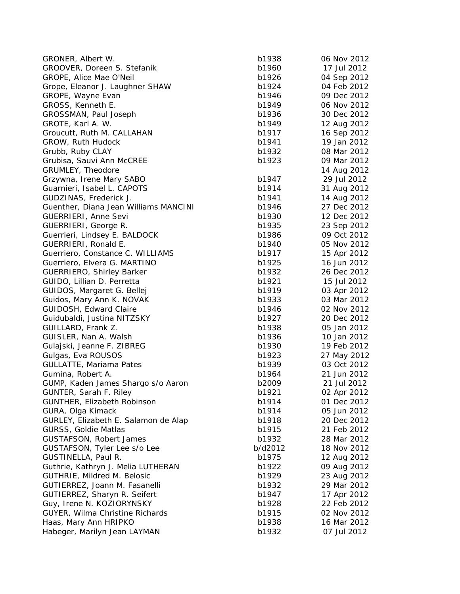| GRONER, Albert W.                     | b1938   | 06 Nov 2012 |
|---------------------------------------|---------|-------------|
| GROOVER, Doreen S. Stefanik           | b1960   | 17 Jul 2012 |
| GROPE, Alice Mae O'Neil               | b1926   | 04 Sep 2012 |
| Grope, Eleanor J. Laughner SHAW       | b1924   | 04 Feb 2012 |
| GROPE, Wayne Evan                     | b1946   | 09 Dec 2012 |
| GROSS, Kenneth E.                     | b1949   | 06 Nov 2012 |
| GROSSMAN, Paul Joseph                 | b1936   | 30 Dec 2012 |
| GROTE, Karl A. W.                     | b1949   | 12 Aug 2012 |
| Groucutt, Ruth M. CALLAHAN            | b1917   | 16 Sep 2012 |
| GROW, Ruth Hudock                     | b1941   | 19 Jan 2012 |
| Grubb, Ruby CLAY                      | b1932   | 08 Mar 2012 |
| Grubisa, Sauvi Ann McCREE             | b1923   | 09 Mar 2012 |
| GRUMLEY, Theodore                     |         | 14 Aug 2012 |
| Grzywna, Irene Mary SABO              | b1947   | 29 Jul 2012 |
| Guarnieri, Isabel L. CAPOTS           | b1914   | 31 Aug 2012 |
| GUDZINAS, Frederick J.                | b1941   | 14 Aug 2012 |
| Guenther, Diana Jean Williams MANCINI | b1946   | 27 Dec 2012 |
| GUERRIERI, Anne Sevi                  | b1930   | 12 Dec 2012 |
| GUERRIERI, George R.                  | b1935   | 23 Sep 2012 |
| Guerrieri, Lindsey E. BALDOCK         | b1986   | 09 Oct 2012 |
| GUERRIERI, Ronald E.                  | b1940   | 05 Nov 2012 |
| Guerriero, Constance C. WILLIAMS      | b1917   | 15 Apr 2012 |
| Guerriero, Elvera G. MARTINO          | b1925   | 16 Jun 2012 |
| <b>GUERRIERO, Shirley Barker</b>      | b1932   | 26 Dec 2012 |
| GUIDO, Lillian D. Perretta            | b1921   | 15 Jul 2012 |
| GUIDOS, Margaret G. Bellej            | b1919   | 03 Apr 2012 |
| Guidos, Mary Ann K. NOVAK             | b1933   | 03 Mar 2012 |
| <b>GUIDOSH, Edward Claire</b>         | b1946   | 02 Nov 2012 |
| Guidubaldi, Justina NITZSKY           | b1927   | 20 Dec 2012 |
| GUILLARD, Frank Z.                    | b1938   | 05 Jan 2012 |
| GUISLER, Nan A. Walsh                 | b1936   | 10 Jan 2012 |
| Gulajski, Jeanne F. ZIBREG            | b1930   | 19 Feb 2012 |
| Gulgas, Eva ROUSOS                    | b1923   | 27 May 2012 |
| <b>GULLATTE, Mariama Pates</b>        | b1939   | 03 Oct 2012 |
| Gumina, Robert A.                     | b1964   | 21 Jun 2012 |
| GUMP, Kaden James Shargo s/o Aaron    | b2009   | 21 Jul 2012 |
| <b>GUNTER, Sarah F. Riley</b>         | b1921   | 02 Apr 2012 |
| <b>GUNTHER, Elizabeth Robinson</b>    | b1914   | 01 Dec 2012 |
| GURA, Olga Kimack                     | b1914   | 05 Jun 2012 |
| GURLEY, Elizabeth E. Salamon de Alap  | b1918   | 20 Dec 2012 |
| <b>GURSS, Goldie Matlas</b>           | b1915   | 21 Feb 2012 |
| <b>GUSTAFSON, Robert James</b>        | b1932   | 28 Mar 2012 |
| GUSTAFSON, Tyler Lee s/o Lee          | b/d2012 | 18 Nov 2012 |
| GUSTINELLA, Paul R.                   | b1975   | 12 Aug 2012 |
| Guthrie, Kathryn J. Melia LUTHERAN    | b1922   | 09 Aug 2012 |
| GUTHRIE, Mildred M. Belosic           | b1929   | 23 Aug 2012 |
| GUTIERREZ, Joann M. Fasanelli         | b1932   | 29 Mar 2012 |
| GUTIERREZ, Sharyn R. Seifert          | b1947   | 17 Apr 2012 |
| Guy, Irene N. KOZIORYNSKY             | b1928   | 22 Feb 2012 |
| GUYER, Wilma Christine Richards       | b1915   | 02 Nov 2012 |
| Haas, Mary Ann HRIPKO                 | b1938   | 16 Mar 2012 |
| Habeger, Marilyn Jean LAYMAN          | b1932   | 07 Jul 2012 |
|                                       |         |             |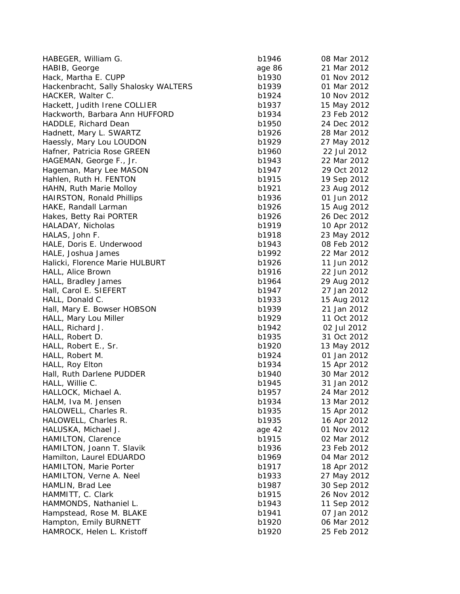| HABEGER, William G.                  | b1946  | 08 Mar 2012 |
|--------------------------------------|--------|-------------|
| HABIB, George                        | age 86 | 21 Mar 2012 |
| Hack, Martha E. CUPP                 | b1930  | 01 Nov 2012 |
| Hackenbracht, Sally Shalosky WALTERS | b1939  | 01 Mar 2012 |
| HACKER, Walter C.                    | b1924  | 10 Nov 2012 |
| Hackett, Judith Irene COLLIER        | b1937  | 15 May 2012 |
| Hackworth, Barbara Ann HUFFORD       | b1934  | 23 Feb 2012 |
| HADDLE, Richard Dean                 | b1950  | 24 Dec 2012 |
| Hadnett, Mary L. SWARTZ              | b1926  | 28 Mar 2012 |
| Haessly, Mary Lou LOUDON             | b1929  | 27 May 2012 |
| Hafner, Patricia Rose GREEN          | b1960  | 22 Jul 2012 |
| HAGEMAN, George F., Jr.              | b1943  | 22 Mar 2012 |
| Hageman, Mary Lee MASON              | b1947  | 29 Oct 2012 |
| Hahlen, Ruth H. FENTON               | b1915  | 19 Sep 2012 |
| HAHN, Ruth Marie Molloy              | b1921  | 23 Aug 2012 |
| <b>HAIRSTON, Ronald Phillips</b>     | b1936  | 01 Jun 2012 |
| HAKE, Randall Larman                 | b1926  | 15 Aug 2012 |
| Hakes, Betty Rai PORTER              | b1926  | 26 Dec 2012 |
| HALADAY, Nicholas                    | b1919  | 10 Apr 2012 |
| HALAS, John F.                       | b1918  | 23 May 2012 |
| HALE, Doris E. Underwood             | b1943  | 08 Feb 2012 |
| HALE, Joshua James                   | b1992  | 22 Mar 2012 |
| Halicki, Florence Marie HULBURT      | b1926  | 11 Jun 2012 |
| HALL, Alice Brown                    | b1916  | 22 Jun 2012 |
| HALL, Bradley James                  | b1964  | 29 Aug 2012 |
| Hall, Carol E. SIEFERT               | b1947  | 27 Jan 2012 |
| HALL, Donald C.                      | b1933  | 15 Aug 2012 |
| Hall, Mary E. Bowser HOBSON          | b1939  | 21 Jan 2012 |
| HALL, Mary Lou Miller                | b1929  | 11 Oct 2012 |
| HALL, Richard J.                     | b1942  | 02 Jul 2012 |
| HALL, Robert D.                      | b1935  | 31 Oct 2012 |
| HALL, Robert E., Sr.                 | b1920  | 13 May 2012 |
| HALL, Robert M.                      | b1924  | 01 Jan 2012 |
| HALL, Roy Elton                      | b1934  | 15 Apr 2012 |
| Hall, Ruth Darlene PUDDER            | b1940  | 30 Mar 2012 |
| HALL, Willie C.                      | b1945  | 31 Jan 2012 |
| HALLOCK, Michael A.                  | b1957  | 24 Mar 2012 |
| HALM, Iva M. Jensen                  | b1934  | 13 Mar 2012 |
| HALOWELL, Charles R.                 | b1935  | 15 Apr 2012 |
| HALOWELL, Charles R.                 | b1935  | 16 Apr 2012 |
| HALUSKA, Michael J.                  | age 42 | 01 Nov 2012 |
| HAMILTON, Clarence                   | b1915  | 02 Mar 2012 |
| HAMILTON, Joann T. Slavik            | b1936  | 23 Feb 2012 |
| Hamilton, Laurel EDUARDO             | b1969  | 04 Mar 2012 |
| HAMILTON, Marie Porter               | b1917  | 18 Apr 2012 |
| HAMILTON, Verne A. Neel              | b1933  | 27 May 2012 |
| HAMLIN, Brad Lee                     | b1987  | 30 Sep 2012 |
| HAMMITT, C. Clark                    | b1915  | 26 Nov 2012 |
| HAMMONDS, Nathaniel L.               | b1943  | 11 Sep 2012 |
| Hampstead, Rose M. BLAKE             | b1941  | 07 Jan 2012 |
| Hampton, Emily BURNETT               | b1920  | 06 Mar 2012 |
| HAMROCK, Helen L. Kristoff           | b1920  | 25 Feb 2012 |
|                                      |        |             |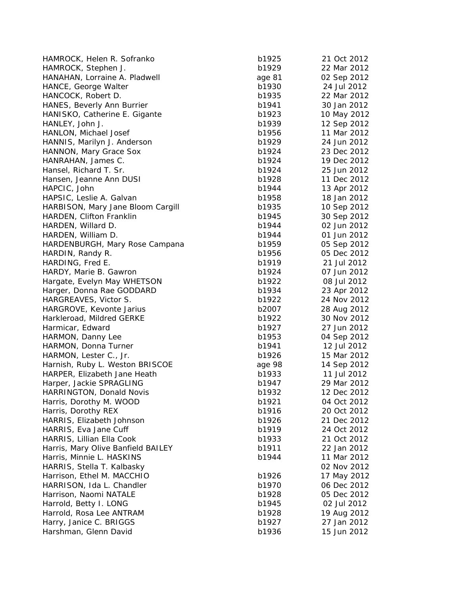| HAMROCK, Helen R. Sofranko         | b1925  | 21 Oct 2012 |
|------------------------------------|--------|-------------|
| HAMROCK, Stephen J.                | b1929  | 22 Mar 2012 |
| HANAHAN, Lorraine A. Pladwell      | age 81 | 02 Sep 2012 |
| HANCE, George Walter               | b1930  | 24 Jul 2012 |
| HANCOCK, Robert D.                 | b1935  | 22 Mar 2012 |
| HANES, Beverly Ann Burrier         | b1941  | 30 Jan 2012 |
| HANISKO, Catherine E. Gigante      | b1923  | 10 May 2012 |
| HANLEY, John J.                    | b1939  | 12 Sep 2012 |
| HANLON, Michael Josef              | b1956  | 11 Mar 2012 |
| HANNIS, Marilyn J. Anderson        | b1929  | 24 Jun 2012 |
| HANNON, Mary Grace Sox             | b1924  | 23 Dec 2012 |
| HANRAHAN, James C.                 | b1924  | 19 Dec 2012 |
| Hansel, Richard T. Sr.             | b1924  | 25 Jun 2012 |
| Hansen, Jeanne Ann DUSI            | b1928  | 11 Dec 2012 |
| HAPCIC, John                       | b1944  | 13 Apr 2012 |
| HAPSIC, Leslie A. Galvan           | b1958  | 18 Jan 2012 |
| HARBISON, Mary Jane Bloom Cargill  | b1935  | 10 Sep 2012 |
| HARDEN, Clifton Franklin           | b1945  | 30 Sep 2012 |
| HARDEN, Willard D.                 | b1944  | 02 Jun 2012 |
| HARDEN, William D.                 | b1944  | 01 Jun 2012 |
| HARDENBURGH, Mary Rose Campana     | b1959  | 05 Sep 2012 |
| HARDIN, Randy R.                   | b1956  | 05 Dec 2012 |
| HARDING, Fred E.                   | b1919  | 21 Jul 2012 |
| HARDY, Marie B. Gawron             | b1924  | 07 Jun 2012 |
| Hargate, Evelyn May WHETSON        | b1922  | 08 Jul 2012 |
| Harger, Donna Rae GODDARD          | b1934  | 23 Apr 2012 |
| HARGREAVES, Victor S.              | b1922  | 24 Nov 2012 |
| HARGROVE, Kevonte Jarius           | b2007  | 28 Aug 2012 |
| Harkleroad, Mildred GERKE          | b1922  | 30 Nov 2012 |
| Harmicar, Edward                   | b1927  | 27 Jun 2012 |
| HARMON, Danny Lee                  | b1953  | 04 Sep 2012 |
| HARMON, Donna Turner               | b1941  | 12 Jul 2012 |
| HARMON, Lester C., Jr.             | b1926  | 15 Mar 2012 |
| Harnish, Ruby L. Weston BRISCOE    | age 98 | 14 Sep 2012 |
| HARPER, Elizabeth Jane Heath       | b1933  | 11 Jul 2012 |
| Harper, Jackie SPRAGLING           | b1947  | 29 Mar 2012 |
| HARRINGTON, Donald Novis           | b1932  | 12 Dec 2012 |
| Harris, Dorothy M. WOOD            | b1921  | 04 Oct 2012 |
| Harris, Dorothy REX                | b1916  | 20 Oct 2012 |
| HARRIS, Elizabeth Johnson          | b1926  | 21 Dec 2012 |
| HARRIS, Eva Jane Cuff              | b1919  | 24 Oct 2012 |
| HARRIS, Lillian Ella Cook          | b1933  | 21 Oct 2012 |
| Harris, Mary Olive Banfield BAILEY | b1911  | 22 Jan 2012 |
| Harris, Minnie L. HASKINS          | b1944  | 11 Mar 2012 |
| HARRIS, Stella T. Kalbasky         |        | 02 Nov 2012 |
| Harrison, Ethel M. MACCHIO         | b1926  | 17 May 2012 |
| HARRISON, Ida L. Chandler          | b1970  | 06 Dec 2012 |
| Harrison, Naomi NATALE             | b1928  | 05 Dec 2012 |
| Harrold, Betty I. LONG             | b1945  | 02 Jul 2012 |
| Harrold, Rosa Lee ANTRAM           | b1928  | 19 Aug 2012 |
| Harry, Janice C. BRIGGS            | b1927  | 27 Jan 2012 |
| Harshman, Glenn David              | b1936  | 15 Jun 2012 |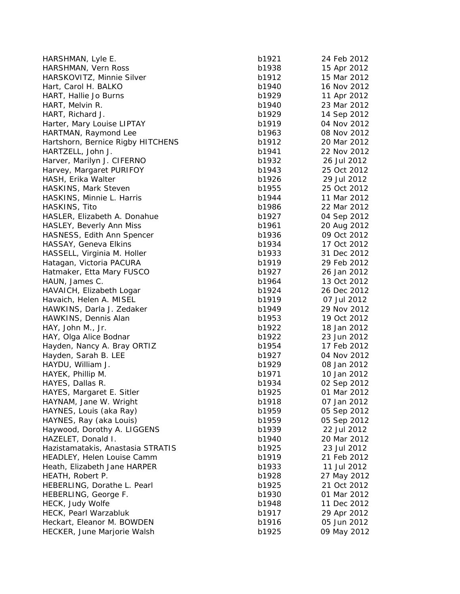| HARSHMAN, Lyle E.                 | b1921 | 24 Feb 2012 |
|-----------------------------------|-------|-------------|
| HARSHMAN, Vern Ross               | b1938 | 15 Apr 2012 |
| HARSKOVITZ, Minnie Silver         | b1912 | 15 Mar 2012 |
| Hart, Carol H. BALKO              | b1940 | 16 Nov 2012 |
| HART, Hallie Jo Burns             | b1929 | 11 Apr 2012 |
| HART, Melvin R.                   | b1940 | 23 Mar 2012 |
| HART, Richard J.                  | b1929 | 14 Sep 2012 |
| Harter, Mary Louise LIPTAY        | b1919 | 04 Nov 2012 |
| HARTMAN, Raymond Lee              | b1963 | 08 Nov 2012 |
| Hartshorn, Bernice Rigby HITCHENS | b1912 | 20 Mar 2012 |
| HARTZELL, John J.                 | b1941 | 22 Nov 2012 |
| Harver, Marilyn J. CIFERNO        | b1932 | 26 Jul 2012 |
| Harvey, Margaret PURIFOY          | b1943 | 25 Oct 2012 |
| HASH, Erika Walter                | b1926 | 29 Jul 2012 |
| HASKINS, Mark Steven              | b1955 | 25 Oct 2012 |
| HASKINS, Minnie L. Harris         | b1944 | 11 Mar 2012 |
| HASKINS, Tito                     | b1986 | 22 Mar 2012 |
| HASLER, Elizabeth A. Donahue      | b1927 | 04 Sep 2012 |
| HASLEY, Beverly Ann Miss          | b1961 | 20 Aug 2012 |
| HASNESS, Edith Ann Spencer        | b1936 | 09 Oct 2012 |
| HASSAY, Geneva Elkins             | b1934 | 17 Oct 2012 |
| HASSELL, Virginia M. Holler       | b1933 | 31 Dec 2012 |
| Hatagan, Victoria PACURA          | b1919 | 29 Feb 2012 |
| Hatmaker, Etta Mary FUSCO         | b1927 | 26 Jan 2012 |
| HAUN, James C.                    | b1964 | 13 Oct 2012 |
| HAVAICH, Elizabeth Logar          | b1924 | 26 Dec 2012 |
| Havaich, Helen A. MISEL           | b1919 | 07 Jul 2012 |
| HAWKINS, Darla J. Zedaker         | b1949 | 29 Nov 2012 |
| HAWKINS, Dennis Alan              | b1953 | 19 Oct 2012 |
| HAY, John M., Jr.                 | b1922 | 18 Jan 2012 |
| HAY, Olga Alice Bodnar            | b1922 | 23 Jun 2012 |
| Hayden, Nancy A. Bray ORTIZ       | b1954 | 17 Feb 2012 |
| Hayden, Sarah B. LEE              | b1927 | 04 Nov 2012 |
| HAYDU, William J.                 | b1929 | 08 Jan 2012 |
| HAYEK, Phillip M.                 | b1971 | 10 Jan 2012 |
| HAYES, Dallas R.                  | b1934 | 02 Sep 2012 |
| HAYES, Margaret E. Sitler         | b1925 | 01 Mar 2012 |
| HAYNAM, Jane W. Wright            | b1918 | 07 Jan 2012 |
| HAYNES, Louis (aka Ray)           | b1959 | 05 Sep 2012 |
| HAYNES, Ray (aka Louis)           | b1959 | 05 Sep 2012 |
| Haywood, Dorothy A. LIGGENS       | b1939 | 22 Jul 2012 |
| HAZELET, Donald I.                | b1940 | 20 Mar 2012 |
| Hazistamatakis, Anastasia STRATIS | b1925 | 23 Jul 2012 |
| HEADLEY, Helen Louise Camm        | b1919 | 21 Feb 2012 |
| Heath, Elizabeth Jane HARPER      | b1933 | 11 Jul 2012 |
| HEATH, Robert P.                  | b1928 | 27 May 2012 |
| HEBERLING, Dorathe L. Pearl       | b1925 | 21 Oct 2012 |
| HEBERLING, George F.              | b1930 | 01 Mar 2012 |
| HECK, Judy Wolfe                  | b1948 | 11 Dec 2012 |
| HECK, Pearl Warzabluk             | b1917 | 29 Apr 2012 |
| Heckart, Eleanor M. BOWDEN        | b1916 | 05 Jun 2012 |
| HECKER, June Marjorie Walsh       | b1925 | 09 May 2012 |
|                                   |       |             |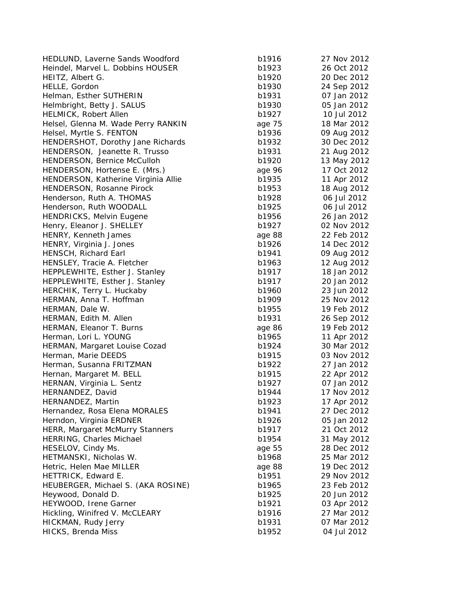| HEDLUND, Laverne Sands Woodford     | b1916  | 27 Nov 2012 |
|-------------------------------------|--------|-------------|
| Heindel, Marvel L. Dobbins HOUSER   | b1923  | 26 Oct 2012 |
| HEITZ, Albert G.                    | b1920  | 20 Dec 2012 |
| HELLE, Gordon                       | b1930  | 24 Sep 2012 |
| Helman, Esther SUTHERIN             | b1931  | 07 Jan 2012 |
| Helmbright, Betty J. SALUS          | b1930  | 05 Jan 2012 |
| HELMICK, Robert Allen               | b1927  | 10 Jul 2012 |
| Helsel, Glenna M. Wade Perry RANKIN | age 75 | 18 Mar 2012 |
| Helsel, Myrtle S. FENTON            | b1936  | 09 Aug 2012 |
| HENDERSHOT, Dorothy Jane Richards   | b1932  | 30 Dec 2012 |
| HENDERSON, Jeanette R. Trusso       | b1931  | 21 Aug 2012 |
| HENDERSON, Bernice McCulloh         | b1920  | 13 May 2012 |
| HENDERSON, Hortense E. (Mrs.)       | age 96 | 17 Oct 2012 |
| HENDERSON, Katherine Virginia Allie | b1935  | 11 Apr 2012 |
| HENDERSON, Rosanne Pirock           | b1953  | 18 Aug 2012 |
| Henderson, Ruth A. THOMAS           | b1928  | 06 Jul 2012 |
| Henderson, Ruth WOODALL             | b1925  | 06 Jul 2012 |
| <b>HENDRICKS, Melvin Eugene</b>     | b1956  | 26 Jan 2012 |
| Henry, Eleanor J. SHELLEY           | b1927  | 02 Nov 2012 |
| HENRY, Kenneth James                | age 88 | 22 Feb 2012 |
| HENRY, Virginia J. Jones            | b1926  | 14 Dec 2012 |
| HENSCH, Richard Earl                | b1941  | 09 Aug 2012 |
| HENSLEY, Tracie A. Fletcher         | b1963  | 12 Aug 2012 |
| HEPPLEWHITE, Esther J. Stanley      | b1917  | 18 Jan 2012 |
| HEPPLEWHITE, Esther J. Stanley      | b1917  | 20 Jan 2012 |
| HERCHIK, Terry L. Huckaby           | b1960  | 23 Jun 2012 |
| HERMAN, Anna T. Hoffman             | b1909  | 25 Nov 2012 |
| HERMAN, Dale W.                     | b1955  | 19 Feb 2012 |
| HERMAN, Edith M. Allen              | b1931  | 26 Sep 2012 |
| HERMAN, Eleanor T. Burns            | age 86 | 19 Feb 2012 |
| Herman, Lori L. YOUNG               | b1965  | 11 Apr 2012 |
| HERMAN, Margaret Louise Cozad       | b1924  | 30 Mar 2012 |
| Herman, Marie DEEDS                 | b1915  | 03 Nov 2012 |
| Herman, Susanna FRITZMAN            | b1922  | 27 Jan 2012 |
| Hernan, Margaret M. BELL            | b1915  | 22 Apr 2012 |
| HERNAN, Virginia L. Sentz           | b1927  | 07 Jan 2012 |
| HERNANDEZ, David                    | b1944  | 17 Nov 2012 |
| HERNANDEZ, Martin                   | b1923  | 17 Apr 2012 |
| Hernandez, Rosa Elena MORALES       | b1941  | 27 Dec 2012 |
| Herndon, Virginia ERDNER            | b1926  | 05 Jan 2012 |
| HERR, Margaret McMurry Stanners     | b1917  | 21 Oct 2012 |
| HERRING, Charles Michael            | b1954  | 31 May 2012 |
| HESELOV, Cindy Ms.                  | age 55 | 28 Dec 2012 |
| HETMANSKI, Nicholas W.              | b1968  | 25 Mar 2012 |
| Hetric, Helen Mae MILLER            | age 88 | 19 Dec 2012 |
| HETTRICK, Edward E.                 | b1951  | 29 Nov 2012 |
| HEUBERGER, Michael S. (AKA ROSINE)  | b1965  | 23 Feb 2012 |
| Heywood, Donald D.                  | b1925  | 20 Jun 2012 |
| HEYWOOD, Irene Garner               | b1921  | 03 Apr 2012 |
| Hickling, Winifred V. McCLEARY      | b1916  | 27 Mar 2012 |
| HICKMAN, Rudy Jerry                 | b1931  | 07 Mar 2012 |
| HICKS, Brenda Miss                  | b1952  | 04 Jul 2012 |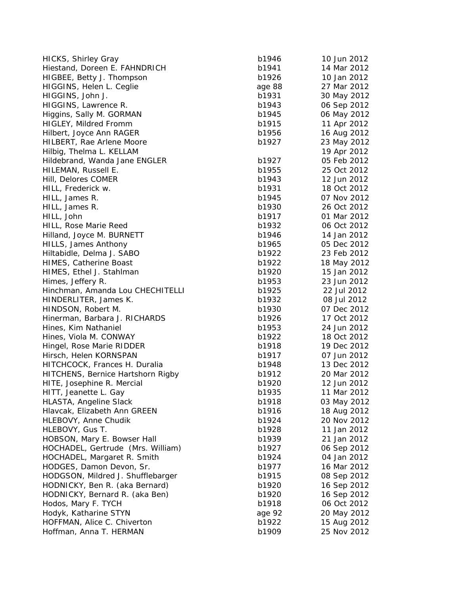| <b>HICKS, Shirley Gray</b>        | b1946  | 10 Jun 2012 |
|-----------------------------------|--------|-------------|
| Hiestand, Doreen E. FAHNDRICH     | b1941  | 14 Mar 2012 |
| HIGBEE, Betty J. Thompson         | b1926  | 10 Jan 2012 |
| HIGGINS, Helen L. Ceglie          | age 88 | 27 Mar 2012 |
| HIGGINS, John J.                  | b1931  | 30 May 2012 |
| HIGGINS, Lawrence R.              | b1943  | 06 Sep 2012 |
| Higgins, Sally M. GORMAN          | b1945  | 06 May 2012 |
| HIGLEY, Mildred Fromm             | b1915  | 11 Apr 2012 |
| Hilbert, Joyce Ann RAGER          | b1956  | 16 Aug 2012 |
| HILBERT, Rae Arlene Moore         | b1927  | 23 May 2012 |
| Hilbig, Thelma L. KELLAM          |        | 19 Apr 2012 |
| Hildebrand, Wanda Jane ENGLER     | b1927  | 05 Feb 2012 |
| HILEMAN, Russell E.               | b1955  | 25 Oct 2012 |
| Hill, Delores COMER               | b1943  | 12 Jun 2012 |
| HILL, Frederick w.                | b1931  | 18 Oct 2012 |
| HILL, James R.                    | b1945  | 07 Nov 2012 |
| HILL, James R.                    | b1930  | 26 Oct 2012 |
| HILL, John                        | b1917  | 01 Mar 2012 |
| HILL, Rose Marie Reed             | b1932  | 06 Oct 2012 |
| Hilland, Joyce M. BURNETT         | b1946  | 14 Jan 2012 |
| HILLS, James Anthony              | b1965  | 05 Dec 2012 |
| Hiltabidle, Delma J. SABO         | b1922  | 23 Feb 2012 |
| <b>HIMES, Catherine Boast</b>     | b1922  | 18 May 2012 |
| HIMES, Ethel J. Stahlman          | b1920  | 15 Jan 2012 |
| Himes, Jeffery R.                 | b1953  | 23 Jun 2012 |
| Hinchman, Amanda Lou CHECHITELLI  | b1925  | 22 Jul 2012 |
| HINDERLITER, James K.             | b1932  | 08 Jul 2012 |
| HINDSON, Robert M.                | b1930  | 07 Dec 2012 |
| Hinerman, Barbara J. RICHARDS     | b1926  | 17 Oct 2012 |
| Hines, Kim Nathaniel              | b1953  | 24 Jun 2012 |
| Hines, Viola M. CONWAY            | b1922  | 18 Oct 2012 |
| Hingel, Rose Marie RIDDER         | b1918  | 19 Dec 2012 |
| Hirsch, Helen KORNSPAN            | b1917  | 07 Jun 2012 |
| HITCHCOCK, Frances H. Duralia     | b1948  | 13 Dec 2012 |
| HITCHENS, Bernice Hartshorn Rigby | b1912  | 20 Mar 2012 |
| HITE, Josephine R. Mercial        | b1920  | 12 Jun 2012 |
| HITT, Jeanette L. Gay             | b1935  | 11 Mar 2012 |
| HLASTA, Angeline Slack            | b1918  | 03 May 2012 |
| Hlavcak, Elizabeth Ann GREEN      | b1916  | 18 Aug 2012 |
| HLEBOVY, Anne Chudik              | b1924  | 20 Nov 2012 |
| HLEBOVY, Gus T.                   | b1928  | 11 Jan 2012 |
| HOBSON, Mary E. Bowser Hall       | b1939  | 21 Jan 2012 |
| HOCHADEL, Gertrude (Mrs. William) | b1927  | 06 Sep 2012 |
| HOCHADEL, Margaret R. Smith       | b1924  | 04 Jan 2012 |
| HODGES, Damon Devon, Sr.          | b1977  | 16 Mar 2012 |
| HODGSON, Mildred J. Shufflebarger | b1915  | 08 Sep 2012 |
| HODNICKY, Ben R. (aka Bernard)    | b1920  | 16 Sep 2012 |
| HODNICKY, Bernard R. (aka Ben)    | b1920  | 16 Sep 2012 |
| Hodos, Mary F. TYCH               | b1918  | 06 Oct 2012 |
| Hodyk, Katharine STYN             | age 92 | 20 May 2012 |
| HOFFMAN, Alice C. Chiverton       | b1922  | 15 Aug 2012 |
| Hoffman, Anna T. HERMAN           | b1909  | 25 Nov 2012 |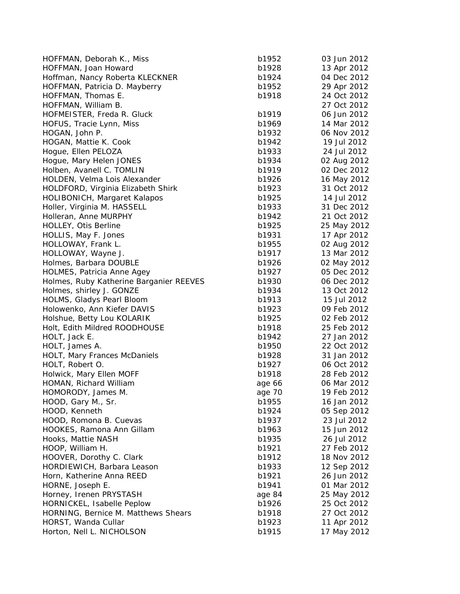| HOFFMAN, Deborah K., Miss               | b1952  | 03 Jun 2012                |
|-----------------------------------------|--------|----------------------------|
| HOFFMAN, Joan Howard                    | b1928  | 13 Apr 2012                |
| Hoffman, Nancy Roberta KLECKNER         | b1924  | 04 Dec 2012                |
| HOFFMAN, Patricia D. Mayberry           | b1952  | 29 Apr 2012                |
| HOFFMAN, Thomas E.                      | b1918  | 24 Oct 2012                |
| HOFFMAN, William B.                     |        | 27 Oct 2012                |
| HOFMEISTER, Freda R. Gluck              | b1919  | 06 Jun 2012                |
| HOFUS, Tracie Lynn, Miss                | b1969  | 14 Mar 2012                |
| HOGAN, John P.                          | b1932  | 06 Nov 2012                |
| HOGAN, Mattie K. Cook                   | b1942  | 19 Jul 2012                |
| Hogue, Ellen PELOZA                     | b1933  | 24 Jul 2012                |
| Hogue, Mary Helen JONES                 | b1934  | 02 Aug 2012                |
| Holben, Avanell C. TOMLIN               | b1919  | 02 Dec 2012                |
| HOLDEN, Velma Lois Alexander            | b1926  | 16 May 2012                |
| HOLDFORD, Virginia Elizabeth Shirk      | b1923  | 31 Oct 2012                |
| HOLIBONICH, Margaret Kalapos            | b1925  | 14 Jul 2012                |
| Holler, Virginia M. HASSELL             | b1933  | 31 Dec 2012                |
| Holleran, Anne MURPHY                   | b1942  | 21 Oct 2012                |
| <b>HOLLEY, Otis Berline</b>             | b1925  | 25 May 2012                |
| HOLLIS, May F. Jones                    | b1931  | 17 Apr 2012                |
| HOLLOWAY, Frank L.                      | b1955  | 02 Aug 2012                |
|                                         | b1917  | 13 Mar 2012                |
| HOLLOWAY, Wayne J.                      |        |                            |
| Holmes, Barbara DOUBLE                  | b1926  | 02 May 2012                |
| HOLMES, Patricia Anne Agey              | b1927  | 05 Dec 2012<br>06 Dec 2012 |
| Holmes, Ruby Katherine Barganier REEVES | b1930  |                            |
| Holmes, shirley J. GONZE                | b1934  | 13 Oct 2012                |
| HOLMS, Gladys Pearl Bloom               | b1913  | 15 Jul 2012                |
| Holowenko, Ann Kiefer DAVIS             | b1923  | 09 Feb 2012                |
| Holshue, Betty Lou KOLARIK              | b1925  | 02 Feb 2012                |
| Holt, Edith Mildred ROODHOUSE           | b1918  | 25 Feb 2012                |
| HOLT, Jack E.                           | b1942  | 27 Jan 2012                |
| HOLT, James A.                          | b1950  | 22 Oct 2012                |
| <b>HOLT, Mary Frances McDaniels</b>     | b1928  | 31 Jan 2012                |
| HOLT, Robert O.                         | b1927  | 06 Oct 2012                |
| Holwick, Mary Ellen MOFF                | b1918  | 28 Feb 2012                |
| HOMAN, Richard William                  | age 66 | 06 Mar 2012                |
| HOMORODY, James M.                      | age 70 | 19 Feb 2012                |
| HOOD, Gary M., Sr.                      | b1955  | 16 Jan 2012                |
| HOOD, Kenneth                           | b1924  | 05 Sep 2012                |
| HOOD, Romona B. Cuevas                  | b1937  | 23 Jul 2012                |
| HOOKES, Ramona Ann Gillam               | b1963  | 15 Jun 2012                |
| Hooks, Mattie NASH                      | b1935  | 26 Jul 2012                |
| HOOP, William H.                        | b1921  | 27 Feb 2012                |
| HOOVER, Dorothy C. Clark                | b1912  | 18 Nov 2012                |
| HORDIEWICH, Barbara Leason              | b1933  | 12 Sep 2012                |
| Horn, Katherine Anna REED               | b1921  | 26 Jun 2012                |
| HORNE, Joseph E.                        | b1941  | 01 Mar 2012                |
| Horney, Irenen PRYSTASH                 | age 84 | 25 May 2012                |
| <b>HORNICKEL, Isabelle Peplow</b>       | b1926  | 25 Oct 2012                |
| HORNING, Bernice M. Matthews Shears     | b1918  | 27 Oct 2012                |
| HORST, Wanda Cullar                     | b1923  | 11 Apr 2012                |
| Horton, Nell L. NICHOLSON               | b1915  | 17 May 2012                |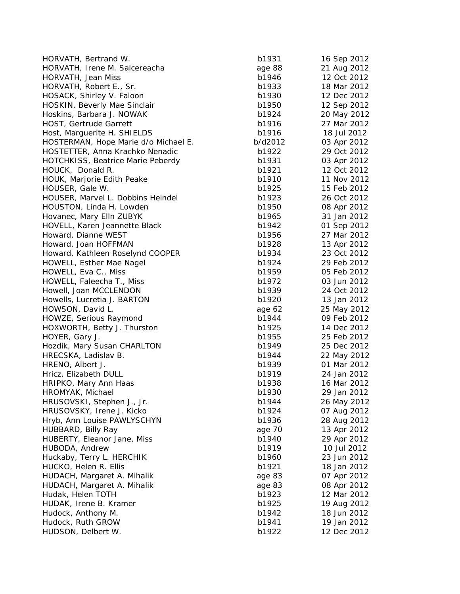| HORVATH, Bertrand W.                     | b1931          | 16 Sep 2012 |
|------------------------------------------|----------------|-------------|
| HORVATH, Irene M. Salcereacha            | age 88         | 21 Aug 2012 |
| HORVATH, Jean Miss                       | b1946          | 12 Oct 2012 |
| HORVATH, Robert E., Sr.                  | b1933          | 18 Mar 2012 |
| HOSACK, Shirley V. Faloon                | b1930          | 12 Dec 2012 |
| HOSKIN, Beverly Mae Sinclair             | b1950          | 12 Sep 2012 |
| Hoskins, Barbara J. NOWAK                | b1924          | 20 May 2012 |
| <b>HOST, Gertrude Garrett</b>            | b1916          | 27 Mar 2012 |
| Host, Marguerite H. SHIELDS              | b1916          | 18 Jul 2012 |
| HOSTERMAN, Hope Marie d/o Michael E.     | b/d2012        | 03 Apr 2012 |
| HOSTETTER, Anna Krachko Nenadic          | b1922          | 29 Oct 2012 |
| <b>HOTCHKISS, Beatrice Marie Peberdy</b> | b1931          | 03 Apr 2012 |
| HOUCK, Donald R.                         | b1921          | 12 Oct 2012 |
| HOUK, Marjorie Edith Peake               | b1910          | 11 Nov 2012 |
| HOUSER, Gale W.                          | b1925          | 15 Feb 2012 |
| HOUSER, Marvel L. Dobbins Heindel        | b1923          | 26 Oct 2012 |
| HOUSTON, Linda H. Lowden                 | b1950          | 08 Apr 2012 |
| Hovanec, Mary Elln ZUBYK                 | b1965          | 31 Jan 2012 |
| HOVELL, Karen Jeannette Black            | b1942          | 01 Sep 2012 |
| Howard, Dianne WEST                      | b1956          | 27 Mar 2012 |
| Howard, Joan HOFFMAN                     | b1928          | 13 Apr 2012 |
| Howard, Kathleen Roselynd COOPER         | b1934          | 23 Oct 2012 |
| HOWELL, Esther Mae Nagel                 | b1924          | 29 Feb 2012 |
| HOWELL, Eva C., Miss                     | b1959          | 05 Feb 2012 |
| HOWELL, Faleecha T., Miss                | b1972          | 03 Jun 2012 |
| Howell, Joan MCCLENDON                   | b1939          | 24 Oct 2012 |
| Howells, Lucretia J. BARTON              | b1920          | 13 Jan 2012 |
| HOWSON, David L.                         | age 62         | 25 May 2012 |
| HOWZE, Serious Raymond                   | b1944          | 09 Feb 2012 |
| HOXWORTH, Betty J. Thurston              | b1925          | 14 Dec 2012 |
| HOYER, Gary J.                           | b1955          | 25 Feb 2012 |
| Hozdik, Mary Susan CHARLTON              | b1949          | 25 Dec 2012 |
| HRECSKA, Ladislav B.                     | b1944          | 22 May 2012 |
| HRENO, Albert J.                         | b1939          | 01 Mar 2012 |
| Hricz, Elizabeth DULL                    | b1919          | 24 Jan 2012 |
| HRIPKO, Mary Ann Haas                    | b1938          | 16 Mar 2012 |
| HROMYAK, Michael                         | b1930          | 29 Jan 2012 |
| HRUSOVSKI, Stephen J., Jr.               | b1944          | 26 May 2012 |
| HRUSOVSKY, Irene J. Kicko                | b1924          | 07 Aug 2012 |
| Hryb, Ann Louise PAWLYSCHYN              | b1936          | 28 Aug 2012 |
| HUBBARD, Billy Ray                       | age 70         | 13 Apr 2012 |
| HUBERTY, Eleanor Jane, Miss              | b1940          | 29 Apr 2012 |
| HUBODA, Andrew                           | b1919          | 10 Jul 2012 |
| Huckaby, Terry L. HERCHIK                |                | 23 Jun 2012 |
|                                          | b1960<br>b1921 | 18 Jan 2012 |
| HUCKO, Helen R. Ellis                    |                |             |
| HUDACH, Margaret A. Mihalik              | age 83         | 07 Apr 2012 |
| HUDACH, Margaret A. Mihalik              | age 83         | 08 Apr 2012 |
| Hudak, Helen TOTH                        | b1923          | 12 Mar 2012 |
| HUDAK, Irene B. Kramer                   | b1925          | 19 Aug 2012 |
| Hudock, Anthony M.                       | b1942          | 18 Jun 2012 |
| Hudock, Ruth GROW                        | b1941          | 19 Jan 2012 |
| HUDSON, Delbert W.                       | b1922          | 12 Dec 2012 |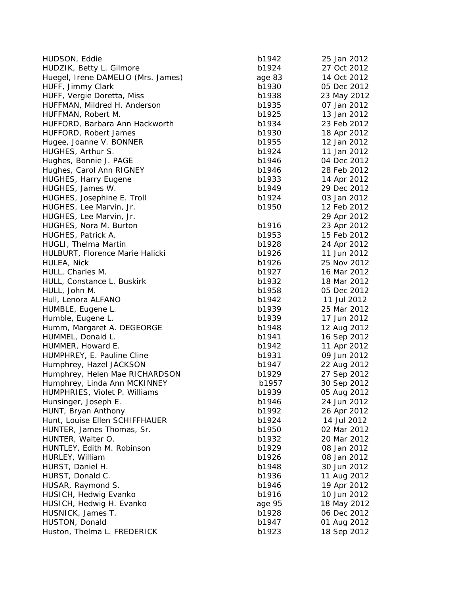| HUDSON, Eddie                      | b1942  | 25 Jan 2012 |
|------------------------------------|--------|-------------|
| HUDZIK, Betty L. Gilmore           | b1924  | 27 Oct 2012 |
| Huegel, Irene DAMELIO (Mrs. James) | age 83 | 14 Oct 2012 |
| HUFF, Jimmy Clark                  | b1930  | 05 Dec 2012 |
| HUFF, Vergie Doretta, Miss         | b1938  | 23 May 2012 |
| HUFFMAN, Mildred H. Anderson       | b1935  | 07 Jan 2012 |
| HUFFMAN, Robert M.                 | b1925  | 13 Jan 2012 |
| HUFFORD, Barbara Ann Hackworth     | b1934  | 23 Feb 2012 |
| HUFFORD, Robert James              | b1930  | 18 Apr 2012 |
| Hugee, Joanne V. BONNER            | b1955  | 12 Jan 2012 |
| HUGHES, Arthur S.                  | b1924  | 11 Jan 2012 |
| Hughes, Bonnie J. PAGE             | b1946  | 04 Dec 2012 |
| Hughes, Carol Ann RIGNEY           | b1946  | 28 Feb 2012 |
| HUGHES, Harry Eugene               | b1933  | 14 Apr 2012 |
| HUGHES, James W.                   | b1949  | 29 Dec 2012 |
| HUGHES, Josephine E. Troll         | b1924  | 03 Jan 2012 |
| HUGHES, Lee Marvin, Jr.            | b1950  | 12 Feb 2012 |
| HUGHES, Lee Marvin, Jr.            |        | 29 Apr 2012 |
| HUGHES, Nora M. Burton             | b1916  | 23 Apr 2012 |
| HUGHES, Patrick A.                 | b1953  | 15 Feb 2012 |
| HUGLI, Thelma Martin               | b1928  | 24 Apr 2012 |
| HULBURT, Florence Marie Halicki    | b1926  | 11 Jun 2012 |
| HULEA, Nick                        | b1926  | 25 Nov 2012 |
| HULL, Charles M.                   | b1927  | 16 Mar 2012 |
| HULL, Constance L. Buskirk         | b1932  | 18 Mar 2012 |
| HULL, John M.                      | b1958  | 05 Dec 2012 |
| Hull, Lenora ALFANO                | b1942  | 11 Jul 2012 |
| HUMBLE, Eugene L.                  | b1939  | 25 Mar 2012 |
| Humble, Eugene L.                  | b1939  | 17 Jun 2012 |
| Humm, Margaret A. DEGEORGE         | b1948  | 12 Aug 2012 |
| HUMMEL, Donald L.                  | b1941  | 16 Sep 2012 |
| HUMMER, Howard E.                  | b1942  | 11 Apr 2012 |
| HUMPHREY, E. Pauline Cline         | b1931  | 09 Jun 2012 |
| Humphrey, Hazel JACKSON            | b1947  | 22 Aug 2012 |
| Humphrey, Helen Mae RICHARDSON     | b1929  | 27 Sep 2012 |
| Humphrey, Linda Ann MCKINNEY       | b1957  | 30 Sep 2012 |
| HUMPHRIES, Violet P. Williams      | b1939  | 05 Aug 2012 |
| Hunsinger, Joseph E.               | b1946  | 24 Jun 2012 |
| HUNT, Bryan Anthony                | b1992  | 26 Apr 2012 |
| Hunt, Louise Ellen SCHIFFHAUER     | b1924  | 14 Jul 2012 |
| HUNTER, James Thomas, Sr.          | b1950  | 02 Mar 2012 |
| HUNTER, Walter O.                  | b1932  | 20 Mar 2012 |
| HUNTLEY, Edith M. Robinson         | b1929  | 08 Jan 2012 |
| HURLEY, William                    | b1926  | 08 Jan 2012 |
| HURST, Daniel H.                   | b1948  | 30 Jun 2012 |
| HURST, Donald C.                   | b1936  | 11 Aug 2012 |
| HUSAR, Raymond S.                  | b1946  | 19 Apr 2012 |
| HUSICH, Hedwig Evanko              | b1916  | 10 Jun 2012 |
| HUSICH, Hedwig H. Evanko           | age 95 | 18 May 2012 |
| HUSNICK, James T.                  | b1928  | 06 Dec 2012 |
| HUSTON, Donald                     | b1947  | 01 Aug 2012 |
| Huston, Thelma L. FREDERICK        | b1923  | 18 Sep 2012 |
|                                    |        |             |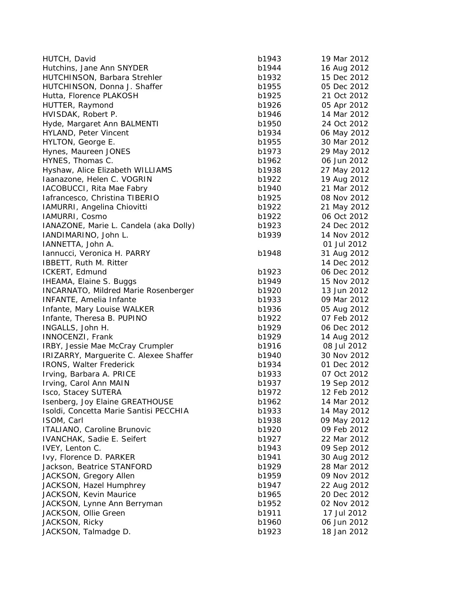| HUTCH, David                                        | b1943 | 19 Mar 2012 |
|-----------------------------------------------------|-------|-------------|
| Hutchins, Jane Ann SNYDER                           | b1944 | 16 Aug 2012 |
| HUTCHINSON, Barbara Strehler                        | b1932 | 15 Dec 2012 |
| HUTCHINSON, Donna J. Shaffer                        | b1955 | 05 Dec 2012 |
| Hutta, Florence PLAKOSH                             | b1925 | 21 Oct 2012 |
| HUTTER, Raymond                                     | b1926 | 05 Apr 2012 |
| HVISDAK, Robert P.                                  | b1946 | 14 Mar 2012 |
| Hyde, Margaret Ann BALMENTI                         | b1950 | 24 Oct 2012 |
| HYLAND, Peter Vincent                               | b1934 | 06 May 2012 |
| HYLTON, George E.                                   | b1955 | 30 Mar 2012 |
| Hynes, Maureen JONES                                | b1973 | 29 May 2012 |
| HYNES, Thomas C.                                    | b1962 | 06 Jun 2012 |
| Hyshaw, Alice Elizabeth WILLIAMS                    | b1938 | 27 May 2012 |
| Iaanazone, Helen C. VOGRIN                          | b1922 | 19 Aug 2012 |
| IACOBUCCI, Rita Mae Fabry                           | b1940 | 21 Mar 2012 |
| Iafrancesco, Christina TIBERIO                      | b1925 | 08 Nov 2012 |
| IAMURRI, Angelina Chiovitti                         | b1922 | 21 May 2012 |
| IAMURRI, Cosmo                                      | b1922 | 06 Oct 2012 |
| IANAZONE, Marie L. Candela (aka Dolly)              | b1923 | 24 Dec 2012 |
| IANDIMARINO, John L.                                | b1939 | 14 Nov 2012 |
| IANNETTA, John A.                                   |       | 01 Jul 2012 |
| Iannucci, Veronica H. PARRY                         | b1948 | 31 Aug 2012 |
| IBBETT, Ruth M. Ritter                              |       | 14 Dec 2012 |
| ICKERT, Edmund                                      | b1923 | 06 Dec 2012 |
| IHEAMA, Elaine S. Buggs                             | b1949 | 15 Nov 2012 |
| <b>INCARNATO, Mildred Marie Rosenberger</b>         | b1920 | 13 Jun 2012 |
| INFANTE, Amelia Infante                             | b1933 | 09 Mar 2012 |
| Infante, Mary Louise WALKER                         | b1936 | 05 Aug 2012 |
| Infante, Theresa B. PUPINO                          | b1922 | 07 Feb 2012 |
| INGALLS, John H.                                    | b1929 | 06 Dec 2012 |
| INNOCENZI, Frank                                    | b1929 | 14 Aug 2012 |
| IRBY, Jessie Mae McCray Crumpler                    | b1916 | 08 Jul 2012 |
| IRIZARRY, Marguerite C. Alexee Shaffer              | b1940 | 30 Nov 2012 |
| IRONS, Walter Frederick                             | b1934 | 01 Dec 2012 |
| Irving, Barbara A. PRICE                            | b1933 | 07 Oct 2012 |
| Irving, Carol Ann MAIN                              | b1937 | 19 Sep 2012 |
| Isco, Stacey SUTERA                                 | b1972 | 12 Feb 2012 |
| Isenberg, Joy Elaine GREATHOUSE                     | b1962 | 14 Mar 2012 |
| Isoldi, Concetta Marie Santisi PECCHIA              | b1933 | 14 May 2012 |
| ISOM, Carl                                          | b1938 | 09 May 2012 |
| ITALIANO, Caroline Brunovic                         | b1920 | 09 Feb 2012 |
| IVANCHAK, Sadie E. Seifert                          | b1927 | 22 Mar 2012 |
| IVEY, Lenton C.                                     | b1943 | 09 Sep 2012 |
| Ivy, Florence D. PARKER                             | b1941 | 30 Aug 2012 |
| Jackson, Beatrice STANFORD                          | b1929 | 28 Mar 2012 |
| JACKSON, Gregory Allen                              | b1959 | 09 Nov 2012 |
| JACKSON, Hazel Humphrey                             | b1947 | 22 Aug 2012 |
|                                                     | b1965 | 20 Dec 2012 |
| JACKSON, Kevin Maurice                              | b1952 | 02 Nov 2012 |
| JACKSON, Lynne Ann Berryman<br>JACKSON, Ollie Green | b1911 | 17 Jul 2012 |
|                                                     | b1960 | 06 Jun 2012 |
| JACKSON, Ricky                                      |       |             |
| JACKSON, Talmadge D.                                | b1923 | 18 Jan 2012 |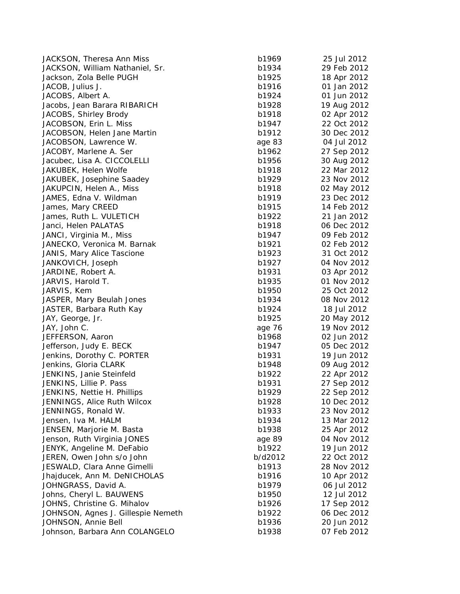JACKSON, Theresa Ann Miss b1969 25 Jul 2012 25 Jul 2013 25 Jul 2013 25 Jul 2013 25 Jul 2013 25 Jul 2013 25 Jul JACKSON, William Nathaniel, Sr. b1934 29 Feb 2013 29 Feb 2013 29 Feb 2013 29 Feb 2013 29 Feb 2013 2013 2013 20 Jackson, Zola Belle PUGH b1925 18 Apr 2012 18 Apr 2012 18 Apr 2013 18 Apr 2013 18 Apr 2013 18 Apr 2013 18 Apr 20 JACOB, Julius J. b1916 01 Jan 2012 12:00 b1916 01 Jan 2012 12:00 b1916 01 Jan 2012 12:00 b1916 01 Jan 2012 12:00 b1916 01 Jan 2012 12:00 b1916 01 Jan 2012 12:00 b1916 01 Jan 2012 12:00 b1916 01 Jan 2012 12:00 b1916 01 Jan JACOBS, Albert A. b1924 of the b1924 of the b1924 of the b1924 of the b1924 of the b1924 of the b1924 of the b Jacobs, Jean Barara RIBARICH **b** JACOBS, Shirley Brody b1918 02 Apr 2012 02 Apr 2013 02 Apr 2012 02 Apr 2013 02 Apr 2013 02 Apr 2013 02 Apr 201 JACOBSON, Erin L. Miss b1947 22 Oct 2012 22 Oct 2013 22 Oct 2014 22 Oct 2014 22 Oct 2014 22 Oct 2014 22 Oct 20 JACOBSON, Helen Jane Martin b1912 30 Dec 2012 30 Dec 2012 30 Dec 2012 30 Dec 2012 30 Dec 2012 30 Dec 2012 30 D JACOBSON, Lawrence W. **All 2012 12:33 04 34 13 13 14 Jul 2013** 13 14 14 15 16 17 18 18 19 19 19 19 19 19 19 19 1 JACOBY, Marlene A. Ser b1962 27 September 27 September 27 September 27 September 27 September 27 Sep 2013 27 September 27 September 27 September 27 September 27 September 27 September 27 September 27 September 27 September Jacubec, Lisa A. CICCOLELLI b1956 30 Aug 2012 JAKUBEK, Helen Wolfe b1918 22 Mar 2012 22 Mar 2013 22 Mar 2013 22 Mar 2013 22 Mar 2013 22 Mar 2013 22 Mar 2013 JAKUBEK, Josephine Saadey b1929 23 Nov 2012 23 Nov 2012 23 Nov 2012 23 Nov 2012 23 Nov 2012 23 Nov 2013 23 Nov JAKUPCIN, Helen A., Miss b1918 02 May 2012 02 May 2013 02 May 2013 02 May 2013 02 May 2013 02 May 2013 02 May 2013 02 May 2013 02 May 2013 02 May 2013 02 May 2013 02 May 2014 02 May 2013 02 May 2013 02 May 2013 02 May 2013 JAMES, Edna V. Wildman b1919 23 Dec 2012 23 Dec 2013 23 Dec 2013 23 Dec 2013 23 Dec 2013 23 Dec 2013 23 Dec 20 James, Mary CREED b1915 14 Feb 2013 14 Feb 2013 14 Feb 2013 14 Feb 2013 14 Feb 2013 14 Feb 2013 14 Feb 2013 14 F James, Ruth L. VULETICH b1922 21 January 2012 21 January 2013 Janci, Helen PALATAS b1918 b1918 b1918 b1918 b1918 b1918 b1918 b1918 b1918 b1918 b JANCI, Virginia M., Miss b1947 of the 2012 of the 2014 of the 2012 of the 2014 of the 2012 of the 2013 of the 2012 of the 2012 of the 2012 of the 2012 of the 2012 of the 2012 of the 2012 of the 2012 of the 2012 of the 2012 JANECKO, Veronica M. Barnak b1921 1922 b2 JANIS, Mary Alice Tascione b1923 31 Oct 2012 31 Oct 2013 31 Oct 2013 31 Oct 2013 31 Oct 2013 31 Oct 2013 31 Oc JANKOVICH, Joseph b1927 04 Nov 2012 JARDINE, Robert A. b1931 b1931 b1931 b1931 b1931 b1931 b1931 b1931 b1931 b1931 b1931 b1931 b1931 b1931 b1931 b JARVIS, Harold T. b1935 01 Nov 2012 JARVIS, Kem b1950 25 Oct 2012 25 Oct 2013 25 Oct 2013 25 Oct 2013 25 Oct 2013 25 Oct 2013 25 Oct 2013 25 Oct 20 JASPER, Mary Beulah Jones b1934 of the b1934 of the b1934 of the b1934 of the b1934 of the b1934 of the b1934 of the b1934 of the b1934 of the b1934 of the b1934 of the b1934 of the b1934 of the b1934 of the b1934 of the b JASTER, Barbara Ruth Kay b1924 18 Jul 2012 18 Jul 2012 18 Jul 2013 18 Jul 2013 18 Jul 2013 18 Jul 2013 18 Jul 2013 18 Jul 2013 18 Jul 2013 18 Jul 2013 18 Jul 2013 18 Jul 2013 18 Jul 2014 18 Jul 2013 18 Jul 2014 18 Jul 2014 JAY, George, Jr. b1925 20 May 2012 JAY, John C. age 76 19 Nov 2012 12:30 13:30 JEFFERSON, Aaron b1968 02 Jun 2012 1968 02 Jun 2012 1968 02 Jun 2012 1968 02 Jun 2012 1979 1979 02 Jun 2012 19 Jefferson, Judy E. BECK b1947 b1947 b1947 b1947 b1947 b1947 b1947 b1947 b1947 b1947 b1947 b1947 b1947 b1947 b1 Jenkins, Dorothy C. PORTER b1931 b1931 b1931 b1931 b1931 b1931 b1931 b1931 b1931 b1931 b1931 b1931 b1931 b1931 Jenkins, Gloria CLARK b1948 b1948 b1948 b1948 b1948 b1948 b1948 b1948 b1948 b1948 b1948 b1948 b1948 b1948 b194 JENKINS, Janie Steinfeld b1922 22 Apr 2012 22 Apr 2012 22 Apr 2012 22 Apr 2012 22 Apr 2012 22 Apr 2012 22 Apr 20 JENKINS, Lillie P. Pass b1931 b1931 27 Sep 2013 27 Sep 2013 27 Sep 2013 27 Sep 2013 27 Sep 2013 27 Sep 2013 27 JENKINS, Nettie H. Phillips **b**<sup>1</sup> JENNINGS, Alice Ruth Wilcox b1928 10 b1928 10 b1928 10 b1938 10 b1938 10 b1938 10 b1938 10 b1938 10 b1938 10 b JENNINGS, Ronald W. b1933 23 Nov 2013 23 Nov 2013 23 Nov 2013 23 Nov 2013 23 Nov 2013 23 Nov 2013 23 Nov 2013 2 Jensen, Iva M. HALM b1934 13 Mar 2013 13 Mar 2013 13 Mar 2013 13 Mar 2013 13 Mar 2013 13 Mar 2013 13 Mar 2013 1 JENSEN, Marjorie M. Basta b1938 25 Apr 2013 25 Apr 2013 25 Apr 2013 25 Apr 2013 25 Apr 2013 25 Apr 2013 25 Apr 2013 25 Apr 2013 25 Apr 2013 25 Apr 2013 25 Apr 2013 25 Apr 2013 25 Apr 2013 25 Apr 2013 25 Apr 2013 25 Apr 201 Jenson, Ruth Virginia JONES and 89 and 89 approximate 89 approximate 89 approximate 89 approximate 8 JENYK, Angeline M. DeFabio b1922 19 Jun 2012 JEREN, Owen John s/o John b/c JESWALD, Clara Anne Gimelli b1913 28 Nov 2012 Jhajducek, Ann M. DeNICHOLAS b1916 b1916 b1916 b1916 b1916 b1916 b1916 b1916 b1916 b1916 b1916 b1916 b1916 b19 JOHNGRASS, David A. b1979 06 JUL 2012 07:30 JUL 2013 07:30 AM Johns, Cheryl L. BAUWENS b1950 12 Jul 2012 12 Jul 2013 12 Jul 2013 12 Jul 2013 12 Jul 2013 12 Jul 2013 12 Jul 2013 12 Jul 2013 12 Jul 2013 12 Jul 2013 12 Jul 2013 12 Jul 2013 12 Jul 2013 12 Jul 2013 12 Jul 2013 12 Jul 2013 JOHNS, Christine G. Mihalov b1926 17 Sep 2012 17 Sep 2013 17 Sep 2013 18:30 JOHNSON, Agnes J. Gillespie Nemeth b1922 b1922 JOHNSON, Annie Bell b1936 2012 101 b1936 b1936 b1936 b1936 b1936 b1936 b1936 b1936 b1936 b1936 b1936 b1936 b19 Johnson, Barbara Ann COLANGELO b1938 b1938 b1938 b1938 b1938 b1938 b1938 b1938 b1938 b1938 b1938 b1938 b1938 b

| 1969  | 25 Jul 2012 |
|-------|-------------|
| 1934  | 29 Feb 2012 |
| 1925  | 18 Apr 2012 |
| 1916  | 01 Jan 2012 |
| 1924  |             |
|       | 01 Jun 2012 |
| 1928  | 19 Aug 2012 |
| 1918  | 02 Apr 2012 |
| 1947  | 22 Oct 2012 |
| 1912  | 30 Dec 2012 |
| je 83 | 04 Jul 2012 |
| 1962  | 27 Sep 2012 |
| 1956  | 30 Aug 2012 |
| 1918  | 22 Mar 2012 |
| 1929  | 23 Nov 2012 |
| 1918  | 02 May 2012 |
| 1919  | 23 Dec 2012 |
| 1915  | 14 Feb 2012 |
| 1922  | 21 Jan 2012 |
| 1918  |             |
|       | 06 Dec 2012 |
| 1947  | 09 Feb 2012 |
| 1921  | 02 Feb 2012 |
| 1923  | 31 Oct 2012 |
| 1927  | 04 Nov 2012 |
| 1931  | 03 Apr 2012 |
| 1935  | 01 Nov 2012 |
| 1950  | 25 Oct 2012 |
| 1934  | 08 Nov 2012 |
| 1924  | 18 Jul 2012 |
| 1925  | 20 May 2012 |
| je 76 | 19 Nov 2012 |
| 1968  | 02 Jun 2012 |
| 1947  | 05 Dec 2012 |
| 1931  | 19 Jun 2012 |
| 1948  | 09 Aug 2012 |
| 1922  | 22 Apr 2012 |
|       |             |
| 1931  | 27 Sep 2012 |
| 1929  | 22 Sep 2012 |
| 1928  | 10 Dec 2012 |
| 1933  | 23 Nov 2012 |
| 1934  | 13 Mar 2012 |
| 1938  | 25 Apr 2012 |
| je 89 | 04 Nov 2012 |
| 1922  | 19 Jun 2012 |
| 12012 | 22 Oct 2012 |
| 1913  | 28 Nov 2012 |
| 1916  | 10 Apr 2012 |
| 1979  | 06 Jul 2012 |
| 1950  | 12 Jul 2012 |
| 1926  | 17 Sep 2012 |
| 1922  | 06 Dec 2012 |
| 1936  | 20 Jun 2012 |
|       |             |
| 1938  | 07 Feb 2012 |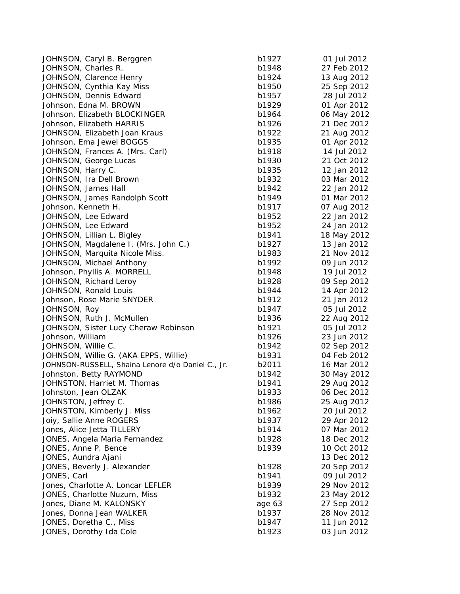| JOHNSON, Caryl B. Berggren                        | b1927  | 01 Jul 2012 |
|---------------------------------------------------|--------|-------------|
| JOHNSON, Charles R.                               | b1948  | 27 Feb 2012 |
| JOHNSON, Clarence Henry                           | b1924  | 13 Aug 2012 |
| JOHNSON, Cynthia Kay Miss                         | b1950  | 25 Sep 2012 |
| JOHNSON, Dennis Edward                            | b1957  | 28 Jul 2012 |
| Johnson, Edna M. BROWN                            | b1929  | 01 Apr 2012 |
| Johnson, Elizabeth BLOCKINGER                     | b1964  | 06 May 2012 |
| Johnson, Elizabeth HARRIS                         | b1926  | 21 Dec 2012 |
| JOHNSON, Elizabeth Joan Kraus                     | b1922  | 21 Aug 2012 |
| Johnson, Ema Jewel BOGGS                          | b1935  | 01 Apr 2012 |
| JOHNSON, Frances A. (Mrs. Carl)                   | b1918  | 14 Jul 2012 |
| JOHNSON, George Lucas                             | b1930  | 21 Oct 2012 |
| JOHNSON, Harry C.                                 | b1935  | 12 Jan 2012 |
| JOHNSON, Ira Dell Brown                           | b1932  | 03 Mar 2012 |
| JOHNSON, James Hall                               | b1942  | 22 Jan 2012 |
| JOHNSON, James Randolph Scott                     | b1949  | 01 Mar 2012 |
| Johnson, Kenneth H.                               | b1917  | 07 Aug 2012 |
| JOHNSON, Lee Edward                               | b1952  | 22 Jan 2012 |
| JOHNSON, Lee Edward                               | b1952  | 24 Jan 2012 |
| JOHNSON, Lillian L. Bigley                        | b1941  | 18 May 2012 |
| JOHNSON, Magdalene I. (Mrs. John C.)              | b1927  | 13 Jan 2012 |
| JOHNSON, Marquita Nicole Miss.                    | b1983  | 21 Nov 2012 |
| JOHNSON, Michael Anthony                          | b1992  | 09 Jun 2012 |
| Johnson, Phyllis A. MORRELL                       | b1948  | 19 Jul 2012 |
| JOHNSON, Richard Leroy                            | b1928  | 09 Sep 2012 |
| JOHNSON, Ronald Louis                             | b1944  | 14 Apr 2012 |
| Johnson, Rose Marie SNYDER                        | b1912  | 21 Jan 2012 |
| JOHNSON, Roy                                      | b1947  | 05 Jul 2012 |
| JOHNSON, Ruth J. McMullen                         | b1936  | 22 Aug 2012 |
| JOHNSON, Sister Lucy Cheraw Robinson              | b1921  | 05 Jul 2012 |
| Johnson, William                                  | b1926  | 23 Jun 2012 |
| JOHNSON, Willie C.                                | b1942  | 02 Sep 2012 |
| JOHNSON, Willie G. (AKA EPPS, Willie)             | b1931  | 04 Feb 2012 |
| JOHNSON-RUSSELL, Shaina Lenore d/o Daniel C., Jr. | b2011  | 16 Mar 2012 |
| Johnston, Betty RAYMOND                           | b1942  | 30 May 2012 |
| JOHNSTON, Harriet M. Thomas                       | b1941  | 29 Aug 2012 |
| Johnston, Jean OLZAK                              | b1933  | 06 Dec 2012 |
| JOHNSTON, Jeffrey C.                              | b1986  | 25 Aug 2012 |
| JOHNSTON, Kimberly J. Miss                        | b1962  | 20 Jul 2012 |
| Joiy, Sallie Anne ROGERS                          | b1937  | 29 Apr 2012 |
| Jones, Alice Jetta TILLERY                        | b1914  | 07 Mar 2012 |
| JONES, Angela Maria Fernandez                     | b1928  | 18 Dec 2012 |
| JONES, Anne P. Bence                              | b1939  | 10 Oct 2012 |
| JONES, Aundra Ajani                               |        | 13 Dec 2012 |
| JONES, Beverly J. Alexander                       | b1928  | 20 Sep 2012 |
| JONES, Carl                                       | b1941  | 09 Jul 2012 |
| Jones, Charlotte A. Loncar LEFLER                 | b1939  | 29 Nov 2012 |
| JONES, Charlotte Nuzum, Miss                      | b1932  | 23 May 2012 |
| Jones, Diane M. KALONSKY                          | age 63 | 27 Sep 2012 |
| Jones, Donna Jean WALKER                          | b1937  | 28 Nov 2012 |
| JONES, Doretha C., Miss                           | b1947  | 11 Jun 2012 |
| JONES, Dorothy Ida Cole                           | b1923  | 03 Jun 2012 |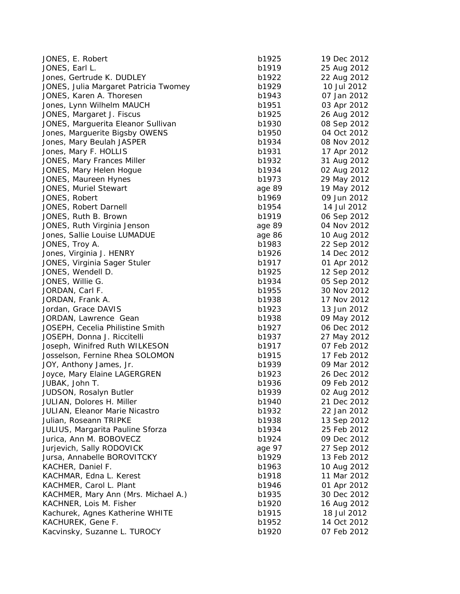| JONES, E. Robert                      | b1925  | 19 Dec 2012 |
|---------------------------------------|--------|-------------|
| JONES, Earl L.                        | b1919  | 25 Aug 2012 |
| Jones, Gertrude K. DUDLEY             | b1922  | 22 Aug 2012 |
| JONES, Julia Margaret Patricia Twomey | b1929  | 10 Jul 2012 |
| JONES, Karen A. Thoresen              | b1943  | 07 Jan 2012 |
| Jones, Lynn Wilhelm MAUCH             | b1951  | 03 Apr 2012 |
| JONES, Margaret J. Fiscus             | b1925  | 26 Aug 2012 |
| JONES, Marguerita Eleanor Sullivan    | b1930  | 08 Sep 2012 |
| Jones, Marguerite Bigsby OWENS        | b1950  | 04 Oct 2012 |
| Jones, Mary Beulah JASPER             | b1934  | 08 Nov 2012 |
| Jones, Mary F. HOLLIS                 | b1931  | 17 Apr 2012 |
| JONES, Mary Frances Miller            | b1932  | 31 Aug 2012 |
| JONES, Mary Helen Hogue               | b1934  | 02 Aug 2012 |
| JONES, Maureen Hynes                  | b1973  | 29 May 2012 |
| JONES, Muriel Stewart                 | age 89 | 19 May 2012 |
| JONES, Robert                         | b1969  | 09 Jun 2012 |
| JONES, Robert Darnell                 | b1954  | 14 Jul 2012 |
| JONES, Ruth B. Brown                  | b1919  | 06 Sep 2012 |
| JONES, Ruth Virginia Jenson           | age 89 | 04 Nov 2012 |
| Jones, Sallie Louise LUMADUE          | age 86 | 10 Aug 2012 |
| JONES, Troy A.                        | b1983  | 22 Sep 2012 |
| Jones, Virginia J. HENRY              | b1926  | 14 Dec 2012 |
| JONES, Virginia Sager Stuler          | b1917  | 01 Apr 2012 |
| JONES, Wendell D.                     | b1925  | 12 Sep 2012 |
| JONES, Willie G.                      | b1934  | 05 Sep 2012 |
| JORDAN, Carl F.                       | b1955  | 30 Nov 2012 |
| JORDAN, Frank A.                      | b1938  | 17 Nov 2012 |
| Jordan, Grace DAVIS                   | b1923  | 13 Jun 2012 |
| JORDAN, Lawrence Gean                 | b1938  | 09 May 2012 |
| JOSEPH, Cecelia Philistine Smith      | b1927  | 06 Dec 2012 |
| JOSEPH, Donna J. Riccitelli           | b1937  | 27 May 2012 |
| Joseph, Winifred Ruth WILKESON        | b1917  | 07 Feb 2012 |
| Josselson, Fernine Rhea SOLOMON       | b1915  | 17 Feb 2012 |
| JOY, Anthony James, Jr.               | b1939  | 09 Mar 2012 |
| Joyce, Mary Elaine LAGERGREN          | b1923  | 26 Dec 2012 |
| JUBAK, John T.                        | b1936  | 09 Feb 2012 |
| JUDSON, Rosalyn Butler                | b1939  | 02 Aug 2012 |
| JULIAN, Dolores H. Miller             | b1940  | 21 Dec 2012 |
| JULIAN, Eleanor Marie Nicastro        | b1932  | 22 Jan 2012 |
| Julian, Roseann TRIPKE                | b1938  | 13 Sep 2012 |
| JULIUS, Margarita Pauline Sforza      | b1934  | 25 Feb 2012 |
| Jurica, Ann M. BOBOVECZ               | b1924  | 09 Dec 2012 |
| Jurjevich, Sally RODOVICK             | age 97 | 27 Sep 2012 |
| Jursa, Annabelle BOROVITCKY           | b1929  | 13 Feb 2012 |
| KACHER, Daniel F.                     | b1963  | 10 Aug 2012 |
| KACHMAR, Edna L. Kerest               | b1918  | 11 Mar 2012 |
| KACHMER, Carol L. Plant               | b1946  | 01 Apr 2012 |
| KACHMER, Mary Ann (Mrs. Michael A.)   | b1935  | 30 Dec 2012 |
| KACHNER, Lois M. Fisher               | b1920  | 16 Aug 2012 |
| Kachurek, Agnes Katherine WHITE       | b1915  | 18 Jul 2012 |
| KACHUREK, Gene F.                     | b1952  | 14 Oct 2012 |
| Kacvinsky, Suzanne L. TUROCY          | b1920  | 07 Feb 2012 |
|                                       |        |             |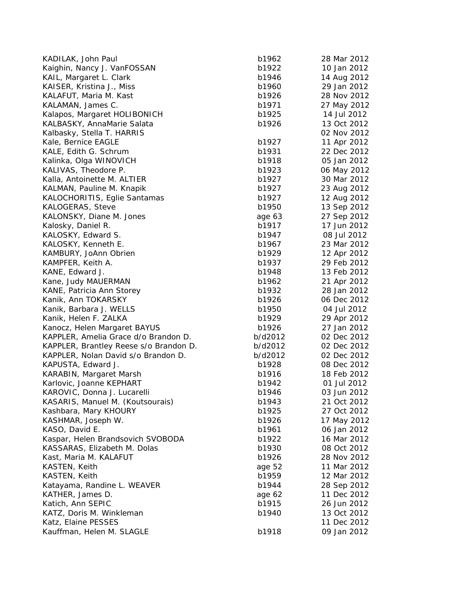| KADILAK, John Paul                     | b1962   | 28 Mar 2012 |
|----------------------------------------|---------|-------------|
| Kaighin, Nancy J. VanFOSSAN            | b1922   | 10 Jan 2012 |
| KAIL, Margaret L. Clark                | b1946   | 14 Aug 2012 |
| KAISER, Kristina J., Miss              | b1960   | 29 Jan 2012 |
| KALAFUT, Maria M. Kast                 | b1926   | 28 Nov 2012 |
| KALAMAN, James C.                      | b1971   | 27 May 2012 |
| Kalapos, Margaret HOLIBONICH           | b1925   | 14 Jul 2012 |
| KALBASKY, AnnaMarie Salata             | b1926   | 13 Oct 2012 |
| Kalbasky, Stella T. HARRIS             |         | 02 Nov 2012 |
| Kale, Bernice EAGLE                    | b1927   | 11 Apr 2012 |
| KALE, Edith G. Schrum                  | b1931   | 22 Dec 2012 |
| Kalinka, Olga WINOVICH                 | b1918   | 05 Jan 2012 |
| KALIVAS, Theodore P.                   | b1923   | 06 May 2012 |
| Kalla, Antoinette M. ALTIER            | b1927   | 30 Mar 2012 |
| KALMAN, Pauline M. Knapik              | b1927   | 23 Aug 2012 |
| KALOCHORITIS, Eglie Santamas           | b1927   | 12 Aug 2012 |
| <b>KALOGERAS, Steve</b>                | b1950   | 13 Sep 2012 |
| KALONSKY, Diane M. Jones               | age 63  | 27 Sep 2012 |
| Kalosky, Daniel R.                     | b1917   | 17 Jun 2012 |
| KALOSKY, Edward S.                     | b1947   | 08 Jul 2012 |
| KALOSKY, Kenneth E.                    | b1967   | 23 Mar 2012 |
| KAMBURY, JoAnn Obrien                  | b1929   | 12 Apr 2012 |
| KAMPFER, Keith A.                      | b1937   | 29 Feb 2012 |
| KANE, Edward J.                        | b1948   | 13 Feb 2012 |
| Kane, Judy MAUERMAN                    | b1962   | 21 Apr 2012 |
| KANE, Patricia Ann Storey              | b1932   | 28 Jan 2012 |
| Kanik, Ann TOKARSKY                    | b1926   | 06 Dec 2012 |
| Kanik, Barbara J. WELLS                | b1950   | 04 Jul 2012 |
| Kanik, Helen F. ZALKA                  | b1929   | 29 Apr 2012 |
| Kanocz, Helen Margaret BAYUS           | b1926   | 27 Jan 2012 |
| KAPPLER, Amelia Grace d/o Brandon D.   | b/d2012 | 02 Dec 2012 |
| KAPPLER, Brantley Reese s/o Brandon D. | b/d2012 | 02 Dec 2012 |
| KAPPLER, Nolan David s/o Brandon D.    | b/d2012 | 02 Dec 2012 |
| KAPUSTA, Edward J.                     | b1928   | 08 Dec 2012 |
| <b>KARABIN, Margaret Marsh</b>         | b1916   | 18 Feb 2012 |
| Karlovic, Joanne KEPHART               | b1942   | 01 Jul 2012 |
| KAROVIC, Donna J. Lucarelli            | b1946   | 03 Jun 2012 |
| KASARIS, Manuel M. (Koutsourais)       | b1943   | 21 Oct 2012 |
| Kashbara, Mary KHOURY                  | b1925   | 27 Oct 2012 |
| KASHMAR, Joseph W.                     | b1926   | 17 May 2012 |
| KASO, David E.                         | b1961   | 06 Jan 2012 |
| Kaspar, Helen Brandsovich SVOBODA      | b1922   | 16 Mar 2012 |
| KASSARAS, Elizabeth M. Dolas           | b1930   | 08 Oct 2012 |
| Kast, Maria M. KALAFUT                 | b1926   | 28 Nov 2012 |
|                                        |         | 11 Mar 2012 |
| <b>KASTEN, Keith</b><br>KASTEN, Keith  | age 52  |             |
|                                        | b1959   | 12 Mar 2012 |
| Katayama, Randine L. WEAVER            | b1944   | 28 Sep 2012 |
| KATHER, James D.                       | age 62  | 11 Dec 2012 |
| Katich, Ann SEPIC                      | b1915   | 26 Jun 2012 |
| KATZ, Doris M. Winkleman               | b1940   | 13 Oct 2012 |
| Katz, Elaine PESSES                    |         | 11 Dec 2012 |
| Kauffman, Helen M. SLAGLE              | b1918   | 09 Jan 2012 |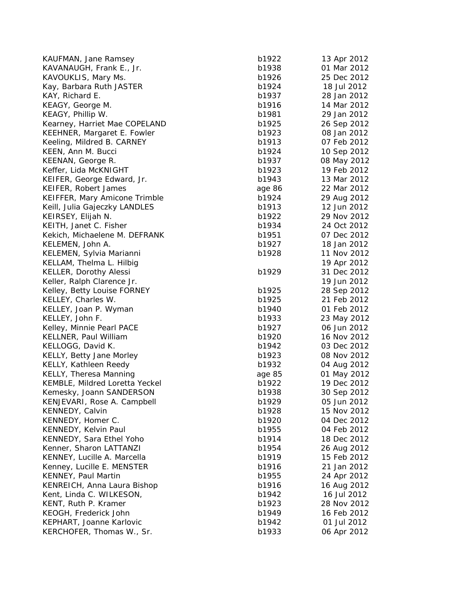| KAUFMAN, Jane Ramsey            | b1922  | 13 Apr 2012 |
|---------------------------------|--------|-------------|
| KAVANAUGH, Frank E., Jr.        | b1938  | 01 Mar 2012 |
| KAVOUKLIS, Mary Ms.             | b1926  | 25 Dec 2012 |
| Kay, Barbara Ruth JASTER        | b1924  | 18 Jul 2012 |
| KAY, Richard E.                 | b1937  | 28 Jan 2012 |
| KEAGY, George M.                | b1916  | 14 Mar 2012 |
| KEAGY, Phillip W.               | b1981  | 29 Jan 2012 |
| Kearney, Harriet Mae COPELAND   | b1925  | 26 Sep 2012 |
| KEEHNER, Margaret E. Fowler     | b1923  | 08 Jan 2012 |
| Keeling, Mildred B. CARNEY      | b1913  | 07 Feb 2012 |
| KEEN, Ann M. Bucci              | b1924  | 10 Sep 2012 |
| KEENAN, George R.               | b1937  | 08 May 2012 |
| Keffer, Lida McKNIGHT           | b1923  | 19 Feb 2012 |
| KEIFER, George Edward, Jr.      | b1943  | 13 Mar 2012 |
| KEIFER, Robert James            | age 86 | 22 Mar 2012 |
| KEIFFER, Mary Amicone Trimble   | b1924  | 29 Aug 2012 |
| Keill, Julia Gajeczky LANDLES   | b1913  | 12 Jun 2012 |
| KEIRSEY, Elijah N.              | b1922  | 29 Nov 2012 |
| KEITH, Janet C. Fisher          | b1934  | 24 Oct 2012 |
| Kekich, Michaelene M. DEFRANK   | b1951  | 07 Dec 2012 |
| KELEMEN, John A.                | b1927  | 18 Jan 2012 |
| KELEMEN, Sylvia Marianni        | b1928  | 11 Nov 2012 |
| KELLAM, Thelma L. Hilbig        |        | 19 Apr 2012 |
| <b>KELLER, Dorothy Alessi</b>   | b1929  | 31 Dec 2012 |
| Keller, Ralph Clarence Jr.      |        | 19 Jun 2012 |
| Kelley, Betty Louise FORNEY     | b1925  | 28 Sep 2012 |
| KELLEY, Charles W.              | b1925  | 21 Feb 2012 |
| KELLEY, Joan P. Wyman           | b1940  | 01 Feb 2012 |
| KELLEY, John F.                 | b1933  | 23 May 2012 |
| Kelley, Minnie Pearl PACE       | b1927  | 06 Jun 2012 |
| KELLNER, Paul William           | b1920  | 16 Nov 2012 |
| KELLOGG, David K.               | b1942  | 03 Dec 2012 |
| <b>KELLY, Betty Jane Morley</b> | b1923  | 08 Nov 2012 |
| KELLY, Kathleen Reedy           | b1932  | 04 Aug 2012 |
| KELLY, Theresa Manning          | age 85 | 01 May 2012 |
| KEMBLE, Mildred Loretta Yeckel  | b1922  | 19 Dec 2012 |
| Kemesky, Joann SANDERSON        | b1938  | 30 Sep 2012 |
| KENJEVARI, Rose A. Campbell     | b1929  | 05 Jun 2012 |
| KENNEDY, Calvin                 | b1928  | 15 Nov 2012 |
| KENNEDY, Homer C.               | b1920  | 04 Dec 2012 |
| KENNEDY, Kelvin Paul            | b1955  | 04 Feb 2012 |
| KENNEDY, Sara Ethel Yoho        | b1914  | 18 Dec 2012 |
| Kenner, Sharon LATTANZI         | b1954  | 26 Aug 2012 |
| KENNEY, Lucille A. Marcella     | b1919  | 15 Feb 2012 |
| Kenney, Lucille E. MENSTER      | b1916  | 21 Jan 2012 |
| KENNEY, Paul Martin             | b1955  | 24 Apr 2012 |
| KENREICH, Anna Laura Bishop     | b1916  | 16 Aug 2012 |
| Kent, Linda C. WILKESON,        | b1942  | 16 Jul 2012 |
| KENT, Ruth P. Kramer            | b1923  | 28 Nov 2012 |
| KEOGH, Frederick John           | b1949  | 16 Feb 2012 |
| KEPHART, Joanne Karlovic        | b1942  | 01 Jul 2012 |
| KERCHOFER, Thomas W., Sr.       | b1933  | 06 Apr 2012 |
|                                 |        |             |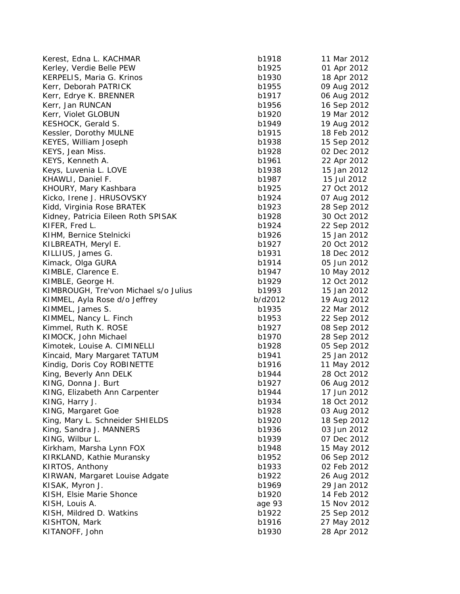| Kerest, Edna L. KACHMAR               | b1918   | 11 Mar 2012                |
|---------------------------------------|---------|----------------------------|
| Kerley, Verdie Belle PEW              | b1925   | 01 Apr 2012                |
| KERPELIS, Maria G. Krinos             | b1930   | 18 Apr 2012                |
| Kerr, Deborah PATRICK                 | b1955   | 09 Aug 2012                |
| Kerr, Edrye K. BRENNER                | b1917   | 06 Aug 2012                |
| Kerr, Jan RUNCAN                      | b1956   | 16 Sep 2012                |
| Kerr, Violet GLOBUN                   | b1920   | 19 Mar 2012                |
| KESHOCK, Gerald S.                    | b1949   | 19 Aug 2012                |
| Kessler, Dorothy MULNE                | b1915   | 18 Feb 2012                |
| <b>KEYES, William Joseph</b>          | b1938   | 15 Sep 2012                |
| KEYS, Jean Miss.                      | b1928   | 02 Dec 2012                |
| KEYS, Kenneth A.                      | b1961   | 22 Apr 2012                |
| Keys, Luvenia L. LOVE                 | b1938   | 15 Jan 2012                |
| KHAWLI, Daniel F.                     | b1987   | 15 Jul 2012                |
| KHOURY, Mary Kashbara                 | b1925   | 27 Oct 2012                |
| Kicko, Irene J. HRUSOVSKY             | b1924   | 07 Aug 2012                |
| Kidd, Virginia Rose BRATEK            | b1923   | 28 Sep 2012                |
| Kidney, Patricia Eileen Roth SPISAK   | b1928   | 30 Oct 2012                |
| KIFER, Fred L.                        | b1924   | 22 Sep 2012                |
| KIHM, Bernice Stelnicki               | b1926   | 15 Jan 2012                |
| KILBREATH, Meryl E.                   | b1927   | 20 Oct 2012                |
| KILLIUS, James G.                     | b1931   | 18 Dec 2012                |
| Kimack, Olga GURA                     | b1914   | 05 Jun 2012                |
| KIMBLE, Clarence E.                   | b1947   | 10 May 2012                |
| KIMBLE, George H.                     | b1929   | 12 Oct 2012                |
| KIMBROUGH, Tre'von Michael s/o Julius | b1993   | 15 Jan 2012                |
| KIMMEL, Ayla Rose d/o Jeffrey         | b/d2012 | 19 Aug 2012                |
| KIMMEL, James S.                      | b1935   | 22 Mar 2012                |
| KIMMEL, Nancy L. Finch                | b1953   | 22 Sep 2012                |
| Kimmel, Ruth K. ROSE                  | b1927   | 08 Sep 2012                |
| KIMOCK, John Michael                  | b1970   | 28 Sep 2012                |
| Kimotek, Louise A. CIMINELLI          | b1928   | 05 Sep 2012                |
| Kincaid, Mary Margaret TATUM          | b1941   | 25 Jan 2012                |
| Kindig, Doris Coy ROBINETTE           | b1916   | 11 May 2012                |
| King, Beverly Ann DELK                | b1944   | 28 Oct 2012                |
| KING, Donna J. Burt                   | b1927   | 06 Aug 2012                |
| KING, Elizabeth Ann Carpenter         | b1944   | 17 Jun 2012                |
| KING, Harry J.                        | b1934   | 18 Oct 2012                |
| KING, Margaret Goe                    | b1928   | 03 Aug 2012                |
| King, Mary L. Schneider SHIELDS       | b1920   | 18 Sep 2012                |
| King, Sandra J. MANNERS               | b1936   | 03 Jun 2012                |
| KING, Wilbur L.                       | b1939   | 07 Dec 2012                |
| Kirkham, Marsha Lynn FOX              | b1948   |                            |
|                                       |         | 15 May 2012                |
| KIRKLAND, Kathie Muransky             | b1952   | 06 Sep 2012<br>02 Feb 2012 |
| KIRTOS, Anthony                       | b1933   |                            |
| KIRWAN, Margaret Louise Adgate        | b1922   | 26 Aug 2012                |
| KISAK, Myron J.                       | b1969   | 29 Jan 2012                |
| KISH, Elsie Marie Shonce              | b1920   | 14 Feb 2012                |
| KISH, Louis A.                        | age 93  | 15 Nov 2012                |
| KISH, Mildred D. Watkins              | b1922   | 25 Sep 2012                |
| KISHTON, Mark                         | b1916   | 27 May 2012                |
| KITANOFF, John                        | b1930   | 28 Apr 2012                |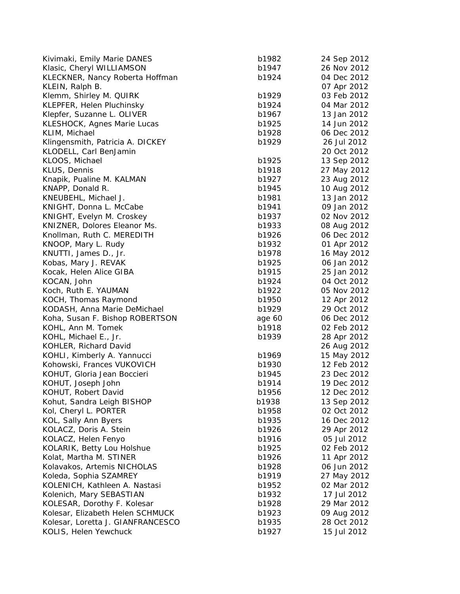|                                   | b1982  |             |
|-----------------------------------|--------|-------------|
| Kivimaki, Emily Marie DANES       |        | 24 Sep 2012 |
| Klasic, Cheryl WILLIAMSON         | b1947  | 26 Nov 2012 |
| KLECKNER, Nancy Roberta Hoffman   | b1924  | 04 Dec 2012 |
| KLEIN, Ralph B.                   |        | 07 Apr 2012 |
| Klemm, Shirley M. QUIRK           | b1929  | 03 Feb 2012 |
| KLEPFER, Helen Pluchinsky         | b1924  | 04 Mar 2012 |
| Klepfer, Suzanne L. OLIVER        | b1967  | 13 Jan 2012 |
| KLESHOCK, Agnes Marie Lucas       | b1925  | 14 Jun 2012 |
| KLIM, Michael                     | b1928  | 06 Dec 2012 |
| Klingensmith, Patricia A. DICKEY  | b1929  | 26 Jul 2012 |
| KLODELL, Carl BenJamin            |        | 20 Oct 2012 |
| KLOOS, Michael                    | b1925  | 13 Sep 2012 |
| KLUS, Dennis                      | b1918  | 27 May 2012 |
| Knapik, Pualine M. KALMAN         | b1927  | 23 Aug 2012 |
| KNAPP, Donald R.                  | b1945  | 10 Aug 2012 |
| KNEUBEHL, Michael J.              | b1981  | 13 Jan 2012 |
| KNIGHT, Donna L. McCabe           | b1941  | 09 Jan 2012 |
| KNIGHT, Evelyn M. Croskey         | b1937  | 02 Nov 2012 |
| KNIZNER, Dolores Eleanor Ms.      | b1933  | 08 Aug 2012 |
| Knollman, Ruth C. MEREDITH        | b1926  | 06 Dec 2012 |
| KNOOP, Mary L. Rudy               | b1932  | 01 Apr 2012 |
| KNUTTI, James D., Jr.             | b1978  | 16 May 2012 |
| Kobas, Mary J. REVAK              | b1925  | 06 Jan 2012 |
|                                   |        |             |
| Kocak, Helen Alice GIBA           | b1915  | 25 Jan 2012 |
| KOCAN, John                       | b1924  | 04 Oct 2012 |
| Koch, Ruth E. YAUMAN              | b1922  | 05 Nov 2012 |
| KOCH, Thomas Raymond              | b1950  | 12 Apr 2012 |
| KODASH, Anna Marie DeMichael      | b1929  | 29 Oct 2012 |
| Koha, Susan F. Bishop ROBERTSON   | age 60 | 06 Dec 2012 |
| KOHL, Ann M. Tomek                | b1918  | 02 Feb 2012 |
| KOHL, Michael E., Jr.             | b1939  | 28 Apr 2012 |
| KOHLER, Richard David             |        | 26 Aug 2012 |
| KOHLI, Kimberly A. Yannucci       | b1969  | 15 May 2012 |
| Kohowski, Frances VUKOVICH        | b1930  | 12 Feb 2012 |
| KOHUT, Gloria Jean Boccieri       | b1945  | 23 Dec 2012 |
| KOHUT, Joseph John                | b1914  | 19 Dec 2012 |
| KOHUT, Robert David               | b1956  | 12 Dec 2012 |
| Kohut, Sandra Leigh BISHOP        | b1938  | 13 Sep 2012 |
| Kol, Cheryl L. PORTER             | b1958  | 02 Oct 2012 |
| KOL, Sally Ann Byers              | b1935  | 16 Dec 2012 |
| KOLACZ, Doris A. Stein            | b1926  | 29 Apr 2012 |
| KOLACZ, Helen Fenyo               | b1916  | 05 Jul 2012 |
| KOLARIK, Betty Lou Holshue        | b1925  | 02 Feb 2012 |
| Kolat, Martha M. STINER           | b1926  | 11 Apr 2012 |
| Kolavakos, Artemis NICHOLAS       | b1928  | 06 Jun 2012 |
| Koleda, Sophia SZAMREY            | b1919  | 27 May 2012 |
| KOLENICH, Kathleen A. Nastasi     | b1952  | 02 Mar 2012 |
| Kolenich, Mary SEBASTIAN          | b1932  | 17 Jul 2012 |
| KOLESAR, Dorothy F. Kolesar       | b1928  | 29 Mar 2012 |
| Kolesar, Elizabeth Helen SCHMUCK  | b1923  | 09 Aug 2012 |
| Kolesar, Loretta J. GIANFRANCESCO | b1935  | 28 Oct 2012 |
| KOLIS, Helen Yewchuck             | b1927  | 15 Jul 2012 |
|                                   |        |             |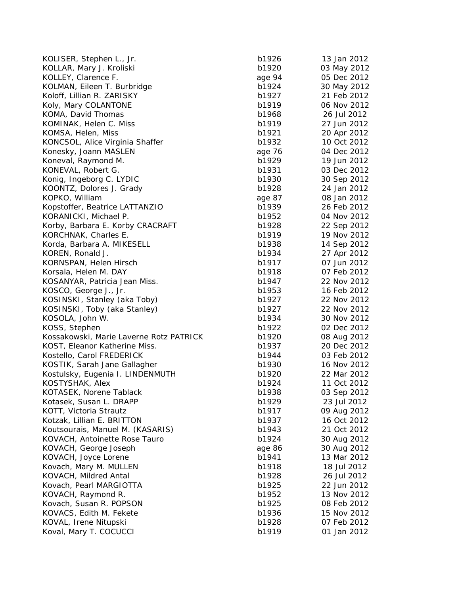| KOLISER, Stephen L., Jr.                | b1926  | 13 Jan 2012 |
|-----------------------------------------|--------|-------------|
| KOLLAR, Mary J. Kroliski                | b1920  | 03 May 2012 |
| KOLLEY, Clarence F.                     | age 94 | 05 Dec 2012 |
| KOLMAN, Eileen T. Burbridge             | b1924  | 30 May 2012 |
| Koloff, Lillian R. ZARISKY              | b1927  | 21 Feb 2012 |
| Koly, Mary COLANTONE                    | b1919  | 06 Nov 2012 |
| KOMA, David Thomas                      | b1968  | 26 Jul 2012 |
| KOMINAK, Helen C. Miss                  | b1919  | 27 Jun 2012 |
| KOMSA, Helen, Miss                      | b1921  | 20 Apr 2012 |
| KONCSOL, Alice Virginia Shaffer         | b1932  | 10 Oct 2012 |
| Konesky, Joann MASLEN                   | age 76 | 04 Dec 2012 |
| Koneval, Raymond M.                     | b1929  | 19 Jun 2012 |
| KONEVAL, Robert G.                      | b1931  | 03 Dec 2012 |
| Konig, Ingeborg C. LYDIC                | b1930  | 30 Sep 2012 |
| KOONTZ, Dolores J. Grady                | b1928  | 24 Jan 2012 |
| KOPKO, William                          | age 87 | 08 Jan 2012 |
| Kopstoffer, Beatrice LATTANZIO          | b1939  | 26 Feb 2012 |
| KORANICKI, Michael P.                   | b1952  | 04 Nov 2012 |
| Korby, Barbara E. Korby CRACRAFT        | b1928  | 22 Sep 2012 |
| KORCHNAK, Charles E.                    | b1919  | 19 Nov 2012 |
| Korda, Barbara A. MIKESELL              | b1938  | 14 Sep 2012 |
| KOREN, Ronald J.                        | b1934  | 27 Apr 2012 |
| KORNSPAN, Helen Hirsch                  | b1917  | 07 Jun 2012 |
| Korsala, Helen M. DAY                   | b1918  | 07 Feb 2012 |
| KOSANYAR, Patricia Jean Miss.           | b1947  | 22 Nov 2012 |
| KOSCO, George J., Jr.                   | b1953  | 16 Feb 2012 |
| KOSINSKI, Stanley (aka Toby)            | b1927  | 22 Nov 2012 |
| KOSINSKI, Toby (aka Stanley)            | b1927  | 22 Nov 2012 |
| KOSOLA, John W.                         | b1934  | 30 Nov 2012 |
| KOSS, Stephen                           | b1922  | 02 Dec 2012 |
| Kossakowski, Marie Laverne Rotz PATRICK | b1920  | 08 Aug 2012 |
| KOST, Eleanor Katherine Miss.           | b1937  | 20 Dec 2012 |
| Kostello, Carol FREDERICK               | b1944  | 03 Feb 2012 |
| KOSTIK, Sarah Jane Gallagher            | b1930  | 16 Nov 2012 |
| Kostulsky, Eugenia I. LINDENMUTH        | b1920  | 22 Mar 2012 |
| KOSTYSHAK, Alex                         | b1924  | 11 Oct 2012 |
| KOTASEK, Norene Tablack                 | b1938  | 03 Sep 2012 |
| Kotasek, Susan L. DRAPP                 | b1929  | 23 Jul 2012 |
| KOTT, Victoria Strautz                  | b1917  | 09 Aug 2012 |
| Kotzak, Lillian E. BRITTON              | b1937  | 16 Oct 2012 |
| Koutsourais, Manuel M. (KASARIS)        | b1943  | 21 Oct 2012 |
| KOVACH, Antoinette Rose Tauro           | b1924  | 30 Aug 2012 |
| KOVACH, George Joseph                   | age 86 | 30 Aug 2012 |
| KOVACH, Joyce Lorene                    | b1941  | 13 Mar 2012 |
| Kovach, Mary M. MULLEN                  | b1918  | 18 Jul 2012 |
| KOVACH, Mildred Antal                   | b1928  | 26 Jul 2012 |
| Kovach, Pearl MARGIOTTA                 | b1925  | 22 Jun 2012 |
| KOVACH, Raymond R.                      | b1952  | 13 Nov 2012 |
| Kovach, Susan R. POPSON                 | b1925  | 08 Feb 2012 |
| KOVACS, Edith M. Fekete                 | b1936  | 15 Nov 2012 |
| KOVAL, Irene Nitupski                   | b1928  | 07 Feb 2012 |
| Koval, Mary T. COCUCCI                  | b1919  | 01 Jan 2012 |
|                                         |        |             |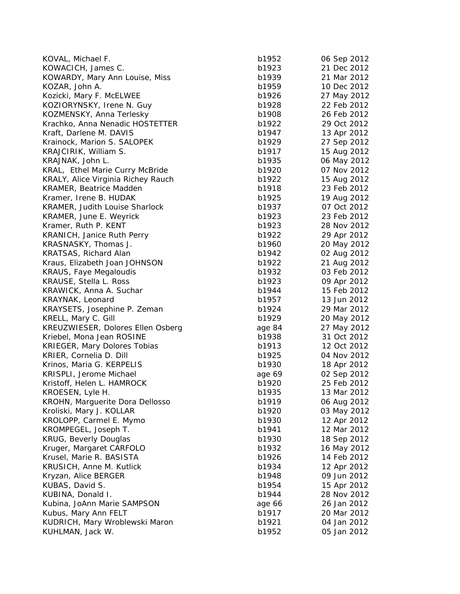| KOVAL, Michael F.                   | b1952  | 06 Sep 2012 |
|-------------------------------------|--------|-------------|
| KOWACICH, James C.                  | b1923  | 21 Dec 2012 |
| KOWARDY, Mary Ann Louise, Miss      | b1939  | 21 Mar 2012 |
| KOZAR, John A.                      | b1959  | 10 Dec 2012 |
| Kozicki, Mary F. McELWEE            | b1926  | 27 May 2012 |
| KOZIORYNSKY, Irene N. Guy           | b1928  | 22 Feb 2012 |
| KOZMENSKY, Anna Terlesky            | b1908  | 26 Feb 2012 |
| Krachko, Anna Nenadic HOSTETTER     | b1922  | 29 Oct 2012 |
| Kraft, Darlene M. DAVIS             | b1947  | 13 Apr 2012 |
| Krainock, Marion S. SALOPEK         | b1929  | 27 Sep 2012 |
| KRAJCIRIK, William S.               | b1917  | 15 Aug 2012 |
| KRAJNAK, John L.                    | b1935  | 06 May 2012 |
| KRAL, Ethel Marie Curry McBride     | b1920  | 07 Nov 2012 |
| KRALY, Alice Virginia Richey Rauch  | b1922  | 15 Aug 2012 |
| <b>KRAMER, Beatrice Madden</b>      | b1918  | 23 Feb 2012 |
| Kramer, Irene B. HUDAK              | b1925  | 19 Aug 2012 |
| KRAMER, Judith Louise Sharlock      | b1937  | 07 Oct 2012 |
| KRAMER, June E. Weyrick             | b1923  | 23 Feb 2012 |
| Kramer, Ruth P. KENT                | b1923  | 28 Nov 2012 |
| <b>KRANICH, Janice Ruth Perry</b>   | b1922  | 29 Apr 2012 |
| KRASNASKY, Thomas J.                | b1960  | 20 May 2012 |
| <b>KRATSAS, Richard Alan</b>        | b1942  | 02 Aug 2012 |
| Kraus, Elizabeth Joan JOHNSON       | b1922  | 21 Aug 2012 |
| <b>KRAUS, Faye Megaloudis</b>       | b1932  | 03 Feb 2012 |
| KRAUSE, Stella L. Ross              | b1923  | 09 Apr 2012 |
| KRAWICK, Anna A. Suchar             | b1944  | 15 Feb 2012 |
| KRAYNAK, Leonard                    | b1957  | 13 Jun 2012 |
| KRAYSETS, Josephine P. Zeman        | b1924  | 29 Mar 2012 |
| KRELL, Mary C. Gill                 | b1929  | 20 May 2012 |
| KREUZWIESER, Dolores Ellen Osberg   | age 84 | 27 May 2012 |
| Kriebel, Mona Jean ROSINE           | b1938  | 31 Oct 2012 |
| <b>KRIEGER, Mary Dolores Tobias</b> | b1913  | 12 Oct 2012 |
| KRIER, Cornelia D. Dill             | b1925  | 04 Nov 2012 |
| Krinos, Maria G. KERPELIS           | b1930  | 18 Apr 2012 |
| KRISPLI, Jerome Michael             | age 69 | 02 Sep 2012 |
| Kristoff, Helen L. HAMROCK          | b1920  | 25 Feb 2012 |
| KROESEN, Lyle H.                    | b1935  | 13 Mar 2012 |
| KROHN, Marguerite Dora Dellosso     | b1919  | 06 Aug 2012 |
| Kroliski, Mary J. KOLLAR            | b1920  | 03 May 2012 |
| KROLOPP, Carmel E. Mymo             | b1930  | 12 Apr 2012 |
| KROMPEGEL, Joseph T.                | b1941  | 12 Mar 2012 |
| KRUG, Beverly Douglas               | b1930  | 18 Sep 2012 |
| Kruger, Margaret CARFOLO            | b1932  | 16 May 2012 |
| Krusel, Marie R. BASISTA            | b1926  | 14 Feb 2012 |
| KRUSICH, Anne M. Kutlick            | b1934  | 12 Apr 2012 |
| Kryzan, Alice BERGER                | b1948  | 09 Jun 2012 |
| KUBAS, David S.                     | b1954  | 15 Apr 2012 |
| KUBINA, Donald I.                   | b1944  | 28 Nov 2012 |
| Kubina, JoAnn Marie SAMPSON         | age 66 | 26 Jan 2012 |
| Kubus, Mary Ann FELT                | b1917  | 20 Mar 2012 |
| KUDRICH, Mary Wroblewski Maron      | b1921  | 04 Jan 2012 |
| KUHLMAN, Jack W.                    | b1952  | 05 Jan 2012 |
|                                     |        |             |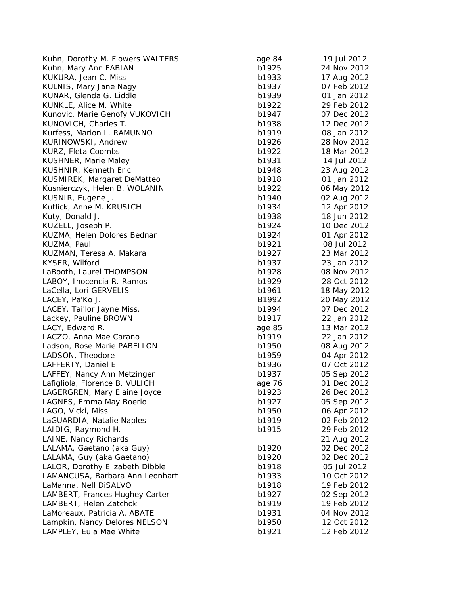| Kuhn, Dorothy M. Flowers WALTERS | age 84 | 19 Jul 2012 |
|----------------------------------|--------|-------------|
| Kuhn, Mary Ann FABIAN            | b1925  | 24 Nov 2012 |
| KUKURA, Jean C. Miss             | b1933  | 17 Aug 2012 |
| KULNIS, Mary Jane Nagy           | b1937  | 07 Feb 2012 |
| KUNAR, Glenda G. Liddle          | b1939  | 01 Jan 2012 |
| KUNKLE, Alice M. White           | b1922  | 29 Feb 2012 |
| Kunovic, Marie Genofy VUKOVICH   | b1947  | 07 Dec 2012 |
| KUNOVICH, Charles T.             | b1938  | 12 Dec 2012 |
| Kurfess, Marion L. RAMUNNO       | b1919  | 08 Jan 2012 |
| KURINOWSKI, Andrew               | b1926  | 28 Nov 2012 |
| KURZ, Fleta Coombs               | b1922  | 18 Mar 2012 |
| <b>KUSHNER, Marie Maley</b>      | b1931  | 14 Jul 2012 |
| KUSHNIR, Kenneth Eric            | b1948  | 23 Aug 2012 |
| KUSMIREK, Margaret DeMatteo      | b1918  | 01 Jan 2012 |
| Kusnierczyk, Helen B. WOLANIN    | b1922  | 06 May 2012 |
| KUSNIR, Eugene J.                | b1940  | 02 Aug 2012 |
| Kutlick, Anne M. KRUSICH         | b1934  | 12 Apr 2012 |
| Kuty, Donald J.                  | b1938  | 18 Jun 2012 |
| KUZELL, Joseph P.                | b1924  | 10 Dec 2012 |
| KUZMA, Helen Dolores Bednar      | b1924  | 01 Apr 2012 |
| KUZMA, Paul                      | b1921  | 08 Jul 2012 |
| KUZMAN, Teresa A. Makara         | b1927  | 23 Mar 2012 |
| KYSER, Wilford                   | b1937  | 23 Jan 2012 |
| LaBooth, Laurel THOMPSON         | b1928  | 08 Nov 2012 |
| LABOY, Inocencia R. Ramos        | b1929  | 28 Oct 2012 |
| LaCella, Lori GERVELIS           | b1961  | 18 May 2012 |
| LACEY, Pa'Ko J.                  | B1992  | 20 May 2012 |
| LACEY, Tai'lor Jayne Miss.       | b1994  | 07 Dec 2012 |
| Lackey, Pauline BROWN            | b1917  | 22 Jan 2012 |
| LACY, Edward R.                  | age 85 | 13 Mar 2012 |
| LACZO, Anna Mae Carano           | b1919  | 22 Jan 2012 |
| Ladson, Rose Marie PABELLON      | b1950  | 08 Aug 2012 |
| LADSON, Theodore                 | b1959  | 04 Apr 2012 |
| LAFFERTY, Daniel E.              | b1936  | 07 Oct 2012 |
| LAFFEY, Nancy Ann Metzinger      | b1937  | 05 Sep 2012 |
| Lafigliola, Florence B. VULICH   | age 76 | 01 Dec 2012 |
| LAGERGREN, Mary Elaine Joyce     | b1923  | 26 Dec 2012 |
| LAGNES, Emma May Boerio          | b1927  | 05 Sep 2012 |
| LAGO, Vicki, Miss                | b1950  | 06 Apr 2012 |
| LaGUARDIA, Natalie Naples        | b1919  | 02 Feb 2012 |
| LAIDIG, Raymond H.               | b1915  | 29 Feb 2012 |
| LAINE, Nancy Richards            |        | 21 Aug 2012 |
| LALAMA, Gaetano (aka Guy)        | b1920  | 02 Dec 2012 |
| LALAMA, Guy (aka Gaetano)        | b1920  | 02 Dec 2012 |
| LALOR, Dorothy Elizabeth Dibble  | b1918  | 05 Jul 2012 |
| LAMANCUSA, Barbara Ann Leonhart  | b1933  | 10 Oct 2012 |
| LaManna, Nell DiSALVO            | b1918  | 19 Feb 2012 |
| LAMBERT, Frances Hughey Carter   | b1927  | 02 Sep 2012 |
| LAMBERT, Helen Zatchok           | b1919  | 19 Feb 2012 |
| LaMoreaux, Patricia A. ABATE     | b1931  | 04 Nov 2012 |
| Lampkin, Nancy Delores NELSON    | b1950  | 12 Oct 2012 |
| LAMPLEY, Eula Mae White          | b1921  | 12 Feb 2012 |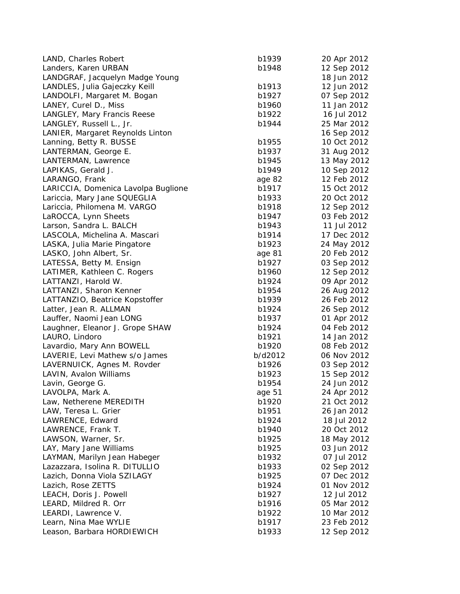| LAND, Charles Robert                | b1939   | 20 Apr 2012 |
|-------------------------------------|---------|-------------|
| Landers, Karen URBAN                | b1948   | 12 Sep 2012 |
| LANDGRAF, Jacquelyn Madge Young     |         | 18 Jun 2012 |
| LANDLES, Julia Gajeczky Keill       | b1913   | 12 Jun 2012 |
| LANDOLFI, Margaret M. Bogan         | b1927   | 07 Sep 2012 |
| LANEY, Curel D., Miss               | b1960   | 11 Jan 2012 |
| LANGLEY, Mary Francis Reese         | b1922   | 16 Jul 2012 |
| LANGLEY, Russell L., Jr.            | b1944   | 25 Mar 2012 |
| LANIER, Margaret Reynolds Linton    |         | 16 Sep 2012 |
| Lanning, Betty R. BUSSE             | b1955   | 10 Oct 2012 |
| LANTERMAN, George E.                | b1937   | 31 Aug 2012 |
| LANTERMAN, Lawrence                 | b1945   | 13 May 2012 |
| LAPIKAS, Gerald J.                  | b1949   | 10 Sep 2012 |
| LARANGO, Frank                      | age 82  | 12 Feb 2012 |
| LARICCIA, Domenica Lavolpa Buglione | b1917   | 15 Oct 2012 |
| Lariccia, Mary Jane SQUEGLIA        | b1933   | 20 Oct 2012 |
| Lariccia, Philomena M. VARGO        | b1918   | 12 Sep 2012 |
| LaROCCA, Lynn Sheets                | b1947   | 03 Feb 2012 |
| Larson, Sandra L. BALCH             | b1943   | 11 Jul 2012 |
| LASCOLA, Michelina A. Mascari       | b1914   | 17 Dec 2012 |
| LASKA, Julia Marie Pingatore        | b1923   | 24 May 2012 |
| LASKO, John Albert, Sr.             | age 81  | 20 Feb 2012 |
| LATESSA, Betty M. Ensign            | b1927   | 03 Sep 2012 |
| LATIMER, Kathleen C. Rogers         | b1960   | 12 Sep 2012 |
| LATTANZI, Harold W.                 | b1924   | 09 Apr 2012 |
| LATTANZI, Sharon Kenner             | b1954   | 26 Aug 2012 |
| LATTANZIO, Beatrice Kopstoffer      | b1939   | 26 Feb 2012 |
| Latter, Jean R. ALLMAN              | b1924   | 26 Sep 2012 |
| Lauffer, Naomi Jean LONG            | b1937   | 01 Apr 2012 |
| Laughner, Eleanor J. Grope SHAW     | b1924   | 04 Feb 2012 |
| LAURO, Lindoro                      | b1921   | 14 Jan 2012 |
| Lavardio, Mary Ann BOWELL           | b1920   | 08 Feb 2012 |
| LAVERIE, Levi Mathew s/o James      | b/d2012 | 06 Nov 2012 |
| LAVERNUICK, Agnes M. Rovder         | b1926   | 03 Sep 2012 |
| LAVIN, Avalon Williams              | b1923   | 15 Sep 2012 |
| Lavin, George G.                    | b1954   | 24 Jun 2012 |
| LAVOLPA, Mark A.                    | age 51  | 24 Apr 2012 |
| Law, Netherene MEREDITH             | b1920   | 21 Oct 2012 |
| LAW, Teresa L. Grier                | b1951   | 26 Jan 2012 |
| LAWRENCE, Edward                    | b1924   | 18 Jul 2012 |
| LAWRENCE, Frank T.                  | b1940   | 20 Oct 2012 |
| LAWSON, Warner, Sr.                 | b1925   | 18 May 2012 |
| LAY, Mary Jane Williams             | b1925   | 03 Jun 2012 |
| LAYMAN, Marilyn Jean Habeger        | b1932   | 07 Jul 2012 |
| Lazazzara, Isolina R. DITULLIO      | b1933   | 02 Sep 2012 |
| Lazich, Donna Viola SZILAGY         | b1925   | 07 Dec 2012 |
| Lazich, Rose ZETTS                  | b1924   | 01 Nov 2012 |
| LEACH, Doris J. Powell              | b1927   | 12 Jul 2012 |
| LEARD, Mildred R. Orr               | b1916   | 05 Mar 2012 |
| LEARDI, Lawrence V.                 | b1922   | 10 Mar 2012 |
| Learn, Nina Mae WYLIE               | b1917   | 23 Feb 2012 |
| Leason, Barbara HORDIEWICH          | b1933   | 12 Sep 2012 |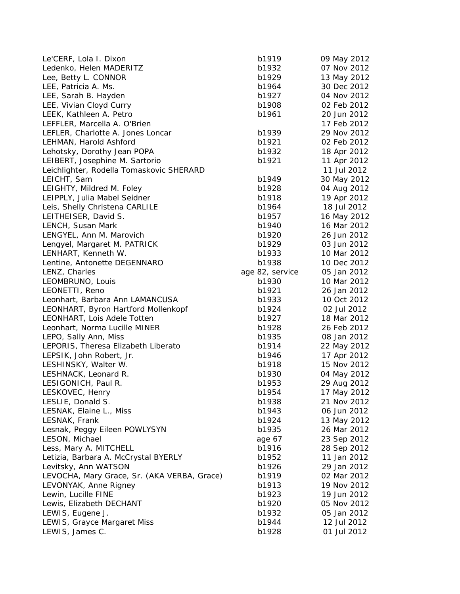| Le'CERF, Lola I. Dixon                      | b1919           | 09 May 2012 |
|---------------------------------------------|-----------------|-------------|
| Ledenko, Helen MADERITZ                     | b1932           | 07 Nov 2012 |
| Lee, Betty L. CONNOR                        | b1929           | 13 May 2012 |
| LEE, Patricia A. Ms.                        | b1964           | 30 Dec 2012 |
| LEE, Sarah B. Hayden                        | b1927           | 04 Nov 2012 |
| LEE, Vivian Cloyd Curry                     | b1908           | 02 Feb 2012 |
| LEEK, Kathleen A. Petro                     | b1961           | 20 Jun 2012 |
| LEFFLER, Marcella A. O'Brien                |                 | 17 Feb 2012 |
| LEFLER, Charlotte A. Jones Loncar           | b1939           | 29 Nov 2012 |
| LEHMAN, Harold Ashford                      | b1921           | 02 Feb 2012 |
| Lehotsky, Dorothy Jean POPA                 | b1932           | 18 Apr 2012 |
| LEIBERT, Josephine M. Sartorio              | b1921           | 11 Apr 2012 |
| Leichlighter, Rodella Tomaskovic SHERARD    |                 | 11 Jul 2012 |
| LEICHT, Sam                                 | b1949           | 30 May 2012 |
| LEIGHTY, Mildred M. Foley                   | b1928           | 04 Aug 2012 |
| LEIPPLY, Julia Mabel Seidner                | b1918           | 19 Apr 2012 |
| Leis, Shelly Christena CARLILE              | b1964           | 18 Jul 2012 |
| LEITHEISER, David S.                        | b1957           | 16 May 2012 |
| LENCH, Susan Mark                           | b1940           | 16 Mar 2012 |
| LENGYEL, Ann M. Marovich                    | b1920           | 26 Jun 2012 |
| Lengyel, Margaret M. PATRICK                | b1929           | 03 Jun 2012 |
| LENHART, Kenneth W.                         | b1933           | 10 Mar 2012 |
| Lentine, Antonette DEGENNARO                | b1938           | 10 Dec 2012 |
| LENZ, Charles                               | age 82, service | 05 Jan 2012 |
| LEOMBRUNO, Louis                            | b1930           | 10 Mar 2012 |
| LEONETTI, Reno                              | b1921           | 26 Jan 2012 |
| Leonhart, Barbara Ann LAMANCUSA             | b1933           | 10 Oct 2012 |
| LEONHART, Byron Hartford Mollenkopf         | b1924           | 02 Jul 2012 |
| LEONHART, Lois Adele Totten                 | b1927           | 18 Mar 2012 |
| Leonhart, Norma Lucille MINER               | b1928           | 26 Feb 2012 |
| LEPO, Sally Ann, Miss                       | b1935           | 08 Jan 2012 |
| LEPORIS, Theresa Elizabeth Liberato         | b1914           | 22 May 2012 |
| LEPSIK, John Robert, Jr.                    | b1946           | 17 Apr 2012 |
| LESHINSKY, Walter W.                        | b1918           | 15 Nov 2012 |
| LESHNACK, Leonard R.                        | b1930           | 04 May 2012 |
| LESIGONICH, Paul R.                         | b1953           | 29 Aug 2012 |
| LESKOVEC, Henry                             | b1954           | 17 May 2012 |
| LESLIE, Donald S.                           | b1938           | 21 Nov 2012 |
| LESNAK, Elaine L., Miss                     | b1943           | 06 Jun 2012 |
| LESNAK, Frank                               | b1924           | 13 May 2012 |
| Lesnak, Peggy Eileen POWLYSYN               | b1935           | 26 Mar 2012 |
| LESON, Michael                              | age 67          | 23 Sep 2012 |
| Less, Mary A. MITCHELL                      | b1916           | 28 Sep 2012 |
| Letizia, Barbara A. McCrystal BYERLY        | b1952           | 11 Jan 2012 |
| Levitsky, Ann WATSON                        | b1926           | 29 Jan 2012 |
| LEVOCHA, Mary Grace, Sr. (AKA VERBA, Grace) | b1919           | 02 Mar 2012 |
| LEVONYAK, Anne Rigney                       | b1913           | 19 Nov 2012 |
| Lewin, Lucille FINE                         | b1923           | 19 Jun 2012 |
| Lewis, Elizabeth DECHANT                    | b1920           | 05 Nov 2012 |
| LEWIS, Eugene J.                            | b1932           | 05 Jan 2012 |
| LEWIS, Grayce Margaret Miss                 | b1944           | 12 Jul 2012 |
|                                             |                 |             |
| LEWIS, James C.                             | b1928           | 01 Jul 2012 |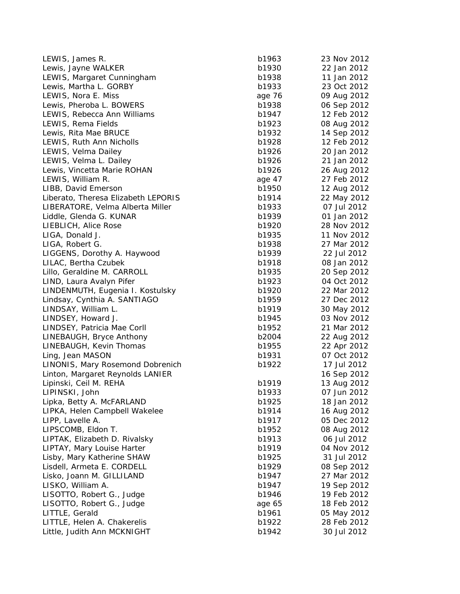| LEWIS, James R.                     | b1963          | 23 Nov 2012                |
|-------------------------------------|----------------|----------------------------|
| Lewis, Jayne WALKER                 | b1930          | 22 Jan 2012                |
| LEWIS, Margaret Cunningham          | b1938          | 11 Jan 2012                |
| Lewis, Martha L. GORBY              | b1933          | 23 Oct 2012                |
| LEWIS, Nora E. Miss                 | age 76         | 09 Aug 2012                |
| Lewis, Pheroba L. BOWERS            | b1938          | 06 Sep 2012                |
| LEWIS, Rebecca Ann Williams         | b1947          | 12 Feb 2012                |
| LEWIS, Rema Fields                  | b1923          | 08 Aug 2012                |
| Lewis, Rita Mae BRUCE               | b1932          | 14 Sep 2012                |
| LEWIS, Ruth Ann Nicholls            | b1928          | 12 Feb 2012                |
| LEWIS, Velma Dailey                 | b1926          | 20 Jan 2012                |
| LEWIS, Velma L. Dailey              | b1926          | 21 Jan 2012                |
| Lewis, Vincetta Marie ROHAN         | b1926          | 26 Aug 2012                |
| LEWIS, William R.                   | age 47         | 27 Feb 2012                |
| LIBB, David Emerson                 | b1950          | 12 Aug 2012                |
| Liberato, Theresa Elizabeth LEPORIS | b1914          | 22 May 2012                |
| LIBERATORE, Velma Alberta Miller    | b1933          | 07 Jul 2012                |
| Liddle, Glenda G. KUNAR             | b1939          | 01 Jan 2012                |
| LIEBLICH, Alice Rose                | b1920          | 28 Nov 2012                |
| LIGA, Donald J.                     | b1935          | 11 Nov 2012                |
| LIGA, Robert G.                     | b1938          | 27 Mar 2012                |
| LIGGENS, Dorothy A. Haywood         | b1939          | 22 Jul 2012                |
| LILAC, Bertha Czubek                | b1918          | 08 Jan 2012                |
| Lillo, Geraldine M. CARROLL         | b1935          | 20 Sep 2012                |
| LIND, Laura Avalyn Pifer            | b1923          | 04 Oct 2012                |
| LINDENMUTH, Eugenia I. Kostulsky    | b1920          | 22 Mar 2012                |
| Lindsay, Cynthia A. SANTIAGO        | b1959          | 27 Dec 2012                |
| LINDSAY, William L.                 | b1919          | 30 May 2012                |
| LINDSEY, Howard J.                  | b1945          | 03 Nov 2012                |
| LINDSEY, Patricia Mae Corll         | b1952          | 21 Mar 2012                |
| LINEBAUGH, Bryce Anthony            | b2004          | 22 Aug 2012                |
| LINEBAUGH, Kevin Thomas             | b1955          | 22 Apr 2012                |
| Ling, Jean MASON                    | b1931          | 07 Oct 2012                |
| LINONIS, Mary Rosemond Dobrenich    | b1922          | 17 Jul 2012                |
| Linton, Margaret Reynolds LANIER    |                | 16 Sep 2012                |
| Lipinski, Ceil M. REHA              | b1919          | 13 Aug 2012                |
| LIPINSKI, John                      | b1933          | 07 Jun 2012                |
| Lipka, Betty A. McFARLAND           | b1925          | 18 Jan 2012                |
| LIPKA, Helen Campbell Wakelee       |                |                            |
| LIPP, Lavelle A.                    | b1914<br>b1917 | 16 Aug 2012<br>05 Dec 2012 |
|                                     |                |                            |
| LIPSCOMB, Eldon T.                  | b1952          | 08 Aug 2012                |
| LIPTAK, Elizabeth D. Rivalsky       | b1913          | 06 Jul 2012                |
| LIPTAY, Mary Louise Harter          | b1919          | 04 Nov 2012                |
| Lisby, Mary Katherine SHAW          | b1925          | 31 Jul 2012                |
| Lisdell, Armeta E. CORDELL          | b1929          | 08 Sep 2012                |
| Lisko, Joann M. GILLILAND           | b1947          | 27 Mar 2012                |
| LISKO, William A.                   | b1947          | 19 Sep 2012                |
| LISOTTO, Robert G., Judge           | b1946          | 19 Feb 2012                |
| LISOTTO, Robert G., Judge           | age 65         | 18 Feb 2012                |
| LITTLE, Gerald                      | b1961          | 05 May 2012                |
| LITTLE, Helen A. Chakerelis         | b1922          | 28 Feb 2012                |
| Little, Judith Ann MCKNIGHT         | b1942          | 30 Jul 2012                |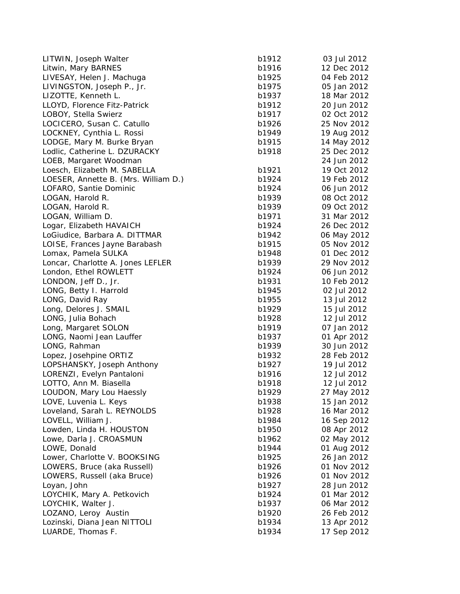| LITWIN, Joseph Walter                | b1912 | 03 Jul 2012 |
|--------------------------------------|-------|-------------|
| Litwin, Mary BARNES                  | b1916 | 12 Dec 2012 |
| LIVESAY, Helen J. Machuga            | b1925 | 04 Feb 2012 |
| LIVINGSTON, Joseph P., Jr.           | b1975 | 05 Jan 2012 |
| LIZOTTE, Kenneth L.                  | b1937 | 18 Mar 2012 |
| LLOYD, Florence Fitz-Patrick         | b1912 | 20 Jun 2012 |
| LOBOY, Stella Swierz                 | b1917 | 02 Oct 2012 |
| LOCICERO, Susan C. Catullo           | b1926 | 25 Nov 2012 |
| LOCKNEY, Cynthia L. Rossi            | b1949 | 19 Aug 2012 |
| LODGE, Mary M. Burke Bryan           | b1915 | 14 May 2012 |
| Lodlic, Catherine L. DZURACKY        | b1918 | 25 Dec 2012 |
| LOEB, Margaret Woodman               |       | 24 Jun 2012 |
| Loesch, Elizabeth M. SABELLA         | b1921 | 19 Oct 2012 |
| LOESER, Annette B. (Mrs. William D.) | b1924 | 19 Feb 2012 |
| LOFARO, Santie Dominic               | b1924 | 06 Jun 2012 |
| LOGAN, Harold R.                     | b1939 | 08 Oct 2012 |
| LOGAN, Harold R.                     | b1939 | 09 Oct 2012 |
| LOGAN, William D.                    | b1971 | 31 Mar 2012 |
| Logar, Elizabeth HAVAICH             | b1924 | 26 Dec 2012 |
| LoGiudice, Barbara A. DITTMAR        | b1942 | 06 May 2012 |
| LOISE, Frances Jayne Barabash        | b1915 | 05 Nov 2012 |
| Lomax, Pamela SULKA                  | b1948 | 01 Dec 2012 |
| Loncar, Charlotte A. Jones LEFLER    | b1939 | 29 Nov 2012 |
| London, Ethel ROWLETT                | b1924 | 06 Jun 2012 |
| LONDON, Jeff D., Jr.                 | b1931 | 10 Feb 2012 |
| LONG, Betty I. Harrold               | b1945 | 02 Jul 2012 |
| LONG, David Ray                      | b1955 | 13 Jul 2012 |
| Long, Delores J. SMAIL               | b1929 | 15 Jul 2012 |
| LONG, Julia Bohach                   | b1928 | 12 Jul 2012 |
| Long, Margaret SOLON                 | b1919 | 07 Jan 2012 |
| LONG, Naomi Jean Lauffer             | b1937 | 01 Apr 2012 |
| LONG, Rahman                         | b1939 | 30 Jun 2012 |
| Lopez, Josehpine ORTIZ               | b1932 | 28 Feb 2012 |
| LOPSHANSKY, Joseph Anthony           | b1927 | 19 Jul 2012 |
| LORENZI, Evelyn Pantaloni            | b1916 | 12 Jul 2012 |
| LOTTO, Ann M. Biasella               | b1918 | 12 Jul 2012 |
| LOUDON, Mary Lou Haessly             | b1929 | 27 May 2012 |
| LOVE, Luvenia L. Keys                | b1938 | 15 Jan 2012 |
| Loveland, Sarah L. REYNOLDS          | b1928 | 16 Mar 2012 |
| LOVELL, William J.                   | b1984 | 16 Sep 2012 |
| Lowden, Linda H. HOUSTON             | b1950 | 08 Apr 2012 |
| Lowe, Darla J. CROASMUN              | b1962 | 02 May 2012 |
| LOWE, Donald                         | b1944 | 01 Aug 2012 |
| Lower, Charlotte V. BOOKSING         | b1925 | 26 Jan 2012 |
| LOWERS, Bruce (aka Russell)          | b1926 | 01 Nov 2012 |
| LOWERS, Russell (aka Bruce)          | b1926 | 01 Nov 2012 |
| Loyan, John                          | b1927 | 28 Jun 2012 |
| LOYCHIK, Mary A. Petkovich           | b1924 | 01 Mar 2012 |
| LOYCHIK, Walter J.                   | b1937 | 06 Mar 2012 |
| LOZANO, Leroy Austin                 | b1920 | 26 Feb 2012 |
| Lozinski, Diana Jean NITTOLI         | b1934 | 13 Apr 2012 |
| LUARDE, Thomas F.                    | b1934 | 17 Sep 2012 |
|                                      |       |             |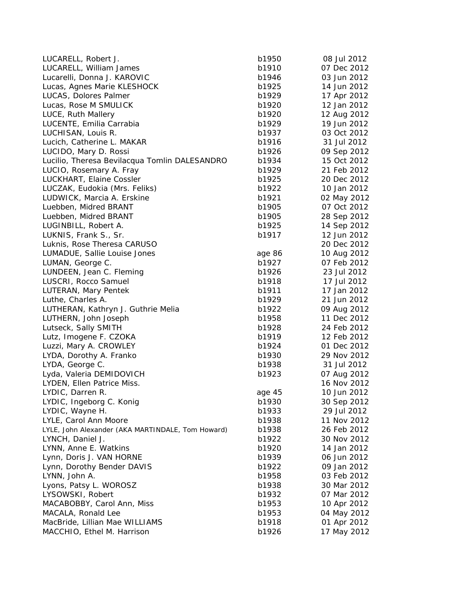| LUCARELL, Robert J.                               | b1950  | 08 Jul 2012 |
|---------------------------------------------------|--------|-------------|
| LUCARELL, William James                           | b1910  | 07 Dec 2012 |
| Lucarelli, Donna J. KAROVIC                       | b1946  | 03 Jun 2012 |
| Lucas, Agnes Marie KLESHOCK                       | b1925  | 14 Jun 2012 |
| LUCAS, Dolores Palmer                             | b1929  | 17 Apr 2012 |
| Lucas, Rose M SMULICK                             | b1920  | 12 Jan 2012 |
| LUCE, Ruth Mallery                                | b1920  | 12 Aug 2012 |
| LUCENTE, Emilia Carrabia                          | b1929  | 19 Jun 2012 |
| LUCHISAN, Louis R.                                | b1937  | 03 Oct 2012 |
| Lucich, Catherine L. MAKAR                        | b1916  | 31 Jul 2012 |
| LUCIDO, Mary D. Rossi                             | b1926  | 09 Sep 2012 |
| Lucilio, Theresa Bevilacqua Tomlin DALESANDRO     | b1934  | 15 Oct 2012 |
| LUCIO, Rosemary A. Fray                           | b1929  | 21 Feb 2012 |
| LUCKHART, Elaine Cossler                          | b1925  | 20 Dec 2012 |
| LUCZAK, Eudokia (Mrs. Feliks)                     | b1922  | 10 Jan 2012 |
| LUDWICK, Marcia A. Erskine                        | b1921  | 02 May 2012 |
| Luebben, Midred BRANT                             | b1905  | 07 Oct 2012 |
| Luebben, Midred BRANT                             | b1905  | 28 Sep 2012 |
| LUGINBILL, Robert A.                              | b1925  | 14 Sep 2012 |
| LUKNIS, Frank S., Sr.                             | b1917  | 12 Jun 2012 |
| Luknis, Rose Theresa CARUSO                       |        | 20 Dec 2012 |
| LUMADUE, Sallie Louise Jones                      | age 86 | 10 Aug 2012 |
| LUMAN, George C.                                  | b1927  | 07 Feb 2012 |
| LUNDEEN, Jean C. Fleming                          | b1926  | 23 Jul 2012 |
| LUSCRI, Rocco Samuel                              | b1918  | 17 Jul 2012 |
| LUTERAN, Mary Pentek                              | b1911  | 17 Jan 2012 |
| Luthe, Charles A.                                 | b1929  | 21 Jun 2012 |
| LUTHERAN, Kathryn J. Guthrie Melia                | b1922  | 09 Aug 2012 |
| LUTHERN, John Joseph                              | b1958  | 11 Dec 2012 |
| Lutseck, Sally SMITH                              | b1928  | 24 Feb 2012 |
| Lutz, Imogene F. CZOKA                            | b1919  | 12 Feb 2012 |
| Luzzi, Mary A. CROWLEY                            | b1924  | 01 Dec 2012 |
| LYDA, Dorothy A. Franko                           | b1930  | 29 Nov 2012 |
| LYDA, George C.                                   | b1938  | 31 Jul 2012 |
| Lyda, Valeria DEMIDOVICH                          | b1923  | 07 Aug 2012 |
| LYDEN, Ellen Patrice Miss.                        |        | 16 Nov 2012 |
| LYDIC, Darren R.                                  | age 45 | 10 Jun 2012 |
| LYDIC, Ingeborg C. Konig                          | b1930  | 30 Sep 2012 |
| LYDIC, Wayne H.                                   | b1933  | 29 Jul 2012 |
| LYLE, Carol Ann Moore                             | b1938  | 11 Nov 2012 |
| LYLE, John Alexander (AKA MARTINDALE, Tom Howard) | b1938  | 26 Feb 2012 |
| LYNCH, Daniel J.                                  | b1922  | 30 Nov 2012 |
| LYNN, Anne E. Watkins                             | b1920  | 14 Jan 2012 |
| Lynn, Doris J. VAN HORNE                          | b1939  | 06 Jun 2012 |
| Lynn, Dorothy Bender DAVIS                        | b1922  | 09 Jan 2012 |
| LYNN, John A.                                     | b1958  | 03 Feb 2012 |
| Lyons, Patsy L. WOROSZ                            | b1938  | 30 Mar 2012 |
| LYSOWSKI, Robert                                  | b1932  | 07 Mar 2012 |
| MACABOBBY, Carol Ann, Miss                        | b1953  | 10 Apr 2012 |
| MACALA, Ronald Lee                                | b1953  | 04 May 2012 |
| MacBride, Lillian Mae WILLIAMS                    | b1918  | 01 Apr 2012 |
| MACCHIO, Ethel M. Harrison                        | b1926  | 17 May 2012 |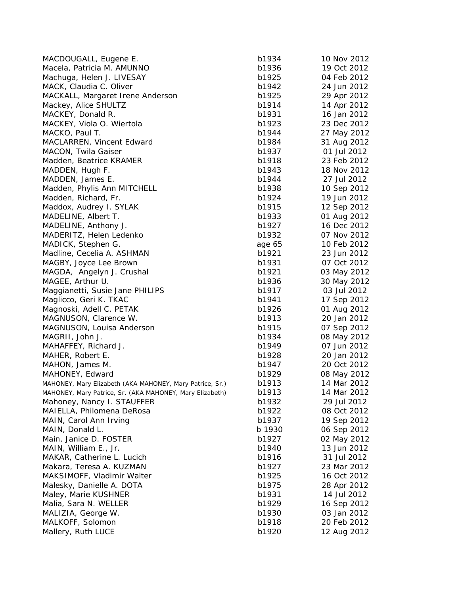| MACDOUGALL, Eugene E.                                    | b1934  | 10 Nov 2012 |
|----------------------------------------------------------|--------|-------------|
| Macela, Patricia M. AMUNNO                               | b1936  | 19 Oct 2012 |
| Machuga, Helen J. LIVESAY                                | b1925  | 04 Feb 2012 |
| MACK, Claudia C. Oliver                                  | b1942  | 24 Jun 2012 |
| MACKALL, Margaret Irene Anderson                         | b1925  | 29 Apr 2012 |
| Mackey, Alice SHULTZ                                     | b1914  | 14 Apr 2012 |
| MACKEY, Donald R.                                        | b1931  | 16 Jan 2012 |
| MACKEY, Viola O. Wiertola                                | b1923  | 23 Dec 2012 |
| MACKO, Paul T.                                           | b1944  | 27 May 2012 |
| <b>MACLARREN, Vincent Edward</b>                         | b1984  | 31 Aug 2012 |
| MACON, Twila Gaiser                                      | b1937  | 01 Jul 2012 |
| Madden, Beatrice KRAMER                                  | b1918  | 23 Feb 2012 |
| MADDEN, Hugh F.                                          | b1943  | 18 Nov 2012 |
| MADDEN, James E.                                         | b1944  | 27 Jul 2012 |
| Madden, Phylis Ann MITCHELL                              | b1938  | 10 Sep 2012 |
| Madden, Richard, Fr.                                     | b1924  | 19 Jun 2012 |
| Maddox, Audrey I. SYLAK                                  | b1915  | 12 Sep 2012 |
| MADELINE, Albert T.                                      | b1933  | 01 Aug 2012 |
| MADELINE, Anthony J.                                     | b1927  | 16 Dec 2012 |
| MADERITZ, Helen Ledenko                                  | b1932  | 07 Nov 2012 |
| MADICK, Stephen G.                                       | age 65 | 10 Feb 2012 |
| Madline, Cecelia A. ASHMAN                               | b1921  | 23 Jun 2012 |
| MAGBY, Joyce Lee Brown                                   | b1931  | 07 Oct 2012 |
| MAGDA, Angelyn J. Crushal                                | b1921  | 03 May 2012 |
| MAGEE, Arthur U.                                         | b1936  | 30 May 2012 |
| Maggianetti, Susie Jane PHILIPS                          | b1917  | 03 Jul 2012 |
| Maglicco, Geri K. TKAC                                   | b1941  | 17 Sep 2012 |
| Magnoski, Adell C. PETAK                                 | b1926  | 01 Aug 2012 |
| MAGNUSON, Clarence W.                                    | b1913  | 20 Jan 2012 |
| MAGNUSON, Louisa Anderson                                | b1915  | 07 Sep 2012 |
| MAGRII, John J.                                          | b1934  | 08 May 2012 |
| MAHAFFEY, Richard J.                                     | b1949  | 07 Jun 2012 |
| MAHER, Robert E.                                         | b1928  | 20 Jan 2012 |
| MAHON, James M.                                          | b1947  | 20 Oct 2012 |
| MAHONEY, Edward                                          | b1929  | 08 May 2012 |
| MAHONEY, Mary Elizabeth (AKA MAHONEY, Mary Patrice, Sr.) | b1913  | 14 Mar 2012 |
| MAHONEY, Mary Patrice, Sr. (AKA MAHONEY, Mary Elizabeth) | b1913  | 14 Mar 2012 |
| Mahoney, Nancy I. STAUFFER                               | b1932  | 29 Jul 2012 |
| MAIELLA, Philomena DeRosa                                | b1922  | 08 Oct 2012 |
| MAIN, Carol Ann Irving                                   | b1937  | 19 Sep 2012 |
| MAIN, Donald L.                                          | b 1930 | 06 Sep 2012 |
| Main, Janice D. FOSTER                                   | b1927  | 02 May 2012 |
| MAIN, William E., Jr.                                    | b1940  | 13 Jun 2012 |
| MAKAR, Catherine L. Lucich                               | b1916  | 31 Jul 2012 |
| Makara, Teresa A. KUZMAN                                 | b1927  | 23 Mar 2012 |
| MAKSIMOFF, Vladimir Walter                               | b1925  | 16 Oct 2012 |
| Malesky, Danielle A. DOTA                                | b1975  | 28 Apr 2012 |
| Maley, Marie KUSHNER                                     | b1931  | 14 Jul 2012 |
| Malia, Sara N. WELLER                                    | b1929  | 16 Sep 2012 |
| MALIZIA, George W.                                       | b1930  | 03 Jan 2012 |
| MALKOFF, Solomon                                         | b1918  | 20 Feb 2012 |
| Mallery, Ruth LUCE                                       | b1920  | 12 Aug 2012 |
|                                                          |        |             |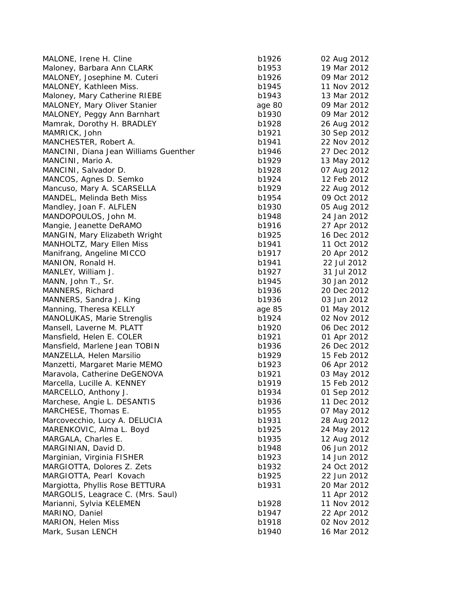| MALONE, Irene H. Cline                | b1926          | 02 Aug 2012 |
|---------------------------------------|----------------|-------------|
| Maloney, Barbara Ann CLARK            | b1953          | 19 Mar 2012 |
| MALONEY, Josephine M. Cuteri          | b1926          | 09 Mar 2012 |
| MALONEY, Kathleen Miss.               | b1945          | 11 Nov 2012 |
| Maloney, Mary Catherine RIEBE         | b1943          | 13 Mar 2012 |
| MALONEY, Mary Oliver Stanier          | age 80         | 09 Mar 2012 |
| MALONEY, Peggy Ann Barnhart           | b1930          | 09 Mar 2012 |
| Mamrak, Dorothy H. BRADLEY            | b1928          | 26 Aug 2012 |
| MAMRICK, John                         | b1921          | 30 Sep 2012 |
| MANCHESTER, Robert A.                 | b1941          | 22 Nov 2012 |
| MANCINI, Diana Jean Williams Guenther | b1946          | 27 Dec 2012 |
| MANCINI, Mario A.                     | b1929          | 13 May 2012 |
| MANCINI, Salvador D.                  | b1928          | 07 Aug 2012 |
| MANCOS, Agnes D. Semko                | b1924          | 12 Feb 2012 |
| Mancuso, Mary A. SCARSELLA            | b1929          | 22 Aug 2012 |
| MANDEL, Melinda Beth Miss             | b1954          | 09 Oct 2012 |
| Mandley, Joan F. ALFLEN               | b1930          | 05 Aug 2012 |
| MANDOPOULOS, John M.                  | b1948          | 24 Jan 2012 |
| Mangie, Jeanette DeRAMO               | b1916          | 27 Apr 2012 |
| <b>MANGIN, Mary Elizabeth Wright</b>  | b1925          | 16 Dec 2012 |
| MANHOLTZ, Mary Ellen Miss             | b1941          | 11 Oct 2012 |
| Manifrang, Angeline MICCO             | b1917          | 20 Apr 2012 |
| MANION, Ronald H.                     | b1941          | 22 Jul 2012 |
| MANLEY, William J.                    | b1927          | 31 Jul 2012 |
| MANN, John T., Sr.                    | b1945          | 30 Jan 2012 |
| MANNERS, Richard                      | b1936          | 20 Dec 2012 |
| MANNERS, Sandra J. King               | b1936          | 03 Jun 2012 |
| Manning, Theresa KELLY                | age 85         | 01 May 2012 |
| <b>MANOLUKAS, Marie Strenglis</b>     | b1924          | 02 Nov 2012 |
| Mansell, Laverne M. PLATT             | b1920          | 06 Dec 2012 |
| Mansfield, Helen E. COLER             | b1921          | 01 Apr 2012 |
| Mansfield, Marlene Jean TOBIN         | b1936          | 26 Dec 2012 |
| MANZELLA, Helen Marsilio              | b1929          | 15 Feb 2012 |
| Manzetti, Margaret Marie MEMO         | b1923          | 06 Apr 2012 |
| Maravola, Catherine DeGENOVA          | b1921          | 03 May 2012 |
| Marcella, Lucille A. KENNEY           | b1919          | 15 Feb 2012 |
| MARCELLO, Anthony J.                  | b1934          | 01 Sep 2012 |
| Marchese, Angie L. DESANTIS           | b1936          | 11 Dec 2012 |
| MARCHESE, Thomas E.                   | b1955          | 07 May 2012 |
| Marcovecchio, Lucy A. DELUCIA         | b1931          | 28 Aug 2012 |
| MARENKOVIC, Alma L. Boyd              | b1925          | 24 May 2012 |
| MARGALA, Charles E.                   | b1935          | 12 Aug 2012 |
| MARGINIAN, David D.                   | b1948          | 06 Jun 2012 |
| Marginian, Virginia FISHER            |                | 14 Jun 2012 |
|                                       | b1923<br>b1932 | 24 Oct 2012 |
| MARGIOTTA, Dolores Z. Zets            |                | 22 Jun 2012 |
| MARGIOTTA, Pearl Kovach               | b1925          |             |
| Margiotta, Phyllis Rose BETTURA       | b1931          | 20 Mar 2012 |
| MARGOLIS, Leagrace C. (Mrs. Saul)     |                | 11 Apr 2012 |
| Marianni, Sylvia KELEMEN              | b1928          | 11 Nov 2012 |
| MARINO, Daniel                        | b1947          | 22 Apr 2012 |
| MARION, Helen Miss                    | b1918          | 02 Nov 2012 |
| Mark, Susan LENCH                     | b1940          | 16 Mar 2012 |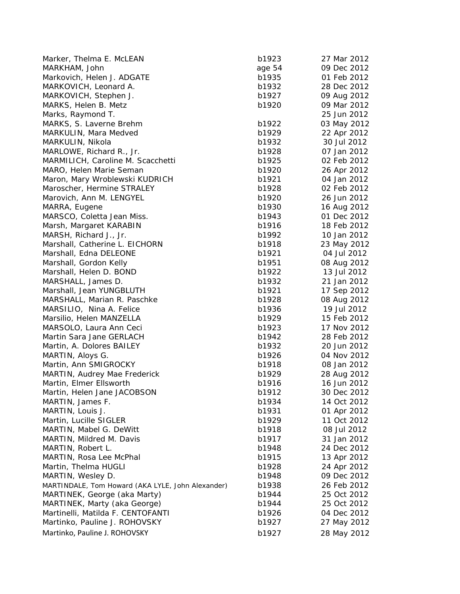| Marker, Thelma E. McLEAN                          | b1923  | 27 Mar 2012 |
|---------------------------------------------------|--------|-------------|
| MARKHAM, John                                     | age 54 | 09 Dec 2012 |
| Markovich, Helen J. ADGATE                        | b1935  | 01 Feb 2012 |
| MARKOVICH, Leonard A.                             | b1932  | 28 Dec 2012 |
| MARKOVICH, Stephen J.                             | b1927  | 09 Aug 2012 |
| MARKS, Helen B. Metz                              | b1920  | 09 Mar 2012 |
| Marks, Raymond T.                                 |        | 25 Jun 2012 |
| MARKS, S. Laverne Brehm                           | b1922  | 03 May 2012 |
| MARKULIN, Mara Medved                             | b1929  | 22 Apr 2012 |
| MARKULIN, Nikola                                  | b1932  | 30 Jul 2012 |
| MARLOWE, Richard R., Jr.                          | b1928  | 07 Jan 2012 |
| MARMILICH, Caroline M. Scacchetti                 | b1925  | 02 Feb 2012 |
| MARO, Helen Marie Seman                           | b1920  | 26 Apr 2012 |
| Maron, Mary Wroblewski KUDRICH                    | b1921  | 04 Jan 2012 |
| Maroscher, Hermine STRALEY                        | b1928  | 02 Feb 2012 |
| Marovich, Ann M. LENGYEL                          | b1920  | 26 Jun 2012 |
| MARRA, Eugene                                     | b1930  | 16 Aug 2012 |
| MARSCO, Coletta Jean Miss.                        | b1943  | 01 Dec 2012 |
| Marsh, Margaret KARABIN                           | b1916  | 18 Feb 2012 |
| MARSH, Richard J., Jr.                            | b1992  | 10 Jan 2012 |
| Marshall, Catherine L. EICHORN                    | b1918  | 23 May 2012 |
| Marshall, Edna DELEONE                            | b1921  | 04 Jul 2012 |
| Marshall, Gordon Kelly                            | b1951  | 08 Aug 2012 |
| Marshall, Helen D. BOND                           | b1922  | 13 Jul 2012 |
| MARSHALL, James D.                                | b1932  | 21 Jan 2012 |
| Marshall, Jean YUNGBLUTH                          | b1921  | 17 Sep 2012 |
| MARSHALL, Marian R. Paschke                       | b1928  | 08 Aug 2012 |
| MARSILIO, Nina A. Felice                          | b1936  | 19 Jul 2012 |
| Marsilio, Helen MANZELLA                          | b1929  | 15 Feb 2012 |
| MARSOLO, Laura Ann Ceci                           | b1923  | 17 Nov 2012 |
| Martin Sara Jane GERLACH                          | b1942  | 28 Feb 2012 |
| Martin, A. Dolores BAILEY                         | b1932  | 20 Jun 2012 |
| MARTIN, Aloys G.                                  | b1926  | 04 Nov 2012 |
| Martin, Ann SMIGROCKY                             | b1918  | 08 Jan 2012 |
| MARTIN, Audrey Mae Frederick                      | b1929  | 28 Aug 2012 |
| Martin, Elmer Ellsworth                           | b1916  | 16 Jun 2012 |
| Martin, Helen Jane JACOBSON                       | b1912  | 30 Dec 2012 |
| MARTIN, James F.                                  | b1934  | 14 Oct 2012 |
| MARTIN, Louis J.                                  | b1931  | 01 Apr 2012 |
| Martin, Lucille SIGLER                            | b1929  | 11 Oct 2012 |
| MARTIN, Mabel G. DeWitt                           | b1918  | 08 Jul 2012 |
| MARTIN, Mildred M. Davis                          | b1917  | 31 Jan 2012 |
| MARTIN, Robert L.                                 | b1948  | 24 Dec 2012 |
| MARTIN, Rosa Lee McPhal                           | b1915  | 13 Apr 2012 |
| Martin, Thelma HUGLI                              | b1928  | 24 Apr 2012 |
| MARTIN, Wesley D.                                 | b1948  | 09 Dec 2012 |
| MARTINDALE, Tom Howard (AKA LYLE, John Alexander) | b1938  | 26 Feb 2012 |
| MARTINEK, George (aka Marty)                      | b1944  | 25 Oct 2012 |
| MARTINEK, Marty (aka George)                      | b1944  | 25 Oct 2012 |
| Martinelli, Matilda F. CENTOFANTI                 | b1926  | 04 Dec 2012 |
| Martinko, Pauline J. ROHOVSKY                     | b1927  | 27 May 2012 |
| Martinko, Pauline J. ROHOVSKY                     | b1927  | 28 May 2012 |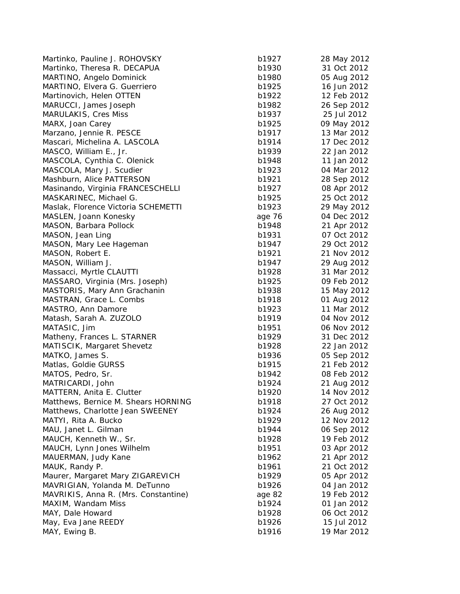| Martinko, Pauline J. ROHOVSKY        | b1927  | 28 May 2012 |
|--------------------------------------|--------|-------------|
| Martinko, Theresa R. DECAPUA         | b1930  | 31 Oct 2012 |
| MARTINO, Angelo Dominick             | b1980  | 05 Aug 2012 |
| MARTINO, Elvera G. Guerriero         | b1925  | 16 Jun 2012 |
| Martinovich, Helen OTTEN             | b1922  | 12 Feb 2012 |
| MARUCCI, James Joseph                | b1982  | 26 Sep 2012 |
| <b>MARULAKIS, Cres Miss</b>          | b1937  | 25 Jul 2012 |
| MARX, Joan Carey                     | b1925  | 09 May 2012 |
| Marzano, Jennie R. PESCE             | b1917  | 13 Mar 2012 |
| Mascari, Michelina A. LASCOLA        | b1914  | 17 Dec 2012 |
| MASCO, William E., Jr.               | b1939  | 22 Jan 2012 |
| MASCOLA, Cynthia C. Olenick          | b1948  | 11 Jan 2012 |
| MASCOLA, Mary J. Scudier             | b1923  | 04 Mar 2012 |
| Mashburn, Alice PATTERSON            | b1921  | 28 Sep 2012 |
| Masinando, Virginia FRANCESCHELLI    | b1927  | 08 Apr 2012 |
| MASKARINEC, Michael G.               | b1925  | 25 Oct 2012 |
| Maslak, Florence Victoria SCHEMETTI  | b1923  | 29 May 2012 |
| MASLEN, Joann Konesky                | age 76 | 04 Dec 2012 |
| MASON, Barbara Pollock               | b1948  | 21 Apr 2012 |
| MASON, Jean Ling                     | b1931  | 07 Oct 2012 |
| MASON, Mary Lee Hageman              | b1947  | 29 Oct 2012 |
| MASON, Robert E.                     | b1921  | 21 Nov 2012 |
| MASON, William J.                    | b1947  | 29 Aug 2012 |
| Massacci, Myrtle CLAUTTI             | b1928  | 31 Mar 2012 |
| MASSARO, Virginia (Mrs. Joseph)      | b1925  | 09 Feb 2012 |
| MASTORIS, Mary Ann Grachanin         | b1938  | 15 May 2012 |
| MASTRAN, Grace L. Combs              | b1918  | 01 Aug 2012 |
| MASTRO, Ann Damore                   | b1923  | 11 Mar 2012 |
| Matash, Sarah A. ZUZOLO              | b1919  | 04 Nov 2012 |
| MATASIC, Jim                         | b1951  | 06 Nov 2012 |
| Matheny, Frances L. STARNER          | b1929  | 31 Dec 2012 |
| MATISCIK, Margaret Shevetz           | b1928  | 22 Jan 2012 |
| MATKO, James S.                      | b1936  | 05 Sep 2012 |
| Matlas, Goldie GURSS                 | b1915  | 21 Feb 2012 |
| MATOS, Pedro, Sr.                    | b1942  | 08 Feb 2012 |
| MATRICARDI, John                     | b1924  | 21 Aug 2012 |
| MATTERN, Anita E. Clutter            | b1920  | 14 Nov 2012 |
| Matthews, Bernice M. Shears HORNING  | b1918  | 27 Oct 2012 |
| Matthews, Charlotte Jean SWEENEY     | b1924  | 26 Aug 2012 |
| MATYI, Rita A. Bucko                 | b1929  | 12 Nov 2012 |
| MAU, Janet L. Gilman                 | b1944  | 06 Sep 2012 |
| MAUCH, Kenneth W., Sr.               | b1928  | 19 Feb 2012 |
| MAUCH, Lynn Jones Wilhelm            | b1951  | 03 Apr 2012 |
| MAUERMAN, Judy Kane                  | b1962  | 21 Apr 2012 |
| MAUK, Randy P.                       | b1961  | 21 Oct 2012 |
| Maurer, Margaret Mary ZIGAREVICH     | b1929  | 05 Apr 2012 |
| MAVRIGIAN, Yolanda M. DeTunno        | b1926  | 04 Jan 2012 |
| MAVRIKIS, Anna R. (Mrs. Constantine) | age 82 | 19 Feb 2012 |
| MAXIM, Wandam Miss                   | b1924  | 01 Jan 2012 |
| MAY, Dale Howard                     | b1928  | 06 Oct 2012 |
| May, Eva Jane REEDY                  | b1926  | 15 Jul 2012 |
| MAY, Ewing B.                        | b1916  | 19 Mar 2012 |

| 27 | 28 May 2012    |
|----|----------------|
| 30 | 31 Oct 2012    |
| 80 | 05 Aug 2012    |
| 25 | 16 Jun 2012    |
| 22 | 12 Feb 2012    |
| 82 | 26 Sep 2012    |
|    |                |
| 37 | 25 Jul 2012    |
| 25 | 09 May 2012    |
| 17 | 13 Mar 2012    |
| 14 | 17 Dec 2012    |
| 39 | 22 Jan 2012    |
| 48 | 11 Jan 2012    |
| 23 | 04 Mar 2012    |
|    |                |
| 21 | 28 Sep 2012    |
| 27 | 08 Apr 2012    |
| 25 | 25 Oct 2012    |
| 23 | 29 May 2012    |
| 76 | 04 Dec 2012    |
| 48 | 21 Apr 2012    |
| 31 | 07 Oct 2012    |
| 47 | 29 Oct 2012    |
|    |                |
| 21 | 21 Nov 2012    |
| 47 | 29 Aug 2012    |
| 28 | 31 Mar 2012    |
| 25 | 09 Feb 2012    |
| 38 | 15 May 2012    |
| 18 | Aug 2012<br>01 |
| 23 | 11 Mar 2012    |
| 19 | 04 Nov 2012    |
| 51 | 06 Nov 2012    |
|    |                |
| 29 | 31 Dec 2012    |
| 28 | 22 Jan 2012    |
| 36 | 05 Sep 2012    |
| 15 | 21 Feb 2012    |
| 42 | 08 Feb 2012    |
| 24 | 21 Aug 2012    |
| 20 | 14 Nov 2012    |
| 18 | 27 Oct 2012    |
| 24 | 26 Aug 2012    |
|    |                |
| 29 | 12 Nov 2012    |
| 44 | 06 Sep 2012    |
| 28 | 19 Feb 2012    |
| 51 | 03 Apr 2012    |
| 62 | 21 Apr 2012    |
| 61 | 21 Oct 2012    |
| 29 | 05 Apr 2012    |
| 26 | 04 Jan 2012    |
|    |                |
| 82 | 19 Feb 2012    |
| 24 | 01 Jan 2012    |
| 28 | 06 Oct 2012    |
| 26 | 15 Jul 2012    |
| 16 | 19 Mar 2012    |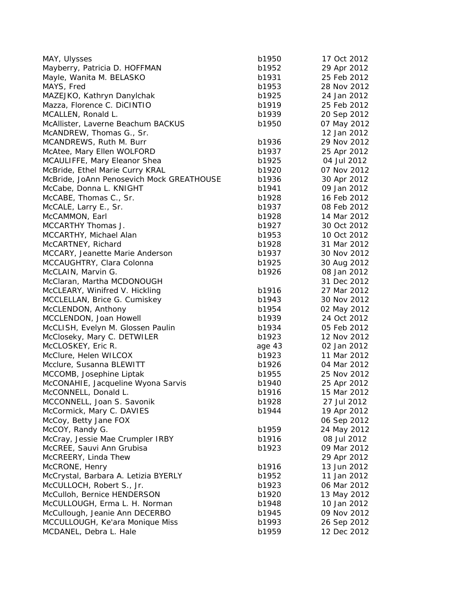| MAY, Ulysses                              | b1950  | 17 Oct 2012 |
|-------------------------------------------|--------|-------------|
| Mayberry, Patricia D. HOFFMAN             | b1952  | 29 Apr 2012 |
| Mayle, Wanita M. BELASKO                  | b1931  | 25 Feb 2012 |
| MAYS, Fred                                | b1953  | 28 Nov 2012 |
| MAZEJKO, Kathryn Danylchak                | b1925  | 24 Jan 2012 |
| Mazza, Florence C. DiCINTIO               | b1919  | 25 Feb 2012 |
| MCALLEN, Ronald L.                        | b1939  | 20 Sep 2012 |
| McAllister, Laverne Beachum BACKUS        | b1950  | 07 May 2012 |
| McANDREW, Thomas G., Sr.                  |        | 12 Jan 2012 |
| MCANDREWS, Ruth M. Burr                   | b1936  | 29 Nov 2012 |
| McAtee, Mary Ellen WOLFORD                | b1937  | 25 Apr 2012 |
| MCAULIFFE, Mary Eleanor Shea              | b1925  | 04 Jul 2012 |
| McBride, Ethel Marie Curry KRAL           | b1920  | 07 Nov 2012 |
| McBride, JoAnn Penosevich Mock GREATHOUSE | b1936  | 30 Apr 2012 |
| McCabe, Donna L. KNIGHT                   | b1941  | 09 Jan 2012 |
| McCABE, Thomas C., Sr.                    | b1928  | 16 Feb 2012 |
| McCALE, Larry E., Sr.                     | b1937  | 08 Feb 2012 |
| McCAMMON, Earl                            | b1928  | 14 Mar 2012 |
| MCCARTHY Thomas J.                        | b1927  | 30 Oct 2012 |
| MCCARTHY, Michael Alan                    | b1953  | 10 Oct 2012 |
| McCARTNEY, Richard                        | b1928  | 31 Mar 2012 |
| MCCARY, Jeanette Marie Anderson           | b1937  | 30 Nov 2012 |
| MCCAUGHTRY, Clara Colonna                 | b1925  | 30 Aug 2012 |
| McCLAIN, Marvin G.                        | b1926  | 08 Jan 2012 |
| McClaran, Martha MCDONOUGH                |        | 31 Dec 2012 |
| McCLEARY, Winifred V. Hickling            | b1916  | 27 Mar 2012 |
| MCCLELLAN, Brice G. Cumiskey              | b1943  | 30 Nov 2012 |
| McCLENDON, Anthony                        | b1954  | 02 May 2012 |
| MCCLENDON, Joan Howell                    | b1939  | 24 Oct 2012 |
| McCLISH, Evelyn M. Glossen Paulin         | b1934  | 05 Feb 2012 |
| McCloseky, Mary C. DETWILER               | b1923  | 12 Nov 2012 |
| McCLOSKEY, Eric R.                        | age 43 | 02 Jan 2012 |
| McClure, Helen WILCOX                     | b1923  | 11 Mar 2012 |
| Mcclure, Susanna BLEWITT                  | b1926  | 04 Mar 2012 |
| MCCOMB, Josephine Liptak                  | b1955  | 25 Nov 2012 |
| McCONAHIE, Jacqueline Wyona Sarvis        | b1940  | 25 Apr 2012 |
| McCONNELL, Donald L.                      | b1916  | 15 Mar 2012 |
| MCCONNELL, Joan S. Savonik                | b1928  | 27 Jul 2012 |
| McCormick, Mary C. DAVIES                 | b1944  | 19 Apr 2012 |
| McCoy, Betty Jane FOX                     |        | 06 Sep 2012 |
| McCOY, Randy G.                           | b1959  | 24 May 2012 |
| McCray, Jessie Mae Crumpler IRBY          | b1916  | 08 Jul 2012 |
| McCREE, Sauvi Ann Grubisa                 | b1923  | 09 Mar 2012 |
| McCREERY, Linda Thew                      |        | 29 Apr 2012 |
| McCRONE, Henry                            | b1916  | 13 Jun 2012 |
| McCrystal, Barbara A. Letizia BYERLY      | b1952  | 11 Jan 2012 |
| McCULLOCH, Robert S., Jr.                 | b1923  | 06 Mar 2012 |
| McCulloh, Bernice HENDERSON               | b1920  | 13 May 2012 |
| McCULLOUGH, Erma L. H. Norman             | b1948  | 10 Jan 2012 |
| McCullough, Jeanie Ann DECERBO            | b1945  | 09 Nov 2012 |
| MCCULLOUGH, Ke'ara Monique Miss           | b1993  | 26 Sep 2012 |
| MCDANEL, Debra L. Hale                    | b1959  | 12 Dec 2012 |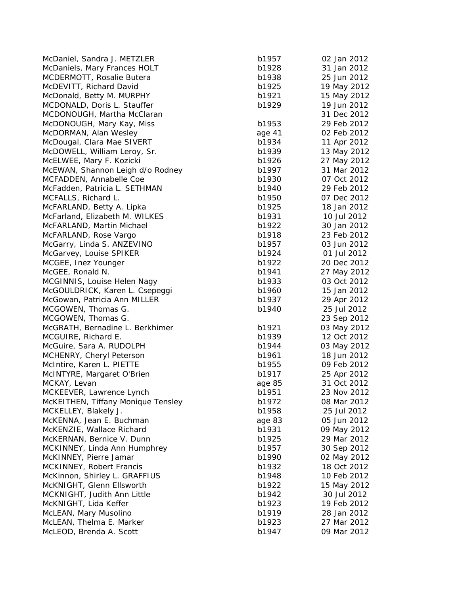| McDaniel, Sandra J. METZLER        | b1957  | 02 Jan 2012 |
|------------------------------------|--------|-------------|
| McDaniels, Mary Frances HOLT       | b1928  | 31 Jan 2012 |
| MCDERMOTT, Rosalie Butera          | b1938  | 25 Jun 2012 |
| McDEVITT, Richard David            | b1925  | 19 May 2012 |
| McDonald, Betty M. MURPHY          | b1921  | 15 May 2012 |
| MCDONALD, Doris L. Stauffer        | b1929  | 19 Jun 2012 |
| MCDONOUGH, Martha McClaran         |        | 31 Dec 2012 |
| McDONOUGH, Mary Kay, Miss          | b1953  | 29 Feb 2012 |
| McDORMAN, Alan Wesley              | age 41 | 02 Feb 2012 |
| McDougal, Clara Mae SIVERT         | b1934  | 11 Apr 2012 |
| McDOWELL, William Leroy, Sr.       | b1939  | 13 May 2012 |
| McELWEE, Mary F. Kozicki           | b1926  | 27 May 2012 |
| McEWAN, Shannon Leigh d/o Rodney   | b1997  | 31 Mar 2012 |
| MCFADDEN, Annabelle Coe            | b1930  | 07 Oct 2012 |
| McFadden, Patricia L. SETHMAN      | b1940  | 29 Feb 2012 |
| MCFALLS, Richard L.                | b1950  | 07 Dec 2012 |
| McFARLAND, Betty A. Lipka          | b1925  | 18 Jan 2012 |
| McFarland, Elizabeth M. WILKES     | b1931  | 10 Jul 2012 |
| McFARLAND, Martin Michael          | b1922  | 30 Jan 2012 |
| McFARLAND, Rose Vargo              | b1918  | 23 Feb 2012 |
| McGarry, Linda S. ANZEVINO         | b1957  | 03 Jun 2012 |
| McGarvey, Louise SPIKER            | b1924  | 01 Jul 2012 |
| MCGEE, Inez Younger                | b1922  | 20 Dec 2012 |
| McGEE, Ronald N.                   | b1941  | 27 May 2012 |
| MCGINNIS, Louise Helen Nagy        | b1933  | 03 Oct 2012 |
| McGOULDRICK, Karen L. Csepeggi     | b1960  | 15 Jan 2012 |
| McGowan, Patricia Ann MILLER       | b1937  | 29 Apr 2012 |
| MCGOWEN, Thomas G.                 | b1940  | 25 Jul 2012 |
| MCGOWEN, Thomas G.                 |        | 23 Sep 2012 |
| McGRATH, Bernadine L. Berkhimer    | b1921  | 03 May 2012 |
| MCGUIRE, Richard E.                | b1939  | 12 Oct 2012 |
| McGuire, Sara A. RUDOLPH           | b1944  | 03 May 2012 |
| MCHENRY, Cheryl Peterson           | b1961  | 18 Jun 2012 |
| McIntire, Karen L. PIETTE          | b1955  | 09 Feb 2012 |
| McINTYRE, Margaret O'Brien         | b1917  | 25 Apr 2012 |
| MCKAY, Levan                       | age 85 | 31 Oct 2012 |
| MCKEEVER, Lawrence Lynch           | b1951  | 23 Nov 2012 |
| McKEITHEN, Tiffany Monique Tensley | b1972  | 08 Mar 2012 |
| MCKELLEY, Blakely J.               | b1958  | 25 Jul 2012 |
| McKENNA, Jean E. Buchman           | age 83 | 05 Jun 2012 |
| McKENZIE, Wallace Richard          | b1931  | 09 May 2012 |
| McKERNAN, Bernice V. Dunn          | b1925  | 29 Mar 2012 |
| MCKINNEY, Linda Ann Humphrey       | b1957  | 30 Sep 2012 |
| McKINNEY, Pierre Jamar             | b1990  | 02 May 2012 |
| MCKINNEY, Robert Francis           | b1932  | 18 Oct 2012 |
| McKinnon, Shirley L. GRAFFIUS      | b1948  | 10 Feb 2012 |
| McKNIGHT, Glenn Ellsworth          | b1922  | 15 May 2012 |
| MCKNIGHT, Judith Ann Little        | b1942  | 30 Jul 2012 |
| McKNIGHT, Lida Keffer              | b1923  | 19 Feb 2012 |
| McLEAN, Mary Musolino              | b1919  | 28 Jan 2012 |
| McLEAN, Thelma E. Marker           | b1923  | 27 Mar 2012 |
| McLEOD, Brenda A. Scott            | b1947  | 09 Mar 2012 |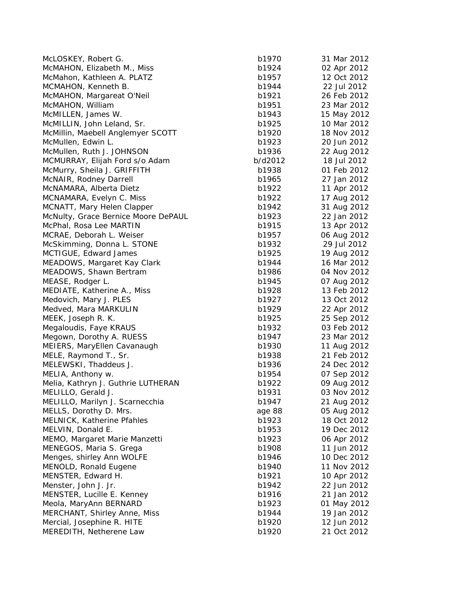| McLOSKEY, Robert G.                 | b1970   | 31 Mar 2012 |
|-------------------------------------|---------|-------------|
| McMAHON, Elizabeth M., Miss         | b1924   | 02 Apr 2012 |
| McMahon, Kathleen A. PLATZ          | b1957   | 12 Oct 2012 |
| MCMAHON, Kenneth B.                 | b1944   | 22 Jul 2012 |
| McMAHON, Margareat O'Neil           | b1921   | 26 Feb 2012 |
| McMAHON, William                    | b1951   | 23 Mar 2012 |
| McMILLEN, James W.                  | b1943   | 15 May 2012 |
| McMILLIN, John Leland, Sr.          | b1925   | 10 Mar 2012 |
| McMillin, Maebell Anglemyer SCOTT   | b1920   | 18 Nov 2012 |
| McMullen, Edwin L.                  | b1923   | 20 Jun 2012 |
| McMullen, Ruth J. JOHNSON           | b1936   | 22 Aug 2012 |
| MCMURRAY, Elijah Ford s/o Adam      | b/d2012 | 18 Jul 2012 |
| McMurry, Sheila J. GRIFFITH         | b1938   | 01 Feb 2012 |
| McNAIR, Rodney Darrell              | b1965   | 27 Jan 2012 |
| McNAMARA, Alberta Dietz             | b1922   | 11 Apr 2012 |
| MCNAMARA, Evelyn C. Miss            | b1922   | 17 Aug 2012 |
| MCNATT, Mary Helen Clapper          | b1942   | 31 Aug 2012 |
| McNulty, Grace Bernice Moore DePAUL | b1923   | 22 Jan 2012 |
| McPhal, Rosa Lee MARTIN             | b1915   | 13 Apr 2012 |
| MCRAE, Deborah L. Weiser            | b1957   | 06 Aug 2012 |
| McSkimming, Donna L. STONE          | b1932   | 29 Jul 2012 |
| MCTIGUE, Edward James               | b1925   | 19 Aug 2012 |
| MEADOWS, Margaret Kay Clark         | b1944   | 16 Mar 2012 |
| MEADOWS, Shawn Bertram              | b1986   | 04 Nov 2012 |
| MEASE, Rodger L.                    | b1945   | 07 Aug 2012 |
| MEDIATE, Katherine A., Miss         | b1928   | 13 Feb 2012 |
| Medovich, Mary J. PLES              | b1927   | 13 Oct 2012 |
| Medved, Mara MARKULIN               | b1929   | 22 Apr 2012 |
| MEEK, Joseph R. K.                  | b1925   | 25 Sep 2012 |
| Megaloudis, Faye KRAUS              | b1932   | 03 Feb 2012 |
| Megown, Dorothy A. RUESS            | b1947   | 23 Mar 2012 |
| MEIERS, MaryEllen Cavanaugh         | b1930   | 11 Aug 2012 |
| MELE, Raymond T., Sr.               | b1938   | 21 Feb 2012 |
| MELEWSKI, Thaddeus J.               | b1936   | 24 Dec 2012 |
| MELIA, Anthony w.                   | b1954   | 07 Sep 2012 |
| Melia, Kathryn J. Guthrie LUTHERAN  | b1922   | 09 Aug 2012 |
| MELILLO, Gerald J.                  | b1931   | 03 Nov 2012 |
| MELILLO, Marilyn J. Scarnecchia     | b1947   | 21 Aug 2012 |
| MELLS, Dorothy D. Mrs.              | age 88  | 05 Aug 2012 |
| MELNICK, Katherine Pfahles          | b1923   | 18 Oct 2012 |
| MELVIN, Donald E.                   | b1953   | 19 Dec 2012 |
| MEMO, Margaret Marie Manzetti       | b1923   | 06 Apr 2012 |
| MENEGOS, Maria S. Grega             | b1908   | 11 Jun 2012 |
| Menges, shirley Ann WOLFE           | b1946   | 10 Dec 2012 |
| MENOLD, Ronald Eugene               | b1940   | 11 Nov 2012 |
| MENSTER, Edward H.                  | b1921   | 10 Apr 2012 |
| Menster, John J. Jr.                | b1942   | 22 Jun 2012 |
| MENSTER, Lucille E. Kenney          | b1916   | 21 Jan 2012 |
| Meola, MaryAnn BERNARD              | b1923   | 01 May 2012 |
| MERCHANT, Shirley Anne, Miss        | b1944   | 19 Jan 2012 |
| Mercial, Josephine R. HITE          | b1920   | 12 Jun 2012 |
| MEREDITH, Netherene Law             | b1920   | 21 Oct 2012 |
|                                     |         |             |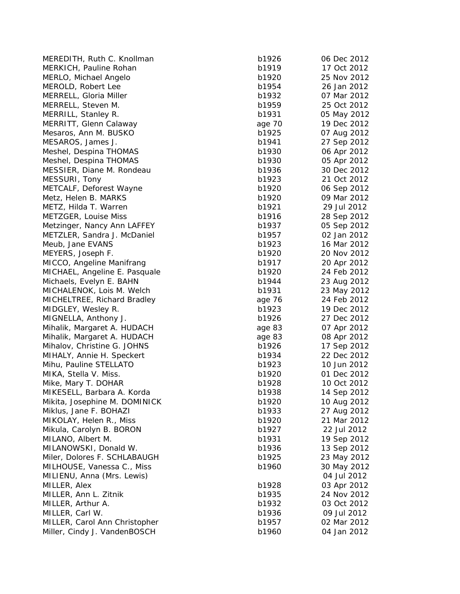MEREDITH, Ruth C. Knollman b1 MERKICH, Pauline Rohan b1919 17 Oct 2012 17 Oct 2013 MERLO, Michael Angelo b1 MEROLD, Robert Lee b1954 26 Jan 2014 26 Jan 2014 26 Jan 2014 26 Jan 2014 26 Jan 2014 26 Jan 2014 26 Jan 2014 26 Jan 2014 26 Jan 2014 26 Jan 2014 26 Jan 2014 26 Jan 2014 27 Jan 2014 27 Jan 2014 27 Jan 2014 27 Jan 2014 27 Ja MERRELL, Gloria Miller b1932 07 March 2013 MERRELL, Steven M. b1959 25 Oct 2013 25 Oct 2013 MERRILL, Stanley R. b1931 05 May 2013 05 May 2013 05 May 2013 05 May 2013 05 May 2013 05 May 2013 05 May 2013 05 May 2013 05 May 2013 05 May 2013 05 May 2013 05 May 2013 05 May 2013 05 May 2013 05 May 2013 05 May 2013 06: MERRITT, Glenn Calaway age 70 19 Dec 2012 Mesaros, Ann M. BUSKO b1925 b1925 b1935 b1935 b1935 b1935 b1935 b1935 b1935 b1935 b1935 b1935 b1935 b1935 b193 MESAROS, James J. b1 Meshel, Despina THOMAS b1 Meshel, Despina THOMAS b1 MESSIER, Diane M. Rondeau b1 MESSURI, Tony b1923 21 Oct 2012 21 Oct 2013 21 Oct 2013 21 Oct 2013 21 Oct 2013 21 Oct 2013 21 Oct 2013 21 Oct 2013 21 Oct 2013 22:33 22:33 22:33 22:33 22:33 22:33 22:33 22:33 22:33 22:33 22:33 22:33 22:33 22:33 22:33 22:3 METCALF, Deforest Wayne b1 Metz, Helen B. MARKS b1 METZ, Hilda T. Warren b1 METZGER, Louise Miss b1 Metzinger, Nancy Ann LAFFEY b1 METZLER, Sandra J. McDaniel b1 Meub, Jane EVANS b1 MEYERS, Joseph F. b1920 2012 2012 2012 2013 2012 2012 2013 2012 2013 2012 2013 2012 2013 2012 2013 2012 2013 201 MICCO, Angeline Manifrang b1 MICHAEL, Angeline E. Pasquale b1 Michaels, Evelyn E. BAHN b1 MICHALENOK, Lois M. Welch b1 MICHELTREE, Richard Bradley age 76 24 Feb 2014 MIDGLEY, Wesley R. b1923 1923 1924 1933 1934 1934 1933 1934 1933 1934 1933 1934 1935 1938 1939 1939 1939 1939 1 MIGNELLA, Anthony J. b1926 27 Dec 2012 27 Dec 2012 27 Dec 2012 27 Dec 2012 27 Dec 2013 27 Dec 2012 27 Dec 2013 Mihalik, Margaret A. HUDACH **age 83** apr 2012 Mihalik, Margaret A. HUDACH age 83 apr 2012 Mihalov, Christine G. JOHNS b1 MIHALY, Annie H. Speckert b1934 22 Dec 2013 22 Dec 2013 22 Dec 2013 22 Dec 2013 22 Dec 2013 22 Dec 2013 22 Dec 2013 22 Dec 2013 22 Dec 2013 22 Dec 2013 22 Dec 2013 22 Dec 2013 22 Dec 2013 22 Dec 2013 22 Dec 2013 22 Dec 201 Mihu, Pauline STELLATO b1 MIKA, Stella V. Miss. b1 Mike, Mary T. DOHAR b1 MIKESELL, Barbara A. Korda b1938 14 Sep 2013 14 Sep 2013 14 Sep 2013 14 Sep 2013 14 Sep 2013 14 Sep 2013 14 Sep 2013 14 Sep 2013 14 Sep 2013 14 Sep 2013 14 Sep 2013 14 Sep 2013 14 Sep 2013 14 Sep 2013 14 Sep 2013 14 Sep 20 Mikita, Josephine M. DOMINICK b1920 b1 Miklus, Jane F. BOHAZI b1 MIKOLAY, Helen R., Miss b1 Mikula, Carolyn B. BORON b1 MILANO, Albert M. b1931 19 Sep 2013 19 Sep 2013 19 Sep 2013 19 Sep 2013 19 Sep 2013 19 Sep 2013 19 Sep 2013 19 Sep 2013 19 Sep 2013 19 Sep 2013 19 Sep 2013 19 Sep 2013 19 Sep 2013 19 Sep 2013 19 Sep 2013 19 Sep 2013 19 Sep MILANOWSKI, Donald W. b1 Miler, Dolores F. SCHLABAUGH b1 MILHOUSE, Vanessa C., Miss b1 MILIENU, Anna (Mrs. Lewis) MILLER, Alex b1 MILLER, Ann L. Zitnik b1935 24 Nov 2013 24 Nov 2013 24 Nov 2013 24 Nov 2013 24 Nov 2013 24 Nov 2013 24 Nov 201 MILLER, Arthur A. b1 MILLER, Carl W. b1936 09 Jul 2013 09 Jul 2013 09 Jul 2013 09 Jul 2013 09 Jul 2013 09 Jul 2013 09 Jul 2013 09 Jul 2013 09 Jul 2013 09 Jul 2013 09 Jul 2013 09 Jul 2013 09 Jul 2013 09 Jul 2013 09 Jul 2013 09 Jul 2013 09 Jul 2 MILLER, Carol Ann Christopher b1 Miller, Cindy J. VandenBOSCH b1

| 1926  | 06 Dec 2012 |
|-------|-------------|
| 1919  | 17 Oct 2012 |
| 1920  | 25 Nov 2012 |
| 1954  | 26 Jan 2012 |
| 1932  | 07 Mar 2012 |
| 1959  | 25 Oct 2012 |
|       |             |
| 1931  | 05 May 2012 |
| le 70 | 19 Dec 2012 |
| 1925  | 07 Aug 2012 |
| 1941  | 27 Sep 2012 |
| 1930  | 06 Apr 2012 |
| 1930  | 05 Apr 2012 |
| 1936  |             |
|       | 30 Dec 2012 |
| 1923  | 21 Oct 2012 |
| 1920  | 06 Sep 2012 |
| 1920  | 09 Mar 2012 |
| 1921  | 29 Jul 2012 |
| 1916  | 28 Sep 2012 |
| 1937  | 05 Sep 2012 |
|       |             |
| 1957  | 02 Jan 2012 |
| 1923  | 16 Mar 2012 |
| 1920  | 20 Nov 2012 |
| 1917  | 20 Apr 2012 |
| 920   | 24 Feb 2012 |
| 1944  | 23 Aug 2012 |
| 1931  | 23 May 2012 |
| e 76  | 24 Feb 2012 |
| 1923  | 19 Dec 2012 |
|       |             |
| 1926  | 27 Dec 2012 |
| le 83 | 07 Apr 2012 |
| e 83  | 08 Apr 2012 |
| 1926  | 17 Sep 2012 |
| 1934  | 22 Dec 2012 |
| 1923  | 10 Jun 2012 |
| 1920  | 01 Dec 2012 |
| 1928  | 10 Oct 2012 |
| 1938  | 14 Sep 2012 |
|       |             |
| 1920  | 10 Aug 2012 |
| 1933  | 27 Aug 2012 |
| 1920  | 21 Mar 2012 |
| 1927  | 22 Jul 2012 |
| 1931  | 19 Sep 2012 |
| 1936  | 13 Sep 2012 |
| 1925  | 23 May 2012 |
| 1960  | 30 May 2012 |
|       |             |
|       | 04 Jul 2012 |
| 1928  | 03 Apr 2012 |
| 1935  | 24 Nov 2012 |
| 1932  | 03 Oct 2012 |
| 1936  | 09 Jul 2012 |
| 1957  | 02 Mar 2012 |
| 1960  | 04 Jan 2012 |
|       |             |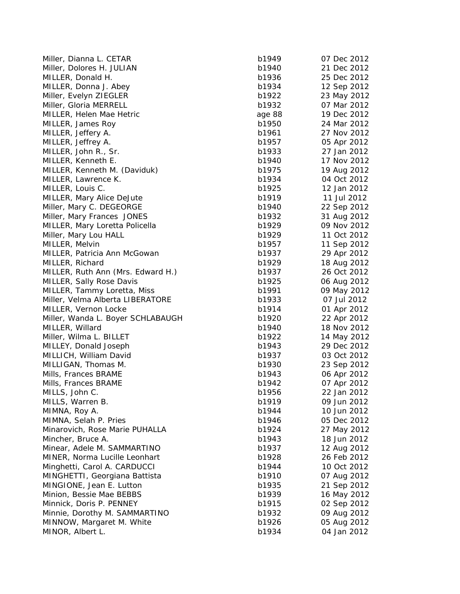| Miller, Dianna L. CETAR           | b1949  | 07 Dec 2012 |
|-----------------------------------|--------|-------------|
| Miller, Dolores H. JULIAN         | b1940  | 21 Dec 2012 |
| MILLER, Donald H.                 | b1936  | 25 Dec 2012 |
| MILLER, Donna J. Abey             | b1934  | 12 Sep 2012 |
| Miller, Evelyn ZIEGLER            | b1922  | 23 May 2012 |
| Miller, Gloria MERRELL            | b1932  | 07 Mar 2012 |
| MILLER, Helen Mae Hetric          | age 88 | 19 Dec 2012 |
| MILLER, James Roy                 | b1950  | 24 Mar 2012 |
| MILLER, Jeffery A.                | b1961  | 27 Nov 2012 |
| MILLER, Jeffrey A.                | b1957  | 05 Apr 2012 |
| MILLER, John R., Sr.              | b1933  | 27 Jan 2012 |
| MILLER, Kenneth E.                | b1940  | 17 Nov 2012 |
| MILLER, Kenneth M. (Daviduk)      | b1975  | 19 Aug 2012 |
| MILLER, Lawrence K.               | b1934  | 04 Oct 2012 |
| MILLER, Louis C.                  | b1925  | 12 Jan 2012 |
| MILLER, Mary Alice DeJute         | b1919  | 11 Jul 2012 |
| Miller, Mary C. DEGEORGE          | b1940  | 22 Sep 2012 |
| Miller, Mary Frances JONES        | b1932  | 31 Aug 2012 |
| MILLER, Mary Loretta Policella    | b1929  | 09 Nov 2012 |
| Miller, Mary Lou HALL             | b1929  | 11 Oct 2012 |
| MILLER, Melvin                    | b1957  | 11 Sep 2012 |
| MILLER, Patricia Ann McGowan      | b1937  | 29 Apr 2012 |
| MILLER, Richard                   | b1929  | 18 Aug 2012 |
| MILLER, Ruth Ann (Mrs. Edward H.) | b1937  | 26 Oct 2012 |
| MILLER, Sally Rose Davis          | b1925  | 06 Aug 2012 |
| MILLER, Tammy Loretta, Miss       | b1991  | 09 May 2012 |
| Miller, Velma Alberta LIBERATORE  | b1933  | 07 Jul 2012 |
| MILLER, Vernon Locke              | b1914  | 01 Apr 2012 |
| Miller, Wanda L. Boyer SCHLABAUGH | b1920  | 22 Apr 2012 |
| MILLER, Willard                   | b1940  | 18 Nov 2012 |
| Miller, Wilma L. BILLET           | b1922  | 14 May 2012 |
| MILLEY, Donald Joseph             | b1943  | 29 Dec 2012 |
| MILLICH, William David            | b1937  | 03 Oct 2012 |
| MILLIGAN, Thomas M.               | b1930  | 23 Sep 2012 |
| Mills, Frances BRAME              | b1943  | 06 Apr 2012 |
| Mills, Frances BRAME              | b1942  | 07 Apr 2012 |
| MILLS, John C.                    | b1956  | 22 Jan 2012 |
| MILLS, Warren B.                  | b1919  | 09 Jun 2012 |
| MIMNA, Roy A.                     | b1944  | 10 Jun 2012 |
| MIMNA, Selah P. Pries             | b1946  | 05 Dec 2012 |
| Minarovich, Rose Marie PUHALLA    | b1924  | 27 May 2012 |
| Mincher, Bruce A.                 | b1943  | 18 Jun 2012 |
| Minear, Adele M. SAMMARTINO       | b1937  | 12 Aug 2012 |
| MINER, Norma Lucille Leonhart     | b1928  | 26 Feb 2012 |
| Minghetti, Carol A. CARDUCCI      | b1944  | 10 Oct 2012 |
| MINGHETTI, Georgiana Battista     | b1910  | 07 Aug 2012 |
| MINGIONE, Jean E. Lutton          | b1935  | 21 Sep 2012 |
| Minion, Bessie Mae BEBBS          | b1939  | 16 May 2012 |
| Minnick, Doris P. PENNEY          | b1915  | 02 Sep 2012 |
| Minnie, Dorothy M. SAMMARTINO     | b1932  | 09 Aug 2012 |
| MINNOW, Margaret M. White         | b1926  | 05 Aug 2012 |
| MINOR, Albert L.                  | b1934  | 04 Jan 2012 |
|                                   |        |             |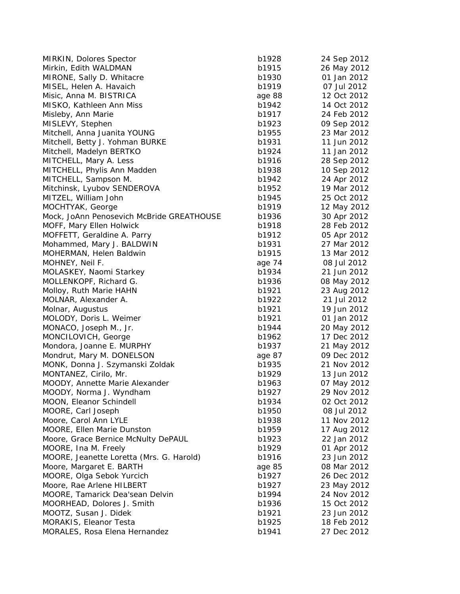| MIRKIN, Dolores Spector                   | b1928  | 24 Sep 2012 |
|-------------------------------------------|--------|-------------|
| Mirkin, Edith WALDMAN                     | b1915  | 26 May 2012 |
| MIRONE, Sally D. Whitacre                 | b1930  | 01 Jan 2012 |
| MISEL, Helen A. Havaich                   | b1919  | 07 Jul 2012 |
| Misic, Anna M. BISTRICA                   | age 88 | 12 Oct 2012 |
| MISKO, Kathleen Ann Miss                  | b1942  | 14 Oct 2012 |
| Misleby, Ann Marie                        | b1917  | 24 Feb 2012 |
| MISLEVY, Stephen                          | b1923  | 09 Sep 2012 |
| Mitchell, Anna Juanita YOUNG              | b1955  | 23 Mar 2012 |
| Mitchell, Betty J. Yohman BURKE           | b1931  | 11 Jun 2012 |
| Mitchell, Madelyn BERTKO                  | b1924  | 11 Jan 2012 |
| MITCHELL, Mary A. Less                    | b1916  | 28 Sep 2012 |
| MITCHELL, Phylis Ann Madden               | b1938  | 10 Sep 2012 |
| MITCHELL, Sampson M.                      | b1942  | 24 Apr 2012 |
| Mitchinsk, Lyubov SENDEROVA               | b1952  | 19 Mar 2012 |
| MITZEL, William John                      | b1945  | 25 Oct 2012 |
| MOCHTYAK, George                          | b1919  | 12 May 2012 |
| Mock, JoAnn Penosevich McBride GREATHOUSE | b1936  | 30 Apr 2012 |
| MOFF, Mary Ellen Holwick                  | b1918  | 28 Feb 2012 |
| MOFFETT, Geraldine A. Parry               | b1912  | 05 Apr 2012 |
| Mohammed, Mary J. BALDWIN                 | b1931  | 27 Mar 2012 |
| MOHERMAN, Helen Baldwin                   | b1915  | 13 Mar 2012 |
| MOHNEY, Neil F.                           | age 74 | 08 Jul 2012 |
| MOLASKEY, Naomi Starkey                   | b1934  | 21 Jun 2012 |
| MOLLENKOPF, Richard G.                    | b1936  | 08 May 2012 |
| Molloy, Ruth Marie HAHN                   | b1921  | 23 Aug 2012 |
| MOLNAR, Alexander A.                      | b1922  | 21 Jul 2012 |
| Molnar, Augustus                          | b1921  | 19 Jun 2012 |
| MOLODY, Doris L. Weimer                   | b1921  | 01 Jan 2012 |
| MONACO, Joseph M., Jr.                    | b1944  | 20 May 2012 |
| MONCILOVICH, George                       | b1962  | 17 Dec 2012 |
| Mondora, Joanne E. MURPHY                 | b1937  | 21 May 2012 |
| Mondrut, Mary M. DONELSON                 | age 87 | 09 Dec 2012 |
| MONK, Donna J. Szymanski Zoldak           | b1935  | 21 Nov 2012 |
| MONTANEZ, Cirilo, Mr.                     | b1929  | 13 Jun 2012 |
| MOODY, Annette Marie Alexander            | b1963  | 07 May 2012 |
| MOODY, Norma J. Wyndham                   | b1927  | 29 Nov 2012 |
| MOON, Eleanor Schindell                   | b1934  | 02 Oct 2012 |
| MOORE, Carl Joseph                        | b1950  | 08 Jul 2012 |
| Moore, Carol Ann LYLE                     | b1938  | 11 Nov 2012 |
| MOORE, Ellen Marie Dunston                | b1959  | 17 Aug 2012 |
| Moore, Grace Bernice McNulty DePAUL       | b1923  | 22 Jan 2012 |
| MOORE, Ina M. Freely                      | b1929  | 01 Apr 2012 |
| MOORE, Jeanette Loretta (Mrs. G. Harold)  | b1916  | 23 Jun 2012 |
| Moore, Margaret E. BARTH                  | age 85 | 08 Mar 2012 |
| MOORE, Olga Sebok Yurcich                 | b1927  | 26 Dec 2012 |
| Moore, Rae Arlene HILBERT                 | b1927  | 23 May 2012 |
| MOORE, Tamarick Dea'sean Delvin           | b1994  | 24 Nov 2012 |
| MOORHEAD, Dolores J. Smith                | b1936  | 15 Oct 2012 |
| MOOTZ, Susan J. Didek                     | b1921  | 23 Jun 2012 |
| MORAKIS, Eleanor Testa                    | b1925  | 18 Feb 2012 |
| MORALES, Rosa Elena Hernandez             | b1941  | 27 Dec 2012 |
|                                           |        |             |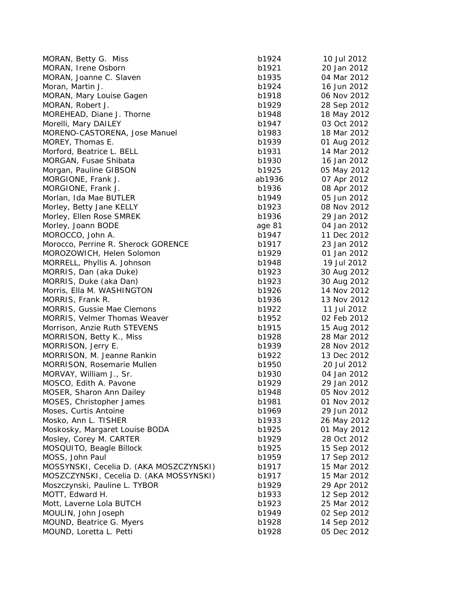| MORAN, Betty G. Miss                    | b1924  | 10 Jul 2012 |
|-----------------------------------------|--------|-------------|
| MORAN, Irene Osborn                     | b1921  | 20 Jan 2012 |
| MORAN, Joanne C. Slaven                 | b1935  | 04 Mar 2012 |
| Moran, Martin J.                        | b1924  | 16 Jun 2012 |
| MORAN, Mary Louise Gagen                | b1918  | 06 Nov 2012 |
| MORAN, Robert J.                        | b1929  | 28 Sep 2012 |
| MOREHEAD, Diane J. Thorne               | b1948  | 18 May 2012 |
| Morelli, Mary DAILEY                    | b1947  | 03 Oct 2012 |
| MORENO-CASTORENA, Jose Manuel           | b1983  | 18 Mar 2012 |
| MOREY, Thomas E.                        | b1939  | 01 Aug 2012 |
| Morford, Beatrice L. BELL               | b1931  | 14 Mar 2012 |
| MORGAN, Fusae Shibata                   | b1930  | 16 Jan 2012 |
| Morgan, Pauline GIBSON                  | b1925  | 05 May 2012 |
| MORGIONE, Frank J.                      | ab1936 | 07 Apr 2012 |
| MORGIONE, Frank J.                      | b1936  | 08 Apr 2012 |
| Morlan, Ida Mae BUTLER                  | b1949  | 05 Jun 2012 |
| Morley, Betty Jane KELLY                | b1923  | 08 Nov 2012 |
| Morley, Ellen Rose SMREK                | b1936  | 29 Jan 2012 |
| Morley, Joann BODE                      | age 81 | 04 Jan 2012 |
| MOROCCO, John A.                        | b1947  | 11 Dec 2012 |
| Morocco, Perrine R. Sherock GORENCE     | b1917  | 23 Jan 2012 |
| MOROZOWICH, Helen Solomon               | b1929  | 01 Jan 2012 |
| MORRELL, Phyllis A. Johnson             | b1948  | 19 Jul 2012 |
| MORRIS, Dan (aka Duke)                  | b1923  | 30 Aug 2012 |
| MORRIS, Duke (aka Dan)                  | b1923  | 30 Aug 2012 |
| Morris, Ella M. WASHINGTON              | b1926  | 14 Nov 2012 |
| MORRIS, Frank R.                        | b1936  | 13 Nov 2012 |
| <b>MORRIS, Gussie Mae Clemons</b>       | b1922  | 11 Jul 2012 |
| MORRIS, Velmer Thomas Weaver            | b1952  | 02 Feb 2012 |
| Morrison, Anzie Ruth STEVENS            | b1915  | 15 Aug 2012 |
| MORRISON, Betty K., Miss                | b1928  | 28 Mar 2012 |
| MORRISON, Jerry E.                      | b1939  | 28 Nov 2012 |
| MORRISON, M. Jeanne Rankin              | b1922  | 13 Dec 2012 |
| MORRISON, Rosemarie Mullen              | b1950  | 20 Jul 2012 |
| MORVAY, William J., Sr.                 | b1930  | 04 Jan 2012 |
| MOSCO, Edith A. Pavone                  | b1929  | 29 Jan 2012 |
| MOSER, Sharon Ann Dailey                | b1948  | 05 Nov 2012 |
| MOSES, Christopher James                | b1981  | 01 Nov 2012 |
| Moses, Curtis Antoine                   | b1969  | 29 Jun 2012 |
| Mosko, Ann L. TISHER                    | b1933  | 26 May 2012 |
| Moskosky, Margaret Louise BODA          | b1925  | 01 May 2012 |
| Mosley, Corey M. CARTER                 | b1929  | 28 Oct 2012 |
| MOSQUITO, Beagle Billock                | b1925  | 15 Sep 2012 |
| MOSS, John Paul                         | b1959  | 17 Sep 2012 |
| MOSSYNSKI, Cecelia D. (AKA MOSZCZYNSKI) | b1917  | 15 Mar 2012 |
| MOSZCZYNSKI, Cecelia D. (AKA MOSSYNSKI) | b1917  | 15 Mar 2012 |
| Moszczynski, Pauline L. TYBOR           | b1929  | 29 Apr 2012 |
| MOTT, Edward H.                         | b1933  | 12 Sep 2012 |
| Mott, Laverne Lola BUTCH                | b1923  | 25 Mar 2012 |
| MOULIN, John Joseph                     | b1949  | 02 Sep 2012 |
| MOUND, Beatrice G. Myers                | b1928  | 14 Sep 2012 |
| MOUND, Loretta L. Petti                 | b1928  | 05 Dec 2012 |
|                                         |        |             |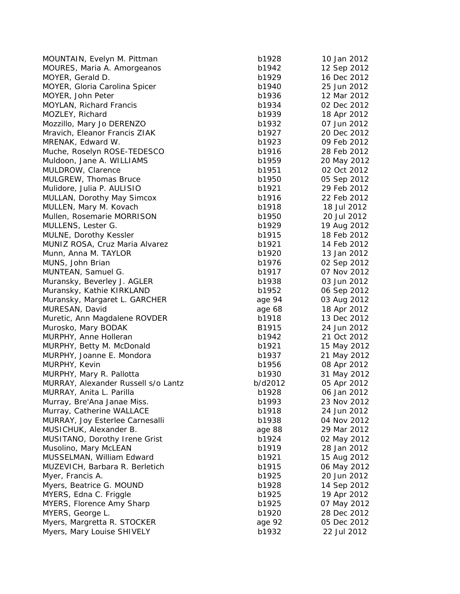| MOUNTAIN, Evelyn M. Pittman         | b1928   | 10 Jan 2012 |
|-------------------------------------|---------|-------------|
| MOURES, Maria A. Amorgeanos         | b1942   | 12 Sep 2012 |
| MOYER, Gerald D.                    | b1929   | 16 Dec 2012 |
| MOYER, Gloria Carolina Spicer       | b1940   | 25 Jun 2012 |
| MOYER, John Peter                   | b1936   | 12 Mar 2012 |
| <b>MOYLAN, Richard Francis</b>      | b1934   | 02 Dec 2012 |
| MOZLEY, Richard                     | b1939   | 18 Apr 2012 |
| Mozzillo, Mary Jo DERENZO           | b1932   | 07 Jun 2012 |
| Mravich, Eleanor Francis ZIAK       | b1927   | 20 Dec 2012 |
| MRENAK, Edward W.                   | b1923   | 09 Feb 2012 |
| Muche, Roselyn ROSE-TEDESCO         | b1916   | 28 Feb 2012 |
| Muldoon, Jane A. WILLIAMS           | b1959   | 20 May 2012 |
| MULDROW, Clarence                   | b1951   | 02 Oct 2012 |
| MULGREW, Thomas Bruce               | b1950   | 05 Sep 2012 |
| Mulidore, Julia P. AULISIO          | b1921   | 29 Feb 2012 |
| MULLAN, Dorothy May Simcox          | b1916   | 22 Feb 2012 |
| MULLEN, Mary M. Kovach              | b1918   | 18 Jul 2012 |
| Mullen, Rosemarie MORRISON          | b1950   | 20 Jul 2012 |
| MULLENS, Lester G.                  | b1929   | 19 Aug 2012 |
| <b>MULNE, Dorothy Kessler</b>       | b1915   | 18 Feb 2012 |
| MUNIZ ROSA, Cruz Maria Alvarez      | b1921   | 14 Feb 2012 |
| Munn, Anna M. TAYLOR                | b1920   | 13 Jan 2012 |
| MUNS, John Brian                    | b1976   | 02 Sep 2012 |
| MUNTEAN, Samuel G.                  | b1917   | 07 Nov 2012 |
| Muransky, Beverley J. AGLER         | b1938   | 03 Jun 2012 |
| Muransky, Kathie KIRKLAND           | b1952   | 06 Sep 2012 |
| Muransky, Margaret L. GARCHER       | age 94  | 03 Aug 2012 |
| MURESAN, David                      | age 68  | 18 Apr 2012 |
| Muretic, Ann Magdalene ROVDER       | b1918   | 13 Dec 2012 |
| Murosko, Mary BODAK                 | B1915   | 24 Jun 2012 |
| MURPHY, Anne Holleran               | b1942   | 21 Oct 2012 |
| MURPHY, Betty M. McDonald           | b1921   | 15 May 2012 |
| MURPHY, Joanne E. Mondora           | b1937   | 21 May 2012 |
| MURPHY, Kevin                       | b1956   | 08 Apr 2012 |
| MURPHY, Mary R. Pallotta            | b1930   | 31 May 2012 |
| MURRAY, Alexander Russell s/o Lantz | b/d2012 | 05 Apr 2012 |
| MURRAY, Anita L. Parilla            | b1928   | 06 Jan 2012 |
| Murray, Bre'Ana Janae Miss.         | b1993   | 23 Nov 2012 |
| Murray, Catherine WALLACE           | b1918   | 24 Jun 2012 |
| MURRAY, Joy Esterlee Carnesalli     | b1938   | 04 Nov 2012 |
| MUSICHUK, Alexander B.              | age 88  | 29 Mar 2012 |
| MUSITANO, Dorothy Irene Grist       | b1924   | 02 May 2012 |
| Musolino, Mary McLEAN               | b1919   | 28 Jan 2012 |
| MUSSELMAN, William Edward           | b1921   | 15 Aug 2012 |
| MUZEVICH, Barbara R. Berletich      | b1915   | 06 May 2012 |
| Myer, Francis A.                    | b1925   | 20 Jun 2012 |
| Myers, Beatrice G. MOUND            | b1928   | 14 Sep 2012 |
| MYERS, Edna C. Friggle              | b1925   | 19 Apr 2012 |
| <b>MYERS, Florence Amy Sharp</b>    | b1925   | 07 May 2012 |
| MYERS, George L.                    | b1920   | 28 Dec 2012 |
| Myers, Margretta R. STOCKER         | age 92  | 05 Dec 2012 |
| Myers, Mary Louise SHIVELY          | b1932   | 22 Jul 2012 |
|                                     |         |             |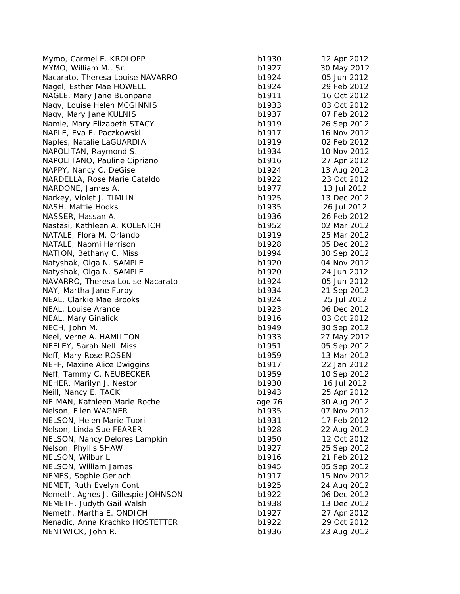| Mymo, Carmel E. KROLOPP            | b1930          | 12 Apr 2012                |
|------------------------------------|----------------|----------------------------|
| MYMO, William M., Sr.              | b1927          | 30 May 2012                |
| Nacarato, Theresa Louise NAVARRO   | b1924          | 05 Jun 2012                |
| Nagel, Esther Mae HOWELL           | b1924          | 29 Feb 2012                |
| NAGLE, Mary Jane Buonpane          | b1911          | 16 Oct 2012                |
| Nagy, Louise Helen MCGINNIS        | b1933          | 03 Oct 2012                |
| Nagy, Mary Jane KULNIS             | b1937          | 07 Feb 2012                |
| Namie, Mary Elizabeth STACY        | b1919          | 26 Sep 2012                |
| NAPLE, Eva E. Paczkowski           | b1917          | 16 Nov 2012                |
| Naples, Natalie LaGUARDIA          | b1919          | 02 Feb 2012                |
| NAPOLITAN, Raymond S.              | b1934          | 10 Nov 2012                |
| NAPOLITANO, Pauline Cipriano       | b1916          | 27 Apr 2012                |
| NAPPY, Nancy C. DeGise             | b1924          | 13 Aug 2012                |
| NARDELLA, Rose Marie Cataldo       | b1922          | 23 Oct 2012                |
| NARDONE, James A.                  | b1977          | 13 Jul 2012                |
| Narkey, Violet J. TIMLIN           | b1925          | 13 Dec 2012                |
| NASH, Mattie Hooks                 | b1935          | 26 Jul 2012                |
| NASSER, Hassan A.                  | b1936          | 26 Feb 2012                |
| Nastasi, Kathleen A. KOLENICH      | b1952          | 02 Mar 2012                |
| NATALE, Flora M. Orlando           | b1919          | 25 Mar 2012                |
| NATALE, Naomi Harrison             | b1928          | 05 Dec 2012                |
| NATION, Bethany C. Miss            | b1994          | 30 Sep 2012                |
| Natyshak, Olga N. SAMPLE           | b1920          | 04 Nov 2012                |
| Natyshak, Olga N. SAMPLE           | b1920          | 24 Jun 2012                |
| NAVARRO, Theresa Louise Nacarato   | b1924          | 05 Jun 2012                |
| NAY, Martha Jane Furby             | b1934          | 21 Sep 2012                |
| NEAL, Clarkie Mae Brooks           | b1924          | 25 Jul 2012                |
| NEAL, Louise Arance                | b1923          | 06 Dec 2012                |
| NEAL, Mary Ginalick                | b1916          | 03 Oct 2012                |
| NECH, John M.                      | b1949          | 30 Sep 2012                |
| Neel, Verne A. HAMILTON            | b1933          | 27 May 2012                |
| NEELEY, Sarah Nell Miss            | b1951          | 05 Sep 2012                |
| Neff, Mary Rose ROSEN              | b1959          | 13 Mar 2012                |
| NEFF, Maxine Alice Dwiggins        | b1917          | 22 Jan 2012                |
| Neff, Tammy C. NEUBECKER           | b1959          | 10 Sep 2012                |
| NEHER, Marilyn J. Nestor           | b1930          | 16 Jul 2012                |
| Neill, Nancy E. TACK               | b1943          | 25 Apr 2012                |
| NEIMAN, Kathleen Marie Roche       | age 76         | 30 Aug 2012                |
| Nelson, Ellen WAGNER               | b1935          | 07 Nov 2012                |
| NELSON, Helen Marie Tuori          | b1931          | 17 Feb 2012                |
| Nelson, Linda Sue FEARER           | b1928          | 22 Aug 2012                |
| NELSON, Nancy Delores Lampkin      | b1950          | 12 Oct 2012                |
| Nelson, Phyllis SHAW               | b1927          | 25 Sep 2012                |
| NELSON, Wilbur L.                  | b1916          | 21 Feb 2012                |
| NELSON, William James              | b1945          | 05 Sep 2012                |
| NEMES, Sophie Gerlach              |                | 15 Nov 2012                |
| NEMET, Ruth Evelyn Conti           | b1917<br>b1925 | 24 Aug 2012                |
|                                    |                |                            |
| Nemeth, Agnes J. Gillespie JOHNSON | b1922          | 06 Dec 2012<br>13 Dec 2012 |
| NEMETH, Judyth Gail Walsh          | b1938          |                            |
| Nemeth, Martha E. ONDICH           | b1927          | 27 Apr 2012                |
| Nenadic, Anna Krachko HOSTETTER    | b1922          | 29 Oct 2012                |
| NENTWICK, John R.                  | b1936          | 23 Aug 2012                |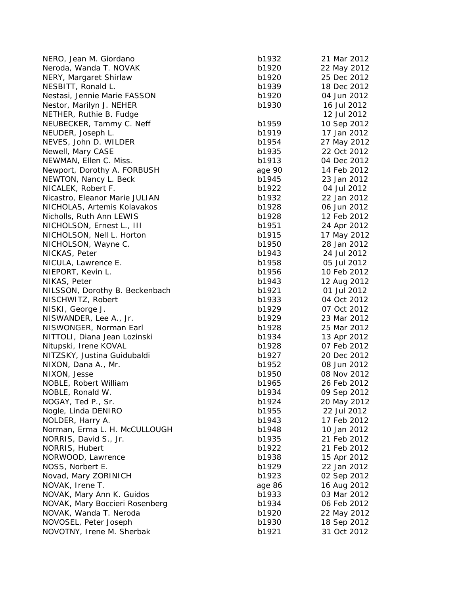| NERO, Jean M. Giordano         | b1932  | 21 Mar 2012 |
|--------------------------------|--------|-------------|
| Neroda, Wanda T. NOVAK         | b1920  | 22 May 2012 |
| NERY, Margaret Shirlaw         | b1920  | 25 Dec 2012 |
| NESBITT, Ronald L.             | b1939  | 18 Dec 2012 |
| Nestasi, Jennie Marie FASSON   | b1920  | 04 Jun 2012 |
| Nestor, Marilyn J. NEHER       | b1930  | 16 Jul 2012 |
| NETHER, Ruthie B. Fudge        |        | 12 Jul 2012 |
| NEUBECKER, Tammy C. Neff       | b1959  | 10 Sep 2012 |
| NEUDER, Joseph L.              | b1919  | 17 Jan 2012 |
| NEVES, John D. WILDER          | b1954  | 27 May 2012 |
| Newell, Mary CASE              | b1935  | 22 Oct 2012 |
| NEWMAN, Ellen C. Miss.         | b1913  | 04 Dec 2012 |
| Newport, Dorothy A. FORBUSH    | age 90 | 14 Feb 2012 |
| NEWTON, Nancy L. Beck          | b1945  | 23 Jan 2012 |
| NICALEK, Robert F.             | b1922  | 04 Jul 2012 |
| Nicastro, Eleanor Marie JULIAN | b1932  | 22 Jan 2012 |
| NICHOLAS, Artemis Kolavakos    | b1928  | 06 Jun 2012 |
| Nicholls, Ruth Ann LEWIS       | b1928  | 12 Feb 2012 |
| NICHOLSON, Ernest L., III      | b1951  | 24 Apr 2012 |
| NICHOLSON, Nell L. Horton      | b1915  | 17 May 2012 |
| NICHOLSON, Wayne C.            | b1950  | 28 Jan 2012 |
| NICKAS, Peter                  | b1943  | 24 Jul 2012 |
| NICULA, Lawrence E.            | b1958  | 05 Jul 2012 |
| NIEPORT, Kevin L.              | b1956  | 10 Feb 2012 |
| NIKAS, Peter                   | b1943  | 12 Aug 2012 |
| NILSSON, Dorothy B. Beckenbach | b1921  | 01 Jul 2012 |
| NISCHWITZ, Robert              | b1933  | 04 Oct 2012 |
| NISKI, George J.               | b1929  | 07 Oct 2012 |
| NISWANDER, Lee A., Jr.         | b1929  | 23 Mar 2012 |
| NISWONGER, Norman Earl         | b1928  | 25 Mar 2012 |
| NITTOLI, Diana Jean Lozinski   | b1934  | 13 Apr 2012 |
| Nitupski, Irene KOVAL          | b1928  | 07 Feb 2012 |
| NITZSKY, Justina Guidubaldi    | b1927  | 20 Dec 2012 |
| NIXON, Dana A., Mr.            | b1952  | 08 Jun 2012 |
| NIXON, Jesse                   | b1950  | 08 Nov 2012 |
| NOBLE, Robert William          | b1965  | 26 Feb 2012 |
| NOBLE, Ronald W.               | b1934  | 09 Sep 2012 |
| NOGAY, Ted P., Sr.             | b1924  | 20 May 2012 |
| Nogle, Linda DENIRO            | b1955  | 22 Jul 2012 |
| NOLDER, Harry A.               | b1943  | 17 Feb 2012 |
| Norman, Erma L. H. McCULLOUGH  | b1948  | 10 Jan 2012 |
| NORRIS, David S., Jr.          | b1935  | 21 Feb 2012 |
| NORRIS, Hubert                 | b1922  | 21 Feb 2012 |
| NORWOOD, Lawrence              | b1938  | 15 Apr 2012 |
| NOSS, Norbert E.               | b1929  | 22 Jan 2012 |
| Novad, Mary ZORINICH           | b1923  | 02 Sep 2012 |
| NOVAK, Irene T.                | age 86 | 16 Aug 2012 |
| NOVAK, Mary Ann K. Guidos      | b1933  | 03 Mar 2012 |
| NOVAK, Mary Boccieri Rosenberg | b1934  | 06 Feb 2012 |
| NOVAK, Wanda T. Neroda         | b1920  | 22 May 2012 |
| NOVOSEL, Peter Joseph          | b1930  | 18 Sep 2012 |
| NOVOTNY, Irene M. Sherbak      | b1921  | 31 Oct 2012 |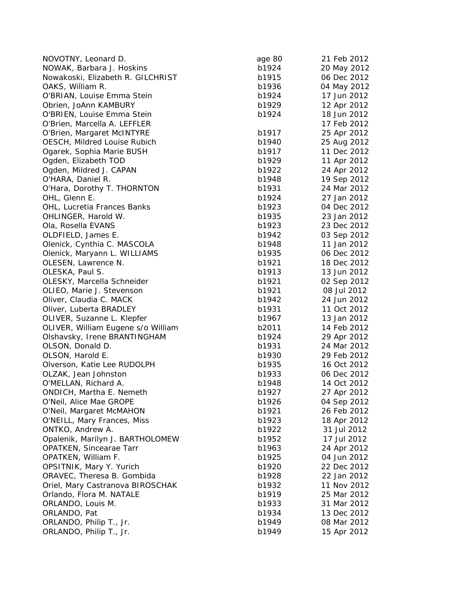| NOVOTNY, Leonard D.                | age 80 | 21 Feb 2012 |
|------------------------------------|--------|-------------|
| NOWAK, Barbara J. Hoskins          | b1924  | 20 May 2012 |
| Nowakoski, Elizabeth R. GILCHRIST  | b1915  | 06 Dec 2012 |
| OAKS, William R.                   | b1936  | 04 May 2012 |
| O'BRIAN, Louise Emma Stein         | b1924  | 17 Jun 2012 |
| Obrien, JoAnn KAMBURY              | b1929  | 12 Apr 2012 |
| O'BRIEN, Louise Emma Stein         | b1924  | 18 Jun 2012 |
| O'Brien, Marcella A. LEFFLER       |        | 17 Feb 2012 |
| O'Brien, Margaret McINTYRE         | b1917  | 25 Apr 2012 |
| OESCH, Mildred Louise Rubich       | b1940  | 25 Aug 2012 |
| Ogarek, Sophia Marie BUSH          | b1917  | 11 Dec 2012 |
| Ogden, Elizabeth TOD               | b1929  | 11 Apr 2012 |
| Ogden, Mildred J. CAPAN            | b1922  | 24 Apr 2012 |
| O'HARA, Daniel R.                  | b1948  | 19 Sep 2012 |
| O'Hara, Dorothy T. THORNTON        | b1931  | 24 Mar 2012 |
| OHL, Glenn E.                      | b1924  | 27 Jan 2012 |
| OHL, Lucretia Frances Banks        | b1923  | 04 Dec 2012 |
| OHLINGER, Harold W.                | b1935  | 23 Jan 2012 |
| Ola, Rosella EVANS                 | b1923  | 23 Dec 2012 |
| OLDFIELD, James E.                 | b1942  | 03 Sep 2012 |
| Olenick, Cynthia C. MASCOLA        | b1948  | 11 Jan 2012 |
| Olenick, Maryann L. WILLIAMS       | b1935  | 06 Dec 2012 |
| OLESEN, Lawrence N.                | b1921  | 18 Dec 2012 |
| OLESKA, Paul S.                    | b1913  | 13 Jun 2012 |
| OLESKY, Marcella Schneider         | b1921  | 02 Sep 2012 |
| OLIEO, Marie J. Stevenson          | b1921  | 08 Jul 2012 |
| Oliver, Claudia C. MACK            | b1942  | 24 Jun 2012 |
| Oliver, Luberta BRADLEY            | b1931  | 11 Oct 2012 |
| OLIVER, Suzanne L. Klepfer         | b1967  | 13 Jan 2012 |
| OLIVER, William Eugene s/o William | b2011  | 14 Feb 2012 |
| Olshavsky, Irene BRANTINGHAM       | b1924  | 29 Apr 2012 |
| OLSON, Donald D.                   | b1931  | 24 Mar 2012 |
| OLSON, Harold E.                   | b1930  | 29 Feb 2012 |
| Olverson, Katie Lee RUDOLPH        | b1935  | 16 Oct 2012 |
| OLZAK, Jean Johnston               | b1933  | 06 Dec 2012 |
| O'MELLAN, Richard A.               | b1948  | 14 Oct 2012 |
| ONDICH, Martha E. Nemeth           | b1927  | 27 Apr 2012 |
| O'Neil, Alice Mae GROPE            | b1926  | 04 Sep 2012 |
| O'Neil, Margaret McMAHON           | b1921  | 26 Feb 2012 |
| O'NEILL, Mary Frances, Miss        | b1923  | 18 Apr 2012 |
| ONTKO, Andrew A.                   | b1922  | 31 Jul 2012 |
| Opalenik, Marilyn J. BARTHOLOMEW   | b1952  | 17 Jul 2012 |
| OPATKEN, Sincearae Tarr            | b1963  | 24 Apr 2012 |
| OPATKEN, William F.                | b1925  | 04 Jun 2012 |
| OPSITNIK, Mary Y. Yurich           | b1920  | 22 Dec 2012 |
| ORAVEC, Theresa B. Gombida         | b1928  | 22 Jan 2012 |
| Oriel, Mary Castranova BIROSCHAK   | b1932  | 11 Nov 2012 |
| Orlando, Flora M. NATALE           | b1919  | 25 Mar 2012 |
| ORLANDO, Louis M.                  | b1933  | 31 Mar 2012 |
| ORLANDO, Pat                       | b1934  | 13 Dec 2012 |
| ORLANDO, Philip T., Jr.            | b1949  | 08 Mar 2012 |
| ORLANDO, Philip T., Jr.            | b1949  | 15 Apr 2012 |
|                                    |        |             |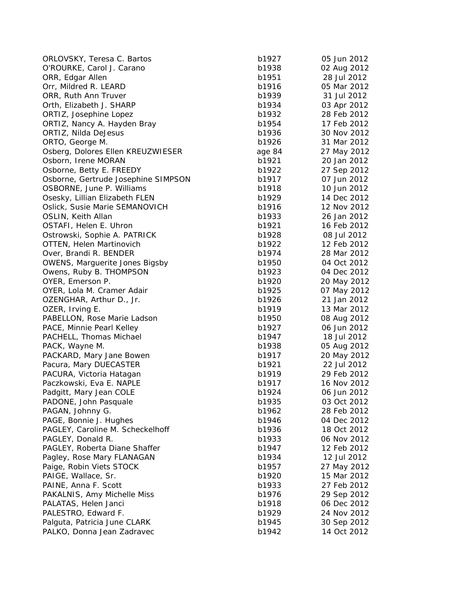| ORLOVSKY, Teresa C. Bartos            | b1927  | 05 Jun 2012 |
|---------------------------------------|--------|-------------|
| O'ROURKE, Carol J. Carano             | b1938  | 02 Aug 2012 |
| ORR, Edgar Allen                      | b1951  | 28 Jul 2012 |
| Orr, Mildred R. LEARD                 | b1916  | 05 Mar 2012 |
| ORR, Ruth Ann Truver                  | b1939  | 31 Jul 2012 |
| Orth, Elizabeth J. SHARP              | b1934  | 03 Apr 2012 |
| ORTIZ, Josephine Lopez                | b1932  | 28 Feb 2012 |
| ORTIZ, Nancy A. Hayden Bray           | b1954  | 17 Feb 2012 |
| ORTIZ, Nilda DeJesus                  | b1936  | 30 Nov 2012 |
| ORTO, George M.                       | b1926  | 31 Mar 2012 |
| Osberg, Dolores Ellen KREUZWIESER     | age 84 | 27 May 2012 |
| Osborn, Irene MORAN                   | b1921  | 20 Jan 2012 |
| Osborne, Betty E. FREEDY              | b1922  | 27 Sep 2012 |
| Osborne, Gertrude Josephine SIMPSON   | b1917  | 07 Jun 2012 |
| OSBORNE, June P. Williams             | b1918  | 10 Jun 2012 |
| Osesky, Lillian Elizabeth FLEN        | b1929  | 14 Dec 2012 |
| Oslick, Susie Marie SEMANOVICH        | b1916  | 12 Nov 2012 |
| OSLIN, Keith Allan                    | b1933  | 26 Jan 2012 |
| OSTAFI, Helen E. Uhron                | b1921  | 16 Feb 2012 |
| Ostrowski, Sophie A. PATRICK          | b1928  | 08 Jul 2012 |
| OTTEN, Helen Martinovich              | b1922  | 12 Feb 2012 |
| Over, Brandi R. BENDER                | b1974  | 28 Mar 2012 |
| <b>OWENS, Marguerite Jones Bigsby</b> | b1950  | 04 Oct 2012 |
| Owens, Ruby B. THOMPSON               | b1923  | 04 Dec 2012 |
| OYER, Emerson P.                      | b1920  | 20 May 2012 |
| OYER, Lola M. Cramer Adair            | b1925  | 07 May 2012 |
| OZENGHAR, Arthur D., Jr.              | b1926  | 21 Jan 2012 |
| OZER, Irving E.                       | b1919  | 13 Mar 2012 |
| PABELLON, Rose Marie Ladson           | b1950  | 08 Aug 2012 |
| PACE, Minnie Pearl Kelley             | b1927  | 06 Jun 2012 |
| PACHELL, Thomas Michael               | b1947  | 18 Jul 2012 |
| PACK, Wayne M.                        | b1938  | 05 Aug 2012 |
| PACKARD, Mary Jane Bowen              | b1917  | 20 May 2012 |
| Pacura, Mary DUECASTER                | b1921  | 22 Jul 2012 |
| PACURA, Victoria Hatagan              | b1919  | 29 Feb 2012 |
| Paczkowski, Eva E. NAPLE              | b1917  | 16 Nov 2012 |
| Padgitt, Mary Jean COLE               | b1924  | 06 Jun 2012 |
| PADONE, John Pasquale                 | b1935  | 03 Oct 2012 |
| PAGAN, Johnny G.                      | b1962  | 28 Feb 2012 |
| PAGE, Bonnie J. Hughes                | b1946  | 04 Dec 2012 |
| PAGLEY, Caroline M. Scheckelhoff      | b1936  | 18 Oct 2012 |
| PAGLEY, Donald R.                     | b1933  | 06 Nov 2012 |
| PAGLEY, Roberta Diane Shaffer         | b1947  | 12 Feb 2012 |
| Pagley, Rose Mary FLANAGAN            | b1934  | 12 Jul 2012 |
| Paige, Robin Viets STOCK              | b1957  | 27 May 2012 |
| PAIGE, Wallace, Sr.                   | b1920  | 15 Mar 2012 |
| PAINE, Anna F. Scott                  | b1933  | 27 Feb 2012 |
| PAKALNIS, Amy Michelle Miss           | b1976  | 29 Sep 2012 |
| PALATAS, Helen Janci                  | b1918  | 06 Dec 2012 |
| PALESTRO, Edward F.                   | b1929  | 24 Nov 2012 |
| Palguta, Patricia June CLARK          | b1945  | 30 Sep 2012 |
| PALKO, Donna Jean Zadravec            | b1942  | 14 Oct 2012 |
|                                       |        |             |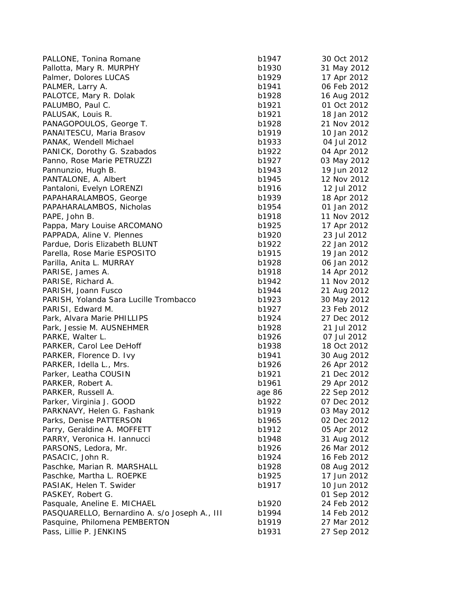| PALLONE, Tonina Romane                        | b1947  | 30 Oct 2012 |
|-----------------------------------------------|--------|-------------|
| Pallotta, Mary R. MURPHY                      | b1930  | 31 May 2012 |
| Palmer, Dolores LUCAS                         | b1929  | 17 Apr 2012 |
| PALMER, Larry A.                              | b1941  | 06 Feb 2012 |
| PALOTCE, Mary R. Dolak                        | b1928  | 16 Aug 2012 |
| PALUMBO, Paul C.                              | b1921  | 01 Oct 2012 |
| PALUSAK, Louis R.                             | b1921  | 18 Jan 2012 |
| PANAGOPOULOS, George T.                       | b1928  | 21 Nov 2012 |
| PANAITESCU, Maria Brasov                      | b1919  | 10 Jan 2012 |
| PANAK, Wendell Michael                        | b1933  | 04 Jul 2012 |
| PANICK, Dorothy G. Szabados                   | b1922  | 04 Apr 2012 |
| Panno, Rose Marie PETRUZZI                    | b1927  | 03 May 2012 |
| Pannunzio, Hugh B.                            | b1943  | 19 Jun 2012 |
| PANTALONE, A. Albert                          | b1945  | 12 Nov 2012 |
| Pantaloni, Evelyn LORENZI                     | b1916  | 12 Jul 2012 |
| PAPAHARALAMBOS, George                        | b1939  | 18 Apr 2012 |
| PAPAHARALAMBOS, Nicholas                      | b1954  | 01 Jan 2012 |
| PAPE, John B.                                 | b1918  | 11 Nov 2012 |
| Pappa, Mary Louise ARCOMANO                   | b1925  | 17 Apr 2012 |
| PAPPADA, Aline V. Plennes                     | b1920  | 23 Jul 2012 |
| Pardue, Doris Elizabeth BLUNT                 | b1922  | 22 Jan 2012 |
| Parella, Rose Marie ESPOSITO                  | b1915  | 19 Jan 2012 |
| Parilla, Anita L. MURRAY                      | b1928  | 06 Jan 2012 |
| PARISE, James A.                              | b1918  | 14 Apr 2012 |
| PARISE, Richard A.                            | b1942  | 11 Nov 2012 |
| PARISH, Joann Fusco                           | b1944  | 21 Aug 2012 |
| PARISH, Yolanda Sara Lucille Trombacco        | b1923  | 30 May 2012 |
| PARISI, Edward M.                             | b1927  | 23 Feb 2012 |
| Park, Alvara Marie PHILLIPS                   | b1924  | 27 Dec 2012 |
| Park, Jessie M. AUSNEHMER                     | b1928  | 21 Jul 2012 |
| PARKE, Walter L.                              | b1926  | 07 Jul 2012 |
| PARKER, Carol Lee DeHoff                      | b1938  | 18 Oct 2012 |
| PARKER, Florence D. Ivy                       | b1941  | 30 Aug 2012 |
| PARKER, Idella L., Mrs.                       | b1926  | 26 Apr 2012 |
| Parker, Leatha COUSIN                         | b1921  | 21 Dec 2012 |
| PARKER, Robert A.                             | b1961  | 29 Apr 2012 |
| PARKER, Russell A.                            | age 86 | 22 Sep 2012 |
| Parker, Virginia J. GOOD                      | b1922  | 07 Dec 2012 |
| PARKNAVY, Helen G. Fashank                    | b1919  | 03 May 2012 |
| Parks, Denise PATTERSON                       | b1965  | 02 Dec 2012 |
| Parry, Geraldine A. MOFFETT                   | b1912  | 05 Apr 2012 |
| PARRY, Veronica H. Iannucci                   | b1948  | 31 Aug 2012 |
| PARSONS, Ledora, Mr.                          | b1926  | 26 Mar 2012 |
| PASACIC, John R.                              | b1924  | 16 Feb 2012 |
| Paschke, Marian R. MARSHALL                   | b1928  | 08 Aug 2012 |
| Paschke, Martha L. ROEPKE                     | b1925  | 17 Jun 2012 |
| PASIAK, Helen T. Swider                       | b1917  | 10 Jun 2012 |
| PASKEY, Robert G.                             |        | 01 Sep 2012 |
| Pasquale, Aneline E. MICHAEL                  | b1920  | 24 Feb 2012 |
| PASQUARELLO, Bernardino A. s/o Joseph A., III | b1994  | 14 Feb 2012 |
| Pasquine, Philomena PEMBERTON                 | b1919  | 27 Mar 2012 |
| Pass, Lillie P. JENKINS                       | b1931  | 27 Sep 2012 |
|                                               |        |             |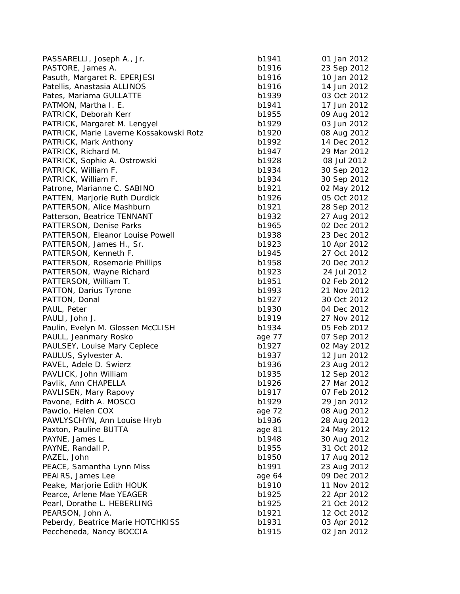| PASSARELLI, Joseph A., Jr.              | b1941  | 01 Jan 2012 |
|-----------------------------------------|--------|-------------|
| PASTORE, James A.                       | b1916  | 23 Sep 2012 |
| Pasuth, Margaret R. EPERJESI            | b1916  | 10 Jan 2012 |
| Patellis, Anastasia ALLINOS             | b1916  | 14 Jun 2012 |
| Pates, Mariama GULLATTE                 | b1939  | 03 Oct 2012 |
| PATMON, Martha I. E.                    | b1941  | 17 Jun 2012 |
| PATRICK, Deborah Kerr                   | b1955  | 09 Aug 2012 |
| PATRICK, Margaret M. Lengyel            | b1929  | 03 Jun 2012 |
| PATRICK, Marie Laverne Kossakowski Rotz | b1920  | 08 Aug 2012 |
| PATRICK, Mark Anthony                   | b1992  | 14 Dec 2012 |
| PATRICK, Richard M.                     | b1947  | 29 Mar 2012 |
| PATRICK, Sophie A. Ostrowski            | b1928  | 08 Jul 2012 |
| PATRICK, William F.                     | b1934  | 30 Sep 2012 |
| PATRICK, William F.                     | b1934  | 30 Sep 2012 |
| Patrone, Marianne C. SABINO             | b1921  | 02 May 2012 |
| PATTEN, Marjorie Ruth Durdick           | b1926  | 05 Oct 2012 |
| PATTERSON, Alice Mashburn               | b1921  | 28 Sep 2012 |
| Patterson, Beatrice TENNANT             | b1932  | 27 Aug 2012 |
| PATTERSON, Denise Parks                 | b1965  | 02 Dec 2012 |
| PATTERSON, Eleanor Louise Powell        | b1938  | 23 Dec 2012 |
| PATTERSON, James H., Sr.                | b1923  | 10 Apr 2012 |
| PATTERSON, Kenneth F.                   | b1945  | 27 Oct 2012 |
| PATTERSON, Rosemarie Phillips           | b1958  | 20 Dec 2012 |
| PATTERSON, Wayne Richard                | b1923  | 24 Jul 2012 |
| PATTERSON, William T.                   | b1951  | 02 Feb 2012 |
| PATTON, Darius Tyrone                   | b1993  | 21 Nov 2012 |
| PATTON, Donal                           | b1927  | 30 Oct 2012 |
| PAUL, Peter                             | b1930  | 04 Dec 2012 |
| PAULI, John J.                          | b1919  | 27 Nov 2012 |
| Paulin, Evelyn M. Glossen McCLISH       | b1934  | 05 Feb 2012 |
| PAULL, Jeanmary Rosko                   | age 77 | 07 Sep 2012 |
| PAULSEY, Louise Mary Ceplece            | b1927  | 02 May 2012 |
| PAULUS, Sylvester A.                    | b1937  | 12 Jun 2012 |
| PAVEL, Adele D. Swierz                  | b1936  | 23 Aug 2012 |
| PAVLICK, John William                   | b1935  | 12 Sep 2012 |
| Pavlik, Ann CHAPELLA                    | b1926  | 27 Mar 2012 |
| PAVLISEN, Mary Rapovy                   | b1917  | 07 Feb 2012 |
| Pavone, Edith A. MOSCO                  | b1929  | 29 Jan 2012 |
| Pawcio, Helen COX                       | age 72 | 08 Aug 2012 |
| PAWLYSCHYN, Ann Louise Hryb             | b1936  | 28 Aug 2012 |
| Paxton, Pauline BUTTA                   | age 81 | 24 May 2012 |
| PAYNE, James L.                         | b1948  | 30 Aug 2012 |
| PAYNE, Randall P.                       | b1955  | 31 Oct 2012 |
| PAZEL, John                             | b1950  | 17 Aug 2012 |
| PEACE, Samantha Lynn Miss               | b1991  | 23 Aug 2012 |
| PEAIRS, James Lee                       | age 64 | 09 Dec 2012 |
| Peake, Marjorie Edith HOUK              | b1910  | 11 Nov 2012 |
| Pearce, Arlene Mae YEAGER               | b1925  | 22 Apr 2012 |
| Pearl, Dorathe L. HEBERLING             | b1925  | 21 Oct 2012 |
| PEARSON, John A.                        | b1921  | 12 Oct 2012 |
| Peberdy, Beatrice Marie HOTCHKISS       | b1931  | 03 Apr 2012 |
| Peccheneda, Nancy BOCCIA                | b1915  | 02 Jan 2012 |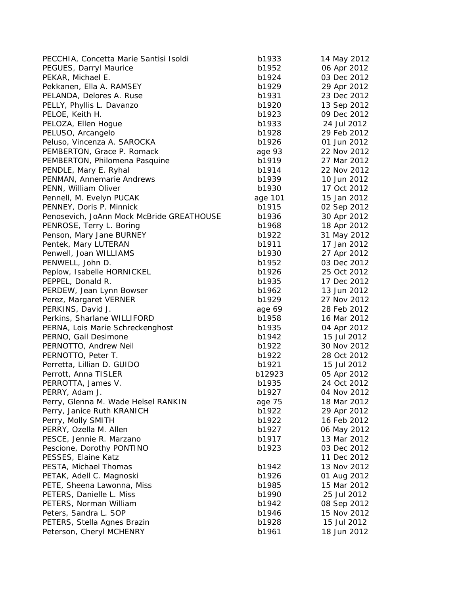| PECCHIA, Concetta Marie Santisi Isoldi    | b1933   | 14 May 2012 |
|-------------------------------------------|---------|-------------|
| PEGUES, Darryl Maurice                    | b1952   | 06 Apr 2012 |
| PEKAR, Michael E.                         | b1924   | 03 Dec 2012 |
| Pekkanen, Ella A. RAMSEY                  | b1929   | 29 Apr 2012 |
| PELANDA, Delores A. Ruse                  | b1931   | 23 Dec 2012 |
| PELLY, Phyllis L. Davanzo                 | b1920   | 13 Sep 2012 |
| PELOE, Keith H.                           | b1923   | 09 Dec 2012 |
| PELOZA, Ellen Hogue                       | b1933   | 24 Jul 2012 |
| PELUSO, Arcangelo                         | b1928   | 29 Feb 2012 |
| Peluso, Vincenza A. SAROCKA               | b1926   | 01 Jun 2012 |
| PEMBERTON, Grace P. Romack                | age 93  | 22 Nov 2012 |
| PEMBERTON, Philomena Pasquine             | b1919   | 27 Mar 2012 |
| PENDLE, Mary E. Ryhal                     | b1914   | 22 Nov 2012 |
| PENMAN, Annemarie Andrews                 | b1939   | 10 Jun 2012 |
| PENN, William Oliver                      | b1930   | 17 Oct 2012 |
| Pennell, M. Evelyn PUCAK                  | age 101 | 15 Jan 2012 |
| PENNEY, Doris P. Minnick                  | b1915   | 02 Sep 2012 |
| Penosevich, JoAnn Mock McBride GREATHOUSE | b1936   | 30 Apr 2012 |
| PENROSE, Terry L. Boring                  | b1968   | 18 Apr 2012 |
| Penson, Mary Jane BURNEY                  | b1922   | 31 May 2012 |
| Pentek, Mary LUTERAN                      | b1911   | 17 Jan 2012 |
| Penwell, Joan WILLIAMS                    | b1930   | 27 Apr 2012 |
| PENWELL, John D.                          | b1952   | 03 Dec 2012 |
| Peplow, Isabelle HORNICKEL                | b1926   | 25 Oct 2012 |
| PEPPEL, Donald R.                         | b1935   | 17 Dec 2012 |
| PERDEW, Jean Lynn Bowser                  | b1962   | 13 Jun 2012 |
| Perez, Margaret VERNER                    | b1929   | 27 Nov 2012 |
| PERKINS, David J.                         | age 69  | 28 Feb 2012 |
| Perkins, Sharlane WILLIFORD               | b1958   | 16 Mar 2012 |
| PERNA, Lois Marie Schreckenghost          | b1935   | 04 Apr 2012 |
| PERNO, Gail Desimone                      | b1942   | 15 Jul 2012 |
| PERNOTTO, Andrew Neil                     | b1922   | 30 Nov 2012 |
| PERNOTTO, Peter T.                        | b1922   | 28 Oct 2012 |
| Perretta, Lillian D. GUIDO                | b1921   | 15 Jul 2012 |
| Perrott, Anna TISLER                      | b12923  | 05 Apr 2012 |
| PERROTTA, James V.                        | b1935   | 24 Oct 2012 |
| PERRY, Adam J.                            | b1927   | 04 Nov 2012 |
| Perry, Glenna M. Wade Helsel RANKIN       | age 75  | 18 Mar 2012 |
| Perry, Janice Ruth KRANICH                | b1922   | 29 Apr 2012 |
| Perry, Molly SMITH                        | b1922   | 16 Feb 2012 |
| PERRY, Ozella M. Allen                    | b1927   | 06 May 2012 |
| PESCE, Jennie R. Marzano                  | b1917   | 13 Mar 2012 |
| Pescione, Dorothy PONTINO                 | b1923   | 03 Dec 2012 |
| PESSES, Elaine Katz                       |         | 11 Dec 2012 |
| PESTA, Michael Thomas                     | b1942   | 13 Nov 2012 |
| PETAK, Adell C. Magnoski                  | b1926   | 01 Aug 2012 |
| PETE, Sheena Lawonna, Miss                | b1985   | 15 Mar 2012 |
| PETERS, Danielle L. Miss                  | b1990   | 25 Jul 2012 |
| PETERS, Norman William                    | b1942   | 08 Sep 2012 |
| Peters, Sandra L. SOP                     | b1946   | 15 Nov 2012 |
| PETERS, Stella Agnes Brazin               | b1928   | 15 Jul 2012 |
| Peterson, Cheryl MCHENRY                  | b1961   | 18 Jun 2012 |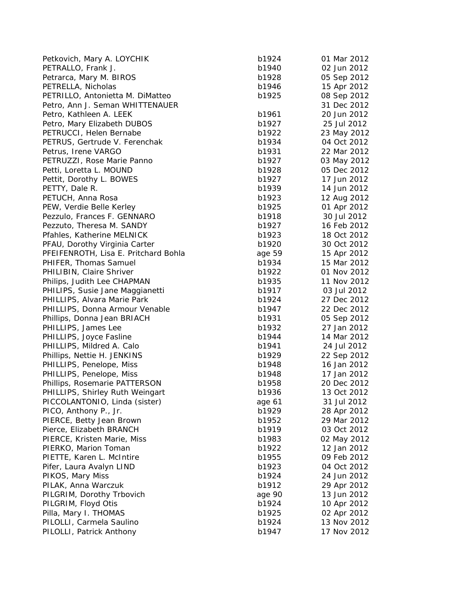| Petkovich, Mary A. LOYCHIK             | b1924  | 01 Mar 2012 |
|----------------------------------------|--------|-------------|
| PETRALLO, Frank J.                     | b1940  | 02 Jun 2012 |
| Petrarca, Mary M. BIROS                | b1928  | 05 Sep 2012 |
| PETRELLA, Nicholas                     | b1946  | 15 Apr 2012 |
| PETRILLO, Antonietta M. DiMatteo       | b1925  | 08 Sep 2012 |
| Petro, Ann J. Seman WHITTENAUER        |        | 31 Dec 2012 |
| Petro, Kathleen A. LEEK                | b1961  | 20 Jun 2012 |
| Petro, Mary Elizabeth DUBOS            | b1927  | 25 Jul 2012 |
| PETRUCCI, Helen Bernabe                | b1922  | 23 May 2012 |
| PETRUS, Gertrude V. Ferenchak          | b1934  | 04 Oct 2012 |
| Petrus, Irene VARGO                    | b1931  | 22 Mar 2012 |
| PETRUZZI, Rose Marie Panno             | b1927  | 03 May 2012 |
| Petti, Loretta L. MOUND                | b1928  | 05 Dec 2012 |
| Pettit, Dorothy L. BOWES               | b1927  | 17 Jun 2012 |
| PETTY, Dale R.                         | b1939  | 14 Jun 2012 |
| PETUCH, Anna Rosa                      | b1923  | 12 Aug 2012 |
| PEW, Verdie Belle Kerley               | b1925  | 01 Apr 2012 |
| Pezzulo, Frances F. GENNARO            | b1918  | 30 Jul 2012 |
| Pezzuto, Theresa M. SANDY              | b1927  | 16 Feb 2012 |
| Pfahles, Katherine MELNICK             | b1923  | 18 Oct 2012 |
| PFAU, Dorothy Virginia Carter          | b1920  | 30 Oct 2012 |
| PFEIFENROTH, Lisa E. Pritchard Bohla   | age 59 | 15 Apr 2012 |
| PHIFER, Thomas Samuel                  | b1934  | 15 Mar 2012 |
| PHILIBIN, Claire Shriver               | b1922  | 01 Nov 2012 |
| Philips, Judith Lee CHAPMAN            | b1935  | 11 Nov 2012 |
| PHILIPS, Susie Jane Maggianetti        | b1917  | 03 Jul 2012 |
| PHILLIPS, Alvara Marie Park            | b1924  | 27 Dec 2012 |
|                                        |        | 22 Dec 2012 |
| PHILLIPS, Donna Armour Venable         | b1947  |             |
| Phillips, Donna Jean BRIACH            | b1931  | 05 Sep 2012 |
| PHILLIPS, James Lee                    | b1932  | 27 Jan 2012 |
| PHILLIPS, Joyce Fasline                | b1944  | 14 Mar 2012 |
| PHILLIPS, Mildred A. Calo              | b1941  | 24 Jul 2012 |
| Phillips, Nettie H. JENKINS            | b1929  | 22 Sep 2012 |
| PHILLIPS, Penelope, Miss               | b1948  | 16 Jan 2012 |
| PHILLIPS, Penelope, Miss               | b1948  | 17 Jan 2012 |
| Phillips, Rosemarie PATTERSON          | b1958  | 20 Dec 2012 |
| <b>PHILLIPS, Shirley Ruth Weingart</b> | b1936  | 13 Oct 2012 |
| PICCOLANTONIO, Linda (sister)          | age 61 | 31 Jul 2012 |
| PICO, Anthony P., Jr.                  | b1929  | 28 Apr 2012 |
| PIERCE, Betty Jean Brown               | b1952  | 29 Mar 2012 |
| Pierce, Elizabeth BRANCH               | b1919  | 03 Oct 2012 |
| PIERCE, Kristen Marie, Miss            | b1983  | 02 May 2012 |
| PIERKO, Marion Toman                   | b1922  | 12 Jan 2012 |
| PIETTE, Karen L. McIntire              | b1955  | 09 Feb 2012 |
| Pifer, Laura Avalyn LIND               | b1923  | 04 Oct 2012 |
| PIKOS, Mary Miss                       | b1924  | 24 Jun 2012 |
| PILAK, Anna Warczuk                    | b1912  | 29 Apr 2012 |
| PILGRIM, Dorothy Trbovich              | age 90 | 13 Jun 2012 |
| PILGRIM, Floyd Otis                    | b1924  | 10 Apr 2012 |
| Pilla, Mary I. THOMAS                  | b1925  | 02 Apr 2012 |
| PILOLLI, Carmela Saulino               | b1924  | 13 Nov 2012 |
| PILOLLI, Patrick Anthony               | b1947  | 17 Nov 2012 |
|                                        |        |             |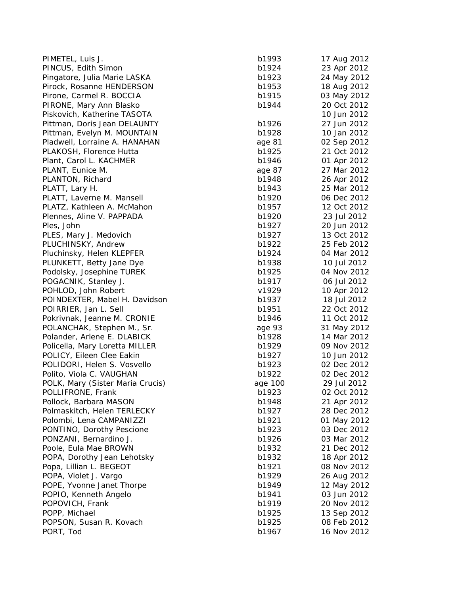| PIMETEL, Luis J.                 | b1993   | 17 Aug 2012 |
|----------------------------------|---------|-------------|
| PINCUS, Edith Simon              | b1924   | 23 Apr 2012 |
| Pingatore, Julia Marie LASKA     | b1923   | 24 May 2012 |
| Pirock, Rosanne HENDERSON        | b1953   | 18 Aug 2012 |
| Pirone, Carmel R. BOCCIA         | b1915   | 03 May 2012 |
| PIRONE, Mary Ann Blasko          | b1944   | 20 Oct 2012 |
| Piskovich, Katherine TASOTA      |         | 10 Jun 2012 |
| Pittman, Doris Jean DELAUNTY     | b1926   | 27 Jun 2012 |
| Pittman, Evelyn M. MOUNTAIN      | b1928   | 10 Jan 2012 |
| Pladwell, Lorraine A. HANAHAN    | age 81  | 02 Sep 2012 |
| PLAKOSH, Florence Hutta          | b1925   | 21 Oct 2012 |
| Plant, Carol L. KACHMER          | b1946   | 01 Apr 2012 |
| PLANT, Eunice M.                 | age 87  | 27 Mar 2012 |
| PLANTON, Richard                 | b1948   | 26 Apr 2012 |
| PLATT, Lary H.                   | b1943   | 25 Mar 2012 |
| PLATT, Laverne M. Mansell        | b1920   | 06 Dec 2012 |
| PLATZ, Kathleen A. McMahon       | b1957   | 12 Oct 2012 |
| Plennes, Aline V. PAPPADA        | b1920   | 23 Jul 2012 |
| Ples, John                       | b1927   | 20 Jun 2012 |
| PLES, Mary J. Medovich           | b1927   | 13 Oct 2012 |
| PLUCHINSKY, Andrew               | b1922   | 25 Feb 2012 |
| Pluchinsky, Helen KLEPFER        | b1924   | 04 Mar 2012 |
| PLUNKETT, Betty Jane Dye         | b1938   | 10 Jul 2012 |
| Podolsky, Josephine TUREK        | b1925   | 04 Nov 2012 |
| POGACNIK, Stanley J.             | b1917   | 06 Jul 2012 |
| POHLOD, John Robert              | v1929   | 10 Apr 2012 |
| POINDEXTER, Mabel H. Davidson    | b1937   | 18 Jul 2012 |
| POIRRIER, Jan L. Sell            | b1951   | 22 Oct 2012 |
| Pokrivnak, Jeanne M. CRONIE      | b1946   | 11 Oct 2012 |
| POLANCHAK, Stephen M., Sr.       | age 93  | 31 May 2012 |
| Polander, Arlene E. DLABICK      | b1928   | 14 Mar 2012 |
| Policella, Mary Loretta MILLER   | b1929   | 09 Nov 2012 |
| POLICY, Eileen Clee Eakin        | b1927   | 10 Jun 2012 |
| POLIDORI, Helen S. Vosvello      | b1923   | 02 Dec 2012 |
| Polito, Viola C. VAUGHAN         | b1922   | 02 Dec 2012 |
| POLK, Mary (Sister Maria Crucis) | age 100 | 29 Jul 2012 |
| POLLIFRONE, Frank                | b1923   | 02 Oct 2012 |
| Pollock, Barbara MASON           | b1948   | 21 Apr 2012 |
| Polmaskitch, Helen TERLECKY      | b1927   | 28 Dec 2012 |
| Polombi, Lena CAMPANIZZI         | b1921   | 01 May 2012 |
| PONTINO, Dorothy Pescione        | b1923   | 03 Dec 2012 |
| PONZANI, Bernardino J.           | b1926   | 03 Mar 2012 |
| Poole, Eula Mae BROWN            | b1932   | 21 Dec 2012 |
| POPA, Dorothy Jean Lehotsky      | b1932   | 18 Apr 2012 |
| Popa, Lillian L. BEGEOT          | b1921   | 08 Nov 2012 |
| POPA, Violet J. Vargo            | b1929   | 26 Aug 2012 |
| POPE, Yvonne Janet Thorpe        | b1949   | 12 May 2012 |
| POPIO, Kenneth Angelo            | b1941   | 03 Jun 2012 |
| POPOVICH, Frank                  | b1919   | 20 Nov 2012 |
| POPP, Michael                    | b1925   | 13 Sep 2012 |
| POPSON, Susan R. Kovach          | b1925   | 08 Feb 2012 |
| PORT, Tod                        | b1967   | 16 Nov 2012 |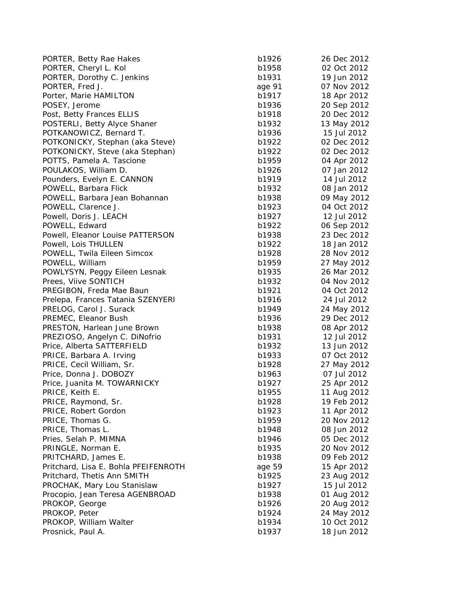| PORTER, Betty Rae Hakes              | b1926  | 26 Dec 2012 |
|--------------------------------------|--------|-------------|
| PORTER, Cheryl L. Kol                | b1958  | 02 Oct 2012 |
| PORTER, Dorothy C. Jenkins           | b1931  | 19 Jun 2012 |
| PORTER, Fred J.                      | age 91 | 07 Nov 2012 |
| Porter, Marie HAMILTON               | b1917  | 18 Apr 2012 |
| POSEY, Jerome                        | b1936  | 20 Sep 2012 |
| Post, Betty Frances ELLIS            | b1918  | 20 Dec 2012 |
| POSTERLI, Betty Alyce Shaner         | b1932  | 13 May 2012 |
| POTKANOWICZ, Bernard T.              | b1936  | 15 Jul 2012 |
| POTKONICKY, Stephan (aka Steve)      | b1922  | 02 Dec 2012 |
| POTKONICKY, Steve (aka Stephan)      | b1922  | 02 Dec 2012 |
| POTTS, Pamela A. Tascione            | b1959  | 04 Apr 2012 |
| POULAKOS, William D.                 | b1926  | 07 Jan 2012 |
| Pounders, Evelyn E. CANNON           | b1919  | 14 Jul 2012 |
| POWELL, Barbara Flick                | b1932  | 08 Jan 2012 |
| POWELL, Barbara Jean Bohannan        | b1938  | 09 May 2012 |
| POWELL, Clarence J.                  | b1923  | 04 Oct 2012 |
| Powell, Doris J. LEACH               | b1927  | 12 Jul 2012 |
| POWELL, Edward                       | b1922  | 06 Sep 2012 |
| Powell, Eleanor Louise PATTERSON     | b1938  | 23 Dec 2012 |
| Powell, Lois THULLEN                 | b1922  | 18 Jan 2012 |
| POWELL, Twila Eileen Simcox          | b1928  | 28 Nov 2012 |
| POWELL, William                      | b1959  | 27 May 2012 |
| POWLYSYN, Peggy Eileen Lesnak        | b1935  | 26 Mar 2012 |
| Prees, Viive SONTICH                 | b1932  | 04 Nov 2012 |
| PREGIBON, Freda Mae Baun             | b1921  | 04 Oct 2012 |
| Prelepa, Frances Tatania SZENYERI    | b1916  | 24 Jul 2012 |
| PRELOG, Carol J. Surack              | b1949  | 24 May 2012 |
| PREMEC, Eleanor Bush                 | b1936  | 29 Dec 2012 |
| PRESTON, Harlean June Brown          | b1938  | 08 Apr 2012 |
| PREZIOSO, Angelyn C. DiNofrio        | b1931  | 12 Jul 2012 |
| Price, Alberta SATTERFIELD           | b1932  | 13 Jun 2012 |
| PRICE, Barbara A. Irving             | b1933  | 07 Oct 2012 |
| PRICE, Cecil William, Sr.            | b1928  | 27 May 2012 |
| Price, Donna J. DOBOZY               | b1963  | 07 Jul 2012 |
| Price, Juanita M. TOWARNICKY         | b1927  | 25 Apr 2012 |
| PRICE, Keith E.                      | b1955  | 11 Aug 2012 |
| PRICE, Raymond, Sr.                  | b1928  | 19 Feb 2012 |
| PRICE, Robert Gordon                 | b1923  | 11 Apr 2012 |
| PRICE, Thomas G.                     | b1959  | 20 Nov 2012 |
| PRICE, Thomas L.                     | b1948  | 08 Jun 2012 |
| Pries, Selah P. MIMNA                | b1946  | 05 Dec 2012 |
| PRINGLE, Norman E.                   | b1935  | 20 Nov 2012 |
| PRITCHARD, James E.                  | b1938  | 09 Feb 2012 |
| Pritchard, Lisa E. Bohla PFEIFENROTH | age 59 | 15 Apr 2012 |
| Pritchard, Thetis Ann SMITH          | b1925  | 23 Aug 2012 |
| PROCHAK, Mary Lou Stanislaw          | b1927  | 15 Jul 2012 |
| Procopio, Jean Teresa AGENBROAD      | b1938  | 01 Aug 2012 |
| PROKOP, George                       | b1926  | 20 Aug 2012 |
| PROKOP, Peter                        | b1924  | 24 May 2012 |
| PROKOP, William Walter               | b1934  | 10 Oct 2012 |
| Prosnick, Paul A.                    | b1937  | 18 Jun 2012 |
|                                      |        |             |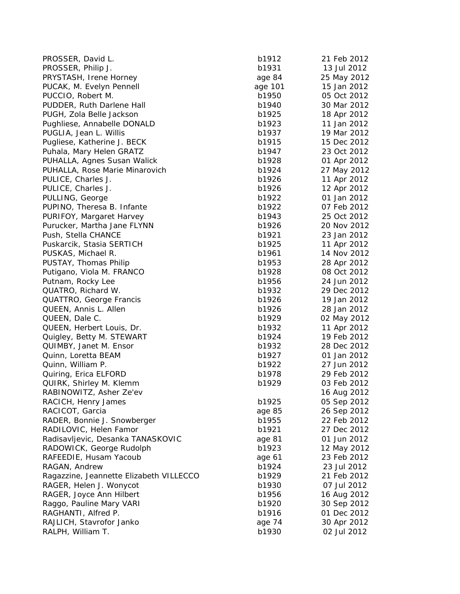| PROSSER, David L.                                   | b1912          | 21 Feb 2012                |
|-----------------------------------------------------|----------------|----------------------------|
| PROSSER, Philip J.                                  | b1931          | 13 Jul 2012                |
| PRYSTASH, Irene Horney                              | age 84         | 25 May 2012                |
| PUCAK, M. Evelyn Pennell                            | age 101        | 15 Jan 2012                |
| PUCCIO, Robert M.                                   | b1950          | 05 Oct 2012                |
| PUDDER, Ruth Darlene Hall                           | b1940          | 30 Mar 2012                |
| PUGH, Zola Belle Jackson                            | b1925          | 18 Apr 2012                |
| Pughliese, Annabelle DONALD                         | b1923          | 11 Jan 2012                |
| PUGLIA, Jean L. Willis                              | b1937          | 19 Mar 2012                |
| Pugliese, Katherine J. BECK                         | b1915          | 15 Dec 2012                |
| Puhala, Mary Helen GRATZ                            | b1947          | 23 Oct 2012                |
| PUHALLA, Agnes Susan Walick                         | b1928          | 01 Apr 2012                |
| PUHALLA, Rose Marie Minarovich                      | b1924          | 27 May 2012                |
| PULICE, Charles J.                                  | b1926          | 11 Apr 2012                |
| PULICE, Charles J.                                  | b1926          | 12 Apr 2012                |
| PULLING, George                                     | b1922          | 01 Jan 2012                |
| PUPINO, Theresa B. Infante                          | b1922          | 07 Feb 2012                |
| PURIFOY, Margaret Harvey                            | b1943          | 25 Oct 2012                |
| Purucker, Martha Jane FLYNN                         | b1926          | 20 Nov 2012                |
| Push, Stella CHANCE                                 | b1921          | 23 Jan 2012                |
| Puskarcik, Stasia SERTICH                           | b1925          | 11 Apr 2012                |
| PUSKAS, Michael R.                                  | b1961          | 14 Nov 2012                |
| PUSTAY, Thomas Philip                               | b1953          | 28 Apr 2012                |
| Putigano, Viola M. FRANCO                           | b1928          | 08 Oct 2012                |
| Putnam, Rocky Lee                                   | b1956          | 24 Jun 2012                |
| QUATRO, Richard W.                                  | b1932          | 29 Dec 2012                |
| QUATTRO, George Francis                             | b1926          | 19 Jan 2012                |
| QUEEN, Annis L. Allen                               | b1926          | 28 Jan 2012                |
| QUEEN, Dale C.                                      |                |                            |
| QUEEN, Herbert Louis, Dr.                           | b1929<br>b1932 | 02 May 2012                |
|                                                     | b1924          | 11 Apr 2012<br>19 Feb 2012 |
| Quigley, Betty M. STEWART<br>QUIMBY, Janet M. Ensor |                |                            |
|                                                     | b1932          | 28 Dec 2012                |
| Quinn, Loretta BEAM                                 | b1927          | 01 Jan 2012                |
| Quinn, William P.                                   | b1922          | 27 Jun 2012                |
| Quiring, Erica ELFORD                               | b1978          | 29 Feb 2012                |
| QUIRK, Shirley M. Klemm                             | b1929          | 03 Feb 2012                |
| RABINOWITZ, Asher Ze'ev                             |                | 16 Aug 2012                |
| RACICH, Henry James                                 | b1925          | 05 Sep 2012                |
| RACICOT, Garcia                                     | age 85         | 26 Sep 2012                |
| RADER, Bonnie J. Snowberger                         | b1955          | 22 Feb 2012                |
| RADILOVIC, Helen Famor                              | b1921          | 27 Dec 2012                |
| Radisavljevic, Desanka TANASKOVIC                   | age 81         | 01 Jun 2012                |
| RADOWICK, George Rudolph                            | b1923          | 12 May 2012                |
| RAFEEDIE, Husam Yacoub                              | age 61         | 23 Feb 2012                |
| RAGAN, Andrew                                       | b1924          | 23 Jul 2012                |
| Ragazzine, Jeannette Elizabeth VILLECCO             | b1929          | 21 Feb 2012                |
| RAGER, Helen J. Wonycot                             | b1930          | 07 Jul 2012                |
| RAGER, Joyce Ann Hilbert                            | b1956          | 16 Aug 2012                |
| Raggo, Pauline Mary VARI                            | b1920          | 30 Sep 2012                |
| RAGHANTI, Alfred P.                                 | b1916          | 01 Dec 2012                |
| RAJLICH, Stavrofor Janko                            | age 74         | 30 Apr 2012                |
| RALPH, William T.                                   | b1930          | 02 Jul 2012                |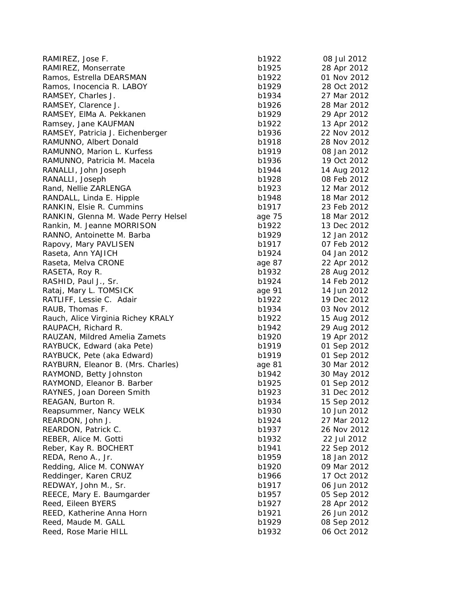| RAMIREZ, Jose F.                    | b1922  | 08 Jul 2012 |
|-------------------------------------|--------|-------------|
| RAMIREZ, Monserrate                 | b1925  | 28 Apr 2012 |
| Ramos, Estrella DEARSMAN            | b1922  | 01 Nov 2012 |
| Ramos, Inocencia R. LABOY           | b1929  | 28 Oct 2012 |
| RAMSEY, Charles J.                  | b1934  | 27 Mar 2012 |
| RAMSEY, Clarence J.                 | b1926  | 28 Mar 2012 |
| RAMSEY, EIMa A. Pekkanen            | b1929  | 29 Apr 2012 |
| Ramsey, Jane KAUFMAN                | b1922  | 13 Apr 2012 |
| RAMSEY, Patricia J. Eichenberger    | b1936  | 22 Nov 2012 |
| RAMUNNO, Albert Donald              | b1918  | 28 Nov 2012 |
| RAMUNNO, Marion L. Kurfess          | b1919  | 08 Jan 2012 |
| RAMUNNO, Patricia M. Macela         | b1936  | 19 Oct 2012 |
| RANALLI, John Joseph                | b1944  | 14 Aug 2012 |
| RANALLI, Joseph                     | b1928  | 08 Feb 2012 |
| Rand, Nellie ZARLENGA               | b1923  | 12 Mar 2012 |
| RANDALL, Linda E. Hipple            | b1948  | 18 Mar 2012 |
| RANKIN, Elsie R. Cummins            | b1917  | 23 Feb 2012 |
| RANKIN, Glenna M. Wade Perry Helsel | age 75 | 18 Mar 2012 |
| Rankin, M. Jeanne MORRISON          | b1922  | 13 Dec 2012 |
| RANNO, Antoinette M. Barba          | b1929  | 12 Jan 2012 |
| Rapovy, Mary PAVLISEN               | b1917  | 07 Feb 2012 |
| Raseta, Ann YAJICH                  | b1924  | 04 Jan 2012 |
| Raseta, Melva CRONE                 | age 87 | 22 Apr 2012 |
| RASETA, Roy R.                      | b1932  | 28 Aug 2012 |
| RASHID, Paul J., Sr.                | b1924  | 14 Feb 2012 |
| Rataj, Mary L. TOMSICK              | age 91 | 14 Jun 2012 |
| RATLIFF, Lessie C. Adair            | b1922  | 19 Dec 2012 |
| RAUB, Thomas F.                     | b1934  | 03 Nov 2012 |
| Rauch, Alice Virginia Richey KRALY  | b1922  | 15 Aug 2012 |
| RAUPACH, Richard R.                 | b1942  | 29 Aug 2012 |
| RAUZAN, Mildred Amelia Zamets       | b1920  | 19 Apr 2012 |
| RAYBUCK, Edward (aka Pete)          | b1919  | 01 Sep 2012 |
| RAYBUCK, Pete (aka Edward)          | b1919  | 01 Sep 2012 |
| RAYBURN, Eleanor B. (Mrs. Charles)  | age 81 | 30 Mar 2012 |
| RAYMOND, Betty Johnston             | b1942  | 30 May 2012 |
| RAYMOND, Eleanor B. Barber          | b1925  | 01 Sep 2012 |
| RAYNES, Joan Doreen Smith           | b1923  | 31 Dec 2012 |
| REAGAN, Burton R.                   | b1934  | 15 Sep 2012 |
| Reapsummer, Nancy WELK              | b1930  | 10 Jun 2012 |
| REARDON, John J.                    | b1924  | 27 Mar 2012 |
| REARDON, Patrick C.                 | b1937  | 26 Nov 2012 |
| REBER, Alice M. Gotti               | b1932  | 22 Jul 2012 |
| Reber, Kay R. BOCHERT               | b1941  | 22 Sep 2012 |
| REDA, Reno A., Jr.                  | b1959  | 18 Jan 2012 |
| Redding, Alice M. CONWAY            | b1920  | 09 Mar 2012 |
| Reddinger, Karen CRUZ               | b1966  | 17 Oct 2012 |
| REDWAY, John M., Sr.                | b1917  | 06 Jun 2012 |
| REECE, Mary E. Baumgarder           | b1957  | 05 Sep 2012 |
| Reed, Eileen BYERS                  | b1927  | 28 Apr 2012 |
| REED, Katherine Anna Horn           | b1921  | 26 Jun 2012 |
| Reed, Maude M. GALL                 | b1929  | 08 Sep 2012 |
| Reed, Rose Marie HILL               | b1932  | 06 Oct 2012 |
|                                     |        |             |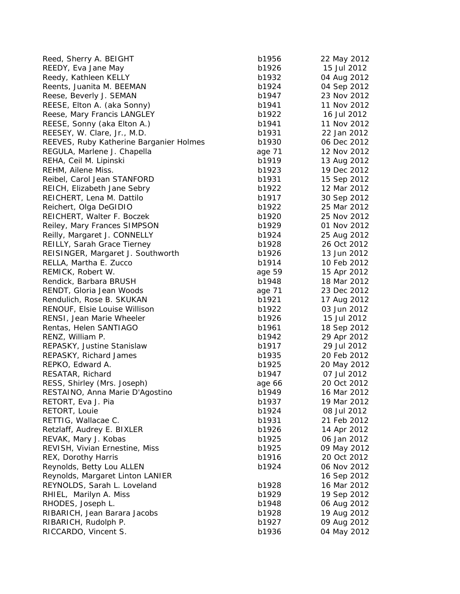| Reed, Sherry A. BEIGHT                  | b1956  | 22 May 2012 |
|-----------------------------------------|--------|-------------|
| REEDY, Eva Jane May                     | b1926  | 15 Jul 2012 |
| Reedy, Kathleen KELLY                   | b1932  | 04 Aug 2012 |
| Reents, Juanita M. BEEMAN               | b1924  | 04 Sep 2012 |
| Reese, Beverly J. SEMAN                 | b1947  | 23 Nov 2012 |
| REESE, Elton A. (aka Sonny)             | b1941  | 11 Nov 2012 |
| Reese, Mary Francis LANGLEY             | b1922  | 16 Jul 2012 |
| REESE, Sonny (aka Elton A.)             | b1941  | 11 Nov 2012 |
| REESEY, W. Clare, Jr., M.D.             | b1931  | 22 Jan 2012 |
| REEVES, Ruby Katherine Barganier Holmes | b1930  | 06 Dec 2012 |
| REGULA, Marlene J. Chapella             | age 71 | 12 Nov 2012 |
| REHA, Ceil M. Lipinski                  | b1919  | 13 Aug 2012 |
| REHM, Ailene Miss.                      | b1923  | 19 Dec 2012 |
| Reibel, Carol Jean STANFORD             | b1931  | 15 Sep 2012 |
| REICH, Elizabeth Jane Sebry             | b1922  | 12 Mar 2012 |
| REICHERT, Lena M. Dattilo               | b1917  | 30 Sep 2012 |
| Reichert, Olga DeGIDIO                  | b1922  | 25 Mar 2012 |
| REICHERT, Walter F. Boczek              | b1920  | 25 Nov 2012 |
| Reiley, Mary Frances SIMPSON            | b1929  | 01 Nov 2012 |
| Reilly, Margaret J. CONNELLY            | b1924  | 25 Aug 2012 |
| REILLY, Sarah Grace Tierney             | b1928  | 26 Oct 2012 |
| REISINGER, Margaret J. Southworth       | b1926  | 13 Jun 2012 |
| RELLA, Martha E. Zucco                  | b1914  | 10 Feb 2012 |
| REMICK, Robert W.                       | age 59 | 15 Apr 2012 |
| Rendick, Barbara BRUSH                  | b1948  | 18 Mar 2012 |
| RENDT, Gloria Jean Woods                | age 71 | 23 Dec 2012 |
| Rendulich, Rose B. SKUKAN               | b1921  | 17 Aug 2012 |
| RENOUF, Elsie Louise Willison           | b1922  | 03 Jun 2012 |
| RENSI, Jean Marie Wheeler               | b1926  | 15 Jul 2012 |
| Rentas, Helen SANTIAGO                  | b1961  | 18 Sep 2012 |
| RENZ, William P.                        | b1942  | 29 Apr 2012 |
| REPASKY, Justine Stanislaw              | b1917  | 29 Jul 2012 |
| REPASKY, Richard James                  | b1935  | 20 Feb 2012 |
| REPKO, Edward A.                        | b1925  | 20 May 2012 |
| RESATAR, Richard                        | b1947  | 07 Jul 2012 |
| RESS, Shirley (Mrs. Joseph)             | age 66 | 20 Oct 2012 |
| RESTAINO, Anna Marie D'Agostino         | b1949  | 16 Mar 2012 |
| RETORT, Eva J. Pia                      | b1937  | 19 Mar 2012 |
| RETORT, Louie                           | b1924  | 08 Jul 2012 |
| RETTIG, Wallacae C.                     | b1931  | 21 Feb 2012 |
| Retzlaff, Audrey E. BIXLER              | b1926  | 14 Apr 2012 |
| REVAK, Mary J. Kobas                    | b1925  | 06 Jan 2012 |
| REVISH, Vivian Ernestine, Miss          | b1925  | 09 May 2012 |
| REX, Dorothy Harris                     | b1916  | 20 Oct 2012 |
| Reynolds, Betty Lou ALLEN               | b1924  | 06 Nov 2012 |
| Reynolds, Margaret Linton LANIER        |        | 16 Sep 2012 |
| REYNOLDS, Sarah L. Loveland             | b1928  | 16 Mar 2012 |
| RHIEL, Marilyn A. Miss                  | b1929  | 19 Sep 2012 |
| RHODES, Joseph L.                       | b1948  | 06 Aug 2012 |
| RIBARICH, Jean Barara Jacobs            | b1928  | 19 Aug 2012 |
| RIBARICH, Rudolph P.                    | b1927  | 09 Aug 2012 |
| RICCARDO, Vincent S.                    | b1936  | 04 May 2012 |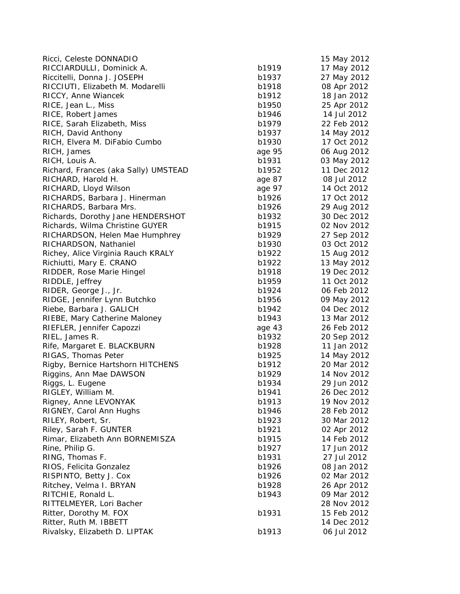| Ricci, Celeste DONNADIO                |        | 15 May 2012 |
|----------------------------------------|--------|-------------|
| RICCIARDULLI, Dominick A.              | b1919  | 17 May 2012 |
| Riccitelli, Donna J. JOSEPH            | b1937  | 27 May 2012 |
| RICCIUTI, Elizabeth M. Modarelli       | b1918  | 08 Apr 2012 |
| RICCY, Anne Wiancek                    | b1912  | 18 Jan 2012 |
| RICE, Jean L., Miss                    | b1950  | 25 Apr 2012 |
| RICE, Robert James                     | b1946  | 14 Jul 2012 |
| RICE, Sarah Elizabeth, Miss            | b1979  | 22 Feb 2012 |
| RICH, David Anthony                    | b1937  | 14 May 2012 |
| RICH, Elvera M. DiFabio Cumbo          | b1930  | 17 Oct 2012 |
| RICH, James                            | age 95 | 06 Aug 2012 |
| RICH, Louis A.                         | b1931  | 03 May 2012 |
| Richard, Frances (aka Sally) UMSTEAD   | b1952  | 11 Dec 2012 |
| RICHARD, Harold H.                     | age 87 | 08 Jul 2012 |
| RICHARD, Lloyd Wilson                  | age 97 | 14 Oct 2012 |
| RICHARDS, Barbara J. Hinerman          | b1926  | 17 Oct 2012 |
| RICHARDS, Barbara Mrs.                 | b1926  | 29 Aug 2012 |
| Richards, Dorothy Jane HENDERSHOT      | b1932  | 30 Dec 2012 |
| Richards, Wilma Christine GUYER        | b1915  | 02 Nov 2012 |
| RICHARDSON, Helen Mae Humphrey         | b1929  | 27 Sep 2012 |
| RICHARDSON, Nathaniel                  | b1930  | 03 Oct 2012 |
| Richey, Alice Virginia Rauch KRALY     | b1922  | 15 Aug 2012 |
| Richiutti, Mary E. CRANO               | b1922  | 13 May 2012 |
| RIDDER, Rose Marie Hingel              | b1918  | 19 Dec 2012 |
| RIDDLE, Jeffrey                        | b1959  | 11 Oct 2012 |
| RIDER, George J., Jr.                  | b1924  | 06 Feb 2012 |
| RIDGE, Jennifer Lynn Butchko           | b1956  | 09 May 2012 |
| Riebe, Barbara J. GALICH               | b1942  | 04 Dec 2012 |
| RIEBE, Mary Catherine Maloney          | b1943  | 13 Mar 2012 |
| RIEFLER, Jennifer Capozzi              | age 43 | 26 Feb 2012 |
| RIEL, James R.                         | b1932  | 20 Sep 2012 |
| Rife, Margaret E. BLACKBURN            | b1928  | 11 Jan 2012 |
| RIGAS, Thomas Peter                    | b1925  | 14 May 2012 |
| Rigby, Bernice Hartshorn HITCHENS      | b1912  | 20 Mar 2012 |
| Riggins, Ann Mae DAWSON                | b1929  | 14 Nov 2012 |
|                                        | b1934  | 29 Jun 2012 |
| Riggs, L. Eugene<br>RIGLEY, William M. | b1941  | 26 Dec 2012 |
|                                        |        |             |
| Rigney, Anne LEVONYAK                  | b1913  | 19 Nov 2012 |
| RIGNEY, Carol Ann Hughs                | b1946  | 28 Feb 2012 |
| RILEY, Robert, Sr.                     | b1923  | 30 Mar 2012 |
| Riley, Sarah F. GUNTER                 | b1921  | 02 Apr 2012 |
| Rimar, Elizabeth Ann BORNEMISZA        | b1915  | 14 Feb 2012 |
| Rine, Philip G.                        | b1927  | 17 Jun 2012 |
| RING, Thomas F.                        | b1931  | 27 Jul 2012 |
| RIOS, Felicita Gonzalez                | b1926  | 08 Jan 2012 |
| RISPINTO, Betty J. Cox                 | b1926  | 02 Mar 2012 |
| Ritchey, Velma I. BRYAN                | b1928  | 26 Apr 2012 |
| RITCHIE, Ronald L.                     | b1943  | 09 Mar 2012 |
| RITTELMEYER, Lori Bacher               |        | 28 Nov 2012 |
| Ritter, Dorothy M. FOX                 | b1931  | 15 Feb 2012 |
| Ritter, Ruth M. IBBETT                 |        | 14 Dec 2012 |
| Rivalsky, Elizabeth D. LIPTAK          | b1913  | 06 Jul 2012 |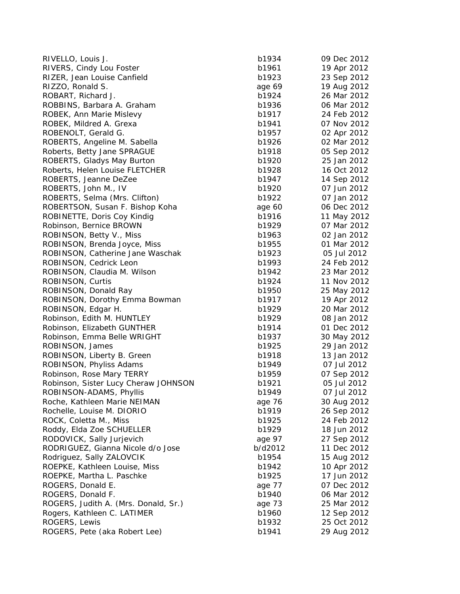| RIVELLO, Louis J.                    | b1934           | 09 Dec 2012                |
|--------------------------------------|-----------------|----------------------------|
| RIVERS, Cindy Lou Foster             | b1961           | 19 Apr 2012                |
| RIZER, Jean Louise Canfield          | b1923           | 23 Sep 2012                |
| RIZZO, Ronald S.                     | age 69          | 19 Aug 2012                |
| ROBART, Richard J.                   | b1924           | 26 Mar 2012                |
| ROBBINS, Barbara A. Graham           | b1936           | 06 Mar 2012                |
| ROBEK, Ann Marie Mislevy             | b1917           | 24 Feb 2012                |
| ROBEK, Mildred A. Grexa              | b1941           | 07 Nov 2012                |
| ROBENOLT, Gerald G.                  | b1957           | 02 Apr 2012                |
| ROBERTS, Angeline M. Sabella         | b1926           | 02 Mar 2012                |
| Roberts, Betty Jane SPRAGUE          | b1918           | 05 Sep 2012                |
| ROBERTS, Gladys May Burton           | b1920           | 25 Jan 2012                |
| Roberts, Helen Louise FLETCHER       | b1928           | 16 Oct 2012                |
| ROBERTS, Jeanne DeZee                | b1947           | 14 Sep 2012                |
| ROBERTS, John M., IV                 | b1920           | 07 Jun 2012                |
| ROBERTS, Selma (Mrs. Clifton)        | b1922           | 07 Jan 2012                |
| ROBERTSON, Susan F. Bishop Koha      | age 60          | 06 Dec 2012                |
| ROBINETTE, Doris Coy Kindig          | b1916           | 11 May 2012                |
| Robinson, Bernice BROWN              | b1929           | 07 Mar 2012                |
| ROBINSON, Betty V., Miss             | b1963           | 02 Jan 2012                |
| ROBINSON, Brenda Joyce, Miss         | b1955           | 01 Mar 2012                |
| ROBINSON, Catherine Jane Waschak     | b1923           | 05 Jul 2012                |
| ROBINSON, Cedrick Leon               | b1993           | 24 Feb 2012                |
| ROBINSON, Claudia M. Wilson          | b1942           | 23 Mar 2012                |
| ROBINSON, Curtis                     | b1924           | 11 Nov 2012                |
| ROBINSON, Donald Ray                 | b1950           | 25 May 2012                |
| ROBINSON, Dorothy Emma Bowman        | b1917           | 19 Apr 2012                |
| ROBINSON, Edgar H.                   | b1929           | 20 Mar 2012                |
| Robinson, Edith M. HUNTLEY           | b1929           | 08 Jan 2012                |
| Robinson, Elizabeth GUNTHER          | b1914           | 01 Dec 2012                |
| Robinson, Emma Belle WRIGHT          | b1937           | 30 May 2012                |
| ROBINSON, James                      | b1925           | 29 Jan 2012                |
| ROBINSON, Liberty B. Green           | b1918           | 13 Jan 2012                |
| ROBINSON, Phyliss Adams              | b1949           | 07 Jul 2012                |
| Robinson, Rose Mary TERRY            | b1959           | 07 Sep 2012                |
| Robinson, Sister Lucy Cheraw JOHNSON | b1921           | 05 Jul 2012                |
| ROBINSON-ADAMS, Phyllis              | b1949           | 07 Jul 2012                |
| Roche, Kathleen Marie NEIMAN         | age 76          | 30 Aug 2012                |
| Rochelle, Louise M. DIORIO           | b1919           | 26 Sep 2012                |
| ROCK, Coletta M., Miss               | b1925           | 24 Feb 2012                |
| Roddy, Elda Zoe SCHUELLER            | b1929           | 18 Jun 2012                |
| RODOVICK, Sally Jurjevich            | age 97          | 27 Sep 2012                |
| RODRIGUEZ, Gianna Nicole d/o Jose    | b/d2012         | 11 Dec 2012                |
| Rodriguez, Sally ZALOVCIK            | b1954           | 15 Aug 2012                |
| ROEPKE, Kathleen Louise, Miss        | b1942           | 10 Apr 2012                |
| ROEPKE, Martha L. Paschke            | b1925           | 17 Jun 2012                |
| ROGERS, Donald E.                    |                 | 07 Dec 2012                |
|                                      | age 77          |                            |
| ROGERS, Donald F.                    | b1940           | 06 Mar 2012<br>25 Mar 2012 |
| ROGERS, Judith A. (Mrs. Donald, Sr.) | age 73<br>b1960 |                            |
| Rogers, Kathleen C. LATIMER          |                 | 12 Sep 2012                |
| ROGERS, Lewis                        | b1932           | 25 Oct 2012                |
| ROGERS, Pete (aka Robert Lee)        | b1941           | 29 Aug 2012                |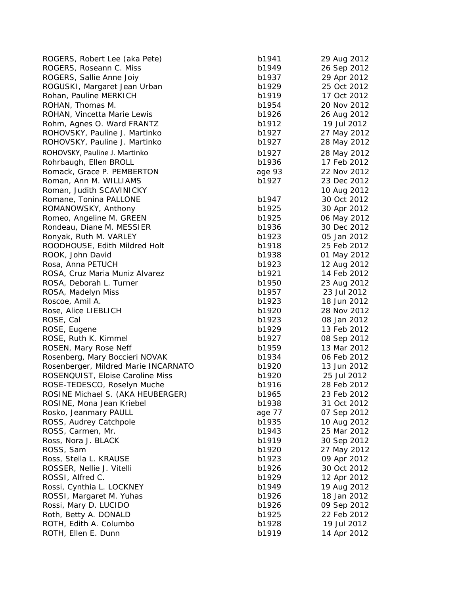ROGERS, Robert Lee (aka Pete) b1 ROGERS, Roseann C. Miss b1949 26 Sep 2012 26 Sep 2014 26 Sep 2013 26 Sep 2013 26 Sep 2013 26 Sep 201 ROGERS, Sallie Anne Joiy b1937 29 Apr 2012 2013 2014 ROGUSKI, Margaret Jean Urban b1929 25 Oct 2012 12:30 D1 Rohan, Pauline MERKICH b1 ROHAN, Thomas M. b1 ROHAN, Vincetta Marie Lewis b1 Rohm, Agnes O. Ward FRANTZ b1 ROHOVSKY, Pauline J. Martinko **b1** ROHOVSKY, Pauline J. Martinko **b1** ROHOVSKY, Pauline J. Martinko **b1927 28 May 2012 2012 2013 2014** b1 Rohrbaugh, Ellen BROLL b1936 17 Feb 2013 Romack, Grace P. PEMBERTON age Roman, Ann M. WILLIAMS b19 Roman, Judith SCAVINICKY Romane, Tonina PALLONE **b1** ROMANOWSKY, Anthony b1 Romeo, Angeline M. GREEN b1 Rondeau, Diane M. MESSIER b1 Ronyak, Ruth M. VARLEY b1 ROODHOUSE, Edith Mildred Holt **B15 Feb 2012** 61 ROOK, John David b1938 01 May 2012 01 May 2013 01 May 2013 01 May 2013 01 May 2013 01 May 2013 01 May 2013 01 Rosa, Anna PETUCH b1 ROSA, Cruz Maria Muniz Alvarez b1 ROSA, Deborah L. Turner b1950 23 Aug 2012 23 Aug 2013 23 Aug 2013 23 Aug 2013 23 Aug 2013 23 Aug 2013 23 Aug 20 ROSA, Madelyn Miss b1 Roscoe, Amil A. b1 Rose, Alice LIEBLICH b1 ROSE, Cal b1923 08 Jan 2012 08 Jan 2012 08 Jan 2012 08 Jan 2013 08 Jan 2012 08 Jan 2013 08 Jan 2013 08 Jan 201 ROSE, Eugene b1929 13 Feb 2012 13 Feb 2012 13 Feb 2013 13 Feb 2013 13 Feb 2013 13 Feb 2013 13 Feb 2013 13 Feb 2013 13 Feb 2013 13 Feb 2013 13 Feb 2013 13 Feb 2013 13 Feb 2013 13 Feb 2013 13 Feb 2013 13 Feb 2013 13 Feb 2013 ROSE, Ruth K. Kimmel b1 ROSEN, Mary Rose Neff b1 Rosenberg, Mary Boccieri NOVAK b1 Rosenberger, Mildred Marie INCARNATO b1 ROSENQUIST, Eloise Caroline Miss b1 ROSE-TEDESCO, Roselyn Muche b1 ROSINE Michael S. (AKA HEUBERGER) b1 ROSINE, Mona Jean Kriebel b1 Rosko, Jeanmary PAULL age 77 age 77 37 37 37 37 37 38 ROSS, Audrey Catchpole b1935 10 Aug 2013 ROSS, Carmen, Mr. b1943 25 Mar 2013 25 Mar 2013 25 Mar 2013 25 Mar 2013 25 Mar 2013 25 Mar 2013 25 Mar 2013 25 Mar 2013 25 Mar 2013 25 Mar 2013 25 Mar 2013 25 Mar 2013 25 Mar 2013 25 Mar 2013 25 Mar 2013 25 Mar 2013 25 Mar Ross, Nora J. BLACK b1919 30 Sep 2012 30 Sep 2013 30 Sep 2013 30 Sep 2013 30 Sep 2013 30 Sep 2013 30 Sep 2013 30 Sep 2013 30 Sep 2013 30 Sep 2013 30 Sep 2013 30 Sep 2013 30 Sep 2013 30 Sep 2013 30 Sep 2013 30 Sep 2013 30 S ROSS, Sam b1 Ross, Stella L. KRAUSE b1933 b1933 b1933 b1933 b1933 b1933 b1933 b1933 b1933 b1933 b1933 b1933 b1933 b1933 b19 ROSSER, Nellie J. Vitelli b1 ROSSI, Alfred C. b1929 b1929 b1929 b1929 b1929 b1929 b1929 b1929 b1929 b1929 b1929 b1929 b1929 b1929 b1929 b19 Rossi, Cynthia L. LOCKNEY b1949 b1949 b1949 b1949 b1949 b1949 b1949 b1949 b1949 b1949 b1949 b1949 b1949 b1949 b1949 b1949 b1949 b1949 b1949 b1949 b1949 b1949 b1949 b1949 b1949 b1949 b1949 b1949 b1949 b1949 b1949 b1949 b194 ROSSI, Margaret M. Yuhas b1 Rossi, Mary D. LUCIDO b1 Roth, Betty A. DONALD b1 ROTH, Edith A. Columbo b1 ROTH, Ellen E. Dunn b1

| 941  | 29 Aug 2012                |
|------|----------------------------|
| 949  | 26 Sep 2012                |
| 937  | 29 Apr 2012<br>25 Oct 2012 |
| 929  |                            |
| 919  | 17 Oct 2012                |
| 954  | 20 Nov 2012                |
| 926  | 26 Aug 2012                |
| 912  | 19 Jul 2012                |
| 927  | 27 May 2012                |
| 927  | 28 May 2012                |
|      |                            |
| 927  | 28 May 2012                |
| 936  | 17 Feb 2012                |
| e 93 | 22 Nov 2012                |
| 927  | 23 Dec 2012                |
|      | 10 Aug 2012                |
| 947  | 30 Oct 2012                |
| 925  | 30 Apr 2012                |
| 925  | 06 May 2012                |
| 936  | 30 Dec 2012                |
| 923  | 05 Jan 2012                |
| 918  | 25 Feb 2012                |
| 938  | 01 May 2012                |
| 923  | 12 Aug 2012                |
| 921  | 14 Feb 2012                |
| 950  | 23 Aug 2012                |
| 957  | 23 Jul 2012                |
| 923  | 18 Jun 2012                |
| 920  | 28 Nov 2012                |
| 923  | 08 Jan 2012                |
| 929  | 13 Feb 2012                |
| 927  | 08 Sep 2012                |
| 959  | 13 Mar 2012                |
| 934  | 06 Feb 2012                |
| 920  |                            |
| 920  | 13 Jun 2012                |
| 916  | 25 Jul 2012                |
| 965  | 28 Feb 2012                |
|      | 23 Feb 2012                |
| 938  | 31 Oct 2012                |
| e 77 | 07 Sep 2012                |
| 935  | 10 Aug 2012                |
| 943  | 25 Mar 2012                |
| 919  | 30 Sep 2012                |
| 920  | 27 May 2012                |
| 923  | 09 Apr 2012                |
| 926  | 30 Oct 2012                |
| 929  | 12 Apr 2012                |
| 949  | 19 Aug 2012                |
| 926  | 18 Jan 2012                |
| 926  | 09 Sep 2012                |
| 925  | 22 Feb 2012                |
| 928  | 19 Jul 2012                |
| 919  | 14 Apr 2012                |
|      |                            |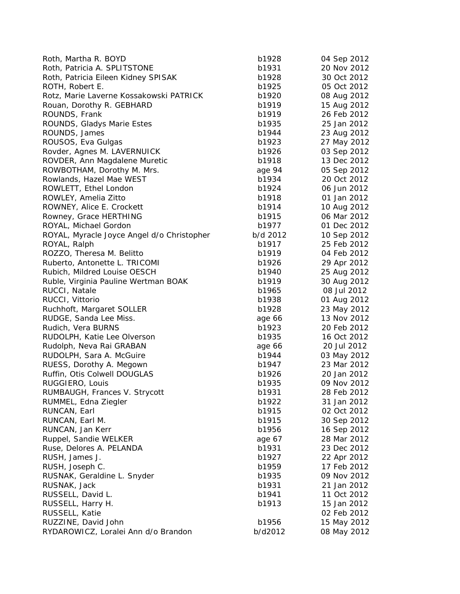| Roth, Martha R. BOYD                       | b1928    | 04 Sep 2012 |
|--------------------------------------------|----------|-------------|
| Roth, Patricia A. SPLITSTONE               | b1931    | 20 Nov 2012 |
| Roth, Patricia Eileen Kidney SPISAK        | b1928    | 30 Oct 2012 |
| ROTH, Robert E.                            | b1925    | 05 Oct 2012 |
| Rotz, Marie Laverne Kossakowski PATRICK    | b1920    | 08 Aug 2012 |
| Rouan, Dorothy R. GEBHARD                  | b1919    | 15 Aug 2012 |
| ROUNDS, Frank                              | b1919    | 26 Feb 2012 |
| ROUNDS, Gladys Marie Estes                 | b1935    | 25 Jan 2012 |
| ROUNDS, James                              | b1944    | 23 Aug 2012 |
| ROUSOS, Eva Gulgas                         | b1923    | 27 May 2012 |
| Rovder, Agnes M. LAVERNUICK                | b1926    | 03 Sep 2012 |
| ROVDER, Ann Magdalene Muretic              | b1918    | 13 Dec 2012 |
| ROWBOTHAM, Dorothy M. Mrs.                 | age 94   | 05 Sep 2012 |
| Rowlands, Hazel Mae WEST                   | b1934    | 20 Oct 2012 |
| ROWLETT, Ethel London                      | b1924    | 06 Jun 2012 |
| ROWLEY, Amelia Zitto                       | b1918    | 01 Jan 2012 |
| ROWNEY, Alice E. Crockett                  | b1914    | 10 Aug 2012 |
| Rowney, Grace HERTHING                     | b1915    | 06 Mar 2012 |
| ROYAL, Michael Gordon                      | b1977    | 01 Dec 2012 |
| ROYAL, Myracle Joyce Angel d/o Christopher | b/d 2012 | 10 Sep 2012 |
| ROYAL, Ralph                               | b1917    | 25 Feb 2012 |
| ROZZO, Theresa M. Belitto                  | b1919    | 04 Feb 2012 |
| Ruberto, Antonette L. TRICOMI              | b1926    | 29 Apr 2012 |
| Rubich, Mildred Louise OESCH               | b1940    | 25 Aug 2012 |
| Ruble, Virginia Pauline Wertman BOAK       | b1919    | 30 Aug 2012 |
| RUCCI, Natale                              | b1965    | 08 Jul 2012 |
| RUCCI, Vittorio                            | b1938    | 01 Aug 2012 |
| Ruchhoft, Margaret SOLLER                  | b1928    | 23 May 2012 |
| RUDGE, Sanda Lee Miss.                     | age 66   | 13 Nov 2012 |
| Rudich, Vera BURNS                         | b1923    | 20 Feb 2012 |
| RUDOLPH, Katie Lee Olverson                | b1935    | 16 Oct 2012 |
| Rudolph, Neva Rai GRABAN                   | age 66   | 20 Jul 2012 |
| RUDOLPH, Sara A. McGuire                   | b1944    | 03 May 2012 |
| RUESS, Dorothy A. Megown                   | b1947    | 23 Mar 2012 |
| Ruffin, Otis Colwell DOUGLAS               | b1926    | 20 Jan 2012 |
| RUGGIERO, Louis                            | b1935    | 09 Nov 2012 |
| RUMBAUGH, Frances V. Strycott              | b1931    | 28 Feb 2012 |
| RUMMEL, Edna Ziegler                       | b1922    | 31 Jan 2012 |
| RUNCAN, Earl                               | b1915    | 02 Oct 2012 |
| RUNCAN, Earl M.                            | b1915    | 30 Sep 2012 |
| RUNCAN, Jan Kerr                           | b1956    | 16 Sep 2012 |
| Ruppel, Sandie WELKER                      | age 67   | 28 Mar 2012 |
| Ruse, Delores A. PELANDA                   | b1931    | 23 Dec 2012 |
| RUSH, James J.                             | b1927    | 22 Apr 2012 |
| RUSH, Joseph C.                            | b1959    | 17 Feb 2012 |
| RUSNAK, Geraldine L. Snyder                | b1935    | 09 Nov 2012 |
| RUSNAK, Jack                               | b1931    | 21 Jan 2012 |
| RUSSELL, David L.                          | b1941    | 11 Oct 2012 |
| RUSSELL, Harry H.                          | b1913    | 15 Jan 2012 |
| RUSSELL, Katie                             |          | 02 Feb 2012 |
| RUZZINE, David John                        | b1956    | 15 May 2012 |
| RYDAROWICZ, Loralei Ann d/o Brandon        | b/d2012  | 08 May 2012 |
|                                            |          |             |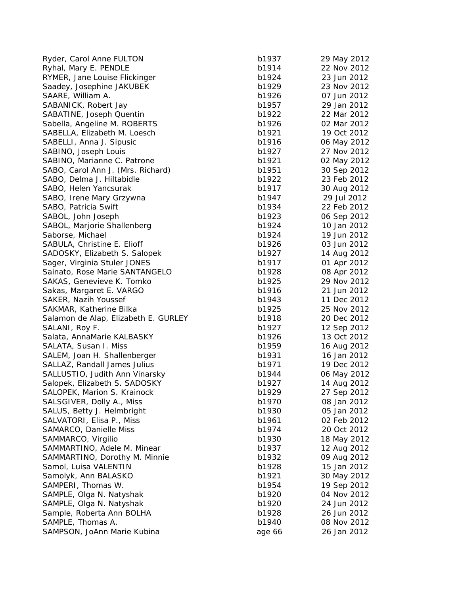Ryder, Carol Anne FULTON b1 Ryhal, Mary E. PENDLE b1 RYMER, Jane Louise Flickinger b1 Saadey, Josephine JAKUBEK b1 SAARE, William A. b1 SABANICK, Robert Jay b1 SABATINE, Joseph Quentin b1 Sabella, Angeline M. ROBERTS b1 SABELLA, Elizabeth M. Loesch b1 SABELLI, Anna J. Sipusic b1916 06 May 2012 06 May 2014 06 May 2012 07 May 2014 07 May 2014 07 May 2013 07 May 2014 07 May 2012 07 May 2012 07 May 2014 07 May 2014 07 May 2014 07 May 2014 07 May 2014 07 May 2014 07 May 2014 SABINO, Joseph Louis b1 SABINO, Marianne C. Patrone b1 SABO, Carol Ann J. (Mrs. Richard) b1 SABO, Delma J. Hiltabidle b1 SABO, Helen Yancsurak b1 SABO, Irene Mary Grzywna b1947 2012 2013 2014 2012 2013 2014 2012 2013 2014 2013 2014 2013 2014 2013 2014 2013 SABO, Patricia Swift b1934 22 Feb 2012 SABOL, John Joseph b1 SABOL, Marjorie Shallenberg b1 Saborse, Michael b1924 1925 1924 1932 1934 1935 1934 1934 1935 1937 1938 1939 1934 1937 1938 1939 1937 1938 19 SABULA, Christine E. Elioff b1 SADOSKY, Elizabeth S. Salopek b1 Sager, Virginia Stuler JONES b1 Sainato, Rose Marie SANTANGELO b1 SAKAS, Genevieve K. Tomko b1 Sakas, Margaret E. VARGO b1 SAKER, Nazih Youssef b1 SAKMAR, Katherine Bilka b1 Salamon de Alap, Elizabeth E. GURLEY b1 SALANI, Roy F. b1927 12 Sep 2012 12 Sep 2012 12 Sep 2012 12 Sep 2012 12 Sep 2012 12 Sep 2012 12 Sep 2012 12 Sep 2012 12 Sep 2012 12 Sep 2012 12 Sep 2012 12 Sep 2012 12 Sep 2012 12 Sep 2012 12 Sep 2012 12 Sep 2012 12 Sep 20 Salata, AnnaMarie KALBASKY b1 SALATA, Susan I. Miss b1 SALEM, Joan H. Shallenberger b1 SALLAZ, Randall James Julius b1 SALLUSTIO, Judith Ann Vinarsky b1 Salopek, Elizabeth S. SADOSKY b1 SALOPEK, Marion S. Krainock b1 SALSGIVER, Dolly A., Miss b1 SALUS, Betty J. Helmbright b1 SALVATORI, Elisa P., Miss b1 SAMARCO, Danielle Miss b1 SAMMARCO, Virgilio b1930 18 May 2012 18 May 2013 18 May 2013 18 May 2013 18 May 2014 18 May 2013 18 May 2012 1 SAMMARTINO, Adele M. Minear b1 SAMMARTINO, Dorothy M. Minnie b1 Samol, Luisa VALENTIN b1 Samolyk, Ann BALASKO b1 SAMPERI, Thomas W. b1954 1965 1964 1965 1964 1965 1974 1984 1995 1996 1997 1998 1997 1998 1997 1998 1997 1998 1 SAMPLE, Olga N. Natyshak b1 SAMPLE, Olga N. Natyshak b1 Sample, Roberta Ann BOLHA b1928 26 Jun 2012 26 Jun 2012 26 Jun 2012 26 Jun 2012 26 Jun 2013 26 Jun 2012 26 Jun 201 SAMPLE, Thomas A. b1 SAMPSON, JoAnn Marie Kubina age 66 26 Jan 2012

| 937  | 29 May 2012    |
|------|----------------|
| 914  | 22 Nov 2012    |
| 924  | 23 Jun 2012    |
| 929  | 23 Nov 2012    |
| 926  | 07 Jun 2012    |
| 957  | 29 Jan 2012    |
| 922  | 22 Mar 2012    |
| 926  | 02 Mar 2012    |
| 921  | 19 Oct 2012    |
| 916  | 06 May 2012    |
| 927  | 27 Nov 2012    |
| 921  | 02 May 2012    |
| 951  | 30 Sep 2012    |
| 922  | 23 Feb 2012    |
| 917  |                |
|      | 30 Aug 2012    |
| 947  | 29 Jul 2012    |
| 934  | 22 Feb 2012    |
| 923  | 06 Sep 2012    |
| 924  | 10 Jan 2012    |
| 924  | 19 Jun 2012    |
| 926  | 03 Jun 2012    |
| 927  | 14 Aug 2012    |
| 917  | 01 Apr 2012    |
| 928  | 08 Apr 2012    |
| 925  | 29 Nov 2012    |
| 916  | 21 Jun 2012    |
| 943  | 11 Dec 2012    |
| 925  | 25 Nov 2012    |
| 918  | 20 Dec 2012    |
| 927  | 12 Sep 2012    |
| 926  | 2012<br>13 Oct |
| 959  | 16 Aug 2012    |
| 931  | 16 Jan 2012    |
| 971  | 19 Dec 2012    |
| 944  | 06 May 2012    |
| 927  | 14 Aug 2012    |
| 929  | 27 Sep 2012    |
| 970  | 08 Jan 2012    |
| 930  | 05 Jan 2012    |
| 961  | 02 Feb 2012    |
| 974  | 20 Oct 2012    |
| 930  | 18 May 2012    |
| 937  | 12 Aug 2012    |
| 932  | 09 Aug 2012    |
| 928  | 15 Jan 2012    |
| 921  | 30 May 2012    |
| 954  | 19 Sep 2012    |
| 920  | 04 Nov 2012    |
| 920  | 24 Jun 2012    |
| 928  | 26 Jun 2012    |
| 940  | 08 Nov 2012    |
|      |                |
| e 66 | 26 Jan 2012    |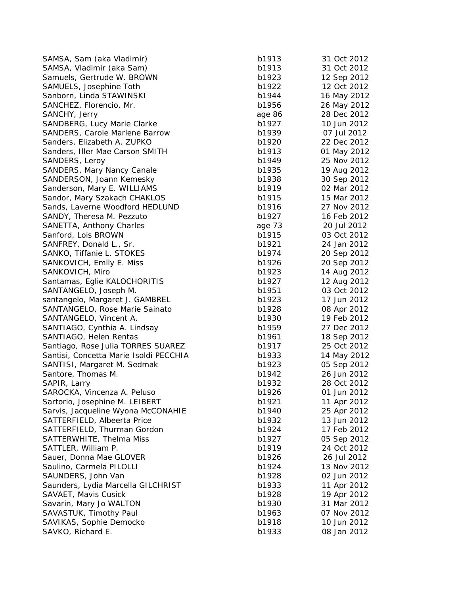| SAMSA, Sam (aka Vladimir)              | b1913  | 31 Oct 2012 |
|----------------------------------------|--------|-------------|
| SAMSA, Vladimir (aka Sam)              | b1913  | 31 Oct 2012 |
| Samuels, Gertrude W. BROWN             | b1923  | 12 Sep 2012 |
| SAMUELS, Josephine Toth                | b1922  | 12 Oct 2012 |
| Sanborn, Linda STAWINSKI               | b1944  | 16 May 2012 |
| SANCHEZ, Florencio, Mr.                | b1956  | 26 May 2012 |
| SANCHY, Jerry                          | age 86 | 28 Dec 2012 |
| SANDBERG, Lucy Marie Clarke            | b1927  | 10 Jun 2012 |
| <b>SANDERS, Carole Marlene Barrow</b>  | b1939  | 07 Jul 2012 |
| Sanders, Elizabeth A. ZUPKO            | b1920  | 22 Dec 2012 |
| Sanders, Iller Mae Carson SMITH        | b1913  | 01 May 2012 |
| SANDERS, Leroy                         | b1949  | 25 Nov 2012 |
| SANDERS, Mary Nancy Canale             | b1935  | 19 Aug 2012 |
| SANDERSON, Joann Kemesky               | b1938  | 30 Sep 2012 |
| Sanderson, Mary E. WILLIAMS            | b1919  | 02 Mar 2012 |
| Sandor, Mary Szakach CHAKLOS           | b1915  | 15 Mar 2012 |
| Sands, Laverne Woodford HEDLUND        | b1916  | 27 Nov 2012 |
| SANDY, Theresa M. Pezzuto              | b1927  | 16 Feb 2012 |
| <b>SANETTA, Anthony Charles</b>        | age 73 | 20 Jul 2012 |
| Sanford, Lois BROWN                    | b1915  | 03 Oct 2012 |
| SANFREY, Donald L., Sr.                | b1921  | 24 Jan 2012 |
| SANKO, Tiffanie L. STOKES              | b1974  | 20 Sep 2012 |
| SANKOVICH, Emily E. Miss               | b1926  | 20 Sep 2012 |
| SANKOVICH, Miro                        | b1923  | 14 Aug 2012 |
| Santamas, Eglie KALOCHORITIS           | b1927  | 12 Aug 2012 |
| SANTANGELO, Joseph M.                  | b1951  | 03 Oct 2012 |
| santangelo, Margaret J. GAMBREL        | b1923  | 17 Jun 2012 |
| SANTANGELO, Rose Marie Sainato         | b1928  | 08 Apr 2012 |
| SANTANGELO, Vincent A.                 | b1930  | 19 Feb 2012 |
| SANTIAGO, Cynthia A. Lindsay           | b1959  | 27 Dec 2012 |
| SANTIAGO, Helen Rentas                 | b1961  | 18 Sep 2012 |
| Santiago, Rose Julia TORRES SUAREZ     | b1917  | 25 Oct 2012 |
| Santisi, Concetta Marie Isoldi PECCHIA | b1933  | 14 May 2012 |
| SANTISI, Margaret M. Sedmak            | b1923  | 05 Sep 2012 |
| Santore, Thomas M.                     | b1942  | 26 Jun 2012 |
| SAPIR, Larry                           | b1932  | 28 Oct 2012 |
| SAROCKA, Vincenza A. Peluso            | b1926  | 01 Jun 2012 |
| Sartorio, Josephine M. LEIBERT         | b1921  | 11 Apr 2012 |
| Sarvis, Jacqueline Wyona McCONAHIE     | b1940  | 25 Apr 2012 |
| SATTERFIELD, Albeerta Price            | b1932  | 13 Jun 2012 |
| SATTERFIELD, Thurman Gordon            | b1924  | 17 Feb 2012 |
| SATTERWHITE, Thelma Miss               | b1927  | 05 Sep 2012 |
| SATTLER, William P.                    | b1919  | 24 Oct 2012 |
| Sauer, Donna Mae GLOVER                | b1926  | 26 Jul 2012 |
| Saulino, Carmela PILOLLI               | b1924  | 13 Nov 2012 |
| SAUNDERS, John Van                     | b1928  | 02 Jun 2012 |
| Saunders, Lydia Marcella GILCHRIST     | b1933  | 11 Apr 2012 |
| SAVAET, Mavis Cusick                   | b1928  | 19 Apr 2012 |
| Savarin, Mary Jo WALTON                | b1930  | 31 Mar 2012 |
| SAVASTUK, Timothy Paul                 | b1963  | 07 Nov 2012 |
| SAVIKAS, Sophie Democko                | b1918  | 10 Jun 2012 |
| SAVKO, Richard E.                      | b1933  | 08 Jan 2012 |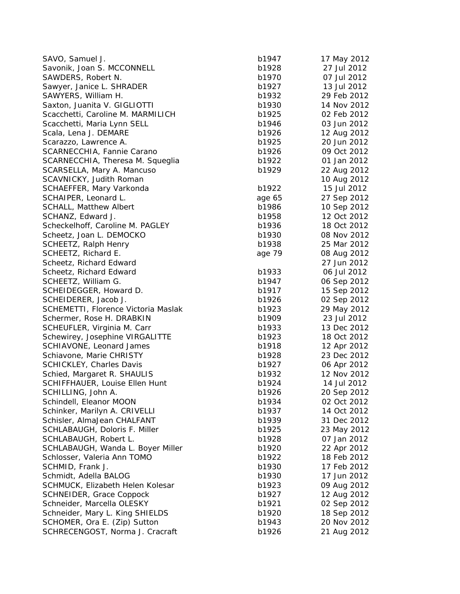| SAVO, Samuel J.                     | b1947  | 17 May 2012 |
|-------------------------------------|--------|-------------|
| Savonik, Joan S. MCCONNELL          | b1928  | 27 Jul 2012 |
| SAWDERS, Robert N.                  | b1970  | 07 Jul 2012 |
| Sawyer, Janice L. SHRADER           | b1927  | 13 Jul 2012 |
| SAWYERS, William H.                 | b1932  | 29 Feb 2012 |
| Saxton, Juanita V. GIGLIOTTI        | b1930  | 14 Nov 2012 |
| Scacchetti, Caroline M. MARMILICH   | b1925  | 02 Feb 2012 |
| Scacchetti, Maria Lynn SELL         | b1946  | 03 Jun 2012 |
| Scala, Lena J. DEMARE               | b1926  | 12 Aug 2012 |
| Scarazzo, Lawrence A.               | b1925  | 20 Jun 2012 |
| SCARNECCHIA, Fannie Carano          | b1926  | 09 Oct 2012 |
| SCARNECCHIA, Theresa M. Squeglia    | b1922  | 01 Jan 2012 |
| SCARSELLA, Mary A. Mancuso          | b1929  | 22 Aug 2012 |
| SCAVNICKY, Judith Roman             |        | 10 Aug 2012 |
| SCHAEFFER, Mary Varkonda            | b1922  | 15 Jul 2012 |
| SCHAIPER, Leonard L.                | age 65 | 27 Sep 2012 |
| <b>SCHALL, Matthew Albert</b>       | b1986  | 10 Sep 2012 |
| SCHANZ, Edward J.                   | b1958  | 12 Oct 2012 |
| Scheckelhoff, Caroline M. PAGLEY    | b1936  | 18 Oct 2012 |
| Scheetz, Joan L. DEMOCKO            | b1930  | 08 Nov 2012 |
| SCHEETZ, Ralph Henry                | b1938  | 25 Mar 2012 |
| SCHEETZ, Richard E.                 | age 79 | 08 Aug 2012 |
| Scheetz, Richard Edward             |        | 27 Jun 2012 |
| Scheetz, Richard Edward             | b1933  | 06 Jul 2012 |
| SCHEETZ, William G.                 | b1947  | 06 Sep 2012 |
| SCHEIDEGGER, Howard D.              | b1917  | 15 Sep 2012 |
| SCHEIDERER, Jacob J.                | b1926  | 02 Sep 2012 |
| SCHEMETTI, Florence Victoria Maslak | b1923  | 29 May 2012 |
| Schermer, Rose H. DRABKIN           | b1909  | 23 Jul 2012 |
| SCHEUFLER, Virginia M. Carr         | b1933  | 13 Dec 2012 |
| Schewirey, Josephine VIRGALITTE     | b1923  | 18 Oct 2012 |
| SCHIAVONE, Leonard James            | b1918  | 12 Apr 2012 |
| Schiavone, Marie CHRISTY            | b1928  | 23 Dec 2012 |
| SCHICKLEY, Charles Davis            | b1927  | 06 Apr 2012 |
| Schied, Margaret R. SHAULIS         | b1932  | 12 Nov 2012 |
| SCHIFFHAUER, Louise Ellen Hunt      | b1924  | 14 Jul 2012 |
| SCHILLING, John A.                  | b1926  | 20 Sep 2012 |
| Schindell, Eleanor MOON             | b1934  | 02 Oct 2012 |
| Schinker, Marilyn A. CRIVELLI       | b1937  | 14 Oct 2012 |
| Schisler, AlmaJean CHALFANT         | b1939  | 31 Dec 2012 |
| SCHLABAUGH, Doloris F. Miller       | b1925  | 23 May 2012 |
| SCHLABAUGH, Robert L.               | b1928  | 07 Jan 2012 |
|                                     |        |             |
| SCHLABAUGH, Wanda L. Boyer Miller   | b1920  | 22 Apr 2012 |
| Schlosser, Valeria Ann TOMO         | b1922  | 18 Feb 2012 |
| SCHMID, Frank J.                    | b1930  | 17 Feb 2012 |
| Schmidt, Adella BALOG               | b1930  | 17 Jun 2012 |
| SCHMUCK, Elizabeth Helen Kolesar    | b1923  | 09 Aug 2012 |
| SCHNEIDER, Grace Coppock            | b1927  | 12 Aug 2012 |
| Schneider, Marcella OLESKY          | b1921  | 02 Sep 2012 |
| Schneider, Mary L. King SHIELDS     | b1920  | 18 Sep 2012 |
| SCHOMER, Ora E. (Zip) Sutton        | b1943  | 20 Nov 2012 |
| SCHRECENGOST, Norma J. Cracraft     | b1926  | 21 Aug 2012 |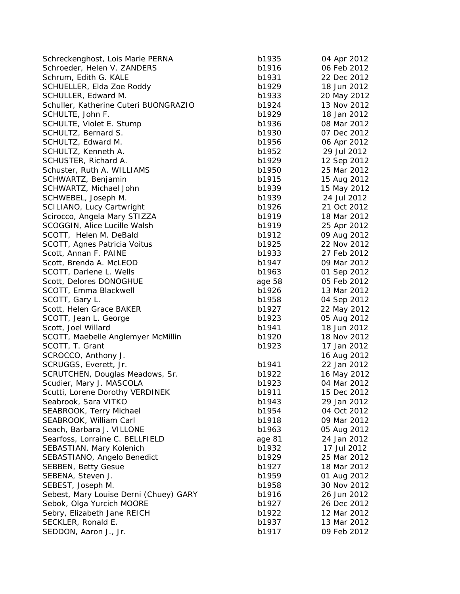| Schreckenghost, Lois Marie PERNA       | b1935  | 04 Apr 2012 |
|----------------------------------------|--------|-------------|
| Schroeder, Helen V. ZANDERS            | b1916  | 06 Feb 2012 |
| Schrum, Edith G. KALE                  | b1931  | 22 Dec 2012 |
| SCHUELLER, Elda Zoe Roddy              | b1929  | 18 Jun 2012 |
| SCHULLER, Edward M.                    | b1933  | 20 May 2012 |
| Schuller, Katherine Cuteri BUONGRAZIO  | b1924  | 13 Nov 2012 |
| SCHULTE, John F.                       | b1929  | 18 Jan 2012 |
| SCHULTE, Violet E. Stump               | b1936  | 08 Mar 2012 |
| SCHULTZ, Bernard S.                    | b1930  | 07 Dec 2012 |
| SCHULTZ, Edward M.                     | b1956  | 06 Apr 2012 |
| SCHULTZ, Kenneth A.                    | b1952  | 29 Jul 2012 |
| SCHUSTER, Richard A.                   | b1929  | 12 Sep 2012 |
| Schuster, Ruth A. WILLIAMS             | b1950  | 25 Mar 2012 |
| SCHWARTZ, Benjamin                     | b1915  | 15 Aug 2012 |
| SCHWARTZ, Michael John                 | b1939  | 15 May 2012 |
| SCHWEBEL, Joseph M.                    | b1939  | 24 Jul 2012 |
| SCILIANO, Lucy Cartwright              | b1926  | 21 Oct 2012 |
| Scirocco, Angela Mary STIZZA           | b1919  | 18 Mar 2012 |
| SCOGGIN, Alice Lucille Walsh           | b1919  | 25 Apr 2012 |
| SCOTT, Helen M. DeBald                 | b1912  | 09 Aug 2012 |
| SCOTT, Agnes Patricia Voitus           | b1925  | 22 Nov 2012 |
| Scott, Annan F. PAINE                  | b1933  | 27 Feb 2012 |
| Scott, Brenda A. McLEOD                | b1947  | 09 Mar 2012 |
| SCOTT, Darlene L. Wells                | b1963  | 01 Sep 2012 |
| Scott, Delores DONOGHUE                | age 58 | 05 Feb 2012 |
| SCOTT, Emma Blackwell                  | b1926  | 13 Mar 2012 |
| SCOTT, Gary L.                         | b1958  | 04 Sep 2012 |
| Scott, Helen Grace BAKER               | b1927  | 22 May 2012 |
| SCOTT, Jean L. George                  | b1923  | 05 Aug 2012 |
| Scott, Joel Willard                    | b1941  | 18 Jun 2012 |
| SCOTT, Maebelle Anglemyer McMillin     | b1920  | 18 Nov 2012 |
| SCOTT, T. Grant                        | b1923  | 17 Jan 2012 |
| SCROCCO, Anthony J.                    |        | 16 Aug 2012 |
| SCRUGGS, Everett, Jr.                  | b1941  | 22 Jan 2012 |
| SCRUTCHEN, Douglas Meadows, Sr.        | b1922  | 16 May 2012 |
| Scudier, Mary J. MASCOLA               | b1923  | 04 Mar 2012 |
| Scutti, Lorene Dorothy VERDINEK        | b1911  | 15 Dec 2012 |
| Seabrook, Sara VITKO                   | b1943  | 29 Jan 2012 |
| SEABROOK, Terry Michael                | b1954  | 04 Oct 2012 |
| SEABROOK, William Carl                 | b1918  | 09 Mar 2012 |
| Seach, Barbara J. VILLONE              | b1963  | 05 Aug 2012 |
| Searfoss, Lorraine C. BELLFIELD        | age 81 | 24 Jan 2012 |
| SEBASTIAN, Mary Kolenich               | b1932  | 17 Jul 2012 |
| SEBASTIANO, Angelo Benedict            | b1929  | 25 Mar 2012 |
| <b>SEBBEN, Betty Gesue</b>             | b1927  | 18 Mar 2012 |
| SEBENA, Steven J.                      | b1959  | 01 Aug 2012 |
| SEBEST, Joseph M.                      | b1958  | 30 Nov 2012 |
| Sebest, Mary Louise Derni (Chuey) GARY | b1916  | 26 Jun 2012 |
| Sebok, Olga Yurcich MOORE              | b1927  | 26 Dec 2012 |
| Sebry, Elizabeth Jane REICH            | b1922  | 12 Mar 2012 |
| SECKLER, Ronald E.                     | b1937  | 13 Mar 2012 |
| SEDDON, Aaron J., Jr.                  | b1917  | 09 Feb 2012 |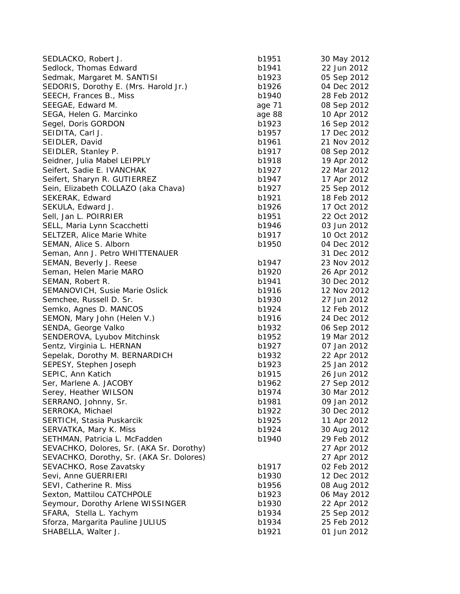| Sedlock, Thomas Edward<br>Sedmak, Margaret M. SANTISI<br>SEDORIS, Dorothy E. (Mrs. Harold Jr.)<br>SEECH, Frances B., Miss | b1941<br>b1923<br>b1926<br>b1940<br>age 71 | 22 Jun 2012<br>05 Sep 2012<br>04 Dec 2012<br>28 Feb 2012 |
|---------------------------------------------------------------------------------------------------------------------------|--------------------------------------------|----------------------------------------------------------|
|                                                                                                                           |                                            |                                                          |
|                                                                                                                           |                                            |                                                          |
|                                                                                                                           |                                            |                                                          |
|                                                                                                                           |                                            |                                                          |
| SEEGAE, Edward M.                                                                                                         |                                            | 08 Sep 2012                                              |
| SEGA, Helen G. Marcinko                                                                                                   | age 88                                     | 10 Apr 2012                                              |
| Segel, Doris GORDON                                                                                                       | b1923                                      | 16 Sep 2012                                              |
| SEIDITA, Carl J.                                                                                                          | b1957                                      | 17 Dec 2012                                              |
| SEIDLER, David                                                                                                            | b1961                                      | 21 Nov 2012                                              |
| SEIDLER, Stanley P.                                                                                                       | b1917                                      | 08 Sep 2012                                              |
| Seidner, Julia Mabel LEIPPLY                                                                                              | b1918                                      | 19 Apr 2012                                              |
| Seifert, Sadie E. IVANCHAK                                                                                                | b1927                                      | 22 Mar 2012                                              |
| Seifert, Sharyn R. GUTIERREZ                                                                                              | b1947                                      | 17 Apr 2012                                              |
| Sein, Elizabeth COLLAZO (aka Chava)                                                                                       | b1927                                      | 25 Sep 2012                                              |
| SEKERAK, Edward                                                                                                           | b1921                                      | 18 Feb 2012                                              |
| SEKULA, Edward J.                                                                                                         | b1926                                      | 17 Oct 2012                                              |
| Sell, Jan L. POIRRIER                                                                                                     | b1951                                      | 22 Oct 2012                                              |
| SELL, Maria Lynn Scacchetti                                                                                               | b1946                                      | 03 Jun 2012                                              |
| <b>SELTZER, Alice Marie White</b>                                                                                         | b1917                                      | 10 Oct 2012                                              |
| SEMAN, Alice S. Alborn                                                                                                    | b1950                                      | 04 Dec 2012                                              |
| Seman, Ann J. Petro WHITTENAUER                                                                                           |                                            | 31 Dec 2012                                              |
| SEMAN, Beverly J. Reese                                                                                                   | b1947                                      | 23 Nov 2012                                              |
| Seman, Helen Marie MARO                                                                                                   | b1920                                      | 26 Apr 2012                                              |
| SEMAN, Robert R.                                                                                                          | b1941                                      | 30 Dec 2012                                              |
| SEMANOVICH, Susie Marie Oslick                                                                                            | b1916                                      | 12 Nov 2012                                              |
| Semchee, Russell D. Sr.                                                                                                   | b1930                                      | 27 Jun 2012                                              |
| Semko, Agnes D. MANCOS                                                                                                    | b1924                                      | 12 Feb 2012                                              |
| SEMON, Mary John (Helen V.)                                                                                               | b1916                                      | 24 Dec 2012                                              |
| SENDA, George Valko                                                                                                       | b1932                                      | 06 Sep 2012                                              |
| SENDEROVA, Lyubov Mitchinsk                                                                                               | b1952                                      | 19 Mar 2012                                              |
| Sentz, Virginia L. HERNAN                                                                                                 | b1927                                      | 07 Jan 2012                                              |
| Sepelak, Dorothy M. BERNARDICH                                                                                            | b1932                                      | 22 Apr 2012                                              |
| SEPESY, Stephen Joseph                                                                                                    | b1923                                      | 25 Jan 2012                                              |
| SEPIC, Ann Katich                                                                                                         | b1915                                      | 26 Jun 2012                                              |
| Ser, Marlene A. JACOBY                                                                                                    | b1962                                      | 27 Sep 2012                                              |
| Serey, Heather WILSON                                                                                                     | b1974                                      | 30 Mar 2012                                              |
| SERRANO, Johnny, Sr.                                                                                                      | b1981                                      | 09 Jan 2012                                              |
| SERROKA, Michael                                                                                                          | b1922                                      | 30 Dec 2012                                              |
| SERTICH, Stasia Puskarcik                                                                                                 | b1925                                      | 11 Apr 2012                                              |
| SERVATKA, Mary K. Miss                                                                                                    | b1924                                      | 30 Aug 2012                                              |
| SETHMAN, Patricia L. McFadden                                                                                             | b1940                                      | 29 Feb 2012                                              |
| SEVACHKO, Dolores, Sr. (AKA Sr. Dorothy)                                                                                  |                                            | 27 Apr 2012                                              |
| SEVACHKO, Dorothy, Sr. (AKA Sr. Dolores)                                                                                  |                                            | 27 Apr 2012                                              |
| SEVACHKO, Rose Zavatsky                                                                                                   | b1917                                      | 02 Feb 2012                                              |
| Sevi, Anne GUERRIERI                                                                                                      | b1930                                      | 12 Dec 2012                                              |
| SEVI, Catherine R. Miss                                                                                                   | b1956                                      | 08 Aug 2012                                              |
| Sexton, Mattilou CATCHPOLE                                                                                                | b1923                                      | 06 May 2012                                              |
| Seymour, Dorothy Arlene WISSINGER                                                                                         | b1930                                      | 22 Apr 2012                                              |
| SFARA, Stella L. Yachym                                                                                                   | b1934                                      | 25 Sep 2012                                              |
| Sforza, Margarita Pauline JULIUS                                                                                          | b1934                                      | 25 Feb 2012                                              |
| SHABELLA, Walter J.                                                                                                       | b1921                                      | 01 Jun 2012                                              |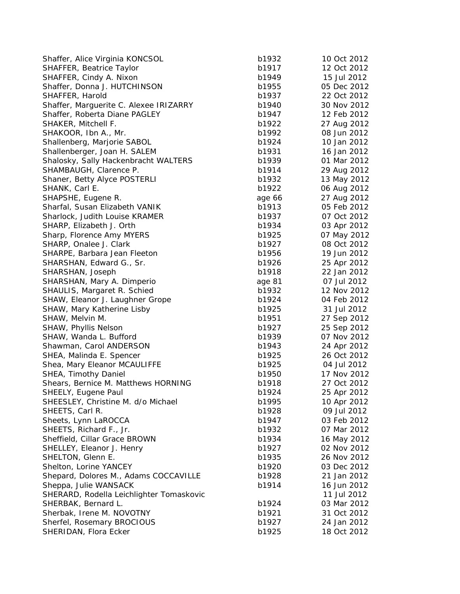| Shaffer, Alice Virginia KONCSOL          | b1932  | 10 Oct 2012 |
|------------------------------------------|--------|-------------|
| SHAFFER, Beatrice Taylor                 | b1917  | 12 Oct 2012 |
| SHAFFER, Cindy A. Nixon                  | b1949  | 15 Jul 2012 |
| Shaffer, Donna J. HUTCHINSON             | b1955  | 05 Dec 2012 |
| SHAFFER, Harold                          | b1937  | 22 Oct 2012 |
| Shaffer, Marguerite C. Alexee IRIZARRY   | b1940  | 30 Nov 2012 |
| Shaffer, Roberta Diane PAGLEY            | b1947  | 12 Feb 2012 |
| SHAKER, Mitchell F.                      | b1922  | 27 Aug 2012 |
| SHAKOOR, Ibn A., Mr.                     | b1992  | 08 Jun 2012 |
| Shallenberg, Marjorie SABOL              | b1924  | 10 Jan 2012 |
| Shallenberger, Joan H. SALEM             | b1931  | 16 Jan 2012 |
| Shalosky, Sally Hackenbracht WALTERS     | b1939  | 01 Mar 2012 |
| SHAMBAUGH, Clarence P.                   | b1914  | 29 Aug 2012 |
| Shaner, Betty Alyce POSTERLI             | b1932  | 13 May 2012 |
| SHANK, Carl E.                           | b1922  | 06 Aug 2012 |
| SHAPSHE, Eugene R.                       | age 66 | 27 Aug 2012 |
| Sharfal, Susan Elizabeth VANIK           | b1913  | 05 Feb 2012 |
| Sharlock, Judith Louise KRAMER           | b1937  | 07 Oct 2012 |
| SHARP, Elizabeth J. Orth                 | b1934  | 03 Apr 2012 |
| Sharp, Florence Amy MYERS                | b1925  | 07 May 2012 |
| SHARP, Onalee J. Clark                   | b1927  | 08 Oct 2012 |
| SHARPE, Barbara Jean Fleeton             | b1956  | 19 Jun 2012 |
| SHARSHAN, Edward G., Sr.                 | b1926  | 25 Apr 2012 |
| SHARSHAN, Joseph                         | b1918  | 22 Jan 2012 |
| SHARSHAN, Mary A. Dimperio               | age 81 | 07 Jul 2012 |
| SHAULIS, Margaret R. Schied              | b1932  | 12 Nov 2012 |
| SHAW, Eleanor J. Laughner Grope          | b1924  | 04 Feb 2012 |
| SHAW, Mary Katherine Lisby               | b1925  | 31 Jul 2012 |
| SHAW, Melvin M.                          | b1951  | 27 Sep 2012 |
| SHAW, Phyllis Nelson                     | b1927  | 25 Sep 2012 |
| SHAW, Wanda L. Bufford                   | b1939  | 07 Nov 2012 |
| Shawman, Carol ANDERSON                  | b1943  | 24 Apr 2012 |
| SHEA, Malinda E. Spencer                 | b1925  | 26 Oct 2012 |
| Shea, Mary Eleanor MCAULIFFE             | b1925  | 04 Jul 2012 |
| SHEA, Timothy Daniel                     | b1950  | 17 Nov 2012 |
| Shears, Bernice M. Matthews HORNING      | b1918  | 27 Oct 2012 |
| SHEELY, Eugene Paul                      | b1924  | 25 Apr 2012 |
| SHEESLEY, Christine M. d/o Michael       | b1995  | 10 Apr 2012 |
| SHEETS, Carl R.                          | b1928  | 09 Jul 2012 |
| Sheets, Lynn LaROCCA                     | b1947  | 03 Feb 2012 |
| SHEETS, Richard F., Jr.                  | b1932  | 07 Mar 2012 |
| Sheffield, Cillar Grace BROWN            | b1934  | 16 May 2012 |
| SHELLEY, Eleanor J. Henry                | b1927  | 02 Nov 2012 |
| SHELTON, Glenn E.                        | b1935  | 26 Nov 2012 |
| Shelton, Lorine YANCEY                   | b1920  | 03 Dec 2012 |
| Shepard, Dolores M., Adams COCCAVILLE    | b1928  | 21 Jan 2012 |
| Sheppa, Julie WANSACK                    | b1914  | 16 Jun 2012 |
| SHERARD, Rodella Leichlighter Tomaskovic |        | 11 Jul 2012 |
| SHERBAK, Bernard L.                      | b1924  | 03 Mar 2012 |
| Sherbak, Irene M. NOVOTNY                | b1921  | 31 Oct 2012 |
| Sherfel, Rosemary BROCIOUS               | b1927  | 24 Jan 2012 |
| SHERIDAN, Flora Ecker                    | b1925  | 18 Oct 2012 |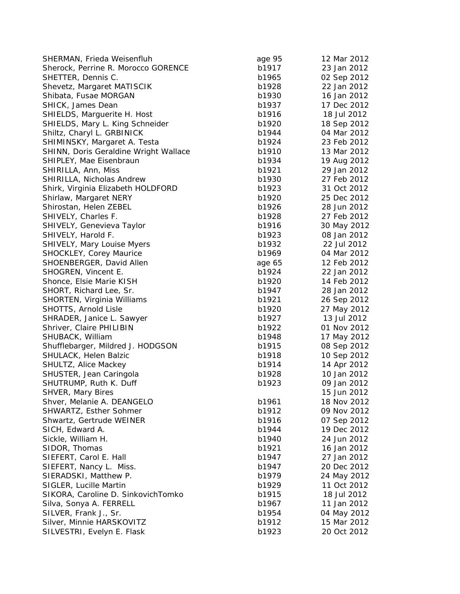| SHERMAN, Frieda Weisenfluh                   | age 95 | 12 Mar 2012 |
|----------------------------------------------|--------|-------------|
| Sherock, Perrine R. Morocco GORENCE          | b1917  | 23 Jan 2012 |
| SHETTER, Dennis C.                           | b1965  | 02 Sep 2012 |
| Shevetz, Margaret MATISCIK                   | b1928  | 22 Jan 2012 |
| Shibata, Fusae MORGAN                        | b1930  | 16 Jan 2012 |
| SHICK, James Dean                            | b1937  | 17 Dec 2012 |
| SHIELDS, Marguerite H. Host                  | b1916  | 18 Jul 2012 |
| SHIELDS, Mary L. King Schneider              | b1920  | 18 Sep 2012 |
| Shiltz, Charyl L. GRBINICK                   | b1944  | 04 Mar 2012 |
| SHIMINSKY, Margaret A. Testa                 | b1924  | 23 Feb 2012 |
| <b>SHINN, Doris Geraldine Wright Wallace</b> | b1910  | 13 Mar 2012 |
| SHIPLEY, Mae Eisenbraun                      | b1934  | 19 Aug 2012 |
| SHIRILLA, Ann, Miss                          | b1921  | 29 Jan 2012 |
| SHIRILLA, Nicholas Andrew                    | b1930  | 27 Feb 2012 |
| Shirk, Virginia Elizabeth HOLDFORD           | b1923  | 31 Oct 2012 |
| Shirlaw, Margaret NERY                       | b1920  | 25 Dec 2012 |
| Shirostan, Helen ZEBEL                       | b1926  | 28 Jun 2012 |
| SHIVELY, Charles F.                          | b1928  | 27 Feb 2012 |
| SHIVELY, Genevieva Taylor                    | b1916  | 30 May 2012 |
| SHIVELY, Harold F.                           | b1923  | 08 Jan 2012 |
| <b>SHIVELY, Mary Louise Myers</b>            | b1932  | 22 Jul 2012 |
| SHOCKLEY, Corey Maurice                      | b1969  | 04 Mar 2012 |
| SHOENBERGER, David Allen                     | age 65 | 12 Feb 2012 |
| SHOGREN, Vincent E.                          | b1924  | 22 Jan 2012 |
| Shonce, Elsie Marie KISH                     | b1920  | 14 Feb 2012 |
| SHORT, Richard Lee, Sr.                      | b1947  | 28 Jan 2012 |
| SHORTEN, Virginia Williams                   | b1921  | 26 Sep 2012 |
| SHOTTS, Arnold Lisle                         | b1920  | 27 May 2012 |
| SHRADER, Janice L. Sawyer                    | b1927  | 13 Jul 2012 |
| Shriver, Claire PHILIBIN                     | b1922  | 01 Nov 2012 |
| SHUBACK, William                             | b1948  | 17 May 2012 |
| Shufflebarger, Mildred J. HODGSON            | b1915  | 08 Sep 2012 |
| SHULACK, Helen Balzic                        | b1918  | 10 Sep 2012 |
| SHULTZ, Alice Mackey                         | b1914  | 14 Apr 2012 |
| SHUSTER, Jean Caringola                      | b1928  | 10 Jan 2012 |
| SHUTRUMP, Ruth K. Duff                       | b1923  | 09 Jan 2012 |
| <b>SHVER, Mary Bires</b>                     |        | 15 Jun 2012 |
| Shver, Melanie A. DEANGELO                   | b1961  | 18 Nov 2012 |
| SHWARTZ, Esther Sohmer                       | b1912  | 09 Nov 2012 |
| Shwartz, Gertrude WEINER                     | b1916  | 07 Sep 2012 |
| SICH, Edward A.                              | b1944  | 19 Dec 2012 |
| Sickle, William H.                           | b1940  | 24 Jun 2012 |
| SIDOR, Thomas                                | b1921  | 16 Jan 2012 |
| SIEFERT, Carol E. Hall                       | b1947  | 27 Jan 2012 |
| SIEFERT, Nancy L. Miss.                      | b1947  | 20 Dec 2012 |
| SIERADSKI, Matthew P.                        | b1979  | 24 May 2012 |
| SIGLER, Lucille Martin                       | b1929  | 11 Oct 2012 |
| SIKORA, Caroline D. SinkovichTomko           | b1915  | 18 Jul 2012 |
| Silva, Sonya A. FERRELL                      | b1967  | 11 Jan 2012 |
| SILVER, Frank J., Sr.                        | b1954  | 04 May 2012 |
| Silver, Minnie HARSKOVITZ                    | b1912  | 15 Mar 2012 |
| SILVESTRI, Evelyn E. Flask                   | b1923  | 20 Oct 2012 |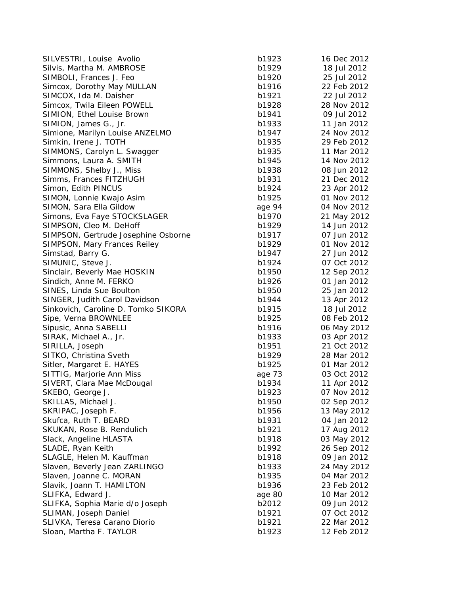| SILVESTRI, Louise Avolio            | b1923  | 16 Dec 2012 |
|-------------------------------------|--------|-------------|
| Silvis, Martha M. AMBROSE           | b1929  | 18 Jul 2012 |
| SIMBOLI, Frances J. Feo             | b1920  | 25 Jul 2012 |
| Simcox, Dorothy May MULLAN          | b1916  | 22 Feb 2012 |
| SIMCOX, Ida M. Daisher              | b1921  | 22 Jul 2012 |
| Simcox, Twila Eileen POWELL         | b1928  | 28 Nov 2012 |
| SIMION, Ethel Louise Brown          | b1941  | 09 Jul 2012 |
| SIMION, James G., Jr.               | b1933  | 11 Jan 2012 |
| Simione, Marilyn Louise ANZELMO     | b1947  | 24 Nov 2012 |
| Simkin, Irene J. TOTH               | b1935  | 29 Feb 2012 |
| SIMMONS, Carolyn L. Swagger         | b1935  | 11 Mar 2012 |
| Simmons, Laura A. SMITH             | b1945  | 14 Nov 2012 |
| SIMMONS, Shelby J., Miss            | b1938  | 08 Jun 2012 |
| Simms, Frances FITZHUGH             | b1931  | 21 Dec 2012 |
| Simon, Edith PINCUS                 | b1924  | 23 Apr 2012 |
| SIMON, Lonnie Kwajo Asim            | b1925  | 01 Nov 2012 |
| SIMON, Sara Ella Gildow             | age 94 | 04 Nov 2012 |
| Simons, Eva Faye STOCKSLAGER        | b1970  | 21 May 2012 |
| SIMPSON, Cleo M. DeHoff             | b1929  | 14 Jun 2012 |
| SIMPSON, Gertrude Josephine Osborne | b1917  | 07 Jun 2012 |
| SIMPSON, Mary Frances Reiley        | b1929  | 01 Nov 2012 |
| Simstad, Barry G.                   | b1947  | 27 Jun 2012 |
| SIMUNIC, Steve J.                   | b1924  | 07 Oct 2012 |
| Sinclair, Beverly Mae HOSKIN        | b1950  | 12 Sep 2012 |
| Sindich, Anne M. FERKO              | b1926  | 01 Jan 2012 |
| SINES, Linda Sue Boulton            | b1950  | 25 Jan 2012 |
| SINGER, Judith Carol Davidson       | b1944  | 13 Apr 2012 |
| Sinkovich, Caroline D. Tomko SIKORA | b1915  | 18 Jul 2012 |
| Sipe, Verna BROWNLEE                | b1925  | 08 Feb 2012 |
| Sipusic, Anna SABELLI               | b1916  | 06 May 2012 |
| SIRAK, Michael A., Jr.              | b1933  | 03 Apr 2012 |
| SIRILLA, Joseph                     | b1951  | 21 Oct 2012 |
| SITKO, Christina Sveth              | b1929  | 28 Mar 2012 |
| Sitler, Margaret E. HAYES           | b1925  | 01 Mar 2012 |
| SITTIG, Marjorie Ann Miss           | age 73 | 03 Oct 2012 |
| SIVERT, Clara Mae McDougal          | b1934  | 11 Apr 2012 |
| SKEBO, George J.                    | b1923  | 07 Nov 2012 |
| SKILLAS, Michael J.                 | b1950  | 02 Sep 2012 |
| SKRIPAC, Joseph F.                  | b1956  | 13 May 2012 |
| Skufca, Ruth T. BEARD               | b1931  | 04 Jan 2012 |
| SKUKAN, Rose B. Rendulich           | b1921  | 17 Aug 2012 |
| Slack, Angeline HLASTA              | b1918  | 03 May 2012 |
| SLADE, Ryan Keith                   | b1992  | 26 Sep 2012 |
| SLAGLE, Helen M. Kauffman           | b1918  | 09 Jan 2012 |
| Slaven, Beverly Jean ZARLINGO       | b1933  | 24 May 2012 |
| Slaven, Joanne C. MORAN             | b1935  | 04 Mar 2012 |
| Slavik, Joann T. HAMILTON           | b1936  | 23 Feb 2012 |
| SLIFKA, Edward J.                   | age 80 | 10 Mar 2012 |
| SLIFKA, Sophia Marie d/o Joseph     | b2012  | 09 Jun 2012 |
| SLIMAN, Joseph Daniel               | b1921  | 07 Oct 2012 |
| SLIVKA, Teresa Carano Diorio        | b1921  | 22 Mar 2012 |
| Sloan, Martha F. TAYLOR             | b1923  | 12 Feb 2012 |
|                                     |        |             |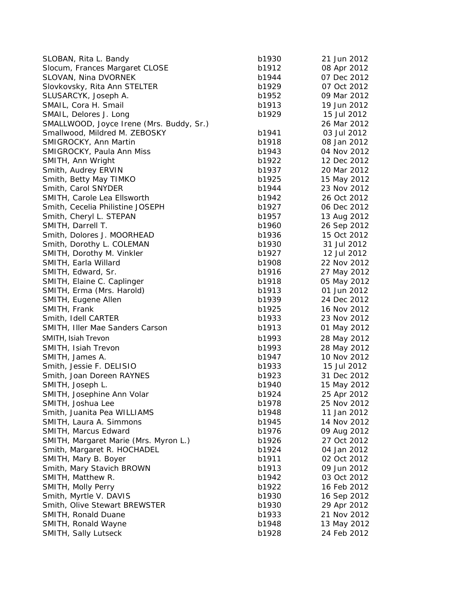| SLOBAN, Rita L. Bandy                    | b1930 | 21 Jun 2012 |
|------------------------------------------|-------|-------------|
| Slocum, Frances Margaret CLOSE           | b1912 | 08 Apr 2012 |
| SLOVAN, Nina DVORNEK                     | b1944 | 07 Dec 2012 |
| Slovkovsky, Rita Ann STELTER             | b1929 | 07 Oct 2012 |
| SLUSARCYK, Joseph A.                     | b1952 | 09 Mar 2012 |
| SMAIL, Cora H. Smail                     | b1913 | 19 Jun 2012 |
| SMAIL, Delores J. Long                   | b1929 | 15 Jul 2012 |
| SMALLWOOD, Joyce Irene (Mrs. Buddy, Sr.) |       | 26 Mar 2012 |
| Smallwood, Mildred M. ZEBOSKY            | b1941 | 03 Jul 2012 |
| SMIGROCKY, Ann Martin                    | b1918 | 08 Jan 2012 |
| SMIGROCKY, Paula Ann Miss                | b1943 | 04 Nov 2012 |
| SMITH, Ann Wright                        | b1922 | 12 Dec 2012 |
| Smith, Audrey ERVIN                      | b1937 | 20 Mar 2012 |
| Smith, Betty May TIMKO                   | b1925 | 15 May 2012 |
| Smith, Carol SNYDER                      | b1944 | 23 Nov 2012 |
| SMITH, Carole Lea Ellsworth              | b1942 | 26 Oct 2012 |
| Smith, Cecelia Philistine JOSEPH         | b1927 | 06 Dec 2012 |
| Smith, Cheryl L. STEPAN                  | b1957 | 13 Aug 2012 |
| SMITH, Darrell T.                        | b1960 | 26 Sep 2012 |
| Smith, Dolores J. MOORHEAD               | b1936 | 15 Oct 2012 |
| Smith, Dorothy L. COLEMAN                | b1930 | 31 Jul 2012 |
| SMITH, Dorothy M. Vinkler                | b1927 | 12 Jul 2012 |
| SMITH, Earla Willard                     | b1908 | 22 Nov 2012 |
| SMITH, Edward, Sr.                       | b1916 | 27 May 2012 |
| SMITH, Elaine C. Caplinger               | b1918 | 05 May 2012 |
| SMITH, Erma (Mrs. Harold)                | b1913 | 01 Jun 2012 |
| SMITH, Eugene Allen                      | b1939 | 24 Dec 2012 |
| SMITH, Frank                             | b1925 | 16 Nov 2012 |
| Smith, Idell CARTER                      | b1933 | 23 Nov 2012 |
| SMITH, Iller Mae Sanders Carson          | b1913 | 01 May 2012 |
| SMITH, Isiah Trevon                      | b1993 | 28 May 2012 |
| SMITH, Isiah Trevon                      | b1993 | 28 May 2012 |
| SMITH, James A.                          | b1947 | 10 Nov 2012 |
| Smith, Jessie F. DELISIO                 | b1933 | 15 Jul 2012 |
| Smith, Joan Doreen RAYNES                | b1923 | 31 Dec 2012 |
| SMITH, Joseph L.                         | b1940 | 15 May 2012 |
| SMITH, Josephine Ann Volar               | b1924 | 25 Apr 2012 |
| SMITH, Joshua Lee                        | b1978 | 25 Nov 2012 |
| Smith, Juanita Pea WILLIAMS              | b1948 | 11 Jan 2012 |
| SMITH, Laura A. Simmons                  | b1945 | 14 Nov 2012 |
| SMITH, Marcus Edward                     | b1976 | 09 Aug 2012 |
| SMITH, Margaret Marie (Mrs. Myron L.)    | b1926 | 27 Oct 2012 |
| Smith, Margaret R. HOCHADEL              | b1924 | 04 Jan 2012 |
| SMITH, Mary B. Boyer                     | b1911 | 02 Oct 2012 |
| Smith, Mary Stavich BROWN                | b1913 | 09 Jun 2012 |
| SMITH, Matthew R.                        | b1942 | 03 Oct 2012 |
| SMITH, Molly Perry                       | b1922 | 16 Feb 2012 |
| Smith, Myrtle V. DAVIS                   | b1930 | 16 Sep 2012 |
| Smith, Olive Stewart BREWSTER            | b1930 | 29 Apr 2012 |
| SMITH, Ronald Duane                      | b1933 | 21 Nov 2012 |
| SMITH, Ronald Wayne                      | b1948 | 13 May 2012 |
| SMITH, Sally Lutseck                     | b1928 | 24 Feb 2012 |
|                                          |       |             |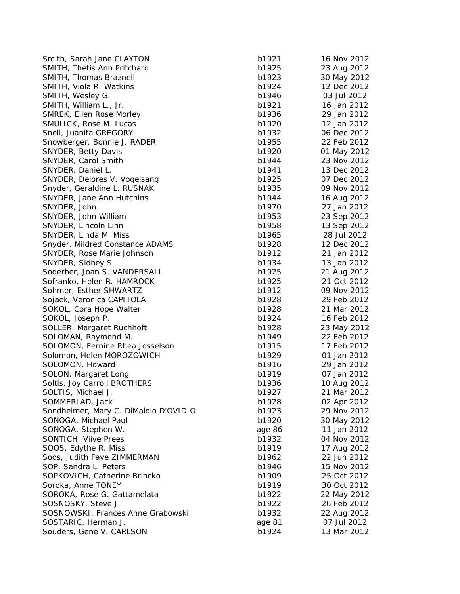Smith, Sarah Jane CLAYTON b19 SMITH, Thetis Ann Pritchard b19 SMITH, Thomas Braznell b19<sup>2</sup> and the b19<sup>2</sup> SMITH, Viola R. Watkins b19 SMITH, Wesley G. b1946 03 Jul 2014 03 Jul 2014 03 Jul 2014 03 Jul 2014 03 Jul 2014 03 Jul 2014 03 Jul 2014 03 Jul 2014 03 Jul 2014 03 Jul 2014 03 Jul 2014 03 Jul 2016 03 Jul 2016 03 Jul 2016 03 Jul 2016 03 Jul 2016 03 Jul SMITH, William L., Jr. b19 SMREK, Ellen Rose Morley b1936 29 Jan 2014 SMULICK, Rose M. Lucas b19 Snell, Juanita GREGORY b1932 b1932 Snowberger, Bonnie J. RADER b19 SNYDER, Betty Davis both and the basic basic basic basic basic basic basic basic basic basic basic basic basic SNYDER, Carol Smith b1944 23 Nov 2014 23 Nov 2014 23 Nov 2014 23 Nov 2014 23 Nov 2014 23 Nov 2014 23 Nov 2014 23 Nov 2014 23 Nov 2014 23 Nov 2014 23 Nov 2014 23 Nov 2014 23 Nov 2014 23 Nov 2014 23 Nov 2014 23 Nov 2014 23 N SNYDER, Daniel L. b1941 13 Dec 2013 SNYDER, Delores V. Vogelsang b19 Snyder, Geraldine L. RUSNAK b19 SNYDER, Jane Ann Hutchins b1944 16 Aug 2014 SNYDER, John b1970 27 Jan 2012 27 Jan 2014 27 Jan 2019 27 Jan 2014 27 Jan 2014 27 Jan 2014 27 Jan 2014 27 Jan 2014 27 Jan 2014 27 Jan 2014 27 Jan 2014 27 Jan 2014 27 Jan 2014 27 Jan 2014 27 Jan 2014 27 Jan 2014 27 Jan 2014 SNYDER, John William b19 SNYDER, Lincoln Linn b19 SNYDER, Linda M. Miss b1965 28 Jul 2014 Snyder, Mildred Constance ADAMS b19 SNYDER, Rose Marie Johnson b19 SNYDER, Sidney S. b1934 13 Jan 2013 Soderber, Joan S. VANDERSALL b19 Sofranko, Helen R. HAMROCK b19 Sohmer, Esther SHWARTZ b19 Sojack, Veronica CAPITOLA b19 SOKOL, Cora Hope Walter b1928 21 March 2014 SOKOL, Joseph P. b1924 16 Feb 2014 16 Feb 2014 SOLLER, Margaret Ruchhoft b19 SOLOMAN, Raymond M. b19 SOLOMON, Fernine Rhea Josselson b19 Solomon, Helen MOROZOWICH b19 SOLOMON, Howard b19 SOLON, Margaret Long b19 Soltis, Joy Carroll BROTHERS b19 SOLTIS, Michael J. b1927 21 March 2014 SOMMERLAD, Jack b19 Sondheimer, Mary C. DiMaiolo D'OVIDIO b19 SONOGA, Michael Paul b19 SONOGA, Stephen W. age 86 11 Jan 2012 12:00 12:00 12:00 12:00 12:00 12:00 12:00 12:00 12:00 12:00 12:00 12:00 12:00 12:00 12:00 12:00 12:00 12:00 12:00 12:00 12:00 12:00 12:00 12:00 12:00 12:00 12:00 12:00 12:00 12:00 12:0 SONTICH, Viive Prees b19 SOOS, Edythe R. Miss b19 Soos, Judith Faye ZIMMERMAN b19 SOP, Sandra L. Peters b1946 15 Nov 2014 SOPKOVICH, Catherine Brincko **b19** Soroka, Anne TONEY b19 SOROKA, Rose G. Gattamelata b19 SOSNOSKY, Steve J. b1922 26 Feb 2012 26 Feb 2012 26 Feb 2012 26 Feb 2012 26 Feb 2012 26 Feb 2012 26 Feb 2012 26 Feb 2012 26 Feb 2012 26 Feb 2012 26 Feb 2012 26 Feb 2012 26 Feb 2012 26 Feb 2012 26 Feb 2012 26 Feb 2012 26 Fe SOSNOWSKI, Frances Anne Grabowski b19 SOSTARIC, Herman J. **All 2012 12: A 12 07 12: A 12: A 13: A 13: A 13: A 13: A 13: A 13: A 13: A 13: A 13: A 13: A 13: A 13: A 13: A 13: A 13: A 13: A 13: A 13: A 13: A 13: A 13: A 13: A 13: A 13: A 13: A 13: A 13: A 13: A** Souders, Gene V. CARLSON b19

| 921  | 16 Nov 2012 |
|------|-------------|
| 925  | 23 Aug 2012 |
| 923  | 30 May 2012 |
| 924  | 12 Dec 2012 |
| 946  | 03 Jul 2012 |
| 921  | 16 Jan 2012 |
| 936  | 29 Jan 2012 |
| 920  | 12 Jan 2012 |
| 932  | 06 Dec 2012 |
| 955  | 22 Feb 2012 |
| 920  | 01 May 2012 |
| 944  | 23 Nov 2012 |
| 941  | 13 Dec 2012 |
| 925  | 07 Dec 2012 |
| 935  | 09 Nov 2012 |
| 944  | 16 Aug 2012 |
| 970  | 27 Jan 2012 |
| 953  | 23 Sep 2012 |
| 958  |             |
|      | 13 Sep 2012 |
| 965  | 28 Jul 2012 |
| 928  | 12 Dec 2012 |
| 912  | 21 Jan 2012 |
| 934  | 13 Jan 2012 |
| 925  | 21 Aug 2012 |
| 925  | 21 Oct 2012 |
| 912  | 09 Nov 2012 |
| 928  | 29 Feb 2012 |
| 928  | 21 Mar 2012 |
| 924  | 16 Feb 2012 |
| 928  | 23 May 2012 |
| 949  | 22 Feb 2012 |
| 915  | 17 Feb 2012 |
| 929  | 01 Jan 2012 |
| 916  | 29 Jan 2012 |
| 919  | 07 Jan 2012 |
| 936  | 10 Aug 2012 |
| 927  | 21 Mar 2012 |
| 928  | 02 Apr 2012 |
| 923  | 29 Nov 2012 |
| 920  | 30 May 2012 |
| 96 క | 11 Jan 2012 |
| 932  | 04 Nov 2012 |
| 919  | 17 Aug 2012 |
| 962  | 22 Jun 2012 |
| 946  | 15 Nov 2012 |
| 909  | 25 Oct 2012 |
| 919  | 30 Oct 2012 |
| 922  | 22 May 2012 |
| 922  | 26 Feb 2012 |
| 932  | 22 Aug 2012 |
| 981  | 07 Jul 2012 |
|      |             |
| 924  | 13 Mar 2012 |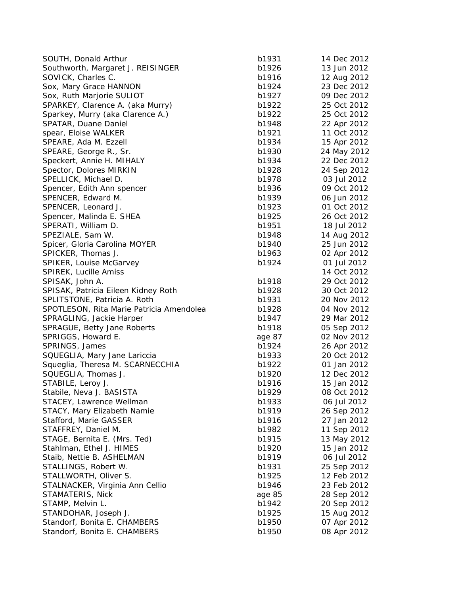| SOUTH, Donald Arthur                     | b1931  | 14 Dec 2012 |
|------------------------------------------|--------|-------------|
| Southworth, Margaret J. REISINGER        | b1926  | 13 Jun 2012 |
| SOVICK, Charles C.                       | b1916  | 12 Aug 2012 |
| Sox, Mary Grace HANNON                   | b1924  | 23 Dec 2012 |
| Sox, Ruth Marjorie SULIOT                | b1927  | 09 Dec 2012 |
| SPARKEY, Clarence A. (aka Murry)         | b1922  | 25 Oct 2012 |
| Sparkey, Murry (aka Clarence A.)         | b1922  | 25 Oct 2012 |
| SPATAR, Duane Daniel                     | b1948  | 22 Apr 2012 |
| spear, Eloise WALKER                     | b1921  | 11 Oct 2012 |
| SPEARE, Ada M. Ezzell                    | b1934  | 15 Apr 2012 |
| SPEARE, George R., Sr.                   | b1930  | 24 May 2012 |
| Speckert, Annie H. MIHALY                | b1934  | 22 Dec 2012 |
| Spector, Dolores MIRKIN                  | b1928  | 24 Sep 2012 |
| SPELLICK, Michael D.                     | b1978  | 03 Jul 2012 |
| Spencer, Edith Ann spencer               | b1936  | 09 Oct 2012 |
| SPENCER, Edward M.                       | b1939  | 06 Jun 2012 |
| SPENCER, Leonard J.                      | b1923  | 01 Oct 2012 |
| Spencer, Malinda E. SHEA                 | b1925  | 26 Oct 2012 |
| SPERATI, William D.                      | b1951  | 18 Jul 2012 |
| SPEZIALE, Sam W.                         | b1948  | 14 Aug 2012 |
| Spicer, Gloria Carolina MOYER            | b1940  | 25 Jun 2012 |
| SPICKER, Thomas J.                       | b1963  | 02 Apr 2012 |
| SPIKER, Louise McGarvey                  | b1924  | 01 Jul 2012 |
| <b>SPIREK, Lucille Amiss</b>             |        | 14 Oct 2012 |
| SPISAK, John A.                          | b1918  | 29 Oct 2012 |
| SPISAK, Patricia Eileen Kidney Roth      | b1928  | 30 Oct 2012 |
| SPLITSTONE, Patricia A. Roth             | b1931  | 20 Nov 2012 |
| SPOTLESON, Rita Marie Patricia Amendolea | b1928  | 04 Nov 2012 |
| SPRAGLING, Jackie Harper                 | b1947  | 29 Mar 2012 |
| SPRAGUE, Betty Jane Roberts              | b1918  | 05 Sep 2012 |
| SPRIGGS, Howard E.                       | age 87 | 02 Nov 2012 |
| SPRINGS, James                           | b1924  | 26 Apr 2012 |
| SQUEGLIA, Mary Jane Lariccia             | b1933  | 20 Oct 2012 |
| Squeglia, Theresa M. SCARNECCHIA         | b1922  | 01 Jan 2012 |
| SQUEGLIA, Thomas J.                      | b1920  | 12 Dec 2012 |
| STABILE, Leroy J.                        | b1916  | 15 Jan 2012 |
| Stabile, Neva J. BASISTA                 | b1929  | 08 Oct 2012 |
| STACEY, Lawrence Wellman                 | b1933  | 06 Jul 2012 |
| STACY, Mary Elizabeth Namie              | b1919  | 26 Sep 2012 |
| Stafford, Marie GASSER                   | b1916  | 27 Jan 2012 |
| STAFFREY, Daniel M.                      | b1982  | 11 Sep 2012 |
| STAGE, Bernita E. (Mrs. Ted)             | b1915  | 13 May 2012 |
| Stahlman, Ethel J. HIMES                 | b1920  | 15 Jan 2012 |
| Staib, Nettie B. ASHELMAN                | b1919  | 06 Jul 2012 |
| STALLINGS, Robert W.                     | b1931  | 25 Sep 2012 |
| STALLWORTH, Oliver S.                    | b1925  | 12 Feb 2012 |
| STALNACKER, Virginia Ann Cellio          | b1946  | 23 Feb 2012 |
| STAMATERIS, Nick                         | age 85 | 28 Sep 2012 |
| STAMP, Melvin L.                         | b1942  | 20 Sep 2012 |
| STANDOHAR, Joseph J.                     | b1925  | 15 Aug 2012 |
| Standorf, Bonita E. CHAMBERS             | b1950  | 07 Apr 2012 |
| Standorf, Bonita E. CHAMBERS             | b1950  | 08 Apr 2012 |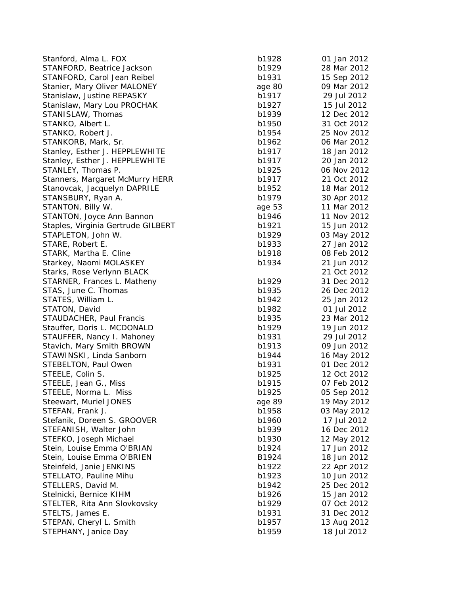| Stanford, Alma L. FOX              | b1928  | 01 Jan 2012 |
|------------------------------------|--------|-------------|
| STANFORD, Beatrice Jackson         | b1929  | 28 Mar 2012 |
| STANFORD, Carol Jean Reibel        | b1931  | 15 Sep 2012 |
| Stanier, Mary Oliver MALONEY       | age 80 | 09 Mar 2012 |
| Stanislaw, Justine REPASKY         | b1917  | 29 Jul 2012 |
| Stanislaw, Mary Lou PROCHAK        | b1927  | 15 Jul 2012 |
| STANISLAW, Thomas                  | b1939  | 12 Dec 2012 |
| STANKO, Albert L.                  | b1950  | 31 Oct 2012 |
| STANKO, Robert J.                  | b1954  | 25 Nov 2012 |
| STANKORB, Mark, Sr.                | b1962  | 06 Mar 2012 |
| Stanley, Esther J. HEPPLEWHITE     | b1917  | 18 Jan 2012 |
| Stanley, Esther J. HEPPLEWHITE     | b1917  | 20 Jan 2012 |
| STANLEY, Thomas P.                 | b1925  | 06 Nov 2012 |
| Stanners, Margaret McMurry HERR    | b1917  | 21 Oct 2012 |
| Stanovcak, Jacquelyn DAPRILE       | b1952  | 18 Mar 2012 |
| STANSBURY, Ryan A.                 | b1979  | 30 Apr 2012 |
| STANTON, Billy W.                  | age 53 | 11 Mar 2012 |
| STANTON, Joyce Ann Bannon          | b1946  | 11 Nov 2012 |
| Staples, Virginia Gertrude GILBERT | b1921  | 15 Jun 2012 |
| STAPLETON, John W.                 | b1929  | 03 May 2012 |
| STARE, Robert E.                   | b1933  | 27 Jan 2012 |
| STARK, Martha E. Cline             | b1918  | 08 Feb 2012 |
| Starkey, Naomi MOLASKEY            | b1934  | 21 Jun 2012 |
| Starks, Rose Verlynn BLACK         |        | 21 Oct 2012 |
| STARNER, Frances L. Matheny        | b1929  | 31 Dec 2012 |
| STAS, June C. Thomas               | b1935  | 26 Dec 2012 |
| STATES, William L.                 | b1942  | 25 Jan 2012 |
| STATON, David                      | b1982  | 01 Jul 2012 |
| STAUDACHER, Paul Francis           | b1935  | 23 Mar 2012 |
| Stauffer, Doris L. MCDONALD        | b1929  | 19 Jun 2012 |
| STAUFFER, Nancy I. Mahoney         | b1931  | 29 Jul 2012 |
| Stavich, Mary Smith BROWN          | b1913  | 09 Jun 2012 |
| STAWINSKI, Linda Sanborn           | b1944  | 16 May 2012 |
| STEBELTON, Paul Owen               | b1931  | 01 Dec 2012 |
| STEELE, Colin S.                   | b1925  | 12 Oct 2012 |
| STEELE, Jean G., Miss              | b1915  | 07 Feb 2012 |
| STEELE, Norma L. Miss              | b1925  | 05 Sep 2012 |
| Steewart, Muriel JONES             | age 89 | 19 May 2012 |
| STEFAN, Frank J.                   | b1958  | 03 May 2012 |
| Stefanik, Doreen S. GROOVER        | b1960  | 17 Jul 2012 |
| STEFANISH, Walter John             | b1939  | 16 Dec 2012 |
| STEFKO, Joseph Michael             | b1930  | 12 May 2012 |
| Stein, Louise Emma O'BRIAN         | b1924  | 17 Jun 2012 |
| Stein, Louise Emma O'BRIEN         | B1924  | 18 Jun 2012 |
| Steinfeld, Janie JENKINS           | b1922  | 22 Apr 2012 |
| STELLATO, Pauline Mihu             | b1923  | 10 Jun 2012 |
| STELLERS, David M.                 | b1942  | 25 Dec 2012 |
| Stelnicki, Bernice KIHM            | b1926  | 15 Jan 2012 |
| STELTER, Rita Ann Slovkovsky       | b1929  | 07 Oct 2012 |
| STELTS, James E.                   | b1931  | 31 Dec 2012 |
| STEPAN, Cheryl L. Smith            | b1957  | 13 Aug 2012 |
| STEPHANY, Janice Day               | b1959  | 18 Jul 2012 |
|                                    |        |             |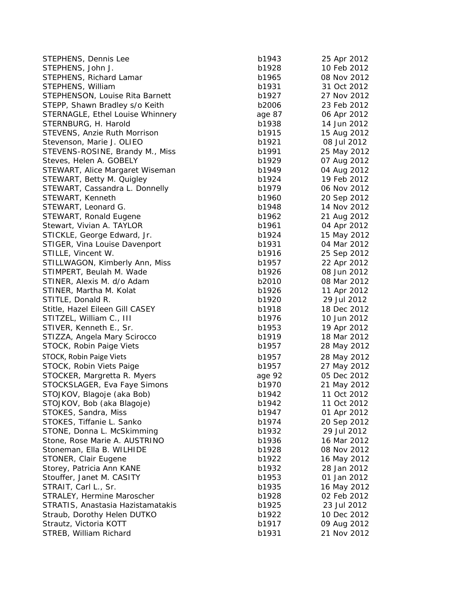| STEPHENS, Dennis Lee                    | b1943  | 25 Apr 2012 |
|-----------------------------------------|--------|-------------|
| STEPHENS, John J.                       | b1928  | 10 Feb 2012 |
| STEPHENS, Richard Lamar                 | b1965  | 08 Nov 2012 |
| STEPHENS, William                       | b1931  | 31 Oct 2012 |
| STEPHENSON, Louise Rita Barnett         | b1927  | 27 Nov 2012 |
| STEPP, Shawn Bradley s/o Keith          | b2006  | 23 Feb 2012 |
| <b>STERNAGLE, Ethel Louise Whinnery</b> | age 87 | 06 Apr 2012 |
| STERNBURG, H. Harold                    | b1938  | 14 Jun 2012 |
| STEVENS, Anzie Ruth Morrison            | b1915  | 15 Aug 2012 |
| Stevenson, Marie J. OLIEO               | b1921  | 08 Jul 2012 |
| STEVENS-ROSINE, Brandy M., Miss         | b1991  | 25 May 2012 |
| Steves, Helen A. GOBELY                 | b1929  | 07 Aug 2012 |
| STEWART, Alice Margaret Wiseman         | b1949  | 04 Aug 2012 |
| STEWART, Betty M. Quigley               | b1924  | 19 Feb 2012 |
| STEWART, Cassandra L. Donnelly          | b1979  | 06 Nov 2012 |
| STEWART, Kenneth                        | b1960  | 20 Sep 2012 |
| STEWART, Leonard G.                     | b1948  | 14 Nov 2012 |
| STEWART, Ronald Eugene                  | b1962  | 21 Aug 2012 |
| Stewart, Vivian A. TAYLOR               | b1961  | 04 Apr 2012 |
| STICKLE, George Edward, Jr.             | b1924  | 15 May 2012 |
| STIGER, Vina Louise Davenport           | b1931  | 04 Mar 2012 |
| STILLE, Vincent W.                      | b1916  | 25 Sep 2012 |
| STILLWAGON, Kimberly Ann, Miss          | b1957  | 22 Apr 2012 |
| STIMPERT, Beulah M. Wade                | b1926  | 08 Jun 2012 |
| STINER, Alexis M. d/o Adam              | b2010  | 08 Mar 2012 |
| STINER, Martha M. Kolat                 | b1926  | 11 Apr 2012 |
| STITLE, Donald R.                       | b1920  | 29 Jul 2012 |
| Stitle, Hazel Eileen Gill CASEY         | b1918  | 18 Dec 2012 |
| STITZEL, William C., III                | b1976  | 10 Jun 2012 |
| STIVER, Kenneth E., Sr.                 | b1953  | 19 Apr 2012 |
| STIZZA, Angela Mary Scirocco            | b1919  | 18 Mar 2012 |
| STOCK, Robin Paige Viets                | b1957  | 28 May 2012 |
|                                         |        |             |
| STOCK, Robin Paige Viets                | b1957  | 28 May 2012 |
| STOCK, Robin Viets Paige                | b1957  | 27 May 2012 |
| STOCKER, Margretta R. Myers             | age 92 | 05 Dec 2012 |
| STOCKSLAGER, Eva Faye Simons            | b1970  | 21 May 2012 |
| STOJKOV, Blagoje (aka Bob)              | b1942  | 11 Oct 2012 |
| STOJKOV, Bob (aka Blagoje)              | b1942  | 11 Oct 2012 |
| STOKES, Sandra, Miss                    | b1947  | 01 Apr 2012 |
| STOKES, Tiffanie L. Sanko               | b1974  | 20 Sep 2012 |
| STONE, Donna L. McSkimming              | b1932  | 29 Jul 2012 |
| Stone, Rose Marie A. AUSTRINO           | b1936  | 16 Mar 2012 |
| Stoneman, Ella B. WILHIDE               | b1928  | 08 Nov 2012 |
| STONER, Clair Eugene                    | b1922  | 16 May 2012 |
| Storey, Patricia Ann KANE               | b1932  | 28 Jan 2012 |
| Stouffer, Janet M. CASITY               | b1953  | 01 Jan 2012 |
| STRAIT, Carl L., Sr.                    | b1935  | 16 May 2012 |
| STRALEY, Hermine Maroscher              | b1928  | 02 Feb 2012 |
| STRATIS, Anastasia Hazistamatakis       | b1925  | 23 Jul 2012 |
| Straub, Dorothy Helen DUTKO             | b1922  | 10 Dec 2012 |
| Strautz, Victoria KOTT                  | b1917  | 09 Aug 2012 |
| STREB, William Richard                  | b1931  | 21 Nov 2012 |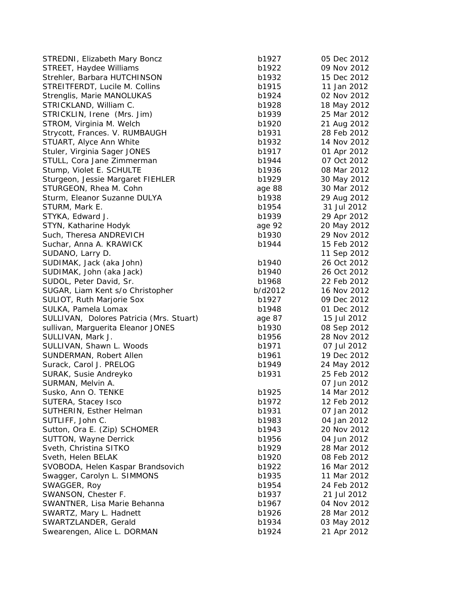| STREDNI, Elizabeth Mary Boncz            | b1927   | 05 Dec 2012 |
|------------------------------------------|---------|-------------|
| STREET, Haydee Williams                  | b1922   | 09 Nov 2012 |
| Strehler, Barbara HUTCHINSON             | b1932   | 15 Dec 2012 |
| STREITFERDT, Lucile M. Collins           | b1915   | 11 Jan 2012 |
| Strenglis, Marie MANOLUKAS               | b1924   | 02 Nov 2012 |
| STRICKLAND, William C.                   | b1928   | 18 May 2012 |
| STRICKLIN, Irene (Mrs. Jim)              | b1939   | 25 Mar 2012 |
| STROM, Virginia M. Welch                 | b1920   | 21 Aug 2012 |
| Strycott, Frances. V. RUMBAUGH           | b1931   | 28 Feb 2012 |
| STUART, Alyce Ann White                  | b1932   | 14 Nov 2012 |
| Stuler, Virginia Sager JONES             | b1917   | 01 Apr 2012 |
| STULL, Cora Jane Zimmerman               | b1944   | 07 Oct 2012 |
| Stump, Violet E. SCHULTE                 | b1936   | 08 Mar 2012 |
| Sturgeon, Jessie Margaret FIEHLER        | b1929   | 30 May 2012 |
| STURGEON, Rhea M. Cohn                   | age 88  | 30 Mar 2012 |
| Sturm, Eleanor Suzanne DULYA             | b1938   | 29 Aug 2012 |
| STURM, Mark E.                           | b1954   | 31 Jul 2012 |
| STYKA, Edward J.                         | b1939   | 29 Apr 2012 |
| STYN, Katharine Hodyk                    | age 92  | 20 May 2012 |
| Such, Theresa ANDREVICH                  | b1930   | 29 Nov 2012 |
| Suchar, Anna A. KRAWICK                  | b1944   | 15 Feb 2012 |
| SUDANO, Larry D.                         |         | 11 Sep 2012 |
| SUDIMAK, Jack (aka John)                 | b1940   | 26 Oct 2012 |
| SUDIMAK, John (aka Jack)                 | b1940   | 26 Oct 2012 |
| SUDOL, Peter David, Sr.                  | b1968   | 22 Feb 2012 |
| SUGAR, Liam Kent s/o Christopher         | b/d2012 | 16 Nov 2012 |
| SULIOT, Ruth Marjorie Sox                | b1927   | 09 Dec 2012 |
| SULKA, Pamela Lomax                      | b1948   | 01 Dec 2012 |
| SULLIVAN, Dolores Patricia (Mrs. Stuart) | age 87  | 15 Jul 2012 |
| sullivan, Marguerita Eleanor JONES       | b1930   | 08 Sep 2012 |
| SULLIVAN, Mark J.                        | b1956   | 28 Nov 2012 |
| SULLIVAN, Shawn L. Woods                 | b1971   | 07 Jul 2012 |
| SUNDERMAN, Robert Allen                  | b1961   | 19 Dec 2012 |
| Surack, Carol J. PRELOG                  | b1949   | 24 May 2012 |
| SURAK, Susie Andreyko                    | b1931   | 25 Feb 2012 |
| SURMAN, Melvin A.                        |         | 07 Jun 2012 |
| Susko, Ann O. TENKE                      | b1925   | 14 Mar 2012 |
| SUTERA, Stacey Isco                      | b1972   | 12 Feb 2012 |
| SUTHERIN, Esther Helman                  | b1931   | 07 Jan 2012 |
| SUTLIFF, John C.                         | b1983   | 04 Jan 2012 |
| Sutton, Ora E. (Zip) SCHOMER             | b1943   | 20 Nov 2012 |
| SUTTON, Wayne Derrick                    | b1956   | 04 Jun 2012 |
| Sveth, Christina SITKO                   | b1929   | 28 Mar 2012 |
| Sveth, Helen BELAK                       | b1920   | 08 Feb 2012 |
| SVOBODA, Helen Kaspar Brandsovich        | b1922   | 16 Mar 2012 |
| Swagger, Carolyn L. SIMMONS              | b1935   | 11 Mar 2012 |
| SWAGGER, Roy                             | b1954   | 24 Feb 2012 |
| SWANSON, Chester F.                      | b1937   | 21 Jul 2012 |
| SWANTNER, Lisa Marie Behanna             | b1967   | 04 Nov 2012 |
| SWARTZ, Mary L. Hadnett                  | b1926   | 28 Mar 2012 |
| SWARTZLANDER, Gerald                     | b1934   | 03 May 2012 |
| Swearengen, Alice L. DORMAN              | b1924   | 21 Apr 2012 |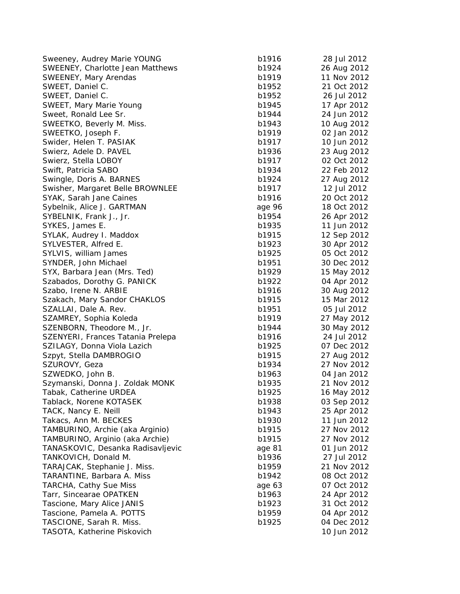| Sweeney, Audrey Marie YOUNG       | b1916  | 28 Jul 2012 |
|-----------------------------------|--------|-------------|
| SWEENEY, Charlotte Jean Matthews  | b1924  | 26 Aug 2012 |
| <b>SWEENEY, Mary Arendas</b>      | b1919  | 11 Nov 2012 |
| SWEET, Daniel C.                  | b1952  | 21 Oct 2012 |
| SWEET, Daniel C.                  | b1952  | 26 Jul 2012 |
| SWEET, Mary Marie Young           | b1945  | 17 Apr 2012 |
| Sweet, Ronald Lee Sr.             | b1944  | 24 Jun 2012 |
| SWEETKO, Beverly M. Miss.         | b1943  | 10 Aug 2012 |
| SWEETKO, Joseph F.                | b1919  | 02 Jan 2012 |
| Swider, Helen T. PASIAK           | b1917  | 10 Jun 2012 |
| Swierz, Adele D. PAVEL            | b1936  | 23 Aug 2012 |
| Swierz, Stella LOBOY              | b1917  | 02 Oct 2012 |
| Swift, Patricia SABO              | b1934  | 22 Feb 2012 |
| Swingle, Doris A. BARNES          | b1924  | 27 Aug 2012 |
| Swisher, Margaret Belle BROWNLEE  | b1917  | 12 Jul 2012 |
| SYAK, Sarah Jane Caines           | b1916  | 20 Oct 2012 |
| Sybelnik, Alice J. GARTMAN        | age 96 | 18 Oct 2012 |
| SYBELNIK, Frank J., Jr.           | b1954  | 26 Apr 2012 |
| SYKES, James E.                   | b1935  | 11 Jun 2012 |
| SYLAK, Audrey I. Maddox           | b1915  | 12 Sep 2012 |
| SYLVESTER, Alfred E.              | b1923  | 30 Apr 2012 |
| SYLVIS, william James             | b1925  | 05 Oct 2012 |
| SYNDER, John Michael              | b1951  | 30 Dec 2012 |
| SYX, Barbara Jean (Mrs. Ted)      | b1929  | 15 May 2012 |
| Szabados, Dorothy G. PANICK       | b1922  | 04 Apr 2012 |
| Szabo, Irene N. ARBIE             | b1916  | 30 Aug 2012 |
| Szakach, Mary Sandor CHAKLOS      | b1915  | 15 Mar 2012 |
| SZALLAI, Dale A. Rev.             | b1951  | 05 Jul 2012 |
| SZAMREY, Sophia Koleda            | b1919  | 27 May 2012 |
| SZENBORN, Theodore M., Jr.        | b1944  | 30 May 2012 |
| SZENYERI, Frances Tatania Prelepa | b1916  | 24 Jul 2012 |
| SZILAGY, Donna Viola Lazich       | b1925  | 07 Dec 2012 |
| Szpyt, Stella DAMBROGIO           | b1915  | 27 Aug 2012 |
| SZUROVY, Geza                     | b1934  | 27 Nov 2012 |
| SZWEDKO, John B.                  | b1963  | 04 Jan 2012 |
| Szymanski, Donna J. Zoldak MONK   | b1935  | 21 Nov 2012 |
| Tabak, Catherine URDEA            | b1925  | 16 May 2012 |
| Tablack, Norene KOTASEK           | b1938  | 03 Sep 2012 |
| TACK, Nancy E. Neill              | b1943  | 25 Apr 2012 |
| Takacs, Ann M. BECKES             | b1930  | 11 Jun 2012 |
| TAMBURINO, Archie (aka Arginio)   | b1915  | 27 Nov 2012 |
| TAMBURINO, Arginio (aka Archie)   | b1915  | 27 Nov 2012 |
| TANASKOVIC, Desanka Radisavljevic | age 81 | 01 Jun 2012 |
| TANKOVICH, Donald M.              | b1936  | 27 Jul 2012 |
| TARAJCAK, Stephanie J. Miss.      | b1959  | 21 Nov 2012 |
| TARANTINE, Barbara A. Miss        | b1942  | 08 Oct 2012 |
| TARCHA, Cathy Sue Miss            | age 63 | 07 Oct 2012 |
| Tarr, Sincearae OPATKEN           | b1963  | 24 Apr 2012 |
| Tascione, Mary Alice JANIS        | b1923  | 31 Oct 2012 |
| Tascione, Pamela A. POTTS         | b1959  | 04 Apr 2012 |
| TASCIONE, Sarah R. Miss.          | b1925  | 04 Dec 2012 |
| TASOTA, Katherine Piskovich       |        | 10 Jun 2012 |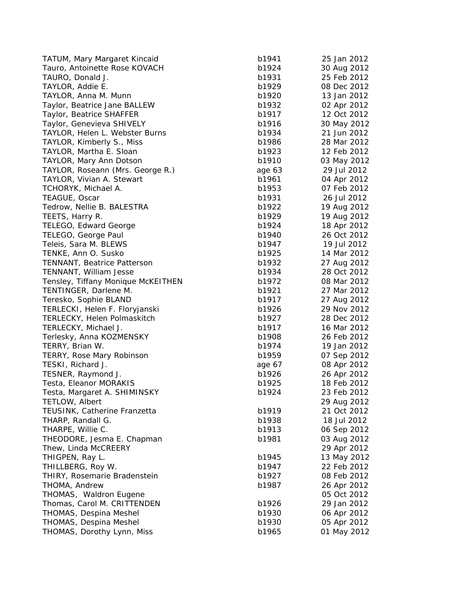| TATUM, Mary Margaret Kincaid       | b1941  | 25 Jan 2012 |
|------------------------------------|--------|-------------|
| Tauro, Antoinette Rose KOVACH      | b1924  | 30 Aug 2012 |
| TAURO, Donald J.                   | b1931  | 25 Feb 2012 |
| TAYLOR, Addie E.                   | b1929  | 08 Dec 2012 |
| TAYLOR, Anna M. Munn               | b1920  | 13 Jan 2012 |
| Taylor, Beatrice Jane BALLEW       | b1932  | 02 Apr 2012 |
| Taylor, Beatrice SHAFFER           | b1917  | 12 Oct 2012 |
| Taylor, Genevieva SHIVELY          | b1916  | 30 May 2012 |
| TAYLOR, Helen L. Webster Burns     | b1934  | 21 Jun 2012 |
| TAYLOR, Kimberly S., Miss          | b1986  | 28 Mar 2012 |
| TAYLOR, Martha E. Sloan            | b1923  | 12 Feb 2012 |
| TAYLOR, Mary Ann Dotson            | b1910  | 03 May 2012 |
| TAYLOR, Roseann (Mrs. George R.)   | age 63 | 29 Jul 2012 |
| TAYLOR, Vivian A. Stewart          | b1961  | 04 Apr 2012 |
| TCHORYK, Michael A.                | b1953  | 07 Feb 2012 |
| TEAGUE, Oscar                      | b1931  | 26 Jul 2012 |
| Tedrow, Nellie B. BALESTRA         | b1922  | 19 Aug 2012 |
| TEETS, Harry R.                    | b1929  | 19 Aug 2012 |
| TELEGO, Edward George              | b1924  | 18 Apr 2012 |
| TELEGO, George Paul                | b1940  | 26 Oct 2012 |
| Teleis, Sara M. BLEWS              | b1947  | 19 Jul 2012 |
| TENKE, Ann O. Susko                | b1925  | 14 Mar 2012 |
| <b>TENNANT, Beatrice Patterson</b> | b1932  | 27 Aug 2012 |
| TENNANT, William Jesse             | b1934  | 28 Oct 2012 |
| Tensley, Tiffany Monique McKEITHEN | b1972  | 08 Mar 2012 |
| TENTINGER, Darlene M.              | b1921  | 27 Mar 2012 |
| Teresko, Sophie BLAND              | b1917  | 27 Aug 2012 |
| TERLECKI, Helen F. Floryjanski     | b1926  | 29 Nov 2012 |
| <b>TERLECKY, Helen Polmaskitch</b> | b1927  | 28 Dec 2012 |
| TERLECKY, Michael J.               | b1917  | 16 Mar 2012 |
| Terlesky, Anna KOZMENSKY           | b1908  | 26 Feb 2012 |
| TERRY, Brian W.                    | b1974  | 19 Jan 2012 |
| <b>TERRY, Rose Mary Robinson</b>   | b1959  | 07 Sep 2012 |
| TESKI, Richard J.                  | age 67 | 08 Apr 2012 |
| TESNER, Raymond J.                 | b1926  | 26 Apr 2012 |
| Testa, Eleanor MORAKIS             | b1925  | 18 Feb 2012 |
| Testa, Margaret A. SHIMINSKY       | b1924  | 23 Feb 2012 |
| <b>TETLOW, Albert</b>              |        | 29 Aug 2012 |
| TEUSINK, Catherine Franzetta       | b1919  | 21 Oct 2012 |
| THARP, Randall G.                  | b1938  | 18 Jul 2012 |
| THARPE, Willie C.                  | b1913  | 06 Sep 2012 |
| THEODORE, Jesma E. Chapman         | b1981  | 03 Aug 2012 |
| Thew, Linda McCREERY               |        | 29 Apr 2012 |
| THIGPEN, Ray L.                    | b1945  | 13 May 2012 |
| THILLBERG, Roy W.                  | b1947  | 22 Feb 2012 |
| THIRY, Rosemarie Bradenstein       | b1927  | 08 Feb 2012 |
| THOMA, Andrew                      | b1987  | 26 Apr 2012 |
| THOMAS, Waldron Eugene             |        | 05 Oct 2012 |
| Thomas, Carol M. CRITTENDEN        | b1926  | 29 Jan 2012 |
| THOMAS, Despina Meshel             | b1930  | 06 Apr 2012 |
| THOMAS, Despina Meshel             | b1930  | 05 Apr 2012 |
| THOMAS, Dorothy Lynn, Miss         | b1965  | 01 May 2012 |
|                                    |        |             |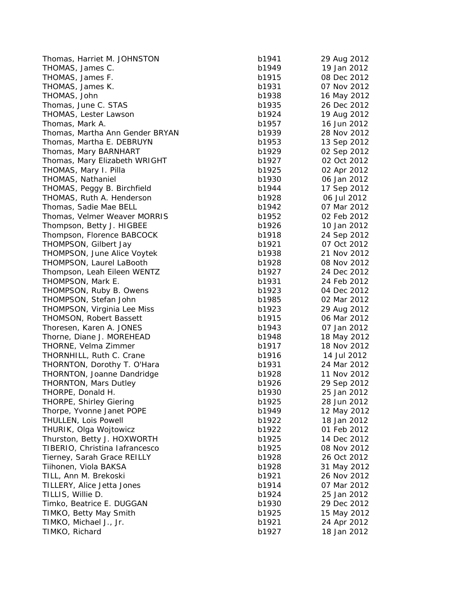| Thomas, Harriet M. JOHNSTON     | b1941 | 29 Aug 2012 |
|---------------------------------|-------|-------------|
| THOMAS, James C.                | b1949 | 19 Jan 2012 |
| THOMAS, James F.                | b1915 | 08 Dec 2012 |
| THOMAS, James K.                | b1931 | 07 Nov 2012 |
| THOMAS, John                    | b1938 | 16 May 2012 |
| Thomas, June C. STAS            | b1935 | 26 Dec 2012 |
| THOMAS, Lester Lawson           | b1924 | 19 Aug 2012 |
| Thomas, Mark A.                 | b1957 | 16 Jun 2012 |
| Thomas, Martha Ann Gender BRYAN | b1939 | 28 Nov 2012 |
| Thomas, Martha E. DEBRUYN       | b1953 | 13 Sep 2012 |
| Thomas, Mary BARNHART           | b1929 | 02 Sep 2012 |
| Thomas, Mary Elizabeth WRIGHT   | b1927 | 02 Oct 2012 |
| THOMAS, Mary I. Pilla           | b1925 | 02 Apr 2012 |
| THOMAS, Nathaniel               | b1930 | 06 Jan 2012 |
| THOMAS, Peggy B. Birchfield     | b1944 | 17 Sep 2012 |
| THOMAS, Ruth A. Henderson       | b1928 | 06 Jul 2012 |
| Thomas, Sadie Mae BELL          | b1942 | 07 Mar 2012 |
| Thomas, Velmer Weaver MORRIS    | b1952 | 02 Feb 2012 |
| Thompson, Betty J. HIGBEE       | b1926 | 10 Jan 2012 |
| Thompson, Florence BABCOCK      | b1918 | 24 Sep 2012 |
| THOMPSON, Gilbert Jay           | b1921 | 07 Oct 2012 |
| THOMPSON, June Alice Voytek     | b1938 | 21 Nov 2012 |
| THOMPSON, Laurel LaBooth        | b1928 | 08 Nov 2012 |
| Thompson, Leah Eileen WENTZ     | b1927 | 24 Dec 2012 |
| THOMPSON, Mark E.               | b1931 | 24 Feb 2012 |
| THOMPSON, Ruby B. Owens         | b1923 | 04 Dec 2012 |
| THOMPSON, Stefan John           | b1985 | 02 Mar 2012 |
| THOMPSON, Virginia Lee Miss     | b1923 | 29 Aug 2012 |
| THOMSON, Robert Bassett         | b1915 | 06 Mar 2012 |
| Thoresen, Karen A. JONES        | b1943 | 07 Jan 2012 |
| Thorne, Diane J. MOREHEAD       | b1948 | 18 May 2012 |
| THORNE, Velma Zimmer            | b1917 | 18 Nov 2012 |
| THORNHILL, Ruth C. Crane        | b1916 | 14 Jul 2012 |
| THORNTON, Dorothy T. O'Hara     | b1931 | 24 Mar 2012 |
| THORNTON, Joanne Dandridge      | b1928 | 11 Nov 2012 |
| <b>THORNTON, Mars Dutley</b>    | b1926 | 29 Sep 2012 |
| THORPE, Donald H.               | b1930 | 25 Jan 2012 |
| THORPE, Shirley Giering         | b1925 | 28 Jun 2012 |
| Thorpe, Yvonne Janet POPE       | b1949 | 12 May 2012 |
| THULLEN, Lois Powell            | b1922 | 18 Jan 2012 |
| THURIK, Olga Wojtowicz          | b1922 | 01 Feb 2012 |
| Thurston, Betty J. HOXWORTH     | b1925 | 14 Dec 2012 |
| TIBERIO, Christina lafrancesco  | b1925 | 08 Nov 2012 |
| Tierney, Sarah Grace REILLY     | b1928 | 26 Oct 2012 |
| Tiihonen, Viola BAKSA           | b1928 | 31 May 2012 |
| TILL, Ann M. Brekoski           | b1921 | 26 Nov 2012 |
| TILLERY, Alice Jetta Jones      | b1914 | 07 Mar 2012 |
| TILLIS, Willie D.               | b1924 | 25 Jan 2012 |
| Timko, Beatrice E. DUGGAN       | b1930 | 29 Dec 2012 |
| TIMKO, Betty May Smith          | b1925 | 15 May 2012 |
| TIMKO, Michael J., Jr.          | b1921 | 24 Apr 2012 |
| TIMKO, Richard                  | b1927 | 18 Jan 2012 |
|                                 |       |             |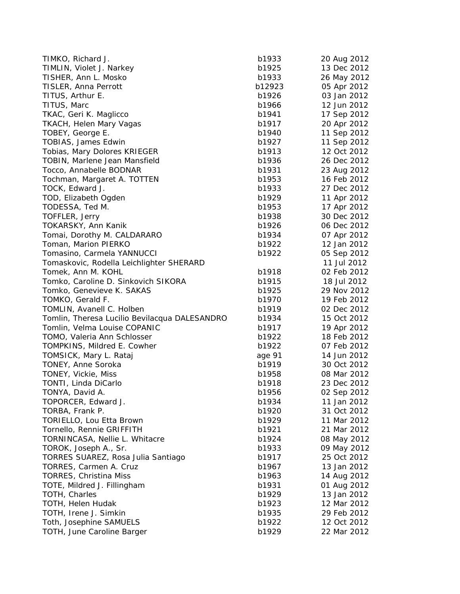| TIMKO, Richard J.                             | b1933  | 20 Aug 2012 |
|-----------------------------------------------|--------|-------------|
| TIMLIN, Violet J. Narkey                      | b1925  | 13 Dec 2012 |
| TISHER, Ann L. Mosko                          | b1933  | 26 May 2012 |
| <b>TISLER, Anna Perrott</b>                   | b12923 | 05 Apr 2012 |
| TITUS, Arthur E.                              | b1926  | 03 Jan 2012 |
| TITUS, Marc                                   | b1966  | 12 Jun 2012 |
| TKAC, Geri K. Maglicco                        | b1941  | 17 Sep 2012 |
| <b>TKACH, Helen Mary Vagas</b>                | b1917  | 20 Apr 2012 |
| TOBEY, George E.                              | b1940  | 11 Sep 2012 |
| TOBIAS, James Edwin                           | b1927  | 11 Sep 2012 |
| Tobias, Mary Dolores KRIEGER                  | b1913  | 12 Oct 2012 |
| TOBIN, Marlene Jean Mansfield                 | b1936  | 26 Dec 2012 |
| Tocco, Annabelle BODNAR                       | b1931  | 23 Aug 2012 |
| Tochman, Margaret A. TOTTEN                   | b1953  | 16 Feb 2012 |
| TOCK, Edward J.                               | b1933  | 27 Dec 2012 |
| TOD, Elizabeth Ogden                          | b1929  | 11 Apr 2012 |
| TODESSA, Ted M.                               | b1953  | 17 Apr 2012 |
| TOFFLER, Jerry                                | b1938  | 30 Dec 2012 |
| TOKARSKY, Ann Kanik                           | b1926  | 06 Dec 2012 |
| Tomai, Dorothy M. CALDARARO                   | b1934  | 07 Apr 2012 |
| Toman, Marion PIERKO                          | b1922  | 12 Jan 2012 |
| Tomasino, Carmela YANNUCCI                    | b1922  | 05 Sep 2012 |
| Tomaskovic, Rodella Leichlighter SHERARD      |        | 11 Jul 2012 |
| Tomek, Ann M. KOHL                            | b1918  | 02 Feb 2012 |
| Tomko, Caroline D. Sinkovich SIKORA           | b1915  | 18 Jul 2012 |
| Tomko, Genevieve K. SAKAS                     | b1925  | 29 Nov 2012 |
| TOMKO, Gerald F.                              | b1970  | 19 Feb 2012 |
| TOMLIN, Avanell C. Holben                     | b1919  | 02 Dec 2012 |
| Tomlin, Theresa Lucilio Bevilacqua DALESANDRO | b1934  | 15 Oct 2012 |
| Tomlin, Velma Louise COPANIC                  | b1917  | 19 Apr 2012 |
| TOMO, Valeria Ann Schlosser                   | b1922  | 18 Feb 2012 |
| TOMPKINS, Mildred E. Cowher                   | b1922  | 07 Feb 2012 |
| TOMSICK, Mary L. Rataj                        | age 91 | 14 Jun 2012 |
| TONEY, Anne Soroka                            | b1919  | 30 Oct 2012 |
| TONEY, Vickie, Miss                           | b1958  | 08 Mar 2012 |
| TONTI, Linda DiCarlo                          | b1918  | 23 Dec 2012 |
| TONYA, David A.                               | b1956  | 02 Sep 2012 |
| TOPORCER, Edward J.                           | b1934  | 11 Jan 2012 |
| TORBA, Frank P.                               | b1920  | 31 Oct 2012 |
| TORIELLO, Lou Etta Brown                      | b1929  | 11 Mar 2012 |
| Tornello, Rennie GRIFFITH                     | b1921  | 21 Mar 2012 |
| TORNINCASA, Nellie L. Whitacre                | b1924  | 08 May 2012 |
| TOROK, Joseph A., Sr.                         | b1933  | 09 May 2012 |
| TORRES SUAREZ, Rosa Julia Santiago            | b1917  | 25 Oct 2012 |
| TORRES, Carmen A. Cruz                        | b1967  | 13 Jan 2012 |
| <b>TORRES, Christina Miss</b>                 | b1963  | 14 Aug 2012 |
| TOTE, Mildred J. Fillingham                   | b1931  | 01 Aug 2012 |
| TOTH, Charles                                 | b1929  | 13 Jan 2012 |
| TOTH, Helen Hudak                             | b1923  | 12 Mar 2012 |
| TOTH, Irene J. Simkin                         | b1935  | 29 Feb 2012 |
| Toth, Josephine SAMUELS                       | b1922  | 12 Oct 2012 |
| TOTH, June Caroline Barger                    | b1929  | 22 Mar 2012 |
|                                               |        |             |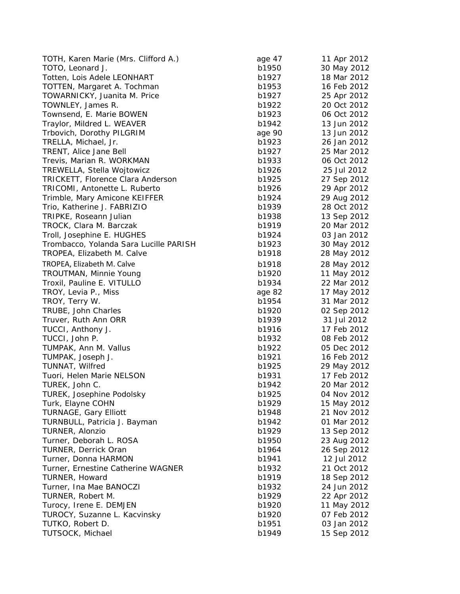| TOTH, Karen Marie (Mrs. Clifford A.)       | age 47          | 11 Apr 2012                |
|--------------------------------------------|-----------------|----------------------------|
| TOTO, Leonard J.                           | b1950           | 30 May 2012                |
| Totten, Lois Adele LEONHART                | b1927           | 18 Mar 2012                |
| TOTTEN, Margaret A. Tochman                | b1953           | 16 Feb 2012                |
| TOWARNICKY, Juanita M. Price               | b1927           | 25 Apr 2012                |
| TOWNLEY, James R.                          | b1922           | 20 Oct 2012                |
| Townsend, E. Marie BOWEN                   | b1923           | 06 Oct 2012                |
| Traylor, Mildred L. WEAVER                 | b1942           | 13 Jun 2012                |
| Trbovich, Dorothy PILGRIM                  | age 90          | 13 Jun 2012                |
| TRELLA, Michael, Jr.                       | b1923           | 26 Jan 2012                |
| <b>TRENT, Alice Jane Bell</b>              | b1927           | 25 Mar 2012                |
| Trevis, Marian R. WORKMAN                  | b1933           | 06 Oct 2012                |
| TREWELLA, Stella Wojtowicz                 | b1926           | 25 Jul 2012                |
| <b>TRICKETT, Florence Clara Anderson</b>   | b1925           | 27 Sep 2012                |
| TRICOMI, Antonette L. Ruberto              | b1926           | 29 Apr 2012                |
| Trimble, Mary Amicone KEIFFER              | b1924           | 29 Aug 2012                |
| Trio, Katherine J. FABRIZIO                | b1939           | 28 Oct 2012                |
| TRIPKE, Roseann Julian                     | b1938           | 13 Sep 2012                |
| TROCK, Clara M. Barczak                    | b1919           | 20 Mar 2012                |
| Troll, Josephine E. HUGHES                 | b1924           | 03 Jan 2012                |
| Trombacco, Yolanda Sara Lucille PARISH     | b1923           | 30 May 2012                |
| TROPEA, Elizabeth M. Calve                 | b1918           | 28 May 2012                |
| TROPEA, Elizabeth M. Calve                 | b1918           | 28 May 2012                |
| <b>TROUTMAN, Minnie Young</b>              | b1920           | 11 May 2012                |
| Troxil, Pauline E. VITULLO                 | b1934           | 22 Mar 2012                |
| TROY, Levia P., Miss                       |                 | 17 May 2012                |
|                                            | age 82<br>b1954 | 31 Mar 2012                |
| TROY, Terry W.<br>TRUBE, John Charles      | b1920           |                            |
|                                            | b1939           | 02 Sep 2012                |
| Truver, Ruth Ann ORR                       | b1916           | 31 Jul 2012<br>17 Feb 2012 |
| TUCCI, Anthony J.                          | b1932           | 08 Feb 2012                |
| TUCCI, John P.                             | b1922           | 05 Dec 2012                |
| TUMPAK, Ann M. Vallus                      | b1921           | 16 Feb 2012                |
| TUMPAK, Joseph J.<br>TUNNAT, Wilfred       | b1925           | 29 May 2012                |
|                                            | b1931           | 17 Feb 2012                |
| Tuori, Helen Marie NELSON                  | b1942           | 20 Mar 2012                |
| TUREK, John C.                             |                 | 04 Nov 2012                |
| TUREK, Josephine Podolsky                  | b1925<br>b1929  |                            |
| Turk, Elayne COHN<br>TURNAGE, Gary Elliott |                 | 15 May 2012<br>21 Nov 2012 |
|                                            | b1948<br>b1942  | 01 Mar 2012                |
| TURNBULL, Patricia J. Bayman               |                 |                            |
| TURNER, Alonzio                            | b1929           | 13 Sep 2012                |
| Turner, Deborah L. ROSA                    | b1950           | 23 Aug 2012                |
| TURNER, Derrick Oran                       | b1964           | 26 Sep 2012                |
| Turner, Donna HARMON                       | b1941           | 12 Jul 2012                |
| Turner, Ernestine Catherine WAGNER         | b1932           | 21 Oct 2012                |
| TURNER, Howard                             | b1919           | 18 Sep 2012                |
| Turner, Ina Mae BANOCZI                    | b1932           | 24 Jun 2012                |
| TURNER, Robert M.                          | b1929           | 22 Apr 2012                |
| Turocy, Irene E. DEMJEN                    | b1920           | 11 May 2012                |
| TUROCY, Suzanne L. Kacvinsky               | b1920<br>b1951  | 07 Feb 2012<br>03 Jan 2012 |
| TUTKO, Robert D.<br>TUTSOCK, Michael       | b1949           | 15 Sep 2012                |
|                                            |                 |                            |
|                                            |                 |                            |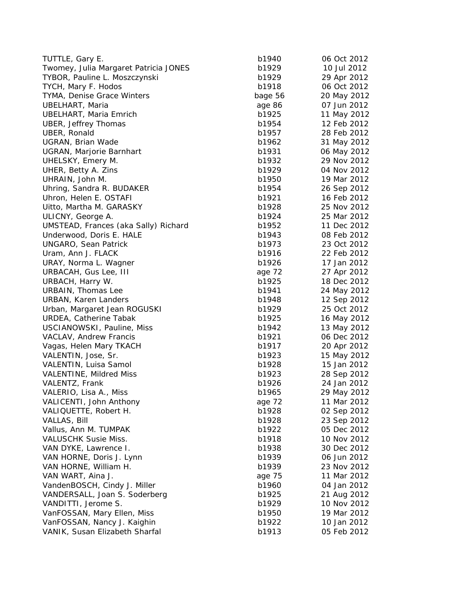| TUTTLE, Gary E.                       | b1940   | 06 Oct 2012 |
|---------------------------------------|---------|-------------|
| Twomey, Julia Margaret Patricia JONES | b1929   | 10 Jul 2012 |
| TYBOR, Pauline L. Moszczynski         | b1929   | 29 Apr 2012 |
| TYCH, Mary F. Hodos                   | b1918   | 06 Oct 2012 |
| TYMA, Denise Grace Winters            | bage 56 | 20 May 2012 |
| UBELHART, Maria                       | age 86  | 07 Jun 2012 |
| UBELHART, Maria Emrich                | b1925   | 11 May 2012 |
| <b>UBER, Jeffrey Thomas</b>           | b1954   | 12 Feb 2012 |
| UBER, Ronald                          | b1957   | 28 Feb 2012 |
| UGRAN, Brian Wade                     | b1962   | 31 May 2012 |
| UGRAN, Marjorie Barnhart              | b1931   | 06 May 2012 |
| UHELSKY, Emery M.                     | b1932   | 29 Nov 2012 |
| UHER, Betty A. Zins                   | b1929   | 04 Nov 2012 |
| UHRAIN, John M.                       | b1950   | 19 Mar 2012 |
| Uhring, Sandra R. BUDAKER             | b1954   | 26 Sep 2012 |
| Uhron, Helen E. OSTAFI                | b1921   | 16 Feb 2012 |
| Uitto, Martha M. GARASKY              | b1928   | 25 Nov 2012 |
| ULICNY, George A.                     | b1924   | 25 Mar 2012 |
| UMSTEAD, Frances (aka Sally) Richard  | b1952   | 11 Dec 2012 |
| Underwood, Doris E. HALE              | b1943   | 08 Feb 2012 |
| <b>UNGARO, Sean Patrick</b>           | b1973   | 23 Oct 2012 |
| Uram, Ann J. FLACK                    | b1916   | 22 Feb 2012 |
| URAY, Norma L. Wagner                 | b1926   | 17 Jan 2012 |
| URBACAH, Gus Lee, III                 | age 72  | 27 Apr 2012 |
| URBACH, Harry W.                      | b1925   | 18 Dec 2012 |
| URBAIN, Thomas Lee                    | b1941   | 24 May 2012 |
| <b>URBAN, Karen Landers</b>           | b1948   | 12 Sep 2012 |
| Urban, Margaret Jean ROGUSKI          | b1929   | 25 Oct 2012 |
| URDEA, Catherine Tabak                | b1925   | 16 May 2012 |
| USCIANOWSKI, Pauline, Miss            | b1942   | 13 May 2012 |
| VACLAV, Andrew Francis                | b1921   | 06 Dec 2012 |
| Vagas, Helen Mary TKACH               | b1917   | 20 Apr 2012 |
| VALENTIN, Jose, Sr.                   | b1923   | 15 May 2012 |
| VALENTIN, Luisa Samol                 | b1928   | 15 Jan 2012 |
| <b>VALENTINE, Mildred Miss</b>        | b1923   | 28 Sep 2012 |
| VALENTZ, Frank                        | b1926   | 24 Jan 2012 |
| VALERIO, Lisa A., Miss                | b1965   | 29 May 2012 |
| VALICENTI, John Anthony               | age 72  | 11 Mar 2012 |
| VALIQUETTE, Robert H.                 | b1928   | 02 Sep 2012 |
| VALLAS, Bill                          | b1928   | 23 Sep 2012 |
| Vallus, Ann M. TUMPAK                 | b1922   | 05 Dec 2012 |
| <b>VALUSCHK Susie Miss.</b>           | b1918   | 10 Nov 2012 |
| VAN DYKE, Lawrence I.                 | b1938   | 30 Dec 2012 |
| VAN HORNE, Doris J. Lynn              | b1939   | 06 Jun 2012 |
| VAN HORNE, William H.                 | b1939   | 23 Nov 2012 |
| VAN WART, Aina J.                     | age 75  | 11 Mar 2012 |
| VandenBOSCH, Cindy J. Miller          | b1960   | 04 Jan 2012 |
| VANDERSALL, Joan S. Soderberg         | b1925   | 21 Aug 2012 |
| VANDITTI, Jerome S.                   | b1929   | 10 Nov 2012 |
| VanFOSSAN, Mary Ellen, Miss           | b1950   | 19 Mar 2012 |
| VanFOSSAN, Nancy J. Kaighin           | b1922   | 10 Jan 2012 |
| VANIK, Susan Elizabeth Sharfal        | b1913   | 05 Feb 2012 |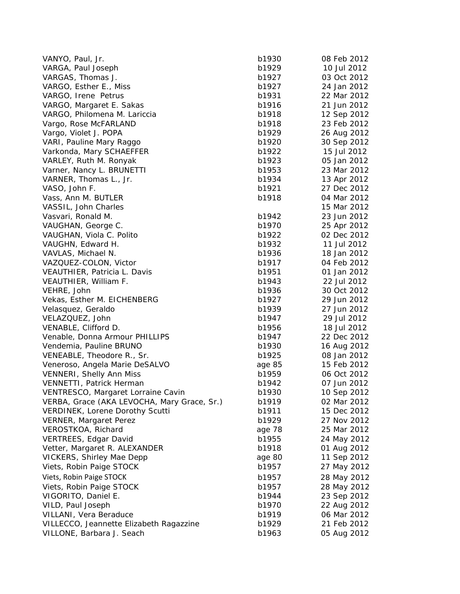| VANYO, Paul, Jr.                            | b1930  | 08 Feb 2012 |
|---------------------------------------------|--------|-------------|
| VARGA, Paul Joseph                          | b1929  | 10 Jul 2012 |
| VARGAS, Thomas J.                           | b1927  | 03 Oct 2012 |
| VARGO, Esther E., Miss                      | b1927  | 24 Jan 2012 |
| VARGO, Irene Petrus                         | b1931  | 22 Mar 2012 |
| VARGO, Margaret E. Sakas                    | b1916  | 21 Jun 2012 |
| VARGO, Philomena M. Lariccia                | b1918  | 12 Sep 2012 |
| Vargo, Rose McFARLAND                       | b1918  | 23 Feb 2012 |
| Vargo, Violet J. POPA                       | b1929  | 26 Aug 2012 |
| VARI, Pauline Mary Raggo                    | b1920  | 30 Sep 2012 |
| Varkonda, Mary SCHAEFFER                    | b1922  | 15 Jul 2012 |
| VARLEY, Ruth M. Ronyak                      | b1923  | 05 Jan 2012 |
| Varner, Nancy L. BRUNETTI                   | b1953  | 23 Mar 2012 |
| VARNER, Thomas L., Jr.                      | b1934  | 13 Apr 2012 |
| VASO, John F.                               | b1921  | 27 Dec 2012 |
| Vass, Ann M. BUTLER                         | b1918  | 04 Mar 2012 |
| VASSIL, John Charles                        |        | 15 Mar 2012 |
| Vasvari, Ronald M.                          | b1942  | 23 Jun 2012 |
| VAUGHAN, George C.                          | b1970  | 25 Apr 2012 |
| VAUGHAN, Viola C. Polito                    | b1922  | 02 Dec 2012 |
| VAUGHN, Edward H.                           | b1932  | 11 Jul 2012 |
| VAVLAS, Michael N.                          | b1936  | 18 Jan 2012 |
| VAZQUEZ-COLON, Victor                       | b1917  | 04 Feb 2012 |
| VEAUTHIER, Patricia L. Davis                | b1951  | 01 Jan 2012 |
| VEAUTHIER, William F.                       | b1943  | 22 Jul 2012 |
| VEHRE, John                                 | b1936  | 30 Oct 2012 |
| Vekas, Esther M. EICHENBERG                 | b1927  | 29 Jun 2012 |
| Velasquez, Geraldo                          | b1939  | 27 Jun 2012 |
| VELAZQUEZ, John                             | b1947  | 29 Jul 2012 |
| VENABLE, Clifford D.                        | b1956  | 18 Jul 2012 |
| Venable, Donna Armour PHILLIPS              | b1947  | 22 Dec 2012 |
| Vendemia, Pauline BRUNO                     | b1930  | 16 Aug 2012 |
| VENEABLE, Theodore R., Sr.                  | b1925  | 08 Jan 2012 |
| Veneroso, Angela Marie DeSALVO              | age 85 | 15 Feb 2012 |
| <b>VENNERI, Shelly Ann Miss</b>             | b1959  | 06 Oct 2012 |
| VENNETTI, Patrick Herman                    | b1942  | 07 Jun 2012 |
| VENTRESCO, Margaret Lorraine Cavin          | b1930  | 10 Sep 2012 |
| VERBA, Grace (AKA LEVOCHA, Mary Grace, Sr.) | b1919  | 02 Mar 2012 |
| <b>VERDINEK, Lorene Dorothy Scutti</b>      | b1911  | 15 Dec 2012 |
| <b>VERNER, Margaret Perez</b>               | b1929  | 27 Nov 2012 |
| VEROSTKOA, Richard                          | age 78 | 25 Mar 2012 |
| VERTREES, Edgar David                       | b1955  | 24 May 2012 |
| Vetter, Margaret R. ALEXANDER               | b1918  | 01 Aug 2012 |
| <b>VICKERS, Shirley Mae Depp</b>            | age 80 | 11 Sep 2012 |
| Viets, Robin Paige STOCK                    | b1957  |             |
|                                             |        | 27 May 2012 |
| Viets, Robin Paige STOCK                    | b1957  | 28 May 2012 |
| Viets, Robin Paige STOCK                    | b1957  | 28 May 2012 |
| VIGORITO, Daniel E.                         | b1944  | 23 Sep 2012 |
| VILD, Paul Joseph                           | b1970  | 22 Aug 2012 |
| VILLANI, Vera Beraduce                      | b1919  | 06 Mar 2012 |
| VILLECCO, Jeannette Elizabeth Ragazzine     | b1929  | 21 Feb 2012 |
| VILLONE, Barbara J. Seach                   | b1963  | 05 Aug 2012 |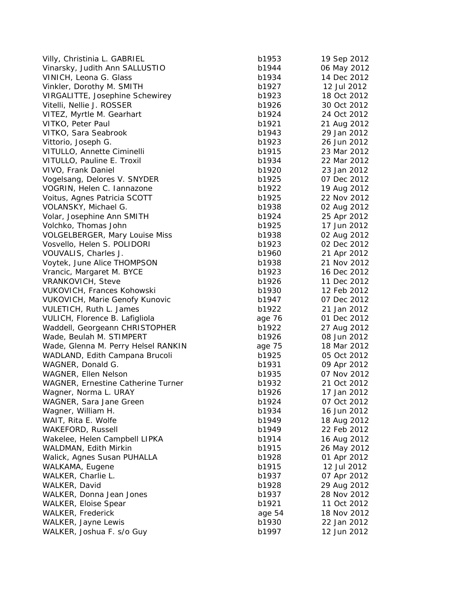| Villy, Christinia L. GABRIEL          | b1953  | 19 Sep 2012 |
|---------------------------------------|--------|-------------|
| Vinarsky, Judith Ann SALLUSTIO        | b1944  | 06 May 2012 |
| VINICH, Leona G. Glass                | b1934  | 14 Dec 2012 |
| Vinkler, Dorothy M. SMITH             | b1927  | 12 Jul 2012 |
| VIRGALITTE, Josephine Schewirey       | b1923  | 18 Oct 2012 |
| Vitelli, Nellie J. ROSSER             | b1926  | 30 Oct 2012 |
| VITEZ, Myrtle M. Gearhart             | b1924  | 24 Oct 2012 |
| VITKO, Peter Paul                     | b1921  | 21 Aug 2012 |
| VITKO, Sara Seabrook                  | b1943  | 29 Jan 2012 |
| Vittorio, Joseph G.                   | b1923  | 26 Jun 2012 |
| VITULLO, Annette Ciminelli            | b1915  | 23 Mar 2012 |
| VITULLO, Pauline E. Troxil            | b1934  | 22 Mar 2012 |
| VIVO, Frank Daniel                    | b1920  | 23 Jan 2012 |
| Vogelsang, Delores V. SNYDER          | b1925  | 07 Dec 2012 |
| VOGRIN, Helen C. Iannazone            | b1922  | 19 Aug 2012 |
| Voitus, Agnes Patricia SCOTT          | b1925  | 22 Nov 2012 |
| VOLANSKY, Michael G.                  | b1938  | 02 Aug 2012 |
| Volar, Josephine Ann SMITH            | b1924  | 25 Apr 2012 |
| Volchko, Thomas John                  | b1925  | 17 Jun 2012 |
| VOLGELBERGER, Mary Louise Miss        | b1938  | 02 Aug 2012 |
| Vosvello, Helen S. POLIDORI           | b1923  | 02 Dec 2012 |
| VOUVALIS, Charles J.                  | b1960  | 21 Apr 2012 |
| Voytek, June Alice THOMPSON           | b1938  | 21 Nov 2012 |
| Vrancic, Margaret M. BYCE             | b1923  | 16 Dec 2012 |
| <b>VRANKOVICH, Steve</b>              | b1926  | 11 Dec 2012 |
| VUKOVICH, Frances Kohowski            | b1930  | 12 Feb 2012 |
| <b>VUKOVICH, Marie Genofy Kunovic</b> | b1947  | 07 Dec 2012 |
| VULETICH, Ruth L. James               | b1922  | 21 Jan 2012 |
| VULICH, Florence B. Lafigliola        | age 76 | 01 Dec 2012 |
| Waddell, Georgeann CHRISTOPHER        | b1922  | 27 Aug 2012 |
| Wade, Beulah M. STIMPERT              | b1926  | 08 Jun 2012 |
| Wade, Glenna M. Perry Helsel RANKIN   | age 75 | 18 Mar 2012 |
| WADLAND, Edith Campana Brucoli        | b1925  | 05 Oct 2012 |
| WAGNER, Donald G.                     | b1931  | 09 Apr 2012 |
| WAGNER, Ellen Nelson                  | b1935  | 07 Nov 2012 |
| WAGNER, Ernestine Catherine Turner    | b1932  | 21 Oct 2012 |
| Wagner, Norma L. URAY                 | b1926  | 17 Jan 2012 |
| WAGNER, Sara Jane Green               | b1924  | 07 Oct 2012 |
| Wagner, William H.                    | b1934  | 16 Jun 2012 |
| WAIT, Rita E. Wolfe                   | b1949  | 18 Aug 2012 |
| <b>WAKEFORD, Russell</b>              | b1949  | 22 Feb 2012 |
| Wakelee, Helen Campbell LIPKA         | b1914  | 16 Aug 2012 |
| WALDMAN, Edith Mirkin                 | b1915  | 26 May 2012 |
| Walick, Agnes Susan PUHALLA           | b1928  | 01 Apr 2012 |
| WALKAMA, Eugene                       | b1915  | 12 Jul 2012 |
| WALKER, Charlie L.                    | b1937  | 07 Apr 2012 |
| WALKER, David                         | b1928  | 29 Aug 2012 |
| WALKER, Donna Jean Jones              | b1937  | 28 Nov 2012 |
| <b>WALKER, Eloise Spear</b>           | b1921  | 11 Oct 2012 |
| <b>WALKER, Frederick</b>              | age 54 | 18 Nov 2012 |
| WALKER, Jayne Lewis                   | b1930  | 22 Jan 2012 |
| WALKER, Joshua F. s/o Guy             | b1997  | 12 Jun 2012 |
|                                       |        |             |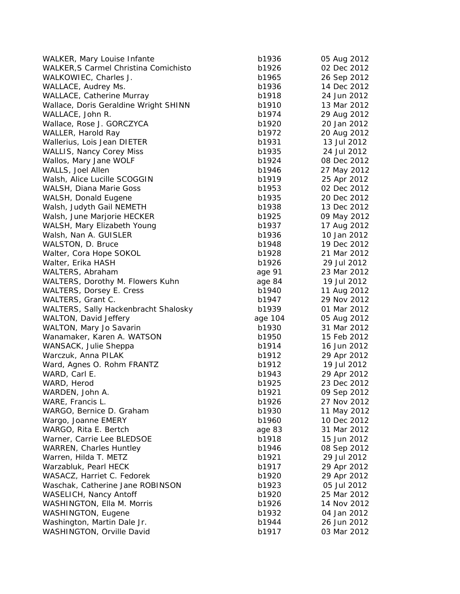| WALKER, Mary Louise Infante                  | b1936   | 05 Aug 2012 |
|----------------------------------------------|---------|-------------|
| <b>WALKER, S Carmel Christina Comichisto</b> | b1926   | 02 Dec 2012 |
| WALKOWIEC, Charles J.                        | b1965   | 26 Sep 2012 |
| WALLACE, Audrey Ms.                          | b1936   | 14 Dec 2012 |
| WALLACE, Catherine Murray                    | b1918   | 24 Jun 2012 |
| Wallace, Doris Geraldine Wright SHINN        | b1910   | 13 Mar 2012 |
| WALLACE, John R.                             | b1974   | 29 Aug 2012 |
| Wallace, Rose J. GORCZYCA                    | b1920   | 20 Jan 2012 |
| WALLER, Harold Ray                           | b1972   | 20 Aug 2012 |
| Wallerius, Lois Jean DIETER                  | b1931   | 13 Jul 2012 |
| <b>WALLIS, Nancy Corey Miss</b>              | b1935   | 24 Jul 2012 |
| Wallos, Mary Jane WOLF                       | b1924   | 08 Dec 2012 |
| WALLS, Joel Allen                            | b1946   | 27 May 2012 |
| Walsh, Alice Lucille SCOGGIN                 | b1919   | 25 Apr 2012 |
| WALSH, Diana Marie Goss                      | b1953   | 02 Dec 2012 |
| WALSH, Donald Eugene                         | b1935   | 20 Dec 2012 |
| Walsh, Judyth Gail NEMETH                    | b1938   | 13 Dec 2012 |
| Walsh, June Marjorie HECKER                  | b1925   | 09 May 2012 |
| WALSH, Mary Elizabeth Young                  | b1937   | 17 Aug 2012 |
| Walsh, Nan A. GUISLER                        | b1936   | 10 Jan 2012 |
| WALSTON, D. Bruce                            | b1948   | 19 Dec 2012 |
| Walter, Cora Hope SOKOL                      | b1928   | 21 Mar 2012 |
| Walter, Erika HASH                           | b1926   | 29 Jul 2012 |
| WALTERS, Abraham                             | age 91  | 23 Mar 2012 |
| WALTERS, Dorothy M. Flowers Kuhn             | age 84  | 19 Jul 2012 |
| <b>WALTERS, Dorsey E. Cress</b>              | b1940   | 11 Aug 2012 |
| WALTERS, Grant C.                            | b1947   | 29 Nov 2012 |
| WALTERS, Sally Hackenbracht Shalosky         | b1939   | 01 Mar 2012 |
| WALTON, David Jeffery                        | age 104 | 05 Aug 2012 |
| WALTON, Mary Jo Savarin                      | b1930   | 31 Mar 2012 |
| Wanamaker, Karen A. WATSON                   | b1950   | 15 Feb 2012 |
| WANSACK, Julie Sheppa                        | b1914   | 16 Jun 2012 |
| Warczuk, Anna PILAK                          | b1912   | 29 Apr 2012 |
| Ward, Agnes O. Rohm FRANTZ                   | b1912   | 19 Jul 2012 |
| WARD, Carl E.                                | b1943   | 29 Apr 2012 |
| WARD, Herod                                  | b1925   | 23 Dec 2012 |
| WARDEN, John A.                              | b1921   | 09 Sep 2012 |
| WARE, Francis L.                             | b1926   | 27 Nov 2012 |
| WARGO, Bernice D. Graham                     | b1930   | 11 May 2012 |
| Wargo, Joanne EMERY                          | b1960   | 10 Dec 2012 |
| WARGO, Rita E. Bertch                        | age 83  | 31 Mar 2012 |
| Warner, Carrie Lee BLEDSOE                   | b1918   | 15 Jun 2012 |
| <b>WARREN, Charles Huntley</b>               | b1946   | 08 Sep 2012 |
| Warren, Hilda T. METZ                        | b1921   | 29 Jul 2012 |
| Warzabluk, Pearl HECK                        | b1917   | 29 Apr 2012 |
| WASACZ, Harriet C. Fedorek                   | b1920   | 29 Apr 2012 |
| Waschak, Catherine Jane ROBINSON             | b1923   | 05 Jul 2012 |
| WASELICH, Nancy Antoff                       | b1920   | 25 Mar 2012 |
| WASHINGTON, Ella M. Morris                   | b1926   | 14 Nov 2012 |
| WASHINGTON, Eugene                           | b1932   | 04 Jan 2012 |
| Washington, Martin Dale Jr.                  | b1944   | 26 Jun 2012 |
| WASHINGTON, Orville David                    | b1917   | 03 Mar 2012 |
|                                              |         |             |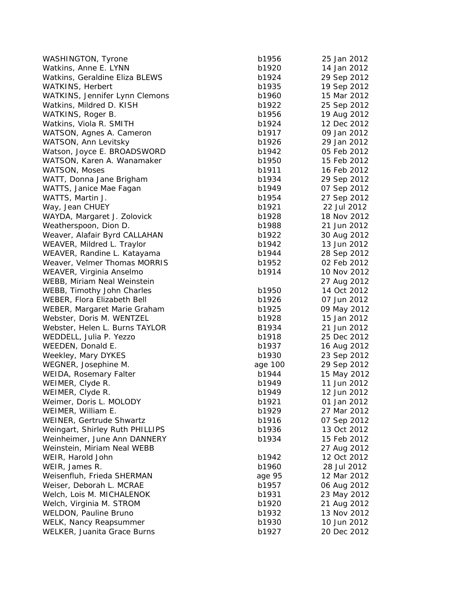| <b>WASHINGTON, Tyrone</b>       | b1956   | 25 Jan 2012 |
|---------------------------------|---------|-------------|
| Watkins, Anne E. LYNN           | b1920   | 14 Jan 2012 |
| Watkins, Geraldine Eliza BLEWS  | b1924   | 29 Sep 2012 |
| WATKINS, Herbert                | b1935   | 19 Sep 2012 |
| WATKINS, Jennifer Lynn Clemons  | b1960   | 15 Mar 2012 |
| Watkins, Mildred D. KISH        | b1922   | 25 Sep 2012 |
| WATKINS, Roger B.               | b1956   | 19 Aug 2012 |
| Watkins, Viola R. SMITH         | b1924   | 12 Dec 2012 |
| WATSON, Agnes A. Cameron        | b1917   | 09 Jan 2012 |
| WATSON, Ann Levitsky            | b1926   | 29 Jan 2012 |
| Watson, Joyce E. BROADSWORD     | b1942   | 05 Feb 2012 |
| WATSON, Karen A. Wanamaker      | b1950   | 15 Feb 2012 |
| WATSON, Moses                   | b1911   | 16 Feb 2012 |
| WATT, Donna Jane Brigham        | b1934   | 29 Sep 2012 |
| WATTS, Janice Mae Fagan         | b1949   | 07 Sep 2012 |
| WATTS, Martin J.                | b1954   | 27 Sep 2012 |
| Way, Jean CHUEY                 | b1921   | 22 Jul 2012 |
| WAYDA, Margaret J. Zolovick     | b1928   | 18 Nov 2012 |
| Weatherspoon, Dion D.           | b1988   | 21 Jun 2012 |
| Weaver, Alafair Byrd CALLAHAN   | b1922   | 30 Aug 2012 |
| WEAVER, Mildred L. Traylor      | b1942   | 13 Jun 2012 |
| WEAVER, Randine L. Katayama     | b1944   | 28 Sep 2012 |
| Weaver, Velmer Thomas MORRIS    | b1952   | 02 Feb 2012 |
| WEAVER, Virginia Anselmo        | b1914   | 10 Nov 2012 |
| WEBB, Miriam Neal Weinstein     |         | 27 Aug 2012 |
| WEBB, Timothy John Charles      | b1950   | 14 Oct 2012 |
| WEBER, Flora Elizabeth Bell     | b1926   | 07 Jun 2012 |
| WEBER, Margaret Marie Graham    | b1925   | 09 May 2012 |
| Webster, Doris M. WENTZEL       | b1928   | 15 Jan 2012 |
| Webster, Helen L. Burns TAYLOR  | B1934   | 21 Jun 2012 |
| WEDDELL, Julia P. Yezzo         | b1918   | 25 Dec 2012 |
| WEEDEN, Donald E.               | b1937   | 16 Aug 2012 |
| Weekley, Mary DYKES             | b1930   | 23 Sep 2012 |
| WEGNER, Josephine M.            | age 100 | 29 Sep 2012 |
| WEIDA, Rosemary Falter          | b1944   | 15 May 2012 |
| WEIMER, Clyde R.                | b1949   | 11 Jun 2012 |
| WEIMER, Clyde R.                | b1949   | 12 Jun 2012 |
| Weimer, Doris L. MOLODY         | b1921   | 01 Jan 2012 |
| WEIMER, William E.              | b1929   | 27 Mar 2012 |
| WEINER, Gertrude Shwartz        | b1916   | 07 Sep 2012 |
| Weingart, Shirley Ruth PHILLIPS | b1936   | 13 Oct 2012 |
| Weinheimer, June Ann DANNERY    | b1934   | 15 Feb 2012 |
| Weinstein, Miriam Neal WEBB     |         | 27 Aug 2012 |
| WEIR, Harold John               | b1942   | 12 Oct 2012 |
| WEIR, James R.                  | b1960   | 28 Jul 2012 |
| Weisenfluh, Frieda SHERMAN      | age 95  | 12 Mar 2012 |
| Weiser, Deborah L. MCRAE        | b1957   | 06 Aug 2012 |
| Welch, Lois M. MICHALENOK       | b1931   | 23 May 2012 |
| Welch, Virginia M. STROM        | b1920   | 21 Aug 2012 |
| WELDON, Pauline Bruno           | b1932   | 13 Nov 2012 |
| WELK, Nancy Reapsummer          | b1930   | 10 Jun 2012 |
| WELKER, Juanita Grace Burns     | b1927   | 20 Dec 2012 |
|                                 |         |             |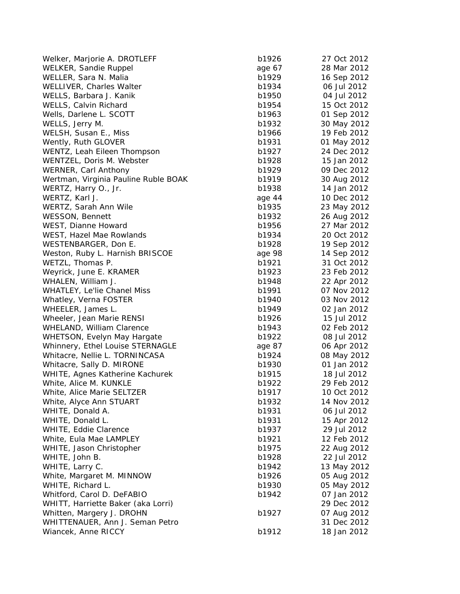| Welker, Marjorie A. DROTLEFF         | b1926  | 27 Oct 2012 |
|--------------------------------------|--------|-------------|
| WELKER, Sandie Ruppel                | age 67 | 28 Mar 2012 |
| WELLER, Sara N. Malia                | b1929  | 16 Sep 2012 |
| WELLIVER, Charles Walter             | b1934  | 06 Jul 2012 |
| WELLS, Barbara J. Kanik              | b1950  | 04 Jul 2012 |
| WELLS, Calvin Richard                | b1954  | 15 Oct 2012 |
| Wells, Darlene L. SCOTT              | b1963  | 01 Sep 2012 |
| WELLS, Jerry M.                      | b1932  | 30 May 2012 |
| WELSH, Susan E., Miss                | b1966  | 19 Feb 2012 |
| Wently, Ruth GLOVER                  | b1931  | 01 May 2012 |
| WENTZ, Leah Eileen Thompson          | b1927  | 24 Dec 2012 |
| WENTZEL, Doris M. Webster            | b1928  | 15 Jan 2012 |
| WERNER, Carl Anthony                 | b1929  | 09 Dec 2012 |
| Wertman, Virginia Pauline Ruble BOAK | b1919  | 30 Aug 2012 |
| WERTZ, Harry O., Jr.                 | b1938  | 14 Jan 2012 |
| WERTZ, Karl J.                       | age 44 | 10 Dec 2012 |
| WERTZ, Sarah Ann Wile                | b1935  | 23 May 2012 |
| WESSON, Bennett                      | b1932  | 26 Aug 2012 |
| WEST, Dianne Howard                  | b1956  | 27 Mar 2012 |
| WEST, Hazel Mae Rowlands             | b1934  | 20 Oct 2012 |
| WESTENBARGER, Don E.                 | b1928  | 19 Sep 2012 |
| Weston, Ruby L. Harnish BRISCOE      | age 98 | 14 Sep 2012 |
| WETZL, Thomas P.                     | b1921  | 31 Oct 2012 |
| Weyrick, June E. KRAMER              | b1923  | 23 Feb 2012 |
| WHALEN, William J.                   | b1948  | 22 Apr 2012 |
| <b>WHATLEY, Le'lie Chanel Miss</b>   | b1991  | 07 Nov 2012 |
| Whatley, Verna FOSTER                | b1940  | 03 Nov 2012 |
| WHEELER, James L.                    | b1949  | 02 Jan 2012 |
| Wheeler, Jean Marie RENSI            | b1926  | 15 Jul 2012 |
| WHELAND, William Clarence            | b1943  | 02 Feb 2012 |
| WHETSON, Evelyn May Hargate          | b1922  | 08 Jul 2012 |
| Whinnery, Ethel Louise STERNAGLE     | age 87 | 06 Apr 2012 |
| Whitacre, Nellie L. TORNINCASA       | b1924  | 08 May 2012 |
| Whitacre, Sally D. MIRONE            | b1930  | 01 Jan 2012 |
| WHITE, Agnes Katherine Kachurek      | b1915  | 18 Jul 2012 |
| White, Alice M. KUNKLE               | b1922  | 29 Feb 2012 |
| White, Alice Marie SELTZER           | b1917  | 10 Oct 2012 |
| White, Alyce Ann STUART              | b1932  | 14 Nov 2012 |
| WHITE, Donald A.                     | b1931  | 06 Jul 2012 |
| WHITE, Donald L.                     | b1931  | 15 Apr 2012 |
| WHITE, Eddie Clarence                | b1937  | 29 Jul 2012 |
| White, Eula Mae LAMPLEY              | b1921  | 12 Feb 2012 |
| WHITE, Jason Christopher             | b1975  | 22 Aug 2012 |
| WHITE, John B.                       | b1928  | 22 Jul 2012 |
| WHITE, Larry C.                      | b1942  | 13 May 2012 |
| White, Margaret M. MINNOW            | b1926  | 05 Aug 2012 |
| WHITE, Richard L.                    | b1930  | 05 May 2012 |
| Whitford, Carol D. DeFABIO           | b1942  | 07 Jan 2012 |
| WHITT, Harriette Baker (aka Lorri)   |        | 29 Dec 2012 |
| Whitten, Margery J. DROHN            | b1927  | 07 Aug 2012 |
| WHITTENAUER, Ann J. Seman Petro      |        | 31 Dec 2012 |
| Wiancek, Anne RICCY                  | b1912  | 18 Jan 2012 |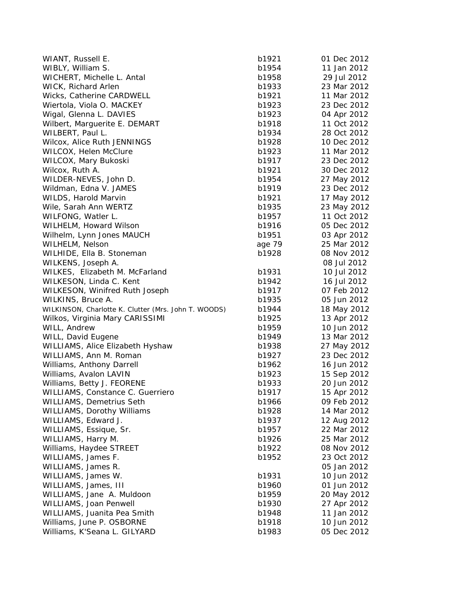| WIANT, Russell E.                                    | b1921  | 01 Dec 2012 |
|------------------------------------------------------|--------|-------------|
| WIBLY, William S.                                    | b1954  | 11 Jan 2012 |
| WICHERT, Michelle L. Antal                           | b1958  | 29 Jul 2012 |
| WICK, Richard Arlen                                  | b1933  | 23 Mar 2012 |
| Wicks, Catherine CARDWELL                            | b1921  | 11 Mar 2012 |
| Wiertola, Viola O. MACKEY                            | b1923  | 23 Dec 2012 |
| Wigal, Glenna L. DAVIES                              | b1923  | 04 Apr 2012 |
| Wilbert, Marguerite E. DEMART                        | b1918  | 11 Oct 2012 |
| WILBERT, Paul L.                                     | b1934  | 28 Oct 2012 |
| Wilcox, Alice Ruth JENNINGS                          | b1928  | 10 Dec 2012 |
| WILCOX, Helen McClure                                | b1923  | 11 Mar 2012 |
| WILCOX, Mary Bukoski                                 | b1917  | 23 Dec 2012 |
| Wilcox, Ruth A.                                      | b1921  | 30 Dec 2012 |
| WILDER-NEVES, John D.                                | b1954  | 27 May 2012 |
| Wildman, Edna V. JAMES                               | b1919  | 23 Dec 2012 |
| WILDS, Harold Marvin                                 | b1921  | 17 May 2012 |
| Wile, Sarah Ann WERTZ                                | b1935  | 23 May 2012 |
| WILFONG, Watler L.                                   | b1957  | 11 Oct 2012 |
| WILHELM, Howard Wilson                               | b1916  | 05 Dec 2012 |
| Wilhelm, Lynn Jones MAUCH                            | b1951  | 03 Apr 2012 |
| WILHELM, Nelson                                      | age 79 | 25 Mar 2012 |
| WILHIDE, Ella B. Stoneman                            | b1928  | 08 Nov 2012 |
| WILKENS, Joseph A.                                   |        | 08 Jul 2012 |
| WILKES, Elizabeth M. McFarland                       | b1931  | 10 Jul 2012 |
| WILKESON, Linda C. Kent                              | b1942  | 16 Jul 2012 |
| WILKESON, Winifred Ruth Joseph                       | b1917  | 07 Feb 2012 |
| WILKINS, Bruce A.                                    | b1935  | 05 Jun 2012 |
| WILKINSON, Charlotte K. Clutter (Mrs. John T. WOODS) | b1944  | 18 May 2012 |
| Wilkos, Virginia Mary CARISSIMI                      | b1925  | 13 Apr 2012 |
| WILL, Andrew                                         | b1959  | 10 Jun 2012 |
| WILL, David Eugene                                   | b1949  | 13 Mar 2012 |
| WILLIAMS, Alice Elizabeth Hyshaw                     | b1938  | 27 May 2012 |
| WILLIAMS, Ann M. Roman                               | b1927  | 23 Dec 2012 |
| Williams, Anthony Darrell                            | b1962  | 16 Jun 2012 |
| Williams, Avalon LAVIN                               | b1923  | 15 Sep 2012 |
| Williams, Betty J. FEORENE                           | b1933  | 20 Jun 2012 |
| WILLIAMS, Constance C. Guerriero                     | b1917  | 15 Apr 2012 |
| <b>WILLIAMS, Demetrius Seth</b>                      | b1966  | 09 Feb 2012 |
| <b>WILLIAMS, Dorothy Williams</b>                    | b1928  | 14 Mar 2012 |
| WILLIAMS, Edward J.                                  | b1937  | 12 Aug 2012 |
| WILLIAMS, Essique, Sr.                               | b1957  | 22 Mar 2012 |
| WILLIAMS, Harry M.                                   | b1926  | 25 Mar 2012 |
| Williams, Haydee STREET                              | b1922  | 08 Nov 2012 |
| WILLIAMS, James F.                                   | b1952  | 23 Oct 2012 |
| WILLIAMS, James R.                                   |        | 05 Jan 2012 |
|                                                      |        |             |
| WILLIAMS, James W.                                   | b1931  | 10 Jun 2012 |
| WILLIAMS, James, III                                 | b1960  | 01 Jun 2012 |
| WILLIAMS, Jane A. Muldoon                            | b1959  | 20 May 2012 |
| WILLIAMS, Joan Penwell                               | b1930  | 27 Apr 2012 |
| WILLIAMS, Juanita Pea Smith                          | b1948  | 11 Jan 2012 |
| Williams, June P. OSBORNE                            | b1918  | 10 Jun 2012 |
| Williams, K'Seana L. GILYARD                         | b1983  | 05 Dec 2012 |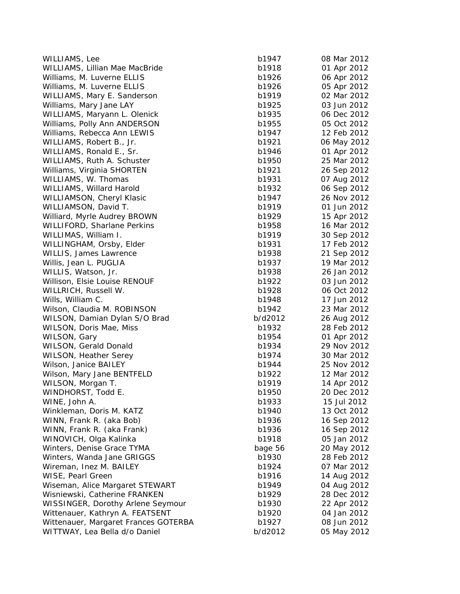WILLIAMS, Lee b1947 b1947 b1947 b1947 b1947 b1947 b1947 b1947 b1947 b1947 b1947 b1947 b1947 b1947 b1947 b1947 WILLIAMS, Lillian Mae MacBride b1919 1919 1919 b1918 b1919 b1918 b1918 b1918 b1918 b1918 b1918 b1918 b1918 b19 Williams, M. Luverne ELLIS b1936 b1926 b1936 b1936 b1936 b1936 b1936 b1936 b1936 b Williams, M. Luverne ELLIS b1936 b1936 b1936 b1936 b1936 b1936 b1936 b1936 b1936 b WILLIAMS, Mary E. Sanderson b1919 02 Mar 2012 02 Mar 2019 02 Mar 2019 02 Mar 2019 02 Mar 2019 02 Mar 2019 02 Mar 2013 02 Mar 2013 02 Mar 2012 02 Mar 2012 02 Mar 2019 02 Mar 2012 02 Mar 2019 02 Mar 2019 02 Mar 2019 02 Mar 2 Williams, Mary Jane LAY b1935 03 Jun 2012 03 Jun 2013 03 Jun 2013 03 Jun 2013 03 Jun 2013 03 Jun 2013 03 Jun 20 WILLIAMS, Maryann L. Olenick b1935 b1935 b1935 b1935 b1935 b1935 b1935 b1935 b1935 b1935 b1935 b1935 b1935 b19 Williams, Polly Ann ANDERSON b1955 b1955 b1955 b1955 b1955 b1955 b1955 b1955 b1955 b1955 b1955 b1955 b1955 b19 Williams, Rebecca Ann LEWIS 12 Feb 2012 12 Feb 2012 12 Feb 2014 12 Feb 2014 12 Feb 2014 12 Feb 2014 12 Feb 201 WILLIAMS, Robert B., Jr. b1921 06 May 2012 06 May 2014 06 May 2013 06 May 2014 07:30 May 2014 07:30 May 2014 0 WILLIAMS, Ronald E., Sr. b1946 01 Apr 2014 01 Apr 2014 01 Apr 2014 01 Apr 2014 01 Apr 2014 01 Apr 2014 01 Apr 2014 01 Apr 2014 01 Apr 2014 01 Apr 2014 01 Apr 2014 01 Apr 2014 01 Apr 2014 01 Apr 2014 01 Apr 2014 01 Apr 2014 WILLIAMS, Ruth A. Schuster b1950 25 Mar 2012 25 Mar 2013 Williams, Virginia SHORTEN b1921 26 Sep 2012 26 Sep 2012 26 Sep 2012 26 Sep 2012 26 Sep 2013 26 Sep 2013 26 Sep 2013 26 Sep 2012 26 Sep 2012 26 Sep 2012 26 Sep 2012 26 Sep 2012 26 Sep 2012 26 Sep 2012 26 Sep 2012 26 Sep 20 WILLIAMS, W. Thomas b1931 b1931 b1931 b1931 b1931 b1931 b1931 b1931 b1931 b1931 b WILLIAMS, Willard Harold b1932 06 Sep 2013 1932 06 Sep 2013 1932 06 Sep 2013 06 Sep 2013 06 Sep 2013 06 Sep 20 WILLIAMSON, Cheryl Klasic b1947 26 Nov 2012 26 Nov 2012 26 Nov 2012 26 Nov 2013 26 Nov 2013 26 Nov 2013 26 Nov WILLIAMSON, David T. b1919 01 Jun 2012 01 Jun 2013 01 Jun 2013 01 Jun 2013 01 Jun 2013 01 Jun 2013 01 Jun 2013 0 Williard, Myrle Audrey BROWN b1939 15 b1939 b1939 b1939 b1939 b1939 b1939 b1939 b WILLIFORD, Sharlane Perkins b1958 16 March 2013 16 March 2013 16 March 2013 16 March 2013 16 March 2013 16 Mar WILLIMAS, William I. b1919 30 Sep 2013 30 Sep 2013 30 Sep 2013 30 Sep 2013 31 Sep 2013 31 Sep 2013 31 Sep 2013 31 Sep 2013 31 Sep 2013 31 Sep 2013 31 Sep 2013 31 Sep 2013 31 Sep 2013 31 Sep 2013 31 Sep 2013 31 Sep 2013 31 WILLINGHAM, Orsby, Elder b1931 17 Feb 2013 WILLIS, James Lawrence b1938 21 Sep 2013 21 Sep 2013 21 B Willis, Jean L. PUGLIA b1937 19 March 2013 19 March 2013 19 March 2013 19 March 2013 19 March 2013 19 March 20 WILLIS, Watson, Jr. b1938 26 Jan 2013 26 Jan 2013 26 Jan 2013 26 Jan 2013 27 Jan 2013 27 Jan 2013 27 Jan 2013 27 Jan 2013 27 Jan 2013 27 Jan 2013 27 Jan 2013 27 Jan 2013 27 Jan 2013 27 Jan 2014 27 Jan 2014 27 Jan 2014 27 J Willison, Elsie Louise RENOUF b1932 b1932 b1932 b1932 b1932 b1932 b1932 b1932 b1932 b1932 b1932 b1932 b1932 b1932 b1932 b1932 b1932 b1932 b1932 b1932 b1932 b1932 b1932 b1932 b1932 b1932 b1932 b1932 b1932 b1932 b1932 b1932 WILLRICH, Russell W. b1928 06 Oct 2012 07:38 06 Oct 2013 07:38 06 Oct 2013 07:38 07:39 Oct 2013 07:38 07:39 Oct 2013 07:38 07:39 Oct 2013 07:38 07:39 Oct 2013 07:39 Oct 2013 07:39 Oct 2013 07:39 Oct 2013 07:39 Oct 2013 07: Wills, William C. b1948 17 Jun 2012 17 Jun 2012 17 Jun 2013 17 Jun 2012 17 Jun 2013 18:30 19:40 19:40 19:40 19:40 Wilson, Claudia M. ROBINSON b1942 23 Mar 2012 23 Mar 2012 23 Mar 2013 23 Mar 2013 23 Mar 2013 23 Mar 2013 23 Ma WILSON, Damian Dylan S/O Brad b/d2012 26 b/d2012 26 b/d2012 26 Aug 2012 26 Aug 2012 26 Aug 2012 26 Aug 2012 26 Aug 2012 26 Aug 2012 26 Aug 2012 26 Aug 2012 27 Aug 2012 27 Aug 2012 27 Aug 2012 27 Aug 2012 27 Aug 2012 27 Aug WILSON, Doris Mae, Miss b1932 28 Feb 2012 28 Feb 2012 28 Feb 2012 28 Feb 2013 28 Feb 2013 28 Feb 2013 28 Feb 20 WILSON, Gary b1955 of the USD and the USD b1954 of the USD and the USD b1954 of the USD b1954 of the USD b1954 WILSON, Gerald Donald b1934 29 Nov 2012 29 Nov 2012 2013 2014 2013 2012 2013 2014 2013 2014 2013 2014 2013 201 WILSON, Heather Serey b1974 30 Mar 2012 30 Mar 2012 30 Mar 2012 30 Mar 2013 30 Mar 2014 30 Mar 2013 30 Mar 201 Wilson, Janice BAILEY b1944 25 Nov 2012 Wilson, Mary Jane BENTFELD b1922 b1922 b1922 b1922 b1922 b1922 b1922 b1922 b1922 b1922 b1922 b1922 b WILSON, Morgan T. b1919 14 Apr 2012 14 Apr 2012 14 Apr 2012 14 Apr 2013 14 Apr 2014 14 Apr 2013 14 Apr 2014 14 Apr 2014 14 Apr 2012 14 Apr 2012 14 Apr 2012 14 Apr 2012 14 Apr 2012 14 Apr 2012 14 Apr 2014 14 Apr 2012 14 Apr WINDHORST, Todd E. b1950 b1950 2012 b1950 b1950 b1950 b1950 b1950 b1950 b1950 b1950 b1950 b1950 b1950 b1950 b19 WINE, John A. b1933 15 Jul 2013 15 Jul 2013 15 Jul 2013 15 Jul 2013 15 Jul 2013 15 Jul 2013 15 Jul 2013 15 Jul 2013 15 Jul 2013 15 Jul 2013 15 Jul 2013 15 Jul 2013 15 Jul 2013 15 Jul 2013 15 Jul 2013 15 Jul 2013 15 Jul 201 Winkleman, Doris M. KATZ b1940 13 Oct 2013 13 Oct 2014 13 Oct 2013 13 Oct 2014 13 Oct 2014 13 Oct 2014 13 Oct 2014 13 Oct 2014 13 Oct 2014 13 Oct 2014 13 Oct 2014 13 Oct 2014 13 Oct 2014 13 Oct 2014 13 Oct 2014 13 Oct 2014 WINN, Frank R. (aka Bob) b1936 16 Sep 2013 16 Sep 2013 16 Sep 2013 16 Sep 2013 16 Sep 2013 16 Sep 2013 16 Sep 2013 16 Sep 2013 16 Sep 2013 16 Sep 2013 16 Sep 2013 16 Sep 2013 16 Sep 2013 16 Sep 2013 16 Sep 2013 16 Sep 2013 WINN, Frank R. (aka Frank) b1936 16 Sep 2013 16 Sep 2013 16 Sep 2013 16 Sep 2013 16 Sep 2013 16 Sep 2013 16 Sep 2013 16 Sep 2013 16 Sep 2013 16 Sep 2013 16 Sep 2013 16 Sep 2013 16 Sep 2013 16 Sep 2013 16 Sep 2013 16 Sep 20 WINOVICH, Olga Kalinka b1919 05 Jan 2012 05 Jan 2013 05 Jan 2013 05 Jan 2013 05 Jan 2013 06 Jan 2013 05 Jan 20 Winters, Denise Grace TYMA bage 56 2021 Winters, Wanda Jane GRIGGS b1930 28 Feb 2012 Wireman, Inez M. BAILEY b1924 of the b1924 of b1924 of the b1924 of b1924 of b1924 of b1934 of b1934 of b1932 o WISE, Pearl Green b1916 14 Aug 2012 14 Aug 2013 14 Aug 2014 14 Aug 2014 14 Aug 2014 14 Aug 2014 14 Aug 2014 14 Aug 2014 14 Aug 2014 14 Aug 2014 14 Aug 2014 14 Aug 2014 14 Aug 2014 14 Aug 2014 14 Aug 2014 14 Aug 2014 14 Aug Wiseman, Alice Margaret STEWART b1949 b1949 b1949 b1949 b1949 b1949 b1949 b1949 b Wisniewski, Catherine FRANKEN b1939 b1939 b1939 b1939 b1939 b1939 b1939 b1939 b1939 b1939 b1939 b1939 b1939 b1939 b1939 b1939 b1939 b1939 b1939 b1939 b1939 b1939 b1939 b1939 b1939 b1939 b1939 b1939 b1939 b1939 b1939 b1939 WISSINGER, Dorothy Arlene Seymour b1930 22 Wittenauer, Kathryn A. FEATSENT b1920 b1920 b1930 b1930 b1930 b1930 b1930 b1930 b Wittenauer, Margaret Frances GOTERBA b1937 b WITTWAY, Lea Bella d/o Daniel b/d2012 05 May 2012 05 May 2012 05 May 2012 05 May 2012 05 May 2012 05 May 2012 05 May 2012 05 May 2012 05 May 2012 05 May 2012 05 May 2012 05 May 2012 05 May 2012 05 May 2012 05 May 2012 05 M

| 1947   | 08 Mar 2012 |
|--------|-------------|
| 1918   | 01 Apr 2012 |
| 1926   | 06 Apr 2012 |
| 1926   | 05 Apr 2012 |
| 1919   | 02 Mar 2012 |
| 1925   | 03 Jun 2012 |
| 1935   | 06 Dec 2012 |
| 1955   | 05 Oct 2012 |
| 1947   | 12 Feb 2012 |
| 1921   | 06 May 2012 |
| 1946   | 01 Apr 2012 |
| 1950   | 25 Mar 2012 |
| 1921   | 26 Sep 2012 |
| 1931   | 07 Aug 2012 |
| 1932   | 06 Sep 2012 |
| 1947   | 26 Nov 2012 |
| 1919   | 01 Jun 2012 |
| 1929   | 15 Apr 2012 |
| 1958   | 16 Mar 2012 |
| 1919   | 30 Sep 2012 |
| 1931   | 17 Feb 2012 |
| 1938   | 21 Sep 2012 |
| 1937   | 19 Mar 2012 |
| 1938   | 26 Jan 2012 |
| 1922   | 03 Jun 2012 |
| 1928   | 06 Oct 2012 |
| 1948   | 17 Jun 2012 |
| 1942   | 23 Mar 2012 |
| d2012  | 26 Aug 2012 |
| 1932   | 28 Feb 2012 |
| 1954   | 01 Apr 2012 |
| 1934   | 29 Nov 2012 |
| 1974   | 30 Mar 2012 |
| 1944   | 25 Nov 2012 |
| 1922   | 12 Mar 2012 |
| 1919   | 14 Apr 2012 |
| 1950   | 20 Dec 2012 |
| 1933   | 15 Jul 2012 |
| 1940   | 13 Oct 2012 |
| 1936   | 16 Sep 2012 |
| 1936   | 16 Sep 2012 |
| 1918   | 05 Jan 2012 |
| ige 56 | 20 May 2012 |
| 1930   | 28 Feb 2012 |
| 1924   | 07 Mar 2012 |
| 1916   | 14 Aug 2012 |
| 1949   | 04 Aug 2012 |
| 1929   | 28 Dec 2012 |
| 1930   | 22 Apr 2012 |
| 1920   | 04 Jan 2012 |
| 1927   | 08 Jun 2012 |
| d2012  | 05 May 2012 |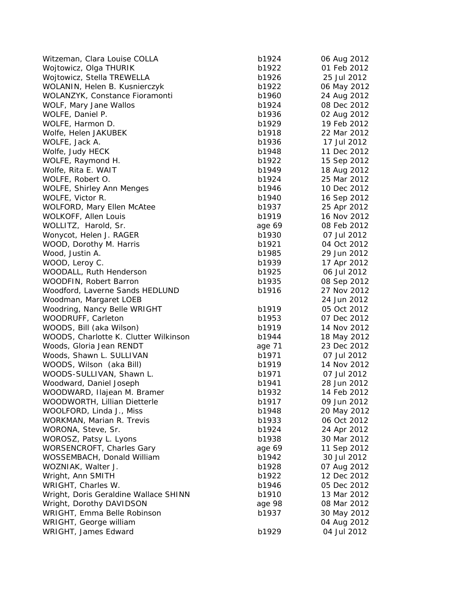| Witzeman, Clara Louise COLLA          | b1924  | 06 Aug 2012 |
|---------------------------------------|--------|-------------|
| Wojtowicz, Olga THURIK                | b1922  | 01 Feb 2012 |
| Wojtowicz, Stella TREWELLA            | b1926  | 25 Jul 2012 |
| WOLANIN, Helen B. Kusnierczyk         | b1922  | 06 May 2012 |
| WOLANZYK, Constance Fioramonti        | b1960  | 24 Aug 2012 |
| WOLF, Mary Jane Wallos                | b1924  | 08 Dec 2012 |
| WOLFE, Daniel P.                      | b1936  | 02 Aug 2012 |
| WOLFE, Harmon D.                      | b1929  | 19 Feb 2012 |
| Wolfe, Helen JAKUBEK                  | b1918  | 22 Mar 2012 |
| WOLFE, Jack A.                        | b1936  | 17 Jul 2012 |
| Wolfe, Judy HECK                      | b1948  | 11 Dec 2012 |
| WOLFE, Raymond H.                     | b1922  | 15 Sep 2012 |
| Wolfe, Rita E. WAIT                   | b1949  | 18 Aug 2012 |
| WOLFE, Robert O.                      | b1924  | 25 Mar 2012 |
| <b>WOLFE, Shirley Ann Menges</b>      | b1946  | 10 Dec 2012 |
| WOLFE, Victor R.                      | b1940  | 16 Sep 2012 |
| WOLFORD, Mary Ellen McAtee            | b1937  | 25 Apr 2012 |
| <b>WOLKOFF, Allen Louis</b>           | b1919  | 16 Nov 2012 |
| WOLLITZ, Harold, Sr.                  | age 69 | 08 Feb 2012 |
| Wonycot, Helen J. RAGER               | b1930  | 07 Jul 2012 |
| WOOD, Dorothy M. Harris               | b1921  | 04 Oct 2012 |
| Wood, Justin A.                       | b1985  | 29 Jun 2012 |
| WOOD, Leroy C.                        | b1939  | 17 Apr 2012 |
| WOODALL, Ruth Henderson               | b1925  | 06 Jul 2012 |
| <b>WOODFIN, Robert Barron</b>         | b1935  | 08 Sep 2012 |
| Woodford, Laverne Sands HEDLUND       | b1916  | 27 Nov 2012 |
| Woodman, Margaret LOEB                |        | 24 Jun 2012 |
| Woodring, Nancy Belle WRIGHT          | b1919  | 05 Oct 2012 |
| WOODRUFF, Carleton                    | b1953  | 07 Dec 2012 |
| WOODS, Bill (aka Wilson)              | b1919  | 14 Nov 2012 |
| WOODS, Charlotte K. Clutter Wilkinson | b1944  | 18 May 2012 |
| Woods, Gloria Jean RENDT              | age 71 | 23 Dec 2012 |
| Woods, Shawn L. SULLIVAN              | b1971  | 07 Jul 2012 |
| WOODS, Wilson (aka Bill)              | b1919  | 14 Nov 2012 |
| WOODS-SULLIVAN, Shawn L.              | b1971  | 07 Jul 2012 |
| Woodward, Daniel Joseph               | b1941  | 28 Jun 2012 |
| WOODWARD, Ilajean M. Bramer           | b1932  | 14 Feb 2012 |
| WOODWORTH, Lillian Dietterle          | b1917  | 09 Jun 2012 |
| WOOLFORD, Linda J., Miss              | b1948  | 20 May 2012 |
| WORKMAN, Marian R. Trevis             | b1933  | 06 Oct 2012 |
| WORONA, Steve, Sr.                    | b1924  | 24 Apr 2012 |
| WOROSZ, Patsy L. Lyons                | b1938  | 30 Mar 2012 |
| <b>WORSENCROFT, Charles Gary</b>      | age 69 | 11 Sep 2012 |
| WOSSEMBACH, Donald William            | b1942  | 30 Jul 2012 |
| WOZNIAK, Walter J.                    | b1928  | 07 Aug 2012 |
| Wright, Ann SMITH                     | b1922  | 12 Dec 2012 |
| WRIGHT, Charles W.                    | b1946  | 05 Dec 2012 |
| Wright, Doris Geraldine Wallace SHINN | b1910  | 13 Mar 2012 |
| Wright, Dorothy DAVIDSON              | age 98 | 08 Mar 2012 |
| WRIGHT, Emma Belle Robinson           | b1937  | 30 May 2012 |
| WRIGHT, George william                |        | 04 Aug 2012 |
| WRIGHT, James Edward                  | b1929  | 04 Jul 2012 |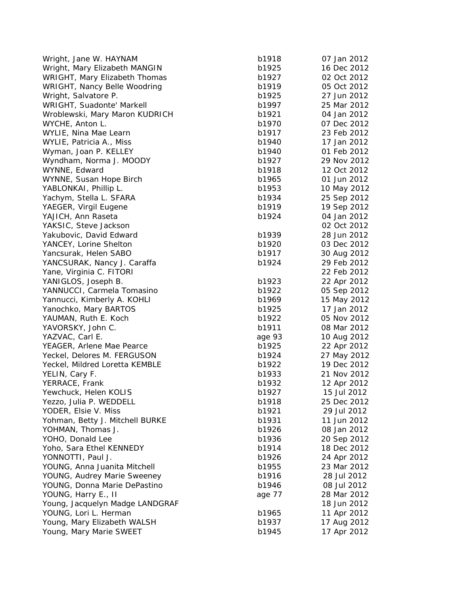| Wright, Jane W. HAYNAM          | b1918  | 07 Jan 2012                |
|---------------------------------|--------|----------------------------|
| Wright, Mary Elizabeth MANGIN   | b1925  | 16 Dec 2012                |
| WRIGHT, Mary Elizabeth Thomas   | b1927  | 02 Oct 2012                |
| WRIGHT, Nancy Belle Woodring    | b1919  | 05 Oct 2012                |
| Wright, Salvatore P.            | b1925  | 27 Jun 2012                |
| WRIGHT, Suadonte' Markell       | b1997  | 25 Mar 2012                |
| Wroblewski, Mary Maron KUDRICH  | b1921  | 04 Jan 2012                |
| WYCHE, Anton L.                 | b1970  | 07 Dec 2012                |
| WYLIE, Nina Mae Learn           | b1917  | 23 Feb 2012                |
| WYLIE, Patricia A., Miss        | b1940  | 17 Jan 2012                |
| Wyman, Joan P. KELLEY           | b1940  | 01 Feb 2012                |
| Wyndham, Norma J. MOODY         | b1927  | 29 Nov 2012                |
| WYNNE, Edward                   | b1918  | 12 Oct 2012                |
| WYNNE, Susan Hope Birch         | b1965  | 01 Jun 2012                |
| YABLONKAI, Phillip L.           | b1953  | 10 May 2012                |
| Yachym, Stella L. SFARA         | b1934  | 25 Sep 2012                |
| YAEGER, Virgil Eugene           | b1919  | 19 Sep 2012                |
| YAJICH, Ann Raseta              | b1924  | 04 Jan 2012                |
| YAKSIC, Steve Jackson           |        | 02 Oct 2012                |
| Yakubovic, David Edward         | b1939  | 28 Jun 2012                |
| YANCEY, Lorine Shelton          | b1920  | 03 Dec 2012                |
| Yancsurak, Helen SABO           | b1917  | 30 Aug 2012                |
| YANCSURAK, Nancy J. Caraffa     | b1924  | 29 Feb 2012                |
| Yane, Virginia C. FITORI        |        | 22 Feb 2012                |
| YANIGLOS, Joseph B.             | b1923  |                            |
|                                 | b1922  | 22 Apr 2012                |
| YANNUCCI, Carmela Tomasino      | b1969  | 05 Sep 2012                |
| Yannucci, Kimberly A. KOHLI     |        | 15 May 2012<br>17 Jan 2012 |
| Yanochko, Mary BARTOS           | b1925  |                            |
| YAUMAN, Ruth E. Koch            | b1922  | 05 Nov 2012                |
| YAVORSKY, John C.               | b1911  | 08 Mar 2012                |
| YAZVAC, Carl E.                 | age 93 | 10 Aug 2012                |
| YEAGER, Arlene Mae Pearce       | b1925  | 22 Apr 2012                |
| Yeckel, Delores M. FERGUSON     | b1924  | 27 May 2012                |
| Yeckel, Mildred Loretta KEMBLE  | b1922  | 19 Dec 2012                |
| YELIN, Cary F.                  | b1933  | 21 Nov 2012                |
| YERRACE, Frank                  | b1932  | 12 Apr 2012                |
| Yewchuck, Helen KOLIS           | b1927  | 15 Jul 2012                |
| Yezzo, Julia P. WEDDELL         | b1918  | 25 Dec 2012                |
| YODER, Elsie V. Miss            | b1921  | 29 Jul 2012                |
| Yohman, Betty J. Mitchell BURKE | b1931  | 11 Jun 2012                |
| YOHMAN, Thomas J.               | b1926  | 08 Jan 2012                |
| YOHO, Donald Lee                | b1936  | 20 Sep 2012                |
| Yoho, Sara Ethel KENNEDY        | b1914  | 18 Dec 2012                |
| YONNOTTI, Paul J.               | b1926  | 24 Apr 2012                |
| YOUNG, Anna Juanita Mitchell    | b1955  | 23 Mar 2012                |
| YOUNG, Audrey Marie Sweeney     | b1916  | 28 Jul 2012                |
| YOUNG, Donna Marie DePastino    | b1946  | 08 Jul 2012                |
| YOUNG, Harry E., II             | age 77 | 28 Mar 2012                |
| Young, Jacquelyn Madge LANDGRAF |        | 18 Jun 2012                |
| YOUNG, Lori L. Herman           | b1965  | 11 Apr 2012                |
| Young, Mary Elizabeth WALSH     | b1937  | 17 Aug 2012                |
| Young, Mary Marie SWEET         | b1945  | 17 Apr 2012                |
|                                 |        |                            |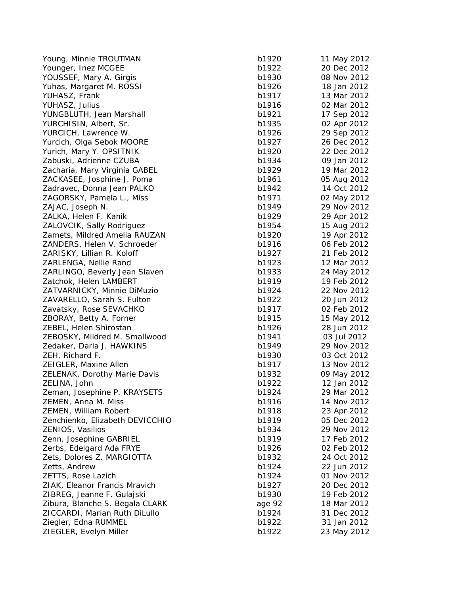Young, Minnie TROUTMAN b1 Younger, Inez MCGEE b1922 b1922 b1922 b1922 b1922 b1922 b1922 b1922 b1922 b1922 b1922 b1922 b1922 b1922 b1922 b1922 b1922 b1922 b1922 b1922 b1922 b1922 b1922 b1922 b1922 b1922 b1922 b1922 b1922 b1922 b1922 b1922 b1922 b192 YOUSSEF, Mary A. Girgis b1930 08 Nov 2012 08 Nov 2012 08 Nov 2012 08 Nov 2012 08 Nov 2012 08 Nov 201 Yuhas, Margaret M. ROSSI b1 YUHASZ, Frank b1 YUHASZ, Julius b1 YUNGBLUTH, Jean Marshall b1 YURCHISIN, Albert, Sr. b1 YURCICH, Lawrence W. b1 Yurcich, Olga Sebok MOORE b1 Yurich, Mary Y. OPSITNIK b1920 22 Dec 2012 22 Dec 2012 12:30 Dec 2012 12:30 Dec 2012 12:30 Dec 2012 12:30 Dec 20 Zabuski, Adrienne CZUBA b1 Zacharia, Mary Virginia GABEL b1 ZACKASEE, Josphine J. Poma b1 Zadravec, Donna Jean PALKO b1 ZAGORSKY, Pamela L., Miss b1 ZAJAC, Joseph N. b1949 b1949 and 2012 b1949 b1949 b1949 b1949 b1949 b1949 b1949 b1949 b1949 b1949 b1949 b1949 b1949 b1949 b1949 b1949 b1949 b1949 b1949 b1949 b1949 b1949 b1949 b1949 b1949 b1949 b1949 b1949 b1949 b1949 b194 ZALKA, Helen F. Kanik b1929 and 2012 29 Apr 2012 2013 2012 2013 2012 2013 2012 2013 2012 2013 2012 2013 2012 20 ZALOVCIK, Sally Rodriguez b1 Zamets, Mildred Amelia RAUZAN b1 ZANDERS, Helen V. Schroeder b1 ZARISKY, Lillian R. Koloff b1927 b1927 b1927 b1927 b1927 b1927 b1927 b1927 b1927 b1927 b1927 b1927 b1927 b1927 ZARLENGA, Nellie Rand b1 ZARLINGO, Beverly Jean Slaven b1 Zatchok, Helen LAMBERT b1 ZATVARNICKY, Minnie DiMuzio b1 ZAVARELLO, Sarah S. Fulton b1 Zavatsky, Rose SEVACHKO b1 ZBORAY, Betty A. Forner b1 ZEBEL, Helen Shirostan b1 ZEBOSKY, Mildred M. Smallwood b1 Zedaker, Darla J. HAWKINS b1 ZEH, Richard F. b1930 of 2013 of 2013 of 2013 of 2013 of 2013 of 2013 of 2013 of 2013 of 2013 of 2013 of 2013 of 2013 of 2013 of 2013 of 2013 of 2013 of 2013 of 2013 of 2013 of 2013 of 2013 of 2013 of 2013 of 2013 of 2013 ZEIGLER, Maxine Allen b1917 13 Nov 2012 13 Nov 2012 13 Nov 2012 13 Nov 2012 13 Nov 2012 13 Nov 2013 13 Nov 201 ZELENAK, Dorothy Marie Davis b1 ZELINA, John b1 Zeman, Josephine P. KRAYSETS b1 ZEMEN, Anna M. Miss b1916 14 Nov 2012 14 Nov 2014 14 Nov 2014 14 Nov 2014 14 Nov 2014 14 Nov 2014 14 Nov 2014 14 Nov 2014 14 Nov 2014 14 Nov 2014 14 Nov 2014 14 Nov 2014 14 Nov 2014 14 Nov 2014 14 Nov 2014 14 Nov 2014 14 N ZEMEN, William Robert b1 Zenchienko, Elizabeth DEVICCHIO b1 ZENIOS, Vasilios b1934 29 Nov 2012 12:34 Nov 2013 Zenn, Josephine GABRIEL b1 Zerbs, Edelgard Ada FRYE b1926 b1926 b1926 b1926 b1926 b1926 b1926 b1926 b1926 b1926 b1926 b1926 b19 Zets, Dolores Z. MARGIOTTA b1 Zetts, Andrew b1 **ZETTS, Rose Lazich b1924 01 Nov 2012 01 Nov 2014 01 Nov 2014 01 Nov 2014 01 Nov 2014 01 Nov 2014 01 Nov 2014 01** ZIAK, Eleanor Francis Mravich b1 ZIBREG, Jeanne F. Gulajski b1930 19 Feb 2012 Zibura, Blanche S. Begala CLARK age 92 18 Mar 2012 ZICCARDI, Marian Ruth DiLullo **b1** b1 Ziegler, Edna RUMMEL b1 ZIEGLER, Evelyn Miller b1922 83 May 2012 83 May 2012 83 May 2012 83 May 2012 83 May 2012 83 May 2013

| 920  | 11 May 2012    |
|------|----------------|
| 922  | 20 Dec 2012    |
| 930  | 08 Nov 2012    |
| 926  | 18 Jan 2012    |
| 917  | 13 Mar 2012    |
| 916  | 02 Mar 2012    |
| 921  |                |
|      | 17 Sep 2012    |
| 935  | 02 Apr 2012    |
| 926  | Sep 2012<br>29 |
| 927  | 26 Dec 2012    |
| 920  | 22 Dec 2012    |
| 934  | 09 Jan 2012    |
| 929  | 19 Mar 2012    |
| 961  | 05 Aug 2012    |
| 942  | 14 Oct 2012    |
| 971  | 02 May 2012    |
| 949  | 29 Nov 2012    |
| 929  | 29 Apr 2012    |
| 954  | 15 Aug 2012    |
| 920  | 19 Apr 2012    |
| 916  | 06 Feb 2012    |
| 927  | 21 Feb 2012    |
| 923  | 12 Mar 2012    |
|      |                |
| 933  | 24 May 2012    |
| 919  | 19 Feb 2012    |
| 924  | 22 Nov 2012    |
| 922  | 2012<br>20 Jun |
| 917  | 2012<br>02 Feb |
| 915  | 15 May 2012    |
| 926  | 28 Jun 2012    |
| 941  | 03 Jul 2012    |
| 949  | 29 Nov 2012    |
| 930  | 03 Oct 2012    |
| 917  | 13 Nov 2012    |
| 932  | 09 May 2012    |
| 922  | 12 Jan 2012    |
| 924  | 29 Mar 2012    |
| 916  | 14 Nov 2012    |
| 918  | 23 Apr 2012    |
| 919  | 05 Dec 2012    |
| 934  | 29 Nov 2012    |
| 919  | 17 Feb 2012    |
| 926  | 02 Feb 2012    |
| 932  | 24 Oct 2012    |
|      |                |
| 924  | 22 Jun 2012    |
| 924  | Nov 2012<br>01 |
| 927  | 20 Dec 2012    |
| 930  | 19 Feb 2012    |
| e 92 | 18 Mar 2012    |
| 924  | 31<br>Dec 2012 |
| 922  | 31 Jan 2012    |
| 922  | 23<br>May 2012 |
|      |                |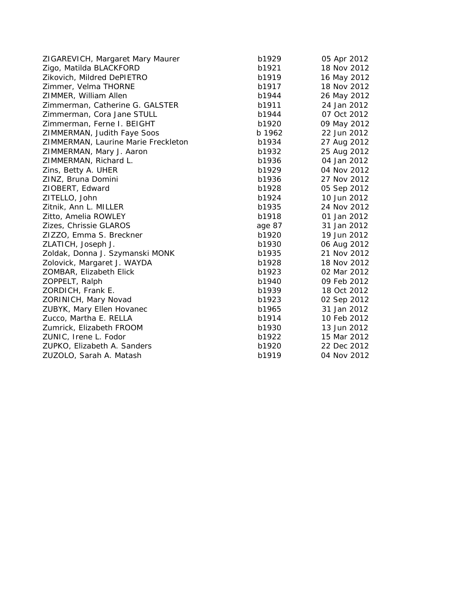| ZIGAREVICH, Margaret Mary Maurer    | b1929  | 05 Apr 2012 |
|-------------------------------------|--------|-------------|
| Zigo, Matilda BLACKFORD             | b1921  | 18 Nov 2012 |
| Zikovich, Mildred DePIETRO          | b1919  | 16 May 2012 |
| Zimmer, Velma THORNE                | b1917  | 18 Nov 2012 |
| ZIMMER, William Allen               | b1944  | 26 May 2012 |
| Zimmerman, Catherine G. GALSTER     | b1911  | 24 Jan 2012 |
| Zimmerman, Cora Jane STULL          | b1944  | 07 Oct 2012 |
| Zimmerman, Ferne I. BEIGHT          | b1920  | 09 May 2012 |
| ZIMMERMAN, Judith Faye Soos         | b 1962 | 22 Jun 2012 |
| ZIMMERMAN, Laurine Marie Freckleton | b1934  | 27 Aug 2012 |
| ZIMMERMAN, Mary J. Aaron            | b1932  | 25 Aug 2012 |
| ZIMMERMAN, Richard L.               | b1936  | 04 Jan 2012 |
| Zins, Betty A. UHER                 | b1929  | 04 Nov 2012 |
| ZINZ, Bruna Domini                  | b1936  | 27 Nov 2012 |
| ZIOBERT, Edward                     | b1928  | 05 Sep 2012 |
| ZITELLO, John                       | b1924  | 10 Jun 2012 |
| Zitnik, Ann L. MILLER               | b1935  | 24 Nov 2012 |
| Zitto, Amelia ROWLEY                | b1918  | 01 Jan 2012 |
| Zizes, Chrissie GLAROS              | age 87 | 31 Jan 2012 |
| ZIZZO, Emma S. Breckner             | b1920  | 19 Jun 2012 |
| ZLATICH, Joseph J.                  | b1930  | 06 Aug 2012 |
| Zoldak, Donna J. Szymanski MONK     | b1935  | 21 Nov 2012 |
| Zolovick, Margaret J. WAYDA         | b1928  | 18 Nov 2012 |
| ZOMBAR, Elizabeth Elick             | b1923  | 02 Mar 2012 |
| ZOPPELT, Ralph                      | b1940  | 09 Feb 2012 |
| ZORDICH, Frank E.                   | b1939  | 18 Oct 2012 |
| ZORINICH, Mary Novad                | b1923  | 02 Sep 2012 |
| ZUBYK, Mary Ellen Hovanec           | b1965  | 31 Jan 2012 |
| Zucco, Martha E. RELLA              | b1914  | 10 Feb 2012 |
| Zumrick, Elizabeth FROOM            | b1930  | 13 Jun 2012 |
| ZUNIC, Irene L. Fodor               | b1922  | 15 Mar 2012 |
| ZUPKO, Elizabeth A. Sanders         | b1920  | 22 Dec 2012 |
| ZUZOLO, Sarah A. Matash             | b1919  | 04 Nov 2012 |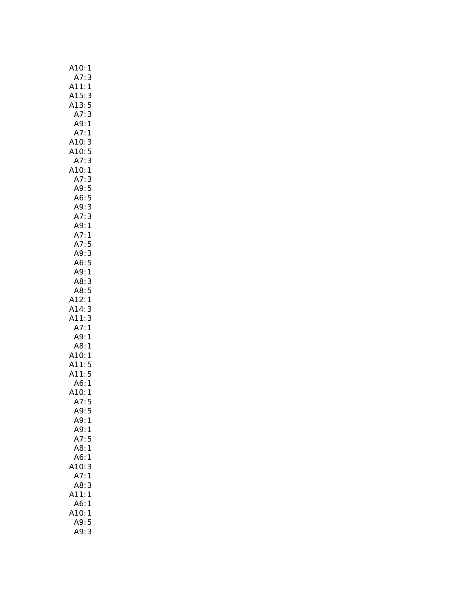| A10:<br>1                                              |
|--------------------------------------------------------|
| A7:                                                    |
| $\frac{3}{1}$                                          |
|                                                        |
| $\frac{5}{5}$<br>A13:<br>A7:                           |
| $\mathbf{3}$                                           |
| A9:1                                                   |
| A7:1                                                   |
| A10: 3<br>A10: 5                                       |
|                                                        |
| A7:3                                                   |
| A10:1                                                  |
| A7:3<br>A9:5<br>A6:5<br>A9:3<br>A7:3<br>A7:1           |
|                                                        |
|                                                        |
|                                                        |
|                                                        |
|                                                        |
| A9:3<br>A9:3<br>A7:3<br>A9:1<br>A7:5                   |
|                                                        |
| A9: 3<br>A6: 5                                         |
|                                                        |
| A9:1                                                   |
| A8:3                                                   |
| A8:5                                                   |
| A12:1                                                  |
| A14:3                                                  |
| A11:3                                                  |
| A7:1                                                   |
| A9:1                                                   |
| 1<br>A8:                                               |
|                                                        |
|                                                        |
|                                                        |
| A3: 1<br>A10: 1<br>A11: 5<br>A11: 5<br>A6: 1<br>A10: 1 |
|                                                        |
| A7:<br>5                                               |
| A9:<br>5                                               |
| A9:<br>1                                               |
| A9:<br>1                                               |
| A7:<br>5                                               |
| A8:1                                                   |
| A6:1<br>10:                                            |
| 3                                                      |
| A7:1                                                   |
| A8:<br>3<br>(11)                                       |
| 1                                                      |
| A6:<br>1<br>410:                                       |
| 1<br>A9:                                               |
| 5<br>A9:<br>3                                          |
|                                                        |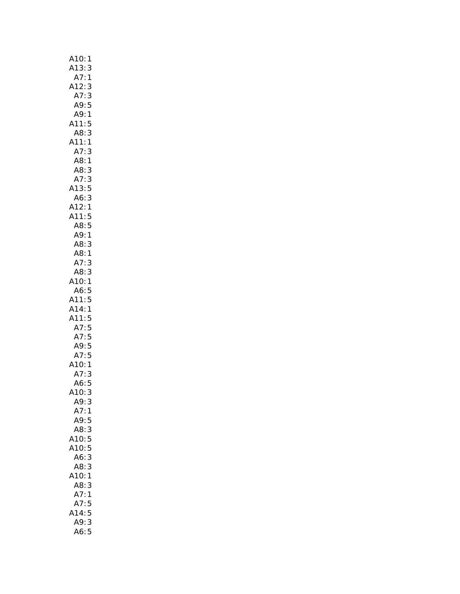| 1                                                                                                      |
|--------------------------------------------------------------------------------------------------------|
| A10:<br>A13:                                                                                           |
| $\begin{array}{c} 3 \\ 1 \end{array}$<br>A13:5<br>A7:1<br>A12:3<br>A7:3<br>A9:1<br>A11:5               |
|                                                                                                        |
|                                                                                                        |
|                                                                                                        |
|                                                                                                        |
|                                                                                                        |
| A11:5<br>A8:3<br>A11:1                                                                                 |
|                                                                                                        |
|                                                                                                        |
| A11:1<br>A7:3<br>A8:1<br>A8:3<br>A7:3<br>A7:3<br>A4:2<br>A11:5<br>A8:5<br>A8:1<br>A8:3<br>A8:3<br>A8:3 |
|                                                                                                        |
|                                                                                                        |
|                                                                                                        |
|                                                                                                        |
|                                                                                                        |
|                                                                                                        |
|                                                                                                        |
|                                                                                                        |
|                                                                                                        |
|                                                                                                        |
|                                                                                                        |
|                                                                                                        |
|                                                                                                        |
|                                                                                                        |
|                                                                                                        |
|                                                                                                        |
|                                                                                                        |
|                                                                                                        |
|                                                                                                        |
| A10:1<br>A6:5<br>A11:5<br>A11:5<br>A11:5<br>A7:5<br>A7:5<br>A7:5<br>A7:5<br>A10:1<br>A6:5<br>A6:5      |
|                                                                                                        |
|                                                                                                        |
|                                                                                                        |
|                                                                                                        |
|                                                                                                        |
|                                                                                                        |
|                                                                                                        |
|                                                                                                        |
| A9:3                                                                                                   |
| A7:1                                                                                                   |
| A9:5                                                                                                   |
| A8:3                                                                                                   |
| A10:5                                                                                                  |
| A10:5                                                                                                  |
|                                                                                                        |
| 3<br>A6:                                                                                               |
| A8:<br>3                                                                                               |
| A10:<br>1                                                                                              |
| A8:<br>3                                                                                               |
| A7:<br>1                                                                                               |
| A7:<br>5                                                                                               |
| A14:5                                                                                                  |
| 3<br>A9:                                                                                               |
| A6:5                                                                                                   |
|                                                                                                        |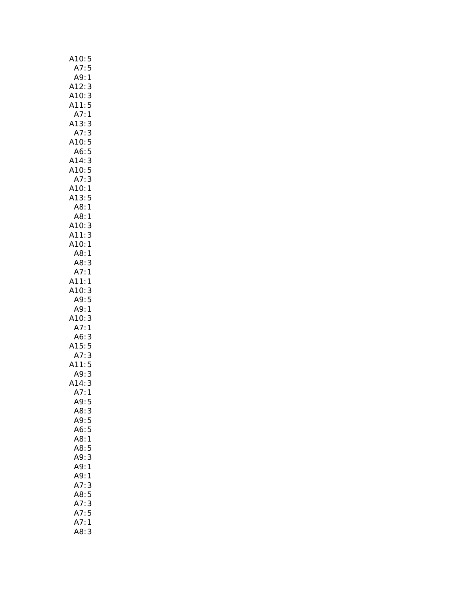| A10:<br>5                    |  |
|------------------------------|--|
| A7:<br>5                     |  |
| A9:1                         |  |
| A12:<br>3                    |  |
| A10:<br>3                    |  |
| 5<br>A11:                    |  |
| $\overline{1}$<br>A7:        |  |
| A13:<br>3                    |  |
| A7:<br>3                     |  |
| 5<br>A10:                    |  |
| A6:<br>5                     |  |
| 3<br>A14:<br>A10:            |  |
| $\frac{5}{3}$                |  |
| A7:                          |  |
| A10:<br>A13:<br>1            |  |
| 5                            |  |
| A8: 1<br>A8: 1               |  |
|                              |  |
| A10:<br>3                    |  |
| A11:3                        |  |
| A10:1                        |  |
| A8:1                         |  |
| A8:<br>3                     |  |
| A7:1                         |  |
| A11:<br>1<br>A10:<br>3       |  |
|                              |  |
| A9:5<br>A9:<br>1             |  |
| A10:<br>3                    |  |
| A7:<br>$\mathbf{1}$          |  |
| A6:<br>3                     |  |
| A15:5                        |  |
| A7:                          |  |
| $\frac{3}{5}$<br><b>A11:</b> |  |
| A9:<br>3                     |  |
| 414:<br>3                    |  |
| A7:<br>1                     |  |
| A9:5                         |  |
| A8:3                         |  |
| A9:5                         |  |
| A6:5                         |  |
| A8:1                         |  |
| A8:<br>5                     |  |
| A9:<br>3                     |  |
| A9:<br>1                     |  |
| A9:<br>1                     |  |
| A7:<br>3                     |  |
| 5<br>A8:                     |  |
| A7:<br>3                     |  |
| 5<br>A7:                     |  |
| A7:<br>1                     |  |
| A8:3                         |  |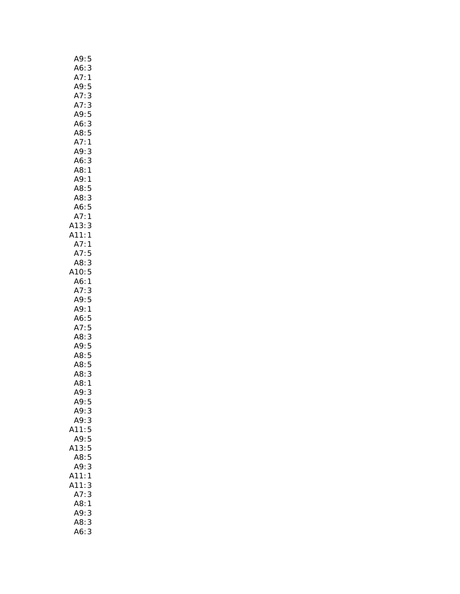| A9:                            | 5              |
|--------------------------------|----------------|
| A6:                            | 3              |
| A7:                            | 1              |
| A9:<br>A7:                     |                |
|                                | 5<br>3         |
| A7:                            |                |
| A9:                            | $\frac{3}{5}$  |
|                                |                |
| A6:3                           |                |
| A8:5                           |                |
| A7:1                           |                |
| A9:                            | 3              |
| A6:                            | 3              |
| A8:1                           |                |
| A9:1                           |                |
|                                |                |
| A8:5<br>A8:3                   |                |
| A6:5                           |                |
| A7:1                           |                |
|                                |                |
|                                |                |
| A13:3<br>A11:1<br>A7:1<br>A7:5 |                |
|                                |                |
|                                |                |
| A8: 3<br>10: 5                 |                |
| A                              |                |
| A6:1                           |                |
| A7:3                           |                |
| A9:5                           |                |
| A9:1                           |                |
| A6:5                           |                |
| A7:5                           |                |
|                                |                |
| A8: 3<br>A9: 5<br>A8: 5        |                |
|                                |                |
|                                |                |
| A8:5<br>A8:3                   |                |
|                                |                |
| A8:                            | $\mathbf{1}$   |
| A9:                            | 3              |
| A9:5                           |                |
| A9:                            | 3              |
| A9:3                           |                |
| A11:                           | $\overline{5}$ |
| A9:5                           |                |
| A13:5                          |                |
|                                |                |
| A8:5                           |                |
| A9:3                           |                |
| A11:1                          |                |
| A11:                           | 3              |
| A7:3                           |                |
| A8:1                           |                |
| A9:                            | 3              |
| A8:                            | 3              |
| A6:                            | 3              |
|                                |                |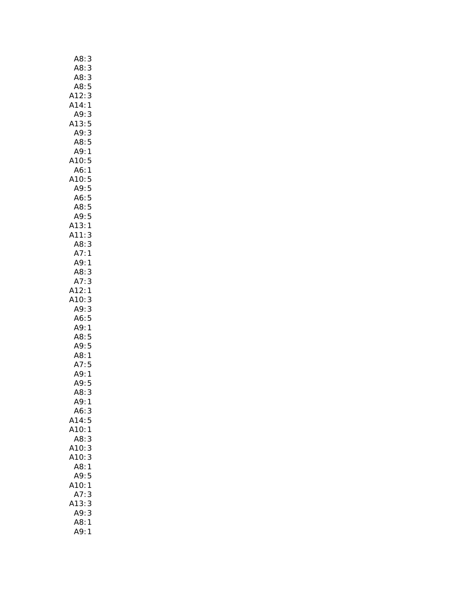| A8:          | 3              |
|--------------|----------------|
| A8:          | $\mathbf{S}$   |
| .<br>A8:     | 3              |
| A8:          | 5              |
| A12:         | 3              |
| A14:1        |                |
| A9: 3        |                |
| A13:         | 5              |
| A9:3         |                |
| A8:5         |                |
| A9:1         |                |
| A10:5        |                |
| A6:1         |                |
| A10:5        |                |
| A9:5         |                |
| A6:5         |                |
| A8:5         |                |
| A9:          | $\frac{5}{1}$  |
| A13:<br>A11: |                |
|              | 3              |
| A8:          | 3              |
| A7:1         |                |
| A9:          | 1              |
| A8:3         |                |
| A7:3         |                |
| A12:1        |                |
| A10:3        |                |
| A9:3         |                |
| A6:5         |                |
| A9:1         |                |
| A8:5         |                |
| A9:5         |                |
| A8:1         |                |
| A7:5         |                |
| A9:1         |                |
| A9:          | 5              |
| A8:          | 3              |
| A9:          | 1              |
| A6:          | 3              |
| A14:         | 5              |
| A10:         | 1              |
| A8:          | 3              |
| A10:         | 3              |
| A10:         | 3              |
| A8:          | 1              |
| A9:          | 5              |
| A<br>10:     | $\overline{1}$ |
| A7:          | 3              |
| A13:         | 3              |
| A9:          | 3              |
| A8:          | 1              |
| A9:          | 1              |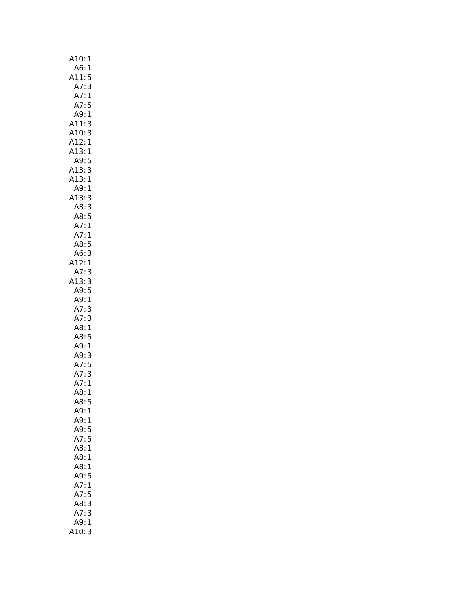| A10:                                                                                                     | 1 |
|----------------------------------------------------------------------------------------------------------|---|
|                                                                                                          |   |
|                                                                                                          |   |
|                                                                                                          |   |
|                                                                                                          |   |
| A6:11:5<br>A6:11:5<br>A7:3<br>A7:5<br>A7:5<br>A7:13<br>A13:12<br>A13:13<br>A13:3<br>A8:3<br>A8:5<br>A7:1 |   |
|                                                                                                          |   |
|                                                                                                          |   |
|                                                                                                          |   |
|                                                                                                          |   |
|                                                                                                          |   |
|                                                                                                          |   |
|                                                                                                          |   |
|                                                                                                          |   |
|                                                                                                          |   |
|                                                                                                          |   |
|                                                                                                          |   |
|                                                                                                          |   |
|                                                                                                          |   |
| A7:1                                                                                                     |   |
|                                                                                                          |   |
| A8:5<br>A6:3<br>A12:1                                                                                    |   |
|                                                                                                          |   |
|                                                                                                          |   |
|                                                                                                          |   |
|                                                                                                          |   |
| A7:3<br>A13:3<br>A9:5<br>A9:1<br>A7:3<br>A7:3<br>A8:1<br>A9:3<br>A7:5<br>A7:1<br>A7:1                    |   |
|                                                                                                          |   |
|                                                                                                          |   |
|                                                                                                          |   |
|                                                                                                          |   |
|                                                                                                          |   |
|                                                                                                          |   |
|                                                                                                          |   |
|                                                                                                          |   |
|                                                                                                          |   |
| A8:                                                                                                      | 1 |
| A8:                                                                                                      | 5 |
| A9:                                                                                                      | 1 |
| A9:1                                                                                                     |   |
| A9:                                                                                                      | 5 |
| A7:                                                                                                      | 5 |
| A8:                                                                                                      | 1 |
| A8:                                                                                                      | 1 |
| A8:                                                                                                      | 1 |
| A9:                                                                                                      | 5 |
| A7:                                                                                                      | 1 |
| A7:                                                                                                      | 5 |
| A8:                                                                                                      | 3 |
| A7:                                                                                                      | 3 |
| A9:                                                                                                      | 1 |
| <b>10:</b>                                                                                               | 3 |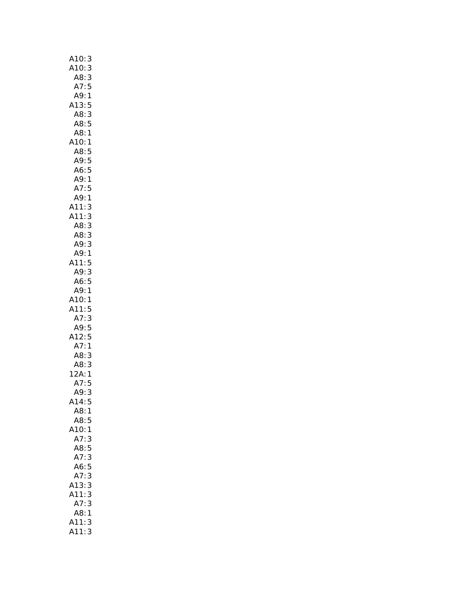| A10:<br>3                   |
|-----------------------------|
| A10: 3                      |
| A8:3                        |
| A7:5                        |
| A9:1                        |
| A13:5                       |
| 3<br>A8:                    |
| A8:5                        |
| A8:1                        |
| A10:1                       |
| A8:5                        |
| A9:5                        |
| A6:5                        |
| A9:1                        |
| A7:<br>5                    |
| A9:1                        |
| A11:<br>A11:<br>3           |
| 3<br>A8:                    |
| 3<br>A8:3                   |
| A9:3                        |
| A9:1                        |
| A11:5                       |
| A9:3                        |
| A6:5                        |
| A9:1                        |
| A10:1                       |
| A11:5                       |
| $A7:3$<br>$A9:5$<br>$A12:5$ |
|                             |
|                             |
| A7:<br>$\mathbf{1}$         |
| A8:<br>3                    |
| A8: 3<br>2A: 1              |
| 1                           |
| A7:<br>5                    |
| A9:<br>3                    |
| A14:5                       |
| A8:1                        |
| A8:5                        |
| A10:1                       |
| A7:<br>3<br>5<br>A8:        |
| 3<br>A7:                    |
| 5<br>A6:                    |
| 3<br>A7:                    |
| 3<br>A13:                   |
| A11:<br>3                   |
| A7:<br>3                    |
| A8:<br>$\mathbf{1}$         |
| 3<br>A11:                   |
| 3<br>411:                   |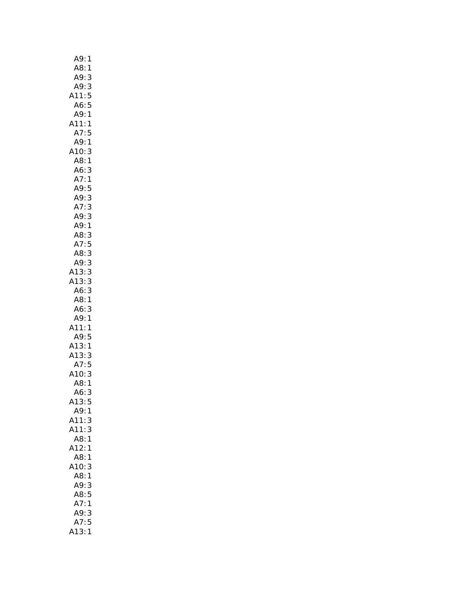| A9:                   | 1                       |
|-----------------------|-------------------------|
| A8:                   | $\mathbf{1}$            |
| 20.<br>A9:            | 3                       |
| A9:                   | $\mathsf{3}$            |
| A11:5                 |                         |
| A6:                   | 5                       |
| A9:                   | $\mathbf{1}$            |
| A11:                  | $\overline{\mathbf{1}}$ |
| A7:5                  |                         |
| A9:1                  |                         |
| A10:                  | 3                       |
| A8:1                  |                         |
| A6:                   | 3                       |
| A7:1                  |                         |
| A9:5                  |                         |
| A9:                   | 3                       |
| A7:                   | 3                       |
| A9:                   | 3                       |
| A9:1                  |                         |
|                       |                         |
| A8: 3<br>A7: 5        |                         |
| A8:3                  |                         |
| A9:3                  |                         |
| A13:3                 |                         |
| A13:3                 |                         |
| A6:3                  |                         |
| A8:1                  |                         |
| A6:                   | 3                       |
| A9:1                  |                         |
| A11:1                 |                         |
| A9:5                  |                         |
| A13:1                 |                         |
| $A13:3$<br>$A7:5$     |                         |
|                       |                         |
| .<br>A10: 3<br>A8: 1  | 3                       |
|                       |                         |
| A6:                   | 3                       |
| A13:                  | 5                       |
| A9:1                  |                         |
| A11:                  | 3                       |
| A11:                  | 3                       |
| A8:                   | 1                       |
| A12:                  | 1                       |
| A8:                   | 1                       |
| A10:                  | 3                       |
| A8:1                  |                         |
| A9:                   | 3                       |
| A8:5                  |                         |
|                       |                         |
| A7:1<br>A9:           | 3                       |
|                       |                         |
| A7:5<br>$\lambda$ 13: | $\mathbf{1}$            |
|                       |                         |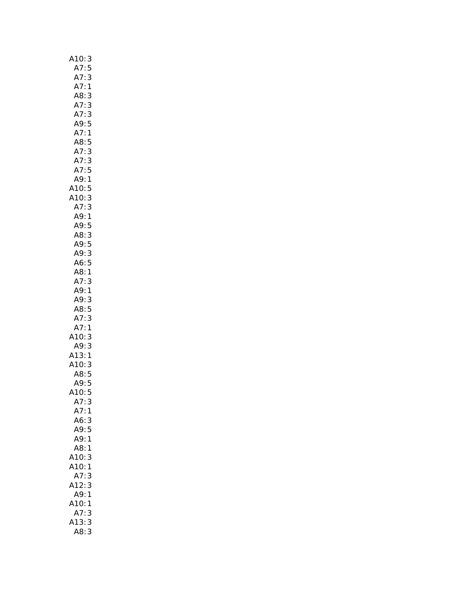| A10:<br>A7:                                                                                               |
|-----------------------------------------------------------------------------------------------------------|
| 3<br>5                                                                                                    |
|                                                                                                           |
| A7:3<br>A7:1<br>A8:3<br>A7:3<br>A7:3                                                                      |
|                                                                                                           |
| 3<br>1:3<br>A7:3<br>A9:5<br>A7:1<br>AF                                                                    |
|                                                                                                           |
|                                                                                                           |
|                                                                                                           |
|                                                                                                           |
| .<br>A8:5<br>A7:3<br>A7:3                                                                                 |
|                                                                                                           |
|                                                                                                           |
|                                                                                                           |
|                                                                                                           |
| A7: 3<br>A7: 3<br>A7: 5<br>A9: 1<br>A10: 5<br>A10: 3<br>A7: 3                                             |
| 5331                                                                                                      |
|                                                                                                           |
| A9:                                                                                                       |
|                                                                                                           |
| A9:<br>5                                                                                                  |
|                                                                                                           |
|                                                                                                           |
|                                                                                                           |
| A <sub>2</sub> : 3<br>A <sub>8</sub> : 3<br>A <sub>9</sub> : 3<br>A <sub>6</sub> : 5<br>A <sub>8: 1</sub> |
|                                                                                                           |
| A7:                                                                                                       |
| 3<br>1                                                                                                    |
| A9:<br>A9:<br>3                                                                                           |
|                                                                                                           |
| A8:<br>531331                                                                                             |
| A7:<br>A7:<br>A10:<br>A9:                                                                                 |
|                                                                                                           |
|                                                                                                           |
|                                                                                                           |
| $A13:1$<br>A10:3<br>A8:5<br>A9:5                                                                          |
|                                                                                                           |
|                                                                                                           |
|                                                                                                           |
| A10:<br>5                                                                                                 |
| A7:3                                                                                                      |
| A7:1                                                                                                      |
|                                                                                                           |
| A6:3                                                                                                      |
| A9:5                                                                                                      |
| A9: 1                                                                                                     |
| A8:1                                                                                                      |
| A10:<br>3                                                                                                 |
| A10:1                                                                                                     |
| A7:<br>3                                                                                                  |
| 3<br>A12:                                                                                                 |
| A9:1                                                                                                      |
| A10:<br>1                                                                                                 |
| A7:<br>3                                                                                                  |
|                                                                                                           |
| A13:3                                                                                                     |
| A8:3                                                                                                      |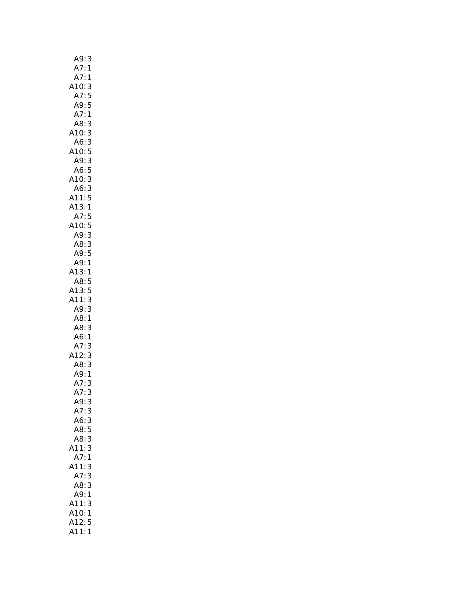| A9:3<br>A7:1<br>A7:1<br>A10:3<br>A7:5<br>A9:5<br>A7:1<br>A8:3                                                            |
|--------------------------------------------------------------------------------------------------------------------------|
|                                                                                                                          |
|                                                                                                                          |
|                                                                                                                          |
|                                                                                                                          |
| A8:<br>3                                                                                                                 |
|                                                                                                                          |
|                                                                                                                          |
|                                                                                                                          |
|                                                                                                                          |
|                                                                                                                          |
|                                                                                                                          |
|                                                                                                                          |
|                                                                                                                          |
|                                                                                                                          |
|                                                                                                                          |
|                                                                                                                          |
|                                                                                                                          |
|                                                                                                                          |
|                                                                                                                          |
| A10:3<br>A6:3<br>A10:5<br>A9:3<br>A6:5<br>A10:3<br>A6:3<br>A11:5<br>A7:5<br>A7:5<br>A9:1<br>A3:4<br>A9:1<br>A9:1<br>A9:1 |
| 13:1                                                                                                                     |
|                                                                                                                          |
| A8:5<br>A13:5<br>A11:3                                                                                                   |
|                                                                                                                          |
|                                                                                                                          |
|                                                                                                                          |
| A9: 3<br>A8: 1<br>A8: 3                                                                                                  |
| 3 1 3 3 1 3 1 3                                                                                                          |
| A6:<br>A7:<br>A12:<br>A8:<br>A9:<br>A7:                                                                                  |
|                                                                                                                          |
|                                                                                                                          |
|                                                                                                                          |
|                                                                                                                          |
|                                                                                                                          |
| .<br>A7:<br>3                                                                                                            |
| A9:<br>3                                                                                                                 |
| A7:<br>3                                                                                                                 |
| A6:<br>3                                                                                                                 |
| A8:<br>5                                                                                                                 |
| 3<br>A8:                                                                                                                 |
| 3<br>11:                                                                                                                 |
| A7:1                                                                                                                     |
| 11:<br>3                                                                                                                 |
| 3<br>A7:                                                                                                                 |
| 3<br>1<br>A8:                                                                                                            |
| A9:                                                                                                                      |
| 3<br>A11:                                                                                                                |
| A10:<br>1                                                                                                                |
| A12:<br>5                                                                                                                |
| A11:<br>1                                                                                                                |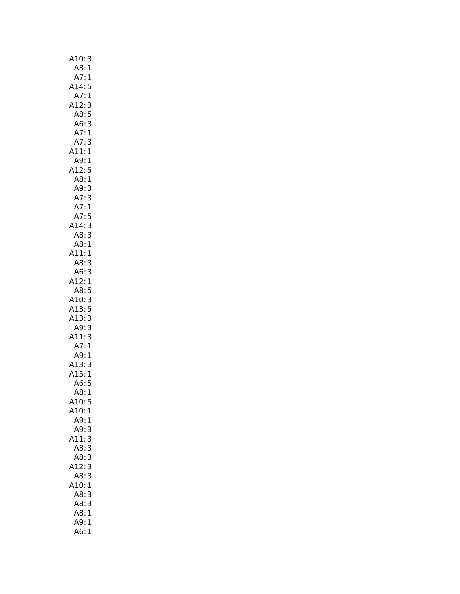| A10:3                                                                      |
|----------------------------------------------------------------------------|
| A8:1                                                                       |
| A7:1                                                                       |
| A14:<br>5                                                                  |
| A7:1                                                                       |
| A12:3                                                                      |
|                                                                            |
| A12:5<br>A8:5<br>A6:3<br>A7:1<br>A7:3<br>A11:1                             |
|                                                                            |
|                                                                            |
|                                                                            |
|                                                                            |
| A9:1<br>A12:5<br>A8:1<br>A9:3<br>A7:3<br>A7:5<br>A7:5                      |
|                                                                            |
|                                                                            |
|                                                                            |
|                                                                            |
|                                                                            |
|                                                                            |
| A14:3                                                                      |
|                                                                            |
| AB:3                                                                       |
| A8:1                                                                       |
| A11:1                                                                      |
| A8:3                                                                       |
| A6: 3<br>A12: 1                                                            |
|                                                                            |
| A8:5                                                                       |
| 10:3<br>A10:3<br>A13:5<br>A13:3<br>A11:3<br>A7:1<br>A7:1<br>A13:3<br>A15:1 |
|                                                                            |
|                                                                            |
|                                                                            |
|                                                                            |
|                                                                            |
|                                                                            |
|                                                                            |
|                                                                            |
|                                                                            |
| A6:5                                                                       |
| $\overline{1}$<br>A8:                                                      |
| A10:5                                                                      |
| A10:1                                                                      |
| A9:<br>1                                                                   |
| A9:<br>3                                                                   |
| A11:<br>3                                                                  |
| A8:<br>3                                                                   |
| A8:<br>3                                                                   |
| A12:<br>3                                                                  |
| 3<br>A8:                                                                   |
| A10:                                                                       |
| 1                                                                          |
| A8:<br>3                                                                   |
| A8:<br>3                                                                   |
| A8:<br>$\mathbf 1$                                                         |
| A9:<br>$\mathbf 1$                                                         |
| A6:1                                                                       |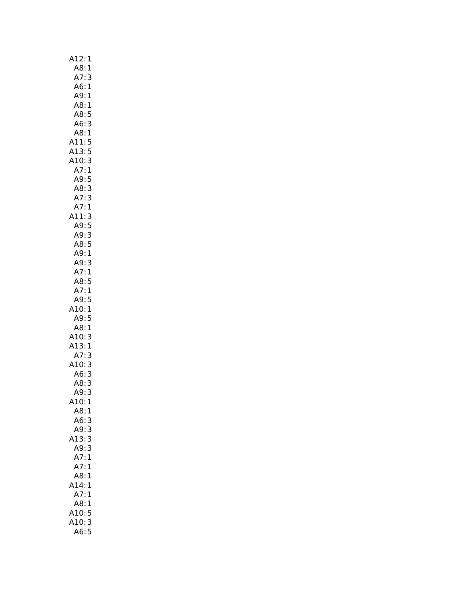| A12:<br>1                  |
|----------------------------|
| A8:1                       |
| A7:3                       |
| A6:1                       |
| A9:1                       |
|                            |
| A8:1                       |
| A8:5                       |
| A6:3                       |
| A8:1                       |
| A11:5<br>A13:5             |
|                            |
| A10:3<br>A7:1              |
|                            |
| A9:                        |
| $\frac{5}{3}$<br>A8:       |
| 3                          |
| A7:<br>A7:<br>$\mathbf{1}$ |
| A11:                       |
| .11:3<br>A9:5              |
|                            |
| A9:3                       |
| A8:5                       |
| A9:1                       |
| A9:3                       |
| A7:1                       |
| A8:5                       |
| A7:1                       |
|                            |
|                            |
| A9:5                       |
| A10:<br>1                  |
| A9:5                       |
| A8:<br>1                   |
| 3                          |
| $\mathbf{1}$               |
| A10: A13: A7:<br>3         |
| A10:<br>3                  |
| A6:<br>3                   |
| A8:<br>3                   |
| A9:<br>3                   |
| A10:1                      |
| A8:1                       |
| A6:<br>3                   |
|                            |
| A9:3                       |
| A13:3                      |
| A9:3                       |
| A7:<br>1                   |
| A7:<br>1                   |
| A8:<br>1                   |
| A14:<br>1                  |
| A7:<br>1                   |
| A8:<br>$\mathbf{1}$        |
|                            |
| A10: 5<br>A10: 3           |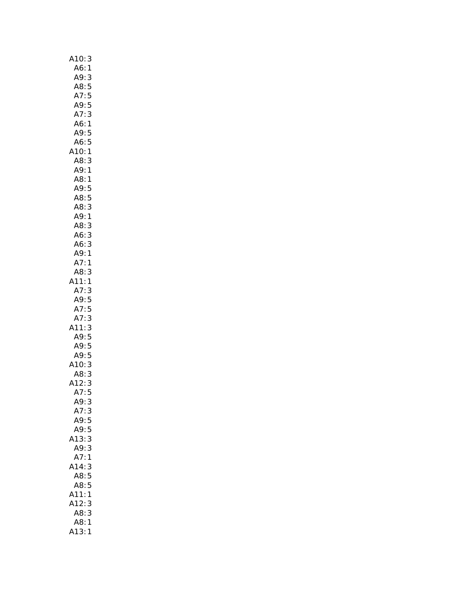| A10: 3                      |
|-----------------------------|
| A6:<br>$\mathbf{1}$         |
| A9:<br>3                    |
| A8:<br>5                    |
| A7:5                        |
| A9:5                        |
| 3<br>A7:                    |
| A6:1                        |
| A9:5                        |
| A6:5                        |
| A10:<br>$\mathbf{1}$        |
| A8:<br>3                    |
| A9:<br>1                    |
| A8:<br>1                    |
| A9:5                        |
| A8:5                        |
| A8:3                        |
| A9:1                        |
| A8:3                        |
| A6:3                        |
| A6:<br>3                    |
| A9:1                        |
| A7:1                        |
| A8:3                        |
| A11:1                       |
| A7:<br>3                    |
| A9:5                        |
| A7:5                        |
| A7:<br>3                    |
| .<br>11: 3<br>A9: 5<br>A11: |
|                             |
| A9:5                        |
| A9:5                        |
| A10:<br>3                   |
| A8:3                        |
| A12:3                       |
| A7:<br>5                    |
| A9: 3                       |
| A7:3                        |
| A9:5                        |
| A9:5                        |
| A13:<br>3                   |
| A9:<br>3                    |
| A7:<br>$\mathbf{1}$         |
| A14:<br>3                   |
| $\overline{5}$<br>A8:       |
| $\frac{1}{5}$<br>A8:        |
| A11:<br>1                   |
| A12:<br>3                   |
| A8:<br>3                    |
| A8:1                        |
| A13:<br>1                   |
|                             |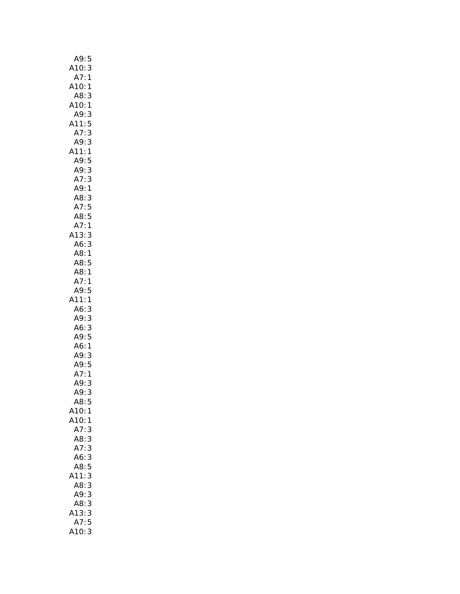| A9:                          |
|------------------------------|
| A10:                         |
| 5<br>3<br>1<br>A7:           |
| A10:<br>$\mathbf{1}$         |
| AB:3                         |
| A10:1<br>A9:3                |
|                              |
| 5<br>A11:                    |
| 3<br>A7:                     |
| 3<br>A9:                     |
| A11:1                        |
| A9:5                         |
| A9: 3<br>A7: 3               |
|                              |
| A7: 3<br>A9: 1               |
| A8:<br>3                     |
| A7:                          |
| 5<br>5<br>1<br>A8:           |
| A7:                          |
| A13:<br>3                    |
| A6:<br>3                     |
| A8:1                         |
| A8:<br>5                     |
| A8:1                         |
| A7:1                         |
| A9:5                         |
| A11:1                        |
| 3<br>A6:                     |
| A9:3<br>A6:3<br>A6:3<br>A6:1 |
|                              |
|                              |
| 3                            |
| A9:                          |
| A9:5<br>A7:1                 |
| $\frac{1}{3}$<br>A9:         |
| A9:<br>3                     |
| A8:5                         |
| A10:<br>1                    |
| A10:<br>1                    |
| A7:<br>3                     |
| 3<br>A8:                     |
| 3<br>A7:                     |
| 3<br>A6:                     |
| A8:5                         |
| 3<br>11:                     |
| A8:<br>3                     |
| A9:<br>3                     |
| A8:<br>3                     |
| 13:<br>3                     |
| A7:5                         |
| 3<br>10:                     |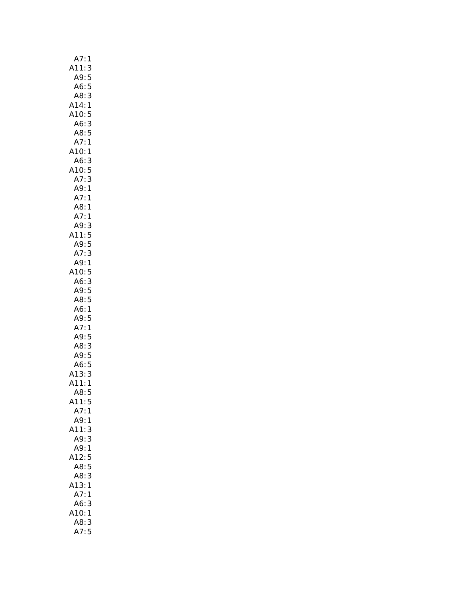| A7:<br>1                                           |
|----------------------------------------------------|
| A11:<br>3                                          |
| A9:<br>5                                           |
| A6:<br>5                                           |
| A8:<br>3                                           |
| A14:<br>$\mathbf{1}$                               |
| 5<br>A10:                                          |
| A6:<br>3<br>5                                      |
| A8:                                                |
| A7:1                                               |
| A10:1<br>A6:3                                      |
| 3                                                  |
| A10:<br>$\begin{array}{c} 5 \\ 3 \\ 1 \end{array}$ |
| A7:                                                |
| A9:<br>A7:                                         |
| $\mathbf{1}$<br>A8:                                |
| $\mathbf{1}$                                       |
| AT:<br>$\mathbf{1}$<br>A9:                         |
| $\frac{3}{5}$<br>A11:                              |
| A9:                                                |
| A7:3                                               |
| A9:1                                               |
| 10:5                                               |
| 3<br>A6:                                           |
| A9:5                                               |
| A8:5                                               |
| A6:<br>$\mathbf 1$                                 |
| A9:5<br>A7:1                                       |
|                                                    |
| A9:5                                               |
| 3<br>A8:                                           |
| A9:                                                |
| $\frac{5}{5}$<br>A6:                               |
| A13:<br>A11:<br>3                                  |
| 1                                                  |
| A8:<br>5                                           |
| A11:<br>5                                          |
| A7:<br>1                                           |
| A9:<br>1                                           |
| A11:<br>3                                          |
| 3<br>A9:                                           |
| A9:1                                               |
| 12:<br>5                                           |
| 5<br>A8:                                           |
| 3<br>A8:                                           |
| 13:<br>$\mathbf{1}$<br>Д                           |
| A7:<br>1<br>A6:                                    |
| 3<br>(10)                                          |
| 1<br>A8:<br>3                                      |
| A7:<br>5                                           |
|                                                    |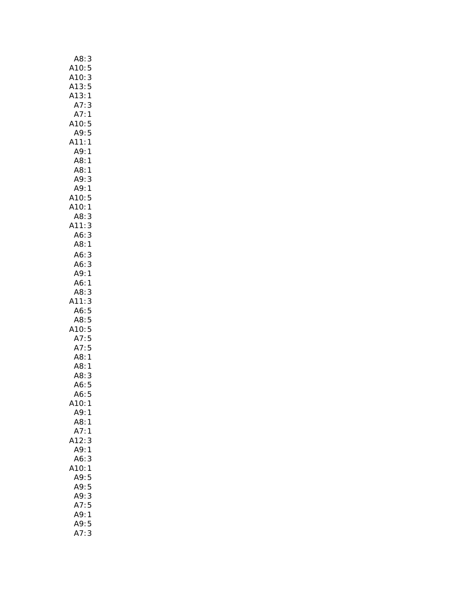| A8:<br>3                                                     |
|--------------------------------------------------------------|
|                                                              |
|                                                              |
|                                                              |
| A10:<br>A10:<br>A13:<br>A13:<br>A7:<br>5351                  |
| 3                                                            |
| 1                                                            |
| A10:<br>5                                                    |
|                                                              |
| A9:<br>$\overline{5}$                                        |
| $\mathbf{1}$<br>A11:                                         |
| A9:<br>1                                                     |
| A8:<br>1                                                     |
| A8:1                                                         |
| A9:<br>3                                                     |
| A9:<br>1                                                     |
| A10:<br>A10:<br>5                                            |
|                                                              |
| A8:                                                          |
| A11:                                                         |
| A6:                                                          |
| $\begin{array}{c}\n1 \\ 3 \\ 3 \\ 1\n\end{array}$<br>A8:     |
|                                                              |
| A6:<br>3                                                     |
| A6:<br>3                                                     |
| A9:<br>1                                                     |
| A6:1                                                         |
| 3<br>A8:                                                     |
| 3<br>11:                                                     |
| A6:<br>5                                                     |
|                                                              |
| 3:5<br>A10:5<br>A7:5<br>A7:5<br>A8:1<br>A8:1<br>A8:3<br>A6:5 |
|                                                              |
|                                                              |
|                                                              |
|                                                              |
|                                                              |
|                                                              |
|                                                              |
|                                                              |
| A10:<br>1                                                    |
| A9:<br>1                                                     |
| A8:<br>1                                                     |
| A7:<br>1                                                     |
| A12:<br>3                                                    |
| A9:<br>1                                                     |
| A6:<br>3                                                     |
| A10:<br>1                                                    |
| A9:<br>5                                                     |
| 5<br>A9:                                                     |
| 3<br>A9:                                                     |
| A7:                                                          |
| 5                                                            |
| A9:<br>1                                                     |
| 5<br>A9:                                                     |
| A7:3                                                         |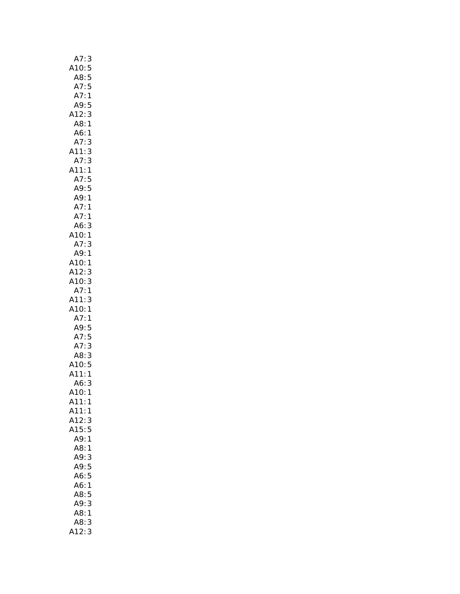| A7:3                                               |
|----------------------------------------------------|
| A10:<br>A8:<br>A7:<br>A7:                          |
|                                                    |
|                                                    |
| 5<br>5<br>5<br>5                                   |
| $\mathbf{1}$                                       |
| A9:<br>5                                           |
| 3<br>A12:                                          |
| 1<br>A8:                                           |
|                                                    |
| A6:<br>$\mathbf{1}$                                |
| A7:<br>3                                           |
| A11:<br>$\begin{array}{c} 3 \\ 3 \\ 1 \end{array}$ |
| A7:                                                |
| $\vdots$<br>A11                                    |
|                                                    |
|                                                    |
|                                                    |
|                                                    |
| A7:5<br>A9:5<br>A9:1<br>A7:1<br>A7:1               |
|                                                    |
|                                                    |
| $A6:3$<br>A10:1<br>A7:3                            |
|                                                    |
|                                                    |
| A9:1                                               |
| A10:1                                              |
|                                                    |
| A12:<br>3                                          |
| A10:<br>3                                          |
| A7:<br>1                                           |
| A11:<br>3                                          |
| A10:1<br>A10:1<br>A7:1<br>A9:5<br>A7:5<br>A7:3     |
|                                                    |
|                                                    |
|                                                    |
|                                                    |
|                                                    |
| $7:3$<br>A8:3<br>A10:5<br>A11:1<br>Af<br>Af        |
|                                                    |
|                                                    |
|                                                    |
|                                                    |
| A10:<br>1                                          |
| A11:<br>1                                          |
| A11:<br>1                                          |
|                                                    |
| A12:3                                              |
| A15:5                                              |
| A9:1                                               |
| A8:1                                               |
| A9:<br>3                                           |
|                                                    |
| A9:5                                               |
| A6:5                                               |
| A6:<br>1                                           |
| A8:<br>5                                           |
| A9:<br>3                                           |
|                                                    |
| A8:<br>$\mathbf{1}$                                |
| A8:<br>3                                           |
| 3<br>12:                                           |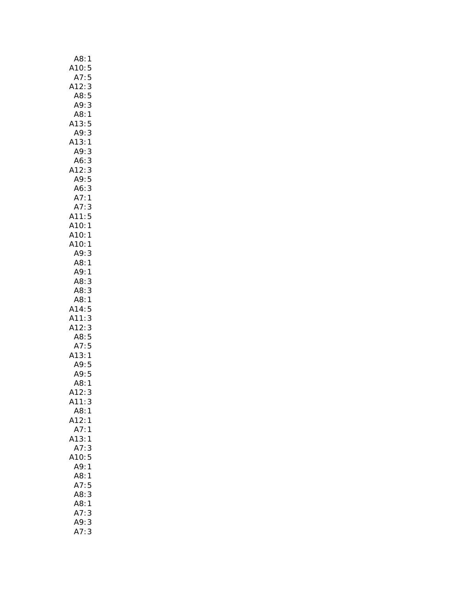| A8:<br>1                                                                       |
|--------------------------------------------------------------------------------|
| A10:5                                                                          |
| A7:<br>A12:<br>5                                                               |
|                                                                                |
| $\frac{3}{5}$<br>AB:                                                           |
| A9:<br>3                                                                       |
| A8:1                                                                           |
| A13:5                                                                          |
| 3<br>A9:                                                                       |
| A13:1                                                                          |
|                                                                                |
| A9:<br>A6:<br>3                                                                |
| 3                                                                              |
|                                                                                |
|                                                                                |
|                                                                                |
| 2:3<br>A9:5<br>A6:3<br>A7:1<br>A7:3<br>A7:3<br>A11:5<br>A10:1<br>A10:1<br>A9:3 |
|                                                                                |
|                                                                                |
|                                                                                |
|                                                                                |
|                                                                                |
|                                                                                |
| A8:1                                                                           |
| A9:1                                                                           |
| A8:<br>3                                                                       |
| 3<br>A8:                                                                       |
|                                                                                |
| A8:1                                                                           |
| A14:5                                                                          |
| A11:3                                                                          |
|                                                                                |
|                                                                                |
|                                                                                |
|                                                                                |
|                                                                                |
| A12:3<br>A8:5<br>A7:5<br>A13:1                                                 |
|                                                                                |
|                                                                                |
| J. .<br>  A9: 5<br>  A8: 1<br>  19: 3                                          |
| A12:<br>3                                                                      |
| A11:<br>3                                                                      |
| A8:<br>1                                                                       |
| A12:<br>1                                                                      |
| A7:<br>1                                                                       |
| A13:1                                                                          |
| A7:<br>3                                                                       |
| A10:5                                                                          |
| A9:1                                                                           |
| A8:<br>1                                                                       |
| 5<br>A7:                                                                       |
| 3<br>A8:                                                                       |
| A8:<br>$\mathbf{1}$                                                            |
| A7:                                                                            |
| 3<br>3<br>A9:<br>A7:<br>3                                                      |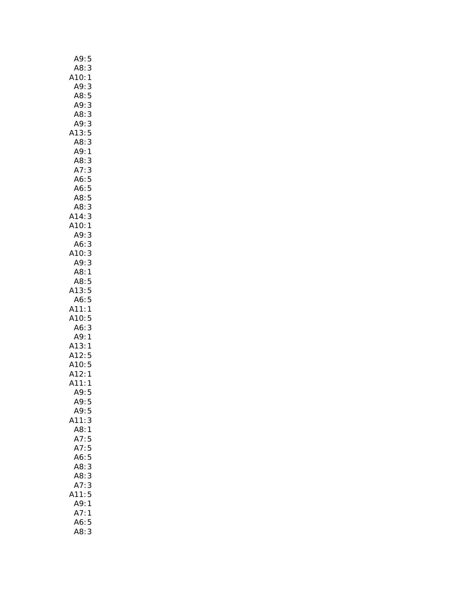| A9:<br>5                            |  |
|-------------------------------------|--|
| A8:<br>3                            |  |
| A10:<br>1                           |  |
| A9:<br>3                            |  |
| A8:<br>5                            |  |
| 3<br>A9:                            |  |
| A8:<br>3                            |  |
| 3<br>A9:                            |  |
| A13:5                               |  |
| 3<br>A8:                            |  |
| A9:<br>$\mathbf{1}$                 |  |
| 3<br>A8:                            |  |
| A7:<br>3                            |  |
| A6:5                                |  |
| A6:<br>A6: 5<br>A8: 5               |  |
|                                     |  |
| A8:<br>3                            |  |
| A14:<br>A10:<br>A9:<br>3            |  |
| 1                                   |  |
| 3                                   |  |
| A6:3                                |  |
| A10: 3                              |  |
| 3<br>A9:                            |  |
| A8:1                                |  |
| A8:5                                |  |
| A13:5                               |  |
| 5<br>A6:                            |  |
| A11:<br>1                           |  |
| A10:5                               |  |
| A6:<br>3                            |  |
| $A9:1$<br>$A13:1$<br>$A12:5$        |  |
|                                     |  |
|                                     |  |
| A10:5                               |  |
| 2:<br>$\mathsf{A}1$<br>$\mathbf{1}$ |  |
| A11:<br>1                           |  |
| A9:<br>5                            |  |
| A9:<br>5                            |  |
| A9:<br>5<br>3                       |  |
| .11:                                |  |
| A8:1<br>A7:5                        |  |
| A7:5                                |  |
| A6:5                                |  |
| 3<br>A8:                            |  |
| A8:<br>3                            |  |
| 3<br>A7:                            |  |
| 5<br>A11:                           |  |
| A9:<br>1                            |  |
| A7:<br>1                            |  |
| A6:<br>5                            |  |
| A8:<br>3                            |  |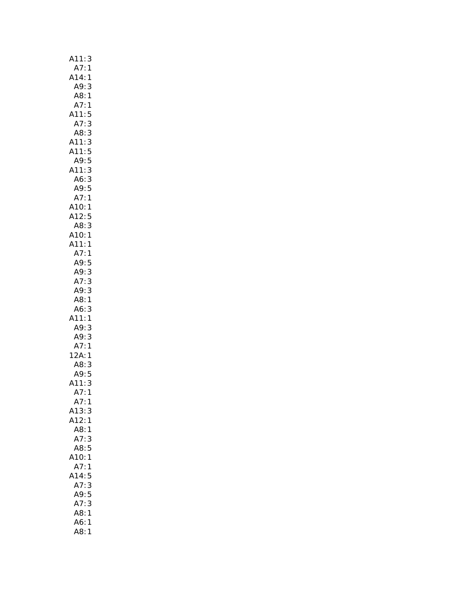| A11:3                       |
|-----------------------------|
| A7:1                        |
| A14:1                       |
| A9:<br>3                    |
| A8:1                        |
| A7:1                        |
| A11:5                       |
| A7:<br>3                    |
| A8:<br>3                    |
| A11:3<br>A11:5              |
|                             |
| A9:5                        |
|                             |
| $A11:3$<br>$A6:3$<br>$A9:5$ |
| .<br>A7:<br>$\mathbf{1}$    |
|                             |
| A10:1<br>A12:5              |
| A8:3                        |
| A10:1                       |
| A11:1                       |
| A7:1                        |
| A9:5                        |
| A9: 3                       |
| A7:3                        |
| 3<br>A9:                    |
| A8:<br>1                    |
| A6:<br>3                    |
| A11:<br>1                   |
| A9:<br>3<br>3               |
| .<br>A9: 3<br>A7: 1         |
|                             |
| 2A:1<br>1                   |
| A8: 3<br>A9: 5              |
| 3<br>A11:                   |
| $\mathbf{1}$<br>A7:         |
| A7:1                        |
| A13:3                       |
| A12:1                       |
| A8:1                        |
| A7:<br>3                    |
| A8:5                        |
| A10:<br>1                   |
| A7:<br>1                    |
| 5<br>A14:                   |
| 3<br>A7:                    |
| A9:5                        |
| A7:<br>3                    |
| A8:1                        |
| A6:<br>$\mathbf{1}$         |
| A8:1                        |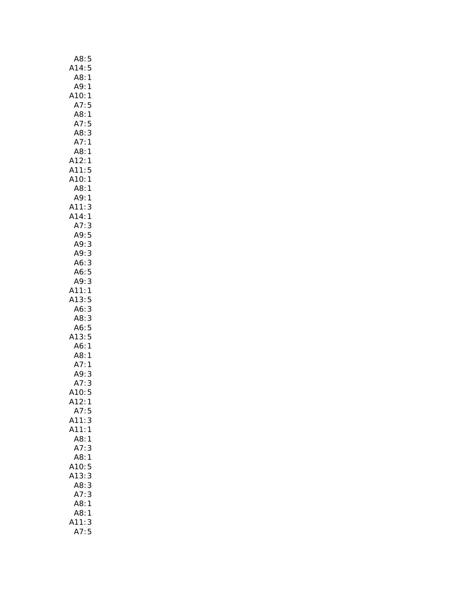| A8:5                         |  |
|------------------------------|--|
| A14:5                        |  |
| A8:<br>$\mathbf{1}$          |  |
| A9:1                         |  |
| A10:1                        |  |
| A7:<br>5                     |  |
| A8:1                         |  |
| 5                            |  |
| A7:                          |  |
| A8:<br>3                     |  |
| A7:1                         |  |
| A8:1                         |  |
| A12:1                        |  |
| A11:5                        |  |
| A10:1                        |  |
| A8:1                         |  |
| A9:<br>1                     |  |
| 3                            |  |
| A11:<br>A14:<br>$\mathbf{1}$ |  |
| A7:                          |  |
| 3                            |  |
| A9:5                         |  |
| A9:<br>3                     |  |
| A9:3                         |  |
| A6:3                         |  |
| A6:5                         |  |
| A9:3                         |  |
| A11:1                        |  |
| A13:5                        |  |
| A6:3                         |  |
| A8:3                         |  |
| A6:5                         |  |
| A13:5                        |  |
|                              |  |
| A6:1                         |  |
| A8:1                         |  |
| A7:<br>$\mathbf{1}$          |  |
| A9:<br>3                     |  |
| A7:<br>3                     |  |
| A10:<br>5                    |  |
| A12:1                        |  |
| A7:<br>5                     |  |
| A11:3                        |  |
| A11:<br>1                    |  |
| A8:1                         |  |
| A7:<br>3                     |  |
|                              |  |
| A8:1                         |  |
| A10:5                        |  |
| A13:<br>3                    |  |
| A8:<br>3                     |  |
| 3<br>A7:                     |  |
| A8:<br>1                     |  |
| A8:<br>1                     |  |
| 3                            |  |
| 11:3<br>A7:5                 |  |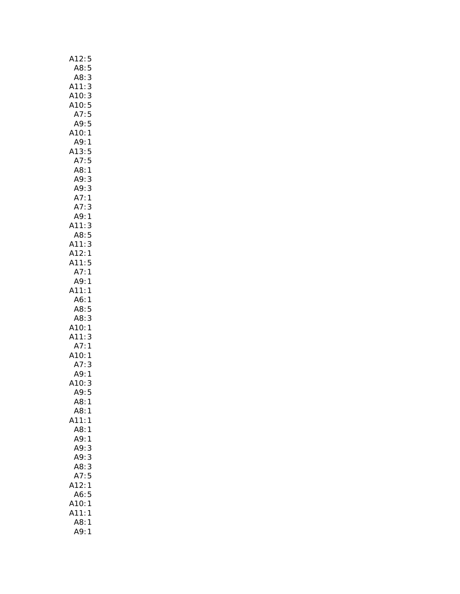| A12:5                                         |
|-----------------------------------------------|
| A8:<br>5                                      |
| 3<br>A8:                                      |
| 3<br>A11:                                     |
| 3<br>A10:                                     |
| A10:5                                         |
| A7:5                                          |
| A9:5                                          |
| A10:1                                         |
| A9:1                                          |
| A13:5                                         |
| $A7:5$<br>$A8:1$                              |
| A9:                                           |
| 3                                             |
| د<br>A9: 3<br>A7: 1                           |
| A7:                                           |
| 3<br>A9:1                                     |
| A11:<br>3                                     |
| A8:5                                          |
| 3<br>A11:                                     |
| A12:1                                         |
| A11:5                                         |
| A7:1                                          |
| A9:<br>1                                      |
| A11:<br>1                                     |
| A6:<br>1                                      |
|                                               |
| 5<br>3                                        |
| A8:<br>A8:<br>A8:<br>A10:<br>A11:<br>A7:<br>1 |
| 3                                             |
| $\mathbf{1}$                                  |
| A10:1<br>A7:3                                 |
| 3                                             |
| A9:1                                          |
| A10:<br>3                                     |
| A9: 5<br>A8:1                                 |
| A8:1                                          |
| A11:<br>1                                     |
| A8:<br>1                                      |
| A9:<br>1                                      |
| A9:<br>3                                      |
| A9:<br>3                                      |
| 3<br>A8:                                      |
| 5<br>A7:                                      |
| A12:<br>1                                     |
| A6:<br>5                                      |
| A10:<br>1                                     |
| A11:<br>$\mathbf{1}$                          |
| A8:<br>$\mathbf{1}$                           |
| A9:<br>$\mathbf{1}$                           |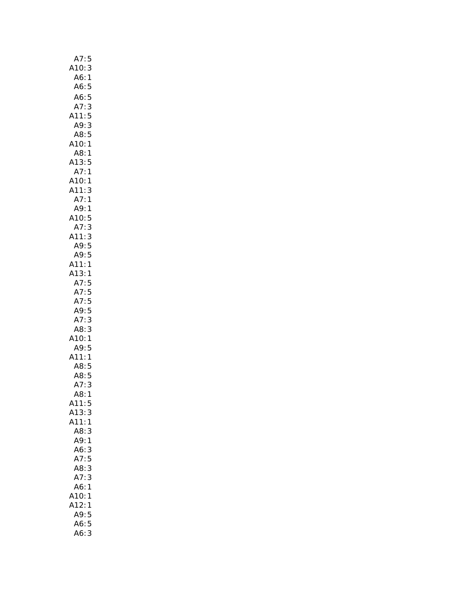| A7:<br>5                                                      |
|---------------------------------------------------------------|
| 3<br>A10:                                                     |
| $\mathbf{1}$                                                  |
| . Č.<br>: A6<br>: A6                                          |
| 5                                                             |
| A6:<br>5                                                      |
| 3535<br>A7:<br>:A11                                           |
|                                                               |
| A9:                                                           |
|                                                               |
| A8:<br>:A10<br>$\mathbf{1}$                                   |
|                                                               |
| A8:1                                                          |
| A13:<br>5                                                     |
| A7:1                                                          |
| A10:1                                                         |
| 411:<br>3                                                     |
| A7:1                                                          |
| A9:1                                                          |
| 5                                                             |
| :10<br>A7:                                                    |
| 3                                                             |
| 411:                                                          |
|                                                               |
| $\begin{array}{c} 3 \\ 5 \\ 5 \\ 1 \end{array}$<br>A9:<br>A9: |
| A11:<br>A11:<br>A13:                                          |
| 1                                                             |
| . د .<br>A7:<br>F<br>5                                        |
|                                                               |
| 5<br>5<br>5<br>5<br>A7:                                       |
| A9:                                                           |
|                                                               |
| 3<br>A7:<br>3                                                 |
| A8:                                                           |
|                                                               |
| A10:1                                                         |
| A9:<br>5                                                      |
|                                                               |
| 11:1                                                          |
|                                                               |
|                                                               |
| A8: 5<br>A8: 5<br>A7: 3                                       |
| A8:<br>1                                                      |
| A11:<br>5                                                     |
| A13:<br>3                                                     |
| A11<br>1                                                      |
| A8:<br>3                                                      |
| A9:<br>1                                                      |
| A6:<br>3                                                      |
| A7:                                                           |
| 5                                                             |
| 3<br>A8:                                                      |
| 3<br>A7:                                                      |
| A6:<br>1                                                      |
| A10:<br>1                                                     |
| A12:<br>1                                                     |
| A9:<br>5                                                      |
| 5<br>A6:<br>A6:<br>3                                          |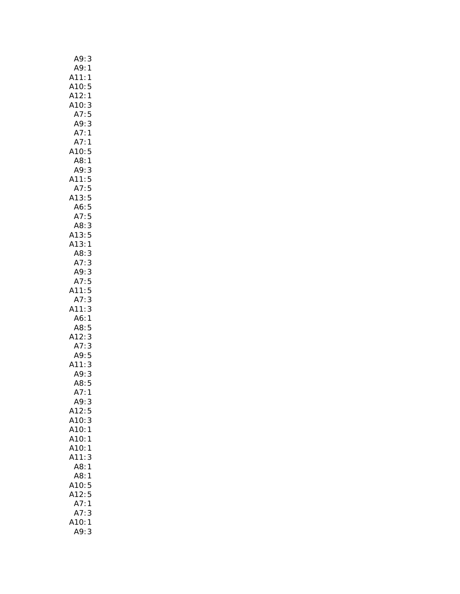| A9:<br>3                                                         |
|------------------------------------------------------------------|
| A<br>A11:1<br>A10:5<br>A12:1<br>A10:3<br>A7:5<br>^9:3            |
|                                                                  |
|                                                                  |
|                                                                  |
|                                                                  |
|                                                                  |
|                                                                  |
| A7:1                                                             |
| A7:1                                                             |
| A10:5                                                            |
| A8:1                                                             |
| A9:<br>3                                                         |
|                                                                  |
|                                                                  |
|                                                                  |
|                                                                  |
|                                                                  |
|                                                                  |
|                                                                  |
| A11:5<br>A7:5<br>A13:5<br>A6:5<br>A7:5<br>A3:3<br>A13:1<br>A13:1 |
| A8:3                                                             |
| A7:3                                                             |
|                                                                  |
| $A9:3$<br>$A7:5$<br>$A11:5$<br>$A7:3$                            |
|                                                                  |
|                                                                  |
| A11:<br>3                                                        |
|                                                                  |
| A6:1<br>A8:5<br>A12:3<br>A7:3<br>A9:5<br>A11:3<br>A9:3<br>A8:5   |
|                                                                  |
|                                                                  |
|                                                                  |
|                                                                  |
|                                                                  |
|                                                                  |
| .<br>A7:<br>1                                                    |
| A9:<br>3                                                         |
| A12:<br>5                                                        |
| 3<br>A10:                                                        |
| A10:<br>1                                                        |
| A10:                                                             |
| 1<br>A10:                                                        |
| 1                                                                |
| A11:<br>3                                                        |
| A8:<br>1                                                         |
| A8:<br>1                                                         |
| A10:<br>5                                                        |
| A12:<br>5                                                        |
| A7:<br>1                                                         |
| A7:<br>3                                                         |
| 10:<br>1<br>Δ                                                    |
| <br>A9:<br>3                                                     |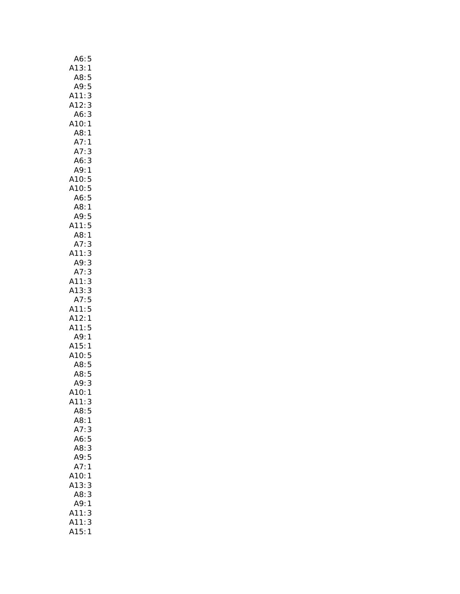| A6:<br>5                                        |
|-------------------------------------------------|
| A13:1                                           |
| A8:<br>5                                        |
| A9:<br>5                                        |
| 3<br>A11:                                       |
| 3<br>A12:                                       |
|                                                 |
| 3<br>A6:                                        |
| A10:<br>$\mathbf{1}$                            |
| A8:<br>1                                        |
| A7:<br>1                                        |
| 3<br>A7:                                        |
| A6:<br>3                                        |
| A9:<br>1                                        |
| A <sub>2</sub> : 1<br>A10: 5<br>A6: 5<br>A6: 1  |
|                                                 |
|                                                 |
|                                                 |
|                                                 |
| A8: 1<br>A9: 5<br>.11: 5                        |
| A11:                                            |
| A8:1                                            |
| A7:<br>3                                        |
| A11:                                            |
| A9:                                             |
| 3<br>3<br>3<br>A7:                              |
| 3<br>A11:                                       |
| A13:                                            |
| 3<br>5<br>A7:                                   |
| 5                                               |
| A11:<br>A12:<br>1                               |
| A11:5                                           |
| A11.5<br>A9:1<br>A15:1<br>A10:5<br>A8:5<br>A9:3 |
|                                                 |
|                                                 |
|                                                 |
|                                                 |
|                                                 |
|                                                 |
| A10:<br>1                                       |
| A11:<br>3                                       |
| A8:5                                            |
| A8:<br>$\mathbf{1}$                             |
| A7:<br>3                                        |
|                                                 |
| A6:5                                            |
| 3<br>A8:                                        |
| A9:<br>5                                        |
| A7:<br>1                                        |
| A10:<br>1                                       |
| A13:<br>3                                       |
| A8:<br>3                                        |
| A9:<br>1                                        |
| A11:<br>3                                       |
| A11:<br>3                                       |
| 415:<br>$\mathbf{1}$                            |
|                                                 |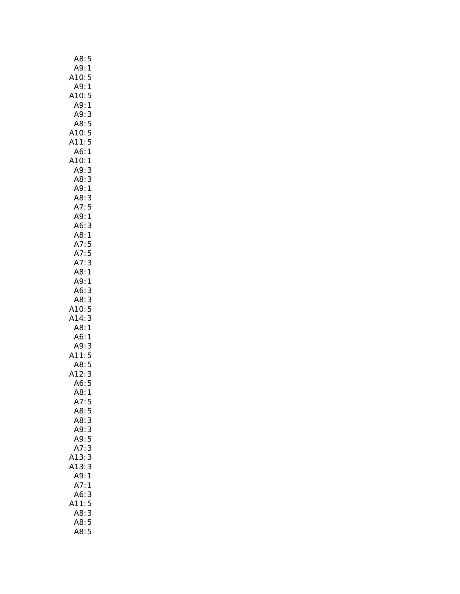| A8:5                        |
|-----------------------------|
| A9:<br>1                    |
| 5                           |
| A10:<br>A9:<br>$\mathbf{1}$ |
| A10:5                       |
| A9:<br>1                    |
| A9:<br>3                    |
| A8:5                        |
| A10:5                       |
| A11:5                       |
| A6:1                        |
| A10:1                       |
| A9:<br>3                    |
| A8:<br>3                    |
| A9:1                        |
| A8:<br>3                    |
| A7:5                        |
| A9:1                        |
| A6:<br>3                    |
| A8:1                        |
|                             |
| A7:5<br>A7:5                |
| A7:<br>3                    |
| A8:1                        |
| A9:1                        |
| A6:3                        |
| A8:3                        |
| A10:5                       |
| A14:3                       |
| A8:1                        |
| A6:1                        |
| A9:<br>3                    |
| A11:5                       |
| A8:5                        |
| A12:<br>3                   |
| .<br>A6: 5                  |
|                             |
| A8:1<br>A7:<br>5            |
| A8:<br>5                    |
| A8:                         |
| 3<br>A9:3                   |
| 5                           |
| A9:<br>3                    |
| A7:                         |
| A13:3                       |
| A13:<br>3                   |
| A9:1                        |
| A7:1                        |
| 3<br>A6:                    |
| A11:5                       |
| 3<br>A8:                    |
|                             |
| A8:5<br>A8:5                |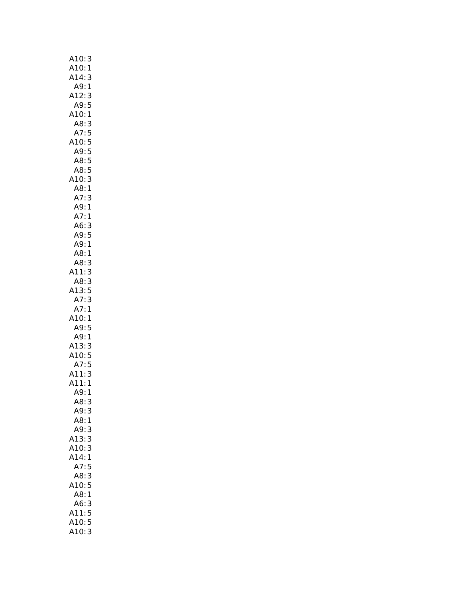| A10:<br>3              |
|------------------------|
| A10:1                  |
| A14:<br>3              |
| A9:1                   |
| A12:3                  |
| A9:5                   |
| A10:1                  |
| A8:3                   |
| A7:5                   |
| A10:5                  |
| A9:5                   |
| A8:5                   |
| A8:5                   |
| 3<br>A10:              |
| A8:1                   |
| A7:<br>3               |
| .<br>A9: 1             |
| A7:1                   |
| A6:3                   |
| A9:5                   |
| A9:1                   |
| A8:1                   |
| A8:3                   |
| A11:3                  |
| A8:3                   |
| 413:5                  |
| A7:3                   |
| A7:1<br>A10:1          |
| A9:5                   |
| A9:1                   |
|                        |
|                        |
| A13:3<br>A10:5<br>A7:5 |
|                        |
| A11:3<br>A11:1         |
| A9:<br>1               |
| A8:3                   |
| A9:3                   |
| A8:1                   |
| A9:<br>3               |
| A13:3                  |
| A10:<br>3              |
| A14:<br>1              |
| A7:<br>5               |
| A8:<br>3               |
| A10:<br>5              |
| A8:<br>1               |
| A6:<br>3               |
| 5<br>A11:              |
| 5<br>A10:              |
| A10:<br>3              |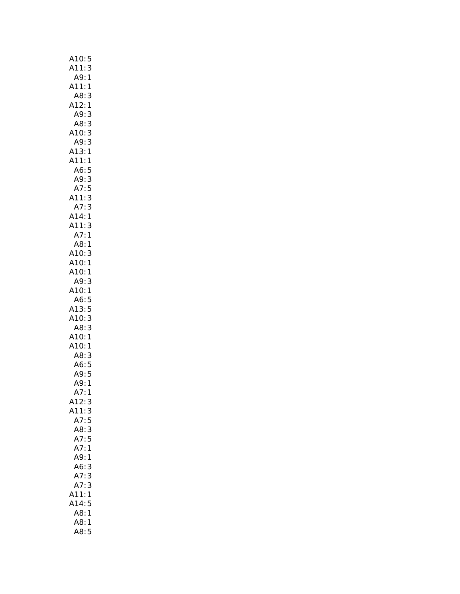| A10:5                                                                   |
|-------------------------------------------------------------------------|
| A11:3                                                                   |
| A9:1                                                                    |
| A11:1                                                                   |
| A8:<br>3                                                                |
|                                                                         |
| A12:1                                                                   |
| A9:<br>3                                                                |
| A8:<br>3                                                                |
| $A$ 10:3<br>$A$ 9:3<br>$A$ 13:1<br>$A$ 11:1<br>3                        |
| $\begin{array}{c} 3 \\ 1 \end{array}$                                   |
|                                                                         |
|                                                                         |
|                                                                         |
|                                                                         |
| A11:1<br>A6:5<br>A9:3<br>A7:5<br>A11:3<br>A14:1                         |
|                                                                         |
|                                                                         |
|                                                                         |
|                                                                         |
| A14:1<br>A11:3                                                          |
| A7:1                                                                    |
| A8:1                                                                    |
| A10:<br>3                                                               |
| A10:1                                                                   |
| A10:1                                                                   |
| A9:<br>3                                                                |
| A10:<br>1                                                               |
| A6:                                                                     |
| 5                                                                       |
| A13:<br>5                                                               |
| A10: 3<br>A8: 3<br>A10: 1<br>A10: 1<br>A8: 3<br>A6: 5<br>A9: 5<br>A9: 1 |
|                                                                         |
|                                                                         |
|                                                                         |
|                                                                         |
|                                                                         |
|                                                                         |
|                                                                         |
| A7:<br>1                                                                |
| A12:3                                                                   |
|                                                                         |
| A11:3                                                                   |
| A7:5                                                                    |
| 3<br>A8:                                                                |
| A7:5                                                                    |
| $\mathbf{1}$<br>A7:                                                     |
| 1<br>A9:                                                                |
| 3<br>A6:                                                                |
| 3<br>A7:                                                                |
| 3<br>A7:                                                                |
| A11:<br>1                                                               |
| A14:5                                                                   |
|                                                                         |
| A8:<br>$\mathbf{1}$                                                     |
| A8:1                                                                    |
| A8:5                                                                    |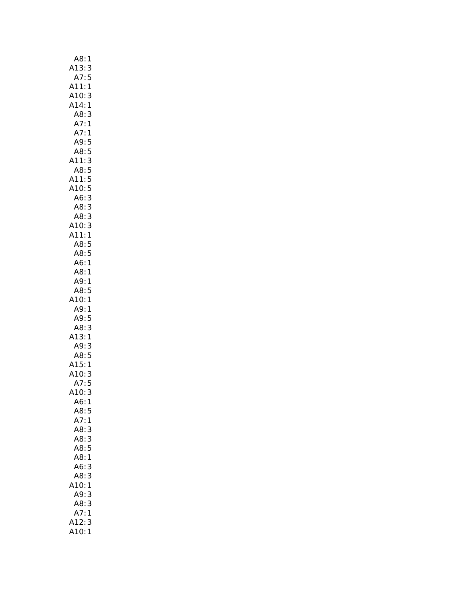| A8:<br>$\mathbf{1}$          |
|------------------------------|
| A13:3                        |
| 5<br>A7:                     |
| A11:<br>$\mathbf{1}$         |
| A10:3                        |
| A14:1                        |
| A8:<br>3                     |
| A7:1                         |
| A7:1                         |
| A9:5                         |
| A8:5                         |
| 3<br>A11:                    |
| A8:5                         |
| A11:5<br>A10:5<br>A6:3       |
|                              |
|                              |
| A8:<br>3                     |
| $AB:3$<br>$A10:3$            |
|                              |
| A11:<br>$\mathbf{1}$         |
| A8:5                         |
| A8:5                         |
| A6:1                         |
| A8:1                         |
| A9:1                         |
| A8:5                         |
| A10:1                        |
| A9:1                         |
| A9:<br>5                     |
| A8:<br>3                     |
| A13:<br>1                    |
| A9:<br>A9: 3<br>A8: 5        |
|                              |
| A15:<br>A10:<br>$\mathbf{1}$ |
| 3                            |
| A7:5                         |
| <b>\10:</b><br>3             |
| A6:<br>$\mathbf{1}$          |
| A8:<br>5                     |
| A7:<br>$\mathbf{1}$<br>A8:   |
| 3<br>A8:<br>3                |
| A8:<br>5                     |
| 1<br>A8:                     |
| A6:<br>3                     |
| A8:<br>3                     |
| A10:<br>1                    |
| A9:<br>3                     |
| A8:<br>3                     |
| A7:<br>1                     |
| A12:<br>3                    |
| 410:<br>1                    |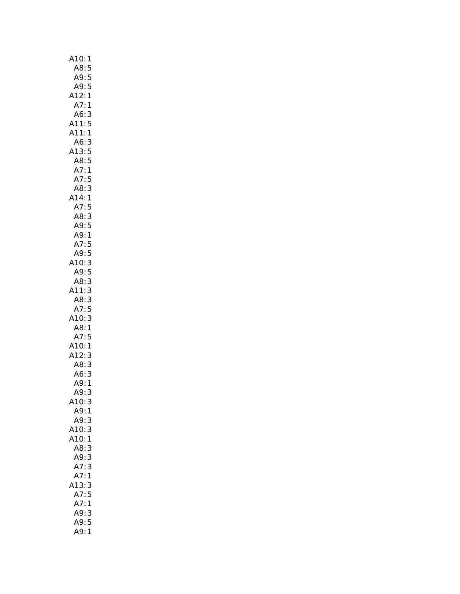| A10:1                      |
|----------------------------|
| A8:5                       |
| A9:<br>5                   |
| A9:5                       |
| A12:1                      |
| A7:1                       |
| A6:<br>3                   |
| A11:<br>5                  |
| A11:1                      |
| A6:<br>3                   |
| A13:<br>5                  |
| AB:<br>5                   |
| A7:<br>A7:<br>$\mathbf{1}$ |
| 5                          |
| A8:<br>3                   |
| A14:<br>$\mathbf{1}$       |
| A7:<br>5                   |
| A8:3                       |
| A9:<br>5                   |
| A9:1                       |
| A7:5<br>A9:5               |
|                            |
| A10:3                      |
| A9:5                       |
| 3<br>A8:                   |
| 3<br>A11:                  |
| A8:<br>3                   |
| 5<br>A7:<br>A10:<br>3      |
| A8:                        |
| 1                          |
| A7:5<br>A10:1<br>A12:3     |
|                            |
| A8:<br>3                   |
| A6:<br>3                   |
| A9:<br>1                   |
| A9:<br>3                   |
| A10:3                      |
| A9:1                       |
| A9:<br>3                   |
| A10:<br>3                  |
| A10:<br>1                  |
| A8:<br>3                   |
| A9:<br>3                   |
| 3<br>A7:                   |
| A7:<br>1                   |
| A13:<br>3                  |
| A7:5                       |
| A7:<br>$\mathbf{1}$        |
| 3<br>A9:                   |
| 5<br>A9:                   |
| A9:<br>$\mathbf{1}$        |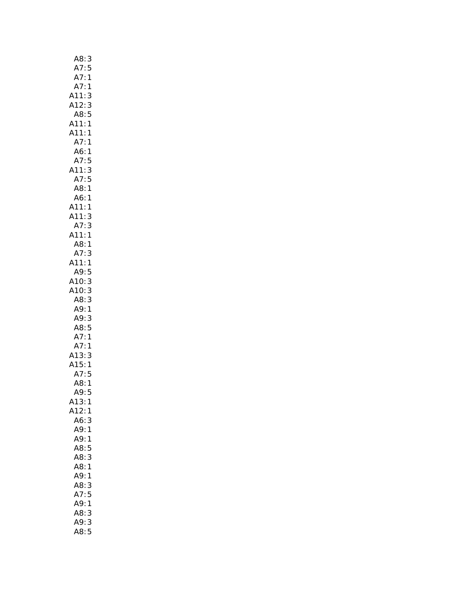| A8:                                        |
|--------------------------------------------|
|                                            |
| $\begin{array}{c} 3 \\ 5 \\ 1 \end{array}$ |
| <br>A7:5<br>A7:1<br>A7:1                   |
| A11:3                                      |
| A12:                                       |
| 12:3<br>A8:5                               |
| $\mathbf{1}$<br>A11:                       |
| A11:1                                      |
| A7:1                                       |
| A6:1                                       |
| A7:5<br>A11:3                              |
|                                            |
| $A7:5$<br>$A8:1$                           |
|                                            |
| A6:1                                       |
| $A11:1$<br>$A11:3$<br>$A7:3$<br>$A11:1$    |
|                                            |
|                                            |
|                                            |
| A8:1<br>A7:3                               |
| A11:<br>$\mathbf{1}$                       |
| A9:5                                       |
| A10:3                                      |
| A10:3                                      |
|                                            |
|                                            |
| A8:3                                       |
| A9:1                                       |
| A9:3                                       |
| A8:5                                       |
| A7:1                                       |
| A7:1                                       |
|                                            |
| A13:3<br>A15:1                             |
| .<br>A7:5<br>A8:1                          |
| A9:5                                       |
| A13:<br>1                                  |
| A12:1                                      |
| A6:3                                       |
| A9:1                                       |
| A9:1                                       |
| A8:5                                       |
| A8:3                                       |
| A8:1                                       |
| A9:1                                       |
| 3<br>A8:                                   |
| A7:5                                       |
| 1<br>A9:                                   |
| A8:3                                       |
| A9:3<br>A8:5                               |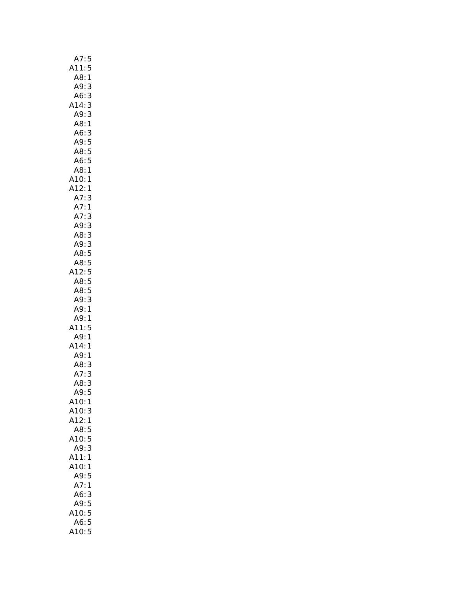| A7:<br>5             |
|----------------------|
| A11:<br>5            |
| A8:<br>$\mathbf{1}$  |
| A9:<br>3             |
| A6:<br>3             |
| 3<br>A14:            |
| 3<br>A9:             |
|                      |
| A8:1                 |
| A6:<br>3             |
| A9:5                 |
| A8:5                 |
| A6: 5<br>A8: 1       |
|                      |
| A10:1                |
| . .<br>A12:<br>1     |
| A7:                  |
| $\frac{3}{1}$<br>A7: |
| A7:<br>3             |
| A9:                  |
| 3                    |
| A8:<br>3             |
| A9:<br>$\mathsf{3}$  |
| A8:5                 |
| A8:5                 |
| 12:5                 |
| A8:5                 |
| A8:5                 |
| A9:<br>3             |
| A9:1                 |
| A9:1                 |
| 11:5                 |
| A9:1                 |
| A14:                 |
| $\mathbf{1}$         |
| A9:1                 |
| A8:<br>3             |
| A7:<br>3             |
| A8:<br>3             |
| A9:<br>5             |
| A10:<br>1            |
| A10:<br>3            |
| A12:<br>1            |
| A8:<br>5             |
| 5<br>A10:            |
| 3<br>A9:             |
| A11:<br>1            |
|                      |
| A10:<br>1            |
| A9:<br>5             |
| A7:<br>1             |
| 3<br>A6:             |
| 5<br>A9:             |
| 5<br>10:             |
| 5<br>A6:             |
| 410:<br>5            |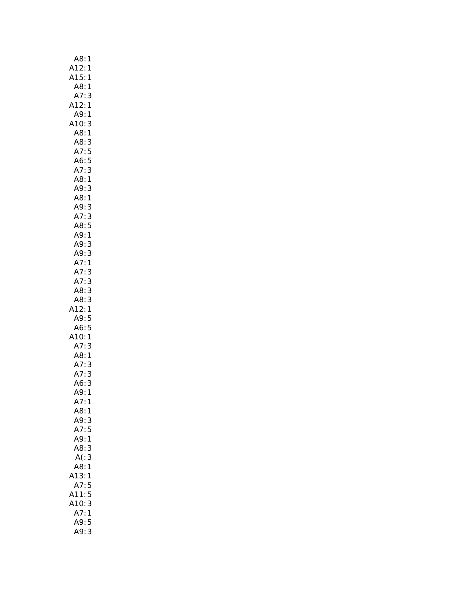| A8:<br>1                     |
|------------------------------|
| A12:<br>A15:<br>$\mathbf{1}$ |
| $\mathbf{1}$                 |
| A8:1                         |
| A7:3                         |
| A12:1                        |
| A9:1                         |
| 3<br>A10:                    |
| A8:1                         |
| A8:<br>3                     |
| A7:5                         |
| A6:5                         |
| A7:3                         |
| A8:1                         |
| A9:<br>3                     |
| A8:<br>1                     |
|                              |
| .<br>A9: 3<br>A7: 3          |
| A8:5                         |
| A9:                          |
| $\mathbf{1}$                 |
| A9:3                         |
| A9:3                         |
| A7:1                         |
| A7:<br>3                     |
| A7:3                         |
| A8:3                         |
| A8:3                         |
| .12:1                        |
| A9:5                         |
| A6:5                         |
| A10:1                        |
| A7:<br>3                     |
| A8:<br>1                     |
| A7:<br>A7:<br>3              |
| 3                            |
| A6:<br>3                     |
| A9:1                         |
| A7:<br>1                     |
| A8:<br>1                     |
| A9:3                         |
| A7:<br>5                     |
| A9:1                         |
| A8:3                         |
| A(:3)                        |
| A8:1                         |
| 13:<br>1                     |
| A7:<br>5                     |
| A11:<br>5                    |
| 3<br>A10:                    |
| A7:<br>1                     |
| A9:<br>5                     |
| A9:<br>3                     |
|                              |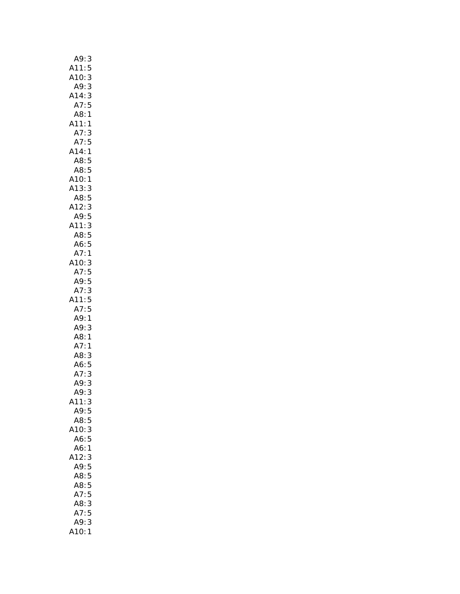| A9:<br>3                  |
|---------------------------|
| A11:<br>5                 |
| A10:<br>3                 |
| 3<br>A9:                  |
| A14:<br>3                 |
| 5<br>A7:                  |
| A8:1                      |
| A11:<br>$\mathbf{1}$      |
| A7:<br>3                  |
| A7:5                      |
| A14:<br>1                 |
| A8:<br>5                  |
| A8:<br>5                  |
| A10:<br>A10:<br>A13:<br>1 |
| 3                         |
| A8:<br>:A12<br>5          |
| $\frac{3}{5}$             |
| A9:                       |
| A11:<br>3                 |
| A8:<br>5                  |
| A6:5                      |
| A7:1                      |
| A10:<br>3                 |
| A7:5                      |
| A9:5                      |
| 3<br>A7:                  |
| A11:<br>5                 |
| A7:<br>5                  |
| A9:<br>1<br>3             |
| A9:<br>A8:                |
| $\mathbf{1}$<br>A7:<br>1  |
| A8:3                      |
| $A6: A =$                 |
| 5<br>A7:<br>3             |
| A9:<br>3                  |
| A9:<br>3                  |
| A11:3                     |
| A9:5                      |
| A8:5                      |
| A10:<br>3                 |
| A6:5                      |
| A6:<br>$\mathbf{1}$       |
| A12:<br>3                 |
| 5<br>A9:                  |
| A8:<br>5                  |
| 5<br>A8:                  |
| A7:<br>5                  |
| A8:<br>3                  |
| A7:<br>5                  |
| A9:<br>3                  |
| A10:<br>$\mathbf{1}$      |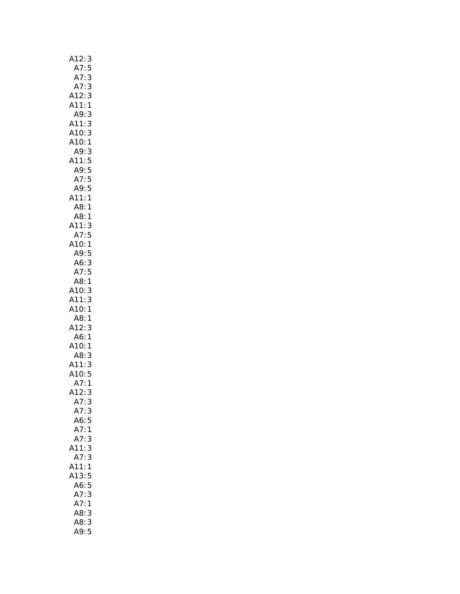| A12:3                                                                                               |
|-----------------------------------------------------------------------------------------------------|
| A7:                                                                                                 |
| 5<br>3<br>A7:                                                                                       |
| 3<br>A7:                                                                                            |
| 3<br>A12:                                                                                           |
| A11:1                                                                                               |
|                                                                                                     |
|                                                                                                     |
|                                                                                                     |
|                                                                                                     |
| A9: 3<br>A11: 3<br>A10: 1<br>A10: 1<br>A11: 5<br>A11: 5<br>A7: 5<br>A7: 5<br>A11: 1<br>A8: 1        |
|                                                                                                     |
|                                                                                                     |
|                                                                                                     |
|                                                                                                     |
|                                                                                                     |
| AB:1                                                                                                |
| A11:3<br>A7:5<br>A10:1                                                                              |
|                                                                                                     |
|                                                                                                     |
|                                                                                                     |
|                                                                                                     |
| A9: 5<br>A6: 3<br>A7: 5<br>A7: 5<br>A3: 1<br>A10: 3<br>A11: 3<br>A12: 3<br>A6: 1<br>A10: 1<br>A3: 3 |
|                                                                                                     |
|                                                                                                     |
|                                                                                                     |
|                                                                                                     |
|                                                                                                     |
|                                                                                                     |
|                                                                                                     |
|                                                                                                     |
| A11:3<br>A10:5<br>A7:1                                                                              |
|                                                                                                     |
| A12:<br>3                                                                                           |
| A7:3                                                                                                |
| A7:3                                                                                                |
| A6:<br>5                                                                                            |
| A7:<br>1                                                                                            |
| A7:<br>3                                                                                            |
| 3<br>A11:                                                                                           |
| A7<br>3<br>$\vdots$                                                                                 |
| $\mathbf{1}$<br>A11:                                                                                |
| A13:<br>5                                                                                           |
| A6:<br>A7:<br>^-<br>5                                                                               |
| 3<br>A7:<br>$\mathbf{1}$                                                                            |
| A8:3                                                                                                |
| A8:3                                                                                                |
| A9:5                                                                                                |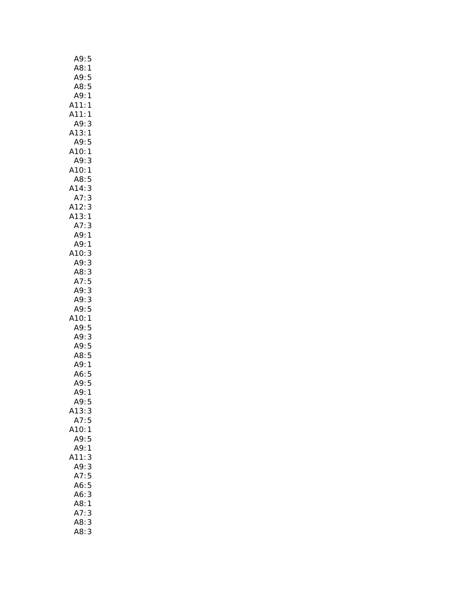| A9:          | 5            |
|--------------|--------------|
| A8:          | 1            |
| A9:          | 5            |
| A8:          | 5            |
| A9:          | $\mathbf{1}$ |
| A11:         | $\mathbf{1}$ |
| A11:         | 1            |
| A9:          | 3            |
| A13:1        |              |
| A9:          | 5            |
| A10:1        |              |
| A9:          | 3            |
| A10:<br>A8:  | 1            |
|              | 5<br>3       |
| A14:         | 3            |
| A7:<br>A12:  | 3            |
| A13:         | 1            |
| A7:          | 3            |
| A9:1         |              |
| A9:1         |              |
| A10:         | 3            |
| A9:          | 3            |
| A8:3         |              |
| A7:5         |              |
| A9:          | 3            |
| A9: 3        |              |
| A9:5         |              |
| A10:1        |              |
| A9:5         |              |
| A9:3         |              |
| A9:5         |              |
| A8:5         |              |
| A9:1         |              |
| A6:5         |              |
| A9:5         |              |
| A9:1<br>A9:5 |              |
| A13:         |              |
| A7:          | 3<br>5       |
| A10:         | $\mathbf{1}$ |
| A9:          | 5            |
| A9:1         |              |
| A11:3        |              |
| A9:          | 3            |
| A7:5         |              |
| A6:5         |              |
| A6:          | 3            |
| A8:1         |              |
| A7:          | 3            |
| A8:          | 3            |
| A8:          | 3            |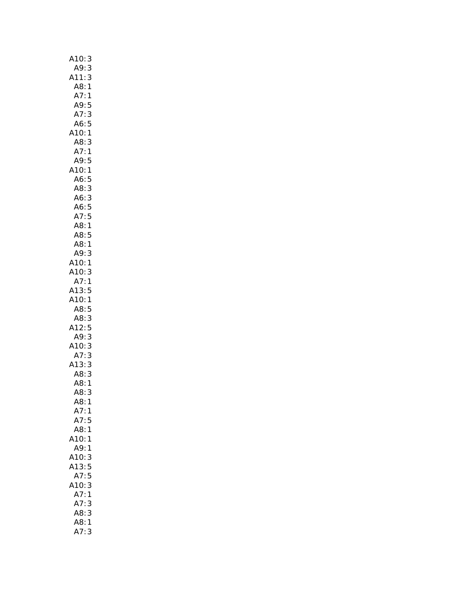| A10:<br>3                    |
|------------------------------|
| A9:<br>3                     |
| 411:<br>3                    |
| A8:<br>$\mathbf{1}$          |
| A7:<br>$\mathbf{1}$          |
| A9:5                         |
| A7:3                         |
| A6:5                         |
| A10:1                        |
| A8:<br>3                     |
| A7:<br>1                     |
| A9:<br>5                     |
| A10:<br>$\mathbf{1}$         |
| A6:<br>5                     |
| A8:<br>3                     |
|                              |
|                              |
| .<br>A6: 3<br>A6: 5<br>A7: 5 |
| A8:1                         |
| A8:<br>5                     |
| A8:<br>$\mathbf{1}$          |
| A9:<br>3                     |
| A10:<br>1                    |
| A10:<br>3                    |
| A7:<br>1                     |
| A13:<br>5                    |
| A10:<br>1<br>A8:             |
| 5<br>A8                      |
| 3<br>A12:                    |
| $\frac{5}{3}$<br>A9:         |
| 3                            |
| A10:<br>A7:<br>3             |
| 3                            |
| A13:<br>A8:<br>3             |
| A8:<br>1                     |
| A8:<br>3                     |
| A8:1                         |
| A7:<br>$\mathbf{1}$          |
| A7:<br>5                     |
| A8:<br>1                     |
| A10:<br>1                    |
| A9:<br>1                     |
| A10:<br>3                    |
| A13:<br>5                    |
| A7:<br>5                     |
| 3<br>A10:                    |
| A7:<br>1                     |
| A7:<br>3                     |
| A8:<br>3                     |
| A8:<br>1                     |
| A7:<br>3                     |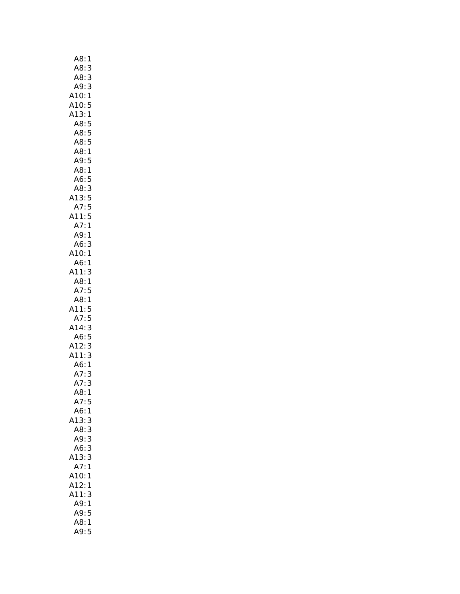| A8:<br>1                                                        |  |
|-----------------------------------------------------------------|--|
| A8:                                                             |  |
| .<br>A8:<br>A9:                                                 |  |
| 3<br>3<br>3                                                     |  |
|                                                                 |  |
| A10:1<br>A10:5                                                  |  |
| A13:<br>1                                                       |  |
| A8:<br>5                                                        |  |
| A8:5                                                            |  |
| A8:5                                                            |  |
| A8:<br>1                                                        |  |
| A9:<br>5                                                        |  |
| A8:<br>1                                                        |  |
| A6:<br>5                                                        |  |
| A8:<br>3                                                        |  |
| A13:5<br>A7:5                                                   |  |
| 5                                                               |  |
| A11:<br>A7:<br>$\mathbf{1}$                                     |  |
| A9:1                                                            |  |
| A6:                                                             |  |
| $A6:3$<br>A 10:1                                                |  |
|                                                                 |  |
| A6: 1<br>A11: 3<br>3                                            |  |
| A8:1                                                            |  |
| A7:<br>5                                                        |  |
| A8:1                                                            |  |
|                                                                 |  |
| A11:5<br>A7:5                                                   |  |
| 3<br>A14:                                                       |  |
| A6:5                                                            |  |
| A12:<br>3                                                       |  |
| A11:                                                            |  |
| $\begin{array}{c} 3 \\ 1 \\ 3 \end{array}$<br>A6:<br>A7:<br>A7: |  |
|                                                                 |  |
| 3                                                               |  |
| A8:1                                                            |  |
| A7:5                                                            |  |
| A6:<br>1                                                        |  |
| A13:<br>3                                                       |  |
| A8:<br>3                                                        |  |
| A9: 3<br>3<br>A6:                                               |  |
| A13:<br>3                                                       |  |
| A7:<br>$\mathbf{1}$                                             |  |
| A10:<br>1                                                       |  |
| A12:<br>$\mathbf 1$                                             |  |
| A11:<br>3                                                       |  |
| A9:1                                                            |  |
| A9:5                                                            |  |
| A8:<br>$\mathbf{1}$                                             |  |
| A9:5                                                            |  |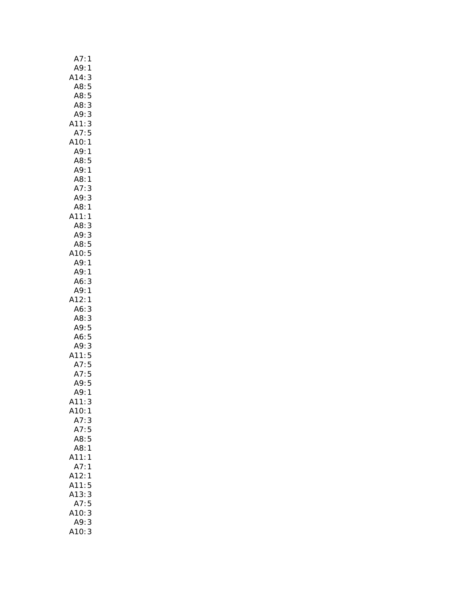| A7:<br>1                        |
|---------------------------------|
| A9:1                            |
| 14:<br>3                        |
| A8:<br>5                        |
| A8:<br>5                        |
| A8:<br>3                        |
| A9:<br>3                        |
| A11:<br>$\mathbf{3}$            |
| A7:5                            |
| A10:<br>$\mathbf{1}$            |
| A9:1                            |
| A8:5                            |
| A9: 1                           |
| A8:1                            |
| A7:<br>3                        |
| A9:<br>3<br>A8:<br>1            |
| A11:<br>$\mathbf{1}$            |
| A8:<br>3                        |
| .<br>A9: 3                      |
| 5                               |
| A8:<br>A10:<br>$\overline{5}$   |
| A9:1                            |
| A9:1                            |
| A6:<br>3                        |
| A9:<br>$\mathbf{1}$             |
| A12:1                           |
| A6:<br>3                        |
| A8: 3                           |
| A9:5                            |
| A6:5                            |
| A9:3                            |
| A11:5                           |
| A7:5<br>A7:5<br>A9:5            |
|                                 |
|                                 |
| A9:<br>1                        |
| A11:<br>3                       |
| A10:<br>1                       |
| A7:<br>3                        |
| 5<br>A7:                        |
| A8:<br>5<br>A8:<br>$\mathbf{1}$ |
| $\sqrt{11}$ :<br>1              |
| A7:<br>1                        |
| A12:<br>1                       |
| A11:<br>5                       |
| 3<br>A13:                       |
| A7:                             |
| 5<br>3<br>A10:                  |
| A9:<br>3                        |
| A10:<br>3                       |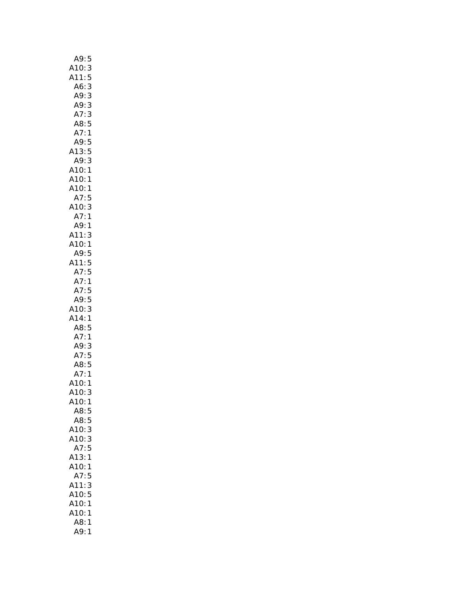| A9:<br>5                        |
|---------------------------------|
| A10:<br>3                       |
| 5<br>A11:                       |
| 3<br>A6:                        |
| A9:                             |
| 3<br>3<br>A9:                   |
| 3<br>A7:                        |
| 5<br>A8:                        |
| 1<br>A7:                        |
| A9:                             |
| 5<br>5<br>A13:                  |
| 3<br>A9:                        |
|                                 |
| A10:1<br>A10:1<br>A10:1<br>A7:5 |
|                                 |
|                                 |
|                                 |
| A10: 3<br>A7: 1                 |
| A9:1                            |
| A11:<br>3                       |
| A10:1                           |
|                                 |
| A9:5<br>A11:5                   |
|                                 |
| A7:<br>5<br>1                   |
| A7:                             |
| A7:<br>5                        |
| 5<br>A9:                        |
| A10:<br>3<br>1                  |
| A14:                            |
| A8:<br>5                        |
| A7:<br>$\mathbf{1}$             |
| A9:<br>3                        |
| A7:5                            |
| A8:5                            |
| A7:<br>$\mathbf{1}$             |
| A10:1                           |
| A10:<br>3                       |
| A10:<br>1                       |
| A8:<br>5                        |
| 5<br>A8:                        |
| 3<br>A10:                       |
| A10:<br>3                       |
| A7:<br>5                        |
| A13:<br>1                       |
| A10:<br>1                       |
| A7:<br>5                        |
| 3<br>A11:                       |
| 5<br>A10.                       |
| A10:<br>1                       |
| A10:<br>1                       |
|                                 |
| $\overline{AB}$<br>1<br>A9:     |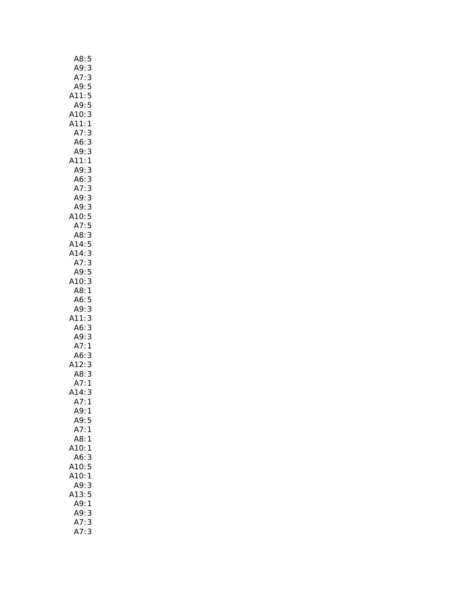| A8:                              | 5             |
|----------------------------------|---------------|
| A9:                              |               |
| A7:                              | 3<br>3        |
| A9:                              | 5             |
| A11:                             | 5             |
| A9:5                             |               |
| A10:3                            |               |
| A11:1                            |               |
| A7:                              | 3             |
| A6:                              | 3             |
| A9:                              | 3             |
| A11:1                            |               |
| A9:                              | 3             |
| A6:                              | 3             |
| A7:                              | $\frac{3}{3}$ |
| A9:                              |               |
| A9:                              | 3             |
|                                  |               |
| A10: 5<br>A7: 5                  |               |
|                                  |               |
| $A7.3$<br>A8:3<br>A14:5<br>A14:3 |               |
|                                  |               |
| A7:3                             |               |
| A9:5                             |               |
| A10: 3                           |               |
| A8:1                             |               |
| A6:5                             |               |
| A9: 3                            |               |
| A11:3                            |               |
| A6:3                             |               |
| A9:3                             |               |
| A7:1                             |               |
| A6:<br>:A12<br>:A8               | 3             |
|                                  | 3             |
|                                  | $\frac{1}{3}$ |
| A7:1                             |               |
| 414:                             | 3             |
| A7:                              | 1             |
| A9:1                             |               |
| A9:                              | 5             |
| A7:                              | $\mathbf{1}$  |
| A8:                              | 1             |
| A10:1                            |               |
| A6:                              | 3             |
| A10:5                            |               |
| A10:1                            |               |
| A9:                              | 3             |
| A13:                             | 5             |
| A9:                              | 1             |
| A9:                              | 3             |
|                                  | 3             |
| .<br>A7:<br>A7:                  | 3             |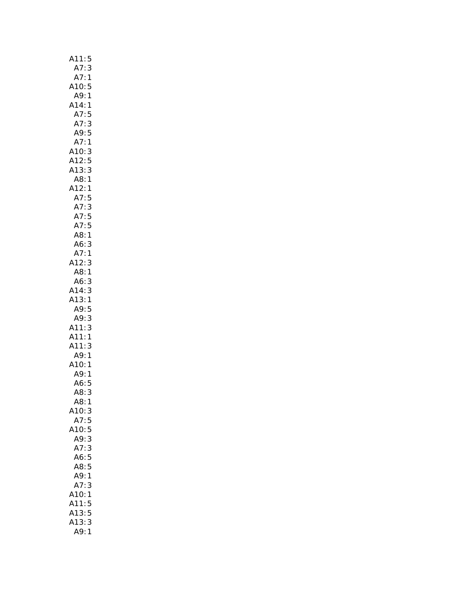| A11:5                                                                                                |
|------------------------------------------------------------------------------------------------------|
|                                                                                                      |
| A7: 3<br>A7: 1                                                                                       |
| A10:5                                                                                                |
| A9:1                                                                                                 |
| A14:1                                                                                                |
| A7:5<br>A7:3<br>A9:5                                                                                 |
|                                                                                                      |
|                                                                                                      |
| A7:1                                                                                                 |
| A10:<br>3                                                                                            |
|                                                                                                      |
| A12:5<br>A13:3<br>A8:1                                                                               |
|                                                                                                      |
| A12:1                                                                                                |
|                                                                                                      |
|                                                                                                      |
| A7:5<br>A7:3<br>A7:5<br>A7:5                                                                         |
| A8:1                                                                                                 |
|                                                                                                      |
| A6: 3<br>A7: 1                                                                                       |
| A12:<br>3                                                                                            |
| A8:1                                                                                                 |
|                                                                                                      |
| A6: 3<br>A14: 3                                                                                      |
| A13:1                                                                                                |
|                                                                                                      |
| A9:5<br>A9:3<br>A9:                                                                                  |
| 3<br>A11:<br>A11:                                                                                    |
| $\mathbf{1}$                                                                                         |
| A11:<br>3                                                                                            |
| A9:1                                                                                                 |
| $A$ <sub>2</sub> .1<br>A <sub>10:1</sub><br>A <sub>6:5</sub><br>A <sub>6:5</sub><br>A <sub>8:3</sub> |
|                                                                                                      |
|                                                                                                      |
|                                                                                                      |
| A8:1<br>A10:<br>3                                                                                    |
| A7:5                                                                                                 |
| A10:5                                                                                                |
| A9:3                                                                                                 |
| A7:3                                                                                                 |
| 5<br>A6:                                                                                             |
| A8:5                                                                                                 |
| A9:<br>1                                                                                             |
| A7:<br>3                                                                                             |
| A10:<br>$\mathbf 1$                                                                                  |
| A11:<br>5                                                                                            |
| A13:5                                                                                                |
| A13:<br>3                                                                                            |
| A9:<br>$\mathbf{1}$                                                                                  |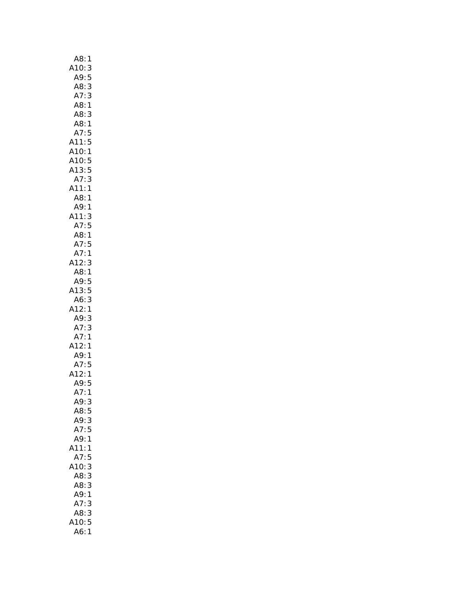| A8:<br>1                        |
|---------------------------------|
|                                 |
| A10: 3<br>A9: 5                 |
| A8:3                            |
| A7:3                            |
| A8:1                            |
| A8:<br>3                        |
| A8:1                            |
| A7:5                            |
| A11:5                           |
| A10:1                           |
| A10:5<br>A13:5<br>A7:3          |
|                                 |
|                                 |
| A11:1                           |
| A8:<br>$\mathbf{1}$             |
| $A9:1$<br>A11:3                 |
| 3                               |
| 5<br>A7:                        |
| A8:1                            |
| A7:5                            |
| A7:1                            |
| A12:<br>3                       |
| A8:1                            |
| A9:5                            |
| A13:5                           |
| A6:<br>3<br>A12:1               |
|                                 |
| $A9:3$<br>A7:3<br>A7:1<br>A12:1 |
|                                 |
|                                 |
|                                 |
| -----<br>49:1<br>412:1          |
|                                 |
| A9:5                            |
| 1<br>A7:                        |
| A9:3                            |
| A8:5                            |
| A9:3                            |
| A7:5                            |
| A9:1                            |
| 11:<br>1                        |
| 5<br>A7:                        |
| 10:<br>3                        |
| 3<br>A8:                        |
| A8:<br>3                        |
| A9:<br>1                        |
| A7:<br>3                        |
| A8:3                            |
| 410:5                           |
| A6:<br>$\mathbf{1}$             |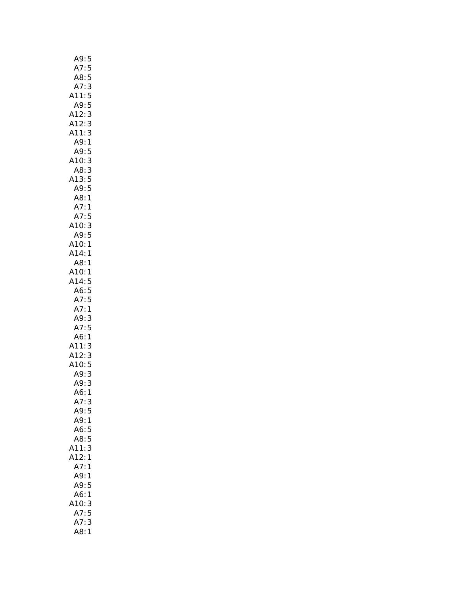| A9:                           | 5              |
|-------------------------------|----------------|
| A7:                           | $\frac{5}{5}$  |
| A8:                           |                |
| A7:                           | 3              |
| A11:5                         |                |
| A9:                           | 5              |
| A12:3                         |                |
| A12:3                         |                |
| A11:3                         |                |
| A9:1                          |                |
| A9:5                          |                |
| A10:3                         |                |
| AB:3                          |                |
|                               |                |
| A13:5<br>A9:5                 |                |
| A8:1                          |                |
|                               |                |
| A7:1<br>A7:5<br>A10:3<br>A9:5 |                |
|                               |                |
|                               |                |
| A10:1                         |                |
| A14:1                         |                |
| A8:1                          |                |
| A10:1                         |                |
| A14:5                         |                |
|                               |                |
| A6: 5<br>A7: 5                |                |
| A7:1                          |                |
| A9: 3                         |                |
| A7:5                          |                |
| A6:1                          |                |
| A11:                          | 3              |
| A12:                          | 3              |
|                               |                |
|                               |                |
| A10:5<br>A10:5<br>A9:3        |                |
| A6:1                          |                |
| A7:3                          |                |
| A9:                           | 5              |
| A9:                           | 1              |
| A6:5                          |                |
| A8:5                          |                |
| A11:                          | 3              |
| A12:                          | $\overline{1}$ |
| A7:1                          |                |
| A9:1                          |                |
| A9:5                          |                |
|                               |                |
| A6:<br>A10:                   | 1              |
|                               | 3<br>5         |
| A7:<br>A7:                    | 3              |
|                               |                |
| A8:                           | 1              |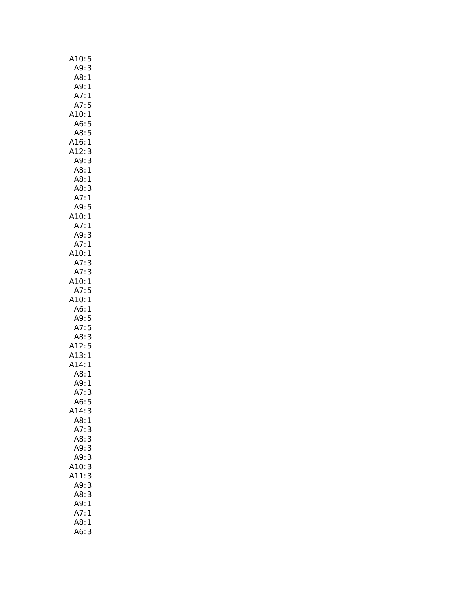| 410:5<br>49:3                |
|------------------------------|
|                              |
| A8:1                         |
| A9:1                         |
| A7:1                         |
| A7:5                         |
| A10:1                        |
|                              |
| A6:5                         |
| A8:5                         |
| A16:1                        |
| A12:3                        |
| A9:3                         |
| $\mathbf{1}$<br>A8:          |
| A8:1                         |
| A8:<br>A8: 3<br>A7: 1        |
|                              |
| A9:5                         |
|                              |
| A10:1<br>A7:1                |
| A9:3                         |
|                              |
| A7:1                         |
| A10:1                        |
| A7:3                         |
| A7:3                         |
| A10:1                        |
| A7:5                         |
| A10:1                        |
| A6:1                         |
| A9:5                         |
| A7:5                         |
| $A8:3$<br>$A12:5$<br>$A13:1$ |
|                              |
|                              |
| A14:1                        |
|                              |
| A8: 1<br>A9: 1               |
| A7:                          |
| 3<br>A6:5                    |
|                              |
| A14:3                        |
| A8:1                         |
| A7:<br>3                     |
| A8:3                         |
| A9:3                         |
| 3<br>A9:                     |
| 3<br>A10:                    |
| 3<br>A11:                    |
| 3<br>A9:                     |
| A8:<br>3                     |
| A9:<br>1                     |
| A7:<br>$\mathbf{1}$          |
| A8:1                         |
| A6:3                         |
|                              |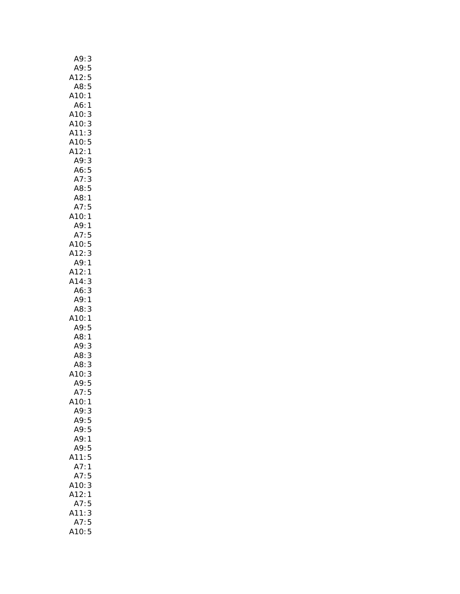| A9:<br>3                |  |
|-------------------------|--|
| A9:5                    |  |
| A12:<br>5<br>5          |  |
| A8:                     |  |
| $A10$ :<br>$\mathbf{1}$ |  |
| A6:<br>1                |  |
| A10:<br>3               |  |
| A10:                    |  |
| 3                       |  |
| A11:<br>3               |  |
| A10:<br>5               |  |
| A12:1                   |  |
| A9:<br>3                |  |
| A6:5                    |  |
| A7:<br>3                |  |
| A8:<br>5                |  |
| 1<br>A8:                |  |
| A7:<br>5                |  |
| A10:1                   |  |
| A9:1                    |  |
|                         |  |
| A7:5                    |  |
| A10:5<br>A12:3          |  |
|                         |  |
| A9:1                    |  |
| A12:<br>1               |  |
| A14:3                   |  |
| A6:<br>3                |  |
| A9:<br>$\mathbf{1}$     |  |
| A8:<br>3                |  |
| A10:<br>$\mathbf{1}$    |  |
| A9:5                    |  |
| A8:1                    |  |
|                         |  |
| A9:<br>3                |  |
| A8:3                    |  |
| $\frac{3}{3}$<br>A8:    |  |
| 10:                     |  |
| A9:5                    |  |
| A7:5                    |  |
| A10:<br>1               |  |
| A9:<br>3                |  |
| 5<br>A9:                |  |
| A9:<br>5                |  |
| A9:<br>$\mathbf{1}$     |  |
|                         |  |
| A9:<br>5                |  |
| 5<br>$\overline{11}$ :  |  |
| $\mathbf{1}$<br>A7:     |  |
| A7:<br>5                |  |
| 3<br>A10:               |  |
| A12:<br>1               |  |
| A7:<br>5                |  |
| A11:<br>3               |  |
| A7:5                    |  |
|                         |  |
| A10:5                   |  |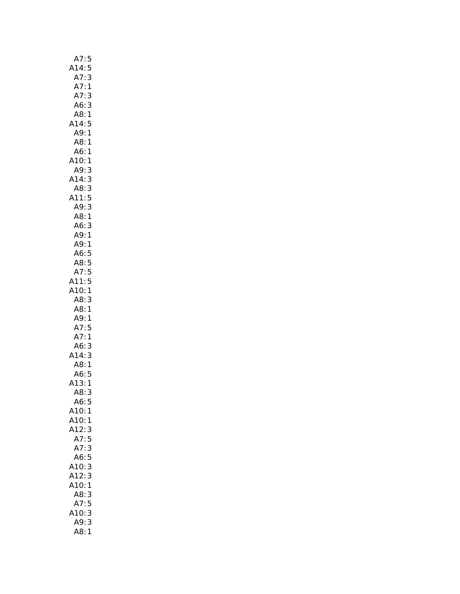| A7:<br>5                        |
|---------------------------------|
| A14:<br>5                       |
| A7:<br>3                        |
| A7:1                            |
| A7:3                            |
| A6:<br>3                        |
| A8:1                            |
| A14:5                           |
| A9:1                            |
| A8:1                            |
| A6:<br>1<br>A10:                |
| 1<br>A9:<br>3                   |
| 3<br>A14:                       |
| A8:3                            |
| A11:<br>5                       |
| A9:<br>3                        |
| A8:1                            |
| A6:3                            |
| A9:1                            |
| A9:1                            |
| A6:5                            |
| A8:5                            |
| A7:5                            |
| A11:5                           |
| A10:<br>$\overline{1}$          |
| A8:<br>3                        |
| A8:<br>1                        |
| A9:<br>1                        |
| A7:5                            |
| A7:<br>$\mathbf{1}$<br>A6:<br>3 |
| A14:<br>3                       |
| A8:1                            |
| A6:<br>5                        |
| A13:1                           |
| A8:<br>3                        |
| A6:5                            |
| A10:1                           |
| A10:<br>1                       |
| A12:<br>3                       |
| 5<br>A7:                        |
| A7:<br>3                        |
| A6:<br>5                        |
| A10:<br>3                       |
| A12:<br>3                       |
| A10:<br>1                       |
| A8:<br>3                        |
| A7:<br>5                        |
| A10:<br>3                       |
| A9:<br>3                        |
| A8:<br>$\mathbf{1}$             |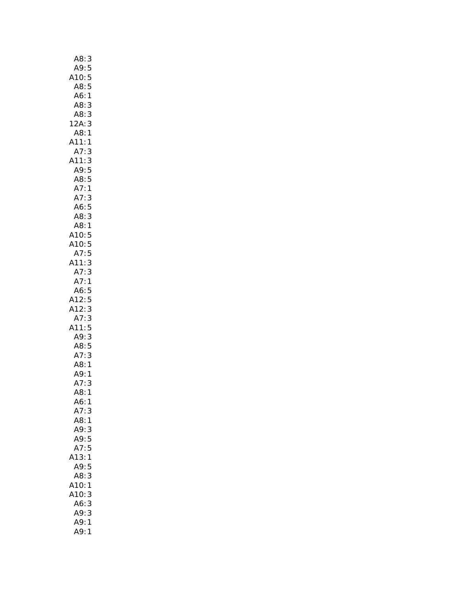| A8: 3<br>A9: 5<br>A10: 5<br>A8: 5<br>A6: 1                                             |
|----------------------------------------------------------------------------------------|
|                                                                                        |
|                                                                                        |
|                                                                                        |
|                                                                                        |
| no: :<br>A8: 3<br>A8: 3<br>2A: 3                                                       |
|                                                                                        |
| 1                                                                                      |
|                                                                                        |
| 1 :A8<br>1 :A11                                                                        |
|                                                                                        |
|                                                                                        |
|                                                                                        |
|                                                                                        |
|                                                                                        |
|                                                                                        |
|                                                                                        |
|                                                                                        |
| A7:3<br>A11:3<br>A9:5<br>A8:5<br>A7:1<br>A7:3<br>A8:1<br>A8:1<br>A7:5<br>A11:3<br>A7:3 |
|                                                                                        |
|                                                                                        |
|                                                                                        |
|                                                                                        |
|                                                                                        |
|                                                                                        |
|                                                                                        |
|                                                                                        |
|                                                                                        |
|                                                                                        |
| A7:1<br>A6:5<br>A12:5<br>A12:3<br>A7:3<br>A7:3<br>A8:5<br>A7:3<br>A9:1<br>A7:3         |
|                                                                                        |
|                                                                                        |
|                                                                                        |
|                                                                                        |
|                                                                                        |
|                                                                                        |
|                                                                                        |
| A8:<br>$\mathbf{1}$                                                                    |
| A6:<br>1                                                                               |
| A7:<br>3                                                                               |
| A8:<br>1                                                                               |
| A9:<br>3                                                                               |
| A9:<br>5                                                                               |
| A7:<br>5                                                                               |
| A13:<br>1                                                                              |
| A9:<br>5                                                                               |
| 3<br>A8:                                                                               |
| A10:<br>1                                                                              |
| A10:<br>3                                                                              |
| 3<br>A6:                                                                               |
| 3<br>A9:                                                                               |
| A9:<br>1                                                                               |
| A9:<br>1                                                                               |
|                                                                                        |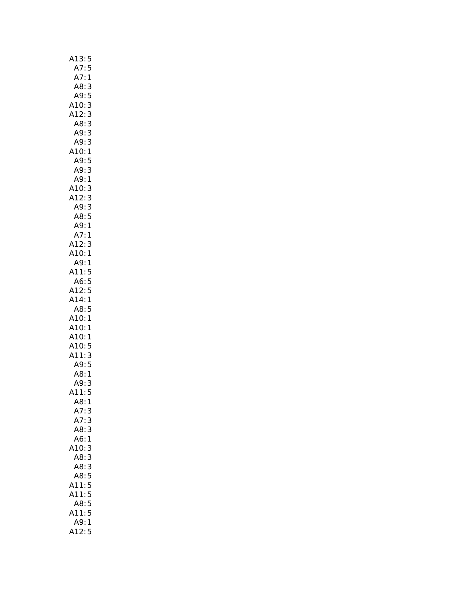| A13:<br>5                        |
|----------------------------------|
| A7:5                             |
| A7:<br>$\mathbf{1}$              |
| A8:<br>3                         |
| A9:<br>5                         |
| 3<br>A10:                        |
| A12:                             |
| 3<br>A8:                         |
| 3<br>A9:                         |
| A9:<br>3                         |
| 1<br>A10:                        |
| A9:<br>5<br>A9:                  |
| 3<br>A9:                         |
| $\mathbf{1}$                     |
| A10:3<br>A12:3<br>A9:3           |
|                                  |
| A8:5                             |
| A9:1                             |
| A7:1                             |
| A12:<br>3                        |
| A10:1                            |
| A9:1                             |
| A11:5                            |
| A6:5                             |
| A12:<br>5                        |
| A14:<br>1                        |
| A8:<br>5                         |
| AO. 3<br>A10:1<br>A10:1<br>A10:5 |
|                                  |
|                                  |
|                                  |
| A11:<br>11:3<br>A9:5             |
|                                  |
| A8: 1<br>A9: 3                   |
|                                  |
| A11:<br>5<br>A8:1                |
| A7:3                             |
| A7:3                             |
| A8:3                             |
| A6:1                             |
| A10:<br>3                        |
| 3<br>A8:                         |
| A8:<br>3                         |
| A8:<br>5                         |
| 5<br>A11:                        |
| A11:<br>5                        |
| A8:5                             |
| A11:<br>5                        |
| A9:<br>1                         |
| A12:5                            |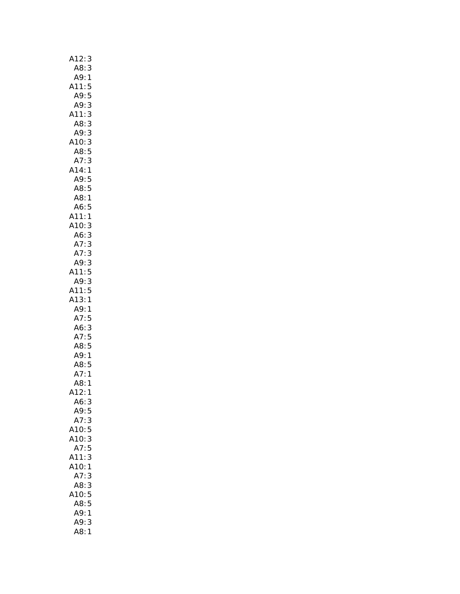| A12:3                           |
|---------------------------------|
|                                 |
| A8: 3<br>A9: 1                  |
| A11:<br>5                       |
| A9:<br>5                        |
| A9:3                            |
|                                 |
| 3<br>A11:                       |
| 3<br>3<br>A8:                   |
| A9:                             |
| A10:<br>3                       |
| A8:5                            |
| A7:3                            |
| A14:1                           |
| A9:5                            |
| A8:5                            |
| A8:1                            |
|                                 |
| . . <u>.</u><br>A6: 5<br>.11: 1 |
| A11:<br>A10:                    |
| 3                               |
|                                 |
| A6: 3<br>A7: 3                  |
| A7:3                            |
| A9:3                            |
| A11:5<br>A9:3                   |
|                                 |
| A11:5                           |
| A13:1                           |
|                                 |
| A9:1<br>A7:5                    |
|                                 |
| A6:<br>3                        |
| A7:5                            |
| A8:5                            |
| A9:<br>$\mathbf{1}$             |
| A8:5                            |
| A7:<br>$\mathbf{1}$             |
| A8:1                            |
| 12:<br>1                        |
| A6:3                            |
| A9:5                            |
| A7:3                            |
|                                 |
| A10:5                           |
| 3<br>A10:                       |
| A7:5                            |
| 3<br>A11:                       |
| A10:<br>1                       |
| A7:<br>3                        |
| A8:<br>3                        |
| A10:5                           |
| A8:<br>5                        |
| A9:<br>$\mathbf{1}$             |
| A9:<br>3                        |
| A8:1                            |
|                                 |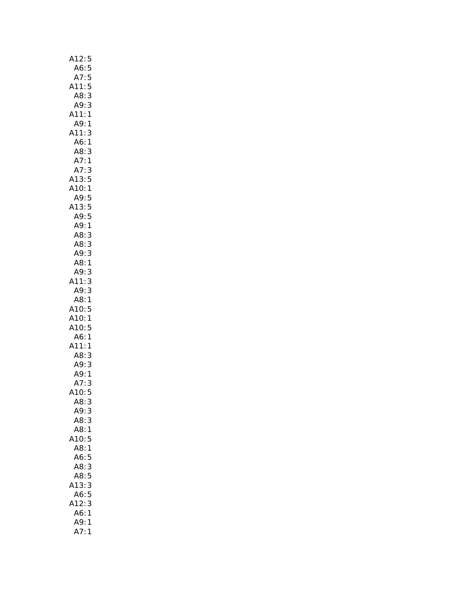| A12:<br>5                                                      |
|----------------------------------------------------------------|
|                                                                |
|                                                                |
|                                                                |
| A6:5<br>A7:5<br>A11:5<br>A8:3                                  |
| 3<br>A9:                                                       |
| A11:1                                                          |
| A9:1                                                           |
| A11:<br>3                                                      |
| A6:1                                                           |
|                                                                |
| A8:3<br>A7:1<br>A7:3<br>A13:5<br>A10:1<br>A9:5<br>A9:5<br>A9:1 |
|                                                                |
|                                                                |
|                                                                |
|                                                                |
|                                                                |
|                                                                |
|                                                                |
| A8:3                                                           |
| A8: 3<br>A9: 3                                                 |
|                                                                |
| A8:1                                                           |
| A9:<br>3                                                       |
| A11:3                                                          |
| 3<br>1<br>A9:                                                  |
| A8:1<br>A10:5<br>A10:1<br>A10:5                                |
|                                                                |
|                                                                |
| A6:<br>$\mathbf{1}$                                            |
| A11:<br>$\mathbf{1}$                                           |
| 3                                                              |
| .<br>A8:<br>A9:<br>A7:                                         |
| 3<br>1                                                         |
| 3                                                              |
| A10:<br>5                                                      |
| A8:<br>3                                                       |
| A9:<br>3                                                       |
| A8:<br>3                                                       |
| A8:<br>1                                                       |
| 10:<br>5                                                       |
| A8:<br>1                                                       |
| A6:<br>5                                                       |
| A8:<br>3                                                       |
| A8:<br>5                                                       |
| 13:<br>3                                                       |
| 5<br>A6:                                                       |
| A12:<br>3                                                      |
| A6:<br>1                                                       |
| A9:<br>1                                                       |
| A7:<br>1                                                       |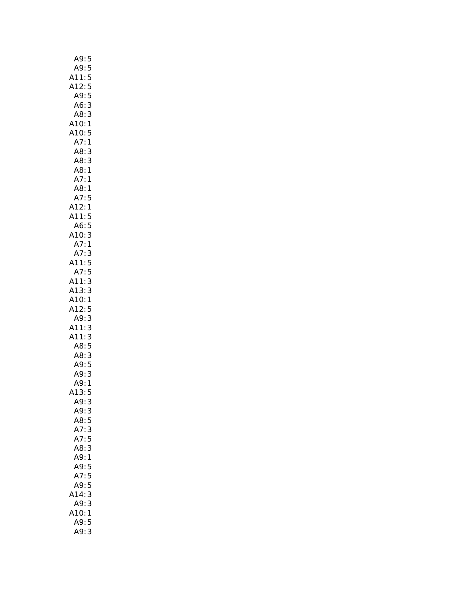| A9:<br>5                                                 |  |
|----------------------------------------------------------|--|
| A9:<br>5                                                 |  |
| A11:<br>A12:                                             |  |
|                                                          |  |
| $55$<br>$55$<br>A9:                                      |  |
| 3                                                        |  |
| A6:<br>A8:                                               |  |
| $\frac{3}{1}$                                            |  |
| A10:<br>A10:                                             |  |
| 5                                                        |  |
| $\mathbf{1}$<br>A7:                                      |  |
| A8:<br>A8:<br>3                                          |  |
| 3                                                        |  |
| A8:<br>$\mathbf{1}$                                      |  |
| A7:<br>1                                                 |  |
| A8:<br>1                                                 |  |
| 5                                                        |  |
| 1                                                        |  |
| 5                                                        |  |
|                                                          |  |
|                                                          |  |
| $\begin{array}{c} 5 \\ 3 \\ 1 \end{array}$               |  |
| A7:<br>A12:<br>A11:<br>A6:<br>A10:<br>A7:<br>A7:<br>A11: |  |
|                                                          |  |
|                                                          |  |
| 3<br>5<br>5<br>A7:                                       |  |
| 3<br>A11:                                                |  |
| A13:<br>3                                                |  |
| A10:1<br>A12:5<br>A9:3                                   |  |
|                                                          |  |
|                                                          |  |
| A11:                                                     |  |
| A11:                                                     |  |
| 11:3<br>11:3<br>A8:5<br>A8:3<br>A9:5<br>A9:1<br>A9:1     |  |
|                                                          |  |
|                                                          |  |
|                                                          |  |
|                                                          |  |
|                                                          |  |
| (13)<br>5<br>Λ                                           |  |
| A9:<br>3                                                 |  |
| A9:<br>3                                                 |  |
| A8:<br>5                                                 |  |
| A7:<br>3                                                 |  |
| A7:<br>5                                                 |  |
| A8:<br>3                                                 |  |
| A9:1                                                     |  |
|                                                          |  |
| A9:5                                                     |  |
| A7:5                                                     |  |
| A9:5                                                     |  |
| 3<br>14:                                                 |  |
| A9:<br>3                                                 |  |
| A10:<br>1                                                |  |
| A9:<br>5                                                 |  |
| A9:<br>3                                                 |  |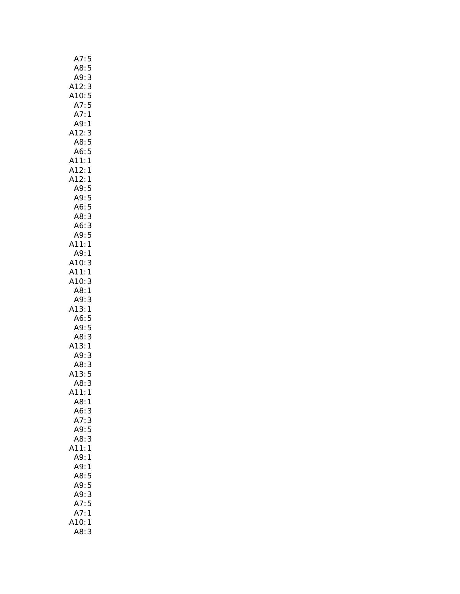| A7:                      | 5             |
|--------------------------|---------------|
| A8:                      | 5             |
| A9:                      | 3             |
| A12:                     | 3             |
| A10:<br>A7:              | 5             |
|                          | 5             |
| A7:                      | $\mathbf{1}$  |
| A9:1                     |               |
| A12:                     |               |
| .12: 3<br>A8: 5<br>A6: 5 |               |
|                          |               |
|                          |               |
| A11:                     | $\mathbf{1}$  |
| A12:                     | 1             |
| A12:                     | 1             |
| A9:                      | 5             |
| A9:                      | 5             |
| A6:                      |               |
| A8:                      | $\frac{5}{3}$ |
| A6: 3<br>A9: 5           |               |
|                          |               |
| A11:                     | $\mathbf{1}$  |
| A9:1                     |               |
|                          |               |
| A10:                     | 3             |
| A11:1                    |               |
| A10:                     | 3             |
| A8:1                     |               |
| A9:                      | 3             |
| A13:1                    |               |
| A6:5                     |               |
| A9:5                     |               |
| A8:                      | 3             |
| A13:                     | 1             |
| A9:                      | 3             |
| A8: 3<br>A13: 5          |               |
|                          |               |
| A8:                      | 3             |
| $\sqrt{11}$ :            | 1             |
| A8:                      | 1             |
|                          |               |
| A6:                      | 3             |
| A7:                      | 3             |
| A9:                      | 5             |
| A8:                      | 3             |
| (11)                     | $\mathbf{1}$  |
| A9:                      | 1             |
| A9:                      | 1             |
| A8:                      | 5             |
| A9:                      | 5             |
| A9:                      | 3             |
| A7:                      | 5             |
| A7:                      | 1             |
| 10:                      | 1             |
| A8:                      | 3             |
|                          |               |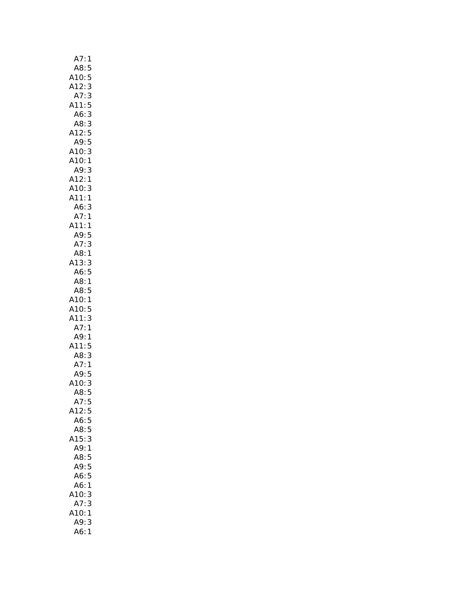| A7:<br>1                                      |
|-----------------------------------------------|
| 5<br>A8:                                      |
| 5                                             |
| 3                                             |
| Ao:<br>:A10<br>:A7<br>:A7<br>3<br>5           |
| A11:                                          |
| A6:<br>3                                      |
| A8: 3<br>A12: 5                               |
|                                               |
| 49:5<br>3 :A10                                |
|                                               |
| A10:1                                         |
| A9:<br>3                                      |
| A12:1                                         |
| A10:<br>$\begin{array}{c} 3 \\ 1 \end{array}$ |
| A11:                                          |
| 3<br>A6:                                      |
| A7:<br>A11:<br>$\mathbf{1}$                   |
| 1                                             |
| A9:5                                          |
| A7:<br>3                                      |
| A8: 1<br>A13: 3                               |
|                                               |
| A6:5                                          |
| A8:1                                          |
| A8:5<br>A10:1                                 |
| A10:<br>5                                     |
| 3<br>A11:                                     |
| A7:1                                          |
| A9:1                                          |
| A11:5                                         |
| A8:<br>3                                      |
| 1                                             |
| A7:<br>A9:<br>5                               |
| .<br>3<br>A10:                                |
| A8:5                                          |
| A7:<br>5                                      |
| 5<br>A12:                                     |
| A6:<br>5                                      |
| A8:<br>5                                      |
| 3<br>15:                                      |
| A9:<br>$\mathbf{1}$                           |
| A8:<br>5                                      |
| 5<br>A9:                                      |
| 5<br>A6:                                      |
| $\mathbf{1}$<br>A6:                           |
| 10:<br>3                                      |
| 3<br>A7:                                      |
| 10:<br>1                                      |
| A9:<br>3                                      |
| A6:<br>1                                      |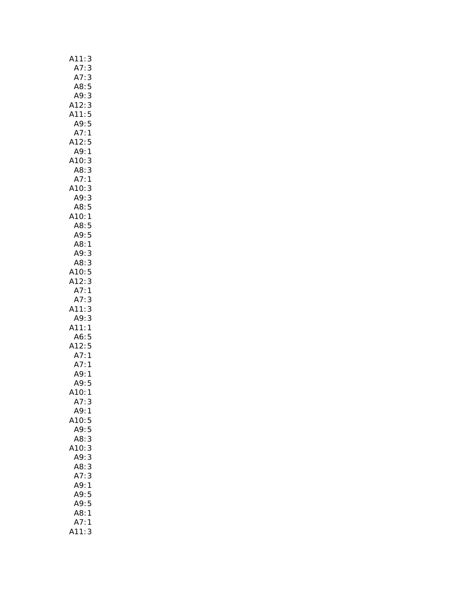| A11:3                       |
|-----------------------------|
| A7:<br>3                    |
| A7:<br>3                    |
| A8:5<br>A9:3                |
|                             |
| A12:<br>3                   |
| A11:5                       |
| A9:5                        |
| 47:1<br>A12:5               |
| A9:1                        |
| 3                           |
| A10:<br>A8:<br>3            |
| A7:1                        |
| A10: 3<br>A9: 3             |
|                             |
| A8:5                        |
| A10:1                       |
| A8:5<br>A9:5                |
|                             |
| A8:1                        |
| A9:<br>3                    |
| A8:<br>3                    |
| A10:5<br>A12:3              |
| 1                           |
| A7: A7: A7:<br>3            |
| $\frac{3}{2}$<br>A11:       |
| 3                           |
| A9:<br>A11:<br>$\mathbf{1}$ |
| A6:5                        |
| A12:5                       |
| A7:1                        |
| A7:1<br>A9:1<br>A9:5        |
|                             |
| A10:<br>-1                  |
| A7:3                        |
| A9:1                        |
| A10:5                       |
| A9:5                        |
| A8:<br>3                    |
| A10:<br>3                   |
| 3<br>A9:                    |
| A8:<br>3                    |
| A7:<br>3                    |
| A9:<br>$\mathbf{1}$         |
| A9:5                        |
| A9:5<br>A8:1                |
| A7:1                        |
| A11:3                       |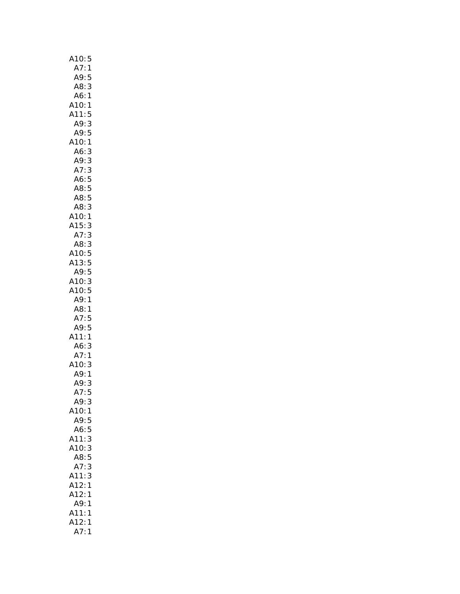| A10:<br>5                                             |
|-------------------------------------------------------|
| A7:<br>$\mathbf{1}$                                   |
| A9:<br>5                                              |
| A8:<br>3                                              |
| A6:1                                                  |
| A10:1                                                 |
| A11:5                                                 |
| 3<br>A9:                                              |
| A9:5                                                  |
| A10:1                                                 |
| A6:<br>3                                              |
| A9:3<br>A7:3<br>A6:5<br>A8:5<br>A8:5<br>A8:3<br>A10:1 |
|                                                       |
|                                                       |
|                                                       |
|                                                       |
|                                                       |
|                                                       |
| A15:3                                                 |
| A7:3                                                  |
| A8: 3<br>A10: 5<br>A13                                |
|                                                       |
|                                                       |
| A9:5<br>A10:                                          |
| 3                                                     |
| A10:5<br>A9:1<br>5                                    |
| A8:1                                                  |
| A7:5                                                  |
| A9:5                                                  |
| A11:1                                                 |
| A6:<br>3                                              |
|                                                       |
| 3                                                     |
|                                                       |
| A7:1<br>A10:3<br>A9:1<br>A9:3                         |
| A7:<br>5                                              |
| A9: 3                                                 |
| A10:1                                                 |
| A9:<br>5                                              |
| 5<br>A6:                                              |
| A11:<br>3                                             |
| A10:<br>3                                             |
| A8:<br>5                                              |
| 3<br>A7:                                              |
| 3                                                     |
| 1                                                     |
| A11:<br>A12:<br>A12:<br>1                             |
| A9:<br>1                                              |
| A11:<br>1                                             |
| A12:<br>1                                             |
| A7:                                                   |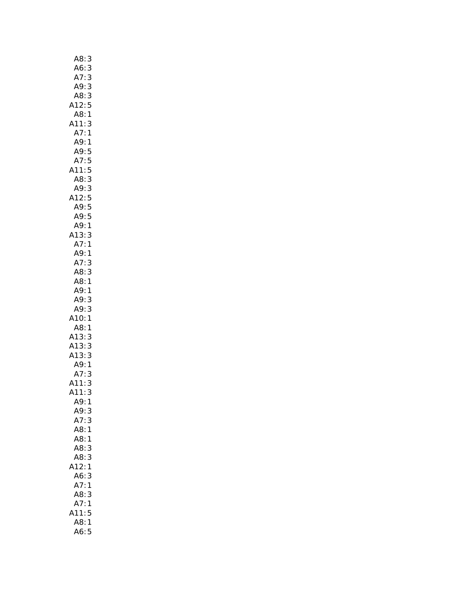| A8:<br>3                            |  |
|-------------------------------------|--|
| A6:<br>3                            |  |
| A7:<br>3                            |  |
| A9:<br>3                            |  |
| A8:3                                |  |
| A12:5                               |  |
| A8:1                                |  |
| A11:3                               |  |
| A7:1                                |  |
|                                     |  |
| A9:1<br>A9:5                        |  |
| A7:5                                |  |
| : 5<br>A11                          |  |
| A8:<br>3                            |  |
|                                     |  |
| A9:3<br>A12:5<br>A9:5<br>A9:5       |  |
|                                     |  |
|                                     |  |
|                                     |  |
| A9:1                                |  |
| A13:3                               |  |
| A7:<br>$\mathbf{1}$                 |  |
| A9:1                                |  |
| A7:<br>3                            |  |
| A8:<br>3                            |  |
| A8:1                                |  |
| A9:1                                |  |
| A9:3                                |  |
| A9:<br>3                            |  |
| 10:<br>1                            |  |
|                                     |  |
| A8:<br>1                            |  |
|                                     |  |
|                                     |  |
|                                     |  |
| A13:<br>A13:<br>A13:<br>3<br>3<br>3 |  |
| $\mathbf{1}$                        |  |
| A9:<br>A9:<br>4<br>3<br>3           |  |
| A11:                                |  |
| 411:<br>3<br>A9:1                   |  |
|                                     |  |
| A9:3                                |  |
| A7:<br>3<br>A8:<br>$\mathbf{1}$     |  |
| A8:1                                |  |
|                                     |  |
| A8:<br>3<br>A8:                     |  |
| 3                                   |  |
| 12:<br>$\mathbf{1}$                 |  |
| A6:<br>3                            |  |
| A7:<br>1                            |  |
| A8:<br>3                            |  |
| A7:<br>1                            |  |
| A11:5                               |  |
| A8:<br>$\mathbf{1}$<br>A6:5         |  |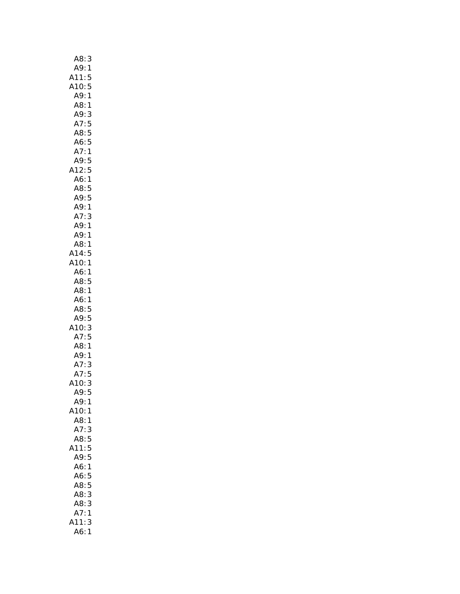| $\mathsf{3}$<br>A8: |
|---------------------|
| A9:<br>1            |
| 5                   |
| A11:<br>A10:<br>5   |
| A9:<br>$\mathbf{1}$ |
| A8:<br>$\mathbf{1}$ |
| A9:3                |
| A7:<br>5            |
| A8:5                |
| A6:5                |
| $\mathbf{1}$<br>A7: |
| A9:5                |
| A12:5               |
| $\mathbf{1}$<br>A6: |
| A8:<br>5            |
|                     |
| A9:5<br>A9:1        |
| A7:                 |
| 3                   |
| A9:<br>$\mathbf{1}$ |
| A9:<br>1            |
| A8:<br>$\mathbf{1}$ |
| A14:<br>5           |
| A10:1               |
| A6:1                |
| A8:<br>5            |
| A8:1                |
| A6:1                |
| A8:5                |
| A9:5                |
| 3<br>A10:           |
| 5<br>A7:            |
| A8:1                |
| A9:1                |
| A7: 3<br>A7: 5      |
|                     |
| 3<br>A10:           |
| A9:5                |
| A9:<br>1            |
| A10:<br>1           |
| A8:<br>1            |
| A7:<br>3            |
| 5<br>A8:            |
| 5<br>11:            |
| A9:<br>5            |
| A6:<br>1            |
| A6:<br>5            |
| 5<br>A8:            |
| A8:<br>3            |
| A8:<br>3            |
| A7:<br>1            |
| 11:<br>3            |
| A6:<br>1            |
|                     |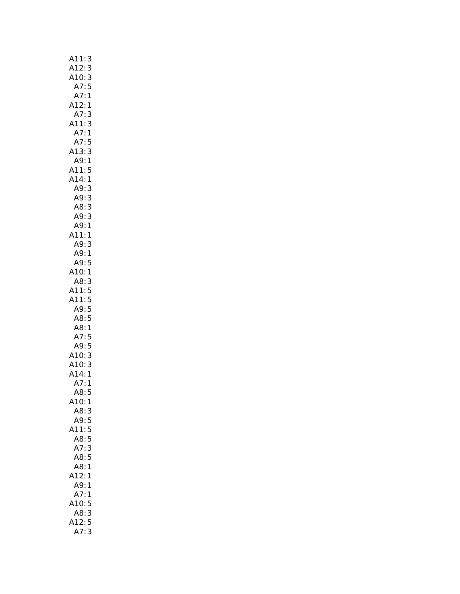| A12:3<br>A10: 3<br>A7: 5<br>A7:<br>$\mathbf{1}$<br>A12:1<br>A7:<br>3<br>3<br>A11:<br>A7:1<br>A7:5<br>A13:3<br>A9:<br>$\mathbf{1}$<br>A11:5<br>A14:1<br>A9:<br>3<br>A9:1<br>A11:1<br>A9:3<br>A9:1<br>A9:5<br>A10:1<br>A8:<br>3<br>A11:5<br>A11:5<br>A9:<br>5<br>A8:5<br>A8:<br>$\mathbf{1}$<br>A7:5<br>A7:5<br>A9:5<br>A10:<br>A10:<br>3<br>3<br>A14:1<br>A7:<br>1<br>A8:<br>5<br>A10:1<br>A8:3<br>A9:5<br>A11:<br>5<br>5<br>A8:<br>3<br>A7:<br>A8:<br>5<br>A8:<br>1<br>A12:<br>1<br>A9:<br>1<br>A7:<br>1<br>A10:5<br>A8:3 | 412.<br>5 | A11:<br>3 |
|---------------------------------------------------------------------------------------------------------------------------------------------------------------------------------------------------------------------------------------------------------------------------------------------------------------------------------------------------------------------------------------------------------------------------------------------------------------------------------------------------------------------------|-----------|-----------|
|                                                                                                                                                                                                                                                                                                                                                                                                                                                                                                                           |           |           |
|                                                                                                                                                                                                                                                                                                                                                                                                                                                                                                                           |           |           |
|                                                                                                                                                                                                                                                                                                                                                                                                                                                                                                                           |           |           |
|                                                                                                                                                                                                                                                                                                                                                                                                                                                                                                                           |           |           |
|                                                                                                                                                                                                                                                                                                                                                                                                                                                                                                                           |           |           |
|                                                                                                                                                                                                                                                                                                                                                                                                                                                                                                                           |           |           |
|                                                                                                                                                                                                                                                                                                                                                                                                                                                                                                                           |           |           |
|                                                                                                                                                                                                                                                                                                                                                                                                                                                                                                                           |           |           |
|                                                                                                                                                                                                                                                                                                                                                                                                                                                                                                                           |           |           |
|                                                                                                                                                                                                                                                                                                                                                                                                                                                                                                                           |           |           |
|                                                                                                                                                                                                                                                                                                                                                                                                                                                                                                                           |           |           |
|                                                                                                                                                                                                                                                                                                                                                                                                                                                                                                                           |           |           |
|                                                                                                                                                                                                                                                                                                                                                                                                                                                                                                                           |           |           |
|                                                                                                                                                                                                                                                                                                                                                                                                                                                                                                                           |           |           |
|                                                                                                                                                                                                                                                                                                                                                                                                                                                                                                                           |           |           |
|                                                                                                                                                                                                                                                                                                                                                                                                                                                                                                                           |           |           |
|                                                                                                                                                                                                                                                                                                                                                                                                                                                                                                                           |           |           |
|                                                                                                                                                                                                                                                                                                                                                                                                                                                                                                                           |           |           |
|                                                                                                                                                                                                                                                                                                                                                                                                                                                                                                                           |           |           |
|                                                                                                                                                                                                                                                                                                                                                                                                                                                                                                                           |           |           |
|                                                                                                                                                                                                                                                                                                                                                                                                                                                                                                                           |           |           |
|                                                                                                                                                                                                                                                                                                                                                                                                                                                                                                                           |           |           |
|                                                                                                                                                                                                                                                                                                                                                                                                                                                                                                                           |           |           |
|                                                                                                                                                                                                                                                                                                                                                                                                                                                                                                                           |           |           |
|                                                                                                                                                                                                                                                                                                                                                                                                                                                                                                                           |           |           |
|                                                                                                                                                                                                                                                                                                                                                                                                                                                                                                                           |           |           |
|                                                                                                                                                                                                                                                                                                                                                                                                                                                                                                                           |           |           |
|                                                                                                                                                                                                                                                                                                                                                                                                                                                                                                                           |           |           |
|                                                                                                                                                                                                                                                                                                                                                                                                                                                                                                                           |           |           |
|                                                                                                                                                                                                                                                                                                                                                                                                                                                                                                                           |           |           |
|                                                                                                                                                                                                                                                                                                                                                                                                                                                                                                                           |           |           |
|                                                                                                                                                                                                                                                                                                                                                                                                                                                                                                                           |           |           |
|                                                                                                                                                                                                                                                                                                                                                                                                                                                                                                                           |           |           |
|                                                                                                                                                                                                                                                                                                                                                                                                                                                                                                                           |           |           |
|                                                                                                                                                                                                                                                                                                                                                                                                                                                                                                                           |           |           |
|                                                                                                                                                                                                                                                                                                                                                                                                                                                                                                                           |           |           |
|                                                                                                                                                                                                                                                                                                                                                                                                                                                                                                                           |           |           |
|                                                                                                                                                                                                                                                                                                                                                                                                                                                                                                                           |           |           |
|                                                                                                                                                                                                                                                                                                                                                                                                                                                                                                                           |           |           |
|                                                                                                                                                                                                                                                                                                                                                                                                                                                                                                                           |           |           |
|                                                                                                                                                                                                                                                                                                                                                                                                                                                                                                                           |           |           |
|                                                                                                                                                                                                                                                                                                                                                                                                                                                                                                                           |           |           |
|                                                                                                                                                                                                                                                                                                                                                                                                                                                                                                                           |           |           |
|                                                                                                                                                                                                                                                                                                                                                                                                                                                                                                                           |           |           |
|                                                                                                                                                                                                                                                                                                                                                                                                                                                                                                                           |           |           |
|                                                                                                                                                                                                                                                                                                                                                                                                                                                                                                                           |           |           |
|                                                                                                                                                                                                                                                                                                                                                                                                                                                                                                                           |           |           |
|                                                                                                                                                                                                                                                                                                                                                                                                                                                                                                                           |           |           |
| A7:<br>3                                                                                                                                                                                                                                                                                                                                                                                                                                                                                                                  |           |           |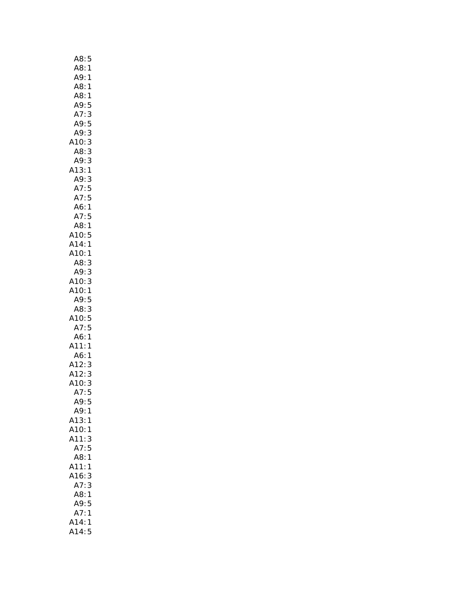| A8:5                                                   |
|--------------------------------------------------------|
|                                                        |
| A8: 1<br>A9: 1                                         |
| A8:1                                                   |
| A8:<br>$\mathbf{1}$                                    |
| A9:5                                                   |
| A7: 3<br>A9: 5                                         |
|                                                        |
| 3<br>A9:                                               |
| $\frac{3}{2}$<br>A10:                                  |
|                                                        |
| A8:3<br>A9:3<br>.13:1<br>.19:3<br>A7:5<br>A7:5<br>A6:1 |
| A13:                                                   |
|                                                        |
|                                                        |
|                                                        |
|                                                        |
| A7:5                                                   |
| A8: 1<br>A10: 5                                        |
|                                                        |
| A14:1                                                  |
| A10:1                                                  |
| A8:<br>3                                               |
| 3<br>A9:                                               |
| A10:<br>3                                              |
| A10:1                                                  |
| A9:5                                                   |
| A8:3                                                   |
| A10:5                                                  |
| A7:5                                                   |
| A6:1                                                   |
| A11:1<br>A6:1                                          |
|                                                        |
| A12:<br>A12:<br>3<br>3                                 |
| A10:<br>3                                              |
| A7:<br>5                                               |
| A9:<br>5                                               |
| A9:<br>1                                               |
| A13:<br>1                                              |
| A10:1                                                  |
| A11:<br>3                                              |
| 5<br>A7:                                               |
| 1<br>A8:                                               |
| A11:<br>1                                              |
| A16:<br>3                                              |
| 3<br>A7:                                               |
| A8:<br>1                                               |
| A9:<br>5                                               |
| A7:<br>1                                               |
| A14:1                                                  |
| 14:5                                                   |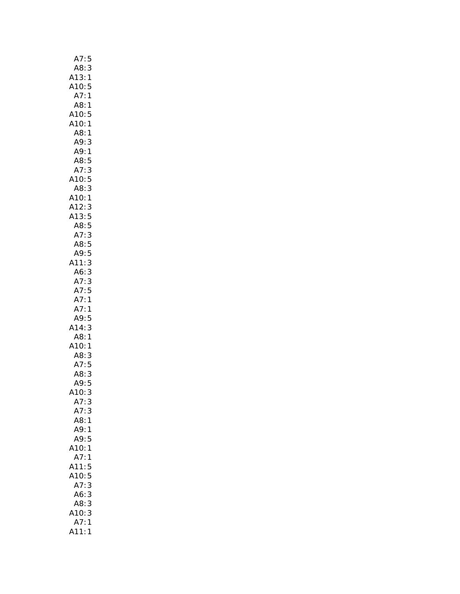| A7:<br>5                                     |
|----------------------------------------------|
| 3<br>A8:                                     |
| 1                                            |
| A13:<br>A13:<br>A10:                         |
| $\begin{array}{c} 5 \\ 1 \end{array}$<br>A7: |
| AB:<br>$\mathbf{1}$                          |
| 5                                            |
| A10:5<br>A10:1                               |
|                                              |
| A8:1                                         |
| A9:<br>3                                     |
| A9:1                                         |
| A8:5                                         |
| A7:3                                         |
| A10:5                                        |
| 3<br>1<br>A8:                                |
| A10:<br>A12:<br>A13:<br>A8:                  |
| 3                                            |
|                                              |
|                                              |
|                                              |
| A7:                                          |
| 12:5<br>13:5<br>A8:5<br>A7:3<br>A8:5<br>A9:5 |
| $A9$ :                                       |
| A11:<br>3                                    |
| A6: 3<br>A7: 3                               |
|                                              |
| A7:5                                         |
| A7:1                                         |
| A7:1                                         |
| A9:5                                         |
| A14:3                                        |
| A8:1                                         |
|                                              |
| A10:1                                        |
| <br>A8:3<br>A7:5<br>A8:3                     |
|                                              |
|                                              |
| A9:5                                         |
| 3<br>10:                                     |
| A7:<br>3                                     |
| A7:<br>3                                     |
| A8:<br>1                                     |
| A9:<br>$\mathbf{1}$                          |
| A9:5                                         |
|                                              |
| A10:1                                        |
| A7:1                                         |
| A11:5                                        |
| 410:5                                        |
| 3<br>A7:                                     |
| A6:<br>3                                     |
| A8:<br>3                                     |
| 10:<br>3<br>Р                                |
| A7:<br>1                                     |
| 411:<br>1                                    |
|                                              |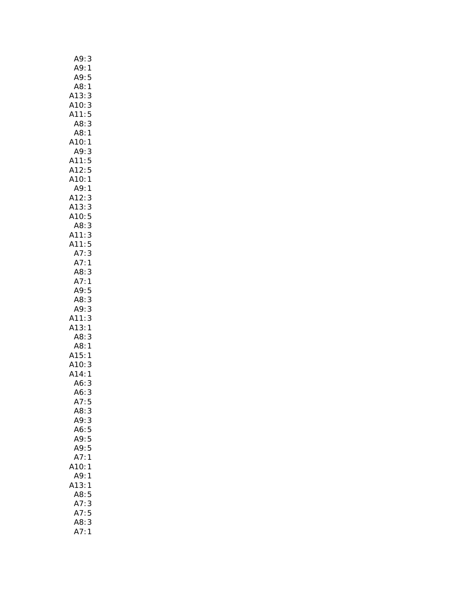| A9:<br>3                                                                           |  |
|------------------------------------------------------------------------------------|--|
| A9:<br>A9:<br>1                                                                    |  |
|                                                                                    |  |
| 5<br>1<br>A8:                                                                      |  |
| A13:<br>A10:<br>3                                                                  |  |
| A10: 3<br>A11: 5                                                                   |  |
|                                                                                    |  |
| A8:3                                                                               |  |
| A8:1                                                                               |  |
| A10:1                                                                              |  |
| A9:<br>3                                                                           |  |
| A11:5                                                                              |  |
|                                                                                    |  |
|                                                                                    |  |
|                                                                                    |  |
|                                                                                    |  |
| A12:5<br>A10:1<br>A9:1<br>A12:3<br>A13:3<br>A11:3<br>A11:5<br>A7:1<br>A7:3<br>A2:3 |  |
|                                                                                    |  |
|                                                                                    |  |
|                                                                                    |  |
|                                                                                    |  |
|                                                                                    |  |
|                                                                                    |  |
|                                                                                    |  |
| A7:1                                                                               |  |
|                                                                                    |  |
| A9:5<br>A8:3<br>A9:3<br>A11:3<br>A13:1                                             |  |
|                                                                                    |  |
|                                                                                    |  |
|                                                                                    |  |
| A8:3                                                                               |  |
| A8:1<br>A8:1<br>A15:1<br>A10:3                                                     |  |
|                                                                                    |  |
| 3                                                                                  |  |
|                                                                                    |  |
| $\frac{1}{3}$<br>.<br>A6:                                                          |  |
| 3<br>A6:                                                                           |  |
| A7:<br>5                                                                           |  |
| A8:<br>3                                                                           |  |
| A9:<br>$\mathbf{3}$                                                                |  |
| A6:<br>5                                                                           |  |
| A9:<br>5                                                                           |  |
| 5<br>A9:                                                                           |  |
| A7:<br>$\mathbf{1}$                                                                |  |
| A10:<br>1                                                                          |  |
| A9:<br>1                                                                           |  |
| 413:<br>1                                                                          |  |
| A8:<br>5                                                                           |  |
| A7:<br>3                                                                           |  |
| A7:5                                                                               |  |
| 3<br>A8:                                                                           |  |
| A7:<br>1                                                                           |  |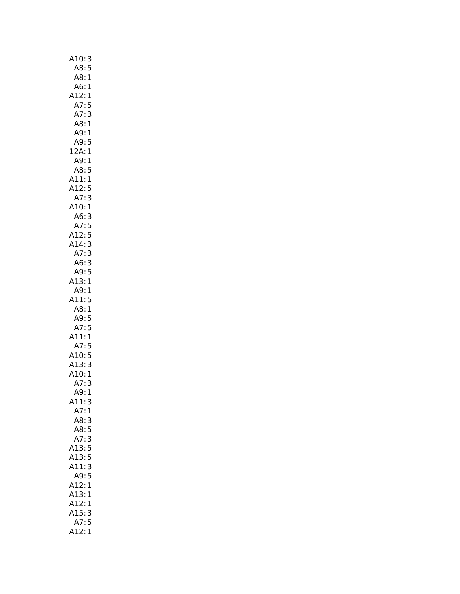| A10: 3                              |
|-------------------------------------|
| A8:5                                |
| A8:1                                |
| A6:1                                |
| A12:1                               |
| A7:5                                |
| A7:<br>3                            |
| A8:1                                |
| A9:1                                |
| A9:5                                |
| 12A:1                               |
| A9:<br>$\mathbf{1}$                 |
| A8:5                                |
| A11:<br>A12:<br>A7:<br>$\mathbf{1}$ |
| 5                                   |
| $\overline{3}$<br>A10:1             |
| A6:3                                |
|                                     |
| $\frac{\lambda}{12.5}$<br>A12:5     |
|                                     |
| A7:3                                |
|                                     |
| A6: 3<br>A9: 5                      |
| A13:1                               |
|                                     |
| 1                                   |
| A9:<br>A11:5                        |
| A8:1                                |
|                                     |
|                                     |
| A11:1                               |
| A7:5                                |
| A10:5                               |
|                                     |
| A13:3<br>A10:1                      |
| A7:<br>3                            |
| A9:<br>$\mathbf{1}$                 |
| A11:<br>3                           |
| A7:<br>1                            |
| A8:<br>3                            |
| 5<br>A8:                            |
| A7:<br>3<br>A13:                    |
| 5                                   |
| A13:<br>5<br>$\frac{1}{3}$<br>A11:  |
| A9:                                 |
| 5<br>A12:<br>1                      |
| 1                                   |
| A13:<br>A12:<br>1                   |
| A15:<br>3                           |
| 5<br>A7:<br>1<br>A12:               |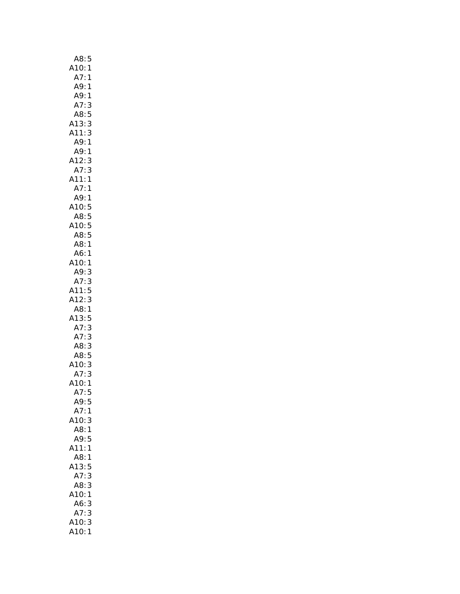| A8:<br>5               |
|------------------------|
|                        |
| 410:1<br>A7:1          |
| A9:<br>$\mathbf{1}$    |
| A9:<br>$\mathbf{1}$    |
| A7:<br>3               |
| 5<br>A8:               |
| 3<br>A13:              |
| A11:<br>3              |
| A9:1                   |
| A9:<br>1               |
| A12:<br>3<br>3         |
| A7:<br>A11:<br>1       |
| A7:<br>1               |
| A9:1                   |
| A10:5                  |
| -----<br>8:5<br>8:014  |
|                        |
| A8:5                   |
| A8:1                   |
| A6:1                   |
| A10:1                  |
| A9:<br>3               |
| A7:<br>3               |
| A11:<br>5              |
| A12:<br>3              |
| A8:<br>1               |
| 413:<br>A7:<br>5       |
| 3                      |
| 3<br>3<br>A7:          |
| A8:                    |
| A8:5<br>A10:           |
| 3                      |
| A7:3                   |
| A10:1<br>A7:           |
| 5<br>A9:5              |
| A7:1                   |
| A10:<br>3              |
| A8:1                   |
| A9:5                   |
| A11:<br>$\overline{1}$ |
| A8:<br>1               |
| A13:<br>5              |
| 3<br>A7:               |
| 3<br>A8:               |
| A10:<br>1              |
| A6:<br>3               |
| A7:<br>3               |
| A10:<br>3              |
| 410:<br>$\mathbf{1}$   |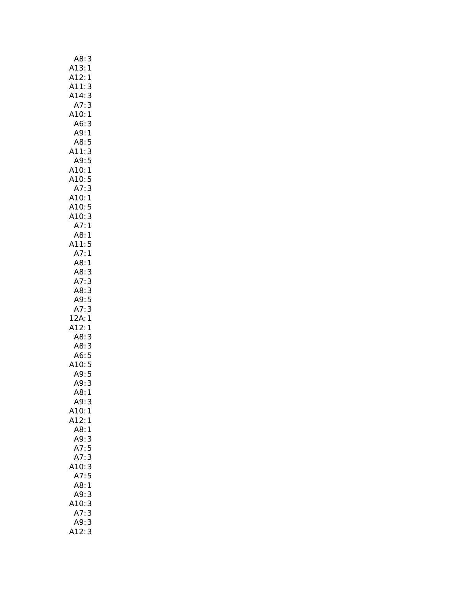| A8:<br>3                                                      |
|---------------------------------------------------------------|
| A13:1<br>A12:1<br>A11:3                                       |
|                                                               |
| 3                                                             |
| A14:<br>3                                                     |
| 3<br>A7:                                                      |
|                                                               |
| $\mathbf{1}$<br>A10:                                          |
| A6:<br>3                                                      |
| A9:1                                                          |
| A8:<br>5                                                      |
| 3<br>A11:                                                     |
| A9:<br>5                                                      |
| A10:1                                                         |
| A 10: 5<br>A 10: 5<br>A 10: 1<br>A 10: 5<br>A 10: 3<br>A 7: 1 |
|                                                               |
|                                                               |
|                                                               |
|                                                               |
|                                                               |
|                                                               |
| A8:<br>1                                                      |
| A11:<br>5                                                     |
| A7:1                                                          |
| A8:1                                                          |
| AB:3                                                          |
| A7:3                                                          |
| A8:3                                                          |
| A9:5                                                          |
|                                                               |
| 3<br>A7:<br>2A:                                               |
| $\mathbf{1}$<br>1                                             |
| A12:1                                                         |
| A8:3                                                          |
| A8:<br>3                                                      |
| A6:5<br>A10:5<br>A9:5<br>A9:3                                 |
|                                                               |
|                                                               |
|                                                               |
| A8:<br>1                                                      |
| A9:<br>3                                                      |
| A10:1                                                         |
|                                                               |
| A12:1                                                         |
| A8:1                                                          |
| A9:3                                                          |
| A7:5                                                          |
| A7:3                                                          |
| 10:3                                                          |
| A7:5                                                          |
| A8:1                                                          |
| A9:<br>3                                                      |
| 10:<br>3                                                      |
| A7:3                                                          |
|                                                               |
| A9:<br>3<br>412:<br>3                                         |
|                                                               |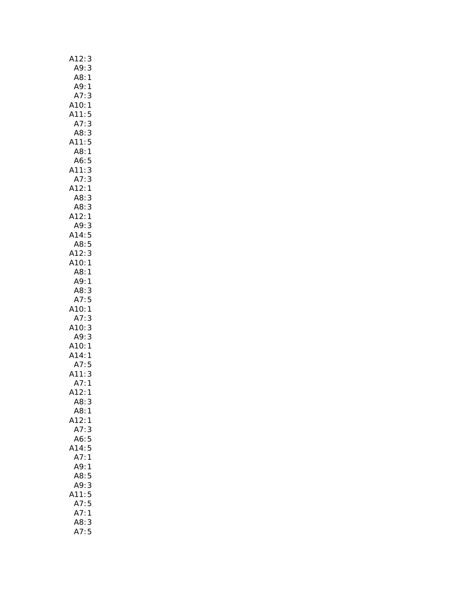| A12:<br>3                                    |
|----------------------------------------------|
| A9:<br>3                                     |
| A8:<br>$\mathbf{1}$                          |
| A9:<br>$\mathbf{1}$                          |
| A7:<br>3                                     |
| A10:<br>1                                    |
| A11:<br>5                                    |
| 3<br>A7:                                     |
| 3<br>A8:                                     |
| A11:<br>5                                    |
| A8:<br>$\mathbf{1}$                          |
| Ao:<br>A6:<br>A11:<br>A7:<br>A3:<br>A6:<br>5 |
| 3                                            |
| 3                                            |
| 1                                            |
| 3                                            |
| A8: 3<br>A12: 1                              |
|                                              |
| A9: 3<br>A14: 5<br>A8: 5                     |
|                                              |
|                                              |
| A12:3                                        |
| A10:1                                        |
| A8:<br>1                                     |
| A9:<br>1                                     |
|                                              |
| 3                                            |
|                                              |
| 5<br>$\mathbf{1}$                            |
| A8:<br>:47<br>:410<br>3                      |
| 3                                            |
| 3                                            |
| $\overline{A7}$ :<br>A10:<br>A9:<br>A10:1    |
| A14:1                                        |
| A7:5                                         |
| 3<br>A11:                                    |
| A7:<br>1                                     |
| A12:<br>1                                    |
| A8:<br>3                                     |
| A8:<br>1                                     |
| A12:<br>1                                    |
| A7:<br>3                                     |
| A6:<br>5                                     |
| 5<br>A14:                                    |
| A7:<br>1                                     |
| A9:<br>1                                     |
| A8:<br>5                                     |
| A9:<br>3                                     |
| 5<br>A11:                                    |
| A7:<br>5                                     |
| A7:<br>$\mathbf{1}$                          |
| A8:<br>3<br>A7:<br>5                         |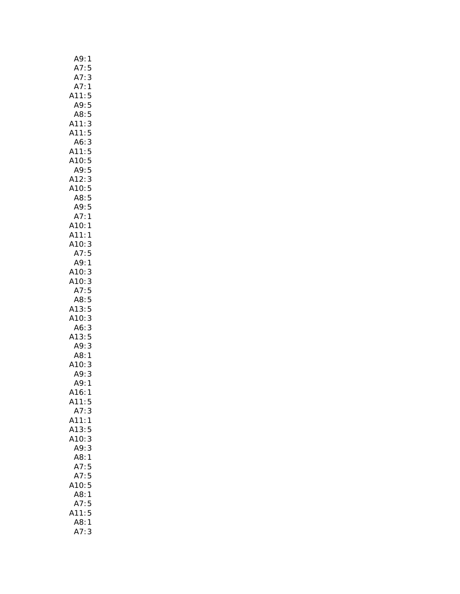| A9:<br>1                      |
|-------------------------------|
| 5                             |
| A7:<br>A7:<br>3               |
| A7:1                          |
| A11:<br>5                     |
| A9:<br>5                      |
| A8:<br>5                      |
| 3<br>A11:                     |
| 5<br>A11:                     |
| 3<br>A6:<br>A11:              |
| 5<br>5<br>A10:                |
| 5                             |
| .<br>:A9<br>:A10<br>:A10<br>3 |
|                               |
| A8                            |
| 12.3<br>.10:5<br>A8:5<br>A9:5 |
| .<br>A7:1                     |
| A10:1                         |
| A11:1                         |
| A10: 3                        |
| 5<br>A7:                      |
| A9:1                          |
| A10:<br>3                     |
| A10:<br>3                     |
| A7:<br>5                      |
| A8:<br>5                      |
| 5<br>A13:                     |
| A10:<br>3<br>3                |
| A6:                           |
| A13:<br>A9:<br>$\frac{5}{3}$  |
| A8:                           |
| $\mathbf{1}$<br>3             |
| A10:<br>!A10<br>!A9<br>3      |
| 1                             |
| A16:<br>1                     |
| A11:5                         |
| 3<br>A7:                      |
| A11:<br>$\mathbf{1}$          |
| A13:<br>5                     |
| A10:3                         |
| A9:<br>3                      |
| A8:<br>1                      |
| A7:5                          |
| A7:5                          |
| 10:5                          |
| A8:<br>1                      |
| 5<br>A7:                      |
| A11:5                         |
| A8:<br>$\mathbf{1}$           |
| A7:<br>3                      |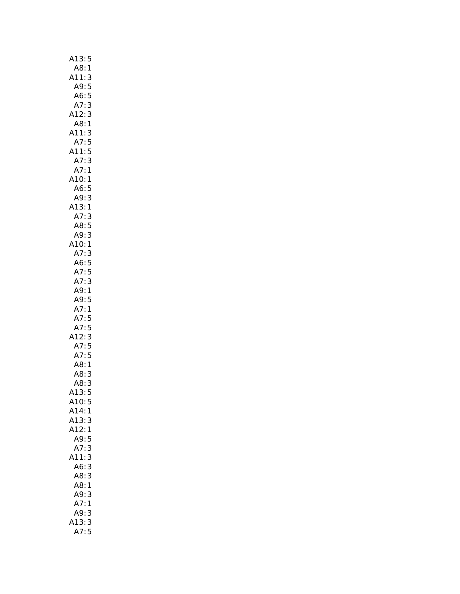| A13:5                                                                         |
|-------------------------------------------------------------------------------|
| A8:1                                                                          |
| A11:3                                                                         |
| 5                                                                             |
| .<br>A9:<br>A6:<br>A7:<br>5                                                   |
| 3                                                                             |
|                                                                               |
| A12:3                                                                         |
| A8:1                                                                          |
| 3<br>A11:                                                                     |
| A11:5<br>A7:5<br>A11:5<br>A7:1<br>A10:1                                       |
|                                                                               |
|                                                                               |
|                                                                               |
|                                                                               |
| A6:<br>A6:<br>A9:<br>A13:<br>A7:<br>5<br>3<br>1                               |
|                                                                               |
|                                                                               |
|                                                                               |
|                                                                               |
| $\frac{3}{5}$<br>A8:<br>A9:                                                   |
|                                                                               |
|                                                                               |
|                                                                               |
| A10:1<br>A7:3<br>A6:5<br>A7:5                                                 |
|                                                                               |
| A7:3                                                                          |
| A9:1                                                                          |
| A9: 5<br>A7: 1<br>A7: 5<br>A7: 5<br>A7: 5<br>A7: 5<br>A8: 3<br>A8: 3<br>A8: 3 |
|                                                                               |
|                                                                               |
|                                                                               |
|                                                                               |
|                                                                               |
|                                                                               |
|                                                                               |
|                                                                               |
|                                                                               |
|                                                                               |
| A13:<br>5                                                                     |
| A10:<br>5                                                                     |
| A14:1                                                                         |
| A13:<br>3                                                                     |
| A12:1                                                                         |
| A9:<br>5                                                                      |
| A7:<br>3                                                                      |
| A11:<br>3                                                                     |
| 3<br>A6:                                                                      |
| A8:<br>3                                                                      |
| A8:<br>1                                                                      |
| A9:<br>3                                                                      |
|                                                                               |
| A7:<br>1                                                                      |
| A9:<br>3                                                                      |
| 13:<br>3                                                                      |
| A7:5                                                                          |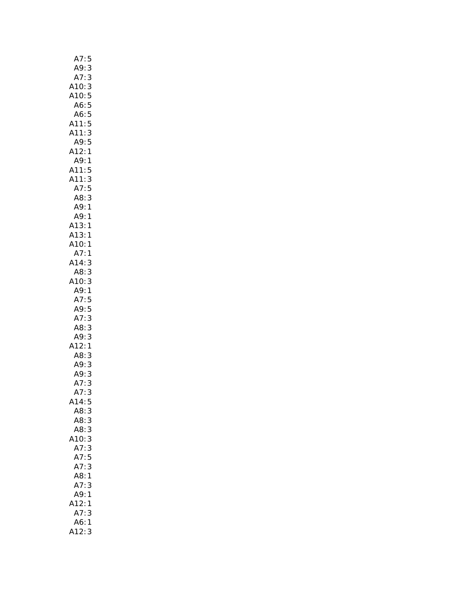| A7:5                                  |  |
|---------------------------------------|--|
| $\overline{\mathbf{3}}$<br>A9:        |  |
| 3<br>A7:                              |  |
| A10: 3<br>A10: 5                      |  |
|                                       |  |
|                                       |  |
| A6: 5<br>A6: 5                        |  |
| A11:5                                 |  |
| 3<br>A11:                             |  |
| 5<br>A9:                              |  |
| A12:<br>1                             |  |
| A9:<br>1                              |  |
| A11:<br>5                             |  |
| A11:<br>3                             |  |
| A7:5                                  |  |
|                                       |  |
|                                       |  |
| A8: 3<br>A9: 1<br>A9: 1               |  |
|                                       |  |
|                                       |  |
|                                       |  |
| A13:1<br>A13:1<br>A10:1<br>A7:1       |  |
| A14:3                                 |  |
| AB:3                                  |  |
| A10:3                                 |  |
| A9:1                                  |  |
| A7:5                                  |  |
| A9:5                                  |  |
| A7:3                                  |  |
| A8:3                                  |  |
| A9: 3<br>A12: 1                       |  |
|                                       |  |
| A8:<br>3                              |  |
| $\begin{array}{c} 3 \\ 3 \end{array}$ |  |
|                                       |  |
| A9:<br>A9:<br>A7:                     |  |
| A7:3                                  |  |
| A14:5                                 |  |
| A8:<br>3                              |  |
| A8:3                                  |  |
| A8:3                                  |  |
| .10:3                                 |  |
| A7:3                                  |  |
| A7:5                                  |  |
| A7:3                                  |  |
| A8:1                                  |  |
| A7:3                                  |  |
| A9:1                                  |  |
| 12:<br>1                              |  |
| A7:<br>3                              |  |
| A6:1                                  |  |
| A12:<br>3                             |  |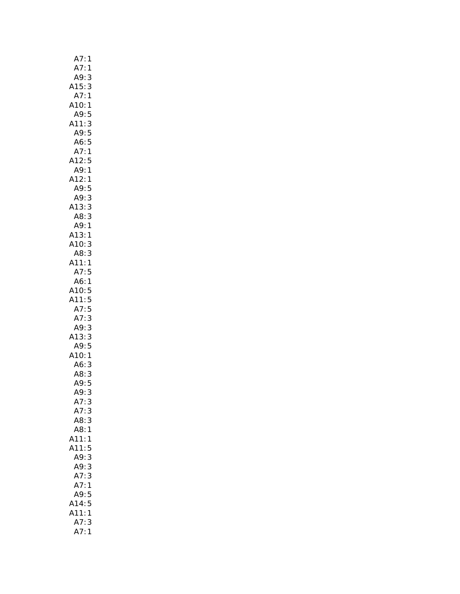| A7:<br>1                                                                        |
|---------------------------------------------------------------------------------|
| A7:<br>$\mathbf{1}$                                                             |
| A9: 3<br>A15: 3<br>A7: 1<br>3                                                   |
| 3                                                                               |
|                                                                                 |
| A10:1                                                                           |
| A9:5                                                                            |
| A11:3<br>A9:5<br>A6:5                                                           |
|                                                                                 |
|                                                                                 |
| A7:1                                                                            |
| A12:5                                                                           |
| A9: 1<br>A12: 1                                                                 |
|                                                                                 |
| A9:5                                                                            |
| 3<br>A9:                                                                        |
|                                                                                 |
|                                                                                 |
|                                                                                 |
|                                                                                 |
|                                                                                 |
|                                                                                 |
| . 3<br>A13: 3<br>A8: 3<br>A9: 1<br>A13: 1<br>A10: 3<br>A8: 3<br>A11: 1<br>A11:1 |
| A7:5                                                                            |
| A6:1                                                                            |
| A10:5                                                                           |
| A11:5                                                                           |
| A7:5                                                                            |
| A7:3                                                                            |
| A9:3                                                                            |
| A13:3                                                                           |
| A9:5                                                                            |
| A10:1                                                                           |
| - 3<br>- 46: 3<br>- 49: 5                                                       |
|                                                                                 |
|                                                                                 |
| A9:<br>3                                                                        |
| A7:<br>3                                                                        |
| A7:3                                                                            |
| A8:3                                                                            |
| A8:<br>$\mathbf{1}$                                                             |
| A11:<br>1                                                                       |
| A11:<br>5                                                                       |
| 3<br>A9:                                                                        |
| A9:3                                                                            |
| A7:<br>3                                                                        |
| A7:1                                                                            |
| A9:<br>5                                                                        |
| A14:5                                                                           |
| A11:<br>1                                                                       |
| A7:<br>3                                                                        |
| A7:<br>1                                                                        |
|                                                                                 |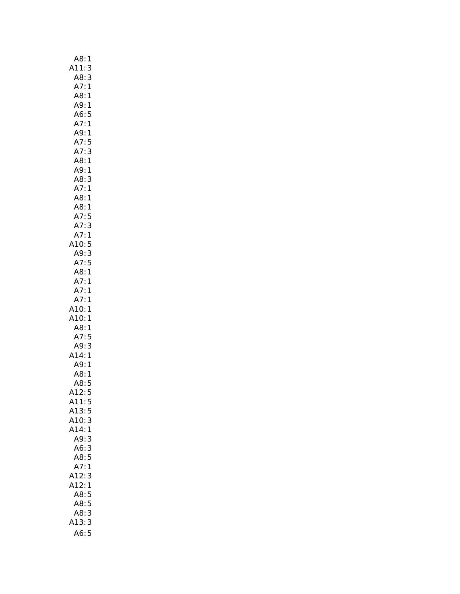| A8:<br>1                       |
|--------------------------------|
| A11:<br>$\mathbf{3}$           |
| $\overline{\mathbf{3}}$<br>A8: |
| A7:<br>$\mathbf{1}$            |
| A8:1                           |
| A9:<br>$\mathbf{1}$            |
| A6:5                           |
| A7:1                           |
| A9:1                           |
| A7:5                           |
| A7:3                           |
| A8:<br>$\mathbf{1}$            |
| A9:<br>$\mathbf{1}$            |
| A8: 3<br>A7: 1                 |
|                                |
| A8:1                           |
| A8:1                           |
| A7:<br>5                       |
| A7:3                           |
| A7:1                           |
| A10:5                          |
| A9:3                           |
| A7:5                           |
| A8:1                           |
| A7:1                           |
| $\mathbf{1}$<br>A7:            |
| A7:<br>1                       |
| A10:<br>$\mathbf{1}$           |
| A10:<br>$\frac{1}{2}$          |
| A8:<br>$\frac{1}{2}$           |
| A7:5                           |
| A9:3                           |
| A14:1                          |
| A9:1                           |
| A8:1                           |
| A8:5                           |
| A12:5                          |
| A11:5                          |
| A13:5<br>A10:3                 |
| A14:1                          |
| A9:<br>3                       |
| 3<br>A6:                       |
| A8:5                           |
| A7:<br>1                       |
| A12:<br>3                      |
| A12:<br>$\mathbf{1}$           |
| 5<br>A8:                       |
| A8:5                           |
| A8: 3                          |
| A13:3                          |
| A6:5                           |
|                                |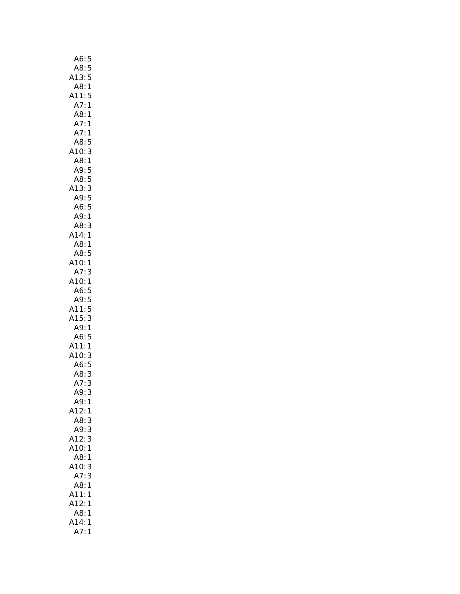| 5<br>A6:                                     |  |
|----------------------------------------------|--|
| A8:<br>5                                     |  |
| 13:<br>$\frac{1}{5}$                         |  |
| A8:<br>1                                     |  |
| A11:5                                        |  |
| A7:<br>$\mathbf{1}$                          |  |
| A8:1                                         |  |
| A7:                                          |  |
| $\mathbf{1}$                                 |  |
| A7:<br>$\mathbf{1}$                          |  |
| A8:5                                         |  |
| 3<br>A10:                                    |  |
| A8:1                                         |  |
| A9:5                                         |  |
| A8:5<br>A8:5<br>13:3<br>A9:5<br>A6:5<br>A9:1 |  |
| A13:                                         |  |
|                                              |  |
|                                              |  |
|                                              |  |
| A8:<br>3                                     |  |
| $\mathbf{1}$<br>A14:                         |  |
|                                              |  |
| A8:1<br>A8:5                                 |  |
|                                              |  |
| A10:<br>$\mathbf{1}$                         |  |
| A7:<br>3                                     |  |
| A10:1                                        |  |
|                                              |  |
|                                              |  |
|                                              |  |
| A6: 5<br>A9: 5                               |  |
| A11:5                                        |  |
| 3<br>A15:                                    |  |
| A9:1                                         |  |
| A6:5                                         |  |
| A11:<br>$\mathbf{1}$                         |  |
| A10:<br>3                                    |  |
| A6:5                                         |  |
| A8:<br>3                                     |  |
| 3<br>A7:                                     |  |
| A9:<br>3                                     |  |
| A9:<br>1                                     |  |
| A12:<br>1                                    |  |
| A8:<br>3                                     |  |
| A9:                                          |  |
| 3                                            |  |
| 3<br>A12:                                    |  |
| A10:<br>1                                    |  |
| A8:<br>1                                     |  |
| A10:<br>3                                    |  |
| A7:<br>3                                     |  |
| A8:<br>1                                     |  |
| A11:<br>1                                    |  |
| 12:<br>1                                     |  |
| A8:<br>1                                     |  |
| A14:<br>1<br>A7:<br>1                        |  |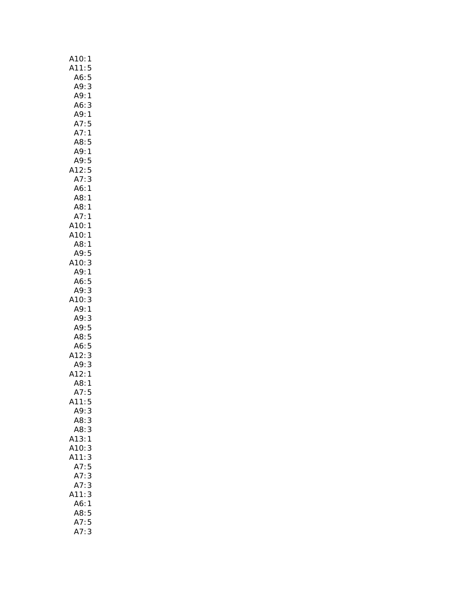| A10:1                     |
|---------------------------|
| A11:5                     |
| 5<br>A6:                  |
| A9: 3                     |
| A9:1                      |
| A6:<br>3                  |
| A9:1                      |
| A7:5                      |
| A7:1                      |
| A8:5                      |
| A9:1                      |
| A9:5                      |
| A12:5                     |
| A7:3                      |
| A6:1                      |
| $\frac{1}{2}$<br>A8:      |
| A8:<br>$\mathbf{1}$       |
| A7:1                      |
| A10:1                     |
| A10:1                     |
| A8:1                      |
| A9:5                      |
| A10: 3                    |
| A9:1                      |
| A6:5                      |
| A9:3                      |
| A10:3                     |
| A9:1                      |
| A9:<br>3                  |
| A9:5                      |
| A8:5                      |
|                           |
| A6: 5<br>A12: 3           |
| A9:3                      |
| A12:1                     |
| A8:1                      |
| A7:<br>5                  |
| A11:5                     |
| A9:3                      |
| A8:3                      |
| A8:3                      |
| A13:1                     |
| A10:<br>3                 |
| A11:<br>3                 |
| A7:5                      |
|                           |
| A7:<br>3<br>3<br>$\vdots$ |
| A7<br>A11:<br>3           |
|                           |
| A6:<br>$\mathbf{1}$       |
| A8:5                      |
| A7:5                      |
| A7:<br>3                  |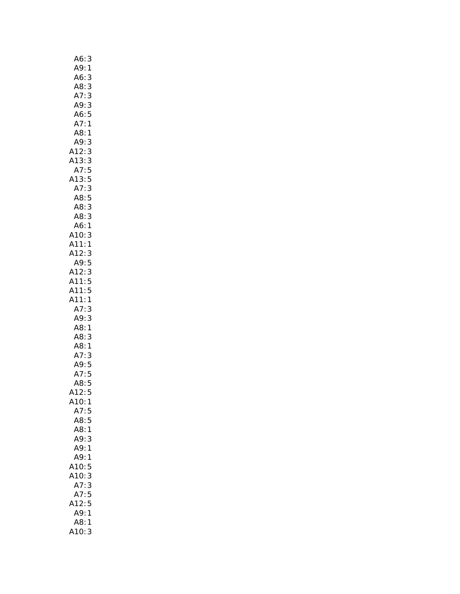| A6:<br>A9:<br>$\frac{3}{1}$                                                                                                                                                 |
|-----------------------------------------------------------------------------------------------------------------------------------------------------------------------------|
|                                                                                                                                                                             |
|                                                                                                                                                                             |
| A6:3<br>A8:3<br>A7:3<br>A9:3<br>A6:5<br>A6:5                                                                                                                                |
|                                                                                                                                                                             |
|                                                                                                                                                                             |
|                                                                                                                                                                             |
| A8:1                                                                                                                                                                        |
|                                                                                                                                                                             |
|                                                                                                                                                                             |
|                                                                                                                                                                             |
|                                                                                                                                                                             |
|                                                                                                                                                                             |
|                                                                                                                                                                             |
|                                                                                                                                                                             |
|                                                                                                                                                                             |
|                                                                                                                                                                             |
|                                                                                                                                                                             |
|                                                                                                                                                                             |
|                                                                                                                                                                             |
|                                                                                                                                                                             |
|                                                                                                                                                                             |
| A9: 3<br>A12: 3<br>A12: 3<br>A13: 5<br>A13: 5<br>A7: 5<br>A8: 5<br>A8: 5<br>A8: 4<br>A10: 3<br>A12: 3<br>A12: 3<br>A12: 3<br>A11: 5<br>A12: 4<br>A12: 4<br>A11: 5<br>A11: 5 |
|                                                                                                                                                                             |
|                                                                                                                                                                             |
|                                                                                                                                                                             |
|                                                                                                                                                                             |
| A7:3<br>A9:3<br>A8:1<br>A8:3<br>A8:1<br>A7:3<br>A7:5<br>A7:5<br>A8:5                                                                                                        |
|                                                                                                                                                                             |
|                                                                                                                                                                             |
|                                                                                                                                                                             |
|                                                                                                                                                                             |
|                                                                                                                                                                             |
|                                                                                                                                                                             |
| A12:<br>5                                                                                                                                                                   |
| A10:1                                                                                                                                                                       |
| A7:5                                                                                                                                                                        |
| 5<br>A8:                                                                                                                                                                    |
| A8:<br>$\mathbf{1}$                                                                                                                                                         |
| A9:<br>3                                                                                                                                                                    |
| A9:<br>1                                                                                                                                                                    |
| A9:<br>1                                                                                                                                                                    |
| 5<br>A10:                                                                                                                                                                   |
| A10:<br>3                                                                                                                                                                   |
| A7:<br>3                                                                                                                                                                    |
| A7:5                                                                                                                                                                        |
| A12:<br>5                                                                                                                                                                   |
| A9:<br>1                                                                                                                                                                    |
|                                                                                                                                                                             |
| A8:<br>1                                                                                                                                                                    |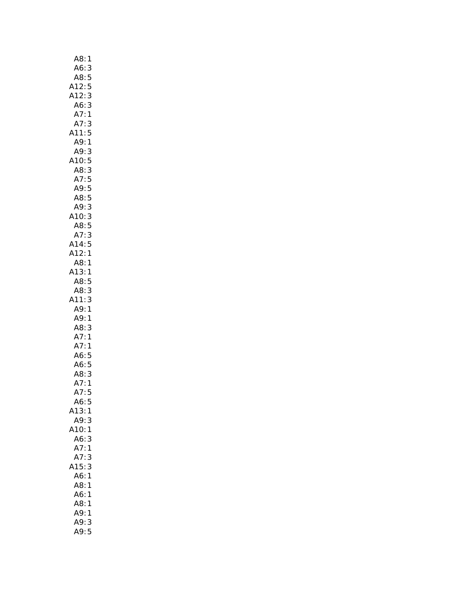| A8:                                                                                                      | $\mathbf{1}$  |
|----------------------------------------------------------------------------------------------------------|---------------|
| A6:3                                                                                                     |               |
| .<br>A8:                                                                                                 | $\frac{5}{5}$ |
|                                                                                                          |               |
|                                                                                                          | 3             |
| A6:3                                                                                                     |               |
| A7:1                                                                                                     |               |
| A7:3                                                                                                     |               |
| A11:5                                                                                                    |               |
| A9: 1                                                                                                    |               |
| A9: 3                                                                                                    |               |
| A10:5                                                                                                    |               |
| A8:3                                                                                                     |               |
|                                                                                                          |               |
| A7:5<br>A9:5<br>A8:5                                                                                     |               |
|                                                                                                          |               |
| A9:3                                                                                                     |               |
|                                                                                                          |               |
|                                                                                                          |               |
| A <sub>7: 3</sub><br>A <sub>10: 3</sub><br>A <sub>7: 3</sub><br>A <sub>14: 5</sub><br>A <sub>12: 1</sub> |               |
|                                                                                                          |               |
| A8:1                                                                                                     |               |
| A13:1                                                                                                    |               |
| A8:5                                                                                                     |               |
| A8:3                                                                                                     |               |
| A11:3                                                                                                    |               |
| A9:1                                                                                                     |               |
| A9:1                                                                                                     |               |
| A8:3                                                                                                     |               |
| A7:1                                                                                                     |               |
| A7:1                                                                                                     |               |
| A6:5                                                                                                     |               |
| A6:5                                                                                                     |               |
| A8: 3                                                                                                    |               |
| A7:1                                                                                                     |               |
| A7:5                                                                                                     |               |
| A6:5                                                                                                     |               |
| A13:                                                                                                     | $\mathbf{1}$  |
| A9:<br>A10:                                                                                              | 3             |
|                                                                                                          | 1             |
| A6:3<br>A7:1                                                                                             |               |
| A7:3                                                                                                     |               |
| A15:                                                                                                     | 3             |
| A6:1                                                                                                     |               |
| A8:                                                                                                      | 1             |
| A6:                                                                                                      | 1             |
| A8:                                                                                                      | 1             |
| A9:                                                                                                      | 1             |
| A9:                                                                                                      | 3             |
| A9:5                                                                                                     |               |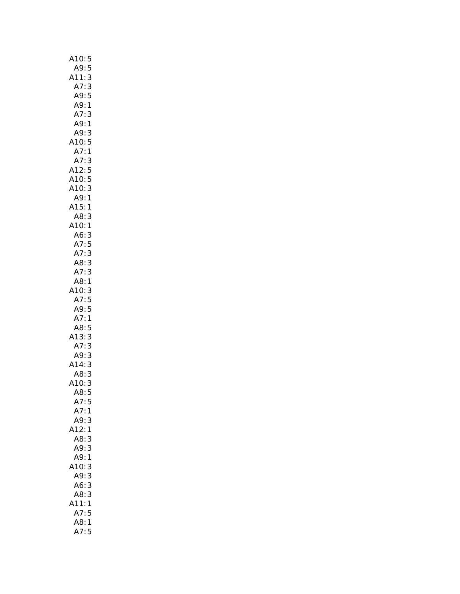| A10:<br>5                                                        |
|------------------------------------------------------------------|
| A9:<br>5                                                         |
| 3<br>$\mathsf{A11}$ :                                            |
|                                                                  |
| . .<br>A7: 3<br>A9: 5<br>A7: 3<br>A7: 3                          |
|                                                                  |
|                                                                  |
| A<br>A9:3<br>A10:5<br>A7:1                                       |
|                                                                  |
|                                                                  |
|                                                                  |
| ATU: 5<br>A7: 1<br>A7: 3<br>A12: 5<br>A10: 5<br>A15: 1<br>A15: 1 |
|                                                                  |
|                                                                  |
|                                                                  |
|                                                                  |
| A15:1                                                            |
| A8:3                                                             |
| A10:1                                                            |
|                                                                  |
| - - -<br>A6: 3<br>A7: 3<br>A7: 3                                 |
|                                                                  |
| A8: 3<br>A7: 3<br>A8: 1                                          |
|                                                                  |
|                                                                  |
|                                                                  |
|                                                                  |
|                                                                  |
| A8:1<br>A10:3<br>A7:5<br>A7:5<br>A7:1<br>A8:5<br>A13:3           |
|                                                                  |
| 3<br>3                                                           |
| A7:<br>A9:<br>3                                                  |
| A14:<br>3                                                        |
| A8:3                                                             |
| 3<br>410:                                                        |
| A8: 5                                                            |
| A7:5                                                             |
| A7:1                                                             |
| A9:<br>3                                                         |
| 12:<br>1                                                         |
| A8:<br>3                                                         |
| A9:                                                              |
| 3<br>1<br>A9:                                                    |
| 10:<br>3                                                         |
| A9.<br>3                                                         |
| A6:<br>3                                                         |
| A8:<br>3                                                         |
| A11:<br>1                                                        |
| A7:<br>5                                                         |
| A8:<br>$\mathbf{1}$                                              |
| .<br>A7:<br>5                                                    |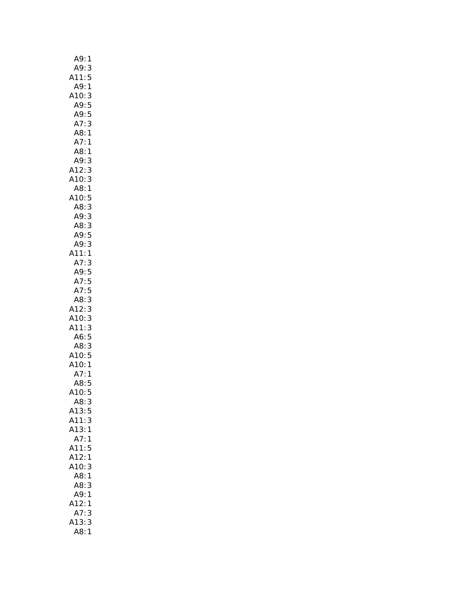| A8:1                                                                                                         |
|--------------------------------------------------------------------------------------------------------------|
| A7:<br>113331                                                                                                |
| A8:                                                                                                          |
| A9: 3<br>A12: 3<br>A10: 5<br>A8: 1<br>A3: 3<br>A9: 5<br>A9: 5<br>A9: 5<br>A11: 1                             |
|                                                                                                              |
|                                                                                                              |
|                                                                                                              |
|                                                                                                              |
|                                                                                                              |
|                                                                                                              |
|                                                                                                              |
|                                                                                                              |
|                                                                                                              |
|                                                                                                              |
|                                                                                                              |
|                                                                                                              |
|                                                                                                              |
|                                                                                                              |
|                                                                                                              |
|                                                                                                              |
|                                                                                                              |
|                                                                                                              |
|                                                                                                              |
|                                                                                                              |
|                                                                                                              |
|                                                                                                              |
|                                                                                                              |
|                                                                                                              |
| A7: 3<br>A9: 5<br>A7: 5<br>A7: 5<br>A3: 3<br>A10: 3<br>A10: 3<br>A10: 5<br>A8: 5<br>A10: 1<br>A7: 1<br>A3: 5 |
| 5<br>410:                                                                                                    |
| A8:3                                                                                                         |
| A13:<br>5                                                                                                    |
| 3<br>A11:                                                                                                    |
| A13:<br>$\mathbf{1}$                                                                                         |
| A7:<br>1                                                                                                     |
| A11:<br>5                                                                                                    |
| A12:<br>1                                                                                                    |
| A10:<br>3                                                                                                    |
| A8:<br>1                                                                                                     |
| A8:<br>3                                                                                                     |
| A9:<br>1                                                                                                     |
| 1<br>А                                                                                                       |
| 3                                                                                                            |
| $rac{12}{12}$<br>413:<br>3<br>A8:<br>1                                                                       |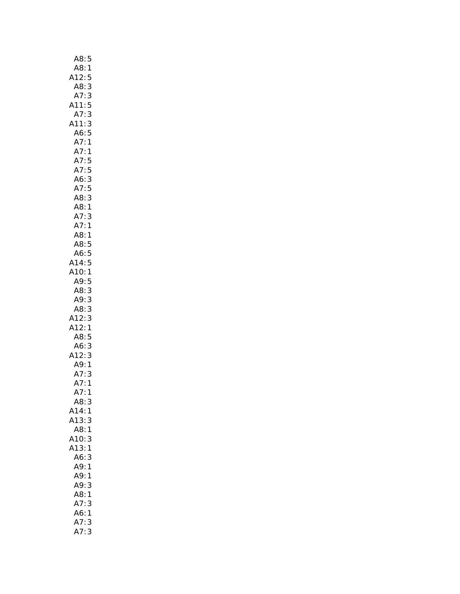| A8:                                                            |               |
|----------------------------------------------------------------|---------------|
| A8:                                                            | $\frac{5}{1}$ |
| $rac{1}{12}$ :                                                 | 5             |
| A8:                                                            | 3             |
|                                                                | 3<br>5        |
|                                                                |               |
| A7:<br>:A11<br>:A7                                             | 3             |
| A11:3                                                          |               |
|                                                                |               |
|                                                                |               |
|                                                                |               |
|                                                                |               |
|                                                                |               |
|                                                                |               |
|                                                                |               |
|                                                                |               |
|                                                                |               |
|                                                                |               |
| A8:                                                            |               |
|                                                                |               |
| но.<br>A8:5<br>A6:5<br>14:5                                    |               |
| A6:<br>A14:                                                    |               |
| A10:1                                                          |               |
| A9:                                                            | 5             |
| A8:                                                            |               |
| A9:                                                            | 3<br>3        |
| A8:                                                            | 3             |
| A12:                                                           |               |
| A12:3<br>A12:1                                                 |               |
|                                                                |               |
|                                                                |               |
|                                                                |               |
| A12.1<br>A8:5<br>A6:3<br>A12:3<br>A7:1<br>A7:1<br>A7:1<br>A8:3 |               |
|                                                                |               |
|                                                                |               |
|                                                                |               |
| A8:                                                            | 3             |
| A14:                                                           | 1             |
| A13:                                                           | 3             |
| A8:1                                                           |               |
| A10:                                                           | 3             |
| A13:1                                                          |               |
| A6:                                                            | 3             |
| A9:1                                                           |               |
| A9:1                                                           |               |
| A9:                                                            | 3             |
| A8:                                                            | 1             |
| A7:<br>A6:1                                                    | 3             |
| A7:                                                            | 3             |
| A7:                                                            | 3             |
|                                                                |               |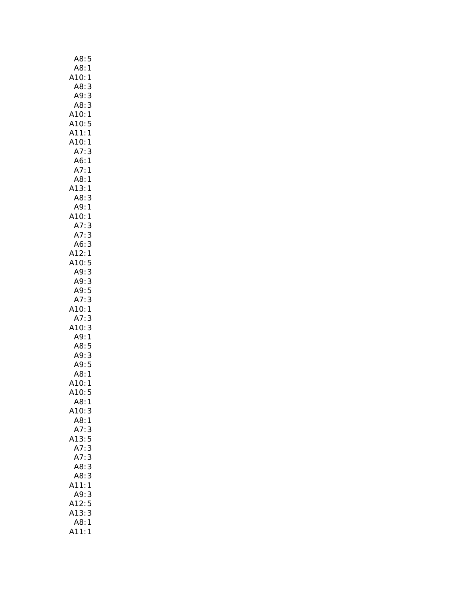| A8:<br>5                                    |
|---------------------------------------------|
| A8:<br>1                                    |
| 1                                           |
| A10:<br>:A10<br>:A9<br>3                    |
| 3                                           |
| A8:3                                        |
| A10:1                                       |
| A10:5                                       |
| A11:1                                       |
| A10:1                                       |
| A7:3                                        |
| A6:1                                        |
| A7:1                                        |
| A8:1                                        |
| A13:<br>1                                   |
| A8:<br>3                                    |
| A9:<br>$\mathbf{1}$                         |
| A10:<br>1                                   |
| A7: 3<br>A7: 3                              |
|                                             |
| A6: 3<br>A12: 1                             |
|                                             |
| A10:5                                       |
| A9:3                                        |
| A9: 3<br>A9: 5                              |
| A7:3                                        |
| A10:1                                       |
| A7:3                                        |
| A10:3                                       |
| A9:1                                        |
| A8:5                                        |
| A9: 3<br>A9: 5<br>A8: 1<br>A10: 1<br>A10: 5 |
|                                             |
|                                             |
|                                             |
|                                             |
| A8:1                                        |
| A10:<br>3                                   |
| A8:1                                        |
| A7:<br>3                                    |
| A13:<br>5                                   |
| 3<br>A7:                                    |
|                                             |
| A7:<br>3                                    |
| A8:<br>3                                    |
| A8:<br>3                                    |
| .11:<br>1                                   |
| 3                                           |
| A9:<br>A12:5                                |
| 3                                           |
| A13:<br>A8:<br>1                            |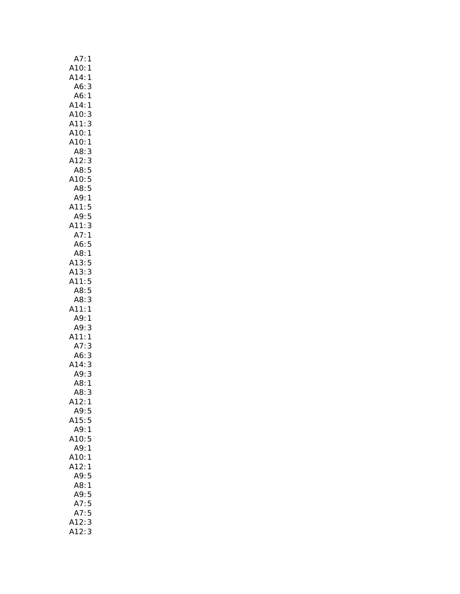| A7:<br>1                     |
|------------------------------|
| A10:<br>1                    |
| A14:1                        |
| A6:<br>3                     |
| A6:1                         |
| A14:1                        |
| A10:3                        |
| 3<br>A11:                    |
| A10:1                        |
| A10:1                        |
| 3<br>A8:                     |
| A12:<br>3                    |
| A8:5                         |
| A10:5                        |
| A8:5                         |
| $\mathbf{1}$                 |
| A9:<br>:A11<br>.11:5<br>A9:5 |
|                              |
| 3                            |
| A11:<br>A7:<br>1             |
| A6:<br>5                     |
| A8:1                         |
| A13:5                        |
| A13:3<br>A11:5<br>A8:5       |
|                              |
|                              |
| A8:3                         |
| A11:1                        |
| A9:1                         |
| A9:<br>3                     |
| A11:<br>$\mathbf{1}$         |
| A7:<br>3                     |
| 3<br>A6:                     |
| 3<br>A14:                    |
| A9:<br>3                     |
| A8:1                         |
| A8:<br>3                     |
| A12:<br>1                    |
| A9:<br>5                     |
| 5<br>A15:                    |
| A9:<br>$\mathbf{1}$          |
| A10:<br>5                    |
| A9:<br>1                     |
| A10:<br>1                    |
| A12:<br>1                    |
| A9:<br>5                     |
| A8:<br>1                     |
| A9:<br>5                     |
| A7:<br>5                     |
| 5<br>A7:                     |
| .<br>412:<br>^<br>3          |
| 12:<br>3                     |
|                              |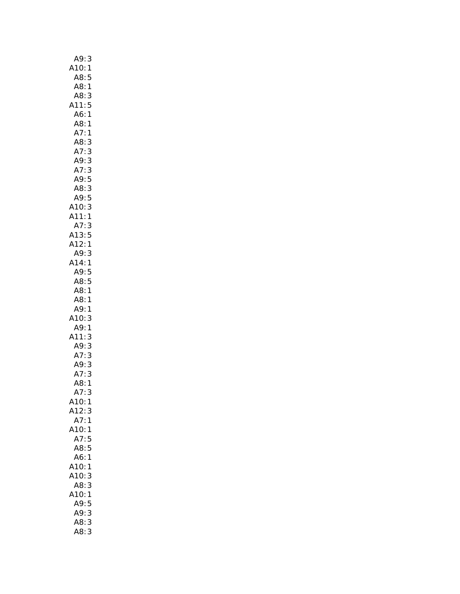| A9:<br>3               |
|------------------------|
| A10:<br>$\mathbf{1}$   |
| A8:<br>5               |
| A8:<br>$\mathbf{1}$    |
| A8:3                   |
| A11:5                  |
| A6:1                   |
| A8:1                   |
| A7:<br>1               |
| A8:<br>3               |
| A7:                    |
| A9:                    |
| 333535<br>A7:          |
| A9:                    |
| A8:                    |
| A9:                    |
|                        |
| A10:<br>A11:<br>3      |
| $\mathbf{1}$           |
| A7:<br>3               |
| A13:5                  |
| .<br>A12:1             |
| A9:3                   |
| A14:1                  |
| A9:5                   |
| A8:5                   |
| A8:1                   |
| A8:1                   |
| A9:<br>$\mathbf{1}$    |
| 3                      |
| .10:<br>A9:<br>1       |
| A11:<br>3              |
| A9:<br>3               |
| A7:<br>A9:<br>A7:<br>3 |
| 3                      |
| 3                      |
| A8:<br>1               |
| A7:<br>3               |
| A10:1                  |
| A12:3                  |
| A7:1                   |
| A10:1                  |
| A7:5                   |
| A8:5                   |
| A6:1                   |
| A10:<br>1              |
| A10:<br>3              |
| A8:<br>3               |
| A10:<br>1              |
| A9:<br>5               |
|                        |
| A9:<br>3               |
| A8:<br>3               |
| A8:3                   |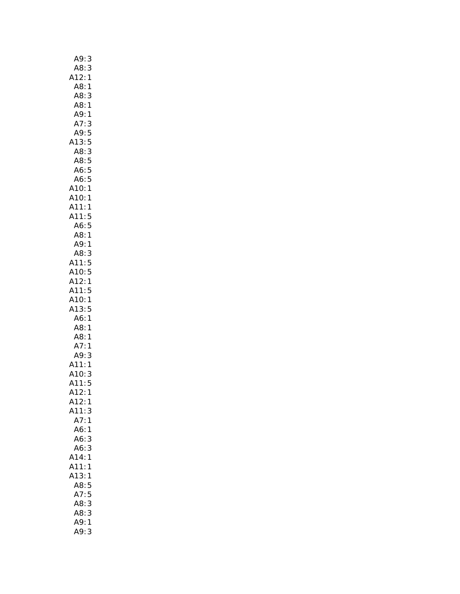| A9: 3                                                          |              |
|----------------------------------------------------------------|--------------|
|                                                                |              |
| A8: 3<br>A12: 1                                                |              |
| A8:1                                                           |              |
| A8: 3                                                          |              |
| A8:1                                                           |              |
| A9: 1                                                          |              |
| A7:3                                                           |              |
| A9:5                                                           |              |
| A13:5<br>A8:3<br>A8:5                                          |              |
|                                                                |              |
|                                                                |              |
|                                                                |              |
|                                                                |              |
| Ao: 5<br>A6: 5<br>Ao: 5<br>A10: 1<br>A11: 1<br>A11: 5<br>A6: 5 |              |
|                                                                |              |
|                                                                |              |
|                                                                |              |
|                                                                |              |
| A6:5                                                           |              |
| A8:1                                                           |              |
| A9:1                                                           |              |
| A8:3                                                           |              |
| A11:5<br>A10:5                                                 |              |
|                                                                |              |
| 2:1<br>$\mathsf{A}1$                                           |              |
| A11:5                                                          |              |
| A10:1                                                          |              |
| A13:5                                                          |              |
| A6:1                                                           |              |
| A8:                                                            | 1            |
| A8:                                                            | 1            |
| A7:                                                            | $\mathbf{1}$ |
| 9:3,<br>A11:1<br>A10:3<br>A11                                  |              |
|                                                                |              |
|                                                                |              |
| A11:                                                           |              |
| A12:                                                           | 1            |
| A12:1                                                          |              |
| A11:                                                           | 3            |
| A7:1                                                           |              |
| A6:1                                                           |              |
| A6:                                                            | 3            |
| A6:                                                            | 3            |
| A14:                                                           | 1            |
| A11:                                                           | 1            |
| A13:                                                           | 1            |
| A8:                                                            | 5            |
| A7:                                                            | 5            |
| A8:                                                            | 3            |
| A8:                                                            |              |
| A9:                                                            | 3<br>1       |
| A9:                                                            | 3            |
|                                                                |              |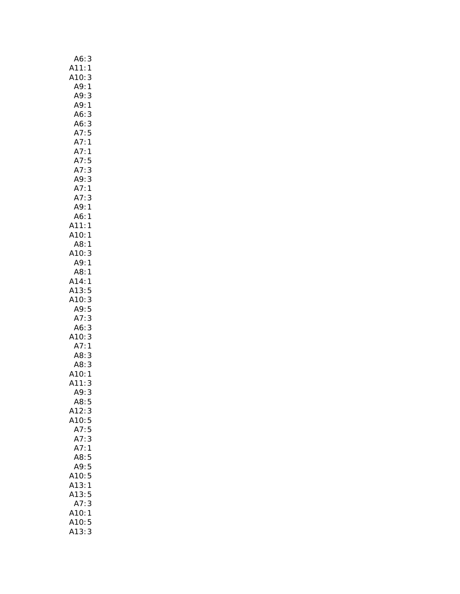| A6:<br>3                                     |
|----------------------------------------------|
| A11:<br>$\mathbf{1}$                         |
| 3                                            |
| A10:<br>A9:<br>$\mathbf{1}$                  |
| A9:<br>3                                     |
| A9:<br>$\mathbf{1}$                          |
| A6:<br>3                                     |
| А6:3<br>A7:5<br>A <sup>7</sup>               |
|                                              |
| A7:1                                         |
| A7:1                                         |
| 5                                            |
| A7:<br>A7:<br>A9:<br>A7:<br>A7:              |
|                                              |
|                                              |
|                                              |
| A7:3<br>A7:3<br>A9:3<br>A7:1<br>A7:3<br>A9:1 |
| A6:1                                         |
| A11:1                                        |
| A10:1                                        |
| A8:1                                         |
| A10:3                                        |
| A9:1                                         |
| A8:1                                         |
| A14:1                                        |
| A13:5                                        |
| A10:<br>3                                    |
| 5                                            |
| A9:<br>A7:<br>3                              |
| 3<br>A6:                                     |
| A10:<br>3                                    |
| A7:<br>$\mathbf{1}$                          |
| A8:<br>3                                     |
| A8:<br>3                                     |
| A10:1                                        |
| A11:<br>3                                    |
| A9:<br>3                                     |
| A8:<br>5                                     |
| A12:3                                        |
| A10:5                                        |
| A7:5                                         |
| 3<br>A7:                                     |
| A7:1                                         |
| A8:5                                         |
| A9:5                                         |
| A10:<br>5                                    |
| A13:<br>1                                    |
| A13:<br>5                                    |
| A7:<br>3                                     |
|                                              |
| A10:1<br>A10:5                               |
| A13:<br>3                                    |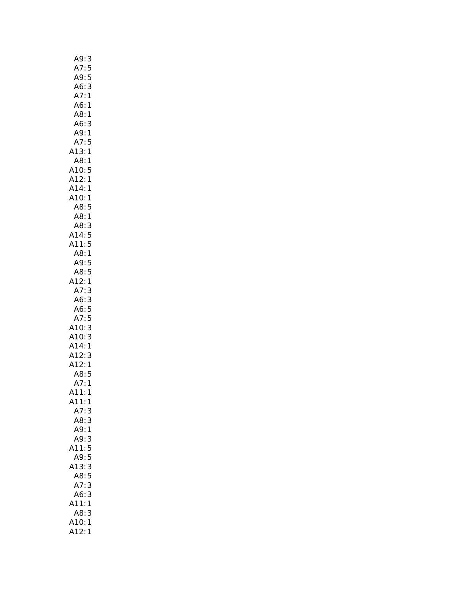| A9:                  | 3                 |
|----------------------|-------------------|
| A7:5                 |                   |
| A9:                  | 5                 |
| A6:3                 |                   |
| A7:                  | $\mathbf{1}$      |
| A6:1                 |                   |
| A8:1                 |                   |
| A6:3                 |                   |
| A9: 1                |                   |
| A7:5                 |                   |
| A13:1                |                   |
| A8:1                 |                   |
| A10:5                |                   |
| A12:1                |                   |
| A14:                 | 1                 |
| A10:1                |                   |
| A8:                  | 5                 |
| A8:1                 |                   |
| A8:3                 |                   |
|                      |                   |
| A14:5<br>A11:5       |                   |
|                      |                   |
| A8:1                 |                   |
| A9:5                 |                   |
| A8:5                 |                   |
| A12:1                |                   |
|                      | 3                 |
| A7:                  |                   |
| A6:                  | 3                 |
| A6:5                 |                   |
| A7:5                 |                   |
| A10:3                |                   |
|                      |                   |
| <br>A10: 3<br>A14: 1 |                   |
|                      | 3                 |
| A12:<br>A12:1        |                   |
| A8:5                 |                   |
| A7:1                 |                   |
|                      | 1                 |
| A11:<br>A11:         | 1                 |
|                      |                   |
| A7:3<br>A8:3         |                   |
| A9:1                 |                   |
| A9:                  |                   |
| A11:                 | 3                 |
|                      | 5<br>5            |
| A9:<br>A13:          |                   |
|                      | 3<br>5            |
| A8:                  |                   |
| A7:                  | 3                 |
| A6:                  | 3                 |
| A11:                 | 1                 |
| A8:                  | 3                 |
| A10:<br>^<br>412:    | $\mathbf{1}$<br>1 |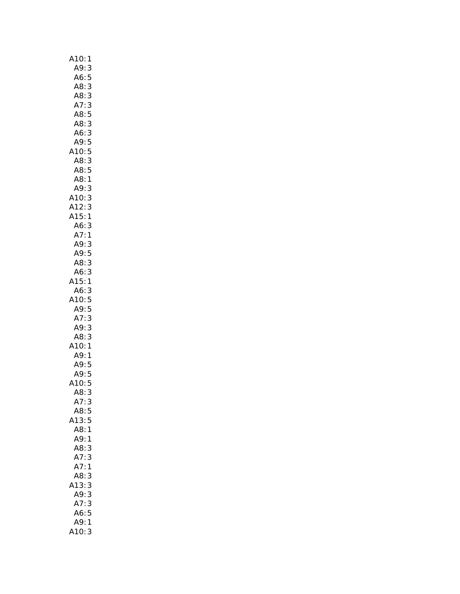| A10:<br>1                            |
|--------------------------------------|
| A9:3                                 |
| A6:<br>5                             |
| A8:<br>3                             |
| A8:<br>3                             |
| A7:<br>3                             |
| A8:<br>5                             |
| 3<br>A8:                             |
| A6:<br>3                             |
| A9:<br>5                             |
| A10:<br>5                            |
| A8:<br>3                             |
| A8:<br>5                             |
| A8:<br>$\mathbf{1}$                  |
| A9:<br>3                             |
| A10:<br>3                            |
| 3                                    |
| A18:<br>A12:<br>A15:<br>$\mathbf{1}$ |
|                                      |
| A6: 3<br>A7: 1                       |
| A9:<br>3                             |
| A9:5                                 |
| 3<br>A8:                             |
| A6:<br>3                             |
| 15:1                                 |
| A6:<br>3                             |
| A10:<br>5                            |
| 5                                    |
| ----<br>A9:<br>A7:                   |
| 3<br>3<br>3<br>A9:                   |
| A8:                                  |
| A10:<br>$\overline{1}$               |
| A9:<br>$\mathbf{1}$                  |
|                                      |
| A9: 5<br>A9: 5                       |
| A10:5                                |
| 3<br>A8:                             |
| A7:3                                 |
| A8:5                                 |
| A13:5                                |
| A8:1                                 |
| A9:1                                 |
| 3<br>A8:                             |
| A7:<br>3                             |
| A7:<br>1                             |
| A8:<br>3                             |
| A13:<br>3                            |
| A9:<br>3                             |
| A7:<br>3                             |
| A6:<br>5                             |
| A9:1                                 |
| 410: 3                               |
|                                      |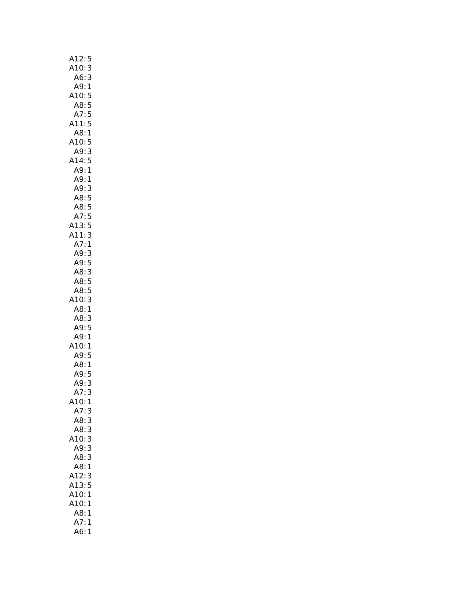| A12:<br>5                             |
|---------------------------------------|
| A10:<br>3                             |
| A6:<br>3                              |
| A9:<br>$\mathbf{1}$                   |
| A10:5                                 |
| A8:5                                  |
| A7:5                                  |
| A11:5                                 |
| A8:1                                  |
| A10:5                                 |
| A9:<br>3                              |
| A14:5                                 |
| A9:1                                  |
| A9:1                                  |
|                                       |
| A9:3<br>A8:5<br>A8:5<br>A7:5<br>A13:5 |
|                                       |
|                                       |
|                                       |
|                                       |
| A11:3                                 |
| A7:1                                  |
| A9:3                                  |
| A9:5                                  |
| A8:3                                  |
| A8:5                                  |
| A8:5                                  |
| A10:<br>3                             |
| A8:<br>1                              |
| A8:<br>3                              |
| A9:5                                  |
| A9:<br>1                              |
| A10:1                                 |
| A9:5                                  |
| A8:<br>$\mathbf{1}$                   |
| A9:5                                  |
| A9:<br>3                              |
| A7:<br>3                              |
| A10:1                                 |
| A7:<br>3                              |
| A8:<br>3                              |
| A8:<br>3                              |
| A10:<br>3                             |
| A9:<br>3                              |
| A8:<br>3                              |
| A8:<br>1                              |
| A12:<br>3                             |
| A13:<br>5                             |
| A10:<br>1                             |
| A10:<br>1                             |
| A8:                                   |
| 1<br>A7:                              |
| 1<br>A6:                              |
| 1                                     |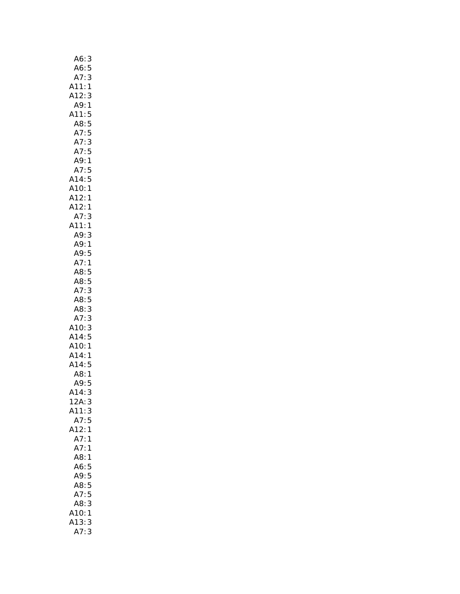| A6:3<br>A6:5<br>A7:3<br>A11:1<br>A12:3                    |  |
|-----------------------------------------------------------|--|
| A9:1                                                      |  |
| A11:<br>5                                                 |  |
| A8:5<br>A7:5                                              |  |
|                                                           |  |
| A7: 3<br>A7: 5                                            |  |
|                                                           |  |
| A9:1                                                      |  |
| A7:5                                                      |  |
| A7:5<br>A14:5<br>A10:1<br>A12:1<br>A12:1<br>A7:3<br>A11:1 |  |
|                                                           |  |
|                                                           |  |
|                                                           |  |
|                                                           |  |
| A9:                                                       |  |
| 3<br>A9:1                                                 |  |
| A9:5                                                      |  |
| A7:1                                                      |  |
| A8:5                                                      |  |
| A8:5<br>A8:5<br>A7:3<br>A8:5<br>A8:3<br>A7:3              |  |
|                                                           |  |
|                                                           |  |
|                                                           |  |
|                                                           |  |
| A10:3<br>A14:5                                            |  |
|                                                           |  |
|                                                           |  |
|                                                           |  |
| A10:1<br>A14:1<br>A14:5                                   |  |
| A8:1                                                      |  |
| A9:5                                                      |  |
| 3<br>A14:                                                 |  |
| 12A:3                                                     |  |
| A11:<br>$\mathsf{3}$                                      |  |
| A7:<br>5                                                  |  |
| A12:<br>$\mathbf{1}$                                      |  |
| A7:<br>1                                                  |  |
| A7:<br>1                                                  |  |
| A8:1                                                      |  |
| A6:5                                                      |  |
| A9:5                                                      |  |
| A8:5                                                      |  |
| A7:5                                                      |  |
| 3<br>A8:                                                  |  |
| A10:<br>1                                                 |  |
| A13:<br>3<br>A7:<br>3                                     |  |
|                                                           |  |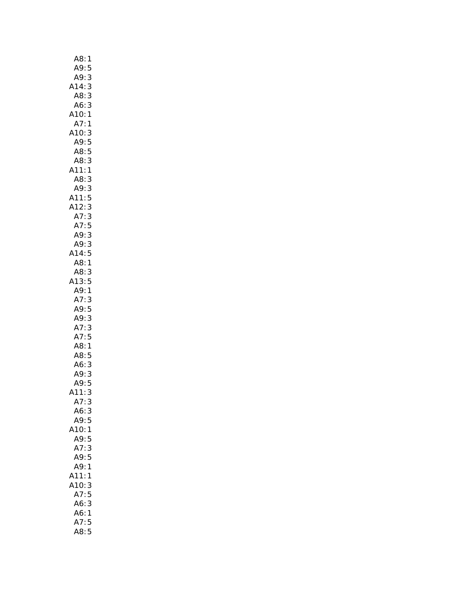| A8:<br>1                                                             |
|----------------------------------------------------------------------|
| A9:                                                                  |
| $\frac{5}{3}$                                                        |
| A9:<br>:A14                                                          |
| 3<br>3<br>A8:                                                        |
| $A6:3$<br>A10:1<br>A7:1                                              |
| $\begin{array}{c} 3 \\ 1 \end{array}$                                |
|                                                                      |
|                                                                      |
|                                                                      |
|                                                                      |
| A10:3<br>A9:5<br>A8:5<br>A8:3                                        |
| A11:1                                                                |
| 3<br>A8:                                                             |
| 3<br>A9:                                                             |
|                                                                      |
|                                                                      |
|                                                                      |
|                                                                      |
|                                                                      |
| A11:<br>A12:<br>A7:<br>A7:<br>A9:<br>A9:                             |
| 11:5<br>12:3<br>A7:3<br>A7:5<br>A9:3<br>A9:3<br>A8:1<br>14:5<br>A14: |
|                                                                      |
| A8:3                                                                 |
| A13:5                                                                |
| A9:1                                                                 |
| A7:3                                                                 |
|                                                                      |
| A9: 5<br>A9: 3<br>A7: 3<br>A7: 5<br>A8: 1<br>A8: 5<br>A6: 3          |
|                                                                      |
|                                                                      |
|                                                                      |
|                                                                      |
|                                                                      |
| A6: 3<br>A9: 3<br>A9: 5                                              |
|                                                                      |
| 3                                                                    |
| (11)<br>A7:                                                          |
| 3                                                                    |
| A6:<br>3<br>A9:                                                      |
| 5                                                                    |
| A10:<br>$\mathbf{1}$                                                 |
| A9:<br>5                                                             |
| 3<br>A7:                                                             |
| A9:5                                                                 |
| 1<br>A9:                                                             |
| A11:<br>1                                                            |
| A10:<br>3                                                            |
| A7:5                                                                 |
| 3<br>A6:                                                             |
| A6:<br>1                                                             |
| A7:<br>5                                                             |
| $\overline{5}$<br>A8:                                                |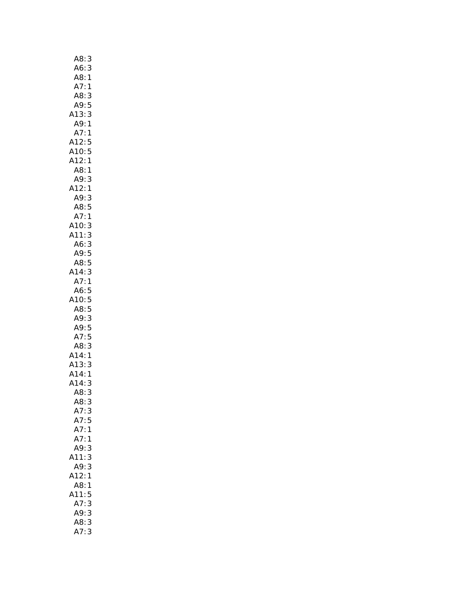| A8:<br>3             |  |
|----------------------|--|
| A6:<br>3             |  |
| A8:<br>1             |  |
| A7:<br>1             |  |
| A8:<br>3             |  |
| A9:<br>5             |  |
| A13:3                |  |
| A9:1                 |  |
| A7:1                 |  |
|                      |  |
| A12:5<br>A10:5       |  |
| A12:1                |  |
| A8:1                 |  |
| A9:<br>3             |  |
| A12:1                |  |
|                      |  |
| A9:<br>3             |  |
| A8:5                 |  |
| A7:<br>$\mathbf{1}$  |  |
| A10:<br>A11:<br>3    |  |
| 3                    |  |
| A6:<br>3             |  |
| A9:                  |  |
| $\frac{5}{5}$<br>A8: |  |
| A14:<br>3            |  |
| A7:1                 |  |
|                      |  |
| A6: 5<br>A10: 5      |  |
|                      |  |
|                      |  |
| A8:5                 |  |
| A9:3                 |  |
| A9:5                 |  |
| A7:5                 |  |
| 3<br>A8:             |  |
| A14:<br>1            |  |
| A13:<br>3            |  |
| A14:<br>1            |  |
| A14:<br>3            |  |
| A8:<br>3             |  |
| A8:<br>3             |  |
| A7:3                 |  |
| A7:<br>5             |  |
| A7:<br>$\mathbf{1}$  |  |
| A7:1                 |  |
| A9:3                 |  |
| 11:3                 |  |
| 3<br>A9:             |  |
| 412:1                |  |
| A8:1                 |  |
| 411:5                |  |
| A7:3                 |  |
| A9:3                 |  |
| 3<br>A8:<br>A7:<br>3 |  |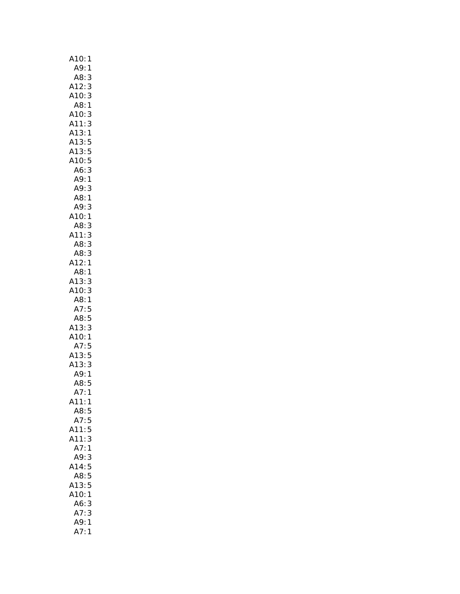| A10:<br>1                                                                        |
|----------------------------------------------------------------------------------|
| A9:1                                                                             |
| A8:<br>:A12                                                                      |
| $\frac{3}{3}$                                                                    |
| 3<br>A10:                                                                        |
| A8:1                                                                             |
| A10:3                                                                            |
| 3<br>A11:                                                                        |
| A13:1                                                                            |
| A13:5<br>A13:5<br>A10:5<br>A6:3<br>A9:1<br>A9:3<br>A8:1                          |
|                                                                                  |
|                                                                                  |
|                                                                                  |
|                                                                                  |
|                                                                                  |
|                                                                                  |
| $A9$ :                                                                           |
|                                                                                  |
| A9: 3<br>A10: 1<br>A8: 3<br>A11: 3<br>A8: 3<br>A3: 1<br>A8: 1                    |
|                                                                                  |
|                                                                                  |
|                                                                                  |
|                                                                                  |
|                                                                                  |
|                                                                                  |
| A13:<br>A10:<br>3                                                                |
| 3                                                                                |
| A8:1<br>A7:5<br>A8:5<br>A13:3<br>A10:1<br>A7:5<br>A13:5<br>A13:3<br>A9:1<br>A8:5 |
|                                                                                  |
|                                                                                  |
|                                                                                  |
|                                                                                  |
|                                                                                  |
|                                                                                  |
|                                                                                  |
|                                                                                  |
|                                                                                  |
| .<br>A7:<br>1                                                                    |
| A11:<br>$\mathbf{1}$                                                             |
| A8:5                                                                             |
| A7:5                                                                             |
| A11:5                                                                            |
| A11:<br>3                                                                        |
| A7:1                                                                             |
| A9:<br>3                                                                         |
| 14:5<br>A                                                                        |
| 5<br>A8:                                                                         |
| A13:<br>5                                                                        |
| A10:<br>1                                                                        |
| A6:<br>3                                                                         |
| A7:<br>3                                                                         |
| A9:<br>1                                                                         |
| A7:<br>1                                                                         |
|                                                                                  |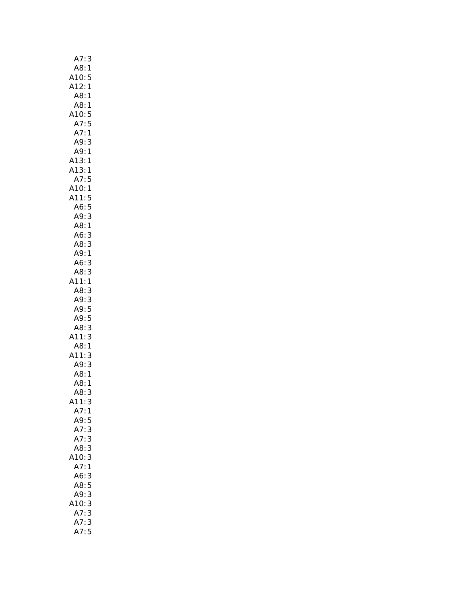| A7:<br>3                             |  |
|--------------------------------------|--|
| A8:<br>1                             |  |
| 5                                    |  |
| A10:<br>A10:<br>A12:<br>$\mathbf{1}$ |  |
| A8:<br>1                             |  |
| 48:1<br>410:5<br>5 -                 |  |
| 5                                    |  |
| 5<br>A7:                             |  |
| A7:1                                 |  |
| A9:<br>3                             |  |
| A9:1                                 |  |
| A13:1                                |  |
| A13:1                                |  |
| A7:5                                 |  |
| A10:1                                |  |
| A11:5                                |  |
| A6:5                                 |  |
| A9:3                                 |  |
| A8:1                                 |  |
|                                      |  |
| . . <u>.</u><br>A6: 3<br>A8: 3       |  |
| .<br>A9: 1                           |  |
|                                      |  |
| A6:3                                 |  |
| A8:3                                 |  |
| A11:1                                |  |
| AB:3                                 |  |
| A9:3                                 |  |
| A9:5                                 |  |
| A9:5                                 |  |
| A8:3                                 |  |
| .11:3                                |  |
| A8:1                                 |  |
| 3<br>A11:                            |  |
| A9:3                                 |  |
| A8:1                                 |  |
| A8: 1                                |  |
| 3<br>AB:                             |  |
| A11:<br>3                            |  |
| A7:<br>1                             |  |
| A9:<br>5                             |  |
| A7:<br>3                             |  |
| A7:3                                 |  |
| A8:3                                 |  |
| .10:3                                |  |
| A7:1                                 |  |
| A6:<br>3                             |  |
| A8:5                                 |  |
| A9:3                                 |  |
| 3<br>10:                             |  |
| A7:3                                 |  |
| 3                                    |  |
| A7:<br>5                             |  |
| A7:                                  |  |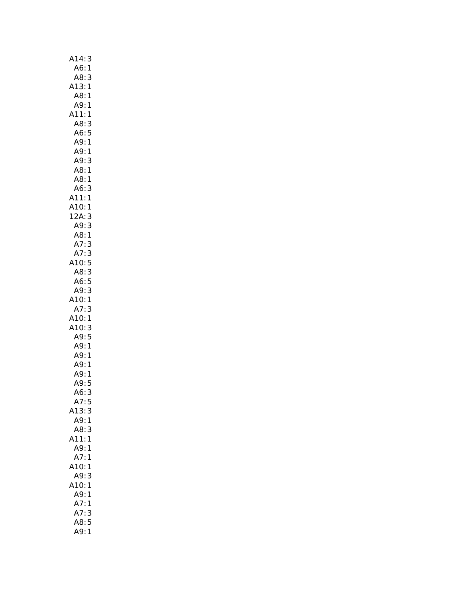| A14:3                       |
|-----------------------------|
| A6:1                        |
| A8:<br>3                    |
| A13:1                       |
| A8:1                        |
| A9:1                        |
| A11:1                       |
| AB:3                        |
| A6: 5<br>A9: 1              |
|                             |
| A9:1                        |
| A9:3                        |
| A8:1<br>A8:<br>$\mathbf{1}$ |
| A6:3                        |
|                             |
| A11:1<br>A10:1              |
| 12A:3                       |
| A9:3                        |
| A8:1                        |
| A7:3                        |
| A7:3                        |
| A10:5                       |
| A8:3                        |
| A6:5                        |
| A9: 3<br>A10: 1             |
|                             |
| A7:<br>3                    |
| A10:1                       |
| بین<br>A10: 3<br>A9: 5      |
| A9:<br>$\mathbf{1}$         |
| A9:1                        |
| A9:1                        |
| A9:1                        |
| A9:5                        |
| A6:<br>3                    |
| A7:5                        |
| A13:3                       |
| A9:1                        |
| A8:<br>3                    |
| A11:<br>1                   |
| A9:<br>1                    |
| A7:<br>1                    |
| A10:<br>1                   |
| A9:<br>3<br>A10:            |
| $\mathbf{1}$<br>A9:         |
| 1<br>A7:<br>1               |
| A7:3                        |
| A8:5                        |
| A9:1                        |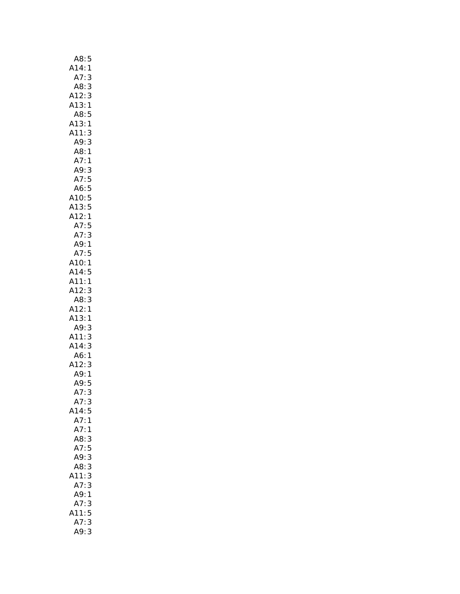| A8:<br>5                                                                                         |
|--------------------------------------------------------------------------------------------------|
| $\mathbf{1}$                                                                                     |
| A14:<br>A7:<br>3                                                                                 |
|                                                                                                  |
| A8:<br>:A12<br>$\frac{3}{3}$                                                                     |
| A13:<br>$\mathbf{1}$                                                                             |
| A8:<br>5                                                                                         |
| A13:1                                                                                            |
| A11:<br>3                                                                                        |
| A9:<br>3                                                                                         |
| A8: 1<br>A7: 1                                                                                   |
|                                                                                                  |
|                                                                                                  |
|                                                                                                  |
|                                                                                                  |
|                                                                                                  |
|                                                                                                  |
|                                                                                                  |
|                                                                                                  |
|                                                                                                  |
| A9:3<br>A7:5<br>A6:5<br>A10:5<br>A13:5<br>A12:1<br>A7:5<br>A7:3<br>A9:1                          |
| A7:<br>5                                                                                         |
| $\mathbf{1}$                                                                                     |
| A10:<br>A14:<br>5                                                                                |
| A11:<br>$\mathbf{1}$                                                                             |
| A12:<br>3                                                                                        |
| 3                                                                                                |
| A8: 3<br>A12: 1<br>A13: 1<br>A9: 3                                                               |
|                                                                                                  |
|                                                                                                  |
| $\begin{array}{c}\n3 \\ 3 \\ 1\n\end{array}$<br>A11:3<br>A11:3<br>A14:3<br>A6:1<br>A12:3<br>A9:5 |
|                                                                                                  |
|                                                                                                  |
|                                                                                                  |
|                                                                                                  |
|                                                                                                  |
| 3<br>.<br>A7:                                                                                    |
| A7:3                                                                                             |
| 14:5                                                                                             |
| A7:<br>$\mathbf{1}$                                                                              |
| A7:1                                                                                             |
| A8:<br>3                                                                                         |
| A7:5                                                                                             |
| A9:<br>3                                                                                         |
| 3<br>A8:                                                                                         |
| $\overline{11}$<br>3<br>Δ                                                                        |
| A7:<br>3                                                                                         |
| A9:1                                                                                             |
| 3                                                                                                |
| A7:<br>A11:5                                                                                     |
| A7:<br>3                                                                                         |
| A9:<br>3                                                                                         |
|                                                                                                  |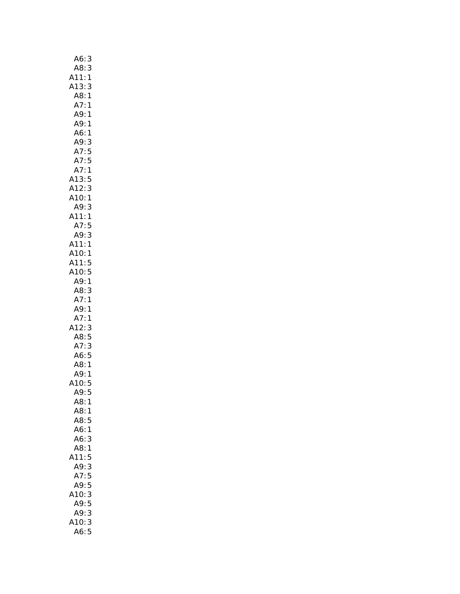| A6:<br>3                                              |  |
|-------------------------------------------------------|--|
| 3<br>A8:                                              |  |
| 1                                                     |  |
| A11:<br>A13:<br>$\begin{array}{c} 3 \\ 1 \end{array}$ |  |
| A8:                                                   |  |
| A7:<br>$\mathbf{1}$                                   |  |
| A9:1                                                  |  |
| A9:<br>$\mathbf{1}$                                   |  |
| A6:1                                                  |  |
| A9:<br>3<br>5<br>5                                    |  |
| A7:                                                   |  |
| A7:                                                   |  |
| A7:<br>1                                              |  |
| A13:<br>5                                             |  |
| A12:<br>3                                             |  |
| A10:<br>1                                             |  |
| A9:<br>3<br>A11:<br>1                                 |  |
| A7:                                                   |  |
| 5<br>3<br>A9:                                         |  |
| 1                                                     |  |
| A11:<br>A10:<br>1                                     |  |
|                                                       |  |
| A11:5<br>A10:5<br>A10:                                |  |
| A9:1                                                  |  |
| A8:<br>3                                              |  |
| A7:<br>1                                              |  |
| A9:<br>1                                              |  |
| A7:<br>1                                              |  |
| A12:<br>3                                             |  |
| A8:5                                                  |  |
| A7:<br>3                                              |  |
| A6:5                                                  |  |
| A8:1                                                  |  |
| A9:<br>1                                              |  |
| A10:<br>5                                             |  |
| A9:5                                                  |  |
| A8:<br>1                                              |  |
| A8:<br>1                                              |  |
| A8:<br>5                                              |  |
| A6:<br>$\mathbf{1}$                                   |  |
| A6:<br>3                                              |  |
| A8:<br>$\mathbf{1}$                                   |  |
| 5<br>.11:                                             |  |
| 3<br>A9:                                              |  |
| A7:5                                                  |  |
| A9:5                                                  |  |
| 10:<br>3<br>A9:5                                      |  |
| A9:<br>3                                              |  |
| 3<br>10:                                              |  |
| A6:<br>5                                              |  |
|                                                       |  |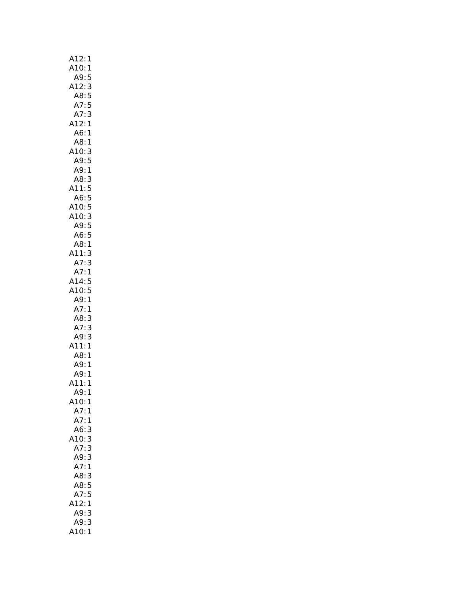| A12:<br>1                   |
|-----------------------------|
| 1                           |
| A10:<br>A9:<br>5            |
| A12:<br>$\mathbf{3}$        |
| A8:5                        |
| 5<br>A7:                    |
| 3<br>A7:                    |
| A12:1                       |
| A6:<br>1                    |
| A8:<br>1                    |
| A10:<br>3                   |
| A9:5                        |
| A9:1                        |
| A8:<br>3                    |
| A11:                        |
| A6:                         |
| .د.<br>:A10<br>:A9          |
|                             |
|                             |
| 5553555<br>A6:              |
| A8:1                        |
| A11:<br>3                   |
| 3<br>A7:                    |
| A7:1                        |
| A14:5                       |
| A10:5                       |
| A9: 1                       |
| A7:1                        |
| A8:<br>3<br>3<br>3          |
| A7:                         |
| A9:<br>$\mathbf{1}$<br>A11: |
| A8:1                        |
|                             |
| A9: 1<br>A9: 1              |
| A11:<br>1                   |
| A9:<br>1                    |
| A10:<br>1                   |
| A7:<br>1                    |
| A7:1                        |
| A6:<br>3                    |
| 10:<br>3                    |
| A7:<br>3                    |
| A9:<br>3                    |
| A7:1                        |
| A8:<br>3                    |
| A8:5                        |
| A7:<br>5                    |
| 12:<br>1                    |
| A9:<br>3                    |
| A9:<br>3                    |
| 410:<br>1                   |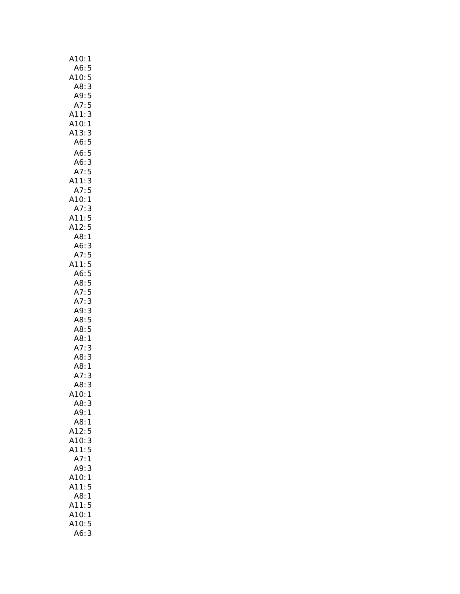| A10:<br>1                                                                                                      |
|----------------------------------------------------------------------------------------------------------------|
|                                                                                                                |
| A10:                                                                                                           |
| A6:5<br>10:5<br>A8:3<br>A9:5<br>A7:5                                                                           |
|                                                                                                                |
|                                                                                                                |
| A11:3<br>A10:1                                                                                                 |
|                                                                                                                |
| A13:<br>3                                                                                                      |
| $A6$ :<br>5                                                                                                    |
|                                                                                                                |
|                                                                                                                |
|                                                                                                                |
|                                                                                                                |
|                                                                                                                |
|                                                                                                                |
|                                                                                                                |
| o: 5<br>A6: 3<br>A7: 5<br>A7: 5<br>A1: 3<br>A1:<br>A1:<br>$\begin{array}{c} 3 \\ 5 \\ 5 \\ 1 \end{array}$      |
| A12:                                                                                                           |
| A8:                                                                                                            |
|                                                                                                                |
|                                                                                                                |
|                                                                                                                |
|                                                                                                                |
|                                                                                                                |
|                                                                                                                |
|                                                                                                                |
|                                                                                                                |
|                                                                                                                |
|                                                                                                                |
|                                                                                                                |
|                                                                                                                |
|                                                                                                                |
|                                                                                                                |
| A6:3<br>A1:5<br>A1:5<br>A5:5:5:5:3<br>A6:3<br>A7:5:5:3<br>A8:5:5:3<br>A8:5:5:4<br>A8:5<br>A8:1<br>A7:3<br>A8:3 |
|                                                                                                                |
|                                                                                                                |
| A10:<br>1                                                                                                      |
| A8:<br>3                                                                                                       |
| A9:<br>$\mathbf{1}$                                                                                            |
| A8:<br>1                                                                                                       |
| A12:<br>A10:<br>5                                                                                              |
| 3                                                                                                              |
| 5<br>A11:                                                                                                      |
| $\mathbf{1}$<br>A7:                                                                                            |
| A9:<br>3                                                                                                       |
| A10:<br>1                                                                                                      |
| 5<br>A11:                                                                                                      |
| $\mathbf{1}$<br>A8:                                                                                            |
| 5<br>A11:                                                                                                      |
| A10:1                                                                                                          |
| 5<br>A10:                                                                                                      |
| 3<br>A6:                                                                                                       |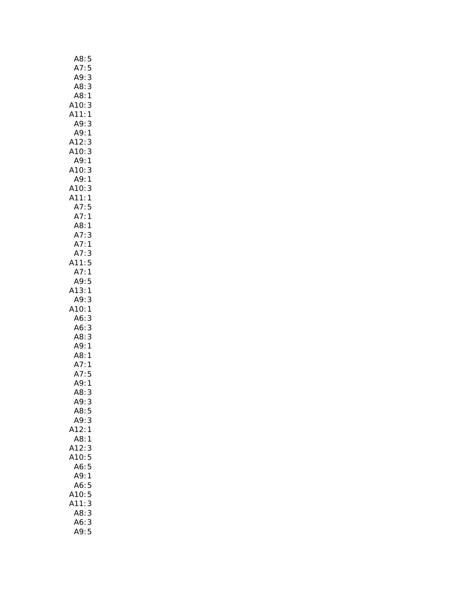| A8:<br>5                                                                                            |  |
|-----------------------------------------------------------------------------------------------------|--|
| A7:                                                                                                 |  |
| A9:                                                                                                 |  |
|                                                                                                     |  |
| 5331                                                                                                |  |
| $\begin{array}{c} 3 \\ 1 \end{array}$                                                               |  |
| A8:<br>A8:<br>A3:<br>A10:<br>A11:                                                                   |  |
| A9:<br>3                                                                                            |  |
| A9: 1<br>A12: 3                                                                                     |  |
|                                                                                                     |  |
| 3<br>A10:                                                                                           |  |
| A9:1                                                                                                |  |
| A10:3                                                                                               |  |
| A9:1                                                                                                |  |
| A10:<br>A11:<br>3<br>1                                                                              |  |
|                                                                                                     |  |
|                                                                                                     |  |
|                                                                                                     |  |
|                                                                                                     |  |
|                                                                                                     |  |
|                                                                                                     |  |
| A7:5<br>A7:1<br>A8:1<br>A7:3<br>A7:1<br>A7:3<br>A11:5<br>$\begin{array}{c} 3 \\ 5 \\ 1 \end{array}$ |  |
|                                                                                                     |  |
| A7:1<br>A9:5                                                                                        |  |
| 13:1                                                                                                |  |
| A9:<br>3                                                                                            |  |
|                                                                                                     |  |
| A10:1<br>A6:3<br>A6:3<br>A6:3<br>A8:3<br>A9:1<br>A7:1<br>A7:5<br>A9:1<br>A8:3                       |  |
|                                                                                                     |  |
|                                                                                                     |  |
|                                                                                                     |  |
|                                                                                                     |  |
|                                                                                                     |  |
|                                                                                                     |  |
|                                                                                                     |  |
| A8:                                                                                                 |  |
| A9:<br>3                                                                                            |  |
| A8:<br>5                                                                                            |  |
| A9:<br>3                                                                                            |  |
| A12:<br>1                                                                                           |  |
| A8:<br>1                                                                                            |  |
| A12:3                                                                                               |  |
| A10:5                                                                                               |  |
| A6:5                                                                                                |  |
| A9:1                                                                                                |  |
| A6:5                                                                                                |  |
| 5<br>A10:                                                                                           |  |
| A11:<br>3                                                                                           |  |
| A8:<br>3                                                                                            |  |
| 3<br>A6:                                                                                            |  |
| A9:<br>5                                                                                            |  |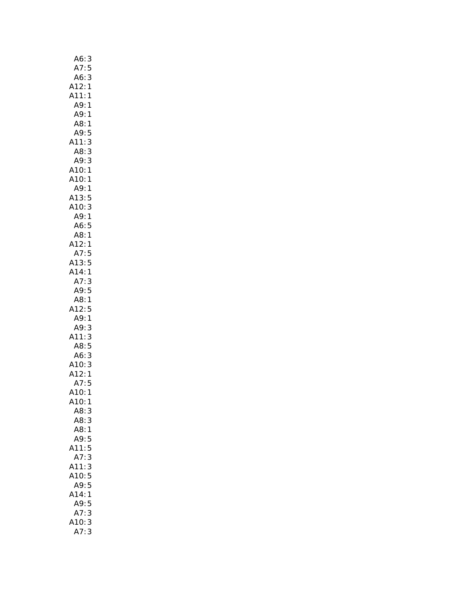| A6: 3                   |
|-------------------------|
| A7:5                    |
| $A6$ :<br>3             |
|                         |
| <br>A12:1<br>A11:1      |
| A9:1                    |
| A9:1                    |
| A8:1                    |
|                         |
| A9:<br>5                |
| A11:3                   |
| A8:3                    |
| A9:3                    |
| A10:1                   |
| A10:1                   |
| A9:1                    |
| A13:5                   |
| A10:<br>3               |
| A9:1                    |
| A6:5                    |
| .<br>A8: 1              |
|                         |
|                         |
|                         |
| A12:1<br>A12:1<br>A13:5 |
| A14:1                   |
| A7:3                    |
| A9:5                    |
| A8:1                    |
| A12:5                   |
| A9:1                    |
| A9:<br>3                |
|                         |
| A11:<br>3               |
| A8:5                    |
| A6:3                    |
| A10:3                   |
| A12:1                   |
| A7:5                    |
| A10:1                   |
| A10:1                   |
| A8:3                    |
| A8:3                    |
| A8:1                    |
| A9:<br>5                |
|                         |
| A11:5                   |
| 3<br>A7:                |
| A11:3                   |
| A10:5                   |
| A9:5                    |
| A14:<br>1               |
| A9:<br>5                |
| 3<br>A7:                |
| 3<br>10:                |
| A7:<br>3                |
|                         |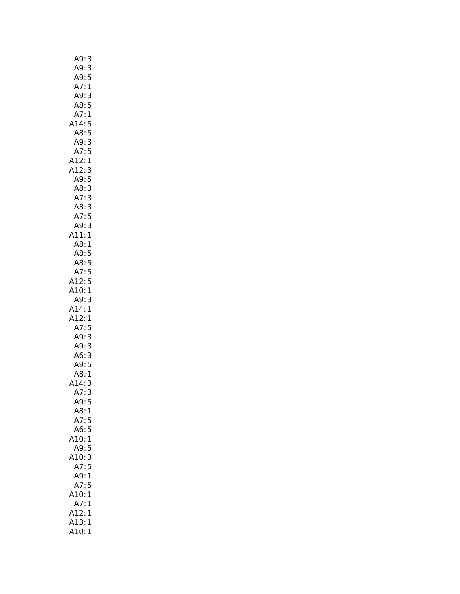| 3<br>A9:             |  |
|----------------------|--|
| A9:<br>3             |  |
| A9:<br>5             |  |
| A7:<br>$\mathbf{1}$  |  |
| A9:3                 |  |
| 5<br>A8:             |  |
| A7:<br>$\mathbf{1}$  |  |
|                      |  |
| A14:<br>5            |  |
| A8:<br>5             |  |
| 3<br>A9:             |  |
| A7:5                 |  |
| A12:1                |  |
| A12:<br>3            |  |
| A9:5                 |  |
| A8:                  |  |
| 3<br>3<br>A7:        |  |
| A8:                  |  |
| $\frac{3}{5}$<br>A7: |  |
| .<br>A9: 3           |  |
|                      |  |
| A11:1                |  |
| A8:1                 |  |
| A8:5                 |  |
| A8:5                 |  |
| A7:5                 |  |
| A12:5                |  |
| A10:1                |  |
| A9:<br>3             |  |
| A14:<br>1            |  |
| A12:1                |  |
| A7:5                 |  |
|                      |  |
| A9: 3<br>A9: 3       |  |
|                      |  |
| $\frac{3}{5}$<br>A6: |  |
| A9:                  |  |
| A8:<br>$\mathbf{1}$  |  |
| A14:<br>3            |  |
| A7:<br>3             |  |
| A9:<br>5             |  |
| A8:<br>1             |  |
| A7:<br>5             |  |
| 5<br>A6:             |  |
| A10:<br>$\mathbf{1}$ |  |
| 5<br>A9:             |  |
| 3<br>A10:            |  |
| A7:<br>5             |  |
|                      |  |
| A9:<br>1             |  |
| A7:<br>5             |  |
| 10:<br>1<br>A        |  |
| A7:<br>1             |  |
| A12:<br>1            |  |
| д13:<br>^<br>1       |  |
| A10:<br>1            |  |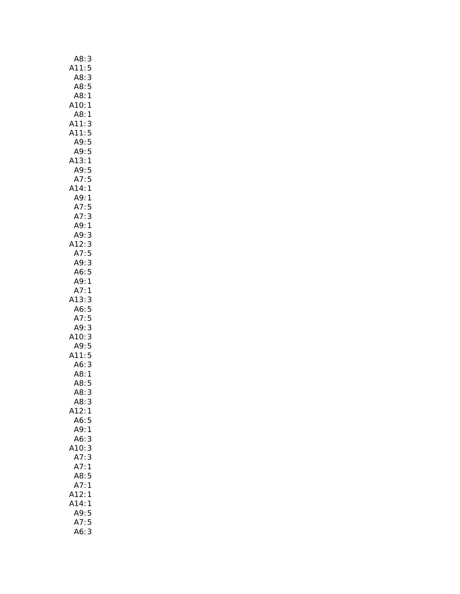| A8:<br>3                  |
|---------------------------|
| $\frac{5}{5}$<br>A11:     |
| A8:3                      |
| A8:5                      |
| A8:1                      |
| A10:1                     |
| A8:1                      |
| A11:<br>3                 |
| A11:5                     |
| A9:5                      |
| A9:5                      |
| A13:1                     |
| A9:5                      |
| A7:5                      |
| A14:1                     |
| A9:<br>$\mathbf{1}$       |
| .<br>A7: 5<br>A7: 3       |
| A9:1                      |
| A9:                       |
| 3                         |
| A12:3<br>A7:5             |
| A9:<br>3                  |
| A6:5                      |
| A9:1                      |
| A7:1                      |
| A13:<br>3                 |
| A6:5                      |
|                           |
| A7:5<br>A9:3              |
| A10: 3<br>A9: 5<br>A11: 5 |
|                           |
|                           |
| A6:<br>3                  |
| A8:1<br>A8:5              |
|                           |
| 3<br>A8:                  |
| A8:<br>3                  |
| A12:<br>1                 |
| A6:<br>5                  |
| A9:1                      |
| A6:<br>3                  |
| A10:<br>3                 |
| A7:<br>3                  |
| A7:<br>1                  |
| A8:<br>5                  |
| A7:<br>1                  |
| A12:<br>1<br>A14:         |
| 1<br>A9:<br>5             |
| A7:<br>5                  |
| A6:<br>3                  |
|                           |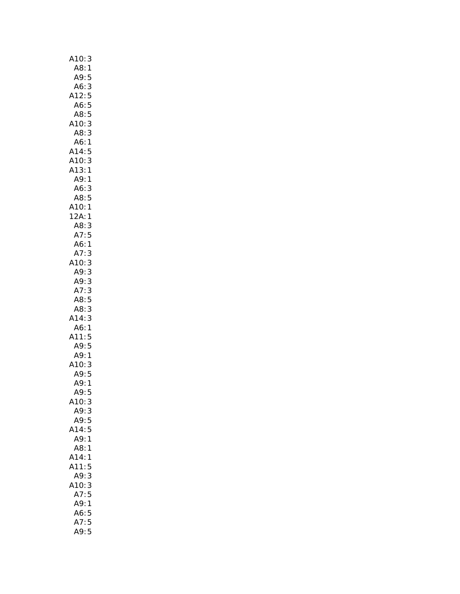| A10:<br>3             |
|-----------------------|
|                       |
| A8: 1<br>A9: 5        |
| A6:3                  |
| A12:5                 |
|                       |
| A6: 5<br>A8: 5        |
|                       |
| 3<br>A10:             |
| A8:<br>3              |
| A6:1                  |
| A14:5                 |
| A10:3                 |
| A13:1                 |
| A9:1                  |
| A6:<br>3              |
| .<br>A8: 5            |
| A10: 1<br>12A: 1      |
|                       |
|                       |
| A8:3                  |
| A7:5                  |
| A6:1                  |
| A7:3                  |
| A10:3                 |
| A9:3                  |
| A9:3                  |
| A7:<br>3              |
| A8:5                  |
| A8:3                  |
| 14:3                  |
| A6:1                  |
|                       |
| A11:5<br>A9:5         |
|                       |
| A9:1                  |
| A10:<br>3             |
| <br>A9:<br>5          |
| A9:1                  |
| A9:<br>5              |
| A10:3                 |
| A9:3                  |
| A9:5                  |
| A14:5                 |
| A9:<br>$\overline{1}$ |
| A8:                   |
| 1                     |
| A14:<br>1             |
| A11:<br>5             |
| A9:<br>3              |
| 3<br>A10:             |
| 5<br>A7:              |
| A9:<br>$\mathbf{1}$   |
| A6:5                  |
| A7:<br>5              |
| A9:<br>5              |
|                       |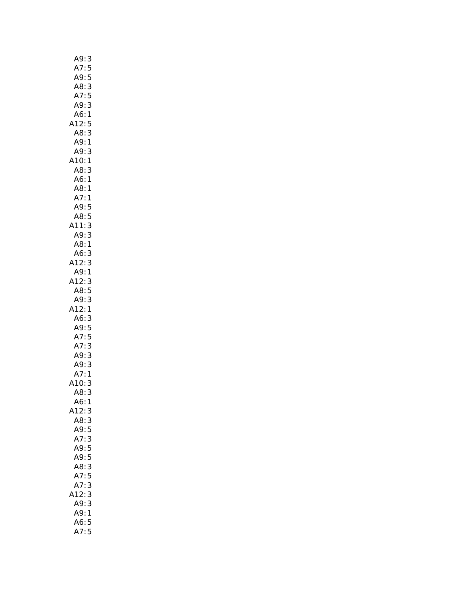| A9:             | 3            |
|-----------------|--------------|
| A7:5            |              |
| A9:             | 5            |
| A8:             | 3            |
| A7:             | 5            |
| A9:             | 3            |
| A6:1            |              |
| A12:            | 5            |
| A8:             | 3            |
| A9:1            |              |
| A9:             | 3            |
| A10:1           |              |
| A8:             | 3            |
| A6:1            |              |
| A8:             | $\mathbf{1}$ |
| A7:             | 1            |
| A9: 5<br>A8: 5  |              |
|                 |              |
| A11:            | 3            |
| A9:3            |              |
| A8:1            |              |
|                 |              |
| A6: 3<br>A12: 3 |              |
| A9:1            |              |
| A12:            | 3            |
| A8:5            |              |
| A9:             | 3            |
| A12:1           |              |
| A6:             | 3            |
| A9:5            |              |
| A7              | :5           |
| A7:             | 3            |
| A9:             | 3<br>3       |
| A9:             |              |
| A7:             | 1            |
| A10:            | 3            |
| A8:             | 3            |
| A6:             | 1            |
| A12:            | 3            |
| A8:3            |              |
| A9:5            |              |
| A7:             | 3            |
| A9:5            |              |
| A9:5            |              |
| A8:             | 3            |
| A7:             | 5            |
| A7:             | 3            |
| 12:<br>Δ        | 3            |
| A9:             | 3            |
| A9:             | 1            |
| A6:<br>A7:      | 5<br>5       |
|                 |              |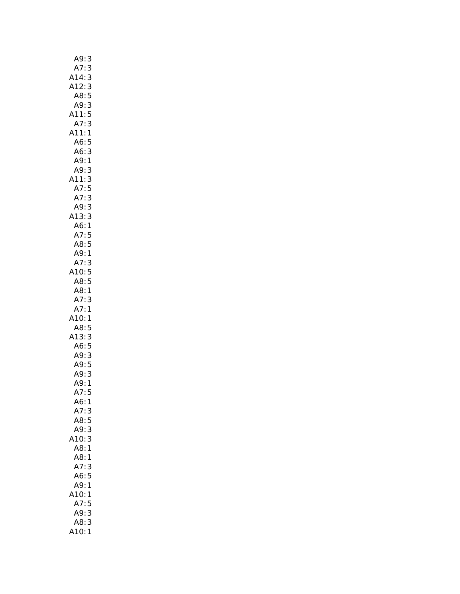| A9:                             | 3             |
|---------------------------------|---------------|
| A7:                             | 3             |
|                                 |               |
| A14:<br>A12:                    | $\frac{3}{3}$ |
|                                 |               |
| A8:5<br>A9:3                    |               |
| A11:5                           |               |
| A7:3                            |               |
| A11:1                           |               |
| A6:5                            |               |
|                                 |               |
| A6:                             | 3             |
| A9:1                            |               |
| A9:                             | 3             |
| A11:3                           |               |
| A7:5                            |               |
|                                 |               |
|                                 |               |
| A7: 3<br>A9: 3<br>13: 3<br>A13: |               |
| A6:1                            |               |
| A7:5                            |               |
| $\frac{AB:5}{1}$                |               |
| A9:1                            |               |
|                                 |               |
| A7: 3<br>A10: 5                 |               |
| A8:5                            |               |
| A8:1                            |               |
| A7:3                            |               |
|                                 |               |
| A7:1<br>A10:1                   |               |
|                                 |               |
| A8:5                            |               |
| A13:3                           |               |
| A6:5                            |               |
|                                 |               |
| A9: 3<br>A9: 5                  |               |
| A9: 3<br>A9: 1                  |               |
|                                 |               |
| A7:5                            |               |
| A6:                             | 1             |
| A7:                             | 3             |
| A8:                             | 5             |
| A9:                             | 3             |
| A10: 3                          |               |
| A8:1                            |               |
| A8:1                            |               |
| A7:3                            |               |
| A6:5                            |               |
| A9:1                            |               |
| 10:                             | 1             |
| A7:5                            |               |
|                                 | 3             |
| A9:                             |               |
| A8:                             | 3             |
| A10:                            | 1             |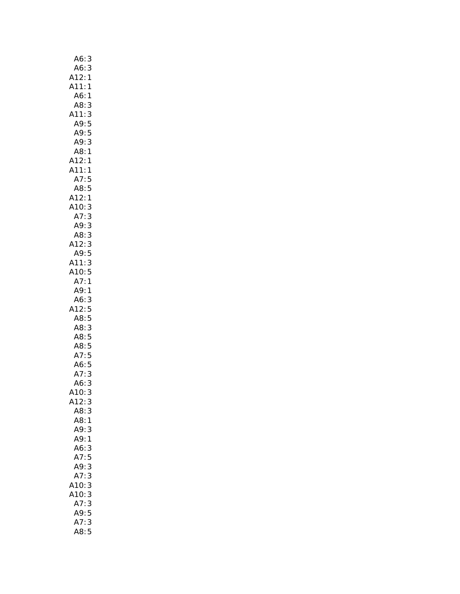| A6:<br>3                    |  |
|-----------------------------|--|
| 3<br>A6:                    |  |
| .ب.<br>:A12<br>:A11<br>1    |  |
| 1                           |  |
| $A6$ :<br>1                 |  |
| 3                           |  |
| A8:<br>:411<br>:49          |  |
| 3<br>5                      |  |
|                             |  |
| A9:5                        |  |
| A9:<br>3                    |  |
| A8:1                        |  |
| A12:<br>1                   |  |
| A11:1                       |  |
| A7:5                        |  |
| A8:5                        |  |
| A12:<br>1                   |  |
| A10:<br>3                   |  |
| 3<br>A7:                    |  |
| A9:                         |  |
| 3<br>3                      |  |
| A8:                         |  |
| A12:3<br>A9:5               |  |
|                             |  |
| A11:3                       |  |
| A10:5                       |  |
| A7:1                        |  |
| A9:1                        |  |
| A6:<br>3                    |  |
|                             |  |
|                             |  |
| $A12:5$<br>$A8:5$<br>$A8:3$ |  |
|                             |  |
| A8:5                        |  |
| A8:5<br>A7:5                |  |
|                             |  |
| A6:5<br>A7:3                |  |
|                             |  |
| 3<br>A6:                    |  |
| 410:<br>3<br>I              |  |
| A12:3                       |  |
| A8:<br>3                    |  |
| A8:<br>1                    |  |
| A9:<br>3                    |  |
| A9:1                        |  |
|                             |  |
| A6:<br>3                    |  |
| A7:5                        |  |
| A9:3                        |  |
| A7:3                        |  |
| A10:3                       |  |
| A10:3                       |  |
| 3<br>A7:                    |  |
| A9:5                        |  |
| 3<br>A7:                    |  |
| 5<br>A8:                    |  |
|                             |  |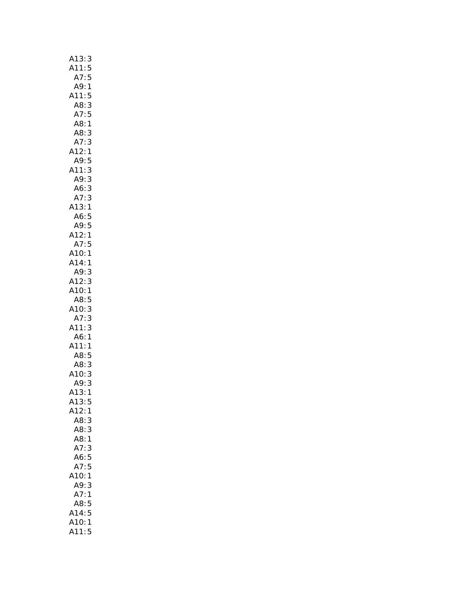| A13:3                        |
|------------------------------|
| A11:5                        |
| A7:5                         |
| A9:<br>$\mathbf{1}$          |
| A11:5                        |
| A8:3                         |
| A7:5                         |
| A8:1                         |
| A8:<br>3                     |
| A7:<br>3                     |
| A12:<br>$\mathbf{1}$         |
| A9:<br>:411<br>$\frac{5}{3}$ |
|                              |
| A9:<br>3                     |
| A6:3                         |
| .<br>A7: 3<br>--             |
| A13:1                        |
| A6:5                         |
| A9:5                         |
| A12:1                        |
| A7:5                         |
| A10:1                        |
| A14:1                        |
| A9:<br>3                     |
| A12:<br>3                    |
| A10:<br>1                    |
| A8:<br>5                     |
| A10: A7: A7:<br>3            |
| $\frac{1}{3}$                |
| A11:                         |
| A6:<br>$\mathbf{1}$<br>A11:1 |
|                              |
| A8:<br>5                     |
| A8: 3<br>A10: 3              |
| A9:3                         |
| A13:<br>1                    |
| A13:5                        |
| A12:1                        |
| A8:<br>3                     |
| A8:<br>3                     |
| A8:<br>1                     |
| A7:<br>3                     |
| 5<br>A6:                     |
| 5<br>A7:                     |
| A10:<br>1                    |
| A9:<br>3                     |
| A7:<br>$\mathbf{1}$          |
| 5<br>A8:                     |
| A14:<br>5                    |
| A10:<br>1                    |
| A11:<br>5                    |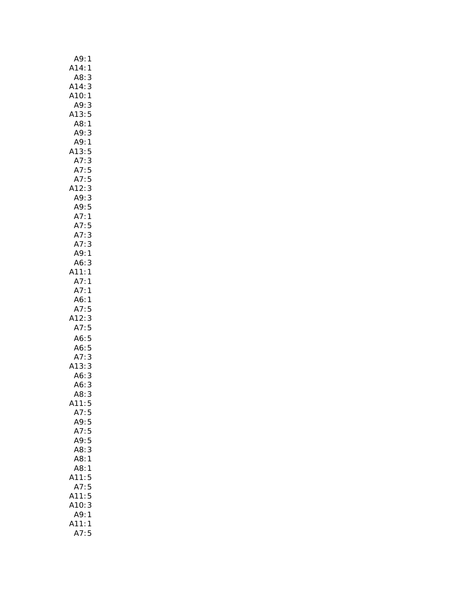| A9:<br>1                     |
|------------------------------|
| A14:1                        |
| A8:<br>3                     |
| A14:<br>3                    |
| A10:1                        |
| A9:<br>3                     |
| A13:<br>5                    |
| A8:1                         |
| A9:<br>3                     |
| A9:<br>1                     |
| A13:<br>5                    |
| A7:<br>3                     |
| A7:<br>5                     |
| A7:<br>5                     |
| $\frac{3}{5}$<br>A12:        |
| A9:                          |
| A9:<br>A7:<br>A7:            |
| $\mathbf{1}$                 |
| 5                            |
| A7: 3<br>A7: 3               |
|                              |
| A9:1                         |
| A6:3<br>A11:<br>$\mathbf{1}$ |
|                              |
| A7:1<br>A7:1                 |
|                              |
| A6:1<br>A7:5                 |
| A12:<br>3                    |
| A7:5                         |
| A6:<br>5                     |
| A6:<br>5                     |
| A7:<br>3                     |
| A13:<br>3                    |
| A6:<br>3                     |
| A6:<br>3                     |
| A8:<br>3                     |
| A11:5                        |
| A7:5                         |
| A9:<br>5                     |
| 5<br>A7:                     |
| 5<br>A9:                     |
| 3<br>A8:                     |
| A8:<br>$\mathbf{1}$          |
| A8:<br>1                     |
| 5<br>A11:                    |
| 5<br>A7:                     |
| 5<br>A11:                    |
| 3<br>A10:                    |
| A9:<br>$\mathbf{1}$          |
| A11:<br>$\mathbf{1}$         |
| A7:<br>5                     |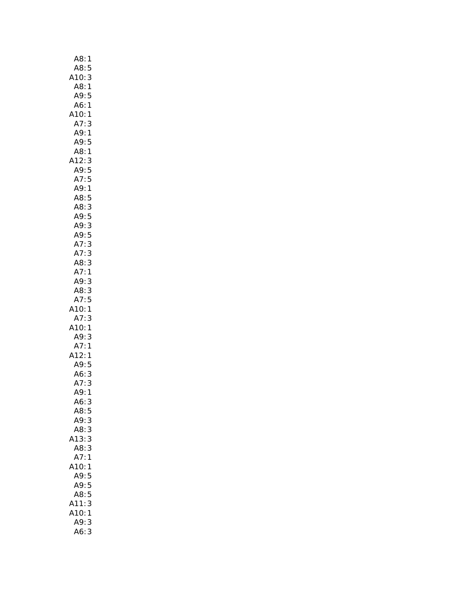| A8:<br>1                                                    |
|-------------------------------------------------------------|
| A8:<br>5                                                    |
| Д                                                           |
| $\frac{3}{1}$                                               |
| <br>.10:<br>A8:<br>A9:<br>5                                 |
| <br>A6:<br>$\mathbf{1}$                                     |
| A10:<br>$\mathbf{1}$                                        |
| A7:<br>3                                                    |
| A9:<br>1                                                    |
| A9:5                                                        |
| A8:1                                                        |
|                                                             |
| A12:                                                        |
| 12:3<br>A9:5<br>A7:5<br>A9:1                                |
|                                                             |
|                                                             |
|                                                             |
|                                                             |
|                                                             |
|                                                             |
|                                                             |
| A8: 5<br>A8: 3<br>A9: 5<br>A9: 5<br>A9: 5<br>A7: 3<br>A7: 3 |
|                                                             |
|                                                             |
| A8: 3<br>A7: 1                                              |
| A9: 3<br>A8: 3                                              |
|                                                             |
| A7:5                                                        |
| .10:1                                                       |
|                                                             |
| ATO. T<br>A7: 3<br>A10: 1<br>A9: 3<br>A12: 1                |
|                                                             |
| $\begin{array}{c} 3 \\ 1 \end{array}$                       |
|                                                             |
|                                                             |
| A9:5<br>A6:3                                                |
| 3                                                           |
| A7:                                                         |
| A9:<br>1                                                    |
| A6:<br>3                                                    |
| A8:<br>5                                                    |
| A9:<br>3                                                    |
| 3<br>A8:                                                    |
| 13:<br>3                                                    |
| A8:<br>3                                                    |
| A7:<br>1                                                    |
| 10:<br>1                                                    |
| A9:5                                                        |
| A9:5                                                        |
| A8:<br>5                                                    |
| 3<br>A11:                                                   |
| A10:<br>1                                                   |
| A9:<br>3                                                    |
| A6:<br>3                                                    |
|                                                             |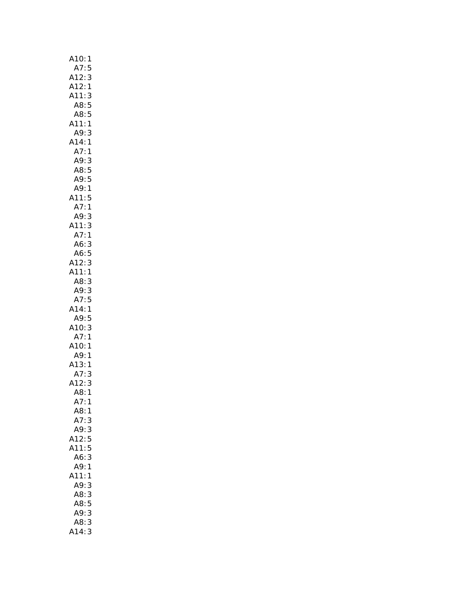| A10:1                                                                           |
|---------------------------------------------------------------------------------|
| A7:<br>5                                                                        |
| 3                                                                               |
| A12: 3<br>A12: 1<br>A11: 3                                                      |
| 3                                                                               |
| A8:5<br>A8:5<br>.11:1                                                           |
|                                                                                 |
|                                                                                 |
|                                                                                 |
|                                                                                 |
| A11:1<br>A9:3<br>A14:1<br>A7:1<br>A7:3<br>A9:3<br>A8:5<br>A9:1<br>A9:1<br>A11:5 |
|                                                                                 |
|                                                                                 |
|                                                                                 |
|                                                                                 |
| $A7:1$<br>$A9:3$<br>$A11:3$                                                     |
|                                                                                 |
|                                                                                 |
|                                                                                 |
|                                                                                 |
| A111<br>A7:1<br>A6:3<br>A6:5<br>A12:3<br>A11:1                                  |
|                                                                                 |
|                                                                                 |
|                                                                                 |
| A8:3<br>A9:3<br>A7:5<br>A14:1<br>A7:5<br>A10:3<br>A7:1<br>A13:1<br>A7:3         |
|                                                                                 |
|                                                                                 |
|                                                                                 |
|                                                                                 |
|                                                                                 |
|                                                                                 |
|                                                                                 |
| A12:                                                                            |
| 3<br>A8:                                                                        |
| 1<br>A7:<br>1                                                                   |
| A8:<br>1                                                                        |
| A7:<br>3                                                                        |
| A9:<br>3                                                                        |
| A12:<br>5                                                                       |
| A11:<br>5                                                                       |
| 3<br>A6:                                                                        |
| A9:<br>1                                                                        |
| A11:<br>1                                                                       |
| A9:<br>3                                                                        |
| AB:<br>3                                                                        |
| A8:<br>5                                                                        |
| A9:<br>3<br>3<br>A8:                                                            |
| 3<br>A14:                                                                       |
|                                                                                 |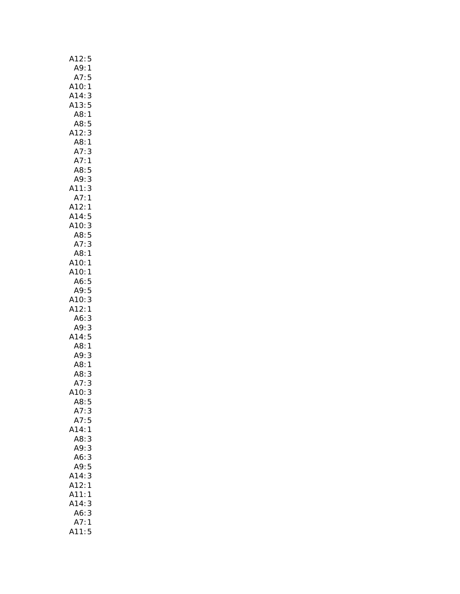| A12:5                                                 |
|-------------------------------------------------------|
| A9:1                                                  |
| A7:<br>5                                              |
| A10:1                                                 |
| A14:<br>3                                             |
| A13:5                                                 |
| A8:1                                                  |
| A8:5                                                  |
| A12:<br>3                                             |
| A8:1                                                  |
| .<br>A7: 3<br>A8: 5                                   |
|                                                       |
| $\frac{5}{3}$                                         |
| $\overline{A9}$ :<br>A11:<br>A7:                      |
| $\begin{array}{c} 3 \\ 1 \end{array}$                 |
|                                                       |
| A12:1<br>A14:5                                        |
| <br>A10: 3<br>A8: 5                                   |
|                                                       |
| A7:3                                                  |
| A8:1                                                  |
| A10:1                                                 |
| A10:1                                                 |
| ი6:5<br>A9:5<br>1Ր                                    |
|                                                       |
| A10:<br>A12:<br>$\begin{array}{c} 3 \\ 1 \end{array}$ |
|                                                       |
| 3<br>A6:                                              |
| $\begin{array}{c} 3 \\ 5 \\ 1 \end{array}$<br>A9:     |
| A14:<br>A8:                                           |
| 3                                                     |
| <br>A9: 3<br>A8: 1<br>A8: 3                           |
| 3                                                     |
| A7:<br>3                                              |
| A10:<br>3                                             |
| A8:5                                                  |
| 3<br>A7:                                              |
| A7:5                                                  |
| A14:1                                                 |
| A8:<br>3                                              |
| A9:<br>3                                              |
| 3<br>A6:                                              |
| A9:<br>5                                              |
| 3<br>A14:                                             |
| A12:<br>A11:<br>$\mathbf{1}$                          |
| 1                                                     |
| A14:<br>3                                             |
| A6:<br>A7:<br>3<br>$\mathbf{1}$                       |
| A11:5                                                 |
|                                                       |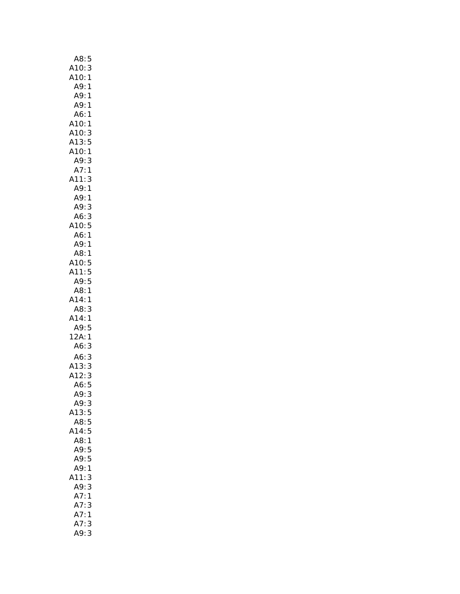| A8:5                  |
|-----------------------|
|                       |
| A10:3<br>A10:1        |
| A9:1                  |
| A9:1                  |
| A9:1                  |
| A6:1                  |
| A10:1                 |
| A10:<br>3             |
| A13:5<br>A10:1        |
| A9:<br>3              |
| A7:<br>1              |
| A11:<br>3             |
| A9:1                  |
| A9:<br>$\mathbf{1}$   |
| A9:<br>3              |
|                       |
| A6: 3<br>A10: 5       |
| A6:1                  |
| A9:1                  |
| A8:1                  |
| A10:5                 |
| A11:5                 |
| A9:5                  |
| A8:1                  |
| A14:1                 |
| A8:<br>3<br>A14:<br>1 |
| A9:<br>5              |
| $12A$ :<br>1          |
| A6:<br>3              |
| A6:<br>3              |
| A13:3                 |
| A12:3                 |
| A6:5                  |
| A9:<br>3              |
| A9:3                  |
| 13:5<br>Δ             |
| A8:<br>5              |
| 5<br>A14:             |
| A8:<br>1              |
| A9:<br>5              |
| A9:<br>5              |
| A9:<br>1              |
| A11:<br>3             |
| A9:<br>3<br>1         |
| A7:<br>A7:<br>3       |
| A7:<br>1              |
| A7:                   |
| A9:<br>3              |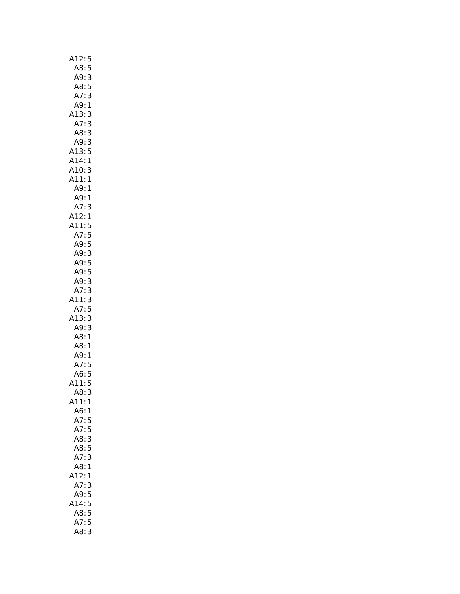| A12:<br>5                                       |
|-------------------------------------------------|
| A8:<br>5                                        |
| A9:<br>3                                        |
| A8:<br>5                                        |
| 3<br>A7:                                        |
| A9:<br>A13:<br>A7:<br>$\mathbf{1}$              |
| 3                                               |
|                                                 |
| 333513111<br>A8:                                |
| A9:<br>A13:<br>A14:                             |
|                                                 |
|                                                 |
| .<br>A10:<br>A11:                               |
|                                                 |
| A11.1<br>A9:1<br>A9:1<br>A7:3<br>A11:5<br>A11:5 |
|                                                 |
|                                                 |
|                                                 |
|                                                 |
|                                                 |
|                                                 |
|                                                 |
|                                                 |
|                                                 |
|                                                 |
|                                                 |
| A9:<br>A7:<br>A11:<br>A7:<br>A3:<br>A9:<br>A8:  |
|                                                 |
|                                                 |
|                                                 |
|                                                 |
|                                                 |
| A、<br>A8:1<br>A9:1<br>A7:5<br>A6:5<br>A6:5      |
|                                                 |
|                                                 |
| A11:                                            |
| A8:<br>3                                        |
| A11:1                                           |
| A6:<br>$\mathbf{1}$                             |
| A7:5                                            |
| A7:5                                            |
| A8:<br>3                                        |
| A8:<br>5                                        |
| A7:<br>3                                        |
| A8:<br>1                                        |
| A12:<br>1                                       |
| A7:<br>3                                        |
| A9:<br>5                                        |
| 5<br>A14:                                       |
| $\frac{5}{2}$<br>A8:                            |
| 5<br>A7:                                        |
| A8:3                                            |
|                                                 |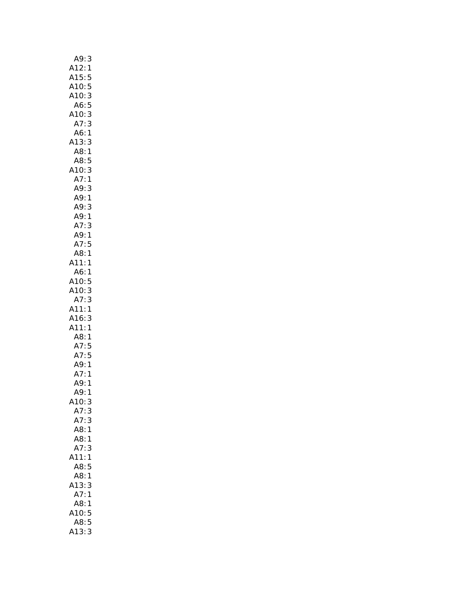| A9:<br>3                                 |
|------------------------------------------|
| A12:1<br>A15:5<br>A10:5<br>A10:3<br>A6:5 |
|                                          |
|                                          |
|                                          |
|                                          |
|                                          |
| A10:3                                    |
| A7:3                                     |
|                                          |
| A6:1                                     |
| A13:<br>3                                |
| A8:1                                     |
| A8:5                                     |
| A10:3                                    |
| A7:1                                     |
|                                          |
| A9: 3<br>A9: 1                           |
|                                          |
| .<br>A9: 3                               |
| A9:1                                     |
| A7:3                                     |
|                                          |
| A9:1                                     |
| A7:5                                     |
| A8:1                                     |
| A11:1                                    |
| A6:1                                     |
| A10:5                                    |
| A10:3                                    |
|                                          |
| A7:3                                     |
| A11:1                                    |
| A16:3                                    |
| A11:1                                    |
| A8:1                                     |
|                                          |
| A7:5                                     |
| A7:5                                     |
| <br>A9:1<br>A9:1                         |
|                                          |
|                                          |
| A9:<br>1                                 |
| A10:<br>3                                |
|                                          |
| A7:<br>3                                 |
| A7:3                                     |
| A8:<br>$\mathbf{1}$                      |
| A8:1                                     |
| A7:<br>3                                 |
| 11:1                                     |
| A8:5                                     |
|                                          |
| A8:1                                     |
| 13:<br>3                                 |
| A7:1                                     |
| A8:<br>1                                 |
| A10:<br>5                                |
| A8:5                                     |
| 3<br>413:                                |
|                                          |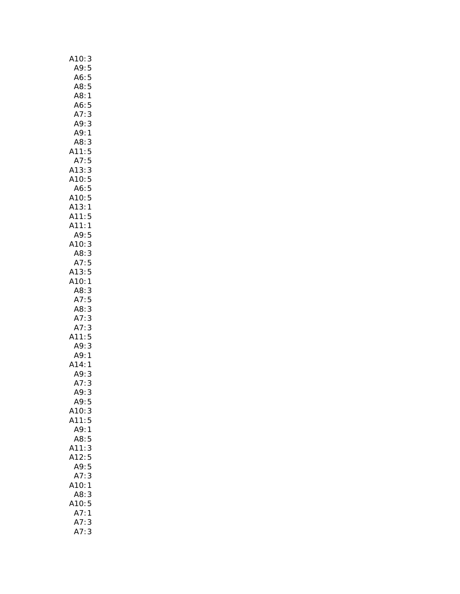| A10:<br>3                                                                       |  |
|---------------------------------------------------------------------------------|--|
| 5<br>A9:                                                                        |  |
| A6:<br>5                                                                        |  |
| A8:<br>5                                                                        |  |
| 1<br>A8:                                                                        |  |
| A6:<br>A7:<br>5                                                                 |  |
| 3                                                                               |  |
| 3<br>A9:                                                                        |  |
| A9:<br>1                                                                        |  |
| A8:<br>A9: 3<br>A8: 3<br>A11: 5<br>A7: 5<br>A13: 3<br>A10: 5<br>A6: 5<br>A13: 1 |  |
|                                                                                 |  |
|                                                                                 |  |
|                                                                                 |  |
|                                                                                 |  |
|                                                                                 |  |
| A13:1                                                                           |  |
| A11:<br>5                                                                       |  |
| A11:1                                                                           |  |
| A9:5                                                                            |  |
| A10:<br>3                                                                       |  |
| A8:<br>3                                                                        |  |
| A7:<br>5                                                                        |  |
| 5                                                                               |  |
| A13:<br>A10:<br>1                                                               |  |
| A8:                                                                             |  |
| 3<br>5<br>A7:                                                                   |  |
| A8:<br>3                                                                        |  |
| A7: A7<br>3                                                                     |  |
| A7: 3<br>A11: 5<br>A9: 3                                                        |  |
|                                                                                 |  |
| 3                                                                               |  |
| A9: 1<br>A14: 1                                                                 |  |
|                                                                                 |  |
| A9:3                                                                            |  |
| 3<br>A7:                                                                        |  |
| A9:<br>3                                                                        |  |
| A9:5<br>A10:                                                                    |  |
| 3<br>5<br>A11:                                                                  |  |
| 1                                                                               |  |
| A9:<br>5<br>A8:                                                                 |  |
|                                                                                 |  |
| A11:<br>A12:                                                                    |  |
| $\frac{3}{5}$                                                                   |  |
| A9:<br>A7:<br>3                                                                 |  |
| A10:<br>1                                                                       |  |
| A8:<br>3                                                                        |  |
| A10:<br>5                                                                       |  |
| A7:<br>$\mathbf{1}$                                                             |  |
| A7:<br>A7:<br>3                                                                 |  |
| 3                                                                               |  |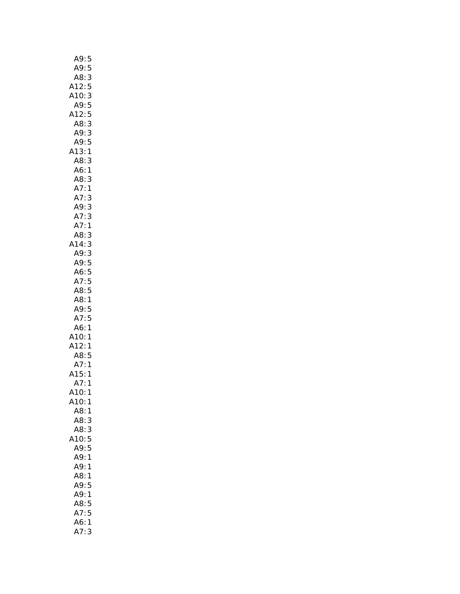| A9:5                        |              |
|-----------------------------|--------------|
| A9:5                        |              |
|                             |              |
|                             |              |
| ر<br>A8: 3<br>A12: 5<br>A10 |              |
| A10: 3<br>A9: 5             |              |
| A12:                        | 5            |
|                             |              |
| A8: 3                       |              |
| A9:3                        |              |
| A9:5                        |              |
| A13:1                       |              |
| A8:                         | 3            |
| A6:1                        |              |
| A8:                         | 3            |
| A7:1                        |              |
| A7:                         | 3            |
| A9:                         | 3            |
| A7:                         | 3            |
| A7:1                        |              |
| A8:                         | 3            |
| A14:3                       |              |
|                             |              |
|                             |              |
| A9: 3<br>A9: 5<br>A6: 5     |              |
|                             |              |
| A7:5                        |              |
| A8:5                        |              |
| A8:1                        |              |
| A9:5                        |              |
| A7:5                        |              |
| A6:1                        |              |
| A10:1                       |              |
| A12:1                       |              |
| A8:5                        |              |
| A7:                         | $\mathbf{1}$ |
| A                           |              |
| .<br>15:1<br>A7:1           |              |
|                             |              |
| 410:<br>I                   | 1            |
| A10:                        | 1            |
| A8:                         | 1            |
| A8:                         | 3            |
| A8:3                        |              |
| A10:5                       |              |
| A9:5                        |              |
| A9:                         | $\mathbf{1}$ |
| A9:1                        |              |
| A8:1                        |              |
| A9:5                        |              |
| A9:1                        |              |
| A8:                         | 5            |
| A7:5                        |              |
|                             |              |
| A6:                         | 1            |
| A7:                         | 3            |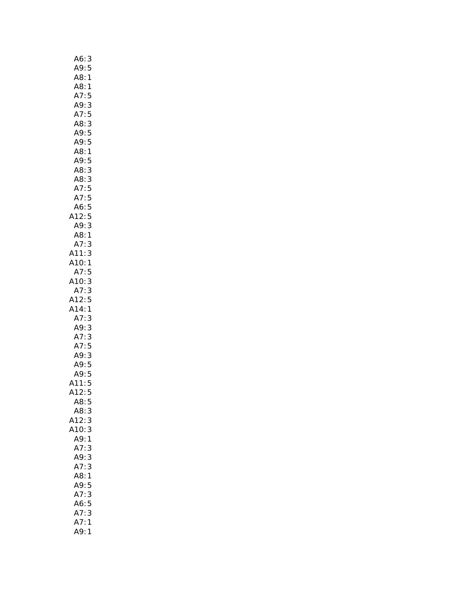| A6:3                                           |                |
|------------------------------------------------|----------------|
| A9:5                                           |                |
| A8:                                            | $\mathbf{1}$   |
| A8:1                                           |                |
| A7:                                            |                |
|                                                | 5              |
| A9: 3<br>A7: 5                                 |                |
|                                                |                |
|                                                |                |
| A8: 3<br>A9: 5<br>A9: 5                        |                |
|                                                |                |
| A8:1                                           |                |
| A9:5                                           |                |
| A8:                                            | 3              |
| A8:                                            | 3              |
|                                                |                |
|                                                |                |
|                                                |                |
|                                                |                |
|                                                |                |
| A7:5<br>A7:5<br>A6:5<br>A6:5<br>A9:3<br>A9:3   |                |
| A8:1                                           |                |
| A7:                                            | 3              |
| A11:3                                          |                |
| A10:1                                          |                |
| A7:5                                           |                |
|                                                |                |
| A10: 3<br>A7: 3                                |                |
| 2:5<br>A1                                      |                |
|                                                |                |
| A14:1                                          |                |
| A7:3                                           |                |
| A9:3                                           |                |
| A7:                                            | $\overline{3}$ |
| A7:5                                           |                |
|                                                |                |
|                                                |                |
| A9:3<br>A9:5<br>A9:5<br>A9:5<br>A11:5<br>A12:5 |                |
|                                                |                |
|                                                |                |
| A8:                                            | 5              |
|                                                |                |
| A8:3                                           |                |
| A12:3                                          |                |
| A10:3                                          |                |
| A9:1                                           |                |
| A7:                                            | 3              |
| A9:3                                           |                |
| A7:                                            | 3              |
| A8:                                            | 1              |
| A9:5                                           |                |
| A7:                                            | 3              |
| A6:5                                           |                |
| A7:                                            | 3              |
| A7:                                            | 1              |
| A9:                                            |                |
|                                                | 1              |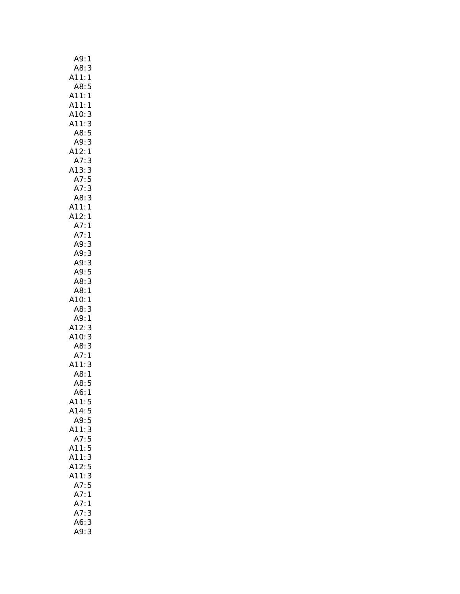| A9: 1                        |
|------------------------------|
| A8: 3                        |
| $\mathbf{1}$<br>A11:         |
| A8:5                         |
| A11:<br>A11:<br>$\mathbf{1}$ |
| $\mathbf{1}$                 |
| A10:<br>3                    |
| A11:3                        |
| 5<br>A8:                     |
| A9:<br>3                     |
| A12:1                        |
| A7:<br>3                     |
| A13:3                        |
| A7:5                         |
| A7:3                         |
| A8:<br>3                     |
| A11:<br>$\mathbf{1}$         |
| A12:1                        |
| A7:1                         |
| $A7:1$<br>$A9:3$             |
| 3                            |
| .<br>A9: 3                   |
| A9:3                         |
| A9:5                         |
| A8: 3                        |
| A8:1                         |
| A10:1                        |
| A8:<br>3                     |
| A9:1                         |
| A12:3                        |
| A10:3                        |
| A8:3                         |
| A7:1<br>A11:3                |
|                              |
| A8:1<br>A8:5                 |
|                              |
| A6:1<br>A11:5                |
| A14:5                        |
| 5<br>A9:                     |
| $\mathbf{3}$<br>A11:         |
| A7:5                         |
| A11:5                        |
| A11:3                        |
| A12:5                        |
| A11:3                        |
| A7:5                         |
| A7:1                         |
| A7:<br>1                     |
| A7:<br>3                     |
| 3<br>A6:                     |
| 3<br>A9:                     |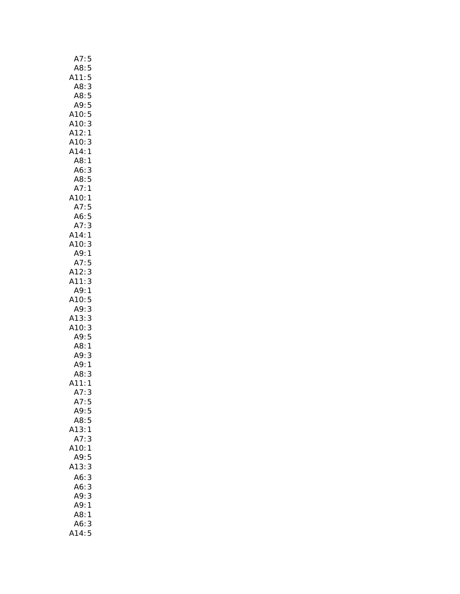| A7:5                                         |
|----------------------------------------------|
| A8:<br>5                                     |
| A11:<br>5                                    |
| A8:                                          |
| 3<br>5<br>5<br>A8:                           |
| A9:                                          |
| A10:<br>5                                    |
| 3<br>A10:                                    |
| A12:<br>1                                    |
| A10:<br>3                                    |
| A14:<br>1                                    |
| A8:<br>1                                     |
| A6:<br>3                                     |
| A8:<br>5                                     |
|                                              |
| A7:1                                         |
| A10:1                                        |
| .<br>A7:5<br>A6:5                            |
|                                              |
| A7:<br>3                                     |
|                                              |
| A14:1<br>A10:3<br>A9:1<br>3                  |
|                                              |
| A7:<br>5                                     |
| 3<br>A12:                                    |
| 3<br>A11:                                    |
| A9:1                                         |
| A10:5                                        |
| A9:<br>3                                     |
| A13:<br>3                                    |
| A10:<br>.10: 3<br>A9: 5                      |
|                                              |
| A8:<br>1                                     |
| A9:3                                         |
| A9:1                                         |
| A8:<br>$\begin{array}{c} 3 \\ 1 \end{array}$ |
| A11:                                         |
| A7:<br>3                                     |
| A7:5                                         |
| A9:<br>5                                     |
| A8:5                                         |
| A13:1                                        |
| A7:3                                         |
| A10:<br>$\mathbf{1}$                         |
| A9:5                                         |
| 3<br>A13:                                    |
| A6:<br>3                                     |
| A6:<br>3                                     |
| A9:<br>3                                     |
| A9:1                                         |
| A8:1                                         |
| A6:3                                         |
| A14:5                                        |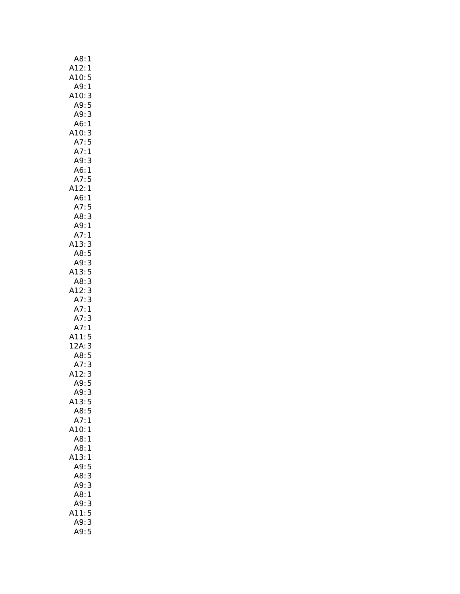| $\mathbf{1}$<br>A12:<br>A12:<br>A10:<br>A9:<br>1<br>5<br>1<br>A10: 3<br>A9: 5<br>5<br>3<br>A9: 3<br>A6: 1<br>A10:3<br>A7:5<br>A7: 1<br>A9: 3<br>A6: 1<br>A7:5<br>A12:1<br>A6:1<br>A7:5<br>A8:3<br>A9:1<br>A7:1<br>$A13:3$<br>$A8:5$<br>A9:3<br>A9:3<br>A13:5<br>A3:3<br>A7:3<br>A7: 3<br>A7: 1 |                                                                |
|------------------------------------------------------------------------------------------------------------------------------------------------------------------------------------------------------------------------------------------------------------------------------------------------|----------------------------------------------------------------|
|                                                                                                                                                                                                                                                                                                |                                                                |
|                                                                                                                                                                                                                                                                                                |                                                                |
|                                                                                                                                                                                                                                                                                                |                                                                |
|                                                                                                                                                                                                                                                                                                |                                                                |
|                                                                                                                                                                                                                                                                                                |                                                                |
|                                                                                                                                                                                                                                                                                                |                                                                |
|                                                                                                                                                                                                                                                                                                |                                                                |
|                                                                                                                                                                                                                                                                                                |                                                                |
|                                                                                                                                                                                                                                                                                                |                                                                |
|                                                                                                                                                                                                                                                                                                |                                                                |
|                                                                                                                                                                                                                                                                                                |                                                                |
|                                                                                                                                                                                                                                                                                                |                                                                |
|                                                                                                                                                                                                                                                                                                |                                                                |
|                                                                                                                                                                                                                                                                                                |                                                                |
|                                                                                                                                                                                                                                                                                                |                                                                |
|                                                                                                                                                                                                                                                                                                |                                                                |
|                                                                                                                                                                                                                                                                                                |                                                                |
|                                                                                                                                                                                                                                                                                                |                                                                |
|                                                                                                                                                                                                                                                                                                |                                                                |
|                                                                                                                                                                                                                                                                                                |                                                                |
|                                                                                                                                                                                                                                                                                                |                                                                |
|                                                                                                                                                                                                                                                                                                |                                                                |
|                                                                                                                                                                                                                                                                                                |                                                                |
|                                                                                                                                                                                                                                                                                                |                                                                |
|                                                                                                                                                                                                                                                                                                |                                                                |
|                                                                                                                                                                                                                                                                                                |                                                                |
|                                                                                                                                                                                                                                                                                                |                                                                |
|                                                                                                                                                                                                                                                                                                |                                                                |
|                                                                                                                                                                                                                                                                                                |                                                                |
|                                                                                                                                                                                                                                                                                                |                                                                |
|                                                                                                                                                                                                                                                                                                |                                                                |
|                                                                                                                                                                                                                                                                                                |                                                                |
|                                                                                                                                                                                                                                                                                                |                                                                |
|                                                                                                                                                                                                                                                                                                |                                                                |
|                                                                                                                                                                                                                                                                                                |                                                                |
|                                                                                                                                                                                                                                                                                                | A7: 3<br>A7: 1<br>A11: 5<br>12A: 3<br>A8: 5<br>A7: 3<br>A12: 3 |
|                                                                                                                                                                                                                                                                                                | A9:5                                                           |
|                                                                                                                                                                                                                                                                                                | A9:<br>3                                                       |
|                                                                                                                                                                                                                                                                                                | A13:<br>5                                                      |
| A8:<br>5                                                                                                                                                                                                                                                                                       |                                                                |
| A7:<br>1                                                                                                                                                                                                                                                                                       |                                                                |
| A10:<br>1                                                                                                                                                                                                                                                                                      |                                                                |
| A8:<br>1                                                                                                                                                                                                                                                                                       |                                                                |
| A8:<br>1                                                                                                                                                                                                                                                                                       |                                                                |
| A13:<br>1                                                                                                                                                                                                                                                                                      |                                                                |
| A9:<br>5                                                                                                                                                                                                                                                                                       |                                                                |
| 3<br>A8:                                                                                                                                                                                                                                                                                       |                                                                |
| A9:<br>3                                                                                                                                                                                                                                                                                       |                                                                |
| A8:<br>1                                                                                                                                                                                                                                                                                       |                                                                |
| A9:<br>3                                                                                                                                                                                                                                                                                       |                                                                |
| 5<br>11:<br>A9:<br>3                                                                                                                                                                                                                                                                           |                                                                |
|                                                                                                                                                                                                                                                                                                |                                                                |
|                                                                                                                                                                                                                                                                                                |                                                                |
|                                                                                                                                                                                                                                                                                                |                                                                |
|                                                                                                                                                                                                                                                                                                |                                                                |
|                                                                                                                                                                                                                                                                                                |                                                                |
|                                                                                                                                                                                                                                                                                                |                                                                |
|                                                                                                                                                                                                                                                                                                |                                                                |
|                                                                                                                                                                                                                                                                                                |                                                                |
|                                                                                                                                                                                                                                                                                                |                                                                |
|                                                                                                                                                                                                                                                                                                |                                                                |
|                                                                                                                                                                                                                                                                                                |                                                                |
|                                                                                                                                                                                                                                                                                                |                                                                |
|                                                                                                                                                                                                                                                                                                |                                                                |
|                                                                                                                                                                                                                                                                                                |                                                                |
|                                                                                                                                                                                                                                                                                                |                                                                |
|                                                                                                                                                                                                                                                                                                |                                                                |
|                                                                                                                                                                                                                                                                                                |                                                                |
|                                                                                                                                                                                                                                                                                                |                                                                |
|                                                                                                                                                                                                                                                                                                |                                                                |
|                                                                                                                                                                                                                                                                                                |                                                                |
|                                                                                                                                                                                                                                                                                                |                                                                |
|                                                                                                                                                                                                                                                                                                |                                                                |
|                                                                                                                                                                                                                                                                                                |                                                                |
|                                                                                                                                                                                                                                                                                                |                                                                |
|                                                                                                                                                                                                                                                                                                |                                                                |
|                                                                                                                                                                                                                                                                                                |                                                                |
|                                                                                                                                                                                                                                                                                                |                                                                |
|                                                                                                                                                                                                                                                                                                |                                                                |
|                                                                                                                                                                                                                                                                                                |                                                                |
|                                                                                                                                                                                                                                                                                                |                                                                |
|                                                                                                                                                                                                                                                                                                |                                                                |
|                                                                                                                                                                                                                                                                                                |                                                                |
|                                                                                                                                                                                                                                                                                                |                                                                |
|                                                                                                                                                                                                                                                                                                |                                                                |
|                                                                                                                                                                                                                                                                                                |                                                                |
|                                                                                                                                                                                                                                                                                                |                                                                |
|                                                                                                                                                                                                                                                                                                |                                                                |
|                                                                                                                                                                                                                                                                                                |                                                                |
|                                                                                                                                                                                                                                                                                                |                                                                |
|                                                                                                                                                                                                                                                                                                |                                                                |
|                                                                                                                                                                                                                                                                                                |                                                                |
|                                                                                                                                                                                                                                                                                                |                                                                |
|                                                                                                                                                                                                                                                                                                |                                                                |
|                                                                                                                                                                                                                                                                                                |                                                                |
|                                                                                                                                                                                                                                                                                                |                                                                |
|                                                                                                                                                                                                                                                                                                |                                                                |
|                                                                                                                                                                                                                                                                                                |                                                                |
|                                                                                                                                                                                                                                                                                                |                                                                |
|                                                                                                                                                                                                                                                                                                |                                                                |
|                                                                                                                                                                                                                                                                                                |                                                                |
|                                                                                                                                                                                                                                                                                                |                                                                |
|                                                                                                                                                                                                                                                                                                |                                                                |
|                                                                                                                                                                                                                                                                                                |                                                                |
|                                                                                                                                                                                                                                                                                                |                                                                |
|                                                                                                                                                                                                                                                                                                |                                                                |
|                                                                                                                                                                                                                                                                                                |                                                                |
|                                                                                                                                                                                                                                                                                                |                                                                |
|                                                                                                                                                                                                                                                                                                |                                                                |
|                                                                                                                                                                                                                                                                                                |                                                                |
|                                                                                                                                                                                                                                                                                                |                                                                |
|                                                                                                                                                                                                                                                                                                |                                                                |
|                                                                                                                                                                                                                                                                                                |                                                                |
|                                                                                                                                                                                                                                                                                                |                                                                |
|                                                                                                                                                                                                                                                                                                |                                                                |
|                                                                                                                                                                                                                                                                                                |                                                                |
|                                                                                                                                                                                                                                                                                                |                                                                |
|                                                                                                                                                                                                                                                                                                |                                                                |
|                                                                                                                                                                                                                                                                                                |                                                                |
|                                                                                                                                                                                                                                                                                                |                                                                |
|                                                                                                                                                                                                                                                                                                |                                                                |
|                                                                                                                                                                                                                                                                                                |                                                                |
|                                                                                                                                                                                                                                                                                                |                                                                |
|                                                                                                                                                                                                                                                                                                |                                                                |
|                                                                                                                                                                                                                                                                                                |                                                                |
|                                                                                                                                                                                                                                                                                                |                                                                |
|                                                                                                                                                                                                                                                                                                |                                                                |
|                                                                                                                                                                                                                                                                                                |                                                                |
|                                                                                                                                                                                                                                                                                                |                                                                |
|                                                                                                                                                                                                                                                                                                |                                                                |
|                                                                                                                                                                                                                                                                                                |                                                                |
|                                                                                                                                                                                                                                                                                                |                                                                |
|                                                                                                                                                                                                                                                                                                |                                                                |
|                                                                                                                                                                                                                                                                                                |                                                                |
|                                                                                                                                                                                                                                                                                                |                                                                |
|                                                                                                                                                                                                                                                                                                |                                                                |
|                                                                                                                                                                                                                                                                                                |                                                                |
|                                                                                                                                                                                                                                                                                                |                                                                |
|                                                                                                                                                                                                                                                                                                |                                                                |
|                                                                                                                                                                                                                                                                                                |                                                                |
|                                                                                                                                                                                                                                                                                                |                                                                |
|                                                                                                                                                                                                                                                                                                |                                                                |
|                                                                                                                                                                                                                                                                                                |                                                                |
|                                                                                                                                                                                                                                                                                                |                                                                |
|                                                                                                                                                                                                                                                                                                |                                                                |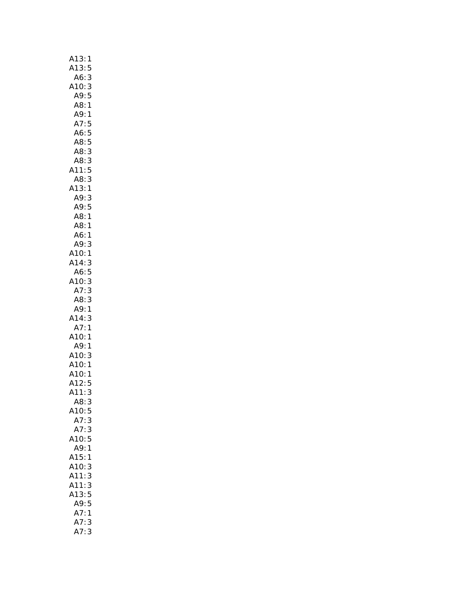| A13:<br>1                                         |
|---------------------------------------------------|
| A13:<br>5                                         |
| A6:<br>3                                          |
| A10:3                                             |
| A9:5                                              |
| A8:1                                              |
| A9:1                                              |
| A7:5                                              |
| A6:5                                              |
| A8:5<br>A8:3<br>A8:3                              |
|                                                   |
|                                                   |
| A11:                                              |
| $\begin{array}{c} 5 \\ 3 \\ 1 \end{array}$<br>A8: |
| $A13:1$<br>$A9:3$                                 |
|                                                   |
| A9:5                                              |
|                                                   |
| A8: 1<br>A8: 1                                    |
| A6:1                                              |
| A9:3                                              |
| A10:1                                             |
| A14:3                                             |
| A6:5                                              |
|                                                   |
| A10: 3<br>A7: 3                                   |
|                                                   |
| A8: 3<br>A9: 1                                    |
| A14:                                              |
| 3<br>1<br>A7:                                     |
| A10:<br>:A9<br>^<br>$\mathbf{1}$                  |
| $\mathbf{1}$                                      |
| $A10:3$<br>$A10:1$<br>$A10:1$<br>$A12:5$          |
|                                                   |
|                                                   |
|                                                   |
| A11:<br>3                                         |
| A8:3                                              |
| A10:5                                             |
| A7:3                                              |
| A7:3                                              |
| A10:5                                             |
| A9:1                                              |
| A15:<br>1                                         |
| A10:<br>3                                         |
| A11:<br>3                                         |
| A11:<br>3                                         |
| 5<br>A13:                                         |
| A9:<br>5                                          |
| A7:<br>$\mathbf{1}$                               |
| A7:<br>3                                          |
|                                                   |
| A7:<br>3                                          |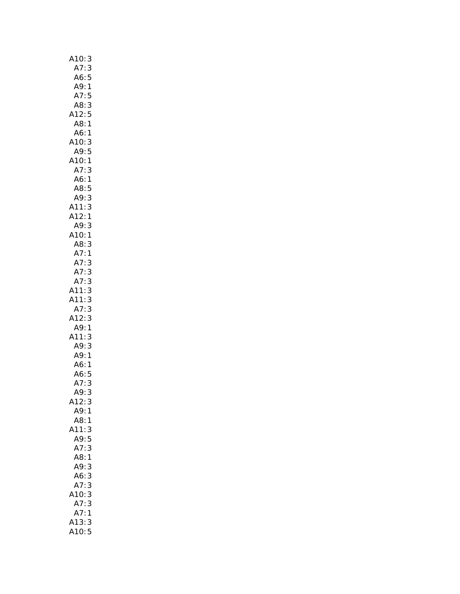| A10:3                                                                   |
|-------------------------------------------------------------------------|
| A7:3                                                                    |
| A6:5                                                                    |
| A9:1                                                                    |
| A7:5<br>A8:3                                                            |
|                                                                         |
| A12:5<br>A8:1                                                           |
|                                                                         |
|                                                                         |
|                                                                         |
| Ac.<br>A10:3<br>A9:5<br>10:1                                            |
| A10:<br>A7:                                                             |
|                                                                         |
| $A7:3$<br>$A6:1$<br>$A8:5$                                              |
|                                                                         |
| $A9:3$<br>A9:3<br>A11:3<br>A12:1                                        |
|                                                                         |
|                                                                         |
| A9:3                                                                    |
| A10:1                                                                   |
| A8:3                                                                    |
| A7:1                                                                    |
| A7:<br>3                                                                |
| 3<br>A7:                                                                |
|                                                                         |
| A11:<br>A11:                                                            |
|                                                                         |
|                                                                         |
|                                                                         |
|                                                                         |
| A7:3<br>A11:3<br>A11:3<br>A7:3<br>A12:3<br>A9:1<br>A9:1<br>A9:3<br>A9:1 |
|                                                                         |
|                                                                         |
| A6: 1<br>A6: 5<br>5                                                     |
| A7:<br>3                                                                |
| A9:<br>3                                                                |
| A12:3                                                                   |
| A9:1                                                                    |
| A8:1                                                                    |
| A11:<br>3                                                               |
| 5<br>A9:                                                                |
| A7:<br>3                                                                |
| A8:<br>1                                                                |
| A9:<br>3                                                                |
| 3<br>A6:                                                                |
| A7:<br>3                                                                |
| A10:<br>3                                                               |
| A7:<br>3                                                                |
| A7:<br>$\mathbf{1}$                                                     |
| A13:3                                                                   |
| 410: 5                                                                  |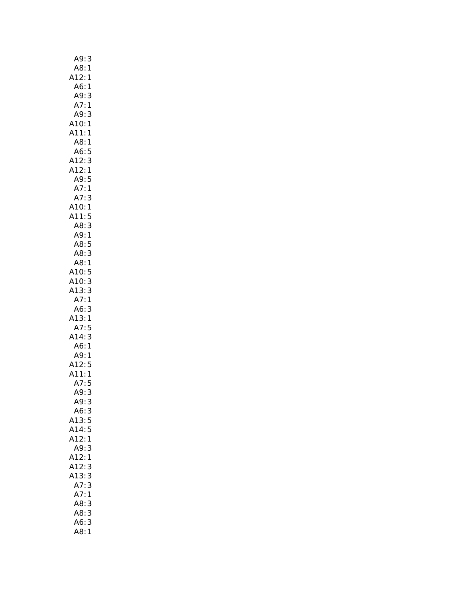| A9:<br>3                       |
|--------------------------------|
| A8:<br>:A12<br>$\mathbf{1}$    |
| $\mathbf{1}$                   |
| A6:1                           |
| 3                              |
| A9:<br>A7:<br>$\mathbf{1}$     |
| A9:                            |
| 3                              |
| A10:1                          |
| A11:<br>1                      |
| A8:1                           |
| A6:5                           |
|                                |
| A12: 3<br>A12: 1               |
|                                |
|                                |
| A9:5<br>A7:1<br>A7:3           |
|                                |
| A10:1<br>A11:5                 |
| 3                              |
| A8: 3<br>A9: 1                 |
|                                |
| A8:<br>5                       |
| A8:3                           |
| A8:1                           |
| A10:<br>5                      |
| A10:3                          |
| A13:<br>3                      |
| A7:1                           |
| A6:<br>3                       |
|                                |
| A13:1<br>A7:5                  |
| A14:<br>3                      |
| A6:<br>$\mathbf{1}$            |
|                                |
| A9:1<br>A12:5<br>A11:1<br>A7:5 |
|                                |
|                                |
|                                |
| 3<br>A9:                       |
| A9:<br>3                       |
| A6:3                           |
| A13:5                          |
| A14:5                          |
| A12:1                          |
| A9:<br>3                       |
| A12:<br>1                      |
| A12:<br>3                      |
| A13:<br>3                      |
| A7:<br>3                       |
|                                |
| A7:<br>1                       |
| A8:<br>3                       |
| A8:<br>3                       |
| A6:<br>3                       |
| A8:<br>1                       |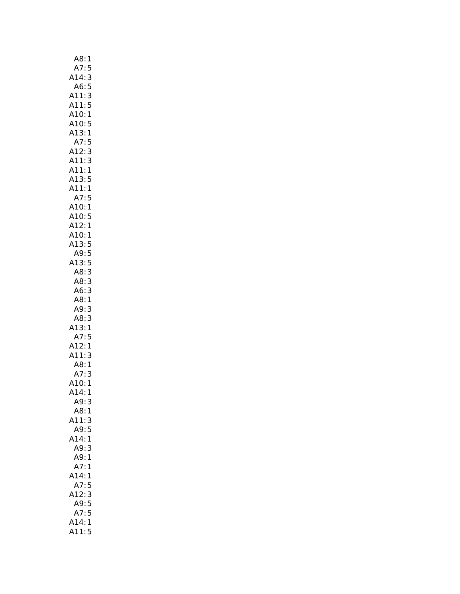| A8:<br>1                             |
|--------------------------------------|
|                                      |
| $A7:5$<br>$14:3$<br>A14:             |
| A6:5                                 |
| A11:<br>3                            |
| 5<br>A11:                            |
| A10:1                                |
| A10:<br>5                            |
| 3:<br>$\mathsf{A}1$<br>1             |
| A7:<br>5                             |
| 3<br>A12:                            |
| 3<br>A11:                            |
| 1<br>A11:                            |
| A13:5                                |
| A11:1                                |
| A7:5                                 |
| A10:1                                |
| A10: 1<br>A10: 5<br>A12: 1<br>A10: 1 |
|                                      |
|                                      |
| .<br>A13:<br>5                       |
| A9:                                  |
| 5<br>5<br>A13:                       |
| 3<br>A8:                             |
| A8:<br>3                             |
|                                      |
| A6:<br>3                             |
| A8:1                                 |
|                                      |
| A9:<br>3                             |
| A8:3                                 |
|                                      |
|                                      |
|                                      |
| A13:1<br>A7:5<br>A12:1<br>A11:3      |
| AB:<br>1                             |
| 3<br>A7:                             |
|                                      |
|                                      |
| .<br>A10: 1<br>A14: 1<br>A9:3        |
| A8:<br>1                             |
| A11:<br>3                            |
| A9:5                                 |
| A14:1                                |
| A9:3                                 |
| A9:1                                 |
| A7:1                                 |
| A14:1                                |
| A7:5                                 |
| A12:3                                |
| A9:5                                 |
| A7:5                                 |
| A14:1                                |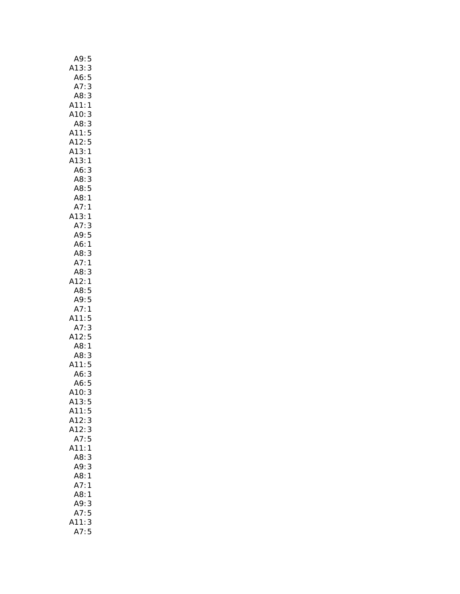| A9:5                              |
|-----------------------------------|
| A13:<br>3                         |
| A6:<br>5                          |
| A7:<br>3                          |
| A8:3                              |
| $\mathbf{1}$<br>A11:              |
| 3<br>A10:                         |
|                                   |
| A8: 3<br>A11: 5<br>A12: 5         |
|                                   |
|                                   |
| A13:1                             |
| A13:1                             |
| A6:<br>$\frac{3}{3}$              |
| A8:                               |
| A8:<br>5                          |
|                                   |
|                                   |
| AS: 1<br>A8: 1<br>A7: 1<br>A13: 1 |
| A7:3                              |
|                                   |
| 5<br>A9:                          |
| A6:1                              |
| A8:3                              |
| A7:1                              |
| A8:<br>3                          |
| A12:1                             |
| A8:5                              |
|                                   |
| A9:5<br>A7:1                      |
| A11:5                             |
|                                   |
| A7: 3<br>A12: 5                   |
|                                   |
| A8:1                              |
| A8:                               |
| A8: 3<br>A11: 5                   |
| $\overline{3}$                    |
| A6: 3<br>A6: 5                    |
| A10:<br>3                         |
| A13:<br>5                         |
| A11:<br>5                         |
| 3<br>A12:                         |
| A12:<br>$\mathbf{3}$              |
| A7:<br>5                          |
|                                   |
| A11:<br>$\mathbf{1}$              |
| A8:<br>3                          |
| A9:<br>3                          |
| A8:<br>1                          |
| A7:<br>1                          |
| A8:<br>1                          |
| A9: 3                             |
| A7:5                              |
| .11:<br>3                         |
|                                   |
| 5<br>A7:                          |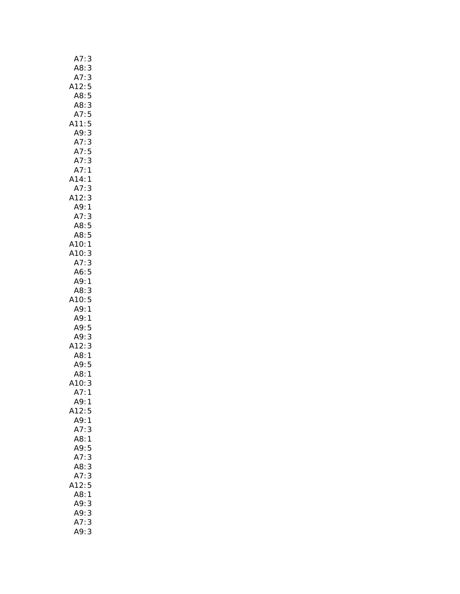| A7:                                | 3                       |
|------------------------------------|-------------------------|
| A8:                                | $\overline{\mathbf{3}}$ |
| A7:                                | 3                       |
| A12:5                              |                         |
| A8:5                               |                         |
| A8: 3<br>A7: 5                     |                         |
|                                    |                         |
| A11:5                              |                         |
| A9:                                | 3                       |
| A7:                                | 3                       |
| A7:5                               |                         |
| A7:                                | 3                       |
| A7:1                               |                         |
| A14:1                              |                         |
| A7:                                | 3                       |
| A12: 3<br>A9: 1                    |                         |
| A7:                                |                         |
| A7: 3<br>A8: 5                     |                         |
| A8:5                               |                         |
|                                    |                         |
| AU. 3<br>A10: 1<br>A10: 3<br>A7: 3 |                         |
|                                    |                         |
| A6:5                               |                         |
| A9:1                               |                         |
| A8:3                               |                         |
| A10:5                              |                         |
| A9:1                               |                         |
| A9:1                               |                         |
| A9:5                               |                         |
|                                    |                         |
| A9: 3<br>A12: 3                    | 3                       |
| A8:1                               |                         |
| A9:5                               |                         |
| A8:1                               |                         |
| A10:                               | 3                       |
| A7:                                | 1                       |
| A9:1                               |                         |
| A12:                               | 5                       |
| A9:<br>$\mathbf{1}$                |                         |
| A7:                                | 3                       |
| A8:1                               |                         |
| A9:                                | 5                       |
| A7:3                               |                         |
| A8:3                               |                         |
| A7:3                               |                         |
| 12:5                               |                         |
| A8:1                               |                         |
| A9:                                | 3                       |
| A9:                                | 3                       |
| A7:                                | 3                       |
| A9:                                | 3                       |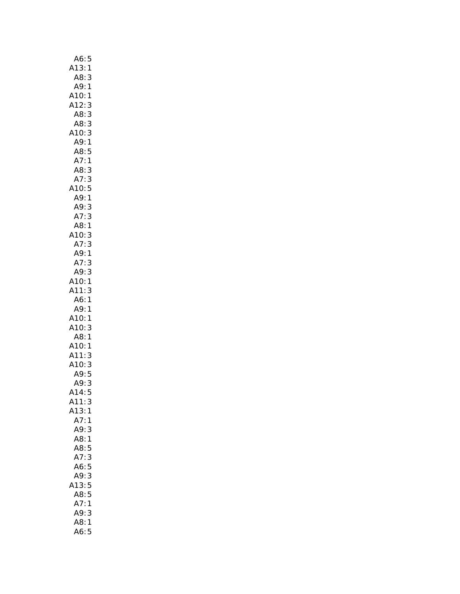| A6:5                                     |
|------------------------------------------|
| A13:1                                    |
| A8:3                                     |
| A9:1                                     |
| A10:1                                    |
| A12:<br>3                                |
|                                          |
| A8:3                                     |
| AB:3                                     |
| A10:<br>3                                |
| A9:1                                     |
| A8:5                                     |
| A7:1                                     |
| A8:<br>3                                 |
| A7: 3<br>A10: 5                          |
|                                          |
| A9:<br>$\mathbf{1}$                      |
|                                          |
| A9:<br>3                                 |
| A7:3                                     |
| A8:1                                     |
| A10:<br>3                                |
| A7:3                                     |
| A9:1                                     |
| A7:3                                     |
| A9:3                                     |
| A10:1                                    |
| A11:<br>3                                |
| A6:1                                     |
|                                          |
| A9:1                                     |
| A10:<br>1                                |
| A10:<br>A8:<br>3                         |
| 1                                        |
|                                          |
| 1.5.1<br>A10:1<br>A11:3<br>A10:3<br>A9:5 |
|                                          |
| $\overline{5}$                           |
| A9:<br>3                                 |
| A14:<br>5                                |
| A11:3                                    |
|                                          |
| A13:<br>1                                |
| A7:1                                     |
| A9:<br>3                                 |
| A8:1                                     |
| 5<br>A8:                                 |
| 3<br>A7:                                 |
| A6:5                                     |
| 3<br>A9:                                 |
| 5<br>A13:                                |
| 5<br>A8:                                 |
| A7:<br>1                                 |
|                                          |
| A9:<br>3                                 |
| A8:<br>$\mathbf{1}$                      |
| A6:5                                     |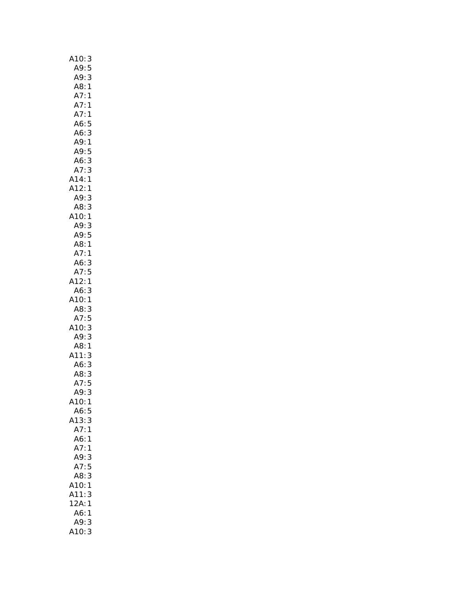| A10:<br>A9:<br>3         |
|--------------------------|
| 5                        |
|                          |
| A9: 3<br>A8: 1           |
| A7:1                     |
| A7:1                     |
|                          |
| A7:1                     |
| A6:5                     |
| A6:3                     |
| A9: 1                    |
| A9:5                     |
| 3<br>A6:                 |
| 3<br>A7:                 |
| A14:<br>A12:<br>1        |
| 1                        |
| A9:<br>3                 |
|                          |
| A8: 3<br>A10: 1<br>A9: 3 |
|                          |
|                          |
| A9:5                     |
| A8:1                     |
| A7:1                     |
| A6: 3                    |
| A7:5                     |
| A12:1                    |
| A6:<br>3                 |
| A10:1                    |
| A8:<br>3                 |
| A7:5                     |
| A10:                     |
| 3<br>3                   |
| A9:                      |
| A8:1                     |
| A11:<br>3                |
| A6: 3<br>A8: 3           |
|                          |
| A7:5                     |
| A9:<br>3                 |
| A10:1                    |
| A6:<br>5                 |
| A13:<br>3                |
| A7:1                     |
| A6:                      |
| 1                        |
| A7:<br>1                 |
| A9:<br>3                 |
| A7:<br>5                 |
| 3<br>A8:                 |
| A10:<br>1                |
| A11:<br>3                |
| $12A$ :<br>1             |
| A6:<br>1                 |
| A9:<br>3                 |
| A10:3                    |
|                          |